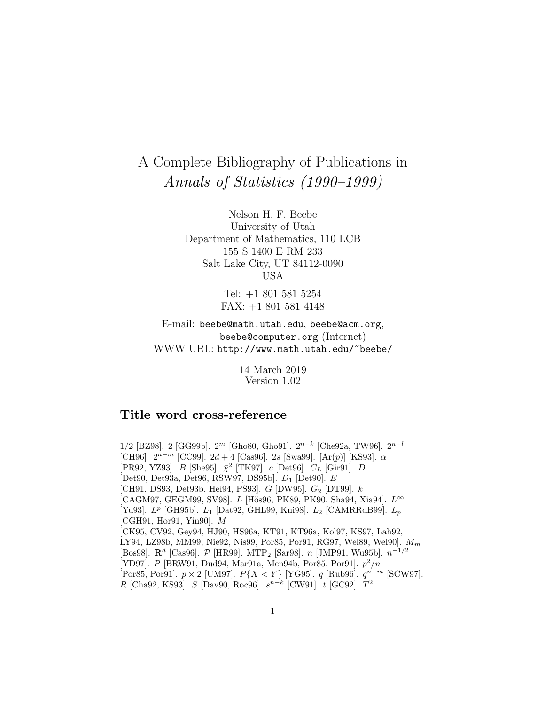# A Complete Bibliography of Publications in Annals of Statistics (1990–1999)

Nelson H. F. Beebe University of Utah Department of Mathematics, 110 LCB 155 S 1400 E RM 233 Salt Lake City, UT 84112-0090 USA

> Tel: +1 801 581 5254 FAX: +1 801 581 4148

E-mail: beebe@math.utah.edu, beebe@acm.org, beebe@computer.org (Internet) WWW URL: http://www.math.utah.edu/~beebe/

> 14 March 2019 Version 1.02

# **Title word cross-reference**

1/2 [BZ98]. 2 [GG99b].  $2^m$  [Gho80, Gho91].  $2^{n-k}$  [Che92a, TW96].  $2^{n-l}$ [CH96].  $2^{n-m}$  [CC99].  $2d+4$  [Cas96]. 2s [Swa99]. [Ar(p)] [KS93].  $\alpha$ [PR92, YZ93]. B [She95].  $\bar{\chi}^2$  [TK97]. c [Det96].  $C_L$  [Gir91]. D [Det90, Det93a, Det96, RSW97, DS95b]. D<sup>1</sup> [Det90]. E [CH91, DS93, Det93b, Hei94, PS93].  $G$  [DW95].  $G_2$  [DT99].  $k$  $[*CAGM97*, *GEGM99*, *SV98*].$  L  $[*H\ddot{o}s96*, *PK89*, *PK90*, *Sha94*, *Xia94*].$   $L^{\infty}$ [Yu93].  $L^p$  [GH95b].  $L_1$  [Dat92, GHL99, Kni98].  $L_2$  [CAMRRdB99].  $L_p$ [CGH91, Hor91, Yin90]. M [CK95, CV92, Gey94, HJ90, HS96a, KT91, KT96a, Kol97, KS97, Lah92, LY94, LZ98b, MM99, Nie92, Nis99, Por85, Por91, RG97, Wel89, Wel90].  $M_m$ [Bos98]. **R**<sup>d</sup> [Cas96]. P [HR99]. MTP<sup>2</sup> [Sar98]. n [JMP91, Wu95b]. n−1/<sup>2</sup> [YD97]. P [BRW91, Dud94, Mar91a, Men94b, Por85, Por91].  $p^2/n$ [Por85, Por91].  $p \times 2$  [UM97].  $P\{X \le Y\}$  [YG95]. q [Rub96].  $q^{n-m}$  [SCW97]. R [Cha92, KS93]. S [Dav90, Roc96].  $s^{n-k}$  [CW91]. t [GC92].  $T^2$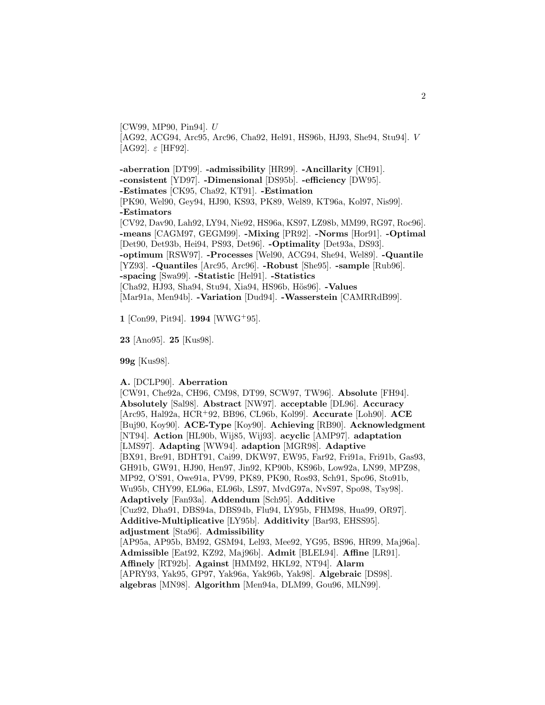[CW99, MP90, Pin94]. U [AG92, ACG94, Arc95, Arc96, Cha92, Hel91, HS96b, HJ93, She94, Stu94]. V [AG92]. ε [HF92].

**-aberration** [DT99]. **-admissibility** [HR99]. **-Ancillarity** [CH91]. **-consistent** [YD97]. **-Dimensional** [DS95b]. **-efficiency** [DW95]. **-Estimates** [CK95, Cha92, KT91]. **-Estimation** [PK90, Wel90, Gey94, HJ90, KS93, PK89, Wel89, KT96a, Kol97, Nis99]. **-Estimators** [CV92, Dav90, Lah92, LY94, Nie92, HS96a, KS97, LZ98b, MM99, RG97, Roc96]. **-means** [CAGM97, GEGM99]. **-Mixing** [PR92]. **-Norms** [Hor91]. **-Optimal** [Det90, Det93b, Hei94, PS93, Det96]. **-Optimality** [Det93a, DS93]. **-optimum** [RSW97]. **-Processes** [Wel90, ACG94, She94, Wel89]. **-Quantile** [YZ93]. **-Quantiles** [Arc95, Arc96]. **-Robust** [She95]. **-sample** [Rub96]. **-spacing** [Swa99]. **-Statistic** [Hel91]. **-Statistics** [Cha92, HJ93, Sha94, Stu94, Xia94, HS96b, Hös96]. **-Values** [Mar91a, Men94b]. **-Variation** [Dud94]. **-Wasserstein** [CAMRRdB99].

**1** [Con99, Pit94]. **1994** [WWG<sup>+</sup>95].

**23** [Ano95]. **25** [Kus98].

**99g** [Kus98].

**A.** [DCLP90]. **Aberration**

[CW91, Che92a, CH96, CM98, DT99, SCW97, TW96]. **Absolute** [FH94]. **Absolutely** [Sal98]. **Abstract** [NW97]. **acceptable** [DL96]. **Accuracy** [Arc95, Hal92a, HCR<sup>+</sup>92, BB96, CL96b, Kol99]. **Accurate** [Loh90]. **ACE** [Buj90, Koy90]. **ACE-Type** [Koy90]. **Achieving** [RB90]. **Acknowledgment** [NT94]. **Action** [HL90b, Wij85, Wij93]. **acyclic** [AMP97]. **adaptation** [LMS97]. **Adapting** [WW94]. **adaption** [MGR98]. **Adaptive** [BX91, Bre91, BDHT91, Cai99, DKW97, EW95, Far92, Fri91a, Fri91b, Gas93, GH91b, GW91, HJ90, Hen97, Jin92, KP90b, KS96b, Low92a, LN99, MPZ98, MP92, O'S91, Owe91a, PV99, PK89, PK90, Ros93, Sch91, Spo96, Sto91b, Wu95b, CHY99, EL96a, EL96b, LS97, MvdG97a, NvS97, Spo98, Tsy98]. **Adaptively** [Fan93a]. **Addendum** [Sch95]. **Additive** [Cuz92, Dha91, DBS94a, DBS94b, Flu94, LY95b, FHM98, Hua99, OR97]. **Additive-Multiplicative** [LY95b]. **Additivity** [Bar93, EHSS95]. **adjustment** [Sta96]. **Admissibility** [AP95a, AP95b, BM92, GSM94, Lel93, Mee92, YG95, BS96, HR99, Maj96a]. **Admissible** [Eat92, KZ92, Maj96b]. **Admit** [BLEL94]. **Affine** [LR91]. **Affinely** [RT92b]. **Against** [HMM92, HKL92, NT94]. **Alarm** [APRY93, Yak95, GP97, Yak96a, Yak96b, Yak98]. **Algebraic** [DS98]. **algebras** [MN98]. **Algorithm** [Men94a, DLM99, Gou96, MLN99].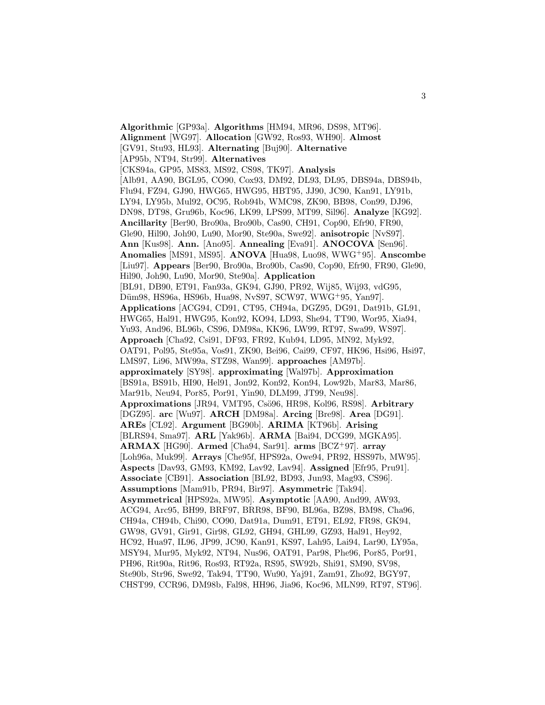**Algorithmic** [GP93a]. **Algorithms** [HM94, MR96, DS98, MT96]. **Alignment** [WG97]. **Allocation** [GW92, Ros93, WH90]. **Almost** [GV91, Stu93, HL93]. **Alternating** [Buj90]. **Alternative** [AP95b, NT94, Str99]. **Alternatives** [CKS94a, GP95, MS83, MS92, CS98, TK97]. **Analysis** [Alb91, AA90, BGL95, CO90, Cox93, DM92, DL93, DL95, DBS94a, DBS94b, Flu94, FZ94, GJ90, HWG65, HWG95, HBT95, JJ90, JC90, Kan91, LY91b, LY94, LY95b, Mul92, OC95, Rob94b, WMC98, ZK90, BB98, Con99, DJ96, DN98, DT98, Gru96b, Koc96, LK99, LPS99, MT99, Sil96]. **Analyze** [KG92]. **Ancillarity** [Ber90, Bro90a, Bro90b, Cas90, CH91, Cop90, Efr90, FR90, Gle90, Hil90, Joh90, Lu90, Mor90, Ste90a, Swe92]. **anisotropic** [NvS97]. **Ann** [Kus98]. **Ann.** [Ano95]. **Annealing** [Eva91]. **ANOCOVA** [Sen96]. **Anomalies** [MS91, MS95]. **ANOVA** [Hua98, Luo98, WWG<sup>+</sup>95]. **Anscombe** [Liu97]. **Appears** [Ber90, Bro90a, Bro90b, Cas90, Cop90, Efr90, FR90, Gle90, Hil90, Joh90, Lu90, Mor90, Ste90a]. **Application** [BL91, DB90, ET91, Fan93a, GK94, GJ90, PR92, Wij85, Wij93, vdG95, Düm98, HS96a, HS96b, Hua98, NvS97, SCW97, WWG+95, Yan97]. **Applications** [ACG94, CD91, CT95, CH94a, DGZ95, DG91, Dat91b, GL91, HWG65, Hal91, HWG95, Kon92, KO94, LD93, She94, TT90, Wor95, Xia94, Yu93, And96, BL96b, CS96, DM98a, KK96, LW99, RT97, Swa99, WS97]. **Approach** [Cha92, Csi91, DF93, FR92, Kub94, LD95, MN92, Myk92, OAT91, Pol95, Ste95a, Vos91, ZK90, Bei96, Cai99, CF97, HK96, Hsi96, Hsi97, LMS97, Li96, MW99a, STZ98, Wan99]. **approaches** [AM97b]. **approximately** [SY98]. **approximating** [Wal97b]. **Approximation** [BS91a, BS91b, HI90, Hel91, Jon92, Kon92, Kon94, Low92b, Mar83, Mar86, Mar91b, Neu94, Por85, Por91, Yin90, DLM99, JT99, Neu98]. **Approximations** [JR94, VMT95, Cs¨o96, HR98, Kol96, RS98]. **Arbitrary** [DGZ95]. **arc** [Wu97]. **ARCH** [DM98a]. **Arcing** [Bre98]. **Area** [DG91]. **AREs** [CL92]. **Argument** [BG90b]. **ARIMA** [KT96b]. **Arising** [BLRS94, Sma97]. **ARL** [Yak96b]. **ARMA** [Bai94, DCG99, MGKA95]. **ARMAX** [HG90]. **Armed** [Cha94, Sar91]. **arms** [BCZ<sup>+</sup>97]. **array** [Loh96a, Muk99]. **Arrays** [Che95f, HPS92a, Owe94, PR92, HSS97b, MW95]. **Aspects** [Dav93, GM93, KM92, Lav92, Lav94]. **Assigned** [Efr95, Pru91]. **Associate** [CB91]. **Association** [BL92, BD93, Jun93, Mag93, CS96]. **Assumptions** [Mam91b, PR94, Bir97]. **Asymmetric** [Tak94]. **Asymmetrical** [HPS92a, MW95]. **Asymptotic** [AA90, And99, AW93, ACG94, Arc95, BH99, BRF97, BRR98, BF90, BL96a, BZ98, BM98, Cha96, CH94a, CH94b, Chi90, CO90, Dat91a, Dum91, ET91, EL92, FR98, GK94, GW98, GV91, Gir91, Gir98, GL92, GH94, GHL99, GZ93, Hal91, Hey92, HC92, Hua97, IL96, JP99, JC90, Kan91, KS97, Lah95, Lai94, Lar90, LY95a, MSY94, Mur95, Myk92, NT94, Nus96, OAT91, Par98, Phe96, Por85, Por91, PH96, Rit90a, Rit96, Ros93, RT92a, RS95, SW92b, Shi91, SM90, SV98, Ste90b, Str96, Swe92, Tak94, TT90, Wu90, Yaj91, Zam91, Zho92, BGY97, CHST99, CCR96, DM98b, Fal98, HH96, Jia96, Koc96, MLN99, RT97, ST96].

3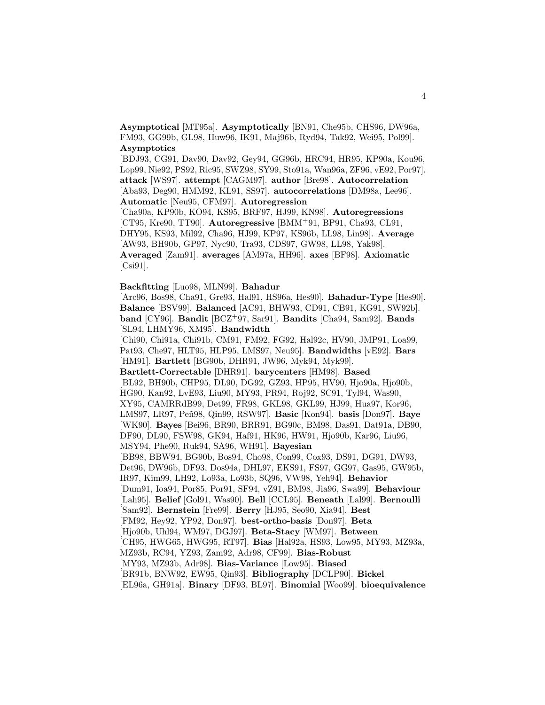**Asymptotical** [MT95a]. **Asymptotically** [BN91, Che95b, CHS96, DW96a, FM93, GG99b, GL98, Huw96, IK91, Maj96b, Ryd94, Tak92, Wei95, Pol99]. **Asymptotics**

[BDJ93, CG91, Dav90, Dav92, Gey94, GG96b, HRC94, HR95, KP90a, Kou96, Lop99, Nie92, PS92, Ric95, SWZ98, SY99, Sto91a, Wan96a, ZF96, vE92, Por97]. **attack** [WS97]. **attempt** [CAGM97]. **author** [Bre98]. **Autocorrelation** [Aba93, Deg90, HMM92, KL91, SS97]. **autocorrelations** [DM98a, Lee96]. **Automatic** [Neu95, CFM97]. **Autoregression**

[Cha90a, KP90b, KO94, KS95, BRF97, HJ99, KN98]. **Autoregressions** [CT95, Kre90, TT90]. **Autoregressive** [BMM<sup>+</sup>91, BP91, Cha93, CL91, DHY95, KS93, Mil92, Cha96, HJ99, KP97, KS96b, LL98, Lin98]. **Average** [AW93, BH90b, GP97, Nyc90, Tra93, CDS97, GW98, LL98, Yak98]. **Averaged** [Zam91]. **averages** [AM97a, HH96]. **axes** [BF98]. **Axiomatic** [Csi91].

#### **Backfitting** [Luo98, MLN99]. **Bahadur**

[Arc96, Bos98, Cha91, Gre93, Hal91, HS96a, Hes90]. **Bahadur-Type** [Hes90]. **Balance** [BSV99]. **Balanced** [AC91, BHW93, CD91, CB91, KG91, SW92b]. **band** [CY96]. **Bandit** [BCZ<sup>+</sup>97, Sar91]. **Bandits** [Cha94, Sam92]. **Bands** [SL94, LHMY96, XM95]. **Bandwidth**

[Chi90, Chi91a, Chi91b, CM91, FM92, FG92, Hal92c, HV90, JMP91, Loa99, Pat93, Che97, HLT95, HLP95, LMS97, Neu95]. **Bandwidths** [vE92]. **Bars** [HM91]. **Bartlett** [BG90b, DHR91, JW96, Myk94, Myk99].

**Bartlett-Correctable** [DHR91]. **barycenters** [HM98]. **Based** [BL92, BH90b, CHP95, DL90, DG92, GZ93, HP95, HV90, Hjo90a, Hjo90b, HG90, Kan92, LvE93, Liu90, MY93, PR94, Roj92, SC91, Tyl94, Was90, XY95, CAMRRdB99, Det99, FR98, GKL98, GKL99, HJ99, Hua97, Kor96, LMS97, LR97, Pe˜n98, Qin99, RSW97]. **Basic** [Kon94]. **basis** [Don97]. **Baye** [WK90]. **Bayes** [Bei96, BR90, BRR91, BG90c, BM98, Das91, Dat91a, DB90, DF90, DL90, FSW98, GK94, Haf91, HK96, HW91, Hjo90b, Kar96, Liu96, MSY94, Phe90, Ruk94, SA96, WH91]. **Bayesian** [BB98, BBW94, BG90b, Bos94, Cho98, Con99, Cox93, DS91, DG91, DW93, Det96, DW96b, DF93, Dos94a, DHL97, EKS91, FS97, GG97, Gas95, GW95b, IR97, Kim99, LH92, Lo93a, Lo93b, SQ96, VW98, Yeh94]. **Behavior** [Dum91, Ioa94, Por85, Por91, SF94, vZ91, BM98, Jia96, Swa99]. **Behaviour** [Lah95]. **Belief** [Gol91, Was90]. **Bell** [CCL95]. **Beneath** [Lal99]. **Bernoulli** [Sam92]. **Bernstein** [Fre99]. **Berry** [HJ95, Seo90, Xia94]. **Best** [FM92, Hey92, YP92, Don97]. **best-ortho-basis** [Don97]. **Beta** [Hjo90b, Uhl94, WM97, DGJ97]. **Beta-Stacy** [WM97]. **Between** [CH95, HWG65, HWG95, RT97]. **Bias** [Hal92a, HS93, Low95, MY93, MZ93a, MZ93b, RC94, YZ93, Zam92, Adr98, CF99]. **Bias-Robust** [MY93, MZ93b, Adr98]. **Bias-Variance** [Low95]. **Biased** [BR91b, BNW92, EW95, Qin93]. **Bibliography** [DCLP90]. **Bickel** [EL96a, GH91a]. **Binary** [DF93, BL97]. **Binomial** [Woo99]. **bioequivalence**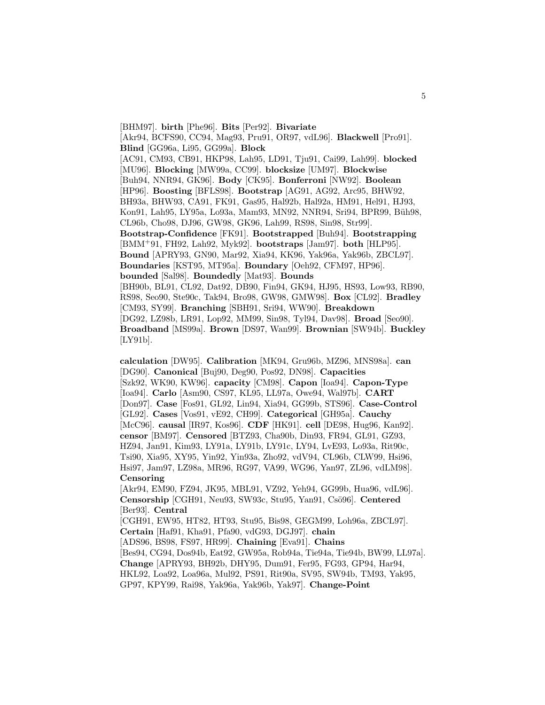[BHM97]. **birth** [Phe96]. **Bits** [Per92]. **Bivariate** [Akr94, BCFS90, CC94, Mag93, Pru91, OR97, vdL96]. **Blackwell** [Pro91]. **Blind** [GG96a, Li95, GG99a]. **Block** [AC91, CM93, CB91, HKP98, Lah95, LD91, Tju91, Cai99, Lah99]. **blocked** [MU96]. **Blocking** [MW99a, CC99]. **blocksize** [UM97]. **Blockwise** [Buh94, NNR94, GK96]. **Body** [CK95]. **Bonferroni** [NW92]. **Boolean** [HP96]. **Boosting** [BFLS98]. **Bootstrap** [AG91, AG92, Arc95, BHW92, BH93a, BHW93, CA91, FK91, Gas95, Hal92b, Hal92a, HM91, Hel91, HJ93, Kon91, Lah95, LY95a, Lo93a, Mam93, MN92, NNR94, Sri94, BPR99, Büh98, CL96b, Cho98, DJ96, GW98, GK96, Lah99, RS98, Sin98, Str99]. **Bootstrap-Confidence** [FK91]. **Bootstrapped** [Buh94]. **Bootstrapping** [BMM<sup>+</sup>91, FH92, Lah92, Myk92]. **bootstraps** [Jam97]. **both** [HLP95]. **Bound** [APRY93, GN90, Mar92, Xia94, KK96, Yak96a, Yak96b, ZBCL97]. **Boundaries** [KST95, MT95a]. **Boundary** [Oeh92, CFM97, HP96]. **bounded** [Sal98]. **Boundedly** [Mat93]. **Bounds** [BH90b, BL91, CL92, Dat92, DB90, Fin94, GK94, HJ95, HS93, Low93, RB90, RS98, Seo90, Ste90c, Tak94, Bro98, GW98, GMW98]. **Box** [CL92]. **Bradley** [CM93, SY99]. **Branching** [SBH91, Sri94, WW90]. **Breakdown** [DG92, LZ98b, LR91, Lop92, MM99, Sin98, Tyl94, Dav98]. **Broad** [Seo90]. **Broadband** [MS99a]. **Brown** [DS97, Wan99]. **Brownian** [SW94b]. **Buckley** [LY91b].

**calculation** [DW95]. **Calibration** [MK94, Gru96b, MZ96, MNS98a]. **can** [DG90]. **Canonical** [Buj90, Deg90, Pos92, DN98]. **Capacities** [Szk92, WK90, KW96]. **capacity** [CM98]. **Capon** [Ioa94]. **Capon-Type** [Ioa94]. **Carlo** [Asm90, CS97, KL95, LL97a, Owe94, Wal97b]. **CART** [Don97]. **Case** [Fos91, GL92, Lin94, Xia94, GG99b, STS96]. **Case-Control** [GL92]. **Cases** [Vos91, vE92, CH99]. **Categorical** [GH95a]. **Cauchy** [McC96]. **causal** [IR97, Kos96]. **CDF** [HK91]. **cell** [DE98, Hug96, Kan92]. **censor** [BM97]. **Censored** [BTZ93, Cha90b, Din93, FR94, GL91, GZ93, HZ94, Jan91, Kim93, LY91a, LY91b, LY91c, LY94, LvE93, Lo93a, Rit90c, Tsi90, Xia95, XY95, Yin92, Yin93a, Zho92, vdV94, CL96b, CLW99, Hsi96, Hsi97, Jam97, LZ98a, MR96, RG97, VA99, WG96, Yan97, ZL96, vdLM98]. **Censoring**

[Akr94, EM90, FZ94, JK95, MBL91, VZ92, Yeh94, GG99b, Hua96, vdL96]. **Censorship** [CGH91, Neu93, SW93c, Stu95, Yan91, Csö96]. **Centered** [Ber93]. **Central**

[CGH91, EW95, HT82, HT93, Stu95, Bis98, GEGM99, Loh96a, ZBCL97]. **Certain** [Haf91, Kha91, Pfa90, vdG93, DGJ97]. **chain** [ADS96, BS98, FS97, HR99]. **Chaining** [Eva91]. **Chains**

[Bes94, CG94, Dos94b, Eat92, GW95a, Rob94a, Tie94a, Tie94b, BW99, LL97a]. **Change** [APRY93, BH92b, DHY95, Dum91, Fer95, FG93, GP94, Har94, HKL92, Loa92, Loa96a, Mul92, PS91, Rit90a, SV95, SW94b, TM93, Yak95,

GP97, KPY99, Rai98, Yak96a, Yak96b, Yak97]. **Change-Point**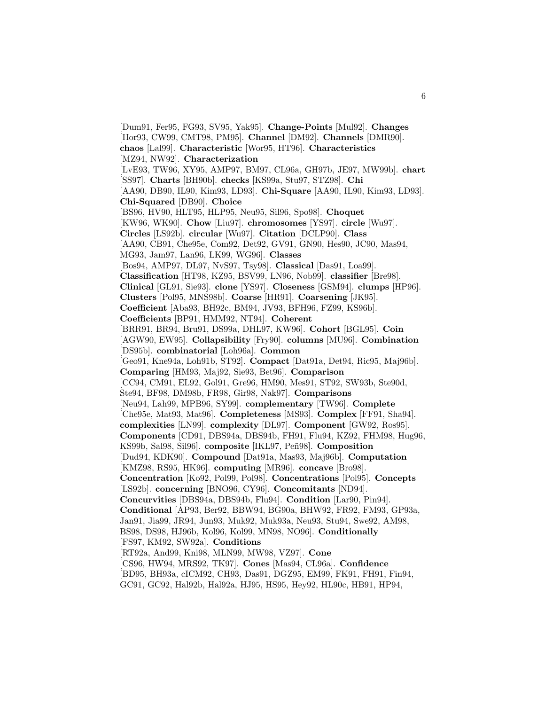[Dum91, Fer95, FG93, SV95, Yak95]. **Change-Points** [Mul92]. **Changes** [Hor93, CW99, CMT98, PM95]. **Channel** [DM92]. **Channels** [DMR90]. **chaos** [Lal99]. **Characteristic** [Wor95, HT96]. **Characteristics** [MZ94, NW92]. **Characterization** [LvE93, TW96, XY95, AMP97, BM97, CL96a, GH97b, JE97, MW99b]. **chart** [SS97]. **Charts** [BH90b]. **checks** [KS99a, Stu97, STZ98]. **Chi** [AA90, DB90, IL90, Kim93, LD93]. **Chi-Square** [AA90, IL90, Kim93, LD93]. **Chi-Squared** [DB90]. **Choice** [BS96, HV90, HLT95, HLP95, Neu95, Sil96, Spo98]. **Choquet** [KW96, WK90]. **Chow** [Liu97]. **chromosomes** [YS97]. **circle** [Wu97]. **Circles** [LS92b]. **circular** [Wu97]. **Citation** [DCLP90]. **Class** [AA90, CB91, Che95e, Com92, Det92, GV91, GN90, Hes90, JC90, Mas94, MG93, Jam97, Lan96, LK99, WG96]. **Classes** [Bos94, AMP97, DL97, NvS97, Tsy98]. **Classical** [Das91, Loa99]. **Classification** [HT98, KZ95, BSV99, LN96, Nob99]. **classifier** [Bre98]. **Clinical** [GL91, Sie93]. **clone** [YS97]. **Closeness** [GSM94]. **clumps** [HP96]. **Clusters** [Pol95, MNS98b]. **Coarse** [HR91]. **Coarsening** [JK95]. **Coefficient** [Aba93, BH92c, BM94, JV93, BFH96, FZ99, KS96b]. **Coefficients** [BP91, HMM92, NT94]. **Coherent** [BRR91, BR94, Bru91, DS99a, DHL97, KW96]. **Cohort** [BGL95]. **Coin** [AGW90, EW95]. **Collapsibility** [Fry90]. **columns** [MU96]. **Combination** [DS95b]. **combinatorial** [Loh96a]. **Common** [Geo91, Kne94a, Loh91b, ST92]. **Compact** [Dat91a, Det94, Ric95, Maj96b]. **Comparing** [HM93, Maj92, Sie93, Bet96]. **Comparison** [CC94, CM91, EL92, Gol91, Gre96, HM90, Mes91, ST92, SW93b, Ste90d, Ste94, BF98, DM98b, FR98, Gir98, Nak97]. **Comparisons** [Neu94, Lah99, MPB96, SY99]. **complementary** [TW96]. **Complete** [Che95e, Mat93, Mat96]. **Completeness** [MS93]. **Complex** [FF91, Sha94]. **complexities** [LN99]. **complexity** [DL97]. **Component** [GW92, Ros95]. **Components** [CD91, DBS94a, DBS94b, FH91, Flu94, KZ92, FHM98, Hug96, KS99b, Sal98, Sil96]. **composite** [IKL97, Peñ98]. **Composition** [Dud94, KDK90]. **Compound** [Dat91a, Mas93, Maj96b]. **Computation** [KMZ98, RS95, HK96]. **computing** [MR96]. **concave** [Bro98]. **Concentration** [Ko92, Pol99, Pol98]. **Concentrations** [Pol95]. **Concepts** [LS92b]. **concerning** [BNO96, CY96]. **Concomitants** [ND94]. **Concurvities** [DBS94a, DBS94b, Flu94]. **Condition** [Lar90, Pin94]. **Conditional** [AP93, Ber92, BBW94, BG90a, BHW92, FR92, FM93, GP93a, Jan91, Jia99, JR94, Jun93, Muk92, Muk93a, Neu93, Stu94, Swe92, AM98, BS98, DS98, HJ96b, Kol96, Kol99, MN98, NO96]. **Conditionally** [FS97, KM92, SW92a]. **Conditions** [RT92a, And99, Kni98, MLN99, MW98, VZ97]. **Cone** [CS96, HW94, MRS92, TK97]. **Cones** [Mas94, CL96a]. **Confidence** [BD95, BH93a, cICM92, CH93, Das91, DGZ95, EM99, FK91, FH91, Fin94,

GC91, GC92, Hal92b, Hal92a, HJ95, HS95, Hey92, HL90c, HB91, HP94,

6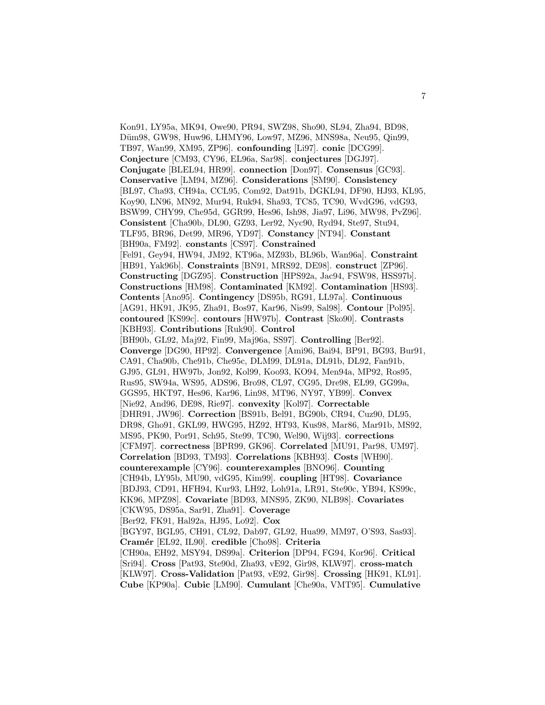Kon91, LY95a, MK94, Owe90, PR94, SWZ98, Sho90, SL94, Zha94, BD98, Düm98, GW98, Huw96, LHMY96, Low97, MZ96, MNS98a, Neu95, Qin99, TB97, Wan99, XM95, ZP96]. **confounding** [Li97]. **conic** [DCG99]. **Conjecture** [CM93, CY96, EL96a, Sar98]. **conjectures** [DGJ97]. **Conjugate** [BLEL94, HR99]. **connection** [Don97]. **Consensus** [GC93]. **Conservative** [LM94, MZ96]. **Considerations** [SM90]. **Consistency** [BL97, Cha93, CH94a, CCL95, Com92, Dat91b, DGKL94, DF90, HJ93, KL95, Koy90, LN96, MN92, Mur94, Ruk94, Sha93, TC85, TC90, WvdG96, vdG93, BSW99, CHY99, Che95d, GGR99, Hes96, Ish98, Jia97, Li96, MW98, PvZ96]. **Consistent** [Cha90b, DL90, GZ93, Ler92, Nyc90, Ryd94, Ste97, Stu94, TLF95, BR96, Det99, MR96, YD97]. **Constancy** [NT94]. **Constant** [BH90a, FM92]. **constants** [CS97]. **Constrained** [Fel91, Gey94, HW94, JM92, KT96a, MZ93b, BL96b, Wan96a]. **Constraint** [HB91, Yak96b]. **Constraints** [BN91, MRS92, DE98]. **construct** [ZP96]. **Constructing** [DGZ95]. **Construction** [HPS92a, Jac94, FSW98, HSS97b]. **Constructions** [HM98]. **Contaminated** [KM92]. **Contamination** [HS93]. **Contents** [Ano95]. **Contingency** [DS95b, RG91, LL97a]. **Continuous** [AG91, HK91, JK95, Zha91, Bos97, Kar96, Nis99, Sal98]. **Contour** [Pol95]. **contoured** [KS99c]. **contours** [HW97b]. **Contrast** [Sko90]. **Contrasts** [KBH93]. **Contributions** [Ruk90]. **Control** [BH90b, GL92, Maj92, Fin99, Maj96a, SS97]. **Controlling** [Ber92]. **Converge** [DG90, HP92]. **Convergence** [Ami96, Bai94, BP91, BG93, Bur91, CA91, Cha90b, Che91b, Che95c, DLM99, DL91a, DL91b, DL92, Fan91b, GJ95, GL91, HW97b, Jon92, Kol99, Koo93, KO94, Men94a, MP92, Ros95, Rus95, SW94a, WS95, ADS96, Bro98, CL97, CG95, Dre98, EL99, GG99a, GGS95, HKT97, Hes96, Kar96, Lin98, MT96, NY97, YB99]. **Convex** [Nie92, And96, DE98, Rie97]. **convexity** [Kol97]. **Correctable** [DHR91, JW96]. **Correction** [BS91b, Bel91, BG90b, CR94, Cuz90, DL95, DR98, Gho91, GKL99, HWG95, HZ92, HT93, Kus98, Mar86, Mar91b, MS92, MS95, PK90, Por91, Sch95, Ste99, TC90, Wel90, Wij93]. **corrections** [CFM97]. **correctness** [BPR99, GK96]. **Correlated** [MU91, Par98, UM97]. **Correlation** [BD93, TM93]. **Correlations** [KBH93]. **Costs** [WH90]. **counterexample** [CY96]. **counterexamples** [BNO96]. **Counting** [CH94b, LY95b, MU90, vdG95, Kim99]. **coupling** [HT98]. **Covariance** [BDJ93, CD91, HFH94, Kur93, LH92, Loh91a, LR91, Ste90c, YB94, KS99c, KK96, MPZ98]. **Covariate** [BD93, MNS95, ZK90, NLB98]. **Covariates** [CKW95, DS95a, Sar91, Zha91]. **Coverage** [Ber92, FK91, Hal92a, HJ95, Lo92]. **Cox** [BGY97, BGL95, CH91, CL92, Dab97, GL92, Hua99, MM97, O'S93, Sas93]. **Cram´er** [EL92, IL90]. **credible** [Cho98]. **Criteria** [CH90a, EH92, MSY94, DS99a]. **Criterion** [DP94, FG94, Kor96]. **Critical** [Sri94]. **Cross** [Pat93, Ste90d, Zha93, vE92, Gir98, KLW97]. **cross-match** [KLW97]. **Cross-Validation** [Pat93, vE92, Gir98]. **Crossing** [HK91, KL91]. **Cube** [KP90a]. **Cubic** [LM90]. **Cumulant** [Che90a, VMT95]. **Cumulative**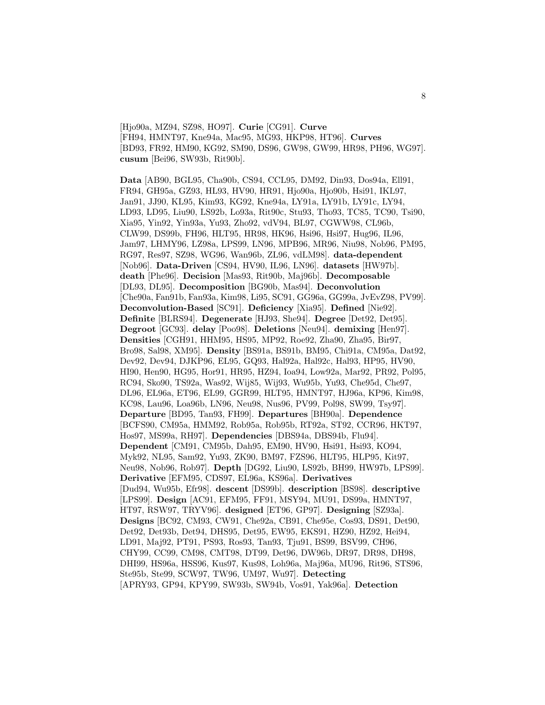[Hjo90a, MZ94, SZ98, HO97]. **Curie** [CG91]. **Curve** [FH94, HMNT97, Kne94a, Mac95, MG93, HKP98, HT96]. **Curves** [BD93, FR92, HM90, KG92, SM90, DS96, GW98, GW99, HR98, PH96, WG97]. **cusum** [Bei96, SW93b, Rit90b].

**Data** [AB90, BGL95, Cha90b, CS94, CCL95, DM92, Din93, Dos94a, Ell91, FR94, GH95a, GZ93, HL93, HV90, HR91, Hjo90a, Hjo90b, Hsi91, IKL97, Jan91, JJ90, KL95, Kim93, KG92, Kne94a, LY91a, LY91b, LY91c, LY94, LD93, LD95, Liu90, LS92b, Lo93a, Rit90c, Stu93, Tho93, TC85, TC90, Tsi90, Xia95, Yin92, Yin93a, Yu93, Zho92, vdV94, BL97, CGWW98, CL96b, CLW99, DS99b, FH96, HLT95, HR98, HK96, Hsi96, Hsi97, Hug96, IL96, Jam97, LHMY96, LZ98a, LPS99, LN96, MPB96, MR96, Niu98, Nob96, PM95, RG97, Res97, SZ98, WG96, Wan96b, ZL96, vdLM98]. **data-dependent** [Nob96]. **Data-Driven** [CS94, HV90, IL96, LN96]. **datasets** [HW97b]. **death** [Phe96]. **Decision** [Mas93, Rit90b, Maj96b]. **Decomposable** [DL93, DL95]. **Decomposition** [BG90b, Mas94]. **Deconvolution** [Che90a, Fan91b, Fan93a, Kim98, Li95, SC91, GG96a, GG99a, JvEvZ98, PV99]. **Deconvolution-Based** [SC91]. **Deficiency** [Xia95]. **Defined** [Nie92]. **Definite** [BLRS94]. **Degenerate** [HJ93, She94]. **Degree** [Det92, Det95]. **Degroot** [GC93]. **delay** [Poo98]. **Deletions** [Neu94]. **demixing** [Hen97]. **Densities** [CGH91, HHM95, HS95, MP92, Roe92, Zha90, Zha95, Bir97, Bro98, Sal98, XM95]. **Density** [BS91a, BS91b, BM95, Chi91a, CM95a, Dat92, Dev92, Dev94, DJKP96, EL95, GQ93, Hal92a, Hal92c, Hal93, HP95, HV90, HI90, Hen90, HG95, Hor91, HR95, HZ94, Ioa94, Low92a, Mar92, PR92, Pol95, RC94, Sko90, TS92a, Was92, Wij85, Wij93, Wu95b, Yu93, Che95d, Che97, DL96, EL96a, ET96, EL99, GGR99, HLT95, HMNT97, HJ96a, KP96, Kim98, KC98, Lau96, Loa96b, LN96, Neu98, Nus96, PV99, Pol98, SW99, Tsy97]. **Departure** [BD95, Tan93, FH99]. **Departures** [BH90a]. **Dependence** [BCFS90, CM95a, HMM92, Rob95a, Rob95b, RT92a, ST92, CCR96, HKT97, Hos97, MS99a, RH97]. **Dependencies** [DBS94a, DBS94b, Flu94]. **Dependent** [CM91, CM95b, Dah95, EM90, HV90, Hsi91, Hsi93, KO94, Myk92, NL95, Sam92, Yu93, ZK90, BM97, FZS96, HLT95, HLP95, Kit97, Neu98, Nob96, Rob97]. **Depth** [DG92, Liu90, LS92b, BH99, HW97b, LPS99]. **Derivative** [EFM95, CDS97, EL96a, KS96a]. **Derivatives** [Dud94, Wu95b, Efr98]. **descent** [DS99b]. **description** [BS98]. **descriptive** [LPS99]. **Design** [AC91, EFM95, FF91, MSY94, MU91, DS99a, HMNT97, HT97, RSW97, TRYV96]. **designed** [ET96, GP97]. **Designing** [SZ93a]. **Designs** [BC92, CM93, CW91, Che92a, CB91, Che95e, Cos93, DS91, Det90, Det92, Det93b, Det94, DHS95, Det95, EW95, EKS91, HZ90, HZ92, Hei94, LD91, Maj92, PT91, PS93, Ros93, Tan93, Tju91, BS99, BSV99, CH96, CHY99, CC99, CM98, CMT98, DT99, Det96, DW96b, DR97, DR98, DH98, DHI99, HS96a, HSS96, Kus97, Kus98, Loh96a, Maj96a, MU96, Rit96, STS96, Ste95b, Ste99, SCW97, TW96, UM97, Wu97]. **Detecting** [APRY93, GP94, KPY99, SW93b, SW94b, Vos91, Yak96a]. **Detection**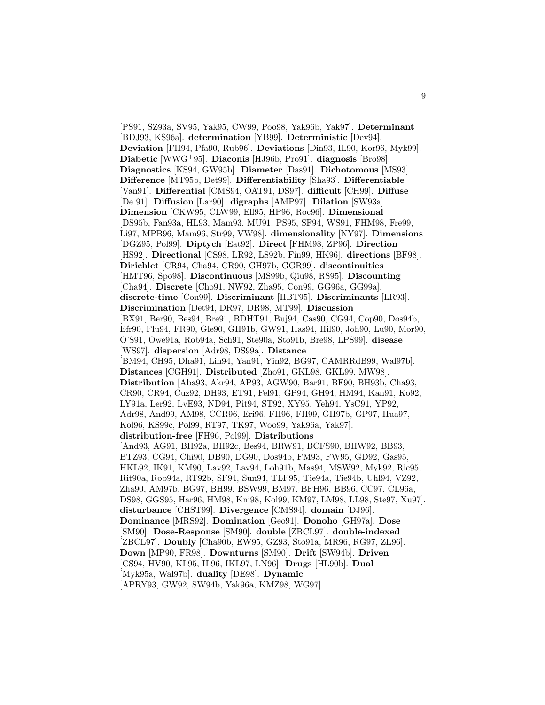[PS91, SZ93a, SV95, Yak95, CW99, Poo98, Yak96b, Yak97]. **Determinant** [BDJ93, KS96a]. **determination** [YB99]. **Deterministic** [Dev94]. **Deviation** [FH94, Pfa90, Rub96]. **Deviations** [Din93, IL90, Kor96, Myk99]. **Diabetic** [WWG<sup>+</sup>95]. **Diaconis** [HJ96b, Pro91]. **diagnosis** [Bro98]. **Diagnostics** [KS94, GW95b]. **Diameter** [Das91]. **Dichotomous** [MS93]. **Difference** [MT95b, Det99]. **Differentiability** [Sha93]. **Differentiable** [Van91]. **Differential** [CMS94, OAT91, DS97]. **difficult** [CH99]. **Diffuse** [De 91]. **Diffusion** [Lar90]. **digraphs** [AMP97]. **Dilation** [SW93a]. **Dimension** [CKW95, CLW99, Ell95, HP96, Roc96]. **Dimensional** [DS95b, Fan93a, HL93, Mam93, MU91, PS95, SF94, WS91, FHM98, Fre99, Li97, MPB96, Mam96, Str99, VW98]. **dimensionality** [NY97]. **Dimensions** [DGZ95, Pol99]. **Diptych** [Eat92]. **Direct** [FHM98, ZP96]. **Direction** [HS92]. **Directional** [CS98, LR92, LS92b, Fin99, HK96]. **directions** [BF98]. **Dirichlet** [CR94, Cha94, CR90, GH97b, GGR99]. **discontinuities** [HMT96, Spo98]. **Discontinuous** [MS99b, Qiu98, RS95]. **Discounting** [Cha94]. **Discrete** [Cho91, NW92, Zha95, Con99, GG96a, GG99a]. **discrete-time** [Con99]. **Discriminant** [HBT95]. **Discriminants** [LR93]. **Discrimination** [Det94, DR97, DR98, MT99]. **Discussion** [BX91, Ber90, Bes94, Bre91, BDHT91, Buj94, Cas90, CG94, Cop90, Dos94b, Efr90, Flu94, FR90, Gle90, GH91b, GW91, Has94, Hil90, Joh90, Lu90, Mor90, O'S91, Owe91a, Rob94a, Sch91, Ste90a, Sto91b, Bre98, LPS99]. **disease** [WS97]. **dispersion** [Adr98, DS99a]. **Distance** [BM94, CH95, Dha91, Lin94, Yan91, Yin92, BG97, CAMRRdB99, Wal97b]. **Distances** [CGH91]. **Distributed** [Zho91, GKL98, GKL99, MW98]. **Distribution** [Aba93, Akr94, AP93, AGW90, Bar91, BF90, BH93b, Cha93, CR90, CR94, Cuz92, DH93, ET91, Fel91, GP94, GH94, HM94, Kan91, Ko92, LY91a, Ler92, LvE93, ND94, Pit94, ST92, XY95, Yeh94, YsC91, YP92, Adr98, And99, AM98, CCR96, Eri96, FH96, FH99, GH97b, GP97, Hua97, Kol96, KS99c, Pol99, RT97, TK97, Woo99, Yak96a, Yak97]. **distribution-free** [FH96, Pol99]. **Distributions** [And93, AG91, BH92a, BH92c, Bes94, BRW91, BCFS90, BHW92, BB93, BTZ93, CG94, Chi90, DB90, DG90, Dos94b, FM93, FW95, GD92, Gas95, HKL92, IK91, KM90, Lav92, Lav94, Loh91b, Mas94, MSW92, Myk92, Ric95, Rit90a, Rob94a, RT92b, SF94, Sun94, TLF95, Tie94a, Tie94b, Uhl94, VZ92, Zha90, AM97b, BG97, BH99, BSW99, BM97, BFH96, BB96, CC97, CL96a, DS98, GGS95, Har96, HM98, Kni98, Kol99, KM97, LM98, LL98, Ste97, Xu97]. **disturbance** [CHST99]. **Divergence** [CMS94]. **domain** [DJ96]. **Dominance** [MRS92]. **Domination** [Geo91]. **Donoho** [GH97a]. **Dose** [SM90]. **Dose-Response** [SM90]. **double** [ZBCL97]. **double-indexed** [ZBCL97]. **Doubly** [Cha90b, EW95, GZ93, Sto91a, MR96, RG97, ZL96]. **Down** [MP90, FR98]. **Downturns** [SM90]. **Drift** [SW94b]. **Driven** [CS94, HV90, KL95, IL96, IKL97, LN96]. **Drugs** [HL90b]. **Dual** [Myk95a, Wal97b]. **duality** [DE98]. **Dynamic** [APRY93, GW92, SW94b, Yak96a, KMZ98, WG97].

9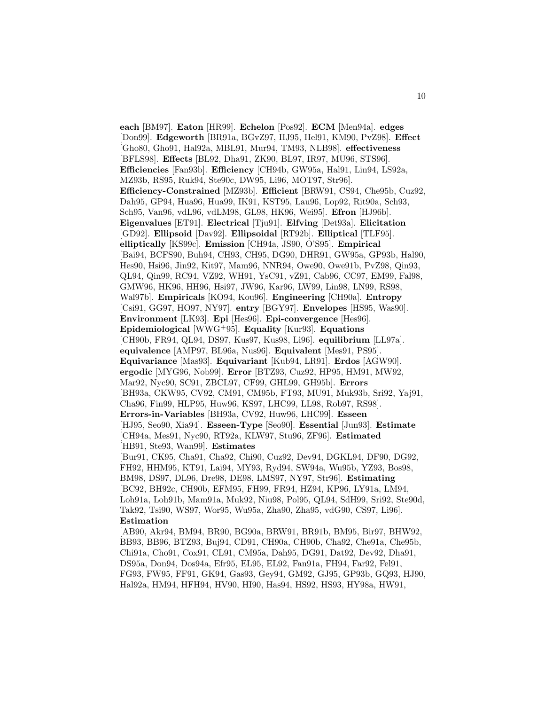**each** [BM97]. **Eaton** [HR99]. **Echelon** [Pos92]. **ECM** [Men94a]. **edges** [Don99]. **Edgeworth** [BR91a, BGvZ97, HJ95, Hel91, KM90, PvZ98]. **Effect** [Gho80, Gho91, Hal92a, MBL91, Mur94, TM93, NLB98]. **effectiveness** [BFLS98]. **Effects** [BL92, Dha91, ZK90, BL97, IR97, MU96, STS96]. **Efficiencies** [Fan93b]. **Efficiency** [CH94b, GW95a, Hal91, Lin94, LS92a, MZ93b, RS95, Ruk94, Ste90c, DW95, Li96, MOT97, Str96]. **Efficiency-Constrained** [MZ93b]. **Efficient** [BRW91, CS94, Che95b, Cuz92, Dah95, GP94, Hua96, Hua99, IK91, KST95, Lau96, Lop92, Rit90a, Sch93, Sch95, Van96, vdL96, vdLM98, GL98, HK96, Wei95]. **Efron** [HJ96b]. **Eigenvalues** [ET91]. **Electrical** [Tju91]. **Elfving** [Det93a]. **Elicitation** [GD92]. **Ellipsoid** [Dav92]. **Ellipsoidal** [RT92b]. **Elliptical** [TLF95]. **elliptically** [KS99c]. **Emission** [CH94a, JS90, O'S95]. **Empirical** [Bai94, BCFS90, Buh94, CH93, CH95, DG90, DHR91, GW95a, GP93b, Hal90, Hes90, Hsi96, Jin92, Kit97, Mam96, NNR94, Owe90, Owe91b, PvZ98, Qin93, QL94, Qin99, RC94, VZ92, WH91, YsC91, vZ91, Cab96, CC97, EM99, Fal98, GMW96, HK96, HH96, Hsi97, JW96, Kar96, LW99, Lin98, LN99, RS98, Wal97b]. **Empiricals** [KO94, Kou96]. **Engineering** [CH90a]. **Entropy** [Csi91, GG97, HO97, NY97]. **entry** [BGY97]. **Envelopes** [HS95, Was90]. **Environment** [LK93]. **Epi** [Hes96]. **Epi-convergence** [Hes96]. **Epidemiological** [WWG<sup>+</sup>95]. **Equality** [Kur93]. **Equations** [CH90b, FR94, QL94, DS97, Kus97, Kus98, Li96]. **equilibrium** [LL97a]. **equivalence** [AMP97, BL96a, Nus96]. **Equivalent** [Mes91, PS95]. **Equivariance** [Mas93]. **Equivariant** [Kub94, LR91]. **Erdos** [AGW90]. **ergodic** [MYG96, Nob99]. **Error** [BTZ93, Cuz92, HP95, HM91, MW92, Mar92, Nyc90, SC91, ZBCL97, CF99, GHL99, GH95b]. **Errors** [BH93a, CKW95, CV92, CM91, CM95b, FT93, MU91, Muk93b, Sri92, Yaj91, Cha96, Fin99, HLP95, Huw96, KS97, LHC99, LL98, Rob97, RS98]. **Errors-in-Variables** [BH93a, CV92, Huw96, LHC99]. **Esseen** [HJ95, Seo90, Xia94]. **Esseen-Type** [Seo90]. **Essential** [Jun93]. **Estimate** [CH94a, Mes91, Nyc90, RT92a, KLW97, Stu96, ZF96]. **Estimated** [HB91, Ste93, Wan99]. **Estimates** [Bur91, CK95, Cha91, Cha92, Chi90, Cuz92, Dev94, DGKL94, DF90, DG92, FH92, HHM95, KT91, Lai94, MY93, Ryd94, SW94a, Wu95b, YZ93, Bos98, BM98, DS97, DL96, Dre98, DE98, LMS97, NY97, Str96]. **Estimating** [BC92, BH92c, CH90b, EFM95, FH99, FR94, HZ94, KP96, LY91a, LM94, Loh91a, Loh91b, Mam91a, Muk92, Niu98, Pol95, QL94, SdH99, Sri92, Ste90d, Tak92, Tsi90, WS97, Wor95, Wu95a, Zha90, Zha95, vdG90, CS97, Li96]. **Estimation** [AB90, Akr94, BM94, BR90, BG90a, BRW91, BR91b, BM95, Bir97, BHW92, BB93, BB96, BTZ93, Buj94, CD91, CH90a, CH90b, Cha92, Che91a, Che95b, Chi91a, Cho91, Cox91, CL91, CM95a, Dah95, DG91, Dat92, Dev92, Dha91, DS95a, Don94, Dos94a, Efr95, EL95, EL92, Fan91a, FH94, Far92, Fel91, FG93, FW95, FF91, GK94, Gas93, Gey94, GM92, GJ95, GP93b, GQ93, HJ90,

Hal92a, HM94, HFH94, HV90, HI90, Has94, HS92, HS93, HY98a, HW91,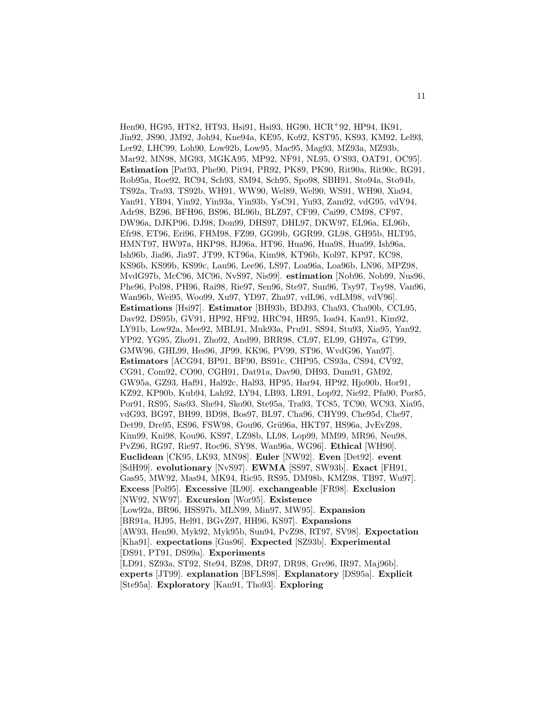Hen90, HG95, HT82, HT93, Hsi91, Hsi93, HG90, HCR<sup>+</sup>92, HP94, IK91, Jin92, JS90, JM92, Joh94, Kne94a, KE95, Ko92, KST95, KS93, KM92, Lel93, Ler92, LHC99, Loh90, Low92b, Low95, Mac95, Mag93, MZ93a, MZ93b, Mar92, MN98, MG93, MGKA95, MP92, NF91, NL95, O'S93, OAT91, OC95]. **Estimation** [Pat93, Phe90, Pit94, PR92, PK89, PK90, Rit90a, Rit90c, RG91, Rob95a, Roe92, RC94, Sch93, SM94, Sch95, Spo98, SBH91, Sto94a, Sto94b, TS92a, Tra93, TS92b, WH91, WW90, Wel89, Wel90, WS91, WH90, Xia94, Yan91, YB94, Yin92, Yin93a, Yin93b, YsC91, Yu93, Zam92, vdG95, vdV94, Adr98, BZ96, BFH96, BS96, BL96b, BLZ97, CF99, Cai99, CM98, CF97, DW96a, DJKP96, DJ98, Don99, DHS97, DHL97, DKW97, EL96a, EL96b, Efr98, ET96, Eri96, FHM98, FZ99, GG99b, GGR99, GL98, GH95b, HLT95, HMNT97, HW97a, HKP98, HJ96a, HT96, Hua96, Hua98, Hua99, Ish96a, Ish96b, Jia96, Jia97, JT99, KT96a, Kim98, KT96b, Kol97, KP97, KC98, KS96b, KS99b, KS99c, Lau96, Lee96, LS97, Loa96a, Loa96b, LN96, MPZ98, MvdG97b, McC96, MC96, NvS97, Nis99]. **estimation** [Nob96, Nob99, Nus96, Phe96, Pol98, PH96, Rai98, Rie97, Sen96, Ste97, Sun96, Tsy97, Tsy98, Van96, Wan96b, Wei95, Woo99, Xu97, YD97, Zha97, vdL96, vdLM98, vdV96]. **Estimations** [Hsi97]. **Estimator** [BH93b, BDJ93, Cha93, Cha90b, CCL95, Dav92, DS95b, GV91, HP92, HF92, HRC94, HR95, Ioa94, Kan91, Kim92, LY91b, Low92a, Mee92, MBL91, Muk93a, Pru91, SS94, Stu93, Xia95, Yan92, YP92, YG95, Zho91, Zho92, And99, BRR98, CL97, EL99, GH97a, GT99, GMW96, GHL99, Hes96, JP99, KK96, PV99, ST96, WvdG96, Yan97]. **Estimators** [ACG94, BP91, BF90, BS91c, CHP95, CS93a, CS94, CV92, CG91, Com92, CO90, CGH91, Dat91a, Dav90, DH93, Dum91, GM92, GW95a, GZ93, Haf91, Hal92c, Hal93, HP95, Har94, HP92, Hjo90b, Hor91, KZ92, KP90b, Kub94, Lah92, LY94, LB93, LR91, Lop92, Nie92, Pfa90, Por85, Por91, RS95, Sas93, She94, Sko90, Ste95a, Tra93, TC85, TC90, WC93, Xia95, vdG93, BG97, BH99, BD98, Bos97, BL97, Cha96, CHY99, Che95d, Che97, Det99, Dre95, ES96, FSW98, Gou96, Grü96a, HKT97, HS96a, JvEvZ98, Kim99, Kni98, Kou96, KS97, LZ98b, LL98, Lop99, MM99, MR96, Neu98, PvZ96, RG97, Rie97, Roc96, SY98, Wan96a, WG96]. **Ethical** [WH90]. **Euclidean** [CK95, LK93, MN98]. **Euler** [NW92]. **Even** [Det92]. **event** [SdH99]. **evolutionary** [NvS97]. **EWMA** [SS97, SW93b]. **Exact** [FH91, Gas95, MW92, Mas94, MK94, Ric95, RS95, DM98b, KMZ98, TB97, Wu97]. **Excess** [Pol95]. **Excessive** [IL90]. **exchangeable** [FR98]. **Exclusion** [NW92, NW97]. **Excursion** [Wor95]. **Existence** [Low92a, BR96, HSS97b, MLN99, Min97, MW95]. **Expansion** [BR91a, HJ95, Hel91, BGvZ97, HH96, KS97]. **Expansions** [AW93, Hen90, Myk92, Myk95b, Sun94, PvZ98, RT97, SV98]. **Expectation** [Kha91]. **expectations** [Gus96]. **Expected** [SZ93b]. **Experimental** [DS91, PT91, DS99a]. **Experiments** [LD91, SZ93a, ST92, Ste94, BZ98, DR97, DR98, Gre96, IR97, Maj96b]. **experts** [JT99]. **explanation** [BFLS98]. **Explanatory** [DS95a]. **Explicit** [Ste95a]. **Exploratory** [Kan91, Tho93]. **Exploring**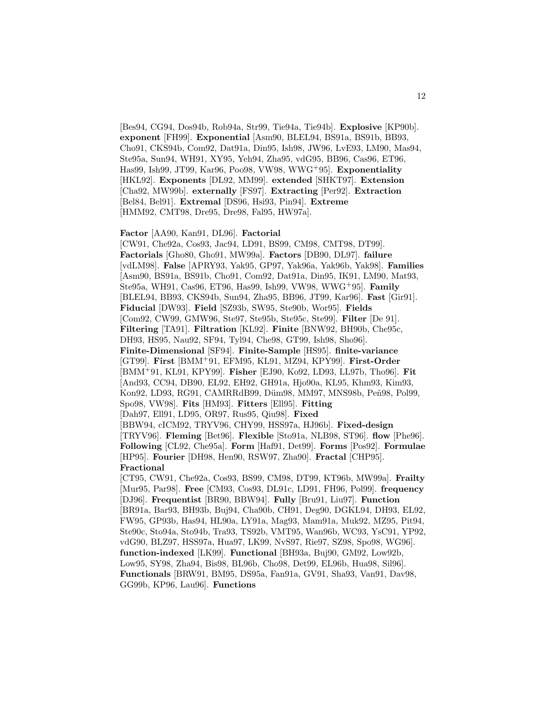[Bes94, CG94, Dos94b, Rob94a, Str99, Tie94a, Tie94b]. **Explosive** [KP90b]. **exponent** [FH99]. **Exponential** [Asm90, BLEL94, BS91a, BS91b, BB93, Cho91, CKS94b, Com92, Dat91a, Din95, Ish98, JW96, LvE93, LM90, Mas94, Ste95a, Sun94, WH91, XY95, Yeh94, Zha95, vdG95, BB96, Cas96, ET96, Has99, Ish99, JT99, Kar96, Poo98, VW98, WWG<sup>+</sup>95]. **Exponentiality** [HKL92]. **Exponents** [DL92, MM99]. **extended** [SHKT97]. **Extension** [Cha92, MW99b]. **externally** [FS97]. **Extracting** [Per92]. **Extraction** [Bel84, Bel91]. **Extremal** [DS96, Hsi93, Pin94]. **Extreme** [HMM92, CMT98, Dre95, Dre98, Fal95, HW97a].

#### **Factor** [AA90, Kan91, DL96]. **Factorial**

[CW91, Che92a, Cos93, Jac94, LD91, BS99, CM98, CMT98, DT99]. **Factorials** [Gho80, Gho91, MW99a]. **Factors** [DB90, DL97]. **failure** [vdLM98]. **False** [APRY93, Yak95, GP97, Yak96a, Yak96b, Yak98]. **Families** [Asm90, BS91a, BS91b, Cho91, Com92, Dat91a, Din95, IK91, LM90, Mat93, Ste95a, WH91, Cas96, ET96, Has99, Ish99, VW98, WWG<sup>+</sup>95]. **Family** [BLEL94, BB93, CKS94b, Sun94, Zha95, BB96, JT99, Kar96]. **Fast** [Gir91]. **Fiducial** [DW93]. **Field** [SZ93b, SW95, Ste90b, Wor95]. **Fields** [Com92, CW99, GMW96, Ste97, Ste95b, Ste95c, Ste99]. **Filter** [De 91]. **Filtering** [TA91]. **Filtration** [KL92]. **Finite** [BNW92, BH90b, Che95c, DH93, HS95, Nau92, SF94, Tyl94, Che98, GT99, Ish98, Sho96]. **Finite-Dimensional** [SF94]. **Finite-Sample** [HS95]. **finite-variance** [GT99]. **First** [BMM<sup>+</sup>91, EFM95, KL91, MZ94, KPY99]. **First-Order** [BMM<sup>+</sup>91, KL91, KPY99]. **Fisher** [EJ90, Ko92, LD93, LL97b, Tho96]. **Fit** [And93, CC94, DB90, EL92, EH92, GH91a, Hjo90a, KL95, Khm93, Kim93, Kon92, LD93, RG91, CAMRRdB99, Düm98, MM97, MNS98b, Peñ98, Pol99, Spo98, VW98]. **Fits** [HM93]. **Fitters** [Ell95]. **Fitting** [Dah97, Ell91, LD95, OR97, Rus95, Qiu98]. **Fixed** [BBW94, cICM92, TRYV96, CHY99, HSS97a, HJ96b]. **Fixed-design** [TRYV96]. **Fleming** [Bet96]. **Flexible** [Sto91a, NLB98, ST96]. **flow** [Phe96]. **Following** [CL92, Che95a]. **Form** [Haf91, Det99]. **Forms** [Pos92]. **Formulae** [HP95]. **Fourier** [DH98, Hen90, RSW97, Zha90]. **Fractal** [CHP95]. **Fractional** [CT95, CW91, Che92a, Cos93, BS99, CM98, DT99, KT96b, MW99a]. **Frailty** [Mur95, Par98]. **Free** [CM93, Cos93, DL91c, LD91, FH96, Pol99]. **frequency** [DJ96]. **Frequentist** [BR90, BBW94]. **Fully** [Bru91, Liu97]. **Function** [BR91a, Bar93, BH93b, Buj94, Cha90b, CH91, Deg90, DGKL94, DH93, EL92, FW95, GP93b, Has94, HL90a, LY91a, Mag93, Mam91a, Muk92, MZ95, Pit94, Ste90c, Sto94a, Sto94b, Tra93, TS92b, VMT95, Wan96b, WC93, YsC91, YP92, vdG90, BLZ97, HSS97a, Hua97, LK99, NvS97, Rie97, SZ98, Spo98, WG96]. **function-indexed** [LK99]. **Functional** [BH93a, Buj90, GM92, Low92b, Low95, SY98, Zha94, Bis98, BL96b, Cho98, Det99, EL96b, Hua98, Sil96]. **Functionals** [BRW91, BM95, DS95a, Fan91a, GV91, Sha93, Van91, Dav98,

GG99b, KP96, Lau96]. **Functions**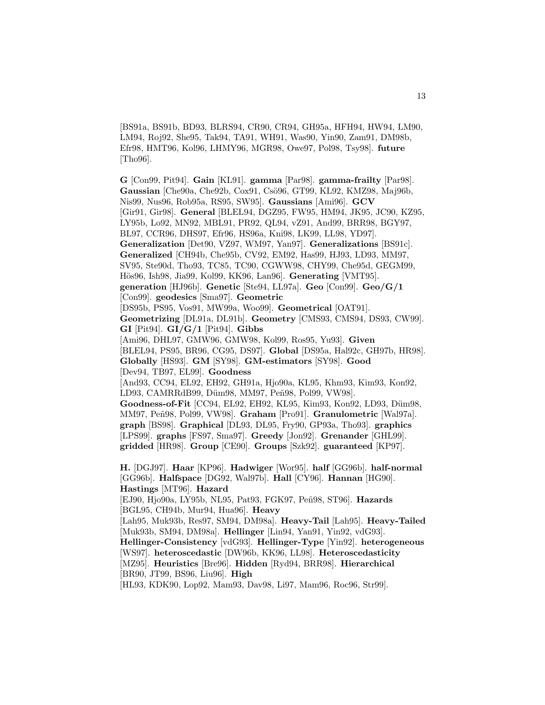[BS91a, BS91b, BD93, BLRS94, CR90, CR94, GH95a, HFH94, HW94, LM90, LM94, Roj92, She95, Tak94, TA91, WH91, Was90, Yin90, Zam91, DM98b, Efr98, HMT96, Kol96, LHMY96, MGR98, Owe97, Pol98, Tsy98]. **future** [Tho96].

**G** [Con99, Pit94]. **Gain** [KL91]. **gamma** [Par98]. **gamma-frailty** [Par98]. Gaussian [Che90a, Che92b, Cox91, Csö96, GT99, KL92, KMZ98, Maj96b, Nis99, Nus96, Rob95a, RS95, SW95]. **Gaussians** [Ami96]. **GCV** [Gir91, Gir98]. **General** [BLEL94, DGZ95, FW95, HM94, JK95, JC90, KZ95, LY95b, Lo92, MN92, MBL91, PR92, QL94, vZ91, And99, BRR98, BGY97, BL97, CCR96, DHS97, Efr96, HS96a, Kni98, LK99, LL98, YD97]. **Generalization** [Det90, VZ97, WM97, Yan97]. **Generalizations** [BS91c]. **Generalized** [CH94b, Che95b, CV92, EM92, Has99, HJ93, LD93, MM97, SV95, Ste90d, Tho93, TC85, TC90, CGWW98, CHY99, Che95d, GEGM99, H¨os96, Ish98, Jia99, Kol99, KK96, Lan96]. **Generating** [VMT95]. **generation** [HJ96b]. **Genetic** [Ste94, LL97a]. **Geo** [Con99]. **Geo/G/1** [Con99]. **geodesics** [Sma97]. **Geometric** [DS95b, PS95, Vos91, MW99a, Woo99]. **Geometrical** [OAT91]. **Geometrizing** [DL91a, DL91b]. **Geometry** [CMS93, CMS94, DS93, CW99]. **GI** [Pit94]. **GI/G/1** [Pit94]. **Gibbs** [Ami96, DHL97, GMW96, GMW98, Kol99, Ros95, Yu93]. **Given** [BLEL94, PS95, BR96, CG95, DS97]. **Global** [DS95a, Hal92c, GH97b, HR98]. **Globally** [HS93]. **GM** [SY98]. **GM-estimators** [SY98]. **Good** [Dev94, TB97, EL99]. **Goodness** [And93, CC94, EL92, EH92, GH91a, Hjo90a, KL95, Khm93, Kim93, Kon92, LD93, CAMRRdB99, Düm98, MM97, Peñ98, Pol99, VW98]. **Goodness-of-Fit** [CC94, EL92, EH92, KL95, Kim93, Kon92, LD93, Düm98, MM97, Peñ98, Pol99, VW98]. Graham [Pro91]. Granulometric [Wal97a]. **graph** [BS98]. **Graphical** [DL93, DL95, Fry90, GP93a, Tho93]. **graphics** [LPS99]. **graphs** [FS97, Sma97]. **Greedy** [Jon92]. **Grenander** [GHL99]. **gridded** [HR98]. **Group** [CE90]. **Groups** [Szk92]. **guaranteed** [KP97]. **H.** [DGJ97]. **Haar** [KP96]. **Hadwiger** [Wor95]. **half** [GG96b]. **half-normal** [GG96b]. **Halfspace** [DG92, Wal97b]. **Hall** [CY96]. **Hannan** [HG90]. **Hastings** [MT96]. **Hazard** [EJ90, Hjo90a, LY95b, NL95, Pat93, FGK97, Peñ98, ST96]. **Hazards** [BGL95, CH94b, Mur94, Hua96]. **Heavy** [Lah95, Muk93b, Res97, SM94, DM98a]. **Heavy-Tail** [Lah95]. **Heavy-Tailed** [Muk93b, SM94, DM98a]. **Hellinger** [Lin94, Yan91, Yin92, vdG93]. **Hellinger-Consistency** [vdG93]. **Hellinger-Type** [Yin92]. **heterogeneous** [WS97]. **heteroscedastic** [DW96b, KK96, LL98]. **Heteroscedasticity** [MZ95]. **Heuristics** [Bre96]. **Hidden** [Ryd94, BRR98]. **Hierarchical** [BR90, JT99, BS96, Liu96]. **High** [HL93, KDK90, Lop92, Mam93, Dav98, Li97, Mam96, Roc96, Str99].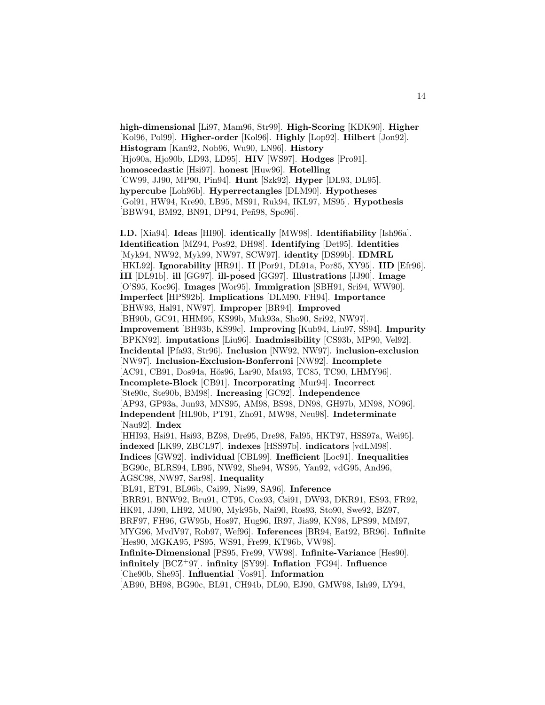**high-dimensional** [Li97, Mam96, Str99]. **High-Scoring** [KDK90]. **Higher** [Kol96, Pol99]. **Higher-order** [Kol96]. **Highly** [Lop92]. **Hilbert** [Jon92]. **Histogram** [Kan92, Nob96, Wu90, LN96]. **History** [Hjo90a, Hjo90b, LD93, LD95]. **HIV** [WS97]. **Hodges** [Pro91]. **homoscedastic** [Hsi97]. **honest** [Huw96]. **Hotelling** [CW99, JJ90, MP90, Pin94]. **Hunt** [Szk92]. **Hyper** [DL93, DL95]. **hypercube** [Loh96b]. **Hyperrectangles** [DLM90]. **Hypotheses** [Gol91, HW94, Kre90, LB95, MS91, Ruk94, IKL97, MS95]. **Hypothesis** [BBW94, BM92, BN91, DP94, Peñ98, Spo96].

**I.D.** [Xia94]. **Ideas** [HI90]. **identically** [MW98]. **Identifiability** [Ish96a]. **Identification** [MZ94, Pos92, DH98]. **Identifying** [Det95]. **Identities** [Myk94, NW92, Myk99, NW97, SCW97]. **identity** [DS99b]. **IDMRL** [HKL92]. **Ignorability** [HR91]. **II** [Por91, DL91a, Por85, XY95]. **IID** [Efr96]. **III** [DL91b]. **ill** [GG97]. **ill-posed** [GG97]. **Illustrations** [JJ90]. **Image** [O'S95, Koc96]. **Images** [Wor95]. **Immigration** [SBH91, Sri94, WW90]. **Imperfect** [HPS92b]. **Implications** [DLM90, FH94]. **Importance** [BHW93, Hal91, NW97]. **Improper** [BR94]. **Improved** [BH90b, GC91, HHM95, KS99b, Muk93a, Sho90, Sri92, NW97]. **Improvement** [BH93b, KS99c]. **Improving** [Kub94, Liu97, SS94]. **Impurity** [BPKN92]. **imputations** [Liu96]. **Inadmissibility** [CS93b, MP90, Vel92]. **Incidental** [Pfa93, Str96]. **Inclusion** [NW92, NW97]. **inclusion-exclusion** [NW97]. **Inclusion-Exclusion-Bonferroni** [NW92]. **Incomplete** [AC91, CB91, Dos94a, Hös96, Lar90, Mat93, TC85, TC90, LHMY96]. **Incomplete-Block** [CB91]. **Incorporating** [Mur94]. **Incorrect** [Ste90c, Ste90b, BM98]. **Increasing** [GC92]. **Independence** [AP93, GP93a, Jun93, MNS95, AM98, BS98, DN98, GH97b, MN98, NO96]. **Independent** [HL90b, PT91, Zho91, MW98, Neu98]. **Indeterminate** [Nau92]. **Index** [HHI93, Hsi91, Hsi93, BZ98, Dre95, Dre98, Fal95, HKT97, HSS97a, Wei95]. **indexed** [LK99, ZBCL97]. **indexes** [HSS97b]. **indicators** [vdLM98]. **Indices** [GW92]. **individual** [CBL99]. **Inefficient** [Loc91]. **Inequalities** [BG90c, BLRS94, LB95, NW92, She94, WS95, Yan92, vdG95, And96, AGSC98, NW97, Sar98]. **Inequality** [BL91, ET91, BL96b, Cai99, Nis99, SA96]. **Inference** [BRR91, BNW92, Bru91, CT95, Cox93, Csi91, DW93, DKR91, ES93, FR92, HK91, JJ90, LH92, MU90, Myk95b, Nai90, Ros93, Sto90, Swe92, BZ97, BRF97, FH96, GW95b, Hos97, Hug96, IR97, Jia99, KN98, LPS99, MM97, MYG96, MvdV97, Rob97, Wef96]. **Inferences** [BR94, Eat92, BR96]. **Infinite** [Hes90, MGKA95, PS95, WS91, Fre99, KT96b, VW98]. **Infinite-Dimensional** [PS95, Fre99, VW98]. **Infinite-Variance** [Hes90]. **infinitely** [BCZ<sup>+</sup>97]. **infinity** [SY99]. **Inflation** [FG94]. **Influence** [Che90b, She95]. **Influential** [Vos91]. **Information** [AB90, BH98, BG90c, BL91, CH94b, DL90, EJ90, GMW98, Ish99, LY94,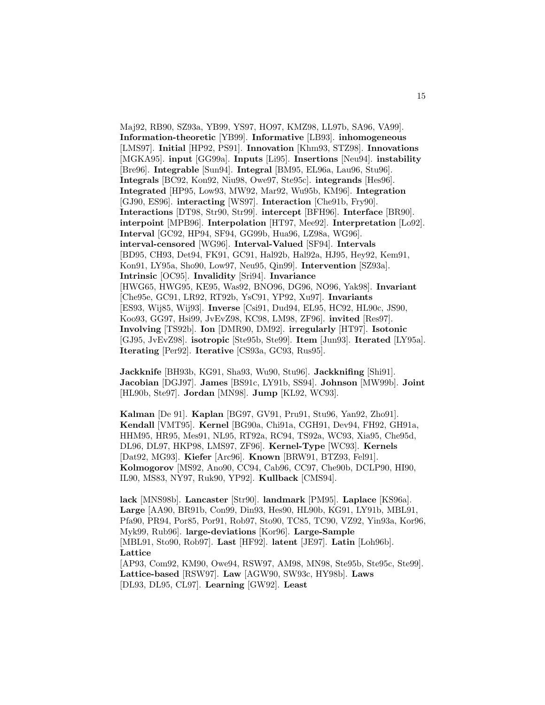Maj92, RB90, SZ93a, YB99, YS97, HO97, KMZ98, LL97b, SA96, VA99]. **Information-theoretic** [YB99]. **Informative** [LB93]. **inhomogeneous** [LMS97]. **Initial** [HP92, PS91]. **Innovation** [Khm93, STZ98]. **Innovations** [MGKA95]. **input** [GG99a]. **Inputs** [Li95]. **Insertions** [Neu94]. **instability** [Bre96]. **Integrable** [Sun94]. **Integral** [BM95, EL96a, Lau96, Stu96]. **Integrals** [BC92, Kon92, Niu98, Owe97, Ste95c]. **integrands** [Hes96]. **Integrated** [HP95, Low93, MW92, Mar92, Wu95b, KM96]. **Integration** [GJ90, ES96]. **interacting** [WS97]. **Interaction** [Che91b, Fry90]. **Interactions** [DT98, Str90, Str99]. **intercept** [BFH96]. **Interface** [BR90]. **interpoint** [MPB96]. **Interpolation** [HT97, Mee92]. **Interpretation** [Lo92]. **Interval** [GC92, HP94, SF94, GG99b, Hua96, LZ98a, WG96]. **interval-censored** [WG96]. **Interval-Valued** [SF94]. **Intervals** [BD95, CH93, Det94, FK91, GC91, Hal92b, Hal92a, HJ95, Hey92, Kem91, Kon91, LY95a, Sho90, Low97, Neu95, Qin99]. **Intervention** [SZ93a]. **Intrinsic** [OC95]. **Invalidity** [Sri94]. **Invariance** [HWG65, HWG95, KE95, Was92, BNO96, DG96, NO96, Yak98]. **Invariant** [Che95e, GC91, LR92, RT92b, YsC91, YP92, Xu97]. **Invariants** [ES93, Wij85, Wij93]. **Inverse** [Csi91, Dud94, EL95, HC92, HL90c, JS90, Koo93, GG97, Hsi99, JvEvZ98, KC98, LM98, ZF96]. **invited** [Res97]. **Involving** [TS92b]. **Ion** [DMR90, DM92]. **irregularly** [HT97]. **Isotonic** [GJ95, JvEvZ98]. **isotropic** [Ste95b, Ste99]. **Item** [Jun93]. **Iterated** [LY95a]. **Iterating** [Per92]. **Iterative** [CS93a, GC93, Rus95].

**Jackknife** [BH93b, KG91, Sha93, Wu90, Stu96]. **Jackknifing** [Shi91]. **Jacobian** [DGJ97]. **James** [BS91c, LY91b, SS94]. **Johnson** [MW99b]. **Joint** [HL90b, Ste97]. **Jordan** [MN98]. **Jump** [KL92, WC93].

**Kalman** [De 91]. **Kaplan** [BG97, GV91, Pru91, Stu96, Yan92, Zho91]. **Kendall** [VMT95]. **Kernel** [BG90a, Chi91a, CGH91, Dev94, FH92, GH91a, HHM95, HR95, Mes91, NL95, RT92a, RC94, TS92a, WC93, Xia95, Che95d, DL96, DL97, HKP98, LMS97, ZF96]. **Kernel-Type** [WC93]. **Kernels** [Dat92, MG93]. **Kiefer** [Arc96]. **Known** [BRW91, BTZ93, Fel91]. **Kolmogorov** [MS92, Ano90, CC94, Cab96, CC97, Che90b, DCLP90, HI90, IL90, MS83, NY97, Ruk90, YP92]. **Kullback** [CMS94].

**lack** [MNS98b]. **Lancaster** [Str90]. **landmark** [PM95]. **Laplace** [KS96a]. **Large** [AA90, BR91b, Con99, Din93, Hes90, HL90b, KG91, LY91b, MBL91, Pfa90, PR94, Por85, Por91, Rob97, Sto90, TC85, TC90, VZ92, Yin93a, Kor96, Myk99, Rub96]. **large-deviations** [Kor96]. **Large-Sample** [MBL91, Sto90, Rob97]. **Last** [HF92]. **latent** [JE97]. **Latin** [Loh96b]. **Lattice** [AP93, Com92, KM90, Owe94, RSW97, AM98, MN98, Ste95b, Ste95c, Ste99]. **Lattice-based** [RSW97]. **Law** [AGW90, SW93c, HY98b]. **Laws** [DL93, DL95, CL97]. **Learning** [GW92]. **Least**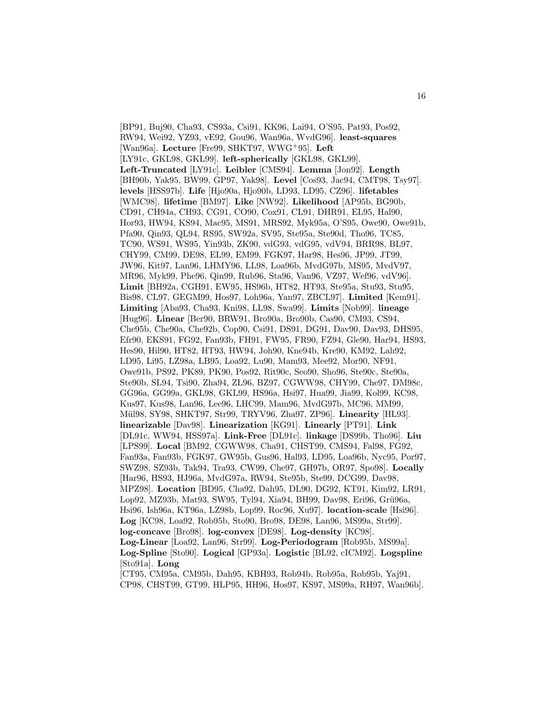[BP91, Buj90, Cha93, CS93a, Csi91, KK96, Lai94, O'S95, Pat93, Pos92, RW94, Wei92, YZ93, vE92, Gou96, Wan96a, WvdG96]. **least-squares** [Wan96a]. **Lecture** [Fre99, SHKT97, WWG<sup>+</sup>95]. **Left** [LY91c, GKL98, GKL99]. **left-spherically** [GKL98, GKL99]. **Left-Truncated** [LY91c]. **Leibler** [CMS94]. **Lemma** [Jon92]. **Length** [BH90b, Yak95, BW99, GP97, Yak98]. **Level** [Cos93, Jac94, CMT98, Tsy97]. **levels** [HSS97b]. **Life** [Hjo90a, Hjo90b, LD93, LD95, CZ96]. **lifetables** [WMC98]. **lifetime** [BM97]. **Like** [NW92]. **Likelihood** [AP95b, BG90b, CD91, CH94a, CH93, CG91, CO90, Cox91, CL91, DHR91, EL95, Hal90, Hor93, HW94, KS94, Mac95, MS91, MRS92, Myk95a, O'S95, Owe90, Owe91b, Pfa90, Qin93, QL94, RS95, SW92a, SV95, Ste95a, Ste90d, Tho96, TC85, TC90, WS91, WS95, Yin93b, ZK90, vdG93, vdG95, vdV94, BRR98, BL97, CHY99, CM99, DE98, EL99, EM99, FGK97, Har98, Hes96, JP99, JT99, JW96, Kit97, Lan96, LHMY96, LL98, Loa96b, MvdG97b, MS95, MvdV97, MR96, Myk99, Phe96, Qin99, Rub96, Sta96, Van96, VZ97, Wef96, vdV96]. **Limit** [BH92a, CGH91, EW95, HS96b, HT82, HT93, Ste95a, Stu93, Stu95, Bis98, CL97, GEGM99, Hos97, Loh96a, Yan97, ZBCL97]. **Limited** [Kem91]. **Limiting** [Aba93, Cha93, Kni98, LL98, Swa99]. **Limits** [Nob99]. **lineage** [Hug96]. **Linear** [Ber90, BRW91, Bro90a, Bro90b, Cas90, CM93, CS94, Che95b, Che90a, Che92b, Cop90, Csi91, DS91, DG91, Dav90, Dav93, DHS95, Efr90, EKS91, FG92, Fan93b, FH91, FW95, FR90, FZ94, Gle90, Har94, HS93, Hes90, Hil90, HT82, HT93, HW94, Joh90, Kne94b, Kre90, KM92, Lah92, LD95, Li95, LZ98a, LB95, Loa92, Lu90, Mam93, Mee92, Mor90, NF91, Owe91b, PS92, PK89, PK90, Pos92, Rit90c, Seo90, Sho96, Ste90c, Ste90a, Ste90b, SL94, Tsi90, Zha94, ZL96, BZ97, CGWW98, CHY99, Che97, DM98c, GG96a, GG99a, GKL98, GKL99, HS96a, Hsi97, Hua99, Jia99, Kol99, KC98, Kus97, Kus98, Lan96, Lee96, LHC99, Mam96, MvdG97b, MC96, MM99, M¨ul98, SY98, SHKT97, Str99, TRYV96, Zha97, ZP96]. **Linearity** [HL93]. **linearizable** [Dav98]. **Linearization** [KG91]. **Linearly** [PT91]. **Link** [DL91c, WW94, HSS97a]. **Link-Free** [DL91c]. **linkage** [DS99b, Tho96]. **Liu** [LPS99]. **Local** [BM92, CGWW98, Cha91, CHST99, CMS94, Fal98, FG92, Fan93a, Fan93b, FGK97, GW95b, Gus96, Hal93, LD95, Loa96b, Nyc95, Por97, SWZ98, SZ93b, Tak94, Tra93, CW99, Che97, GH97b, OR97, Spo98]. **Locally** [Har96, HS93, HJ96a, MvdG97a, RW94, Ste95b, Ste99, DCG99, Dav98, MPZ98]. **Location** [BD95, Cha92, Dah95, DL90, DG92, KT91, Kim92, LR91, Lop92, MZ93b, Mat93, SW95, Tyl94, Xia94, BH99, Dav98, Eri96, Grü96a, Hsi96, Ish96a, KT96a, LZ98b, Lop99, Roc96, Xu97]. **location-scale** [Hsi96]. **Log** [KC98, Loa92, Rob95b, Sto90, Bro98, DE98, Lan96, MS99a, Str99]. **log-concave** [Bro98]. **log-convex** [DE98]. **Log-density** [KC98]. **Log-Linear** [Loa92, Lan96, Str99]. **Log-Periodogram** [Rob95b, MS99a]. **Log-Spline** [Sto90]. **Logical** [GP93a]. **Logistic** [BL92, cICM92]. **Logspline** [Sto91a]. **Long** [CT95, CM95a, CM95b, Dah95, KBH93, Rob94b, Rob95a, Rob95b, Yaj91,

CP98, CHST99, GT99, HLP95, HH96, Hos97, KS97, MS99a, RH97, Wan96b].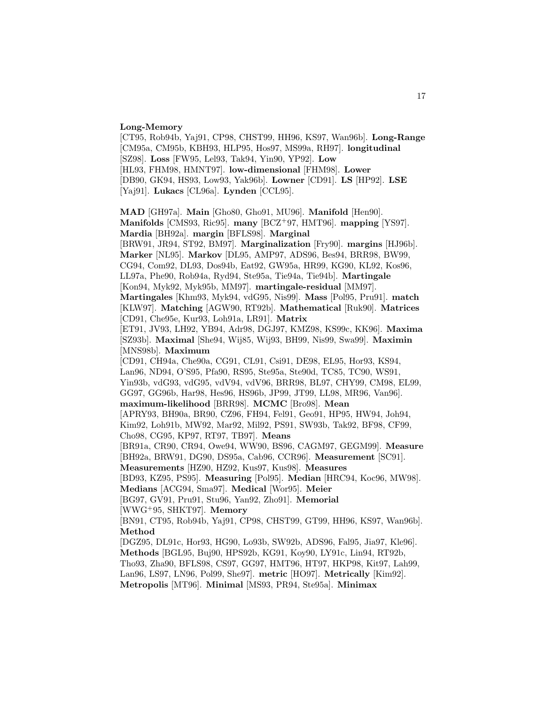#### **Long-Memory**

[CT95, Rob94b, Yaj91, CP98, CHST99, HH96, KS97, Wan96b]. **Long-Range** [CM95a, CM95b, KBH93, HLP95, Hos97, MS99a, RH97]. **longitudinal** [SZ98]. **Loss** [FW95, Lel93, Tak94, Yin90, YP92]. **Low** [HL93, FHM98, HMNT97]. **low-dimensional** [FHM98]. **Lower** [DB90, GK94, HS93, Low93, Yak96b]. **Lowner** [CD91]. **LS** [HP92]. **LSE** [Yaj91]. **Lukacs** [CL96a]. **Lynden** [CCL95]. **MAD** [GH97a]. **Main** [Gho80, Gho91, MU96]. **Manifold** [Hen90]. **Manifolds** [CMS93, Ric95]. **many** [BCZ<sup>+</sup>97, HMT96]. **mapping** [YS97]. **Mardia** [BH92a]. **margin** [BFLS98]. **Marginal** [BRW91, JR94, ST92, BM97]. **Marginalization** [Fry90]. **margins** [HJ96b]. **Marker** [NL95]. **Markov** [DL95, AMP97, ADS96, Bes94, BRR98, BW99, CG94, Com92, DL93, Dos94b, Eat92, GW95a, HR99, KG90, KL92, Kos96, LL97a, Phe90, Rob94a, Ryd94, Ste95a, Tie94a, Tie94b]. **Martingale** [Kon94, Myk92, Myk95b, MM97]. **martingale-residual** [MM97]. **Martingales** [Khm93, Myk94, vdG95, Nis99]. **Mass** [Pol95, Pru91]. **match** [KLW97]. **Matching** [AGW90, RT92b]. **Mathematical** [Ruk90]. **Matrices** [CD91, Che95e, Kur93, Loh91a, LR91]. **Matrix** [ET91, JV93, LH92, YB94, Adr98, DGJ97, KMZ98, KS99c, KK96]. **Maxima** [SZ93b]. **Maximal** [She94, Wij85, Wij93, BH99, Nis99, Swa99]. **Maximin** [MNS98b]. **Maximum** [CD91, CH94a, Che90a, CG91, CL91, Csi91, DE98, EL95, Hor93, KS94, Lan96, ND94, O'S95, Pfa90, RS95, Ste95a, Ste90d, TC85, TC90, WS91, Yin93b, vdG93, vdG95, vdV94, vdV96, BRR98, BL97, CHY99, CM98, EL99, GG97, GG96b, Har98, Hes96, HS96b, JP99, JT99, LL98, MR96, Van96]. **maximum-likelihood** [BRR98]. **MCMC** [Bro98]. **Mean** [APRY93, BH90a, BR90, CZ96, FH94, Fel91, Geo91, HP95, HW94, Joh94, Kim92, Loh91b, MW92, Mar92, Mil92, PS91, SW93b, Tak92, BF98, CF99, Cho98, CG95, KP97, RT97, TB97]. **Means** [BR91a, CR90, CR94, Owe94, WW90, BS96, CAGM97, GEGM99]. **Measure** [BH92a, BRW91, DG90, DS95a, Cab96, CCR96]. **Measurement** [SC91]. **Measurements** [HZ90, HZ92, Kus97, Kus98]. **Measures** [BD93, KZ95, PS95]. **Measuring** [Pol95]. **Median** [HRC94, Koc96, MW98]. **Medians** [ACG94, Sma97]. **Medical** [Wor95]. **Meier** [BG97, GV91, Pru91, Stu96, Yan92, Zho91]. **Memorial** [WWG<sup>+</sup>95, SHKT97]. **Memory** [BN91, CT95, Rob94b, Yaj91, CP98, CHST99, GT99, HH96, KS97, Wan96b]. **Method** [DGZ95, DL91c, Hor93, HG90, Lo93b, SW92b, ADS96, Fal95, Jia97, Kle96]. **Methods** [BGL95, Buj90, HPS92b, KG91, Koy90, LY91c, Lin94, RT92b, Tho93, Zha90, BFLS98, CS97, GG97, HMT96, HT97, HKP98, Kit97, Lah99, Lan96, LS97, LN96, Pol99, She97]. **metric** [HO97]. **Metrically** [Kim92].

**Metropolis** [MT96]. **Minimal** [MS93, PR94, Ste95a]. **Minimax**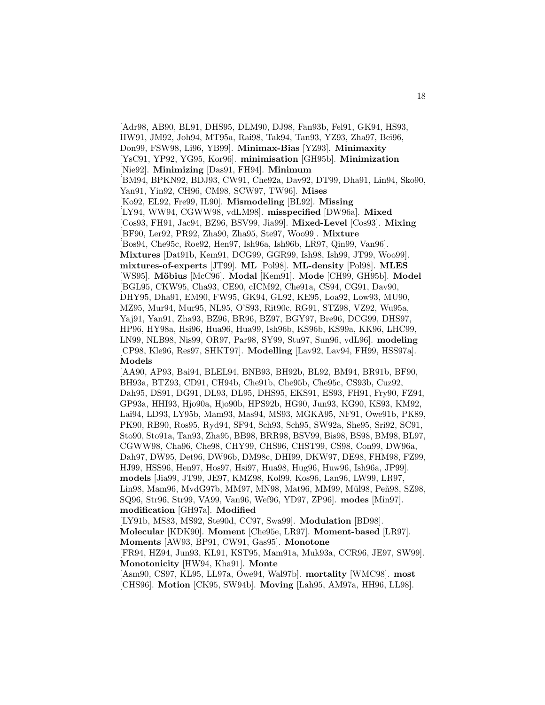[Adr98, AB90, BL91, DHS95, DLM90, DJ98, Fan93b, Fel91, GK94, HS93,

HW91, JM92, Joh94, MT95a, Rai98, Tak94, Tan93, YZ93, Zha97, Bei96,

Don99, FSW98, Li96, YB99]. **Minimax-Bias** [YZ93]. **Minimaxity**

[YsC91, YP92, YG95, Kor96]. **minimisation** [GH95b]. **Minimization**

[Nie92]. **Minimizing** [Das91, FH94]. **Minimum**

[BM94, BPKN92, BDJ93, CW91, Che92a, Dav92, DT99, Dha91, Lin94, Sko90, Yan91, Yin92, CH96, CM98, SCW97, TW96]. **Mises**

[Ko92, EL92, Fre99, IL90]. **Mismodeling** [BL92]. **Missing**

[LY94, WW94, CGWW98, vdLM98]. **misspecified** [DW96a]. **Mixed**

[Cos93, FH91, Jac94, BZ96, BSV99, Jia99]. **Mixed-Level** [Cos93]. **Mixing**

[BF90, Ler92, PR92, Zha90, Zha95, Ste97, Woo99]. **Mixture**

[Bos94, Che95c, Roe92, Hen97, Ish96a, Ish96b, LR97, Qin99, Van96].

**Mixtures** [Dat91b, Kem91, DCG99, GGR99, Ish98, Ish99, JT99, Woo99].

**mixtures-of-experts** [JT99]. **ML** [Pol98]. **ML-density** [Pol98]. **MLES**

[WS95]. **M¨obius** [McC96]. **Modal** [Kem91]. **Mode** [CH99, GH95b]. **Model** [BGL95, CKW95, Cha93, CE90, cICM92, Che91a, CS94, CG91, Dav90,

DHY95, Dha91, EM90, FW95, GK94, GL92, KE95, Loa92, Low93, MU90,

MZ95, Mur94, Mur95, NL95, O'S93, Rit90c, RG91, STZ98, VZ92, Wu95a,

Yaj91, Yan91, Zha93, BZ96, BR96, BZ97, BGY97, Bre96, DCG99, DHS97, HP96, HY98a, Hsi96, Hua96, Hua99, Ish96b, KS96b, KS99a, KK96, LHC99,

LN99, NLB98, Nis99, OR97, Par98, SY99, Stu97, Sun96, vdL96]. **modeling** [CP98, Kle96, Res97, SHKT97]. **Modelling** [Lav92, Lav94, FH99, HSS97a]. **Models**

[AA90, AP93, Bai94, BLEL94, BNB93, BH92b, BL92, BM94, BR91b, BF90, BH93a, BTZ93, CD91, CH94b, Che91b, Che95b, Che95c, CS93b, Cuz92, Dah95, DS91, DG91, DL93, DL95, DHS95, EKS91, ES93, FH91, Fry90, FZ94, GP93a, HHI93, Hjo90a, Hjo90b, HPS92b, HG90, Jun93, KG90, KS93, KM92, Lai94, LD93, LY95b, Mam93, Mas94, MS93, MGKA95, NF91, Owe91b, PK89, PK90, RB90, Ros95, Ryd94, SF94, Sch93, Sch95, SW92a, She95, Sri92, SC91, Sto90, Sto91a, Tan93, Zha95, BB98, BRR98, BSV99, Bis98, BS98, BM98, BL97, CGWW98, Cha96, Che98, CHY99, CHS96, CHST99, CS98, Con99, DW96a, Dah97, DW95, Det96, DW96b, DM98c, DHI99, DKW97, DE98, FHM98, FZ99, HJ99, HSS96, Hen97, Hos97, Hsi97, Hua98, Hug96, Huw96, Ish96a, JP99]. **models** [Jia99, JT99, JE97, KMZ98, Kol99, Kos96, Lan96, LW99, LR97, Lin98, Mam96, MvdG97b, MM97, MN98, Mat96, MM99, Mül98, Peñ98, SZ98, SQ96, Str96, Str99, VA99, Van96, Wef96, YD97, ZP96]. **modes** [Min97]. **modification** [GH97a]. **Modified**

[LY91b, MS83, MS92, Ste90d, CC97, Swa99]. **Modulation** [BD98]. **Molecular** [KDK90]. **Moment** [Che95e, LR97]. **Moment-based** [LR97]. **Moments** [AW93, BP91, CW91, Gas95]. **Monotone** [FR94, HZ94, Jun93, KL91, KST95, Mam91a, Muk93a, CCR96, JE97, SW99].

**Monotonicity** [HW94, Kha91]. **Monte** [Asm90, CS97, KL95, LL97a, Owe94, Wal97b]. **mortality** [WMC98]. **most**

[CHS96]. **Motion** [CK95, SW94b]. **Moving** [Lah95, AM97a, HH96, LL98].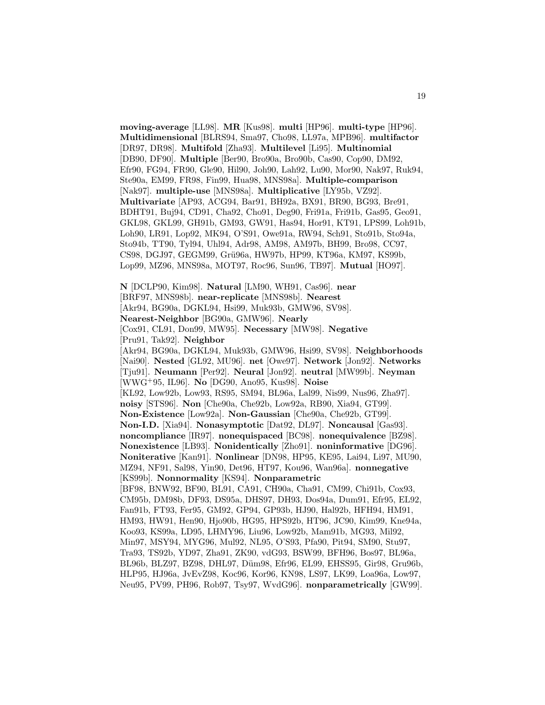**moving-average** [LL98]. **MR** [Kus98]. **multi** [HP96]. **multi-type** [HP96]. **Multidimensional** [BLRS94, Sma97, Cho98, LL97a, MPB96]. **multifactor** [DR97, DR98]. **Multifold** [Zha93]. **Multilevel** [Li95]. **Multinomial** [DB90, DF90]. **Multiple** [Ber90, Bro90a, Bro90b, Cas90, Cop90, DM92, Efr90, FG94, FR90, Gle90, Hil90, Joh90, Lah92, Lu90, Mor90, Nak97, Ruk94, Ste90a, EM99, FR98, Fin99, Hua98, MNS98a]. **Multiple-comparison** [Nak97]. **multiple-use** [MNS98a]. **Multiplicative** [LY95b, VZ92]. **Multivariate** [AP93, ACG94, Bar91, BH92a, BX91, BR90, BG93, Bre91, BDHT91, Buj94, CD91, Cha92, Cho91, Deg90, Fri91a, Fri91b, Gas95, Geo91, GKL98, GKL99, GH91b, GM93, GW91, Has94, Hor91, KT91, LPS99, Loh91b, Loh90, LR91, Lop92, MK94, O'S91, Owe91a, RW94, Sch91, Sto91b, Sto94a, Sto94b, TT90, Tyl94, Uhl94, Adr98, AM98, AM97b, BH99, Bro98, CC97, CS98, DGJ97, GEGM99, Grü96a, HW97b, HP99, KT96a, KM97, KS99b, Lop99, MZ96, MNS98a, MOT97, Roc96, Sun96, TB97]. **Mutual** [HO97].

**N** [DCLP90, Kim98]. **Natural** [LM90, WH91, Cas96]. **near** [BRF97, MNS98b]. **near-replicate** [MNS98b]. **Nearest** [Akr94, BG90a, DGKL94, Hsi99, Muk93b, GMW96, SV98]. **Nearest-Neighbor** [BG90a, GMW96]. **Nearly** [Cox91, CL91, Don99, MW95]. **Necessary** [MW98]. **Negative** [Pru91, Tak92]. **Neighbor** [Akr94, BG90a, DGKL94, Muk93b, GMW96, Hsi99, SV98]. **Neighborhoods** [Nai90]. **Nested** [GL92, MU96]. **net** [Owe97]. **Network** [Jon92]. **Networks** [Tju91]. **Neumann** [Per92]. **Neural** [Jon92]. **neutral** [MW99b]. **Neyman** [WWG<sup>+</sup>95, IL96]. **No** [DG90, Ano95, Kus98]. **Noise** [KL92, Low92b, Low93, RS95, SM94, BL96a, Lal99, Nis99, Nus96, Zha97]. **noisy** [STS96]. **Non** [Che90a, Che92b, Low92a, RB90, Xia94, GT99]. **Non-Existence** [Low92a]. **Non-Gaussian** [Che90a, Che92b, GT99]. **Non-I.D.** [Xia94]. **Nonasymptotic** [Dat92, DL97]. **Noncausal** [Gas93]. **noncompliance** [IR97]. **nonequispaced** [BC98]. **nonequivalence** [BZ98]. **Nonexistence** [LB93]. **Nonidentically** [Zho91]. **noninformative** [DG96]. **Noniterative** [Kan91]. **Nonlinear** [DN98, HP95, KE95, Lai94, Li97, MU90, MZ94, NF91, Sal98, Yin90, Det96, HT97, Kou96, Wan96a]. **nonnegative** [KS99b]. **Nonnormality** [KS94]. **Nonparametric** [BF98, BNW92, BF90, BL91, CA91, CH90a, Cha91, CM99, Chi91b, Cox93, CM95b, DM98b, DF93, DS95a, DHS97, DH93, Dos94a, Dum91, Efr95, EL92, Fan91b, FT93, Fer95, GM92, GP94, GP93b, HJ90, Hal92b, HFH94, HM91, HM93, HW91, Hen90, Hjo90b, HG95, HPS92b, HT96, JC90, Kim99, Kne94a, Koo93, KS99a, LD95, LHMY96, Liu96, Low92b, Mam91b, MG93, Mil92, Min97, MSY94, MYG96, Mul92, NL95, O'S93, Pfa90, Pit94, SM90, Stu97, Tra93, TS92b, YD97, Zha91, ZK90, vdG93, BSW99, BFH96, Bos97, BL96a, BL96b, BLZ97, BZ98, DHL97, Düm98, Efr96, EL99, EHSS95, Gir98, Gru96b, HLP95, HJ96a, JvEvZ98, Koc96, Kor96, KN98, LS97, LK99, Loa96a, Low97, Neu95, PV99, PH96, Rob97, Tsy97, WvdG96]. **nonparametrically** [GW99].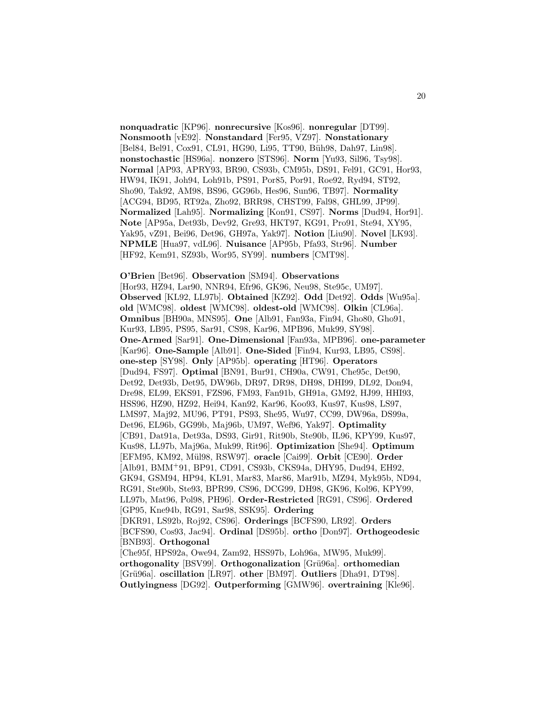**nonquadratic** [KP96]. **nonrecursive** [Kos96]. **nonregular** [DT99]. **Nonsmooth** [vE92]. **Nonstandard** [Fer95, VZ97]. **Nonstationary** [Bel84, Bel91, Cox91, CL91, HG90, Li95, TT90, Büh98, Dah97, Lin98]. **nonstochastic** [HS96a]. **nonzero** [STS96]. **Norm** [Yu93, Sil96, Tsy98]. **Normal** [AP93, APRY93, BR90, CS93b, CM95b, DS91, Fel91, GC91, Hor93, HW94, IK91, Joh94, Loh91b, PS91, Por85, Por91, Roe92, Ryd94, ST92, Sho90, Tak92, AM98, BS96, GG96b, Hes96, Sun96, TB97]. **Normality** [ACG94, BD95, RT92a, Zho92, BRR98, CHST99, Fal98, GHL99, JP99]. **Normalized** [Lah95]. **Normalizing** [Kon91, CS97]. **Norms** [Dud94, Hor91]. **Note** [AP95a, Det93b, Dev92, Gre93, HKT97, KG91, Pro91, Ste94, XY95, Yak95, vZ91, Bei96, Det96, GH97a, Yak97]. **Notion** [Liu90]. **Novel** [LK93]. **NPMLE** [Hua97, vdL96]. **Nuisance** [AP95b, Pfa93, Str96]. **Number** [HF92, Kem91, SZ93b, Wor95, SY99]. **numbers** [CMT98].

#### **O'Brien** [Bet96]. **Observation** [SM94]. **Observations**

[Hor93, HZ94, Lar90, NNR94, Efr96, GK96, Neu98, Ste95c, UM97]. **Observed** [KL92, LL97b]. **Obtained** [KZ92]. **Odd** [Det92]. **Odds** [Wu95a]. **old** [WMC98]. **oldest** [WMC98]. **oldest-old** [WMC98]. **Olkin** [CL96a]. **Omnibus** [BH90a, MNS95]. **One** [Alb91, Fan93a, Fin94, Gho80, Gho91, Kur93, LB95, PS95, Sar91, CS98, Kar96, MPB96, Muk99, SY98]. **One-Armed** [Sar91]. **One-Dimensional** [Fan93a, MPB96]. **one-parameter** [Kar96]. **One-Sample** [Alb91]. **One-Sided** [Fin94, Kur93, LB95, CS98]. **one-step** [SY98]. **Only** [AP95b]. **operating** [HT96]. **Operators** [Dud94, FS97]. **Optimal** [BN91, Bur91, CH90a, CW91, Che95c, Det90, Det92, Det93b, Det95, DW96b, DR97, DR98, DH98, DHI99, DL92, Don94, Dre98, EL99, EKS91, FZS96, FM93, Fan91b, GH91a, GM92, HJ99, HHI93, HSS96, HZ90, HZ92, Hei94, Kan92, Kar96, Koo93, Kus97, Kus98, LS97, LMS97, Maj92, MU96, PT91, PS93, She95, Wu97, CC99, DW96a, DS99a, Det96, EL96b, GG99b, Maj96b, UM97, Wef96, Yak97]. **Optimality** [CB91, Dat91a, Det93a, DS93, Gir91, Rit90b, Ste90b, IL96, KPY99, Kus97, Kus98, LL97b, Maj96a, Muk99, Rit96]. **Optimization** [She94]. **Optimum** [EFM95, KM92, M¨ul98, RSW97]. **oracle** [Cai99]. **Orbit** [CE90]. **Order** [Alb91, BMM<sup>+</sup>91, BP91, CD91, CS93b, CKS94a, DHY95, Dud94, EH92, GK94, GSM94, HP94, KL91, Mar83, Mar86, Mar91b, MZ94, Myk95b, ND94, RG91, Ste90b, Ste93, BPR99, CS96, DCG99, DH98, GK96, Kol96, KPY99, LL97b, Mat96, Pol98, PH96]. **Order-Restricted** [RG91, CS96]. **Ordered** [GP95, Kne94b, RG91, Sar98, SSK95]. **Ordering** [DKR91, LS92b, Roj92, CS96]. **Orderings** [BCFS90, LR92]. **Orders** [BCFS90, Cos93, Jac94]. **Ordinal** [DS95b]. **ortho** [Don97]. **Orthogeodesic** [BNB93]. **Orthogonal** [Che95f, HPS92a, Owe94, Zam92, HSS97b, Loh96a, MW95, Muk99]. **orthogonality** [BSV99]. **Orthogonalization** [Grü96a]. **orthomedian** [Gr¨u96a]. **oscillation** [LR97]. **other** [BM97]. **Outliers** [Dha91, DT98].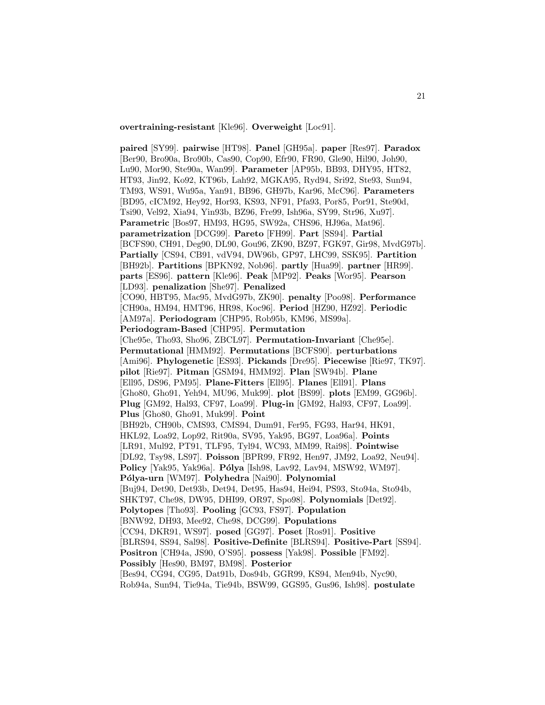**overtraining-resistant** [Kle96]. **Overweight** [Loc91].

**paired** [SY99]. **pairwise** [HT98]. **Panel** [GH95a]. **paper** [Res97]. **Paradox** [Ber90, Bro90a, Bro90b, Cas90, Cop90, Efr90, FR90, Gle90, Hil90, Joh90, Lu90, Mor90, Ste90a, Wan99]. **Parameter** [AP95b, BB93, DHY95, HT82, HT93, Jin92, Ko92, KT96b, Lah92, MGKA95, Ryd94, Sri92, Ste93, Sun94, TM93, WS91, Wu95a, Yan91, BB96, GH97b, Kar96, McC96]. **Parameters** [BD95, cICM92, Hey92, Hor93, KS93, NF91, Pfa93, Por85, Por91, Ste90d, Tsi90, Vel92, Xia94, Yin93b, BZ96, Fre99, Ish96a, SY99, Str96, Xu97]. **Parametric** [Bos97, HM93, HG95, SW92a, CHS96, HJ96a, Mat96]. **parametrization** [DCG99]. **Pareto** [FH99]. **Part** [SS94]. **Partial** [BCFS90, CH91, Deg90, DL90, Gou96, ZK90, BZ97, FGK97, Gir98, MvdG97b]. **Partially** [CS94, CB91, vdV94, DW96b, GP97, LHC99, SSK95]. **Partition** [BH92b]. **Partitions** [BPKN92, Nob96]. **partly** [Hua99]. **partner** [HR99]. **parts** [ES96]. **pattern** [Kle96]. **Peak** [MP92]. **Peaks** [Wor95]. **Pearson** [LD93]. **penalization** [She97]. **Penalized** [CO90, HBT95, Mac95, MvdG97b, ZK90]. **penalty** [Poo98]. **Performance** [CH90a, HM94, HMT96, HR98, Koc96]. **Period** [HZ90, HZ92]. **Periodic** [AM97a]. **Periodogram** [CHP95, Rob95b, KM96, MS99a]. **Periodogram-Based** [CHP95]. **Permutation** [Che95e, Tho93, Sho96, ZBCL97]. **Permutation-Invariant** [Che95e]. **Permutational** [HMM92]. **Permutations** [BCFS90]. **perturbations** [Ami96]. **Phylogenetic** [ES93]. **Pickands** [Dre95]. **Piecewise** [Rie97, TK97]. **pilot** [Rie97]. **Pitman** [GSM94, HMM92]. **Plan** [SW94b]. **Plane** [Ell95, DS96, PM95]. **Plane-Fitters** [Ell95]. **Planes** [Ell91]. **Plans** [Gho80, Gho91, Yeh94, MU96, Muk99]. **plot** [BS99]. **plots** [EM99, GG96b]. **Plug** [GM92, Hal93, CF97, Loa99]. **Plug-in** [GM92, Hal93, CF97, Loa99]. **Plus** [Gho80, Gho91, Muk99]. **Point** [BH92b, CH90b, CMS93, CMS94, Dum91, Fer95, FG93, Har94, HK91, HKL92, Loa92, Lop92, Rit90a, SV95, Yak95, BG97, Loa96a]. **Points** [LR91, Mul92, PT91, TLF95, Tyl94, WC93, MM99, Rai98]. **Pointwise** [DL92, Tsy98, LS97]. **Poisson** [BPR99, FR92, Hen97, JM92, Loa92, Neu94]. **Policy** [Yak95, Yak96a]. **Pólya** [Ish98, Lav92, Lav94, MSW92, WM97]. **P´olya-urn** [WM97]. **Polyhedra** [Nai90]. **Polynomial** [Buj94, Det90, Det93b, Det94, Det95, Has94, Hei94, PS93, Sto94a, Sto94b, SHKT97, Che98, DW95, DHI99, OR97, Spo98]. **Polynomials** [Det92]. **Polytopes** [Tho93]. **Pooling** [GC93, FS97]. **Population** [BNW92, DH93, Mee92, Che98, DCG99]. **Populations** [CC94, DKR91, WS97]. **posed** [GG97]. **Poset** [Ros91]. **Positive** [BLRS94, SS94, Sal98]. **Positive-Definite** [BLRS94]. **Positive-Part** [SS94]. **Positron** [CH94a, JS90, O'S95]. **possess** [Yak98]. **Possible** [FM92]. **Possibly** [Hes90, BM97, BM98]. **Posterior** [Bes94, CG94, CG95, Dat91b, Dos94b, GGR99, KS94, Men94b, Nyc90,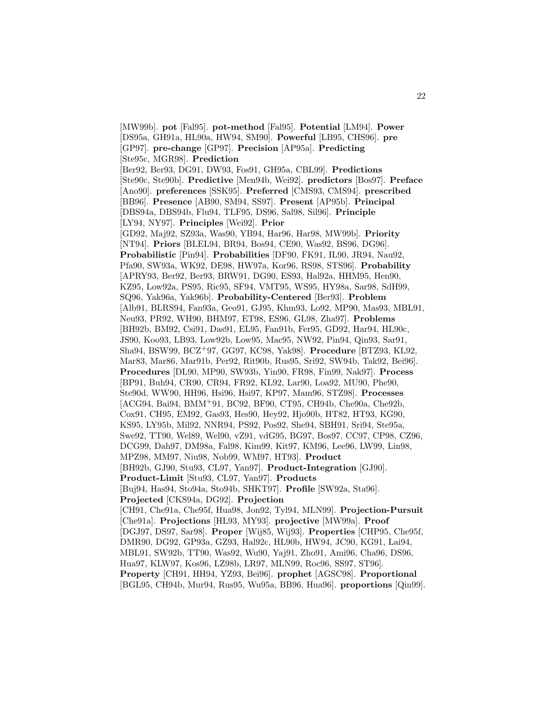[MW99b]. **pot** [Fal95]. **pot-method** [Fal95]. **Potential** [LM94]. **Power** [DS95a, GH91a, HL90a, HW94, SM90]. **Powerful** [LB95, CHS96]. **pre** [GP97]. **pre-change** [GP97]. **Precision** [AP95a]. **Predicting** [Ste95c, MGR98]. **Prediction** [Ber92, Ber93, DG91, DW93, Fos91, GH95a, CBL99]. **Predictions** [Ste90c, Ste90b]. **Predictive** [Men94b, Wei92]. **predictors** [Bos97]. **Preface** [Ano90]. **preferences** [SSK95]. **Preferred** [CMS93, CMS94]. **prescribed** [BB96]. **Presence** [AB90, SM94, SS97]. **Present** [AP95b]. **Principal** [DBS94a, DBS94b, Flu94, TLF95, DS96, Sal98, Sil96]. **Principle** [LY94, NY97]. **Principles** [Wei92]. **Prior** [GD92, Maj92, SZ93a, Was90, YB94, Har96, Har98, MW99b]. **Priority** [NT94]. **Priors** [BLEL94, BR94, Bos94, CE90, Was92, BS96, DG96]. **Probabilistic** [Pin94]. **Probabilities** [DF90, FK91, IL90, JR94, Nau92, Pfa90, SW93a, WK92, DE98, HW97a, Kor96, RS98, STS96]. **Probability** [APRY93, Ber92, Ber93, BRW91, DG90, ES93, Hal92a, HHM95, Hen90, KZ95, Low92a, PS95, Ric95, SF94, VMT95, WS95, HY98a, Sar98, SdH99, SQ96, Yak96a, Yak96b]. **Probability-Centered** [Ber93]. **Problem** [Alb91, BLRS94, Fan93a, Geo91, GJ95, Khm93, Lo92, MP90, Mas93, MBL91, Neu93, PR92, WH90, BHM97, ET98, ES96, GL98, Zha97]. **Problems** [BH92b, BM92, Csi91, Das91, EL95, Fan91b, Fer95, GD92, Har94, HL90c, JS90, Koo93, LB93, Low92b, Low95, Mac95, NW92, Pin94, Qin93, Sar91, Sha94, BSW99, BCZ<sup>+</sup>97, GG97, KC98, Yak98]. **Procedure** [BTZ93, KL92, Mar83, Mar86, Mar91b, Per92, Rit90b, Rus95, Sri92, SW94b, Tak92, Bei96]. **Procedures** [DL90, MP90, SW93b, Yin90, FR98, Fin99, Nak97]. **Process** [BP91, Buh94, CR90, CR94, FR92, KL92, Lar90, Loa92, MU90, Phe90, Ste90d, WW90, HH96, Hsi96, Hsi97, KP97, Mam96, STZ98]. **Processes** [ACG94, Bai94, BMM<sup>+</sup>91, BC92, BF90, CT95, CH94b, Che90a, Che92b, Cox91, CH95, EM92, Gas93, Hes90, Hey92, Hjo90b, HT82, HT93, KG90, KS95, LY95b, Mil92, NNR94, PS92, Pos92, She94, SBH91, Sri94, Ste95a, Swe92, TT90, Wel89, Wel90, vZ91, vdG95, BG97, Bos97, CC97, CP98, CZ96, DCG99, Dah97, DM98a, Fal98, Kim99, Kit97, KM96, Lee96, LW99, Lin98, MPZ98, MM97, Niu98, Nob99, WM97, HT93]. **Product** [BH92b, GJ90, Stu93, CL97, Yan97]. **Product-Integration** [GJ90]. **Product-Limit** [Stu93, CL97, Yan97]. **Products** [Buj94, Has94, Sto94a, Sto94b, SHKT97]. **Profile** [SW92a, Sta96]. **Projected** [CKS94a, DG92]. **Projection** [CH91, Che91a, Che95f, Hua98, Jon92, Tyl94, MLN99]. **Projection-Pursuit** [Che91a]. **Projections** [HL93, MY93]. **projective** [MW99a]. **Proof** [DGJ97, DS97, Sar98]. **Proper** [Wij85, Wij93]. **Properties** [CHP95, Che95f, DMR90, DG92, GP93a, GZ93, Hal92c, HL90b, HW94, JC90, KG91, Lai94, MBL91, SW92b, TT90, Was92, Wu90, Yaj91, Zho91, Ami96, Cha96, DS96, Hua97, KLW97, Kos96, LZ98b, LR97, MLN99, Roc96, SS97, ST96]. **Property** [CH91, HH94, YZ93, Bei96]. **prophet** [AGSC98]. **Proportional** [BGL95, CH94b, Mur94, Rus95, Wu95a, BB96, Hua96]. **proportions** [Qin99].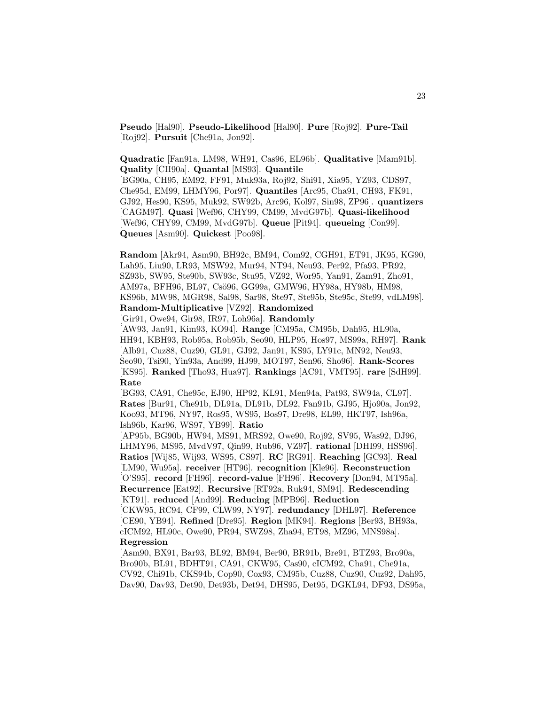**Pseudo** [Hal90]. **Pseudo-Likelihood** [Hal90]. **Pure** [Roj92]. **Pure-Tail** [Roj92]. **Pursuit** [Che91a, Jon92].

**Quadratic** [Fan91a, LM98, WH91, Cas96, EL96b]. **Qualitative** [Mam91b]. **Quality** [CH90a]. **Quantal** [MS93]. **Quantile** [BG90a, CH95, EM92, FF91, Muk93a, Roj92, Shi91, Xia95, YZ93, CDS97, Che95d, EM99, LHMY96, Por97]. **Quantiles** [Arc95, Cha91, CH93, FK91, GJ92, Hes90, KS95, Muk92, SW92b, Arc96, Kol97, Sin98, ZP96]. **quantizers** [CAGM97]. **Quasi** [Wef96, CHY99, CM99, MvdG97b]. **Quasi-likelihood** [Wef96, CHY99, CM99, MvdG97b]. **Queue** [Pit94]. **queueing** [Con99]. **Queues** [Asm90]. **Quickest** [Poo98].

**Random** [Akr94, Asm90, BH92c, BM94, Com92, CGH91, ET91, JK95, KG90, Lah95, Liu90, LR93, MSW92, Mur94, NT94, Neu93, Per92, Pfa93, PR92, SZ93b, SW95, Ste90b, SW93c, Stu95, VZ92, Wor95, Yan91, Zam91, Zho91, AM97a, BFH96, BL97, Csö96, GG99a, GMW96, HY98a, HY98b, HM98, KS96b, MW98, MGR98, Sal98, Sar98, Ste97, Ste95b, Ste95c, Ste99, vdLM98]. **Random-Multiplicative** [VZ92]. **Randomized** [Gir91, Owe94, Gir98, IR97, Loh96a]. **Randomly** [AW93, Jan91, Kim93, KO94]. **Range** [CM95a, CM95b, Dah95, HL90a, HH94, KBH93, Rob95a, Rob95b, Seo90, HLP95, Hos97, MS99a, RH97]. **Rank** [Alb91, Cuz88, Cuz90, GL91, GJ92, Jan91, KS95, LY91c, MN92, Neu93, Seo90, Tsi90, Yin93a, And99, HJ99, MOT97, Sen96, Sho96]. **Rank-Scores** [KS95]. **Ranked** [Tho93, Hua97]. **Rankings** [AC91, VMT95]. **rare** [SdH99]. **Rate** [BG93, CA91, Che95c, EJ90, HP92, KL91, Men94a, Pat93, SW94a, CL97]. **Rates** [Bur91, Che91b, DL91a, DL91b, DL92, Fan91b, GJ95, Hjo90a, Jon92, Koo93, MT96, NY97, Ros95, WS95, Bos97, Dre98, EL99, HKT97, Ish96a, Ish96b, Kar96, WS97, YB99]. **Ratio** [AP95b, BG90b, HW94, MS91, MRS92, Owe90, Roj92, SV95, Was92, DJ96, LHMY96, MS95, MvdV97, Qin99, Rub96, VZ97]. **rational** [DHI99, HSS96]. **Ratios** [Wij85, Wij93, WS95, CS97]. **RC** [RG91]. **Reaching** [GC93]. **Real** [LM90, Wu95a]. **receiver** [HT96]. **recognition** [Kle96]. **Reconstruction** [O'S95]. **record** [FH96]. **record-value** [FH96]. **Recovery** [Don94, MT95a]. **Recurrence** [Eat92]. **Recursive** [RT92a, Ruk94, SM94]. **Redescending** [KT91]. **reduced** [And99]. **Reducing** [MPB96]. **Reduction** [CKW95, RC94, CF99, CLW99, NY97]. **redundancy** [DHL97]. **Reference** [CE90, YB94]. **Refined** [Dre95]. **Region** [MK94]. **Regions** [Ber93, BH93a, cICM92, HL90c, Owe90, PR94, SWZ98, Zha94, ET98, MZ96, MNS98a]. **Regression** [Asm90, BX91, Bar93, BL92, BM94, Ber90, BR91b, Bre91, BTZ93, Bro90a,

Bro90b, BL91, BDHT91, CA91, CKW95, Cas90, cICM92, Cha91, Che91a, CV92, Chi91b, CKS94b, Cop90, Cox93, CM95b, Cuz88, Cuz90, Cuz92, Dah95, Dav90, Dav93, Det90, Det93b, Det94, DHS95, Det95, DGKL94, DF93, DS95a,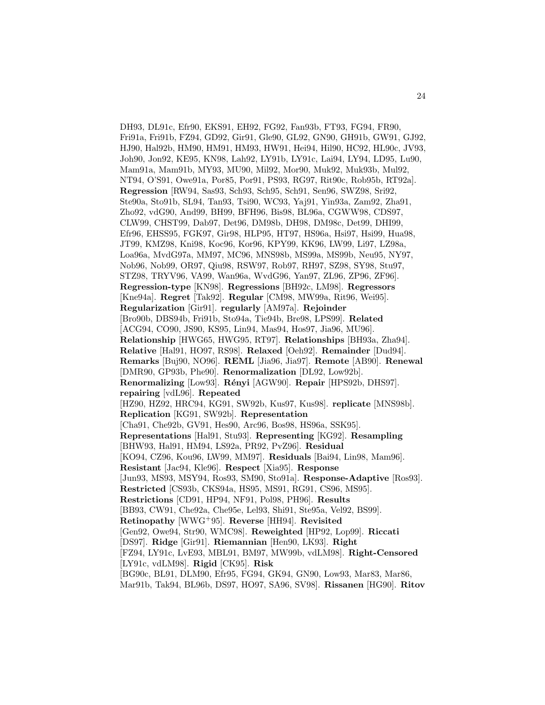DH93, DL91c, Efr90, EKS91, EH92, FG92, Fan93b, FT93, FG94, FR90, Fri91a, Fri91b, FZ94, GD92, Gir91, Gle90, GL92, GN90, GH91b, GW91, GJ92, HJ90, Hal92b, HM90, HM91, HM93, HW91, Hei94, Hil90, HC92, HL90c, JV93, Joh90, Jon92, KE95, KN98, Lah92, LY91b, LY91c, Lai94, LY94, LD95, Lu90, Mam91a, Mam91b, MY93, MU90, Mil92, Mor90, Muk92, Muk93b, Mul92, NT94, O'S91, Owe91a, Por85, Por91, PS93, RG97, Rit90c, Rob95b, RT92a]. **Regression** [RW94, Sas93, Sch93, Sch95, Sch91, Sen96, SWZ98, Sri92, Ste90a, Sto91b, SL94, Tan93, Tsi90, WC93, Yaj91, Yin93a, Zam92, Zha91, Zho92, vdG90, And99, BH99, BFH96, Bis98, BL96a, CGWW98, CDS97, CLW99, CHST99, Dab97, Det96, DM98b, DH98, DM98c, Det99, DHI99, Efr96, EHSS95, FGK97, Gir98, HLP95, HT97, HS96a, Hsi97, Hsi99, Hua98, JT99, KMZ98, Kni98, Koc96, Kor96, KPY99, KK96, LW99, Li97, LZ98a, Loa96a, MvdG97a, MM97, MC96, MNS98b, MS99a, MS99b, Neu95, NY97, Nob96, Nob99, OR97, Qiu98, RSW97, Rob97, RH97, SZ98, SY98, Stu97, STZ98, TRYV96, VA99, Wan96a, WvdG96, Yan97, ZL96, ZP96, ZF96]. **Regression-type** [KN98]. **Regressions** [BH92c, LM98]. **Regressors** [Kne94a]. **Regret** [Tak92]. **Regular** [CM98, MW99a, Rit96, Wei95]. **Regularization** [Gir91]. **regularly** [AM97a]. **Rejoinder** [Bro90b, DBS94b, Fri91b, Sto94a, Tie94b, Bre98, LPS99]. **Related** [ACG94, CO90, JS90, KS95, Lin94, Mas94, Hos97, Jia96, MU96]. **Relationship** [HWG65, HWG95, RT97]. **Relationships** [BH93a, Zha94]. **Relative** [Hal91, HO97, RS98]. **Relaxed** [Oeh92]. **Remainder** [Dud94]. **Remarks** [Buj90, NO96]. **REML** [Jia96, Jia97]. **Remote** [AB90]. **Renewal** [DMR90, GP93b, Phe90]. **Renormalization** [DL92, Low92b]. **Renormalizing** [Low93]. **R´enyi** [AGW90]. **Repair** [HPS92b, DHS97]. **repairing** [vdL96]. **Repeated** [HZ90, HZ92, HRC94, KG91, SW92b, Kus97, Kus98]. **replicate** [MNS98b]. **Replication** [KG91, SW92b]. **Representation** [Cha91, Che92b, GV91, Hes90, Arc96, Bos98, HS96a, SSK95]. **Representations** [Hal91, Stu93]. **Representing** [KG92]. **Resampling** [BHW93, Hal91, HM94, LS92a, PR92, PvZ96]. **Residual** [KO94, CZ96, Kou96, LW99, MM97]. **Residuals** [Bai94, Lin98, Mam96]. **Resistant** [Jac94, Kle96]. **Respect** [Xia95]. **Response** [Jun93, MS93, MSY94, Ros93, SM90, Sto91a]. **Response-Adaptive** [Ros93]. **Restricted** [CS93b, CKS94a, HS95, MS91, RG91, CS96, MS95]. **Restrictions** [CD91, HP94, NF91, Pol98, PH96]. **Results** [BB93, CW91, Che92a, Che95e, Lel93, Shi91, Ste95a, Vel92, BS99]. **Retinopathy** [WWG<sup>+</sup>95]. **Reverse** [HH94]. **Revisited** [Gen92, Owe94, Str90, WMC98]. **Reweighted** [HP92, Lop99]. **Riccati** [DS97]. **Ridge** [Gir91]. **Riemannian** [Hen90, LK93]. **Right** [FZ94, LY91c, LvE93, MBL91, BM97, MW99b, vdLM98]. **Right-Censored** [LY91c, vdLM98]. **Rigid** [CK95]. **Risk** [BG90c, BL91, DLM90, Efr95, FG94, GK94, GN90, Low93, Mar83, Mar86, Mar91b, Tak94, BL96b, DS97, HO97, SA96, SV98]. **Rissanen** [HG90]. **Ritov**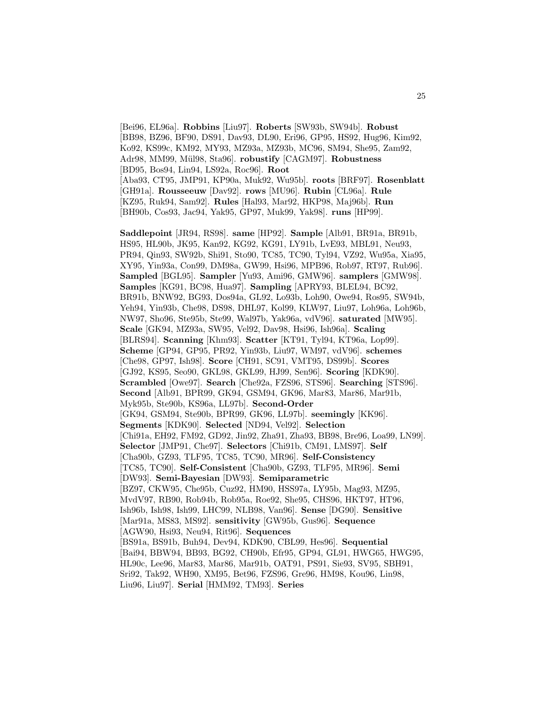[Bei96, EL96a]. **Robbins** [Liu97]. **Roberts** [SW93b, SW94b]. **Robust** [BB98, BZ96, BF90, DS91, Dav93, DL90, Eri96, GP95, HS92, Hug96, Kim92, Ko92, KS99c, KM92, MY93, MZ93a, MZ93b, MC96, SM94, She95, Zam92, Adr98, MM99, Mül98, Sta96]. **robustify** [CAGM97]. **Robustness** [BD95, Bos94, Lin94, LS92a, Roc96]. **Root** [Aba93, CT95, JMP91, KP90a, Muk92, Wu95b]. **roots** [BRF97]. **Rosenblatt** [GH91a]. **Rousseeuw** [Dav92]. **rows** [MU96]. **Rubin** [CL96a]. **Rule** [KZ95, Ruk94, Sam92]. **Rules** [Hal93, Mar92, HKP98, Maj96b]. **Run** [BH90b, Cos93, Jac94, Yak95, GP97, Muk99, Yak98]. **runs** [HP99]. **Saddlepoint** [JR94, RS98]. **same** [HP92]. **Sample** [Alb91, BR91a, BR91b, HS95, HL90b, JK95, Kan92, KG92, KG91, LY91b, LvE93, MBL91, Neu93, PR94, Qin93, SW92b, Shi91, Sto90, TC85, TC90, Tyl94, VZ92, Wu95a, Xia95, XY95, Yin93a, Con99, DM98a, GW99, Hsi96, MPB96, Rob97, RT97, Rub96]. **Sampled** [BGL95]. **Sampler** [Yu93, Ami96, GMW96]. **samplers** [GMW98]. **Samples** [KG91, BC98, Hua97]. **Sampling** [APRY93, BLEL94, BC92, BR91b, BNW92, BG93, Dos94a, GL92, Lo93b, Loh90, Owe94, Ros95, SW94b, Yeh94, Yin93b, Che98, DS98, DHL97, Kol99, KLW97, Liu97, Loh96a, Loh96b, NW97, Sho96, Ste95b, Ste99, Wal97b, Yak96a, vdV96]. **saturated** [MW95]. **Scale** [GK94, MZ93a, SW95, Vel92, Dav98, Hsi96, Ish96a]. **Scaling** [BLRS94]. **Scanning** [Khm93]. **Scatter** [KT91, Tyl94, KT96a, Lop99]. **Scheme** [GP94, GP95, PR92, Yin93b, Liu97, WM97, vdV96]. **schemes** [Che98, GP97, Ish98]. **Score** [CH91, SC91, VMT95, DS99b]. **Scores** [GJ92, KS95, Seo90, GKL98, GKL99, HJ99, Sen96]. **Scoring** [KDK90]. **Scrambled** [Owe97]. **Search** [Che92a, FZS96, STS96]. **Searching** [STS96]. **Second** [Alb91, BPR99, GK94, GSM94, GK96, Mar83, Mar86, Mar91b, Myk95b, Ste90b, KS96a, LL97b]. **Second-Order** [GK94, GSM94, Ste90b, BPR99, GK96, LL97b]. **seemingly** [KK96]. **Segments** [KDK90]. **Selected** [ND94, Vel92]. **Selection** [Chi91a, EH92, FM92, GD92, Jin92, Zha91, Zha93, BB98, Bre96, Loa99, LN99]. **Selector** [JMP91, Che97]. **Selectors** [Chi91b, CM91, LMS97]. **Self** [Cha90b, GZ93, TLF95, TC85, TC90, MR96]. **Self-Consistency** [TC85, TC90]. **Self-Consistent** [Cha90b, GZ93, TLF95, MR96]. **Semi** [DW93]. **Semi-Bayesian** [DW93]. **Semiparametric** [BZ97, CKW95, Che95b, Cuz92, HM90, HSS97a, LY95b, Mag93, MZ95, MvdV97, RB90, Rob94b, Rob95a, Roe92, She95, CHS96, HKT97, HT96, Ish96b, Ish98, Ish99, LHC99, NLB98, Van96]. **Sense** [DG90]. **Sensitive** [Mar91a, MS83, MS92]. **sensitivity** [GW95b, Gus96]. **Sequence** [AGW90, Hsi93, Neu94, Rit96]. **Sequences** [BS91a, BS91b, Buh94, Dev94, KDK90, CBL99, Hes96]. **Sequential** [Bai94, BBW94, BB93, BG92, CH90b, Efr95, GP94, GL91, HWG65, HWG95, HL90c, Lee96, Mar83, Mar86, Mar91b, OAT91, PS91, Sie93, SV95, SBH91, Sri92, Tak92, WH90, XM95, Bet96, FZS96, Gre96, HM98, Kou96, Lin98, Liu96, Liu97]. **Serial** [HMM92, TM93]. **Series**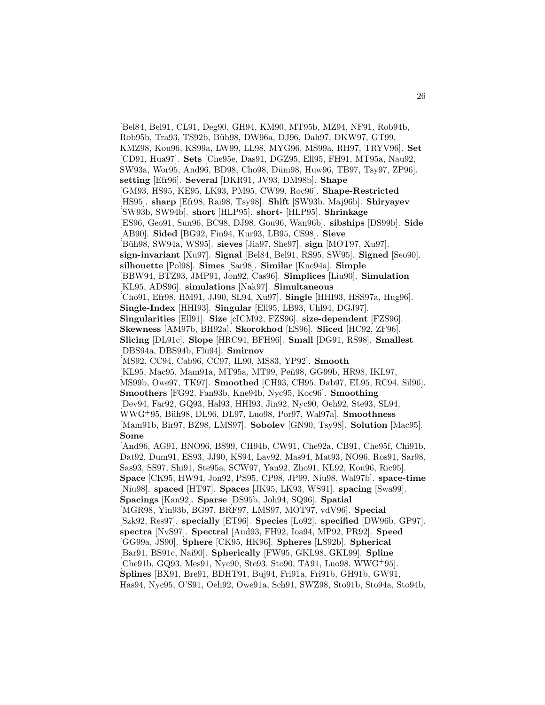[Bel84, Bel91, CL91, Deg90, GH94, KM90, MT95b, MZ94, NF91, Rob94b, Rob95b, Tra93, TS92b, Büh98, DW96a, DJ96, Dah97, DKW97, GT99, KMZ98, Kou96, KS99a, LW99, LL98, MYG96, MS99a, RH97, TRYV96]. **Set** [CD91, Hua97]. **Sets** [Che95e, Das91, DGZ95, Ell95, FH91, MT95a, Nau92, SW93a, Wor95, And96, BD98, Cho98, Düm98, Huw96, TB97, Tsy97, ZP96. **setting** [Efr96]. **Several** [DKR91, JV93, DM98b]. **Shape** [GM93, HS95, KE95, LK93, PM95, CW99, Roc96]. **Shape-Restricted** [HS95]. **sharp** [Efr98, Rai98, Tsy98]. **Shift** [SW93b, Maj96b]. **Shiryayev** [SW93b, SW94b]. **short** [HLP95]. **short-** [HLP95]. **Shrinkage** [ES96, Geo91, Sun96, BC98, DJ98, Gou96, Wan96b]. **sibships** [DS99b]. **Side** [AB90]. **Sided** [BG92, Fin94, Kur93, LB95, CS98]. **Sieve** [B¨uh98, SW94a, WS95]. **sieves** [Jia97, She97]. **sign** [MOT97, Xu97]. **sign-invariant** [Xu97]. **Signal** [Bel84, Bel91, RS95, SW95]. **Signed** [Seo90]. **silhouette** [Pol98]. **Simes** [Sar98]. **Similar** [Kne94a]. **Simple** [BBW94, BTZ93, JMP91, Jon92, Cas96]. **Simplices** [Liu90]. **Simulation** [KL95, ADS96]. **simulations** [Nak97]. **Simultaneous** [Cho91, Efr98, HM91, JJ90, SL94, Xu97]. **Single** [HHI93, HSS97a, Hug96]. **Single-Index** [HHI93]. **Singular** [Ell95, LB93, Uhl94, DGJ97]. **Singularities** [Ell91]. **Size** [cICM92, FZS96]. **size-dependent** [FZS96]. **Skewness** [AM97b, BH92a]. **Skorokhod** [ES96]. **Sliced** [HC92, ZF96]. **Slicing** [DL91c]. **Slope** [HRC94, BFH96]. **Small** [DG91, RS98]. **Smallest** [DBS94a, DBS94b, Flu94]. **Smirnov** [MS92, CC94, Cab96, CC97, IL90, MS83, YP92]. **Smooth** [KL95, Mac95, Mam91a, MT95a, MT99, Peñ98, GG99b, HR98, IKL97, MS99b, Owe97, TK97]. **Smoothed** [CH93, CH95, Dab97, EL95, RC94, Sil96]. **Smoothers** [FG92, Fan93b, Kne94b, Nyc95, Koc96]. **Smoothing** [Dev94, Far92, GQ93, Hal93, HHI93, Jin92, Nyc90, Oeh92, Ste93, SL94, WWG<sup>+</sup>95, B¨uh98, DL96, DL97, Luo98, Por97, Wal97a]. **Smoothness** [Mam91b, Bir97, BZ98, LMS97]. **Sobolev** [GN90, Tsy98]. **Solution** [Mac95]. **Some** [And96, AG91, BNO96, BS99, CH94b, CW91, Che92a, CB91, Che95f, Chi91b, Dat92, Dum91, ES93, JJ90, KS94, Lav92, Mas94, Mat93, NO96, Ros91, Sar98, Sas93, SS97, Shi91, Ste95a, SCW97, Yan92, Zho91, KL92, Kou96, Ric95]. **Space** [CK95, HW94, Jon92, PS95, CP98, JP99, Niu98, Wal97b]. **space-time** [Niu98]. **spaced** [HT97]. **Spaces** [JK95, LK93, WS91]. **spacing** [Swa99]. **Spacings** [Kan92]. **Sparse** [DS95b, Joh94, SQ96]. **Spatial** [MGR98, Yin93b, BG97, BRF97, LMS97, MOT97, vdV96]. **Special** [Szk92, Res97]. **specially** [ET96]. **Species** [Lo92]. **specified** [DW96b, GP97]. **spectra** [NvS97]. **Spectral** [And93, FH92, Ioa94, MP92, PR92]. **Speed** [GG99a, JS90]. **Sphere** [CK95, HK96]. **Spheres** [LS92b]. **Spherical** [Bar91, BS91c, Nai90]. **Spherically** [FW95, GKL98, GKL99]. **Spline** [Che91b, GQ93, Mes91, Nyc90, Ste93, Sto90, TA91, Luo98, WWG<sup>+</sup>95]. **Splines** [BX91, Bre91, BDHT91, Buj94, Fri91a, Fri91b, GH91b, GW91, Has94, Nyc95, O'S91, Oeh92, Owe91a, Sch91, SWZ98, Sto91b, Sto94a, Sto94b,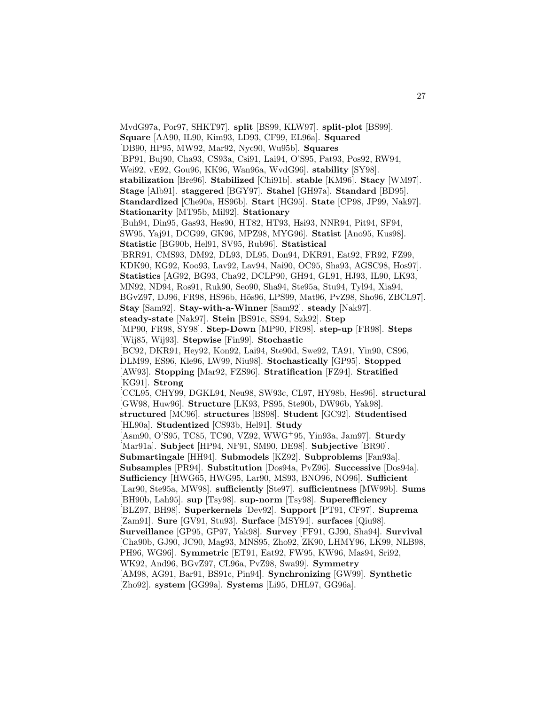MvdG97a, Por97, SHKT97]. **split** [BS99, KLW97]. **split-plot** [BS99]. **Square** [AA90, IL90, Kim93, LD93, CF99, EL96a]. **Squared** [DB90, HP95, MW92, Mar92, Nyc90, Wu95b]. **Squares** [BP91, Buj90, Cha93, CS93a, Csi91, Lai94, O'S95, Pat93, Pos92, RW94, Wei92, vE92, Gou96, KK96, Wan96a, WvdG96]. **stability** [SY98]. **stabilization** [Bre96]. **Stabilized** [Chi91b]. **stable** [KM96]. **Stacy** [WM97]. **Stage** [Alb91]. **staggered** [BGY97]. **Stahel** [GH97a]. **Standard** [BD95]. **Standardized** [Che90a, HS96b]. **Start** [HG95]. **State** [CP98, JP99, Nak97]. **Stationarity** [MT95b, Mil92]. **Stationary** [Buh94, Din95, Gas93, Hes90, HT82, HT93, Hsi93, NNR94, Pit94, SF94, SW95, Yaj91, DCG99, GK96, MPZ98, MYG96]. **Statist** [Ano95, Kus98]. **Statistic** [BG90b, Hel91, SV95, Rub96]. **Statistical** [BRR91, CMS93, DM92, DL93, DL95, Don94, DKR91, Eat92, FR92, FZ99, KDK90, KG92, Koo93, Lav92, Lav94, Nai90, OC95, Sha93, AGSC98, Hos97]. **Statistics** [AG92, BG93, Cha92, DCLP90, GH94, GL91, HJ93, IL90, LK93, MN92, ND94, Ros91, Ruk90, Seo90, Sha94, Ste95a, Stu94, Tyl94, Xia94, BGvZ97, DJ96, FR98, HS96b, Hös96, LPS99, Mat96, PvZ98, Sho96, ZBCL97]. **Stay** [Sam92]. **Stay-with-a-Winner** [Sam92]. **steady** [Nak97]. **steady-state** [Nak97]. **Stein** [BS91c, SS94, Szk92]. **Step** [MP90, FR98, SY98]. **Step-Down** [MP90, FR98]. **step-up** [FR98]. **Steps** [Wij85, Wij93]. **Stepwise** [Fin99]. **Stochastic** [BC92, DKR91, Hey92, Kon92, Lai94, Ste90d, Swe92, TA91, Yin90, CS96, DLM99, ES96, Kle96, LW99, Niu98]. **Stochastically** [GP95]. **Stopped** [AW93]. **Stopping** [Mar92, FZS96]. **Stratification** [FZ94]. **Stratified** [KG91]. **Strong** [CCL95, CHY99, DGKL94, Neu98, SW93c, CL97, HY98b, Hes96]. **structural** [GW98, Huw96]. **Structure** [LK93, PS95, Ste90b, DW96b, Yak98]. **structured** [MC96]. **structures** [BS98]. **Student** [GC92]. **Studentised** [HL90a]. **Studentized** [CS93b, Hel91]. **Study** [Asm90, O'S95, TC85, TC90, VZ92, WWG<sup>+</sup>95, Yin93a, Jam97]. **Sturdy** [Mar91a]. **Subject** [HP94, NF91, SM90, DE98]. **Subjective** [BR90]. **Submartingale** [HH94]. **Submodels** [KZ92]. **Subproblems** [Fan93a]. **Subsamples** [PR94]. **Substitution** [Dos94a, PvZ96]. **Successive** [Dos94a]. **Sufficiency** [HWG65, HWG95, Lar90, MS93, BNO96, NO96]. **Sufficient** [Lar90, Ste95a, MW98]. **sufficiently** [Ste97]. **sufficientness** [MW99b]. **Sums** [BH90b, Lah95]. **sup** [Tsy98]. **sup-norm** [Tsy98]. **Superefficiency** [BLZ97, BH98]. **Superkernels** [Dev92]. **Support** [PT91, CF97]. **Suprema** [Zam91]. **Sure** [GV91, Stu93]. **Surface** [MSY94]. **surfaces** [Qiu98]. **Surveillance** [GP95, GP97, Yak98]. **Survey** [FF91, GJ90, Sha94]. **Survival** [Cha90b, GJ90, JC90, Mag93, MNS95, Zho92, ZK90, LHMY96, LK99, NLB98, PH96, WG96]. **Symmetric** [ET91, Eat92, FW95, KW96, Mas94, Sri92, WK92, And96, BGvZ97, CL96a, PvZ98, Swa99]. **Symmetry** [AM98, AG91, Bar91, BS91c, Pin94]. **Synchronizing** [GW99]. **Synthetic** [Zho92]. **system** [GG99a]. **Systems** [Li95, DHL97, GG96a].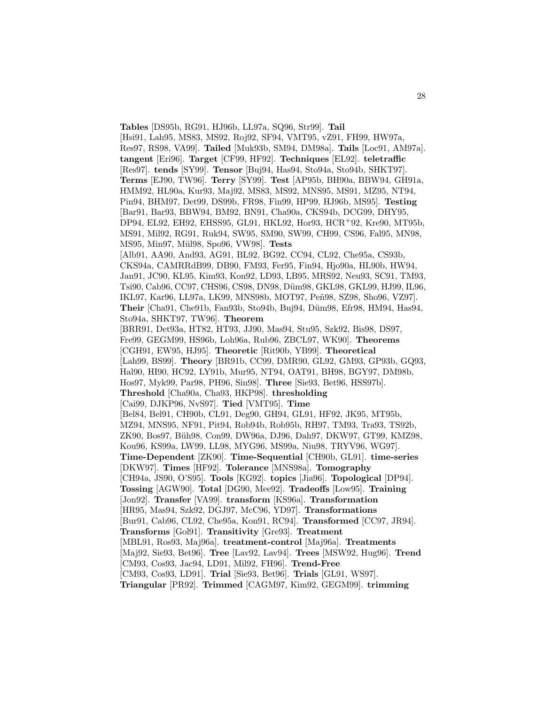**Tables** [DS95b, RG91, HJ96b, LL97a, SQ96, Str99]. **Tail** [Hsi91, Lah95, MS83, MS92, Roj92, SF94, VMT95, vZ91, FH99, HW97a, Res97, RS98, VA99]. **Tailed** [Muk93b, SM94, DM98a]. **Tails** [Loc91, AM97a]. **tangent** [Eri96]. **Target** [CF99, HF92]. **Techniques** [EL92]. **teletraffic** [Res97]. **tends** [SY99]. **Tensor** [Buj94, Has94, Sto94a, Sto94b, SHKT97]. **Terms** [EJ90, TW96]. **Terry** [SY99]. **Test** [AP95b, BH90a, BBW94, GH91a, HMM92, HL90a, Kur93, Maj92, MS83, MS92, MNS95, MS91, MZ95, NT94, Pin94, BHM97, Det99, DS99b, FR98, Fin99, HP99, HJ96b, MS95]. **Testing** [Bar91, Bar93, BBW94, BM92, BN91, Cha90a, CKS94b, DCG99, DHY95, DP94, EL92, EH92, EHSS95, GL91, HKL92, Hor93, HCR<sup>+</sup>92, Kre90, MT95b, MS91, Mil92, RG91, Ruk94, SW95, SM90, SW99, CH99, CS96, Fal95, MN98, MS95, Min97, M¨ul98, Spo96, VW98]. **Tests** [Alb91, AA90, And93, AG91, BL92, BG92, CC94, CL92, Che95a, CS93b, CKS94a, CAMRRdB99, DB90, FM93, Fer95, Fin94, Hjo90a, HL90b, HW94, Jan91, JC90, KL95, Kim93, Kon92, LD93, LB95, MRS92, Neu93, SC91, TM93, Tsi90, Cab96, CC97, CHS96, CS98, DN98, Düm98, GKL98, GKL99, HJ99, IL96, IKL97, Kar96, LL97a, LK99, MNS98b, MOT97, Peñ98, SZ98, Sho96, VZ97. Their [Cha91, Che91b, Fan93b, Sto94b, Buj94, Düm98, Efr98, HM94, Has94, Sto94a, SHKT97, TW96]. **Theorem** [BRR91, Det93a, HT82, HT93, JJ90, Mas94, Stu95, Szk92, Bis98, DS97, Fre99, GEGM99, HS96b, Loh96a, Rub96, ZBCL97, WK90]. **Theorems** [CGH91, EW95, HJ95]. **Theoretic** [Rit90b, YB99]. **Theoretical** [Lah99, BS99]. **Theory** [BR91b, CC99, DMR90, GL92, GM93, GP93b, GQ93, Hal90, HI90, HC92, LY91b, Mur95, NT94, OAT91, BH98, BGY97, DM98b, Hos97, Myk99, Par98, PH96, Sin98]. **Three** [Sie93, Bet96, HSS97b]. **Threshold** [Cha90a, Cha93, HKP98]. **thresholding** [Cai99, DJKP96, NvS97]. **Tied** [VMT95]. **Time** [Bel84, Bel91, CH90b, CL91, Deg90, GH94, GL91, HF92, JK95, MT95b, MZ94, MNS95, NF91, Pit94, Rob94b, Rob95b, RH97, TM93, Tra93, TS92b, ZK90, Bos97, Büh98, Con99, DW96a, DJ96, Dah97, DKW97, GT99, KMZ98, Kou96, KS99a, LW99, LL98, MYG96, MS99a, Niu98, TRYV96, WG97]. **Time-Dependent** [ZK90]. **Time-Sequential** [CH90b, GL91]. **time-series** [DKW97]. **Times** [HF92]. **Tolerance** [MNS98a]. **Tomography** [CH94a, JS90, O'S95]. **Tools** [KG92]. **topics** [Jia96]. **Topological** [DP94]. **Tossing** [AGW90]. **Total** [DG90, Mee92]. **Tradeoffs** [Low95]. **Training** [Jon92]. **Transfer** [VA99]. **transform** [KS96a]. **Transformation** [HR95, Mas94, Szk92, DGJ97, McC96, YD97]. **Transformations** [Bur91, Cab96, CL92, Che95a, Kon91, RC94]. **Transformed** [CC97, JR94]. **Transforms** [Gol91]. **Transitivity** [Gre93]. **Treatment** [MBL91, Ros93, Maj96a]. **treatment-control** [Maj96a]. **Treatments** [Maj92, Sie93, Bet96]. **Tree** [Lav92, Lav94]. **Trees** [MSW92, Hug96]. **Trend** [CM93, Cos93, Jac94, LD91, Mil92, FH96]. **Trend-Free** [CM93, Cos93, LD91]. **Trial** [Sie93, Bet96]. **Trials** [GL91, WS97]. **Triangular** [PR92]. **Trimmed** [CAGM97, Kim92, GEGM99]. **trimming**

28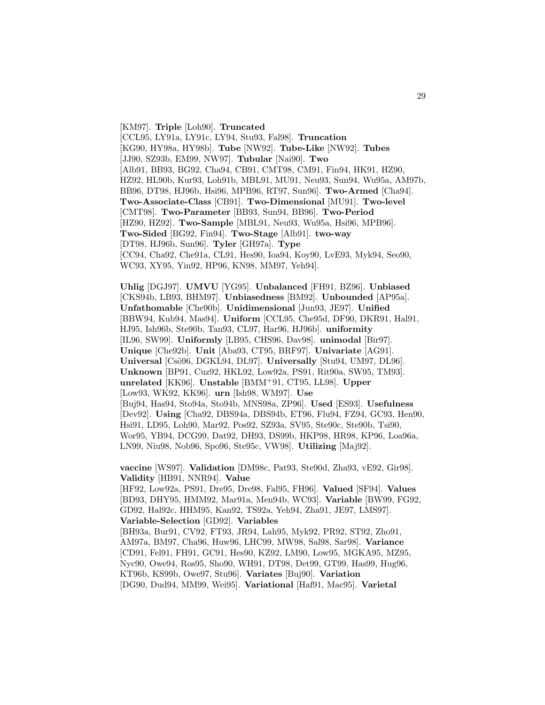[KM97]. **Triple** [Loh90]. **Truncated** [CCL95, LY91a, LY91c, LY94, Stu93, Fal98]. **Truncation** [KG90, HY98a, HY98b]. **Tube** [NW92]. **Tube-Like** [NW92]. **Tubes** [JJ90, SZ93b, EM99, NW97]. **Tubular** [Nai90]. **Two** [Alb91, BB93, BG92, Cha94, CB91, CMT98, CM91, Fin94, HK91, HZ90, HZ92, HL90b, Kur93, Loh91b, MBL91, MU91, Neu93, Sun94, Wu95a, AM97b, BB96, DT98, HJ96b, Hsi96, MPB96, RT97, Sun96]. **Two-Armed** [Cha94]. **Two-Associate-Class** [CB91]. **Two-Dimensional** [MU91]. **Two-level** [CMT98]. **Two-Parameter** [BB93, Sun94, BB96]. **Two-Period** [HZ90, HZ92]. **Two-Sample** [MBL91, Neu93, Wu95a, Hsi96, MPB96]. **Two-Sided** [BG92, Fin94]. **Two-Stage** [Alb91]. **two-way** [DT98, HJ96b, Sun96]. **Tyler** [GH97a]. **Type** [CC94, Cha92, Che91a, CL91, Hes90, Ioa94, Koy90, LvE93, Myk94, Seo90, WC93, XY95, Yin92, HP96, KN98, MM97, Yeh94].

**Uhlig** [DGJ97]. **UMVU** [YG95]. **Unbalanced** [FH91, BZ96]. **Unbiased** [CKS94b, LB93, BHM97]. **Unbiasedness** [BM92]. **Unbounded** [AP95a]. **Unfathomable** [Che90b]. **Unidimensional** [Jun93, JE97]. **Unified** [BBW94, Kub94, Mas94]. **Uniform** [CCL95, Che95d, DF90, DKR91, Hal91, HJ95, Ish96b, Ste90b, Tan93, CL97, Har96, HJ96b]. **uniformity** [IL96, SW99]. **Uniformly** [LB95, CHS96, Dav98]. **unimodal** [Bir97]. **Unique** [Che92b]. **Unit** [Aba93, CT95, BRF97]. **Univariate** [AG91]. **Universal** [Csö96, DGKL94, DL97]. **Universally** [Stu94, UM97, DL96]. **Unknown** [BP91, Cuz92, HKL92, Low92a, PS91, Rit90a, SW95, TM93]. **unrelated** [KK96]. **Unstable** [BMM<sup>+</sup>91, CT95, LL98]. **Upper** [Low93, WK92, KK96]. **urn** [Ish98, WM97]. **Use** [Buj94, Has94, Sto94a, Sto94b, MNS98a, ZP96]. **Used** [ES93]. **Usefulness** [Dev92]. **Using** [Cha92, DBS94a, DBS94b, ET96, Flu94, FZ94, GC93, Hen90, Hsi91, LD95, Loh90, Mar92, Pos92, SZ93a, SV95, Ste90c, Ste90b, Tsi90, Wor95, YB94, DCG99, Dat92, DH93, DS99b, HKP98, HR98, KP96, Loa96a, LN99, Niu98, Nob96, Spo96, Ste95c, VW98]. **Utilizing** [Maj92].

**vaccine** [WS97]. **Validation** [DM98c, Pat93, Ste90d, Zha93, vE92, Gir98]. **Validity** [HB91, NNR94]. **Value**

[HF92, Low92a, PS91, Dre95, Dre98, Fal95, FH96]. **Valued** [SF94]. **Values** [BD93, DHY95, HMM92, Mar91a, Men94b, WC93]. **Variable** [BW99, FG92, GD92, Hal92c, HHM95, Kan92, TS92a, Yeh94, Zha91, JE97, LMS97]. **Variable-Selection** [GD92]. **Variables** [BH93a, Bur91, CV92, FT93, JR94, Lah95, Myk92, PR92, ST92, Zho91, AM97a, BM97, Cha96, Huw96, LHC99, MW98, Sal98, Sar98]. **Variance**

[CD91, Fel91, FH91, GC91, Hes90, KZ92, LM90, Low95, MGKA95, MZ95,

Nyc90, Owe94, Ros95, Sho90, WH91, DT98, Det99, GT99, Has99, Hug96,

KT96b, KS99b, Owe97, Stu96]. **Variates** [Buj90]. **Variation**

[DG90, Dud94, MM99, Wei95]. **Variational** [Haf91, Mac95]. **Varietal**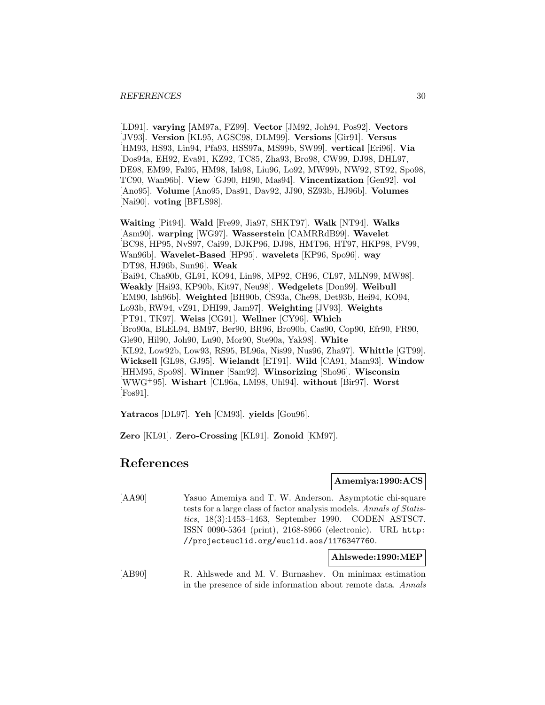[LD91]. **varying** [AM97a, FZ99]. **Vector** [JM92, Joh94, Pos92]. **Vectors** [JV93]. **Version** [KL95, AGSC98, DLM99]. **Versions** [Gir91]. **Versus** [HM93, HS93, Lin94, Pfa93, HSS97a, MS99b, SW99]. **vertical** [Eri96]. **Via** [Dos94a, EH92, Eva91, KZ92, TC85, Zha93, Bro98, CW99, DJ98, DHL97, DE98, EM99, Fal95, HM98, Ish98, Liu96, Lo92, MW99b, NW92, ST92, Spo98, TC90, Wan96b]. **View** [GJ90, HI90, Mas94]. **Vincentization** [Gen92]. **vol** [Ano95]. **Volume** [Ano95, Das91, Dav92, JJ90, SZ93b, HJ96b]. **Volumes** [Nai90]. **voting** [BFLS98].

**Waiting** [Pit94]. **Wald** [Fre99, Jia97, SHKT97]. **Walk** [NT94]. **Walks** [Asm90]. **warping** [WG97]. **Wasserstein** [CAMRRdB99]. **Wavelet** [BC98, HP95, NvS97, Cai99, DJKP96, DJ98, HMT96, HT97, HKP98, PV99, Wan96b]. **Wavelet-Based** [HP95]. **wavelets** [KP96, Spo96]. **way** [DT98, HJ96b, Sun96]. **Weak** [Bai94, Cha90b, GL91, KO94, Lin98, MP92, CH96, CL97, MLN99, MW98]. **Weakly** [Hsi93, KP90b, Kit97, Neu98]. **Wedgelets** [Don99]. **Weibull** [EM90, Ish96b]. **Weighted** [BH90b, CS93a, Che98, Det93b, Hei94, KO94, Lo93b, RW94, vZ91, DHI99, Jam97]. **Weighting** [JV93]. **Weights** [PT91, TK97]. **Weiss** [CG91]. **Wellner** [CY96]. **Which** [Bro90a, BLEL94, BM97, Ber90, BR96, Bro90b, Cas90, Cop90, Efr90, FR90, Gle90, Hil90, Joh90, Lu90, Mor90, Ste90a, Yak98]. **White** [KL92, Low92b, Low93, RS95, BL96a, Nis99, Nus96, Zha97]. **Whittle** [GT99]. **Wicksell** [GL98, GJ95]. **Wielandt** [ET91]. **Wild** [CA91, Mam93]. **Window** [HHM95, Spo98]. **Winner** [Sam92]. **Winsorizing** [Sho96]. **Wisconsin** [WWG<sup>+</sup>95]. **Wishart** [CL96a, LM98, Uhl94]. **without** [Bir97]. **Worst** [Fos91].

**Yatracos** [DL97]. **Yeh** [CM93]. **yields** [Gou96].

**Zero** [KL91]. **Zero-Crossing** [KL91]. **Zonoid** [KM97].

# **References**

**Amemiya:1990:ACS**

[AA90] Yasuo Amemiya and T. W. Anderson. Asymptotic chi-square tests for a large class of factor analysis models. Annals of Statistics, 18(3):1453–1463, September 1990. CODEN ASTSC7. ISSN 0090-5364 (print), 2168-8966 (electronic). URL http: //projecteuclid.org/euclid.aos/1176347760.

**Ahlswede:1990:MEP**

[AB90] R. Ahlswede and M. V. Burnashev. On minimax estimation in the presence of side information about remote data. Annals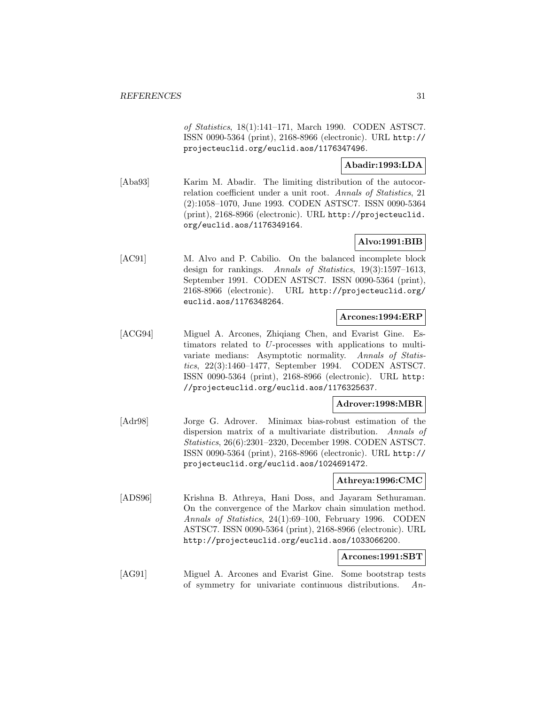of Statistics, 18(1):141–171, March 1990. CODEN ASTSC7. ISSN 0090-5364 (print), 2168-8966 (electronic). URL http:// projecteuclid.org/euclid.aos/1176347496.

# **Abadir:1993:LDA**

[Aba93] Karim M. Abadir. The limiting distribution of the autocorrelation coefficient under a unit root. Annals of Statistics, 21 (2):1058–1070, June 1993. CODEN ASTSC7. ISSN 0090-5364 (print), 2168-8966 (electronic). URL http://projecteuclid. org/euclid.aos/1176349164.

# **Alvo:1991:BIB**

[AC91] M. Alvo and P. Cabilio. On the balanced incomplete block design for rankings. Annals of Statistics, 19(3):1597–1613, September 1991. CODEN ASTSC7. ISSN 0090-5364 (print), 2168-8966 (electronic). URL http://projecteuclid.org/ euclid.aos/1176348264.

## **Arcones:1994:ERP**

[ACG94] Miguel A. Arcones, Zhiqiang Chen, and Evarist Gine. Estimators related to U-processes with applications to multivariate medians: Asymptotic normality. Annals of Statistics, 22(3):1460–1477, September 1994. CODEN ASTSC7. ISSN 0090-5364 (print), 2168-8966 (electronic). URL http: //projecteuclid.org/euclid.aos/1176325637.

## **Adrover:1998:MBR**

[Adr98] Jorge G. Adrover. Minimax bias-robust estimation of the dispersion matrix of a multivariate distribution. Annals of Statistics, 26(6):2301–2320, December 1998. CODEN ASTSC7. ISSN 0090-5364 (print), 2168-8966 (electronic). URL http:// projecteuclid.org/euclid.aos/1024691472.

#### **Athreya:1996:CMC**

[ADS96] Krishna B. Athreya, Hani Doss, and Jayaram Sethuraman. On the convergence of the Markov chain simulation method. Annals of Statistics, 24(1):69–100, February 1996. CODEN ASTSC7. ISSN 0090-5364 (print), 2168-8966 (electronic). URL http://projecteuclid.org/euclid.aos/1033066200.

# **Arcones:1991:SBT**

[AG91] Miguel A. Arcones and Evarist Gine. Some bootstrap tests of symmetry for univariate continuous distributions. An-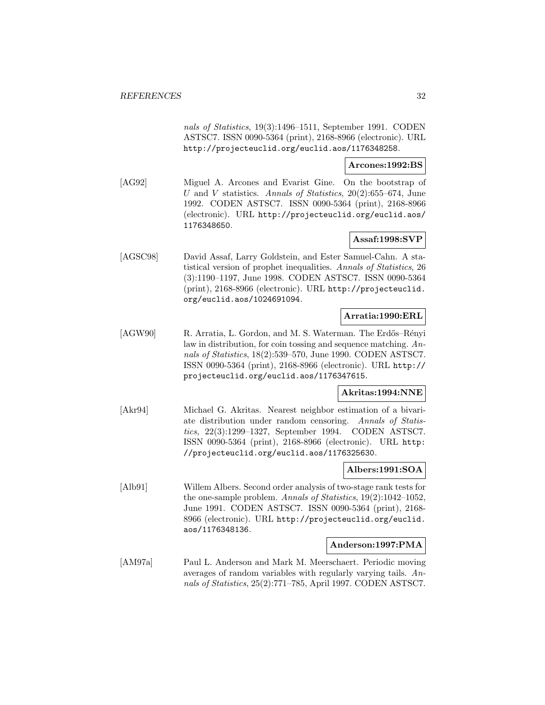nals of Statistics, 19(3):1496–1511, September 1991. CODEN ASTSC7. ISSN 0090-5364 (print), 2168-8966 (electronic). URL http://projecteuclid.org/euclid.aos/1176348258.

## **Arcones:1992:BS**

[AG92] Miguel A. Arcones and Evarist Gine. On the bootstrap of U and V statistics. Annals of Statistics,  $20(2):655-674$ , June 1992. CODEN ASTSC7. ISSN 0090-5364 (print), 2168-8966 (electronic). URL http://projecteuclid.org/euclid.aos/ 1176348650.

# **Assaf:1998:SVP**

[AGSC98] David Assaf, Larry Goldstein, and Ester Samuel-Cahn. A statistical version of prophet inequalities. Annals of Statistics, 26 (3):1190–1197, June 1998. CODEN ASTSC7. ISSN 0090-5364 (print), 2168-8966 (electronic). URL http://projecteuclid. org/euclid.aos/1024691094.

# **Arratia:1990:ERL**

[AGW90] R. Arratia, L. Gordon, and M. S. Waterman. The Erdős–Rényi law in distribution, for coin tossing and sequence matching. Annals of Statistics, 18(2):539–570, June 1990. CODEN ASTSC7. ISSN 0090-5364 (print), 2168-8966 (electronic). URL http:// projecteuclid.org/euclid.aos/1176347615.

# **Akritas:1994:NNE**

[Akr94] Michael G. Akritas. Nearest neighbor estimation of a bivariate distribution under random censoring. Annals of Statistics, 22(3):1299–1327, September 1994. CODEN ASTSC7. ISSN 0090-5364 (print), 2168-8966 (electronic). URL http: //projecteuclid.org/euclid.aos/1176325630.

# **Albers:1991:SOA**

[Alb91] Willem Albers. Second order analysis of two-stage rank tests for the one-sample problem. Annals of Statistics, 19(2):1042–1052, June 1991. CODEN ASTSC7. ISSN 0090-5364 (print), 2168- 8966 (electronic). URL http://projecteuclid.org/euclid. aos/1176348136.

## **Anderson:1997:PMA**

[AM97a] Paul L. Anderson and Mark M. Meerschaert. Periodic moving averages of random variables with regularly varying tails. Annals of Statistics, 25(2):771–785, April 1997. CODEN ASTSC7.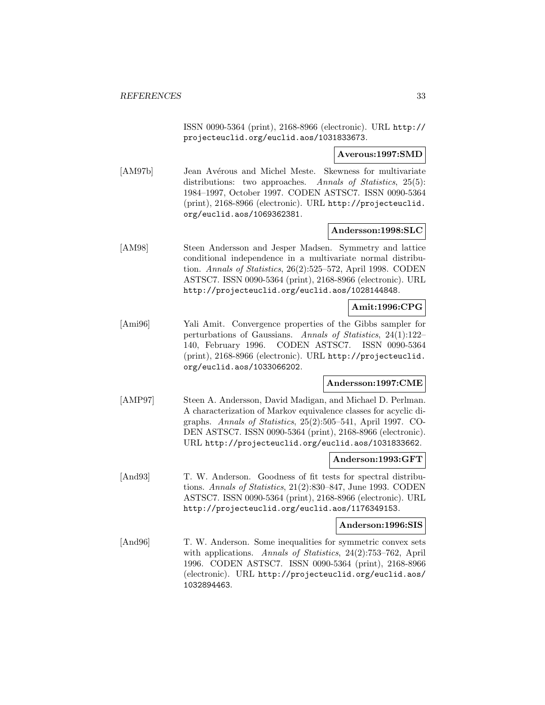ISSN 0090-5364 (print), 2168-8966 (electronic). URL http:// projecteuclid.org/euclid.aos/1031833673.

**Averous:1997:SMD**

[AM97b] Jean Avérous and Michel Meste. Skewness for multivariate distributions: two approaches. Annals of Statistics, 25(5): 1984–1997, October 1997. CODEN ASTSC7. ISSN 0090-5364 (print), 2168-8966 (electronic). URL http://projecteuclid. org/euclid.aos/1069362381.

#### **Andersson:1998:SLC**

[AM98] Steen Andersson and Jesper Madsen. Symmetry and lattice conditional independence in a multivariate normal distribution. Annals of Statistics, 26(2):525–572, April 1998. CODEN ASTSC7. ISSN 0090-5364 (print), 2168-8966 (electronic). URL http://projecteuclid.org/euclid.aos/1028144848.

# **Amit:1996:CPG**

[Ami96] Yali Amit. Convergence properties of the Gibbs sampler for perturbations of Gaussians. Annals of Statistics, 24(1):122– 140, February 1996. CODEN ASTSC7. ISSN 0090-5364 (print), 2168-8966 (electronic). URL http://projecteuclid. org/euclid.aos/1033066202.

# **Andersson:1997:CME**

[AMP97] Steen A. Andersson, David Madigan, and Michael D. Perlman. A characterization of Markov equivalence classes for acyclic digraphs. Annals of Statistics, 25(2):505–541, April 1997. CO-DEN ASTSC7. ISSN 0090-5364 (print), 2168-8966 (electronic). URL http://projecteuclid.org/euclid.aos/1031833662.

#### **Anderson:1993:GFT**

[And93] T. W. Anderson. Goodness of fit tests for spectral distributions. Annals of Statistics, 21(2):830–847, June 1993. CODEN ASTSC7. ISSN 0090-5364 (print), 2168-8966 (electronic). URL http://projecteuclid.org/euclid.aos/1176349153.

#### **Anderson:1996:SIS**

[And96] T. W. Anderson. Some inequalities for symmetric convex sets with applications. Annals of Statistics, 24(2):753–762, April 1996. CODEN ASTSC7. ISSN 0090-5364 (print), 2168-8966 (electronic). URL http://projecteuclid.org/euclid.aos/ 1032894463.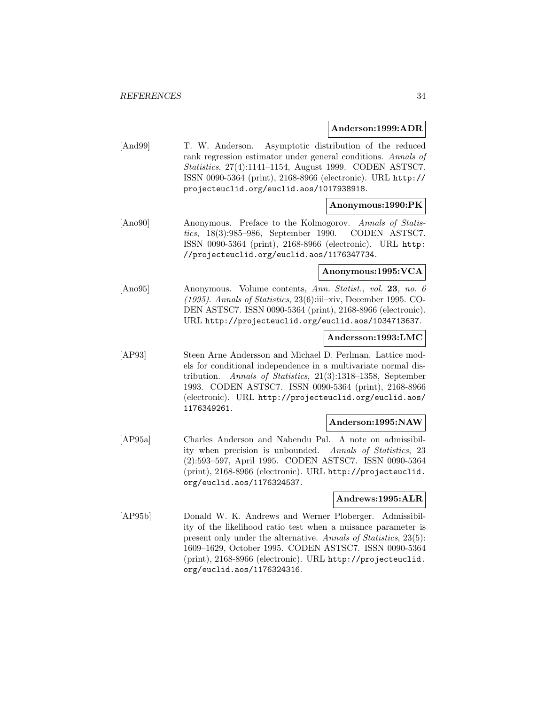#### **Anderson:1999:ADR**

[And99] T. W. Anderson. Asymptotic distribution of the reduced rank regression estimator under general conditions. Annals of Statistics, 27(4):1141–1154, August 1999. CODEN ASTSC7. ISSN 0090-5364 (print), 2168-8966 (electronic). URL http:// projecteuclid.org/euclid.aos/1017938918.

#### **Anonymous:1990:PK**

[Ano90] Anonymous. Preface to the Kolmogorov. Annals of Statistics, 18(3):985–986, September 1990. CODEN ASTSC7. ISSN 0090-5364 (print), 2168-8966 (electronic). URL http: //projecteuclid.org/euclid.aos/1176347734.

## **Anonymous:1995:VCA**

[Ano95] Anonymous. Volume contents, Ann. Statist., vol. **23**, no. 6 (1995). Annals of Statistics, 23(6):iii–xiv, December 1995. CO-DEN ASTSC7. ISSN 0090-5364 (print), 2168-8966 (electronic). URL http://projecteuclid.org/euclid.aos/1034713637.

#### **Andersson:1993:LMC**

[AP93] Steen Arne Andersson and Michael D. Perlman. Lattice models for conditional independence in a multivariate normal distribution. Annals of Statistics, 21(3):1318–1358, September 1993. CODEN ASTSC7. ISSN 0090-5364 (print), 2168-8966 (electronic). URL http://projecteuclid.org/euclid.aos/ 1176349261.

#### **Anderson:1995:NAW**

[AP95a] Charles Anderson and Nabendu Pal. A note on admissibility when precision is unbounded. Annals of Statistics, 23 (2):593–597, April 1995. CODEN ASTSC7. ISSN 0090-5364 (print), 2168-8966 (electronic). URL http://projecteuclid. org/euclid.aos/1176324537.

# **Andrews:1995:ALR**

[AP95b] Donald W. K. Andrews and Werner Ploberger. Admissibility of the likelihood ratio test when a nuisance parameter is present only under the alternative. Annals of Statistics, 23(5): 1609–1629, October 1995. CODEN ASTSC7. ISSN 0090-5364 (print), 2168-8966 (electronic). URL http://projecteuclid. org/euclid.aos/1176324316.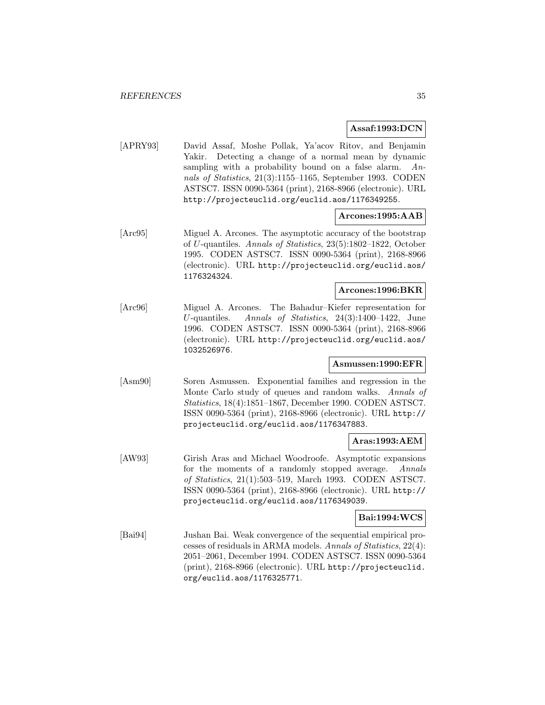## **Assaf:1993:DCN**

[APRY93] David Assaf, Moshe Pollak, Ya'acov Ritov, and Benjamin Yakir. Detecting a change of a normal mean by dynamic sampling with a probability bound on a false alarm. Annals of Statistics, 21(3):1155–1165, September 1993. CODEN ASTSC7. ISSN 0090-5364 (print), 2168-8966 (electronic). URL http://projecteuclid.org/euclid.aos/1176349255.

## **Arcones:1995:AAB**

[Arc95] Miguel A. Arcones. The asymptotic accuracy of the bootstrap of U-quantiles. Annals of Statistics, 23(5):1802–1822, October 1995. CODEN ASTSC7. ISSN 0090-5364 (print), 2168-8966 (electronic). URL http://projecteuclid.org/euclid.aos/ 1176324324.

# **Arcones:1996:BKR**

[Arc96] Miguel A. Arcones. The Bahadur–Kiefer representation for U-quantiles. Annals of Statistics, 24(3):1400–1422, June 1996. CODEN ASTSC7. ISSN 0090-5364 (print), 2168-8966 (electronic). URL http://projecteuclid.org/euclid.aos/ 1032526976.

# **Asmussen:1990:EFR**

[Asm90] Soren Asmussen. Exponential families and regression in the Monte Carlo study of queues and random walks. Annals of Statistics, 18(4):1851–1867, December 1990. CODEN ASTSC7. ISSN 0090-5364 (print), 2168-8966 (electronic). URL http:// projecteuclid.org/euclid.aos/1176347883.

## **Aras:1993:AEM**

[AW93] Girish Aras and Michael Woodroofe. Asymptotic expansions for the moments of a randomly stopped average. Annals of Statistics, 21(1):503–519, March 1993. CODEN ASTSC7. ISSN 0090-5364 (print), 2168-8966 (electronic). URL http:// projecteuclid.org/euclid.aos/1176349039.

#### **Bai:1994:WCS**

[Bai94] Jushan Bai. Weak convergence of the sequential empirical processes of residuals in ARMA models. Annals of Statistics, 22(4): 2051–2061, December 1994. CODEN ASTSC7. ISSN 0090-5364 (print), 2168-8966 (electronic). URL http://projecteuclid. org/euclid.aos/1176325771.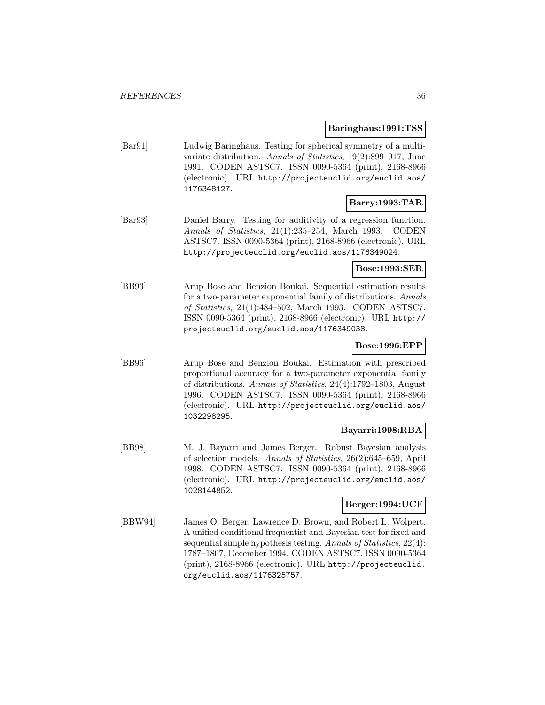#### **Baringhaus:1991:TSS**

[Bar91] Ludwig Baringhaus. Testing for spherical symmetry of a multivariate distribution. Annals of Statistics, 19(2):899–917, June 1991. CODEN ASTSC7. ISSN 0090-5364 (print), 2168-8966 (electronic). URL http://projecteuclid.org/euclid.aos/ 1176348127.

# **Barry:1993:TAR**

[Bar93] Daniel Barry. Testing for additivity of a regression function. Annals of Statistics, 21(1):235–254, March 1993. CODEN ASTSC7. ISSN 0090-5364 (print), 2168-8966 (electronic). URL http://projecteuclid.org/euclid.aos/1176349024.

# **Bose:1993:SER**

[BB93] Arup Bose and Benzion Boukai. Sequential estimation results for a two-parameter exponential family of distributions. Annals of Statistics, 21(1):484–502, March 1993. CODEN ASTSC7. ISSN 0090-5364 (print), 2168-8966 (electronic). URL http:// projecteuclid.org/euclid.aos/1176349038.

# **Bose:1996:EPP**

[BB96] Arup Bose and Benzion Boukai. Estimation with prescribed proportional accuracy for a two-parameter exponential family of distributions. Annals of Statistics, 24(4):1792–1803, August 1996. CODEN ASTSC7. ISSN 0090-5364 (print), 2168-8966 (electronic). URL http://projecteuclid.org/euclid.aos/ 1032298295.

## **Bayarri:1998:RBA**

[BB98] M. J. Bayarri and James Berger. Robust Bayesian analysis of selection models. Annals of Statistics, 26(2):645–659, April 1998. CODEN ASTSC7. ISSN 0090-5364 (print), 2168-8966 (electronic). URL http://projecteuclid.org/euclid.aos/ 1028144852.

# **Berger:1994:UCF**

[BBW94] James O. Berger, Lawrence D. Brown, and Robert L. Wolpert. A unified conditional frequentist and Bayesian test for fixed and sequential simple hypothesis testing. Annals of Statistics, 22(4): 1787–1807, December 1994. CODEN ASTSC7. ISSN 0090-5364 (print), 2168-8966 (electronic). URL http://projecteuclid. org/euclid.aos/1176325757.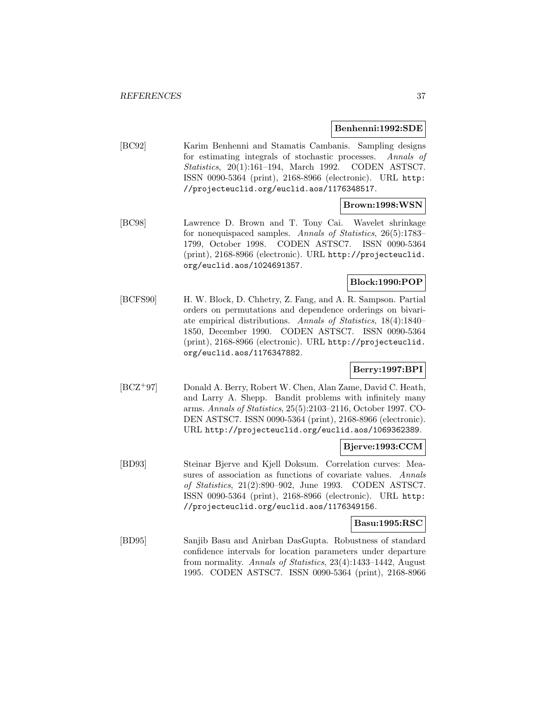#### **Benhenni:1992:SDE**

[BC92] Karim Benhenni and Stamatis Cambanis. Sampling designs for estimating integrals of stochastic processes. Annals of Statistics, 20(1):161–194, March 1992. CODEN ASTSC7. ISSN 0090-5364 (print), 2168-8966 (electronic). URL http: //projecteuclid.org/euclid.aos/1176348517.

## **Brown:1998:WSN**

[BC98] Lawrence D. Brown and T. Tony Cai. Wavelet shrinkage for nonequispaced samples. Annals of Statistics, 26(5):1783– 1799, October 1998. CODEN ASTSC7. ISSN 0090-5364 (print), 2168-8966 (electronic). URL http://projecteuclid. org/euclid.aos/1024691357.

## **Block:1990:POP**

[BCFS90] H. W. Block, D. Chhetry, Z. Fang, and A. R. Sampson. Partial orders on permutations and dependence orderings on bivariate empirical distributions. Annals of Statistics, 18(4):1840– 1850, December 1990. CODEN ASTSC7. ISSN 0090-5364 (print), 2168-8966 (electronic). URL http://projecteuclid. org/euclid.aos/1176347882.

## **Berry:1997:BPI**

[BCZ<sup>+</sup>97] Donald A. Berry, Robert W. Chen, Alan Zame, David C. Heath, and Larry A. Shepp. Bandit problems with infinitely many arms. Annals of Statistics, 25(5):2103–2116, October 1997. CO-DEN ASTSC7. ISSN 0090-5364 (print), 2168-8966 (electronic). URL http://projecteuclid.org/euclid.aos/1069362389.

## **Bjerve:1993:CCM**

[BD93] Steinar Bjerve and Kjell Doksum. Correlation curves: Measures of association as functions of covariate values. Annals of Statistics, 21(2):890–902, June 1993. CODEN ASTSC7. ISSN 0090-5364 (print), 2168-8966 (electronic). URL http: //projecteuclid.org/euclid.aos/1176349156.

#### **Basu:1995:RSC**

[BD95] Sanjib Basu and Anirban DasGupta. Robustness of standard confidence intervals for location parameters under departure from normality. Annals of Statistics, 23(4):1433–1442, August 1995. CODEN ASTSC7. ISSN 0090-5364 (print), 2168-8966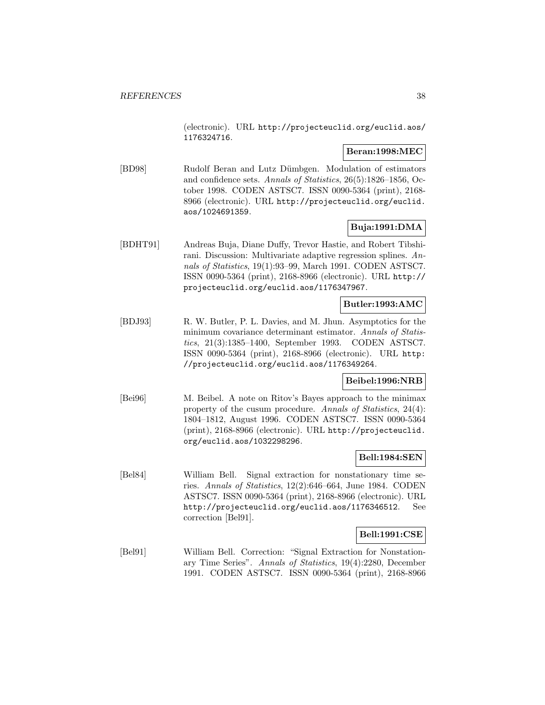(electronic). URL http://projecteuclid.org/euclid.aos/ 1176324716.

## **Beran:1998:MEC**

[BD98] Rudolf Beran and Lutz D¨umbgen. Modulation of estimators and confidence sets. Annals of Statistics, 26(5):1826–1856, October 1998. CODEN ASTSC7. ISSN 0090-5364 (print), 2168- 8966 (electronic). URL http://projecteuclid.org/euclid. aos/1024691359.

# **Buja:1991:DMA**

[BDHT91] Andreas Buja, Diane Duffy, Trevor Hastie, and Robert Tibshirani. Discussion: Multivariate adaptive regression splines. Annals of Statistics, 19(1):93–99, March 1991. CODEN ASTSC7. ISSN 0090-5364 (print), 2168-8966 (electronic). URL http:// projecteuclid.org/euclid.aos/1176347967.

## **Butler:1993:AMC**

[BDJ93] R. W. Butler, P. L. Davies, and M. Jhun. Asymptotics for the minimum covariance determinant estimator. Annals of Statistics, 21(3):1385–1400, September 1993. CODEN ASTSC7. ISSN 0090-5364 (print), 2168-8966 (electronic). URL http: //projecteuclid.org/euclid.aos/1176349264.

## **Beibel:1996:NRB**

[Bei96] M. Beibel. A note on Ritov's Bayes approach to the minimax property of the cusum procedure. Annals of Statistics, 24(4): 1804–1812, August 1996. CODEN ASTSC7. ISSN 0090-5364 (print), 2168-8966 (electronic). URL http://projecteuclid. org/euclid.aos/1032298296.

## **Bell:1984:SEN**

[Bel84] William Bell. Signal extraction for nonstationary time series. Annals of Statistics, 12(2):646–664, June 1984. CODEN ASTSC7. ISSN 0090-5364 (print), 2168-8966 (electronic). URL http://projecteuclid.org/euclid.aos/1176346512. See correction [Bel91].

## **Bell:1991:CSE**

[Bel91] William Bell. Correction: "Signal Extraction for Nonstationary Time Series". Annals of Statistics, 19(4):2280, December 1991. CODEN ASTSC7. ISSN 0090-5364 (print), 2168-8966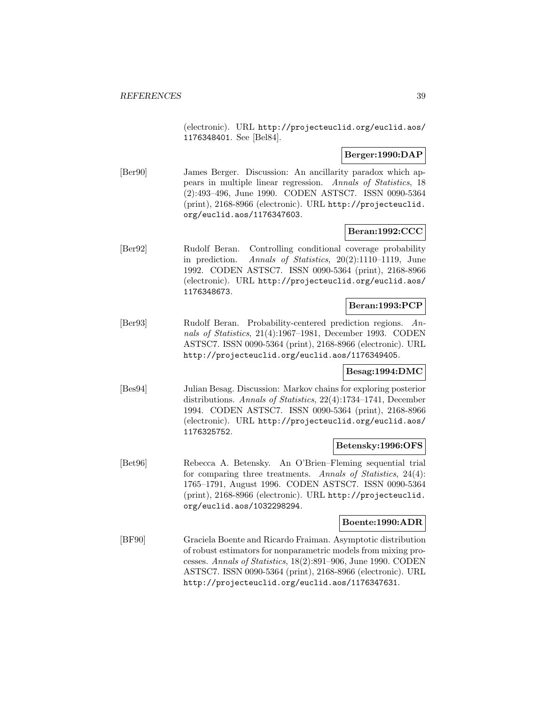(electronic). URL http://projecteuclid.org/euclid.aos/ 1176348401. See [Bel84].

## **Berger:1990:DAP**

[Ber90] James Berger. Discussion: An ancillarity paradox which appears in multiple linear regression. Annals of Statistics, 18 (2):493–496, June 1990. CODEN ASTSC7. ISSN 0090-5364 (print), 2168-8966 (electronic). URL http://projecteuclid. org/euclid.aos/1176347603.

## **Beran:1992:CCC**

[Ber92] Rudolf Beran. Controlling conditional coverage probability in prediction. Annals of Statistics, 20(2):1110–1119, June 1992. CODEN ASTSC7. ISSN 0090-5364 (print), 2168-8966 (electronic). URL http://projecteuclid.org/euclid.aos/ 1176348673.

## **Beran:1993:PCP**

[Ber93] Rudolf Beran. Probability-centered prediction regions. Annals of Statistics, 21(4):1967–1981, December 1993. CODEN ASTSC7. ISSN 0090-5364 (print), 2168-8966 (electronic). URL http://projecteuclid.org/euclid.aos/1176349405.

#### **Besag:1994:DMC**

[Bes94] Julian Besag. Discussion: Markov chains for exploring posterior distributions. Annals of Statistics, 22(4):1734–1741, December 1994. CODEN ASTSC7. ISSN 0090-5364 (print), 2168-8966 (electronic). URL http://projecteuclid.org/euclid.aos/ 1176325752.

## **Betensky:1996:OFS**

[Bet96] Rebecca A. Betensky. An O'Brien–Fleming sequential trial for comparing three treatments. Annals of Statistics, 24(4): 1765–1791, August 1996. CODEN ASTSC7. ISSN 0090-5364 (print), 2168-8966 (electronic). URL http://projecteuclid. org/euclid.aos/1032298294.

## **Boente:1990:ADR**

[BF90] Graciela Boente and Ricardo Fraiman. Asymptotic distribution of robust estimators for nonparametric models from mixing processes. Annals of Statistics, 18(2):891–906, June 1990. CODEN ASTSC7. ISSN 0090-5364 (print), 2168-8966 (electronic). URL http://projecteuclid.org/euclid.aos/1176347631.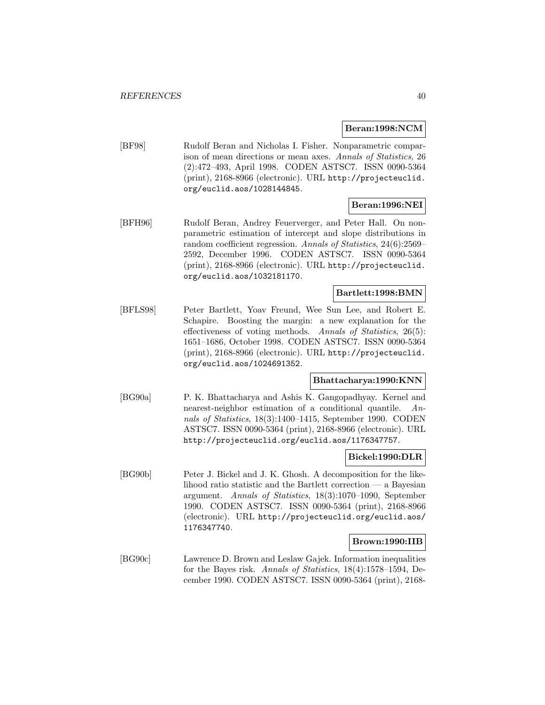#### **Beran:1998:NCM**

[BF98] Rudolf Beran and Nicholas I. Fisher. Nonparametric comparison of mean directions or mean axes. Annals of Statistics, 26 (2):472–493, April 1998. CODEN ASTSC7. ISSN 0090-5364 (print), 2168-8966 (electronic). URL http://projecteuclid. org/euclid.aos/1028144845.

## **Beran:1996:NEI**

[BFH96] Rudolf Beran, Andrey Feuerverger, and Peter Hall. On nonparametric estimation of intercept and slope distributions in random coefficient regression. Annals of Statistics, 24(6):2569– 2592, December 1996. CODEN ASTSC7. ISSN 0090-5364 (print), 2168-8966 (electronic). URL http://projecteuclid. org/euclid.aos/1032181170.

## **Bartlett:1998:BMN**

[BFLS98] Peter Bartlett, Yoav Freund, Wee Sun Lee, and Robert E. Schapire. Boosting the margin: a new explanation for the effectiveness of voting methods. Annals of Statistics, 26(5): 1651–1686, October 1998. CODEN ASTSC7. ISSN 0090-5364 (print), 2168-8966 (electronic). URL http://projecteuclid. org/euclid.aos/1024691352.

#### **Bhattacharya:1990:KNN**

[BG90a] P. K. Bhattacharya and Ashis K. Gangopadhyay. Kernel and nearest-neighbor estimation of a conditional quantile. Annals of Statistics, 18(3):1400–1415, September 1990. CODEN ASTSC7. ISSN 0090-5364 (print), 2168-8966 (electronic). URL http://projecteuclid.org/euclid.aos/1176347757.

#### **Bickel:1990:DLR**

[BG90b] Peter J. Bickel and J. K. Ghosh. A decomposition for the likelihood ratio statistic and the Bartlett correction — a Bayesian argument. Annals of Statistics, 18(3):1070–1090, September 1990. CODEN ASTSC7. ISSN 0090-5364 (print), 2168-8966 (electronic). URL http://projecteuclid.org/euclid.aos/ 1176347740.

#### **Brown:1990:IIB**

[BG90c] Lawrence D. Brown and Leslaw Gajek. Information inequalities for the Bayes risk. Annals of Statistics, 18(4):1578–1594, December 1990. CODEN ASTSC7. ISSN 0090-5364 (print), 2168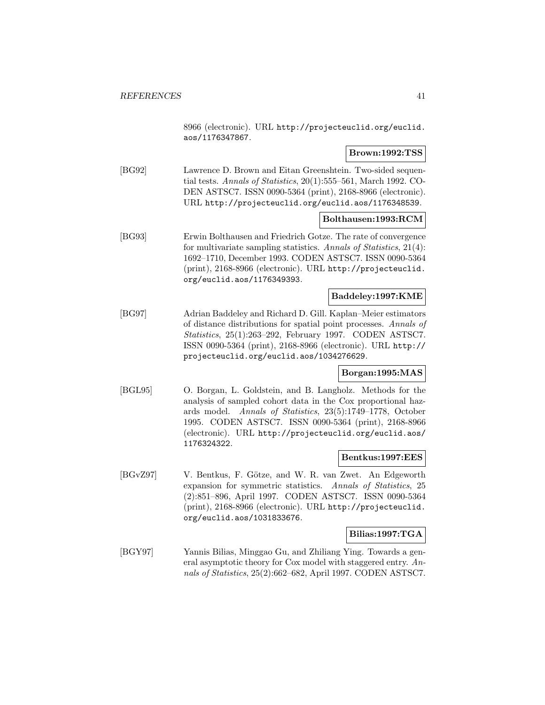8966 (electronic). URL http://projecteuclid.org/euclid. aos/1176347867.

## **Brown:1992:TSS**

[BG92] Lawrence D. Brown and Eitan Greenshtein. Two-sided sequential tests. Annals of Statistics, 20(1):555–561, March 1992. CO-DEN ASTSC7. ISSN 0090-5364 (print), 2168-8966 (electronic). URL http://projecteuclid.org/euclid.aos/1176348539.

#### **Bolthausen:1993:RCM**

[BG93] Erwin Bolthausen and Friedrich Gotze. The rate of convergence for multivariate sampling statistics. Annals of Statistics, 21(4): 1692–1710, December 1993. CODEN ASTSC7. ISSN 0090-5364 (print), 2168-8966 (electronic). URL http://projecteuclid. org/euclid.aos/1176349393.

## **Baddeley:1997:KME**

[BG97] Adrian Baddeley and Richard D. Gill. Kaplan–Meier estimators of distance distributions for spatial point processes. Annals of Statistics, 25(1):263–292, February 1997. CODEN ASTSC7. ISSN 0090-5364 (print), 2168-8966 (electronic). URL http:// projecteuclid.org/euclid.aos/1034276629.

#### **Borgan:1995:MAS**

[BGL95] O. Borgan, L. Goldstein, and B. Langholz. Methods for the analysis of sampled cohort data in the Cox proportional hazards model. Annals of Statistics, 23(5):1749–1778, October 1995. CODEN ASTSC7. ISSN 0090-5364 (print), 2168-8966 (electronic). URL http://projecteuclid.org/euclid.aos/ 1176324322.

#### **Bentkus:1997:EES**

[BGvZ97] V. Bentkus, F. Götze, and W. R. van Zwet. An Edgeworth expansion for symmetric statistics. Annals of Statistics, 25 (2):851–896, April 1997. CODEN ASTSC7. ISSN 0090-5364 (print), 2168-8966 (electronic). URL http://projecteuclid. org/euclid.aos/1031833676.

#### **Bilias:1997:TGA**

[BGY97] Yannis Bilias, Minggao Gu, and Zhiliang Ying. Towards a general asymptotic theory for Cox model with staggered entry. Annals of Statistics, 25(2):662–682, April 1997. CODEN ASTSC7.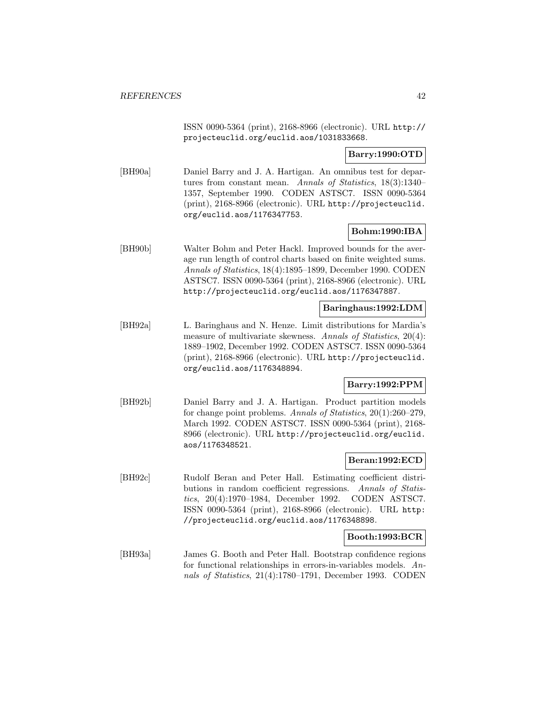ISSN 0090-5364 (print), 2168-8966 (electronic). URL http:// projecteuclid.org/euclid.aos/1031833668.

**Barry:1990:OTD**

[BH90a] Daniel Barry and J. A. Hartigan. An omnibus test for departures from constant mean. Annals of Statistics, 18(3):1340– 1357, September 1990. CODEN ASTSC7. ISSN 0090-5364 (print), 2168-8966 (electronic). URL http://projecteuclid. org/euclid.aos/1176347753.

## **Bohm:1990:IBA**

[BH90b] Walter Bohm and Peter Hackl. Improved bounds for the average run length of control charts based on finite weighted sums. Annals of Statistics, 18(4):1895–1899, December 1990. CODEN ASTSC7. ISSN 0090-5364 (print), 2168-8966 (electronic). URL http://projecteuclid.org/euclid.aos/1176347887.

## **Baringhaus:1992:LDM**

[BH92a] L. Baringhaus and N. Henze. Limit distributions for Mardia's measure of multivariate skewness. Annals of Statistics, 20(4): 1889–1902, December 1992. CODEN ASTSC7. ISSN 0090-5364 (print), 2168-8966 (electronic). URL http://projecteuclid. org/euclid.aos/1176348894.

## **Barry:1992:PPM**

[BH92b] Daniel Barry and J. A. Hartigan. Product partition models for change point problems. Annals of Statistics, 20(1):260–279, March 1992. CODEN ASTSC7. ISSN 0090-5364 (print), 2168- 8966 (electronic). URL http://projecteuclid.org/euclid. aos/1176348521.

## **Beran:1992:ECD**

[BH92c] Rudolf Beran and Peter Hall. Estimating coefficient distributions in random coefficient regressions. Annals of Statistics, 20(4):1970–1984, December 1992. CODEN ASTSC7. ISSN 0090-5364 (print), 2168-8966 (electronic). URL http: //projecteuclid.org/euclid.aos/1176348898.

## **Booth:1993:BCR**

[BH93a] James G. Booth and Peter Hall. Bootstrap confidence regions for functional relationships in errors-in-variables models. Annals of Statistics, 21(4):1780–1791, December 1993. CODEN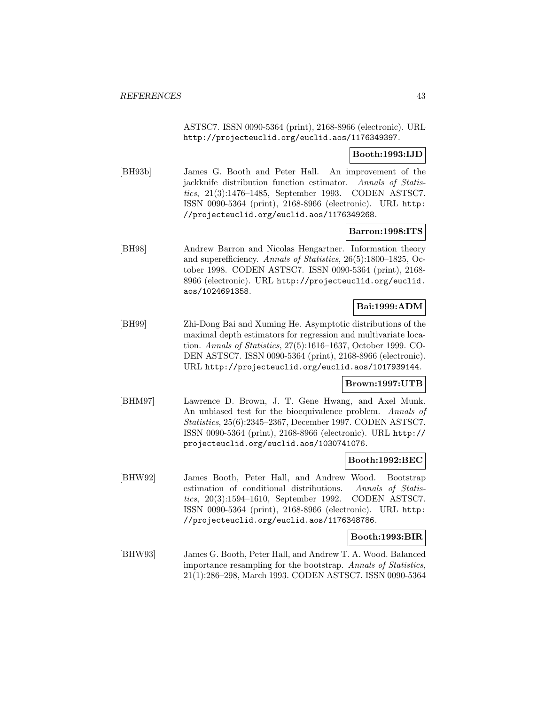ASTSC7. ISSN 0090-5364 (print), 2168-8966 (electronic). URL http://projecteuclid.org/euclid.aos/1176349397.

## **Booth:1993:IJD**

[BH93b] James G. Booth and Peter Hall. An improvement of the jackknife distribution function estimator. Annals of Statistics, 21(3):1476–1485, September 1993. CODEN ASTSC7. ISSN 0090-5364 (print), 2168-8966 (electronic). URL http: //projecteuclid.org/euclid.aos/1176349268.

## **Barron:1998:ITS**

[BH98] Andrew Barron and Nicolas Hengartner. Information theory and superefficiency. Annals of Statistics, 26(5):1800–1825, October 1998. CODEN ASTSC7. ISSN 0090-5364 (print), 2168- 8966 (electronic). URL http://projecteuclid.org/euclid. aos/1024691358.

## **Bai:1999:ADM**

[BH99] Zhi-Dong Bai and Xuming He. Asymptotic distributions of the maximal depth estimators for regression and multivariate location. Annals of Statistics, 27(5):1616–1637, October 1999. CO-DEN ASTSC7. ISSN 0090-5364 (print), 2168-8966 (electronic). URL http://projecteuclid.org/euclid.aos/1017939144.

## **Brown:1997:UTB**

[BHM97] Lawrence D. Brown, J. T. Gene Hwang, and Axel Munk. An unbiased test for the bioequivalence problem. Annals of Statistics, 25(6):2345–2367, December 1997. CODEN ASTSC7. ISSN 0090-5364 (print), 2168-8966 (electronic). URL http:// projecteuclid.org/euclid.aos/1030741076.

#### **Booth:1992:BEC**

[BHW92] James Booth, Peter Hall, and Andrew Wood. Bootstrap estimation of conditional distributions. Annals of Statistics, 20(3):1594–1610, September 1992. CODEN ASTSC7. ISSN 0090-5364 (print), 2168-8966 (electronic). URL http: //projecteuclid.org/euclid.aos/1176348786.

## **Booth:1993:BIR**

[BHW93] James G. Booth, Peter Hall, and Andrew T. A. Wood. Balanced importance resampling for the bootstrap. Annals of Statistics, 21(1):286–298, March 1993. CODEN ASTSC7. ISSN 0090-5364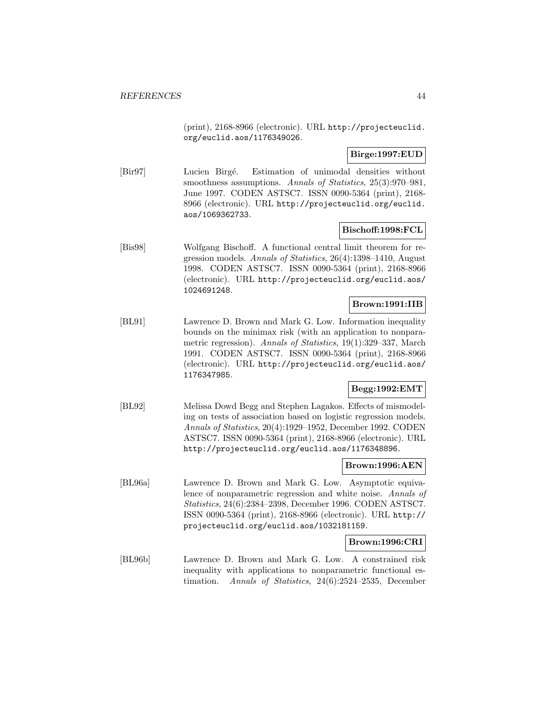(print), 2168-8966 (electronic). URL http://projecteuclid. org/euclid.aos/1176349026.

## **Birge:1997:EUD**

[Bir97] Lucien Birgé. Estimation of unimodal densities without smoothness assumptions. Annals of Statistics, 25(3):970–981, June 1997. CODEN ASTSC7. ISSN 0090-5364 (print), 2168- 8966 (electronic). URL http://projecteuclid.org/euclid. aos/1069362733.

## **Bischoff:1998:FCL**

[Bis98] Wolfgang Bischoff. A functional central limit theorem for regression models. Annals of Statistics, 26(4):1398–1410, August 1998. CODEN ASTSC7. ISSN 0090-5364 (print), 2168-8966 (electronic). URL http://projecteuclid.org/euclid.aos/ 1024691248.

## **Brown:1991:IIB**

[BL91] Lawrence D. Brown and Mark G. Low. Information inequality bounds on the minimax risk (with an application to nonparametric regression). Annals of Statistics, 19(1):329–337, March 1991. CODEN ASTSC7. ISSN 0090-5364 (print), 2168-8966 (electronic). URL http://projecteuclid.org/euclid.aos/ 1176347985.

## **Begg:1992:EMT**

[BL92] Melissa Dowd Begg and Stephen Lagakos. Effects of mismodeling on tests of association based on logistic regression models. Annals of Statistics, 20(4):1929–1952, December 1992. CODEN ASTSC7. ISSN 0090-5364 (print), 2168-8966 (electronic). URL http://projecteuclid.org/euclid.aos/1176348896.

#### **Brown:1996:AEN**

[BL96a] Lawrence D. Brown and Mark G. Low. Asymptotic equivalence of nonparametric regression and white noise. Annals of Statistics, 24(6):2384–2398, December 1996. CODEN ASTSC7. ISSN 0090-5364 (print), 2168-8966 (electronic). URL http:// projecteuclid.org/euclid.aos/1032181159.

## **Brown:1996:CRI**

[BL96b] Lawrence D. Brown and Mark G. Low. A constrained risk inequality with applications to nonparametric functional estimation. Annals of Statistics, 24(6):2524–2535, December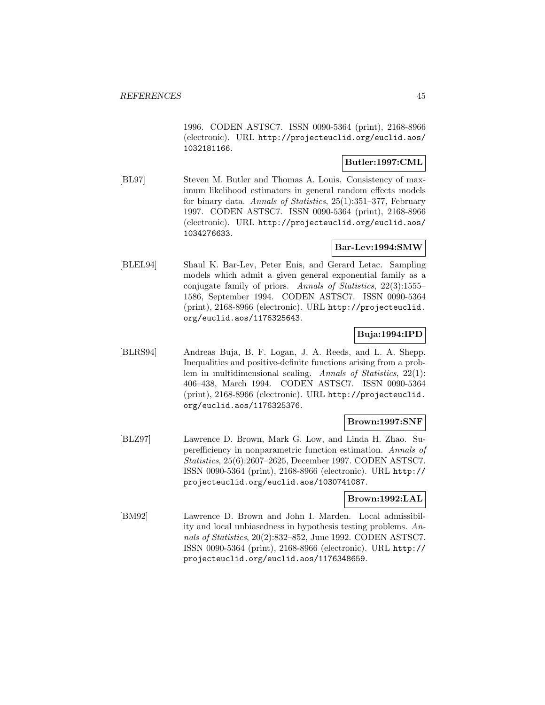1996. CODEN ASTSC7. ISSN 0090-5364 (print), 2168-8966 (electronic). URL http://projecteuclid.org/euclid.aos/ 1032181166.

## **Butler:1997:CML**

[BL97] Steven M. Butler and Thomas A. Louis. Consistency of maximum likelihood estimators in general random effects models for binary data. Annals of Statistics, 25(1):351–377, February 1997. CODEN ASTSC7. ISSN 0090-5364 (print), 2168-8966 (electronic). URL http://projecteuclid.org/euclid.aos/ 1034276633.

## **Bar-Lev:1994:SMW**

[BLEL94] Shaul K. Bar-Lev, Peter Enis, and Gerard Letac. Sampling models which admit a given general exponential family as a conjugate family of priors. Annals of Statistics, 22(3):1555– 1586, September 1994. CODEN ASTSC7. ISSN 0090-5364 (print), 2168-8966 (electronic). URL http://projecteuclid. org/euclid.aos/1176325643.

## **Buja:1994:IPD**

[BLRS94] Andreas Buja, B. F. Logan, J. A. Reeds, and L. A. Shepp. Inequalities and positive-definite functions arising from a problem in multidimensional scaling. Annals of Statistics, 22(1): 406–438, March 1994. CODEN ASTSC7. ISSN 0090-5364 (print), 2168-8966 (electronic). URL http://projecteuclid. org/euclid.aos/1176325376.

## **Brown:1997:SNF**

[BLZ97] Lawrence D. Brown, Mark G. Low, and Linda H. Zhao. Superefficiency in nonparametric function estimation. Annals of Statistics, 25(6):2607–2625, December 1997. CODEN ASTSC7. ISSN 0090-5364 (print), 2168-8966 (electronic). URL http:// projecteuclid.org/euclid.aos/1030741087.

# **Brown:1992:LAL**

[BM92] Lawrence D. Brown and John I. Marden. Local admissibility and local unbiasedness in hypothesis testing problems. Annals of Statistics, 20(2):832–852, June 1992. CODEN ASTSC7. ISSN 0090-5364 (print), 2168-8966 (electronic). URL http:// projecteuclid.org/euclid.aos/1176348659.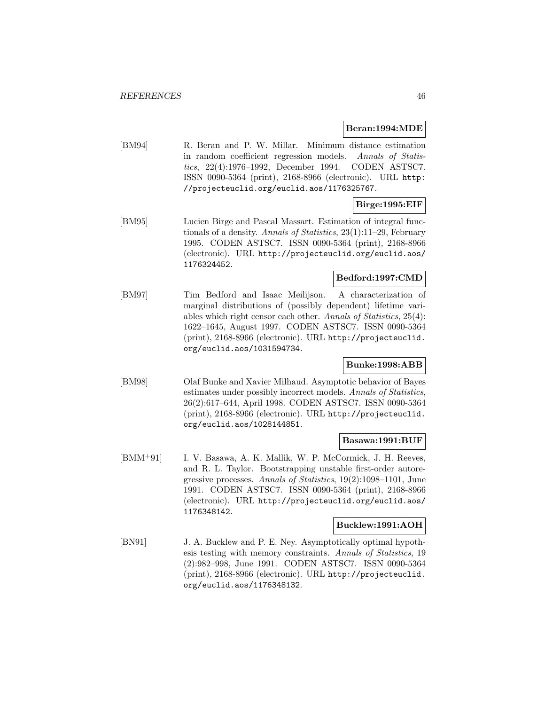#### **Beran:1994:MDE**

[BM94] R. Beran and P. W. Millar. Minimum distance estimation in random coefficient regression models. Annals of Statistics, 22(4):1976–1992, December 1994. CODEN ASTSC7. ISSN 0090-5364 (print), 2168-8966 (electronic). URL http: //projecteuclid.org/euclid.aos/1176325767.

# **Birge:1995:EIF**

[BM95] Lucien Birge and Pascal Massart. Estimation of integral functionals of a density. Annals of Statistics, 23(1):11–29, February 1995. CODEN ASTSC7. ISSN 0090-5364 (print), 2168-8966 (electronic). URL http://projecteuclid.org/euclid.aos/ 1176324452.

## **Bedford:1997:CMD**

[BM97] Tim Bedford and Isaac Meilijson. A characterization of marginal distributions of (possibly dependent) lifetime variables which right censor each other. Annals of Statistics, 25(4): 1622–1645, August 1997. CODEN ASTSC7. ISSN 0090-5364 (print), 2168-8966 (electronic). URL http://projecteuclid. org/euclid.aos/1031594734.

## **Bunke:1998:ABB**

[BM98] Olaf Bunke and Xavier Milhaud. Asymptotic behavior of Bayes estimates under possibly incorrect models. Annals of Statistics, 26(2):617–644, April 1998. CODEN ASTSC7. ISSN 0090-5364 (print), 2168-8966 (electronic). URL http://projecteuclid. org/euclid.aos/1028144851.

#### **Basawa:1991:BUF**

[BMM<sup>+</sup>91] I. V. Basawa, A. K. Mallik, W. P. McCormick, J. H. Reeves, and R. L. Taylor. Bootstrapping unstable first-order autoregressive processes. Annals of Statistics, 19(2):1098–1101, June 1991. CODEN ASTSC7. ISSN 0090-5364 (print), 2168-8966 (electronic). URL http://projecteuclid.org/euclid.aos/ 1176348142.

#### **Bucklew:1991:AOH**

[BN91] J. A. Bucklew and P. E. Ney. Asymptotically optimal hypothesis testing with memory constraints. Annals of Statistics, 19 (2):982–998, June 1991. CODEN ASTSC7. ISSN 0090-5364 (print), 2168-8966 (electronic). URL http://projecteuclid. org/euclid.aos/1176348132.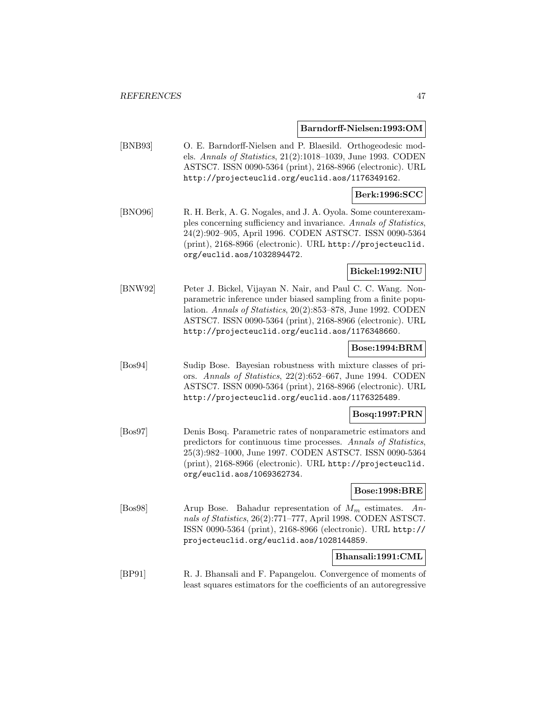**Barndorff-Nielsen:1993:OM**

[BNB93] O. E. Barndorff-Nielsen and P. Blaesild. Orthogeodesic models. Annals of Statistics, 21(2):1018–1039, June 1993. CODEN ASTSC7. ISSN 0090-5364 (print), 2168-8966 (electronic). URL http://projecteuclid.org/euclid.aos/1176349162.

#### **Berk:1996:SCC**

[BNO96] R. H. Berk, A. G. Nogales, and J. A. Oyola. Some counterexamples concerning sufficiency and invariance. Annals of Statistics, 24(2):902–905, April 1996. CODEN ASTSC7. ISSN 0090-5364 (print), 2168-8966 (electronic). URL http://projecteuclid. org/euclid.aos/1032894472.

**Bickel:1992:NIU**

[BNW92] Peter J. Bickel, Vijayan N. Nair, and Paul C. C. Wang. Nonparametric inference under biased sampling from a finite population. Annals of Statistics, 20(2):853–878, June 1992. CODEN ASTSC7. ISSN 0090-5364 (print), 2168-8966 (electronic). URL http://projecteuclid.org/euclid.aos/1176348660.

## **Bose:1994:BRM**

[Bos94] Sudip Bose. Bayesian robustness with mixture classes of priors. Annals of Statistics, 22(2):652–667, June 1994. CODEN ASTSC7. ISSN 0090-5364 (print), 2168-8966 (electronic). URL http://projecteuclid.org/euclid.aos/1176325489.

## **Bosq:1997:PRN**

[Bos97] Denis Bosq. Parametric rates of nonparametric estimators and predictors for continuous time processes. Annals of Statistics, 25(3):982–1000, June 1997. CODEN ASTSC7. ISSN 0090-5364 (print), 2168-8966 (electronic). URL http://projecteuclid. org/euclid.aos/1069362734.

## **Bose:1998:BRE**

[Bos98] Arup Bose. Bahadur representation of  $M_m$  estimates. Annals of Statistics, 26(2):771–777, April 1998. CODEN ASTSC7. ISSN 0090-5364 (print), 2168-8966 (electronic). URL http:// projecteuclid.org/euclid.aos/1028144859.

#### **Bhansali:1991:CML**

[BP91] R. J. Bhansali and F. Papangelou. Convergence of moments of least squares estimators for the coefficients of an autoregressive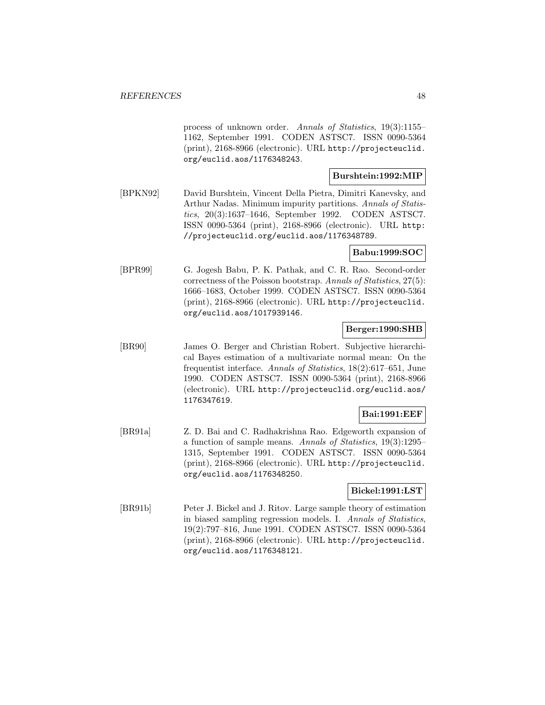process of unknown order. Annals of Statistics, 19(3):1155– 1162, September 1991. CODEN ASTSC7. ISSN 0090-5364 (print), 2168-8966 (electronic). URL http://projecteuclid. org/euclid.aos/1176348243.

## **Burshtein:1992:MIP**

[BPKN92] David Burshtein, Vincent Della Pietra, Dimitri Kanevsky, and Arthur Nadas. Minimum impurity partitions. Annals of Statistics, 20(3):1637–1646, September 1992. CODEN ASTSC7. ISSN 0090-5364 (print), 2168-8966 (electronic). URL http: //projecteuclid.org/euclid.aos/1176348789.

## **Babu:1999:SOC**

[BPR99] G. Jogesh Babu, P. K. Pathak, and C. R. Rao. Second-order correctness of the Poisson bootstrap. Annals of Statistics, 27(5): 1666–1683, October 1999. CODEN ASTSC7. ISSN 0090-5364 (print), 2168-8966 (electronic). URL http://projecteuclid. org/euclid.aos/1017939146.

## **Berger:1990:SHB**

[BR90] James O. Berger and Christian Robert. Subjective hierarchical Bayes estimation of a multivariate normal mean: On the frequentist interface. Annals of Statistics, 18(2):617–651, June 1990. CODEN ASTSC7. ISSN 0090-5364 (print), 2168-8966 (electronic). URL http://projecteuclid.org/euclid.aos/ 1176347619.

## **Bai:1991:EEF**

[BR91a] Z. D. Bai and C. Radhakrishna Rao. Edgeworth expansion of a function of sample means. Annals of Statistics, 19(3):1295– 1315, September 1991. CODEN ASTSC7. ISSN 0090-5364 (print), 2168-8966 (electronic). URL http://projecteuclid. org/euclid.aos/1176348250.

## **Bickel:1991:LST**

[BR91b] Peter J. Bickel and J. Ritov. Large sample theory of estimation in biased sampling regression models. I. Annals of Statistics, 19(2):797–816, June 1991. CODEN ASTSC7. ISSN 0090-5364 (print), 2168-8966 (electronic). URL http://projecteuclid. org/euclid.aos/1176348121.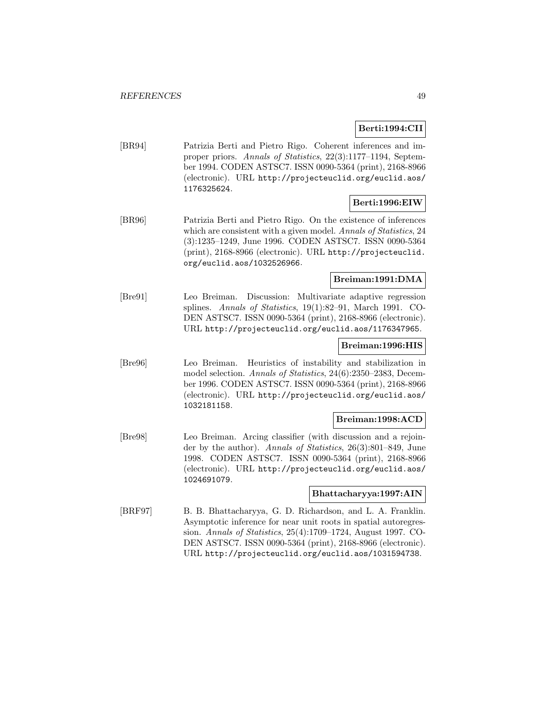## **Berti:1994:CII**

[BR94] Patrizia Berti and Pietro Rigo. Coherent inferences and improper priors. Annals of Statistics, 22(3):1177–1194, September 1994. CODEN ASTSC7. ISSN 0090-5364 (print), 2168-8966 (electronic). URL http://projecteuclid.org/euclid.aos/ 1176325624.

## **Berti:1996:EIW**

[BR96] Patrizia Berti and Pietro Rigo. On the existence of inferences which are consistent with a given model. Annals of Statistics, 24 (3):1235–1249, June 1996. CODEN ASTSC7. ISSN 0090-5364 (print), 2168-8966 (electronic). URL http://projecteuclid. org/euclid.aos/1032526966.

## **Breiman:1991:DMA**

[Bre91] Leo Breiman. Discussion: Multivariate adaptive regression splines. Annals of Statistics, 19(1):82–91, March 1991. CO-DEN ASTSC7. ISSN 0090-5364 (print), 2168-8966 (electronic). URL http://projecteuclid.org/euclid.aos/1176347965.

#### **Breiman:1996:HIS**

[Bre96] Leo Breiman. Heuristics of instability and stabilization in model selection. Annals of Statistics, 24(6):2350–2383, December 1996. CODEN ASTSC7. ISSN 0090-5364 (print), 2168-8966 (electronic). URL http://projecteuclid.org/euclid.aos/ 1032181158.

## **Breiman:1998:ACD**

[Bre98] Leo Breiman. Arcing classifier (with discussion and a rejoinder by the author). Annals of Statistics, 26(3):801–849, June 1998. CODEN ASTSC7. ISSN 0090-5364 (print), 2168-8966 (electronic). URL http://projecteuclid.org/euclid.aos/ 1024691079.

#### **Bhattacharyya:1997:AIN**

[BRF97] B. B. Bhattacharyya, G. D. Richardson, and L. A. Franklin. Asymptotic inference for near unit roots in spatial autoregression. Annals of Statistics, 25(4):1709–1724, August 1997. CO-DEN ASTSC7. ISSN 0090-5364 (print), 2168-8966 (electronic). URL http://projecteuclid.org/euclid.aos/1031594738.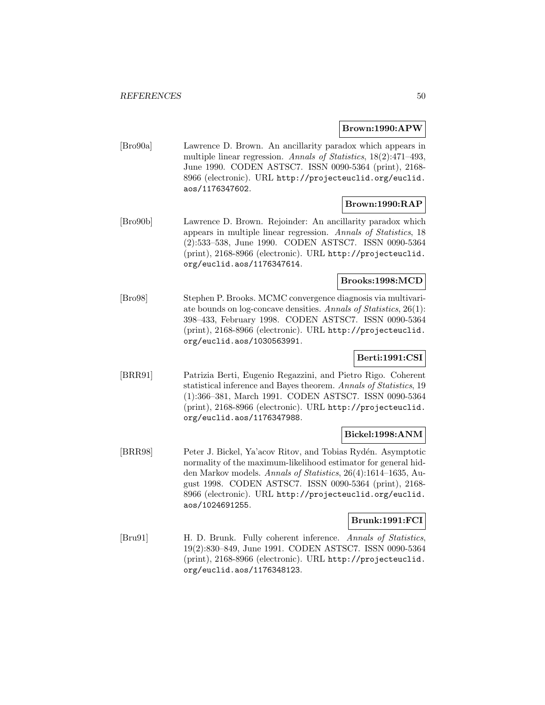#### **Brown:1990:APW**

[Bro90a] Lawrence D. Brown. An ancillarity paradox which appears in multiple linear regression. Annals of Statistics, 18(2):471-493, June 1990. CODEN ASTSC7. ISSN 0090-5364 (print), 2168- 8966 (electronic). URL http://projecteuclid.org/euclid. aos/1176347602.

## **Brown:1990:RAP**

[Bro90b] Lawrence D. Brown. Rejoinder: An ancillarity paradox which appears in multiple linear regression. Annals of Statistics, 18 (2):533–538, June 1990. CODEN ASTSC7. ISSN 0090-5364 (print), 2168-8966 (electronic). URL http://projecteuclid. org/euclid.aos/1176347614.

#### **Brooks:1998:MCD**

[Bro98] Stephen P. Brooks. MCMC convergence diagnosis via multivariate bounds on log-concave densities. Annals of Statistics, 26(1): 398–433, February 1998. CODEN ASTSC7. ISSN 0090-5364 (print), 2168-8966 (electronic). URL http://projecteuclid. org/euclid.aos/1030563991.

## **Berti:1991:CSI**

[BRR91] Patrizia Berti, Eugenio Regazzini, and Pietro Rigo. Coherent statistical inference and Bayes theorem. Annals of Statistics, 19 (1):366–381, March 1991. CODEN ASTSC7. ISSN 0090-5364 (print), 2168-8966 (electronic). URL http://projecteuclid. org/euclid.aos/1176347988.

#### **Bickel:1998:ANM**

[BRR98] Peter J. Bickel, Ya'acov Ritov, and Tobias Rydén. Asymptotic normality of the maximum-likelihood estimator for general hidden Markov models. Annals of Statistics, 26(4):1614–1635, August 1998. CODEN ASTSC7. ISSN 0090-5364 (print), 2168- 8966 (electronic). URL http://projecteuclid.org/euclid. aos/1024691255.

#### **Brunk:1991:FCI**

[Bru91] H. D. Brunk. Fully coherent inference. Annals of Statistics, 19(2):830–849, June 1991. CODEN ASTSC7. ISSN 0090-5364 (print), 2168-8966 (electronic). URL http://projecteuclid. org/euclid.aos/1176348123.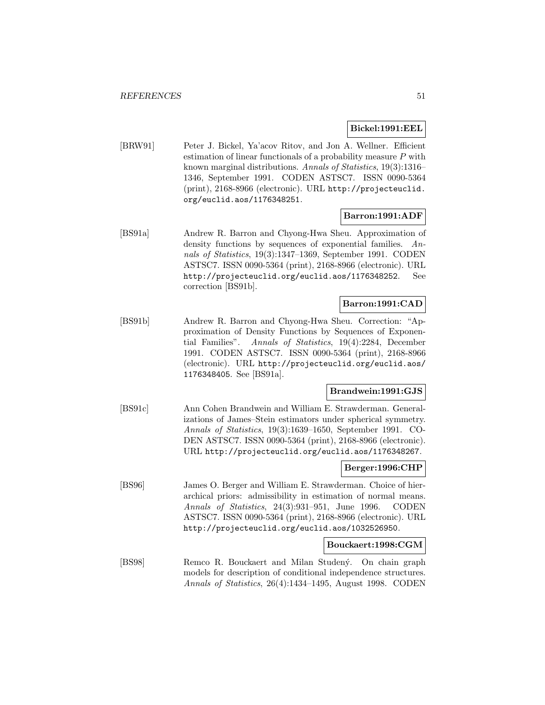#### **Bickel:1991:EEL**

[BRW91] Peter J. Bickel, Ya'acov Ritov, and Jon A. Wellner. Efficient estimation of linear functionals of a probability measure P with known marginal distributions. Annals of Statistics, 19(3):1316– 1346, September 1991. CODEN ASTSC7. ISSN 0090-5364 (print), 2168-8966 (electronic). URL http://projecteuclid. org/euclid.aos/1176348251.

## **Barron:1991:ADF**

[BS91a] Andrew R. Barron and Chyong-Hwa Sheu. Approximation of density functions by sequences of exponential families. Annals of Statistics, 19(3):1347–1369, September 1991. CODEN ASTSC7. ISSN 0090-5364 (print), 2168-8966 (electronic). URL http://projecteuclid.org/euclid.aos/1176348252. See correction [BS91b].

## **Barron:1991:CAD**

[BS91b] Andrew R. Barron and Chyong-Hwa Sheu. Correction: "Approximation of Density Functions by Sequences of Exponential Families". Annals of Statistics, 19(4):2284, December 1991. CODEN ASTSC7. ISSN 0090-5364 (print), 2168-8966 (electronic). URL http://projecteuclid.org/euclid.aos/ 1176348405. See [BS91a].

## **Brandwein:1991:GJS**

[BS91c] Ann Cohen Brandwein and William E. Strawderman. Generalizations of James–Stein estimators under spherical symmetry. Annals of Statistics, 19(3):1639–1650, September 1991. CO-DEN ASTSC7. ISSN 0090-5364 (print), 2168-8966 (electronic). URL http://projecteuclid.org/euclid.aos/1176348267.

## **Berger:1996:CHP**

[BS96] James O. Berger and William E. Strawderman. Choice of hierarchical priors: admissibility in estimation of normal means. Annals of Statistics, 24(3):931–951, June 1996. CODEN ASTSC7. ISSN 0090-5364 (print), 2168-8966 (electronic). URL http://projecteuclid.org/euclid.aos/1032526950.

#### **Bouckaert:1998:CGM**

[BS98] Remco R. Bouckaert and Milan Studený. On chain graph models for description of conditional independence structures. Annals of Statistics, 26(4):1434–1495, August 1998. CODEN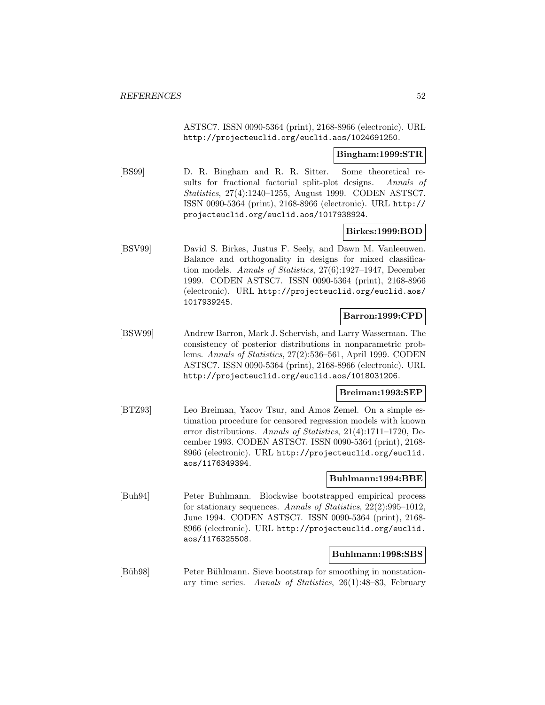ASTSC7. ISSN 0090-5364 (print), 2168-8966 (electronic). URL http://projecteuclid.org/euclid.aos/1024691250.

#### **Bingham:1999:STR**

[BS99] D. R. Bingham and R. R. Sitter. Some theoretical results for fractional factorial split-plot designs. Annals of Statistics, 27(4):1240–1255, August 1999. CODEN ASTSC7. ISSN 0090-5364 (print), 2168-8966 (electronic). URL http:// projecteuclid.org/euclid.aos/1017938924.

## **Birkes:1999:BOD**

[BSV99] David S. Birkes, Justus F. Seely, and Dawn M. Vanleeuwen. Balance and orthogonality in designs for mixed classification models. Annals of Statistics, 27(6):1927–1947, December 1999. CODEN ASTSC7. ISSN 0090-5364 (print), 2168-8966 (electronic). URL http://projecteuclid.org/euclid.aos/ 1017939245.

#### **Barron:1999:CPD**

[BSW99] Andrew Barron, Mark J. Schervish, and Larry Wasserman. The consistency of posterior distributions in nonparametric problems. Annals of Statistics, 27(2):536–561, April 1999. CODEN ASTSC7. ISSN 0090-5364 (print), 2168-8966 (electronic). URL http://projecteuclid.org/euclid.aos/1018031206.

## **Breiman:1993:SEP**

[BTZ93] Leo Breiman, Yacov Tsur, and Amos Zemel. On a simple estimation procedure for censored regression models with known error distributions. Annals of Statistics, 21(4):1711–1720, December 1993. CODEN ASTSC7. ISSN 0090-5364 (print), 2168- 8966 (electronic). URL http://projecteuclid.org/euclid. aos/1176349394.

#### **Buhlmann:1994:BBE**

[Buh94] Peter Buhlmann. Blockwise bootstrapped empirical process for stationary sequences. Annals of Statistics, 22(2):995–1012, June 1994. CODEN ASTSC7. ISSN 0090-5364 (print), 2168- 8966 (electronic). URL http://projecteuclid.org/euclid. aos/1176325508.

#### **Buhlmann:1998:SBS**

[Büh98] Peter Bühlmann. Sieve bootstrap for smoothing in nonstationary time series. Annals of Statistics, 26(1):48–83, February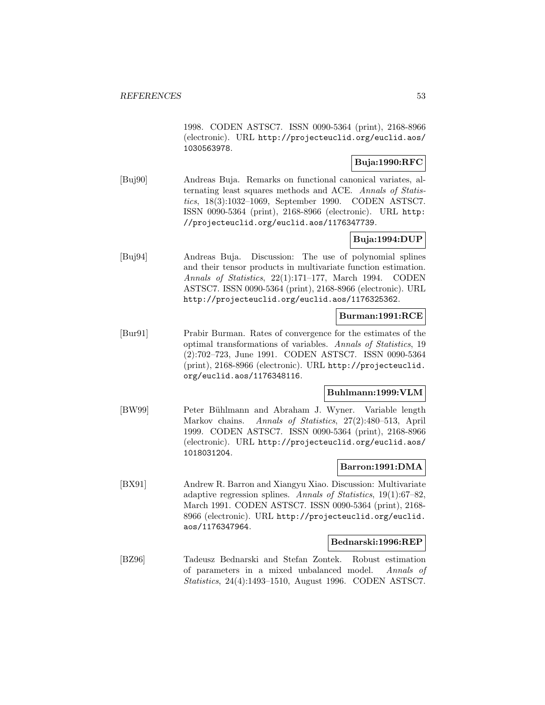1998. CODEN ASTSC7. ISSN 0090-5364 (print), 2168-8966 (electronic). URL http://projecteuclid.org/euclid.aos/ 1030563978.

## **Buja:1990:RFC**

[Buj90] Andreas Buja. Remarks on functional canonical variates, alternating least squares methods and ACE. Annals of Statistics, 18(3):1032–1069, September 1990. CODEN ASTSC7. ISSN 0090-5364 (print), 2168-8966 (electronic). URL http: //projecteuclid.org/euclid.aos/1176347739.

## **Buja:1994:DUP**

[Buj94] Andreas Buja. Discussion: The use of polynomial splines and their tensor products in multivariate function estimation. Annals of Statistics, 22(1):171–177, March 1994. CODEN ASTSC7. ISSN 0090-5364 (print), 2168-8966 (electronic). URL http://projecteuclid.org/euclid.aos/1176325362.

## **Burman:1991:RCE**

[Bur91] Prabir Burman. Rates of convergence for the estimates of the optimal transformations of variables. Annals of Statistics, 19 (2):702–723, June 1991. CODEN ASTSC7. ISSN 0090-5364 (print), 2168-8966 (electronic). URL http://projecteuclid. org/euclid.aos/1176348116.

## **Buhlmann:1999:VLM**

[BW99] Peter Bühlmann and Abraham J. Wyner. Variable length Markov chains. Annals of Statistics, 27(2):480–513, April 1999. CODEN ASTSC7. ISSN 0090-5364 (print), 2168-8966 (electronic). URL http://projecteuclid.org/euclid.aos/ 1018031204.

## **Barron:1991:DMA**

[BX91] Andrew R. Barron and Xiangyu Xiao. Discussion: Multivariate adaptive regression splines. Annals of Statistics, 19(1):67–82, March 1991. CODEN ASTSC7. ISSN 0090-5364 (print), 2168- 8966 (electronic). URL http://projecteuclid.org/euclid. aos/1176347964.

### **Bednarski:1996:REP**

[BZ96] Tadeusz Bednarski and Stefan Zontek. Robust estimation of parameters in a mixed unbalanced model. Annals of Statistics, 24(4):1493–1510, August 1996. CODEN ASTSC7.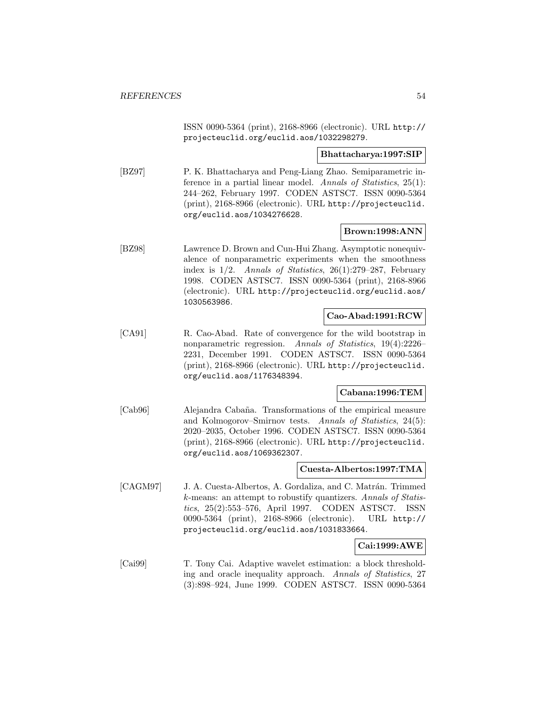ISSN 0090-5364 (print), 2168-8966 (electronic). URL http:// projecteuclid.org/euclid.aos/1032298279.

#### **Bhattacharya:1997:SIP**

[BZ97] P. K. Bhattacharya and Peng-Liang Zhao. Semiparametric inference in a partial linear model. Annals of Statistics, 25(1): 244–262, February 1997. CODEN ASTSC7. ISSN 0090-5364 (print), 2168-8966 (electronic). URL http://projecteuclid. org/euclid.aos/1034276628.

## **Brown:1998:ANN**

[BZ98] Lawrence D. Brown and Cun-Hui Zhang. Asymptotic nonequivalence of nonparametric experiments when the smoothness index is  $1/2$ . Annals of Statistics,  $26(1):279-287$ , February 1998. CODEN ASTSC7. ISSN 0090-5364 (print), 2168-8966 (electronic). URL http://projecteuclid.org/euclid.aos/ 1030563986.

#### **Cao-Abad:1991:RCW**

[CA91] R. Cao-Abad. Rate of convergence for the wild bootstrap in nonparametric regression. Annals of Statistics, 19(4):2226– 2231, December 1991. CODEN ASTSC7. ISSN 0090-5364 (print), 2168-8966 (electronic). URL http://projecteuclid. org/euclid.aos/1176348394.

## **Cabana:1996:TEM**

[Cab96] Alejandra Cabaña. Transformations of the empirical measure and Kolmogorov–Smirnov tests. Annals of Statistics, 24(5): 2020–2035, October 1996. CODEN ASTSC7. ISSN 0090-5364 (print), 2168-8966 (electronic). URL http://projecteuclid. org/euclid.aos/1069362307.

#### **Cuesta-Albertos:1997:TMA**

[CAGM97] J. A. Cuesta-Albertos, A. Gordaliza, and C. Matrán. Trimmed k-means: an attempt to robustify quantizers. Annals of Statistics, 25(2):553–576, April 1997. CODEN ASTSC7. ISSN 0090-5364 (print), 2168-8966 (electronic). URL http:// projecteuclid.org/euclid.aos/1031833664.

## **Cai:1999:AWE**

[Cai99] T. Tony Cai. Adaptive wavelet estimation: a block thresholding and oracle inequality approach. Annals of Statistics, 27 (3):898–924, June 1999. CODEN ASTSC7. ISSN 0090-5364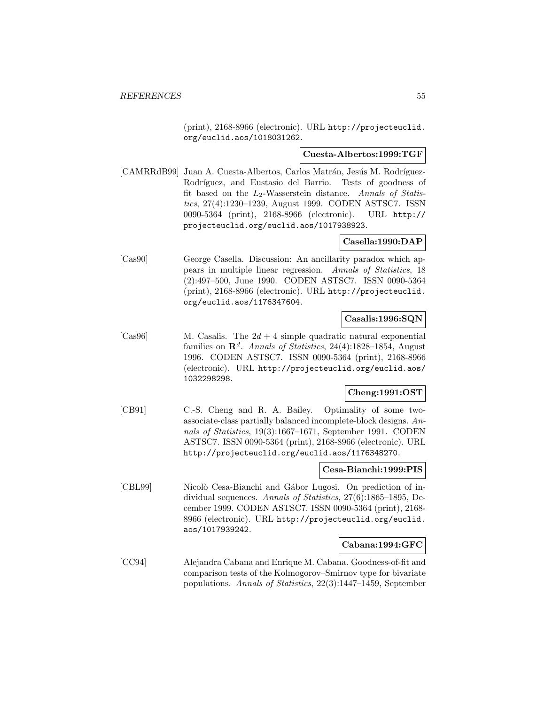(print), 2168-8966 (electronic). URL http://projecteuclid. org/euclid.aos/1018031262.

#### **Cuesta-Albertos:1999:TGF**

[CAMRRdB99] Juan A. Cuesta-Albertos, Carlos Matrán, Jesús M. Rodríguez-Rodríguez, and Eustasio del Barrio. Tests of goodness of fit based on the  $L_2$ -Wasserstein distance. Annals of Statistics, 27(4):1230–1239, August 1999. CODEN ASTSC7. ISSN 0090-5364 (print), 2168-8966 (electronic). URL http:// projecteuclid.org/euclid.aos/1017938923.

## **Casella:1990:DAP**

[Cas90] George Casella. Discussion: An ancillarity paradox which appears in multiple linear regression. Annals of Statistics, 18 (2):497–500, June 1990. CODEN ASTSC7. ISSN 0090-5364 (print), 2168-8966 (electronic). URL http://projecteuclid. org/euclid.aos/1176347604.

## **Casalis:1996:SQN**

[Cas96] M. Casalis. The  $2d + 4$  simple quadratic natural exponential families on  $\mathbb{R}^d$ . Annals of Statistics, 24(4):1828–1854, August 1996. CODEN ASTSC7. ISSN 0090-5364 (print), 2168-8966 (electronic). URL http://projecteuclid.org/euclid.aos/ 1032298298.

## **Cheng:1991:OST**

[CB91] C.-S. Cheng and R. A. Bailey. Optimality of some twoassociate-class partially balanced incomplete-block designs. Annals of Statistics, 19(3):1667–1671, September 1991. CODEN ASTSC7. ISSN 0090-5364 (print), 2168-8966 (electronic). URL http://projecteuclid.org/euclid.aos/1176348270.

## **Cesa-Bianchi:1999:PIS**

[CBL99] Nicolò Cesa-Bianchi and Gábor Lugosi. On prediction of individual sequences. Annals of Statistics, 27(6):1865–1895, December 1999. CODEN ASTSC7. ISSN 0090-5364 (print), 2168- 8966 (electronic). URL http://projecteuclid.org/euclid. aos/1017939242.

## **Cabana:1994:GFC**

[CC94] Alejandra Cabana and Enrique M. Cabana. Goodness-of-fit and comparison tests of the Kolmogorov–Smirnov type for bivariate populations. Annals of Statistics, 22(3):1447–1459, September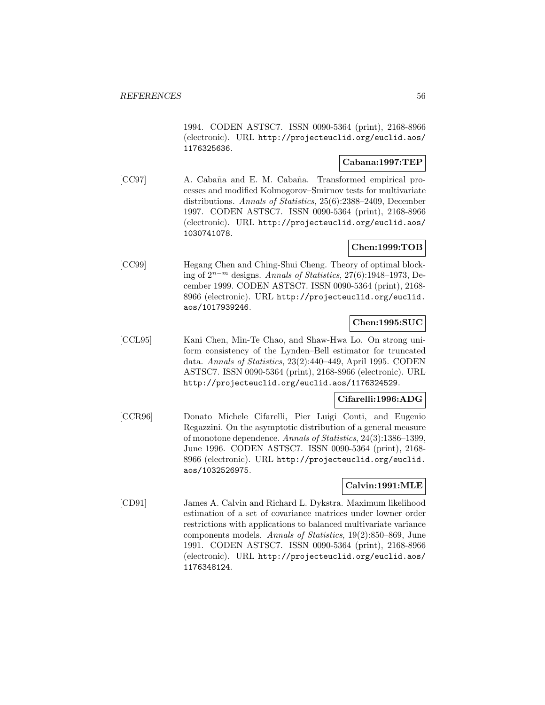1994. CODEN ASTSC7. ISSN 0090-5364 (print), 2168-8966 (electronic). URL http://projecteuclid.org/euclid.aos/ 1176325636.

## **Cabana:1997:TEP**

[CC97] A. Cabaña and E. M. Cabaña. Transformed empirical processes and modified Kolmogorov–Smirnov tests for multivariate distributions. Annals of Statistics, 25(6):2388–2409, December 1997. CODEN ASTSC7. ISSN 0090-5364 (print), 2168-8966 (electronic). URL http://projecteuclid.org/euclid.aos/ 1030741078.

## **Chen:1999:TOB**

[CC99] Hegang Chen and Ching-Shui Cheng. Theory of optimal blocking of 2<sup>n</sup>−<sup>m</sup> designs. Annals of Statistics, 27(6):1948–1973, December 1999. CODEN ASTSC7. ISSN 0090-5364 (print), 2168- 8966 (electronic). URL http://projecteuclid.org/euclid. aos/1017939246.

# **Chen:1995:SUC**

[CCL95] Kani Chen, Min-Te Chao, and Shaw-Hwa Lo. On strong uniform consistency of the Lynden–Bell estimator for truncated data. Annals of Statistics, 23(2):440–449, April 1995. CODEN ASTSC7. ISSN 0090-5364 (print), 2168-8966 (electronic). URL http://projecteuclid.org/euclid.aos/1176324529.

## **Cifarelli:1996:ADG**

[CCR96] Donato Michele Cifarelli, Pier Luigi Conti, and Eugenio Regazzini. On the asymptotic distribution of a general measure of monotone dependence. Annals of Statistics, 24(3):1386–1399, June 1996. CODEN ASTSC7. ISSN 0090-5364 (print), 2168- 8966 (electronic). URL http://projecteuclid.org/euclid. aos/1032526975.

## **Calvin:1991:MLE**

[CD91] James A. Calvin and Richard L. Dykstra. Maximum likelihood estimation of a set of covariance matrices under lowner order restrictions with applications to balanced multivariate variance components models. Annals of Statistics, 19(2):850–869, June 1991. CODEN ASTSC7. ISSN 0090-5364 (print), 2168-8966 (electronic). URL http://projecteuclid.org/euclid.aos/ 1176348124.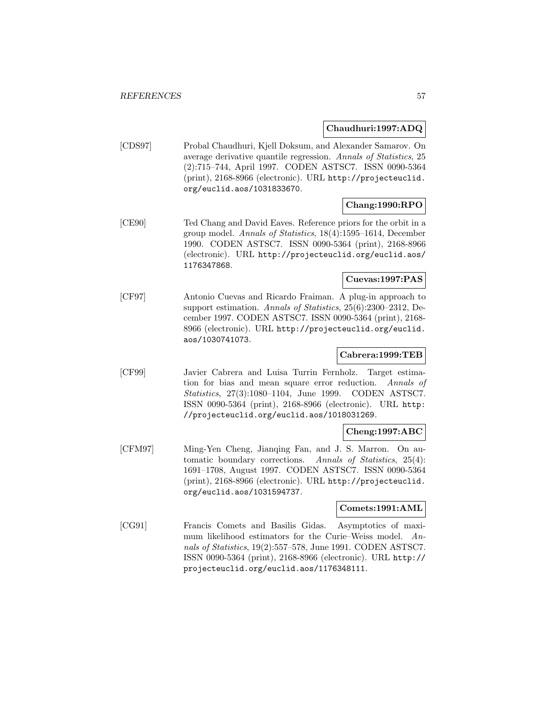## **Chaudhuri:1997:ADQ**

[CDS97] Probal Chaudhuri, Kjell Doksum, and Alexander Samarov. On average derivative quantile regression. Annals of Statistics, 25 (2):715–744, April 1997. CODEN ASTSC7. ISSN 0090-5364 (print), 2168-8966 (electronic). URL http://projecteuclid. org/euclid.aos/1031833670.

## **Chang:1990:RPO**

[CE90] Ted Chang and David Eaves. Reference priors for the orbit in a group model. Annals of Statistics, 18(4):1595–1614, December 1990. CODEN ASTSC7. ISSN 0090-5364 (print), 2168-8966 (electronic). URL http://projecteuclid.org/euclid.aos/ 1176347868.

## **Cuevas:1997:PAS**

[CF97] Antonio Cuevas and Ricardo Fraiman. A plug-in approach to support estimation. Annals of Statistics, 25(6):2300–2312, December 1997. CODEN ASTSC7. ISSN 0090-5364 (print), 2168- 8966 (electronic). URL http://projecteuclid.org/euclid. aos/1030741073.

## **Cabrera:1999:TEB**

[CF99] Javier Cabrera and Luisa Turrin Fernholz. Target estimation for bias and mean square error reduction. Annals of Statistics, 27(3):1080–1104, June 1999. CODEN ASTSC7. ISSN 0090-5364 (print), 2168-8966 (electronic). URL http: //projecteuclid.org/euclid.aos/1018031269.

## **Cheng:1997:ABC**

[CFM97] Ming-Yen Cheng, Jianqing Fan, and J. S. Marron. On automatic boundary corrections. Annals of Statistics, 25(4): 1691–1708, August 1997. CODEN ASTSC7. ISSN 0090-5364 (print), 2168-8966 (electronic). URL http://projecteuclid. org/euclid.aos/1031594737.

## **Comets:1991:AML**

[CG91] Francis Comets and Basilis Gidas. Asymptotics of maximum likelihood estimators for the Curie–Weiss model. Annals of Statistics, 19(2):557–578, June 1991. CODEN ASTSC7. ISSN 0090-5364 (print), 2168-8966 (electronic). URL http:// projecteuclid.org/euclid.aos/1176348111.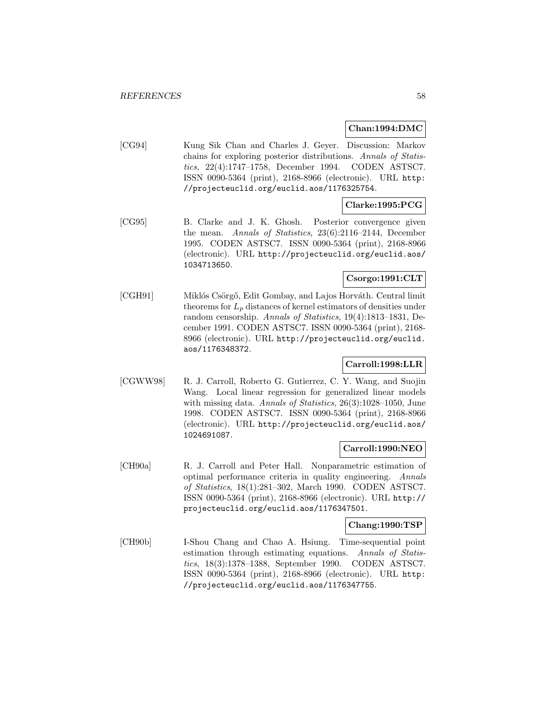#### **Chan:1994:DMC**

[CG94] Kung Sik Chan and Charles J. Geyer. Discussion: Markov chains for exploring posterior distributions. Annals of Statistics, 22(4):1747–1758, December 1994. CODEN ASTSC7. ISSN 0090-5364 (print), 2168-8966 (electronic). URL http: //projecteuclid.org/euclid.aos/1176325754.

## **Clarke:1995:PCG**

[CG95] B. Clarke and J. K. Ghosh. Posterior convergence given the mean. Annals of Statistics, 23(6):2116–2144, December 1995. CODEN ASTSC7. ISSN 0090-5364 (print), 2168-8966 (electronic). URL http://projecteuclid.org/euclid.aos/ 1034713650.

## **Csorgo:1991:CLT**

[CGH91] Miklós Csörgő, Edit Gombay, and Lajos Horváth. Central limit theorems for  $L_p$  distances of kernel estimators of densities under random censorship. Annals of Statistics, 19(4):1813–1831, December 1991. CODEN ASTSC7. ISSN 0090-5364 (print), 2168- 8966 (electronic). URL http://projecteuclid.org/euclid. aos/1176348372.

## **Carroll:1998:LLR**

[CGWW98] R. J. Carroll, Roberto G. Gutierrez, C. Y. Wang, and Suojin Wang. Local linear regression for generalized linear models with missing data. Annals of Statistics, 26(3):1028–1050, June 1998. CODEN ASTSC7. ISSN 0090-5364 (print), 2168-8966 (electronic). URL http://projecteuclid.org/euclid.aos/ 1024691087.

## **Carroll:1990:NEO**

[CH90a] R. J. Carroll and Peter Hall. Nonparametric estimation of optimal performance criteria in quality engineering. Annals of Statistics, 18(1):281–302, March 1990. CODEN ASTSC7. ISSN 0090-5364 (print), 2168-8966 (electronic). URL http:// projecteuclid.org/euclid.aos/1176347501.

## **Chang:1990:TSP**

[CH90b] I-Shou Chang and Chao A. Hsiung. Time-sequential point estimation through estimating equations. Annals of Statistics, 18(3):1378–1388, September 1990. CODEN ASTSC7. ISSN 0090-5364 (print), 2168-8966 (electronic). URL http: //projecteuclid.org/euclid.aos/1176347755.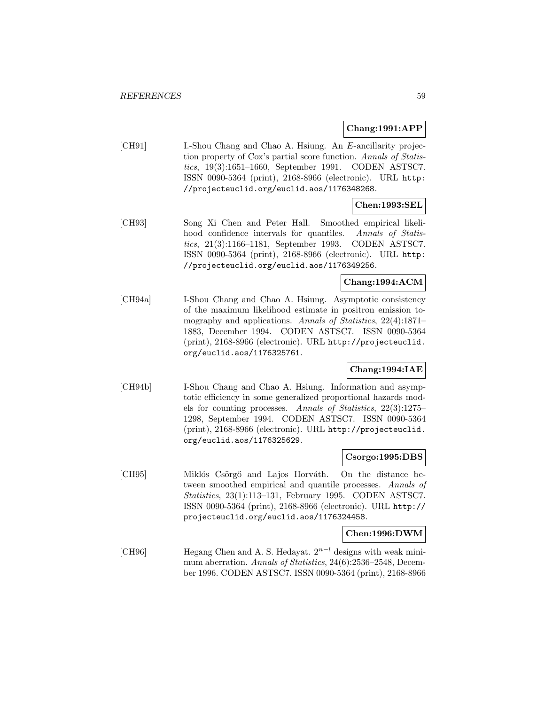**Chang:1991:APP**

[CH91] I.-Shou Chang and Chao A. Hsiung. An E-ancillarity projection property of Cox's partial score function. Annals of Statistics, 19(3):1651–1660, September 1991. CODEN ASTSC7. ISSN 0090-5364 (print), 2168-8966 (electronic). URL http: //projecteuclid.org/euclid.aos/1176348268.

## **Chen:1993:SEL**

[CH93] Song Xi Chen and Peter Hall. Smoothed empirical likelihood confidence intervals for quantiles. Annals of Statistics, 21(3):1166–1181, September 1993. CODEN ASTSC7. ISSN 0090-5364 (print), 2168-8966 (electronic). URL http: //projecteuclid.org/euclid.aos/1176349256.

## **Chang:1994:ACM**

[CH94a] I-Shou Chang and Chao A. Hsiung. Asymptotic consistency of the maximum likelihood estimate in positron emission tomography and applications. Annals of Statistics, 22(4):1871– 1883, December 1994. CODEN ASTSC7. ISSN 0090-5364 (print), 2168-8966 (electronic). URL http://projecteuclid. org/euclid.aos/1176325761.

## **Chang:1994:IAE**

[CH94b] I-Shou Chang and Chao A. Hsiung. Information and asymptotic efficiency in some generalized proportional hazards models for counting processes. Annals of Statistics, 22(3):1275– 1298, September 1994. CODEN ASTSC7. ISSN 0090-5364 (print), 2168-8966 (electronic). URL http://projecteuclid. org/euclid.aos/1176325629.

#### **Csorgo:1995:DBS**

[CH95] Miklós Csörgő and Lajos Horváth. On the distance between smoothed empirical and quantile processes. Annals of Statistics, 23(1):113–131, February 1995. CODEN ASTSC7. ISSN 0090-5364 (print), 2168-8966 (electronic). URL http:// projecteuclid.org/euclid.aos/1176324458.

## **Chen:1996:DWM**

[CH96] Hegang Chen and A. S. Hedayat.  $2^{n-l}$  designs with weak minimum aberration. Annals of Statistics, 24(6):2536–2548, December 1996. CODEN ASTSC7. ISSN 0090-5364 (print), 2168-8966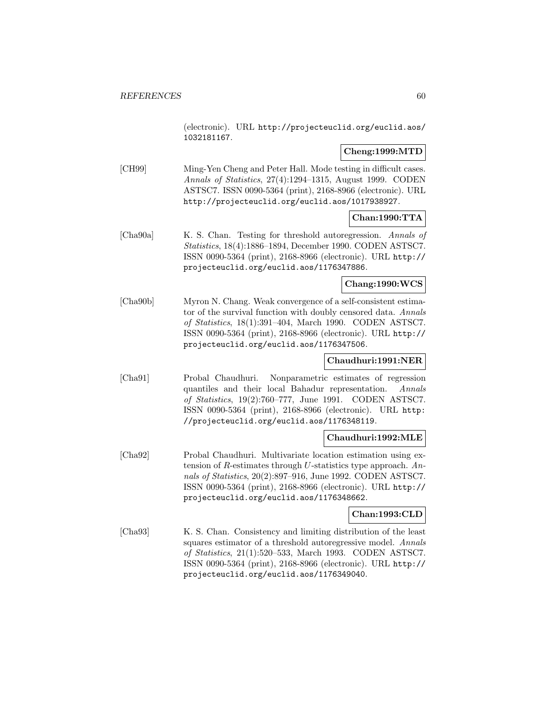(electronic). URL http://projecteuclid.org/euclid.aos/ 1032181167.

## **Cheng:1999:MTD**

[CH99] Ming-Yen Cheng and Peter Hall. Mode testing in difficult cases. Annals of Statistics, 27(4):1294–1315, August 1999. CODEN ASTSC7. ISSN 0090-5364 (print), 2168-8966 (electronic). URL http://projecteuclid.org/euclid.aos/1017938927.

## **Chan:1990:TTA**

[Cha90a] K. S. Chan. Testing for threshold autoregression. Annals of Statistics, 18(4):1886–1894, December 1990. CODEN ASTSC7. ISSN 0090-5364 (print), 2168-8966 (electronic). URL http:// projecteuclid.org/euclid.aos/1176347886.

## **Chang:1990:WCS**

[Cha90b] Myron N. Chang. Weak convergence of a self-consistent estimator of the survival function with doubly censored data. Annals of Statistics, 18(1):391–404, March 1990. CODEN ASTSC7. ISSN 0090-5364 (print), 2168-8966 (electronic). URL http:// projecteuclid.org/euclid.aos/1176347506.

## **Chaudhuri:1991:NER**

[Cha91] Probal Chaudhuri. Nonparametric estimates of regression quantiles and their local Bahadur representation. Annals of Statistics, 19(2):760–777, June 1991. CODEN ASTSC7. ISSN 0090-5364 (print), 2168-8966 (electronic). URL http: //projecteuclid.org/euclid.aos/1176348119.

## **Chaudhuri:1992:MLE**

[Cha92] Probal Chaudhuri. Multivariate location estimation using extension of R-estimates through U-statistics type approach. Annals of Statistics, 20(2):897–916, June 1992. CODEN ASTSC7. ISSN 0090-5364 (print), 2168-8966 (electronic). URL http:// projecteuclid.org/euclid.aos/1176348662.

## **Chan:1993:CLD**

[Cha93] K. S. Chan. Consistency and limiting distribution of the least squares estimator of a threshold autoregressive model. Annals of Statistics, 21(1):520–533, March 1993. CODEN ASTSC7. ISSN 0090-5364 (print), 2168-8966 (electronic). URL http:// projecteuclid.org/euclid.aos/1176349040.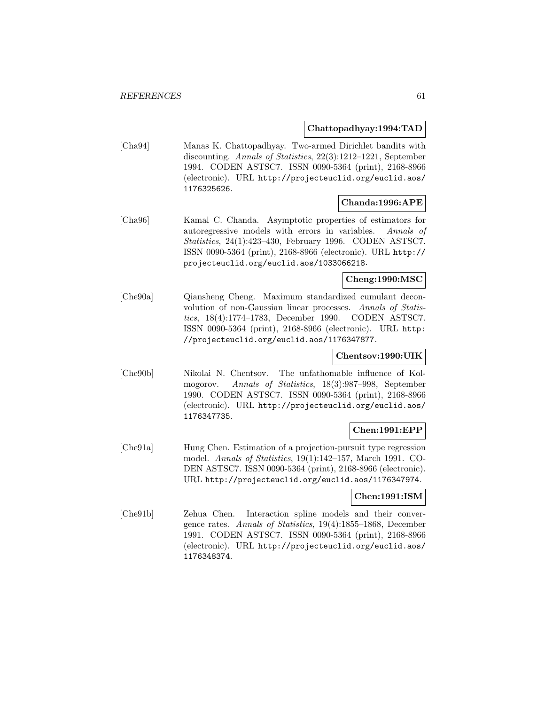**Chattopadhyay:1994:TAD**

[Cha94] Manas K. Chattopadhyay. Two-armed Dirichlet bandits with discounting. Annals of Statistics, 22(3):1212–1221, September 1994. CODEN ASTSC7. ISSN 0090-5364 (print), 2168-8966 (electronic). URL http://projecteuclid.org/euclid.aos/ 1176325626.

## **Chanda:1996:APE**

[Cha96] Kamal C. Chanda. Asymptotic properties of estimators for autoregressive models with errors in variables. Annals of Statistics, 24(1):423–430, February 1996. CODEN ASTSC7. ISSN 0090-5364 (print), 2168-8966 (electronic). URL http:// projecteuclid.org/euclid.aos/1033066218.

**Cheng:1990:MSC**

[Che90a] Qiansheng Cheng. Maximum standardized cumulant deconvolution of non-Gaussian linear processes. Annals of Statistics, 18(4):1774–1783, December 1990. CODEN ASTSC7. ISSN 0090-5364 (print), 2168-8966 (electronic). URL http: //projecteuclid.org/euclid.aos/1176347877.

## **Chentsov:1990:UIK**

[Che90b] Nikolai N. Chentsov. The unfathomable influence of Kolmogorov. Annals of Statistics, 18(3):987–998, September 1990. CODEN ASTSC7. ISSN 0090-5364 (print), 2168-8966 (electronic). URL http://projecteuclid.org/euclid.aos/ 1176347735.

## **Chen:1991:EPP**

[Che91a] Hung Chen. Estimation of a projection-pursuit type regression model. Annals of Statistics, 19(1):142–157, March 1991. CO-DEN ASTSC7. ISSN 0090-5364 (print), 2168-8966 (electronic). URL http://projecteuclid.org/euclid.aos/1176347974.

#### **Chen:1991:ISM**

[Che91b] Zehua Chen. Interaction spline models and their convergence rates. Annals of Statistics, 19(4):1855–1868, December 1991. CODEN ASTSC7. ISSN 0090-5364 (print), 2168-8966 (electronic). URL http://projecteuclid.org/euclid.aos/ 1176348374.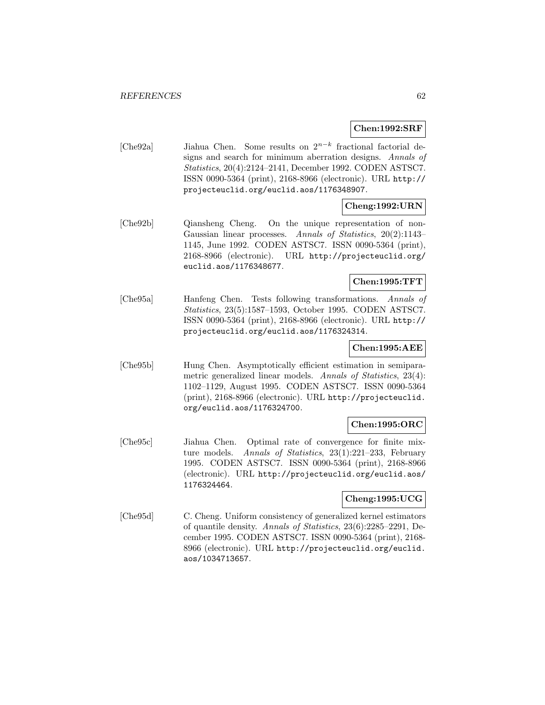## **Chen:1992:SRF**

[Che92a] Jiahua Chen. Some results on 2<sup>n</sup>−<sup>k</sup> fractional factorial designs and search for minimum aberration designs. Annals of Statistics, 20(4):2124–2141, December 1992. CODEN ASTSC7. ISSN 0090-5364 (print), 2168-8966 (electronic). URL http:// projecteuclid.org/euclid.aos/1176348907.

## **Cheng:1992:URN**

[Che92b] Qiansheng Cheng. On the unique representation of non-Gaussian linear processes. Annals of Statistics, 20(2):1143– 1145, June 1992. CODEN ASTSC7. ISSN 0090-5364 (print), 2168-8966 (electronic). URL http://projecteuclid.org/ euclid.aos/1176348677.

## **Chen:1995:TFT**

[Che95a] Hanfeng Chen. Tests following transformations. Annals of Statistics, 23(5):1587–1593, October 1995. CODEN ASTSC7. ISSN 0090-5364 (print), 2168-8966 (electronic). URL http:// projecteuclid.org/euclid.aos/1176324314.

## **Chen:1995:AEE**

[Che95b] Hung Chen. Asymptotically efficient estimation in semiparametric generalized linear models. Annals of Statistics, 23(4): 1102–1129, August 1995. CODEN ASTSC7. ISSN 0090-5364 (print), 2168-8966 (electronic). URL http://projecteuclid. org/euclid.aos/1176324700.

## **Chen:1995:ORC**

[Che95c] Jiahua Chen. Optimal rate of convergence for finite mixture models. Annals of Statistics, 23(1):221-233, February 1995. CODEN ASTSC7. ISSN 0090-5364 (print), 2168-8966 (electronic). URL http://projecteuclid.org/euclid.aos/ 1176324464.

# **Cheng:1995:UCG**

[Che95d] C. Cheng. Uniform consistency of generalized kernel estimators of quantile density. Annals of Statistics, 23(6):2285–2291, December 1995. CODEN ASTSC7. ISSN 0090-5364 (print), 2168- 8966 (electronic). URL http://projecteuclid.org/euclid. aos/1034713657.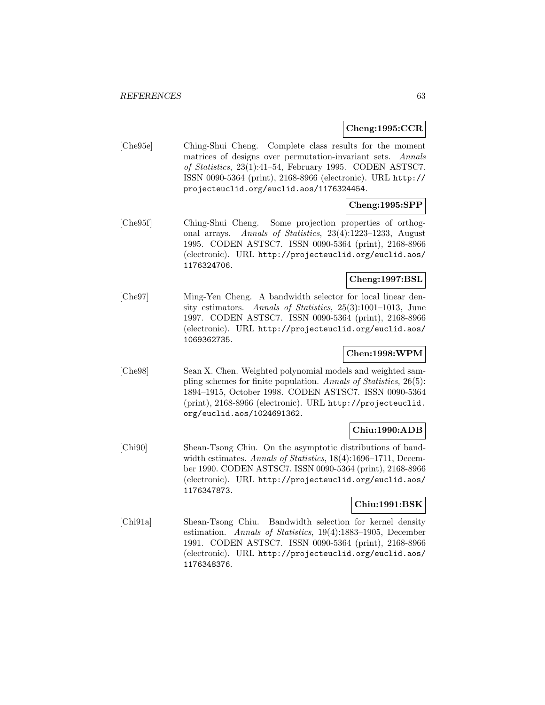#### **Cheng:1995:CCR**

[Che95e] Ching-Shui Cheng. Complete class results for the moment matrices of designs over permutation-invariant sets. Annals of Statistics, 23(1):41–54, February 1995. CODEN ASTSC7. ISSN 0090-5364 (print), 2168-8966 (electronic). URL http:// projecteuclid.org/euclid.aos/1176324454.

## **Cheng:1995:SPP**

[Che95f] Ching-Shui Cheng. Some projection properties of orthogonal arrays. Annals of Statistics, 23(4):1223–1233, August 1995. CODEN ASTSC7. ISSN 0090-5364 (print), 2168-8966 (electronic). URL http://projecteuclid.org/euclid.aos/ 1176324706.

## **Cheng:1997:BSL**

[Che97] Ming-Yen Cheng. A bandwidth selector for local linear density estimators. Annals of Statistics, 25(3):1001-1013, June 1997. CODEN ASTSC7. ISSN 0090-5364 (print), 2168-8966 (electronic). URL http://projecteuclid.org/euclid.aos/ 1069362735.

## **Chen:1998:WPM**

[Che98] Sean X. Chen. Weighted polynomial models and weighted sampling schemes for finite population. Annals of Statistics, 26(5): 1894–1915, October 1998. CODEN ASTSC7. ISSN 0090-5364 (print), 2168-8966 (electronic). URL http://projecteuclid. org/euclid.aos/1024691362.

## **Chiu:1990:ADB**

[Chi90] Shean-Tsong Chiu. On the asymptotic distributions of bandwidth estimates. Annals of Statistics, 18(4):1696–1711, December 1990. CODEN ASTSC7. ISSN 0090-5364 (print), 2168-8966 (electronic). URL http://projecteuclid.org/euclid.aos/ 1176347873.

## **Chiu:1991:BSK**

[Chi91a] Shean-Tsong Chiu. Bandwidth selection for kernel density estimation. Annals of Statistics, 19(4):1883–1905, December 1991. CODEN ASTSC7. ISSN 0090-5364 (print), 2168-8966 (electronic). URL http://projecteuclid.org/euclid.aos/ 1176348376.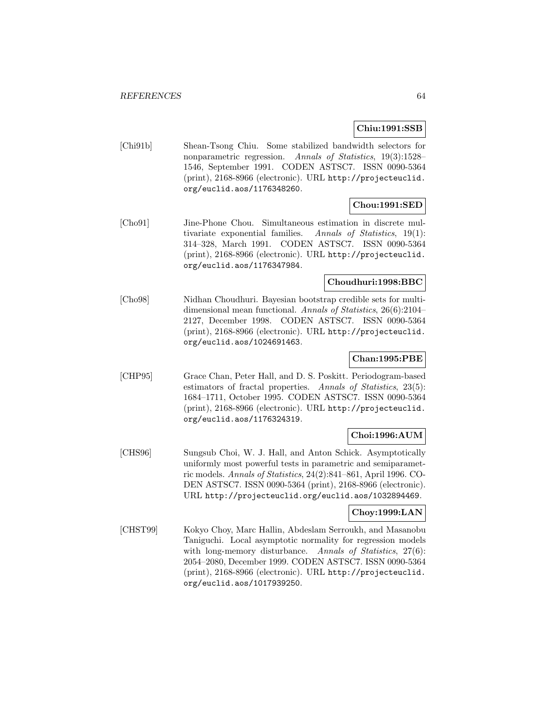## **Chiu:1991:SSB**

[Chi91b] Shean-Tsong Chiu. Some stabilized bandwidth selectors for nonparametric regression. Annals of Statistics, 19(3):1528– 1546, September 1991. CODEN ASTSC7. ISSN 0090-5364 (print), 2168-8966 (electronic). URL http://projecteuclid. org/euclid.aos/1176348260.

## **Chou:1991:SED**

[Cho91] Jine-Phone Chou. Simultaneous estimation in discrete multivariate exponential families. Annals of Statistics, 19(1): 314–328, March 1991. CODEN ASTSC7. ISSN 0090-5364 (print), 2168-8966 (electronic). URL http://projecteuclid. org/euclid.aos/1176347984.

## **Choudhuri:1998:BBC**

[Cho98] Nidhan Choudhuri. Bayesian bootstrap credible sets for multidimensional mean functional. Annals of Statistics, 26(6):2104– 2127, December 1998. CODEN ASTSC7. ISSN 0090-5364 (print), 2168-8966 (electronic). URL http://projecteuclid. org/euclid.aos/1024691463.

## **Chan:1995:PBE**

[CHP95] Grace Chan, Peter Hall, and D. S. Poskitt. Periodogram-based estimators of fractal properties. Annals of Statistics, 23(5): 1684–1711, October 1995. CODEN ASTSC7. ISSN 0090-5364 (print), 2168-8966 (electronic). URL http://projecteuclid. org/euclid.aos/1176324319.

## **Choi:1996:AUM**

[CHS96] Sungsub Choi, W. J. Hall, and Anton Schick. Asymptotically uniformly most powerful tests in parametric and semiparametric models. Annals of Statistics, 24(2):841–861, April 1996. CO-DEN ASTSC7. ISSN 0090-5364 (print), 2168-8966 (electronic). URL http://projecteuclid.org/euclid.aos/1032894469.

## **Choy:1999:LAN**

[CHST99] Kokyo Choy, Marc Hallin, Abdeslam Serroukh, and Masanobu Taniguchi. Local asymptotic normality for regression models with long-memory disturbance. Annals of Statistics, 27(6): 2054–2080, December 1999. CODEN ASTSC7. ISSN 0090-5364 (print), 2168-8966 (electronic). URL http://projecteuclid. org/euclid.aos/1017939250.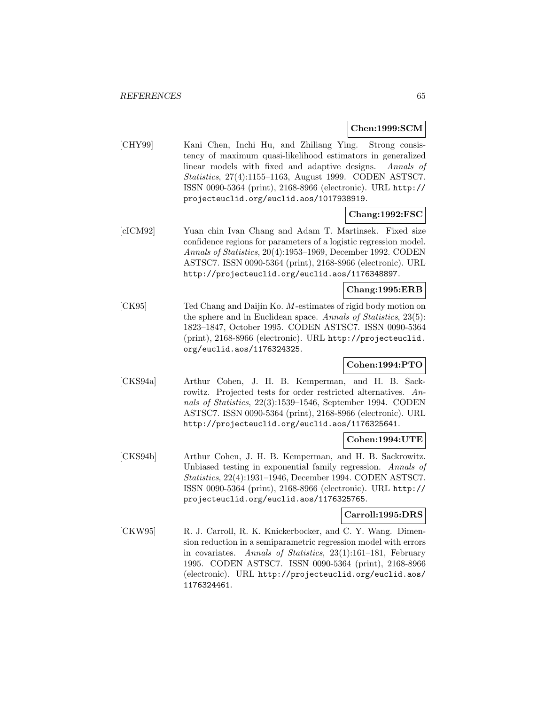## **Chen:1999:SCM**

[CHY99] Kani Chen, Inchi Hu, and Zhiliang Ying. Strong consistency of maximum quasi-likelihood estimators in generalized linear models with fixed and adaptive designs. Annals of Statistics, 27(4):1155–1163, August 1999. CODEN ASTSC7. ISSN 0090-5364 (print), 2168-8966 (electronic). URL http:// projecteuclid.org/euclid.aos/1017938919.

## **Chang:1992:FSC**

[cICM92] Yuan chin Ivan Chang and Adam T. Martinsek. Fixed size confidence regions for parameters of a logistic regression model. Annals of Statistics, 20(4):1953–1969, December 1992. CODEN ASTSC7. ISSN 0090-5364 (print), 2168-8966 (electronic). URL http://projecteuclid.org/euclid.aos/1176348897.

## **Chang:1995:ERB**

[CK95] Ted Chang and Daijin Ko. M-estimates of rigid body motion on the sphere and in Euclidean space. Annals of Statistics, 23(5): 1823–1847, October 1995. CODEN ASTSC7. ISSN 0090-5364 (print), 2168-8966 (electronic). URL http://projecteuclid. org/euclid.aos/1176324325.

## **Cohen:1994:PTO**

[CKS94a] Arthur Cohen, J. H. B. Kemperman, and H. B. Sackrowitz. Projected tests for order restricted alternatives. Annals of Statistics, 22(3):1539–1546, September 1994. CODEN ASTSC7. ISSN 0090-5364 (print), 2168-8966 (electronic). URL http://projecteuclid.org/euclid.aos/1176325641.

# **Cohen:1994:UTE**

[CKS94b] Arthur Cohen, J. H. B. Kemperman, and H. B. Sackrowitz. Unbiased testing in exponential family regression. Annals of Statistics, 22(4):1931–1946, December 1994. CODEN ASTSC7. ISSN 0090-5364 (print), 2168-8966 (electronic). URL http:// projecteuclid.org/euclid.aos/1176325765.

## **Carroll:1995:DRS**

[CKW95] R. J. Carroll, R. K. Knickerbocker, and C. Y. Wang. Dimension reduction in a semiparametric regression model with errors in covariates. Annals of Statistics, 23(1):161–181, February 1995. CODEN ASTSC7. ISSN 0090-5364 (print), 2168-8966 (electronic). URL http://projecteuclid.org/euclid.aos/ 1176324461.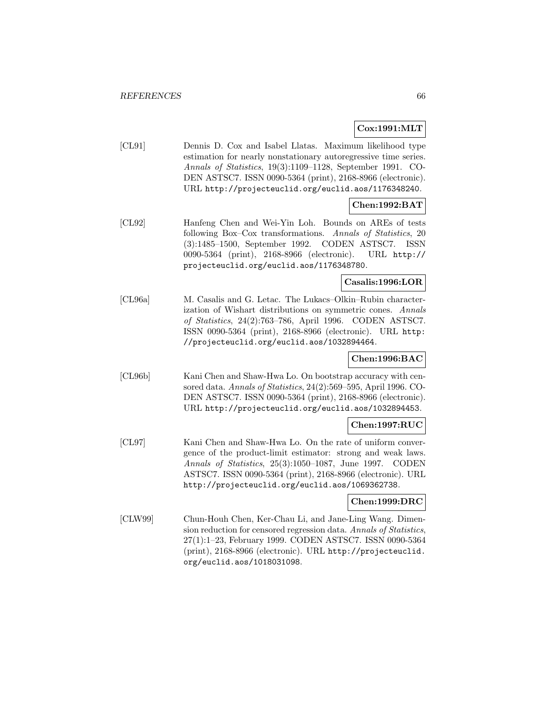## **Cox:1991:MLT**

[CL91] Dennis D. Cox and Isabel Llatas. Maximum likelihood type estimation for nearly nonstationary autoregressive time series. Annals of Statistics, 19(3):1109–1128, September 1991. CO-DEN ASTSC7. ISSN 0090-5364 (print), 2168-8966 (electronic). URL http://projecteuclid.org/euclid.aos/1176348240.

## **Chen:1992:BAT**

[CL92] Hanfeng Chen and Wei-Yin Loh. Bounds on AREs of tests following Box–Cox transformations. Annals of Statistics, 20 (3):1485–1500, September 1992. CODEN ASTSC7. ISSN 0090-5364 (print), 2168-8966 (electronic). URL http:// projecteuclid.org/euclid.aos/1176348780.

## **Casalis:1996:LOR**

[CL96a] M. Casalis and G. Letac. The Lukacs–Olkin–Rubin characterization of Wishart distributions on symmetric cones. Annals of Statistics, 24(2):763–786, April 1996. CODEN ASTSC7. ISSN 0090-5364 (print), 2168-8966 (electronic). URL http: //projecteuclid.org/euclid.aos/1032894464.

## **Chen:1996:BAC**

[CL96b] Kani Chen and Shaw-Hwa Lo. On bootstrap accuracy with censored data. Annals of Statistics, 24(2):569–595, April 1996. CO-DEN ASTSC7. ISSN 0090-5364 (print), 2168-8966 (electronic). URL http://projecteuclid.org/euclid.aos/1032894453.

## **Chen:1997:RUC**

[CL97] Kani Chen and Shaw-Hwa Lo. On the rate of uniform convergence of the product-limit estimator: strong and weak laws. Annals of Statistics, 25(3):1050–1087, June 1997. CODEN ASTSC7. ISSN 0090-5364 (print), 2168-8966 (electronic). URL http://projecteuclid.org/euclid.aos/1069362738.

## **Chen:1999:DRC**

[CLW99] Chun-Houh Chen, Ker-Chau Li, and Jane-Ling Wang. Dimension reduction for censored regression data. Annals of Statistics, 27(1):1–23, February 1999. CODEN ASTSC7. ISSN 0090-5364 (print), 2168-8966 (electronic). URL http://projecteuclid. org/euclid.aos/1018031098.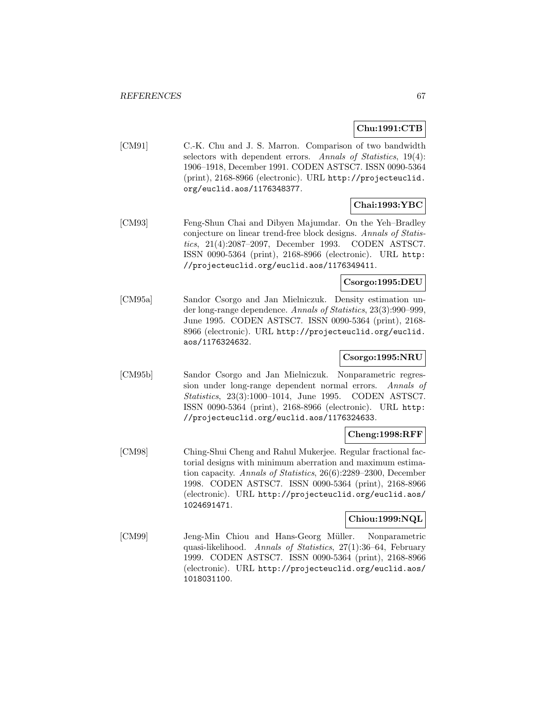## **Chu:1991:CTB**

[CM91] C.-K. Chu and J. S. Marron. Comparison of two bandwidth selectors with dependent errors. Annals of Statistics, 19(4): 1906–1918, December 1991. CODEN ASTSC7. ISSN 0090-5364 (print), 2168-8966 (electronic). URL http://projecteuclid. org/euclid.aos/1176348377.

# **Chai:1993:YBC**

[CM93] Feng-Shun Chai and Dibyen Majumdar. On the Yeh–Bradley conjecture on linear trend-free block designs. Annals of Statistics, 21(4):2087–2097, December 1993. CODEN ASTSC7. ISSN 0090-5364 (print), 2168-8966 (electronic). URL http: //projecteuclid.org/euclid.aos/1176349411.

## **Csorgo:1995:DEU**

[CM95a] Sandor Csorgo and Jan Mielniczuk. Density estimation under long-range dependence. Annals of Statistics, 23(3):990–999, June 1995. CODEN ASTSC7. ISSN 0090-5364 (print), 2168- 8966 (electronic). URL http://projecteuclid.org/euclid. aos/1176324632.

## **Csorgo:1995:NRU**

[CM95b] Sandor Csorgo and Jan Mielniczuk. Nonparametric regression under long-range dependent normal errors. Annals of Statistics, 23(3):1000–1014, June 1995. CODEN ASTSC7. ISSN 0090-5364 (print), 2168-8966 (electronic). URL http: //projecteuclid.org/euclid.aos/1176324633.

## **Cheng:1998:RFF**

[CM98] Ching-Shui Cheng and Rahul Mukerjee. Regular fractional factorial designs with minimum aberration and maximum estimation capacity. Annals of Statistics, 26(6):2289–2300, December 1998. CODEN ASTSC7. ISSN 0090-5364 (print), 2168-8966 (electronic). URL http://projecteuclid.org/euclid.aos/ 1024691471.

## **Chiou:1999:NQL**

[CM99] Jeng-Min Chiou and Hans-Georg Müller. Nonparametric quasi-likelihood. Annals of Statistics, 27(1):36–64, February 1999. CODEN ASTSC7. ISSN 0090-5364 (print), 2168-8966 (electronic). URL http://projecteuclid.org/euclid.aos/ 1018031100.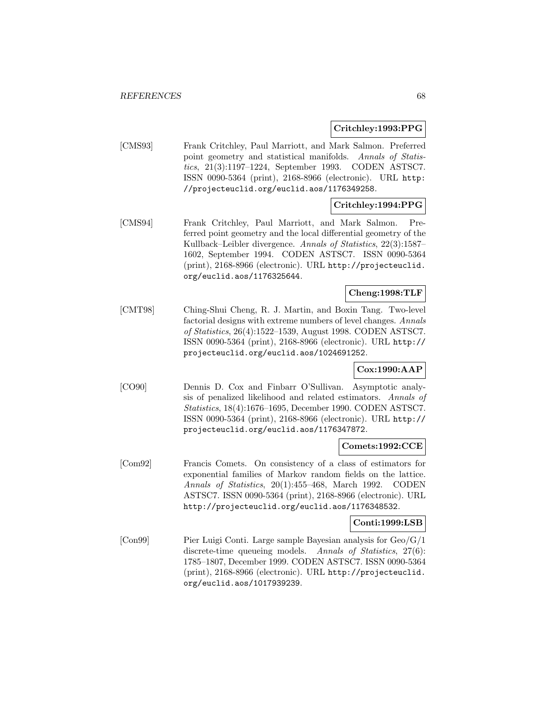**Critchley:1993:PPG**

[CMS93] Frank Critchley, Paul Marriott, and Mark Salmon. Preferred point geometry and statistical manifolds. Annals of Statistics, 21(3):1197–1224, September 1993. CODEN ASTSC7. ISSN 0090-5364 (print), 2168-8966 (electronic). URL http: //projecteuclid.org/euclid.aos/1176349258.

## **Critchley:1994:PPG**

[CMS94] Frank Critchley, Paul Marriott, and Mark Salmon. Preferred point geometry and the local differential geometry of the Kullback–Leibler divergence. Annals of Statistics, 22(3):1587– 1602, September 1994. CODEN ASTSC7. ISSN 0090-5364 (print), 2168-8966 (electronic). URL http://projecteuclid. org/euclid.aos/1176325644.

## **Cheng:1998:TLF**

[CMT98] Ching-Shui Cheng, R. J. Martin, and Boxin Tang. Two-level factorial designs with extreme numbers of level changes. Annals of Statistics, 26(4):1522–1539, August 1998. CODEN ASTSC7. ISSN 0090-5364 (print), 2168-8966 (electronic). URL http:// projecteuclid.org/euclid.aos/1024691252.

## **Cox:1990:AAP**

[CO90] Dennis D. Cox and Finbarr O'Sullivan. Asymptotic analysis of penalized likelihood and related estimators. Annals of Statistics, 18(4):1676–1695, December 1990. CODEN ASTSC7. ISSN 0090-5364 (print), 2168-8966 (electronic). URL http:// projecteuclid.org/euclid.aos/1176347872.

## **Comets:1992:CCE**

[Com92] Francis Comets. On consistency of a class of estimators for exponential families of Markov random fields on the lattice. Annals of Statistics, 20(1):455–468, March 1992. CODEN ASTSC7. ISSN 0090-5364 (print), 2168-8966 (electronic). URL http://projecteuclid.org/euclid.aos/1176348532.

## **Conti:1999:LSB**

[Con99] Pier Luigi Conti. Large sample Bayesian analysis for Geo/G/1 discrete-time queueing models. Annals of Statistics, 27(6): 1785–1807, December 1999. CODEN ASTSC7. ISSN 0090-5364 (print), 2168-8966 (electronic). URL http://projecteuclid. org/euclid.aos/1017939239.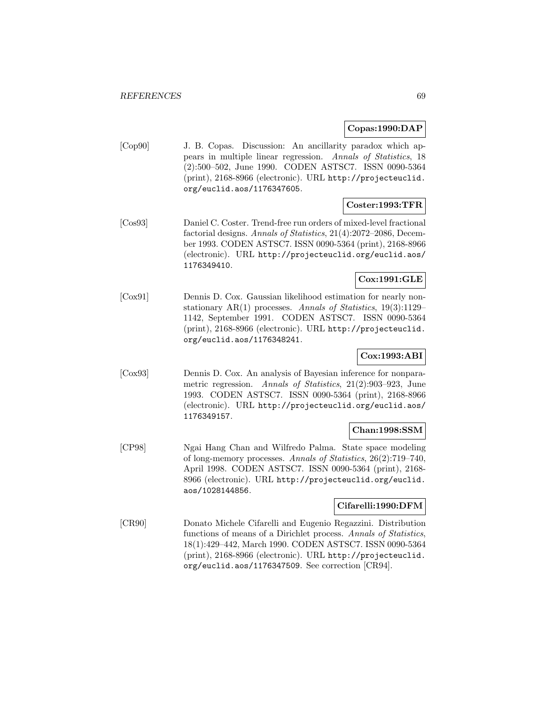## **Copas:1990:DAP**

[Cop90] J. B. Copas. Discussion: An ancillarity paradox which appears in multiple linear regression. Annals of Statistics, 18 (2):500–502, June 1990. CODEN ASTSC7. ISSN 0090-5364 (print), 2168-8966 (electronic). URL http://projecteuclid. org/euclid.aos/1176347605.

## **Coster:1993:TFR**

[Cos93] Daniel C. Coster. Trend-free run orders of mixed-level fractional factorial designs. Annals of Statistics, 21(4):2072–2086, December 1993. CODEN ASTSC7. ISSN 0090-5364 (print), 2168-8966 (electronic). URL http://projecteuclid.org/euclid.aos/ 1176349410.

## **Cox:1991:GLE**

[Cox91] Dennis D. Cox. Gaussian likelihood estimation for nearly nonstationary AR(1) processes. Annals of Statistics,  $19(3):1129-$ 1142, September 1991. CODEN ASTSC7. ISSN 0090-5364 (print), 2168-8966 (electronic). URL http://projecteuclid. org/euclid.aos/1176348241.

## **Cox:1993:ABI**

[Cox93] Dennis D. Cox. An analysis of Bayesian inference for nonparametric regression. Annals of Statistics, 21(2):903–923, June 1993. CODEN ASTSC7. ISSN 0090-5364 (print), 2168-8966 (electronic). URL http://projecteuclid.org/euclid.aos/ 1176349157.

## **Chan:1998:SSM**

[CP98] Ngai Hang Chan and Wilfredo Palma. State space modeling of long-memory processes. Annals of Statistics, 26(2):719–740, April 1998. CODEN ASTSC7. ISSN 0090-5364 (print), 2168- 8966 (electronic). URL http://projecteuclid.org/euclid. aos/1028144856.

## **Cifarelli:1990:DFM**

[CR90] Donato Michele Cifarelli and Eugenio Regazzini. Distribution functions of means of a Dirichlet process. Annals of Statistics, 18(1):429–442, March 1990. CODEN ASTSC7. ISSN 0090-5364 (print), 2168-8966 (electronic). URL http://projecteuclid. org/euclid.aos/1176347509. See correction [CR94].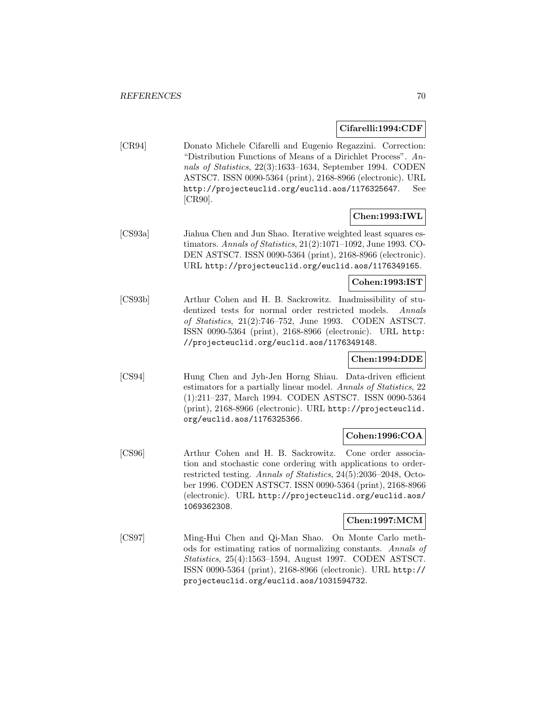## **Cifarelli:1994:CDF**

[CR94] Donato Michele Cifarelli and Eugenio Regazzini. Correction: "Distribution Functions of Means of a Dirichlet Process". Annals of Statistics, 22(3):1633–1634, September 1994. CODEN ASTSC7. ISSN 0090-5364 (print), 2168-8966 (electronic). URL http://projecteuclid.org/euclid.aos/1176325647. See [CR90].

## **Chen:1993:IWL**

[CS93a] Jiahua Chen and Jun Shao. Iterative weighted least squares estimators. Annals of Statistics, 21(2):1071–1092, June 1993. CO-DEN ASTSC7. ISSN 0090-5364 (print), 2168-8966 (electronic). URL http://projecteuclid.org/euclid.aos/1176349165.

## **Cohen:1993:IST**

[CS93b] Arthur Cohen and H. B. Sackrowitz. Inadmissibility of studentized tests for normal order restricted models. Annals of Statistics, 21(2):746–752, June 1993. CODEN ASTSC7. ISSN 0090-5364 (print), 2168-8966 (electronic). URL http: //projecteuclid.org/euclid.aos/1176349148.

## **Chen:1994:DDE**

[CS94] Hung Chen and Jyh-Jen Horng Shiau. Data-driven efficient estimators for a partially linear model. Annals of Statistics, 22 (1):211–237, March 1994. CODEN ASTSC7. ISSN 0090-5364 (print), 2168-8966 (electronic). URL http://projecteuclid. org/euclid.aos/1176325366.

## **Cohen:1996:COA**

[CS96] Arthur Cohen and H. B. Sackrowitz. Cone order association and stochastic cone ordering with applications to orderrestricted testing. Annals of Statistics, 24(5):2036–2048, October 1996. CODEN ASTSC7. ISSN 0090-5364 (print), 2168-8966 (electronic). URL http://projecteuclid.org/euclid.aos/ 1069362308.

## **Chen:1997:MCM**

[CS97] Ming-Hui Chen and Qi-Man Shao. On Monte Carlo methods for estimating ratios of normalizing constants. Annals of Statistics, 25(4):1563–1594, August 1997. CODEN ASTSC7. ISSN 0090-5364 (print), 2168-8966 (electronic). URL http:// projecteuclid.org/euclid.aos/1031594732.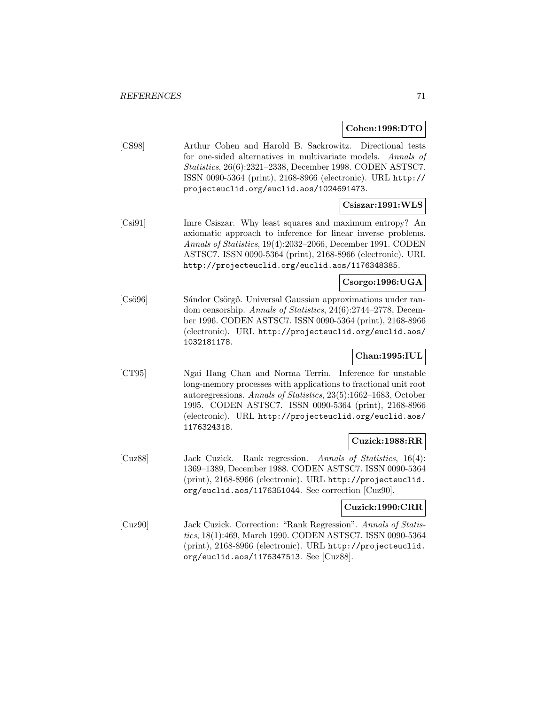#### **Cohen:1998:DTO**

[CS98] Arthur Cohen and Harold B. Sackrowitz. Directional tests for one-sided alternatives in multivariate models. Annals of Statistics, 26(6):2321–2338, December 1998. CODEN ASTSC7. ISSN 0090-5364 (print), 2168-8966 (electronic). URL http:// projecteuclid.org/euclid.aos/1024691473.

## **Csiszar:1991:WLS**

[Csi91] Imre Csiszar. Why least squares and maximum entropy? An axiomatic approach to inference for linear inverse problems. Annals of Statistics, 19(4):2032–2066, December 1991. CODEN ASTSC7. ISSN 0090-5364 (print), 2168-8966 (electronic). URL http://projecteuclid.org/euclid.aos/1176348385.

## **Csorgo:1996:UGA**

[Csö96] Sándor Csörgő. Universal Gaussian approximations under random censorship. Annals of Statistics, 24(6):2744–2778, December 1996. CODEN ASTSC7. ISSN 0090-5364 (print), 2168-8966 (electronic). URL http://projecteuclid.org/euclid.aos/ 1032181178.

## **Chan:1995:IUL**

[CT95] Ngai Hang Chan and Norma Terrin. Inference for unstable long-memory processes with applications to fractional unit root autoregressions. Annals of Statistics, 23(5):1662–1683, October 1995. CODEN ASTSC7. ISSN 0090-5364 (print), 2168-8966 (electronic). URL http://projecteuclid.org/euclid.aos/ 1176324318.

## **Cuzick:1988:RR**

[Cuz88] Jack Cuzick. Rank regression. Annals of Statistics, 16(4): 1369–1389, December 1988. CODEN ASTSC7. ISSN 0090-5364 (print), 2168-8966 (electronic). URL http://projecteuclid. org/euclid.aos/1176351044. See correction [Cuz90].

## **Cuzick:1990:CRR**

[Cuz90] Jack Cuzick. Correction: "Rank Regression". Annals of Statistics, 18(1):469, March 1990. CODEN ASTSC7. ISSN 0090-5364 (print), 2168-8966 (electronic). URL http://projecteuclid. org/euclid.aos/1176347513. See [Cuz88].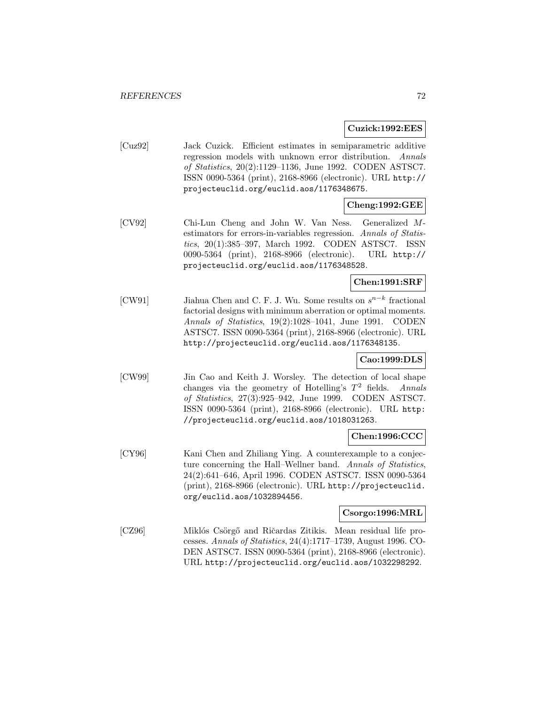**Cuzick:1992:EES**

[Cuz92] Jack Cuzick. Efficient estimates in semiparametric additive regression models with unknown error distribution. Annals of Statistics, 20(2):1129–1136, June 1992. CODEN ASTSC7. ISSN 0090-5364 (print), 2168-8966 (electronic). URL http:// projecteuclid.org/euclid.aos/1176348675.

## **Cheng:1992:GEE**

[CV92] Chi-Lun Cheng and John W. Van Ness. Generalized Mestimators for errors-in-variables regression. Annals of Statistics, 20(1):385–397, March 1992. CODEN ASTSC7. ISSN 0090-5364 (print), 2168-8966 (electronic). URL http:// projecteuclid.org/euclid.aos/1176348528.

## **Chen:1991:SRF**

[CW91] Jiahua Chen and C. F. J. Wu. Some results on  $s^{n-k}$  fractional factorial designs with minimum aberration or optimal moments. Annals of Statistics, 19(2):1028–1041, June 1991. CODEN ASTSC7. ISSN 0090-5364 (print), 2168-8966 (electronic). URL http://projecteuclid.org/euclid.aos/1176348135.

## **Cao:1999:DLS**

[CW99] Jin Cao and Keith J. Worsley. The detection of local shape changes via the geometry of Hotelling's  $T^2$  fields. Annals of Statistics, 27(3):925–942, June 1999. CODEN ASTSC7. ISSN 0090-5364 (print), 2168-8966 (electronic). URL http: //projecteuclid.org/euclid.aos/1018031263.

## **Chen:1996:CCC**

[CY96] Kani Chen and Zhiliang Ying. A counterexample to a conjecture concerning the Hall–Wellner band. Annals of Statistics, 24(2):641–646, April 1996. CODEN ASTSC7. ISSN 0090-5364 (print), 2168-8966 (electronic). URL http://projecteuclid. org/euclid.aos/1032894456.

## **Csorgo:1996:MRL**

[CZ96] Miklós Csörgő and Ričardas Zitikis. Mean residual life processes. Annals of Statistics, 24(4):1717–1739, August 1996. CO-DEN ASTSC7. ISSN 0090-5364 (print), 2168-8966 (electronic). URL http://projecteuclid.org/euclid.aos/1032298292.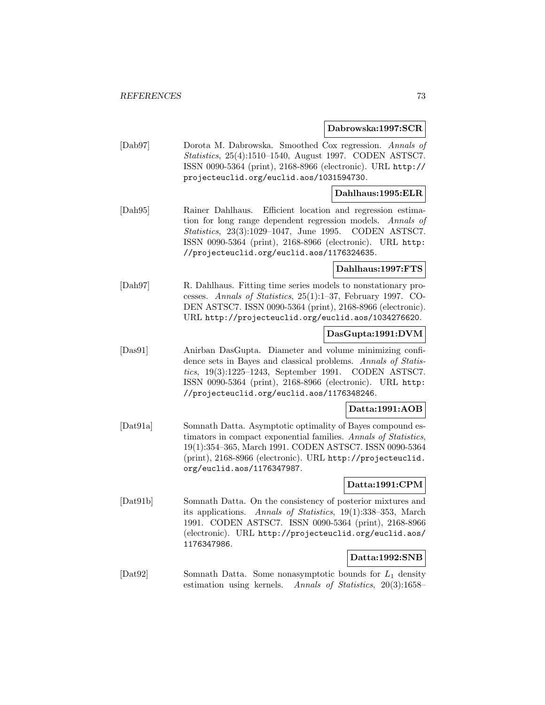**Dabrowska:1997:SCR**

[Dab97] Dorota M. Dabrowska. Smoothed Cox regression. Annals of Statistics, 25(4):1510–1540, August 1997. CODEN ASTSC7. ISSN 0090-5364 (print), 2168-8966 (electronic). URL http:// projecteuclid.org/euclid.aos/1031594730.

## **Dahlhaus:1995:ELR**

[Dah95] Rainer Dahlhaus. Efficient location and regression estimation for long range dependent regression models. Annals of Statistics, 23(3):1029–1047, June 1995. CODEN ASTSC7. ISSN 0090-5364 (print), 2168-8966 (electronic). URL http: //projecteuclid.org/euclid.aos/1176324635.

# **Dahlhaus:1997:FTS**

[Dah97] R. Dahlhaus. Fitting time series models to nonstationary processes. Annals of Statistics, 25(1):1–37, February 1997. CO-DEN ASTSC7. ISSN 0090-5364 (print), 2168-8966 (electronic). URL http://projecteuclid.org/euclid.aos/1034276620.

## **DasGupta:1991:DVM**

[Das91] Anirban DasGupta. Diameter and volume minimizing confidence sets in Bayes and classical problems. Annals of Statistics, 19(3):1225–1243, September 1991. CODEN ASTSC7. ISSN 0090-5364 (print), 2168-8966 (electronic). URL http: //projecteuclid.org/euclid.aos/1176348246.

#### **Datta:1991:AOB**

[Dat91a] Somnath Datta. Asymptotic optimality of Bayes compound estimators in compact exponential families. Annals of Statistics, 19(1):354–365, March 1991. CODEN ASTSC7. ISSN 0090-5364 (print), 2168-8966 (electronic). URL http://projecteuclid. org/euclid.aos/1176347987.

## **Datta:1991:CPM**

[Dat91b] Somnath Datta. On the consistency of posterior mixtures and its applications. Annals of Statistics, 19(1):338–353, March 1991. CODEN ASTSC7. ISSN 0090-5364 (print), 2168-8966 (electronic). URL http://projecteuclid.org/euclid.aos/ 1176347986.

# **Datta:1992:SNB**

[Dat92] Somnath Datta. Some nonasymptotic bounds for L<sup>1</sup> density estimation using kernels. Annals of Statistics, 20(3):1658–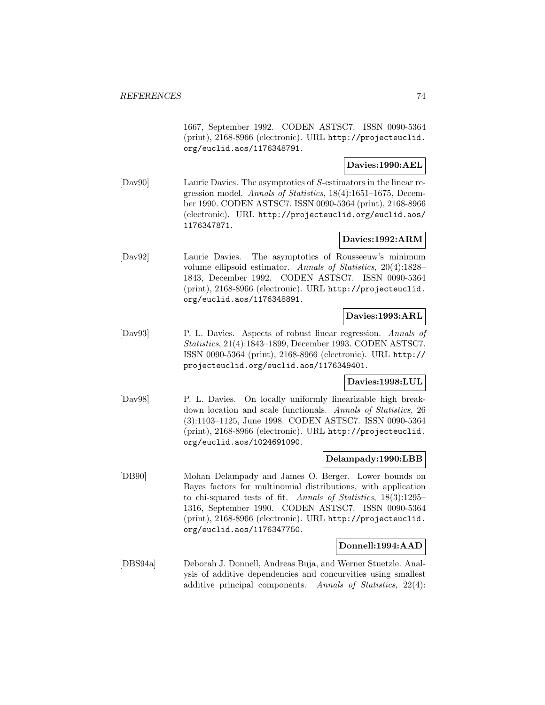1667, September 1992. CODEN ASTSC7. ISSN 0090-5364 (print), 2168-8966 (electronic). URL http://projecteuclid. org/euclid.aos/1176348791.

# **Davies:1990:AEL**

[Dav90] Laurie Davies. The asymptotics of S-estimators in the linear regression model. Annals of Statistics, 18(4):1651–1675, December 1990. CODEN ASTSC7. ISSN 0090-5364 (print), 2168-8966 (electronic). URL http://projecteuclid.org/euclid.aos/ 1176347871.

## **Davies:1992:ARM**

[Dav92] Laurie Davies. The asymptotics of Rousseeuw's minimum volume ellipsoid estimator. Annals of Statistics, 20(4):1828– 1843, December 1992. CODEN ASTSC7. ISSN 0090-5364 (print), 2168-8966 (electronic). URL http://projecteuclid. org/euclid.aos/1176348891.

## **Davies:1993:ARL**

[Dav93] P. L. Davies. Aspects of robust linear regression. Annals of Statistics, 21(4):1843–1899, December 1993. CODEN ASTSC7. ISSN 0090-5364 (print), 2168-8966 (electronic). URL http:// projecteuclid.org/euclid.aos/1176349401.

### **Davies:1998:LUL**

[Dav98] P. L. Davies. On locally uniformly linearizable high breakdown location and scale functionals. Annals of Statistics, 26 (3):1103–1125, June 1998. CODEN ASTSC7. ISSN 0090-5364 (print), 2168-8966 (electronic). URL http://projecteuclid. org/euclid.aos/1024691090.

## **Delampady:1990:LBB**

[DB90] Mohan Delampady and James O. Berger. Lower bounds on Bayes factors for multinomial distributions, with application to chi-squared tests of fit. Annals of Statistics, 18(3):1295– 1316, September 1990. CODEN ASTSC7. ISSN 0090-5364 (print), 2168-8966 (electronic). URL http://projecteuclid. org/euclid.aos/1176347750.

### **Donnell:1994:AAD**

[DBS94a] Deborah J. Donnell, Andreas Buja, and Werner Stuetzle. Analysis of additive dependencies and concurvities using smallest additive principal components. Annals of Statistics, 22(4):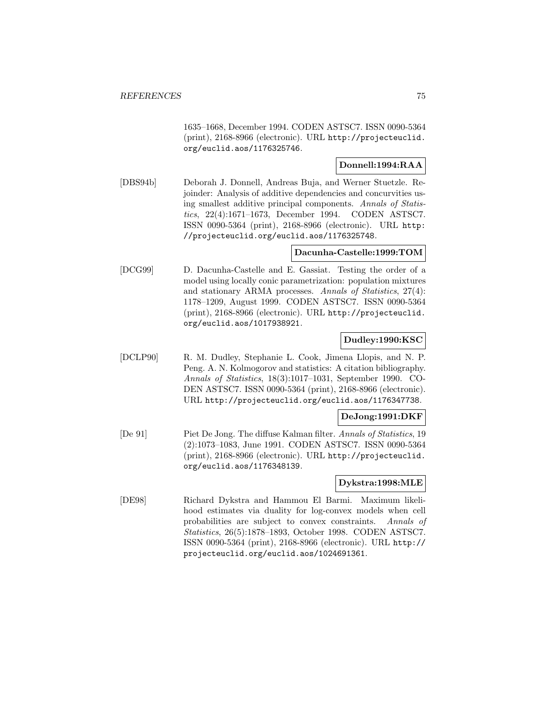1635–1668, December 1994. CODEN ASTSC7. ISSN 0090-5364 (print), 2168-8966 (electronic). URL http://projecteuclid. org/euclid.aos/1176325746.

## **Donnell:1994:RAA**

[DBS94b] Deborah J. Donnell, Andreas Buja, and Werner Stuetzle. Rejoinder: Analysis of additive dependencies and concurvities using smallest additive principal components. Annals of Statistics, 22(4):1671–1673, December 1994. CODEN ASTSC7. ISSN 0090-5364 (print), 2168-8966 (electronic). URL http: //projecteuclid.org/euclid.aos/1176325748.

## **Dacunha-Castelle:1999:TOM**

[DCG99] D. Dacunha-Castelle and E. Gassiat. Testing the order of a model using locally conic parametrization: population mixtures and stationary ARMA processes. Annals of Statistics, 27(4): 1178–1209, August 1999. CODEN ASTSC7. ISSN 0090-5364 (print), 2168-8966 (electronic). URL http://projecteuclid. org/euclid.aos/1017938921.

### **Dudley:1990:KSC**

[DCLP90] R. M. Dudley, Stephanie L. Cook, Jimena Llopis, and N. P. Peng. A. N. Kolmogorov and statistics: A citation bibliography. Annals of Statistics, 18(3):1017–1031, September 1990. CO-DEN ASTSC7. ISSN 0090-5364 (print), 2168-8966 (electronic). URL http://projecteuclid.org/euclid.aos/1176347738.

# **DeJong:1991:DKF**

[De 91] Piet De Jong. The diffuse Kalman filter. Annals of Statistics, 19 (2):1073–1083, June 1991. CODEN ASTSC7. ISSN 0090-5364 (print), 2168-8966 (electronic). URL http://projecteuclid. org/euclid.aos/1176348139.

### **Dykstra:1998:MLE**

[DE98] Richard Dykstra and Hammou El Barmi. Maximum likelihood estimates via duality for log-convex models when cell probabilities are subject to convex constraints. Annals of Statistics, 26(5):1878–1893, October 1998. CODEN ASTSC7. ISSN 0090-5364 (print), 2168-8966 (electronic). URL http:// projecteuclid.org/euclid.aos/1024691361.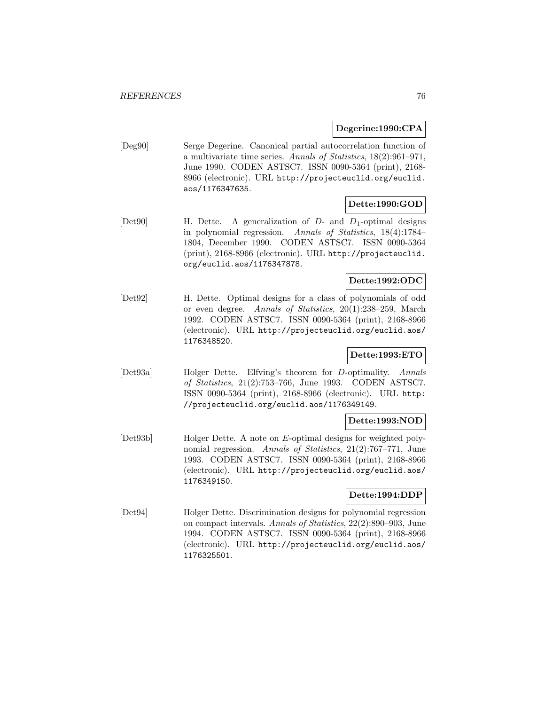#### **Degerine:1990:CPA**

[Deg90] Serge Degerine. Canonical partial autocorrelation function of a multivariate time series. Annals of Statistics, 18(2):961–971, June 1990. CODEN ASTSC7. ISSN 0090-5364 (print), 2168- 8966 (electronic). URL http://projecteuclid.org/euclid. aos/1176347635.

#### **Dette:1990:GOD**

[Det90] H. Dette. A generalization of  $D$ - and  $D_1$ -optimal designs in polynomial regression. Annals of Statistics, 18(4):1784– 1804, December 1990. CODEN ASTSC7. ISSN 0090-5364 (print), 2168-8966 (electronic). URL http://projecteuclid. org/euclid.aos/1176347878.

## **Dette:1992:ODC**

[Det92] H. Dette. Optimal designs for a class of polynomials of odd or even degree. Annals of Statistics, 20(1):238–259, March 1992. CODEN ASTSC7. ISSN 0090-5364 (print), 2168-8966 (electronic). URL http://projecteuclid.org/euclid.aos/ 1176348520.

# **Dette:1993:ETO**

[Det93a] Holger Dette. Elfving's theorem for D-optimality. Annals of Statistics, 21(2):753–766, June 1993. CODEN ASTSC7. ISSN 0090-5364 (print), 2168-8966 (electronic). URL http: //projecteuclid.org/euclid.aos/1176349149.

#### **Dette:1993:NOD**

[Det93b] Holger Dette. A note on E-optimal designs for weighted polynomial regression. Annals of Statistics, 21(2):767–771, June 1993. CODEN ASTSC7. ISSN 0090-5364 (print), 2168-8966 (electronic). URL http://projecteuclid.org/euclid.aos/ 1176349150.

#### **Dette:1994:DDP**

[Det94] Holger Dette. Discrimination designs for polynomial regression on compact intervals. Annals of Statistics, 22(2):890–903, June 1994. CODEN ASTSC7. ISSN 0090-5364 (print), 2168-8966 (electronic). URL http://projecteuclid.org/euclid.aos/ 1176325501.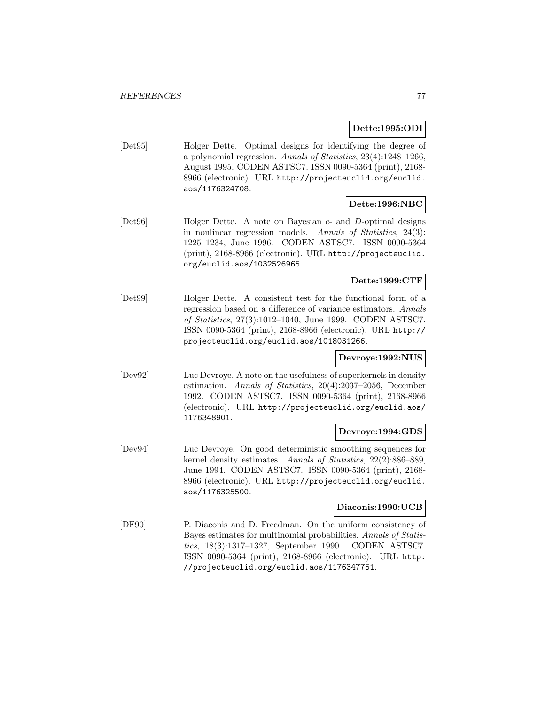## **Dette:1995:ODI**

[Det95] Holger Dette. Optimal designs for identifying the degree of a polynomial regression. Annals of Statistics, 23(4):1248–1266, August 1995. CODEN ASTSC7. ISSN 0090-5364 (print), 2168- 8966 (electronic). URL http://projecteuclid.org/euclid. aos/1176324708.

# **Dette:1996:NBC**

[Det96] Holger Dette. A note on Bayesian c- and D-optimal designs in nonlinear regression models. Annals of Statistics, 24(3): 1225–1234, June 1996. CODEN ASTSC7. ISSN 0090-5364 (print), 2168-8966 (electronic). URL http://projecteuclid. org/euclid.aos/1032526965.

## **Dette:1999:CTF**

[Det99] Holger Dette. A consistent test for the functional form of a regression based on a difference of variance estimators. Annals of Statistics, 27(3):1012–1040, June 1999. CODEN ASTSC7. ISSN 0090-5364 (print), 2168-8966 (electronic). URL http:// projecteuclid.org/euclid.aos/1018031266.

# **Devroye:1992:NUS**

[Dev92] Luc Devroye. A note on the usefulness of superkernels in density estimation. Annals of Statistics, 20(4):2037–2056, December 1992. CODEN ASTSC7. ISSN 0090-5364 (print), 2168-8966 (electronic). URL http://projecteuclid.org/euclid.aos/ 1176348901.

#### **Devroye:1994:GDS**

[Dev94] Luc Devroye. On good deterministic smoothing sequences for kernel density estimates. Annals of Statistics, 22(2):886–889, June 1994. CODEN ASTSC7. ISSN 0090-5364 (print), 2168- 8966 (electronic). URL http://projecteuclid.org/euclid. aos/1176325500.

#### **Diaconis:1990:UCB**

[DF90] P. Diaconis and D. Freedman. On the uniform consistency of Bayes estimates for multinomial probabilities. Annals of Statistics, 18(3):1317–1327, September 1990. CODEN ASTSC7. ISSN 0090-5364 (print), 2168-8966 (electronic). URL http: //projecteuclid.org/euclid.aos/1176347751.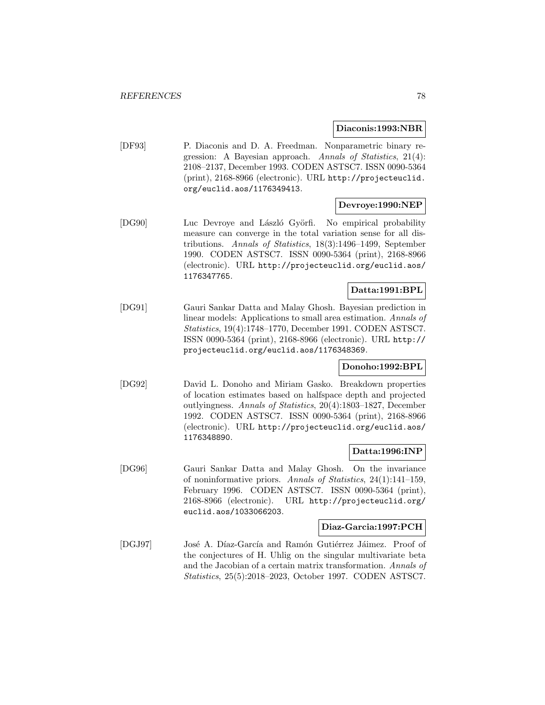#### **Diaconis:1993:NBR**

[DF93] P. Diaconis and D. A. Freedman. Nonparametric binary regression: A Bayesian approach. Annals of Statistics, 21(4): 2108–2137, December 1993. CODEN ASTSC7. ISSN 0090-5364 (print), 2168-8966 (electronic). URL http://projecteuclid. org/euclid.aos/1176349413.

# **Devroye:1990:NEP**

[DG90] Luc Devroye and László Györfi. No empirical probability measure can converge in the total variation sense for all distributions. Annals of Statistics, 18(3):1496–1499, September 1990. CODEN ASTSC7. ISSN 0090-5364 (print), 2168-8966 (electronic). URL http://projecteuclid.org/euclid.aos/ 1176347765.

## **Datta:1991:BPL**

[DG91] Gauri Sankar Datta and Malay Ghosh. Bayesian prediction in linear models: Applications to small area estimation. Annals of Statistics, 19(4):1748–1770, December 1991. CODEN ASTSC7. ISSN 0090-5364 (print), 2168-8966 (electronic). URL http:// projecteuclid.org/euclid.aos/1176348369.

#### **Donoho:1992:BPL**

[DG92] David L. Donoho and Miriam Gasko. Breakdown properties of location estimates based on halfspace depth and projected outlyingness. Annals of Statistics, 20(4):1803–1827, December 1992. CODEN ASTSC7. ISSN 0090-5364 (print), 2168-8966 (electronic). URL http://projecteuclid.org/euclid.aos/ 1176348890.

#### **Datta:1996:INP**

[DG96] Gauri Sankar Datta and Malay Ghosh. On the invariance of noninformative priors. Annals of Statistics, 24(1):141–159, February 1996. CODEN ASTSC7. ISSN 0090-5364 (print), 2168-8966 (electronic). URL http://projecteuclid.org/ euclid.aos/1033066203.

#### **Diaz-Garcia:1997:PCH**

[DGJ97] José A. Díaz-García and Ramón Gutiérrez Jáimez. Proof of the conjectures of H. Uhlig on the singular multivariate beta and the Jacobian of a certain matrix transformation. Annals of Statistics, 25(5):2018–2023, October 1997. CODEN ASTSC7.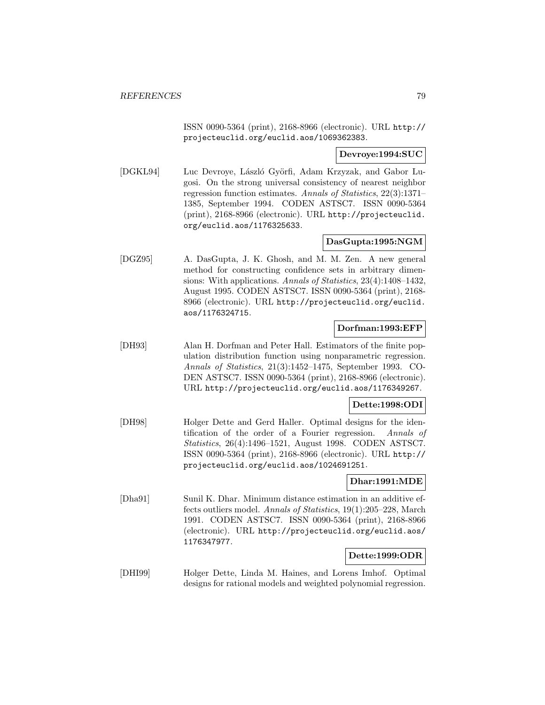ISSN 0090-5364 (print), 2168-8966 (electronic). URL http:// projecteuclid.org/euclid.aos/1069362383.

## **Devroye:1994:SUC**

[DGKL94] Luc Devroye, László Györfi, Adam Krzyzak, and Gabor Lugosi. On the strong universal consistency of nearest neighbor regression function estimates. Annals of Statistics, 22(3):1371– 1385, September 1994. CODEN ASTSC7. ISSN 0090-5364 (print), 2168-8966 (electronic). URL http://projecteuclid. org/euclid.aos/1176325633.

# **DasGupta:1995:NGM**

[DGZ95] A. DasGupta, J. K. Ghosh, and M. M. Zen. A new general method for constructing confidence sets in arbitrary dimensions: With applications. Annals of Statistics, 23(4):1408–1432, August 1995. CODEN ASTSC7. ISSN 0090-5364 (print), 2168- 8966 (electronic). URL http://projecteuclid.org/euclid. aos/1176324715.

## **Dorfman:1993:EFP**

[DH93] Alan H. Dorfman and Peter Hall. Estimators of the finite population distribution function using nonparametric regression. Annals of Statistics, 21(3):1452–1475, September 1993. CO-DEN ASTSC7. ISSN 0090-5364 (print), 2168-8966 (electronic). URL http://projecteuclid.org/euclid.aos/1176349267.

#### **Dette:1998:ODI**

[DH98] Holger Dette and Gerd Haller. Optimal designs for the identification of the order of a Fourier regression. Annals of Statistics, 26(4):1496–1521, August 1998. CODEN ASTSC7. ISSN 0090-5364 (print), 2168-8966 (electronic). URL http:// projecteuclid.org/euclid.aos/1024691251.

### **Dhar:1991:MDE**

[Dha91] Sunil K. Dhar. Minimum distance estimation in an additive effects outliers model. Annals of Statistics, 19(1):205–228, March 1991. CODEN ASTSC7. ISSN 0090-5364 (print), 2168-8966 (electronic). URL http://projecteuclid.org/euclid.aos/ 1176347977.

## **Dette:1999:ODR**

[DHI99] Holger Dette, Linda M. Haines, and Lorens Imhof. Optimal designs for rational models and weighted polynomial regression.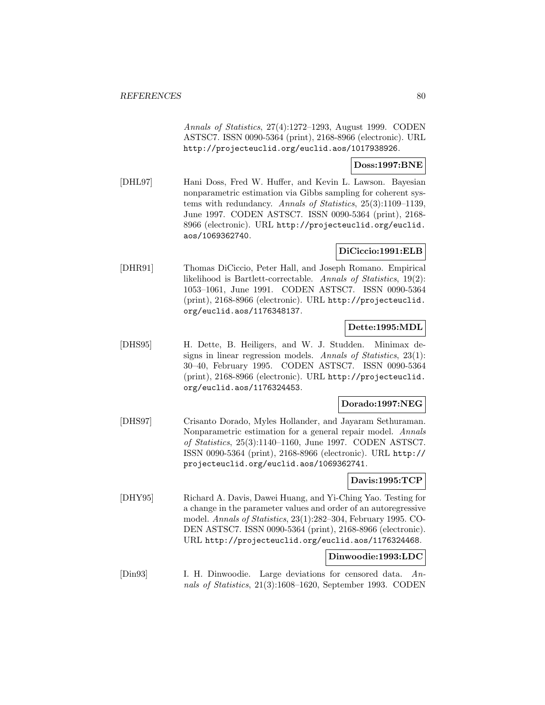Annals of Statistics, 27(4):1272–1293, August 1999. CODEN ASTSC7. ISSN 0090-5364 (print), 2168-8966 (electronic). URL http://projecteuclid.org/euclid.aos/1017938926.

## **Doss:1997:BNE**

[DHL97] Hani Doss, Fred W. Huffer, and Kevin L. Lawson. Bayesian nonparametric estimation via Gibbs sampling for coherent systems with redundancy. Annals of Statistics, 25(3):1109–1139, June 1997. CODEN ASTSC7. ISSN 0090-5364 (print), 2168- 8966 (electronic). URL http://projecteuclid.org/euclid. aos/1069362740.

#### **DiCiccio:1991:ELB**

[DHR91] Thomas DiCiccio, Peter Hall, and Joseph Romano. Empirical likelihood is Bartlett-correctable. Annals of Statistics, 19(2): 1053–1061, June 1991. CODEN ASTSC7. ISSN 0090-5364 (print), 2168-8966 (electronic). URL http://projecteuclid. org/euclid.aos/1176348137.

#### **Dette:1995:MDL**

[DHS95] H. Dette, B. Heiligers, and W. J. Studden. Minimax designs in linear regression models. Annals of Statistics, 23(1): 30–40, February 1995. CODEN ASTSC7. ISSN 0090-5364 (print), 2168-8966 (electronic). URL http://projecteuclid. org/euclid.aos/1176324453.

#### **Dorado:1997:NEG**

[DHS97] Crisanto Dorado, Myles Hollander, and Jayaram Sethuraman. Nonparametric estimation for a general repair model. Annals of Statistics, 25(3):1140–1160, June 1997. CODEN ASTSC7. ISSN 0090-5364 (print), 2168-8966 (electronic). URL http:// projecteuclid.org/euclid.aos/1069362741.

### **Davis:1995:TCP**

[DHY95] Richard A. Davis, Dawei Huang, and Yi-Ching Yao. Testing for a change in the parameter values and order of an autoregressive model. Annals of Statistics, 23(1):282–304, February 1995. CO-DEN ASTSC7. ISSN 0090-5364 (print), 2168-8966 (electronic). URL http://projecteuclid.org/euclid.aos/1176324468.

#### **Dinwoodie:1993:LDC**

[Din93] I. H. Dinwoodie. Large deviations for censored data. Annals of Statistics, 21(3):1608–1620, September 1993. CODEN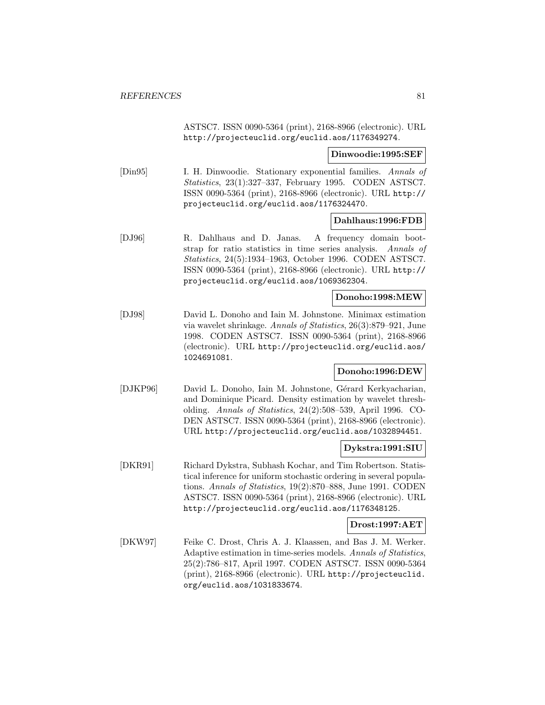ASTSC7. ISSN 0090-5364 (print), 2168-8966 (electronic). URL http://projecteuclid.org/euclid.aos/1176349274.

**Dinwoodie:1995:SEF**

[Din95] I. H. Dinwoodie. Stationary exponential families. Annals of Statistics, 23(1):327–337, February 1995. CODEN ASTSC7. ISSN 0090-5364 (print), 2168-8966 (electronic). URL http:// projecteuclid.org/euclid.aos/1176324470.

#### **Dahlhaus:1996:FDB**

[DJ96] R. Dahlhaus and D. Janas. A frequency domain bootstrap for ratio statistics in time series analysis. Annals of Statistics, 24(5):1934–1963, October 1996. CODEN ASTSC7. ISSN 0090-5364 (print), 2168-8966 (electronic). URL http:// projecteuclid.org/euclid.aos/1069362304.

#### **Donoho:1998:MEW**

[DJ98] David L. Donoho and Iain M. Johnstone. Minimax estimation via wavelet shrinkage. Annals of Statistics, 26(3):879–921, June 1998. CODEN ASTSC7. ISSN 0090-5364 (print), 2168-8966 (electronic). URL http://projecteuclid.org/euclid.aos/ 1024691081.

### **Donoho:1996:DEW**

[DJKP96] David L. Donoho, Iain M. Johnstone, Gérard Kerkyacharian, and Dominique Picard. Density estimation by wavelet thresholding. Annals of Statistics, 24(2):508–539, April 1996. CO-DEN ASTSC7. ISSN 0090-5364 (print), 2168-8966 (electronic). URL http://projecteuclid.org/euclid.aos/1032894451.

#### **Dykstra:1991:SIU**

[DKR91] Richard Dykstra, Subhash Kochar, and Tim Robertson. Statistical inference for uniform stochastic ordering in several populations. Annals of Statistics, 19(2):870–888, June 1991. CODEN ASTSC7. ISSN 0090-5364 (print), 2168-8966 (electronic). URL http://projecteuclid.org/euclid.aos/1176348125.

## **Drost:1997:AET**

[DKW97] Feike C. Drost, Chris A. J. Klaassen, and Bas J. M. Werker. Adaptive estimation in time-series models. Annals of Statistics, 25(2):786–817, April 1997. CODEN ASTSC7. ISSN 0090-5364 (print), 2168-8966 (electronic). URL http://projecteuclid. org/euclid.aos/1031833674.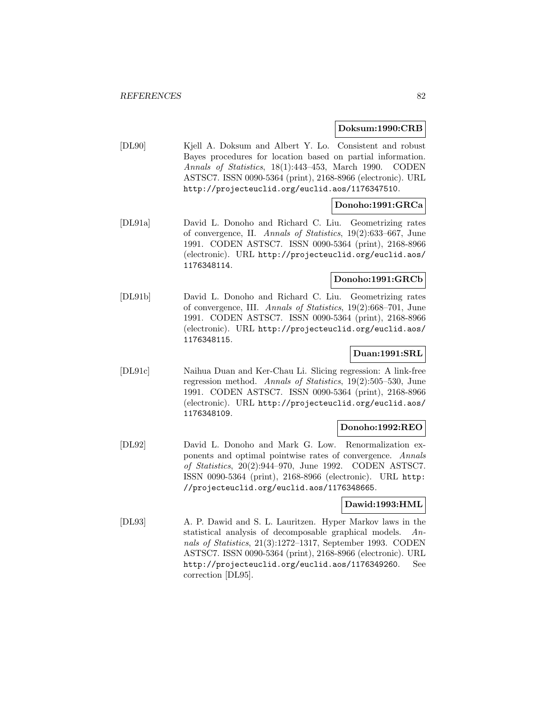#### **Doksum:1990:CRB**

[DL90] Kjell A. Doksum and Albert Y. Lo. Consistent and robust Bayes procedures for location based on partial information. Annals of Statistics, 18(1):443–453, March 1990. CODEN ASTSC7. ISSN 0090-5364 (print), 2168-8966 (electronic). URL http://projecteuclid.org/euclid.aos/1176347510.

## **Donoho:1991:GRCa**

[DL91a] David L. Donoho and Richard C. Liu. Geometrizing rates of convergence, II. Annals of Statistics, 19(2):633–667, June 1991. CODEN ASTSC7. ISSN 0090-5364 (print), 2168-8966 (electronic). URL http://projecteuclid.org/euclid.aos/ 1176348114.

### **Donoho:1991:GRCb**

[DL91b] David L. Donoho and Richard C. Liu. Geometrizing rates of convergence, III. Annals of Statistics, 19(2):668–701, June 1991. CODEN ASTSC7. ISSN 0090-5364 (print), 2168-8966 (electronic). URL http://projecteuclid.org/euclid.aos/ 1176348115.

## **Duan:1991:SRL**

[DL91c] Naihua Duan and Ker-Chau Li. Slicing regression: A link-free regression method. Annals of Statistics, 19(2):505–530, June 1991. CODEN ASTSC7. ISSN 0090-5364 (print), 2168-8966 (electronic). URL http://projecteuclid.org/euclid.aos/ 1176348109.

#### **Donoho:1992:REO**

[DL92] David L. Donoho and Mark G. Low. Renormalization exponents and optimal pointwise rates of convergence. Annals of Statistics, 20(2):944–970, June 1992. CODEN ASTSC7. ISSN 0090-5364 (print), 2168-8966 (electronic). URL http: //projecteuclid.org/euclid.aos/1176348665.

#### **Dawid:1993:HML**

[DL93] A. P. Dawid and S. L. Lauritzen. Hyper Markov laws in the statistical analysis of decomposable graphical models. Annals of Statistics, 21(3):1272–1317, September 1993. CODEN ASTSC7. ISSN 0090-5364 (print), 2168-8966 (electronic). URL http://projecteuclid.org/euclid.aos/1176349260. See correction [DL95].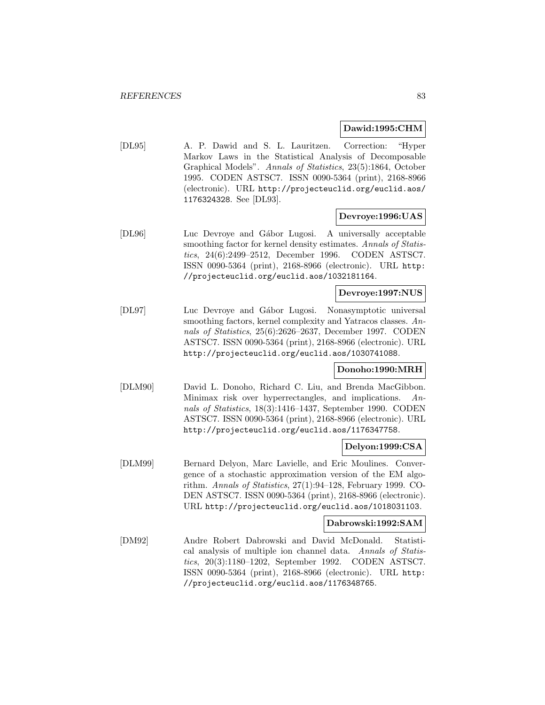#### **Dawid:1995:CHM**

[DL95] A. P. Dawid and S. L. Lauritzen. Correction: "Hyper Markov Laws in the Statistical Analysis of Decomposable Graphical Models". Annals of Statistics, 23(5):1864, October 1995. CODEN ASTSC7. ISSN 0090-5364 (print), 2168-8966 (electronic). URL http://projecteuclid.org/euclid.aos/ 1176324328. See [DL93].

#### **Devroye:1996:UAS**

[DL96] Luc Devroye and Gábor Lugosi. A universally acceptable smoothing factor for kernel density estimates. Annals of Statistics, 24(6):2499–2512, December 1996. CODEN ASTSC7. ISSN 0090-5364 (print), 2168-8966 (electronic). URL http: //projecteuclid.org/euclid.aos/1032181164.

## **Devroye:1997:NUS**

[DL97] Luc Devroye and Gábor Lugosi. Nonasymptotic universal smoothing factors, kernel complexity and Yatracos classes. Annals of Statistics, 25(6):2626–2637, December 1997. CODEN ASTSC7. ISSN 0090-5364 (print), 2168-8966 (electronic). URL http://projecteuclid.org/euclid.aos/1030741088.

#### **Donoho:1990:MRH**

[DLM90] David L. Donoho, Richard C. Liu, and Brenda MacGibbon. Minimax risk over hyperrectangles, and implications. Annals of Statistics, 18(3):1416–1437, September 1990. CODEN ASTSC7. ISSN 0090-5364 (print), 2168-8966 (electronic). URL http://projecteuclid.org/euclid.aos/1176347758.

#### **Delyon:1999:CSA**

[DLM99] Bernard Delyon, Marc Lavielle, and Eric Moulines. Convergence of a stochastic approximation version of the EM algorithm. Annals of Statistics, 27(1):94–128, February 1999. CO-DEN ASTSC7. ISSN 0090-5364 (print), 2168-8966 (electronic). URL http://projecteuclid.org/euclid.aos/1018031103.

#### **Dabrowski:1992:SAM**

[DM92] Andre Robert Dabrowski and David McDonald. Statistical analysis of multiple ion channel data. Annals of Statistics, 20(3):1180–1202, September 1992. CODEN ASTSC7. ISSN 0090-5364 (print), 2168-8966 (electronic). URL http: //projecteuclid.org/euclid.aos/1176348765.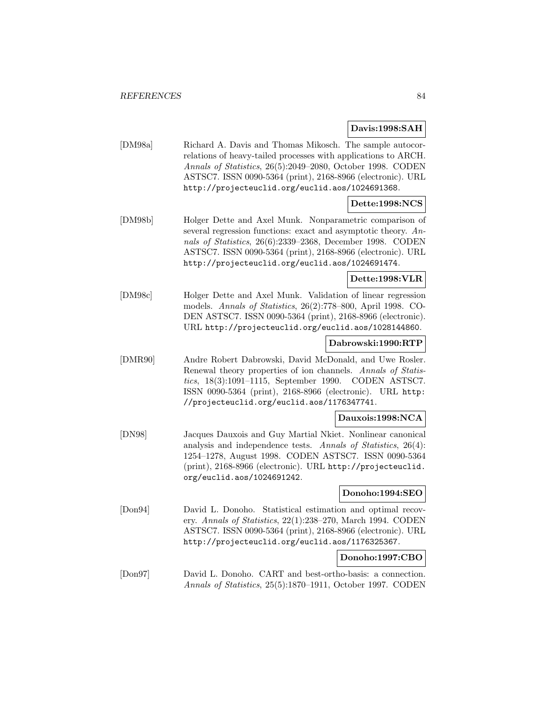**Davis:1998:SAH**

[DM98a] Richard A. Davis and Thomas Mikosch. The sample autocorrelations of heavy-tailed processes with applications to ARCH. Annals of Statistics, 26(5):2049–2080, October 1998. CODEN ASTSC7. ISSN 0090-5364 (print), 2168-8966 (electronic). URL http://projecteuclid.org/euclid.aos/1024691368.

# **Dette:1998:NCS**

[DM98b] Holger Dette and Axel Munk. Nonparametric comparison of several regression functions: exact and asymptotic theory. Annals of Statistics, 26(6):2339–2368, December 1998. CODEN ASTSC7. ISSN 0090-5364 (print), 2168-8966 (electronic). URL http://projecteuclid.org/euclid.aos/1024691474.

# **Dette:1998:VLR**

[DM98c] Holger Dette and Axel Munk. Validation of linear regression models. Annals of Statistics, 26(2):778–800, April 1998. CO-DEN ASTSC7. ISSN 0090-5364 (print), 2168-8966 (electronic). URL http://projecteuclid.org/euclid.aos/1028144860.

#### **Dabrowski:1990:RTP**

[DMR90] Andre Robert Dabrowski, David McDonald, and Uwe Rosler. Renewal theory properties of ion channels. Annals of Statistics, 18(3):1091–1115, September 1990. CODEN ASTSC7. ISSN 0090-5364 (print), 2168-8966 (electronic). URL http: //projecteuclid.org/euclid.aos/1176347741.

#### **Dauxois:1998:NCA**

[DN98] Jacques Dauxois and Guy Martial Nkiet. Nonlinear canonical analysis and independence tests. Annals of Statistics, 26(4): 1254–1278, August 1998. CODEN ASTSC7. ISSN 0090-5364 (print), 2168-8966 (electronic). URL http://projecteuclid. org/euclid.aos/1024691242.

#### **Donoho:1994:SEO**

[Don94] David L. Donoho. Statistical estimation and optimal recovery. Annals of Statistics, 22(1):238–270, March 1994. CODEN ASTSC7. ISSN 0090-5364 (print), 2168-8966 (electronic). URL http://projecteuclid.org/euclid.aos/1176325367.

#### **Donoho:1997:CBO**

[Don97] David L. Donoho. CART and best-ortho-basis: a connection. Annals of Statistics, 25(5):1870–1911, October 1997. CODEN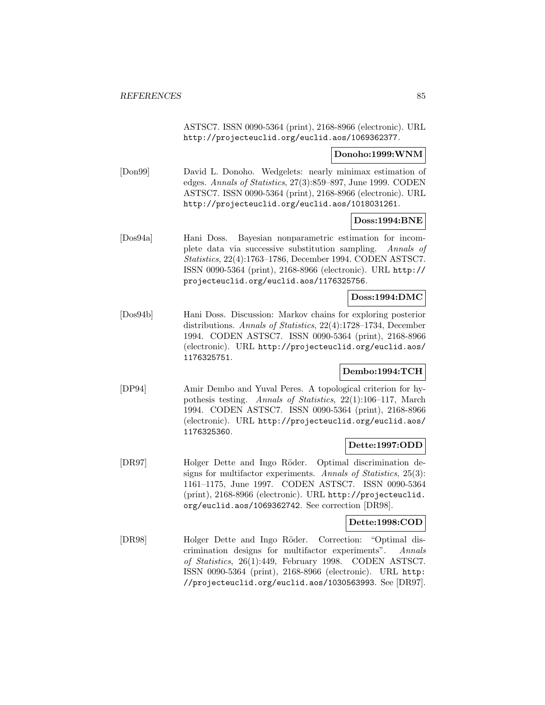ASTSC7. ISSN 0090-5364 (print), 2168-8966 (electronic). URL http://projecteuclid.org/euclid.aos/1069362377.

#### **Donoho:1999:WNM**

[Don99] David L. Donoho. Wedgelets: nearly minimax estimation of edges. Annals of Statistics, 27(3):859–897, June 1999. CODEN ASTSC7. ISSN 0090-5364 (print), 2168-8966 (electronic). URL http://projecteuclid.org/euclid.aos/1018031261.

#### **Doss:1994:BNE**

[Dos94a] Hani Doss. Bayesian nonparametric estimation for incomplete data via successive substitution sampling. Annals of Statistics, 22(4):1763–1786, December 1994. CODEN ASTSC7. ISSN 0090-5364 (print), 2168-8966 (electronic). URL http:// projecteuclid.org/euclid.aos/1176325756.

#### **Doss:1994:DMC**

[Dos94b] Hani Doss. Discussion: Markov chains for exploring posterior distributions. Annals of Statistics, 22(4):1728–1734, December 1994. CODEN ASTSC7. ISSN 0090-5364 (print), 2168-8966 (electronic). URL http://projecteuclid.org/euclid.aos/ 1176325751.

## **Dembo:1994:TCH**

[DP94] Amir Dembo and Yuval Peres. A topological criterion for hypothesis testing. Annals of Statistics, 22(1):106–117, March 1994. CODEN ASTSC7. ISSN 0090-5364 (print), 2168-8966 (electronic). URL http://projecteuclid.org/euclid.aos/ 1176325360.

# **Dette:1997:ODD**

[DR97] Holger Dette and Ingo Röder. Optimal discrimination designs for multifactor experiments. Annals of Statistics, 25(3): 1161–1175, June 1997. CODEN ASTSC7. ISSN 0090-5364 (print), 2168-8966 (electronic). URL http://projecteuclid. org/euclid.aos/1069362742. See correction [DR98].

#### **Dette:1998:COD**

[DR98] Holger Dette and Ingo Röder. Correction: "Optimal discrimination designs for multifactor experiments". Annals of Statistics, 26(1):449, February 1998. CODEN ASTSC7. ISSN 0090-5364 (print), 2168-8966 (electronic). URL http: //projecteuclid.org/euclid.aos/1030563993. See [DR97].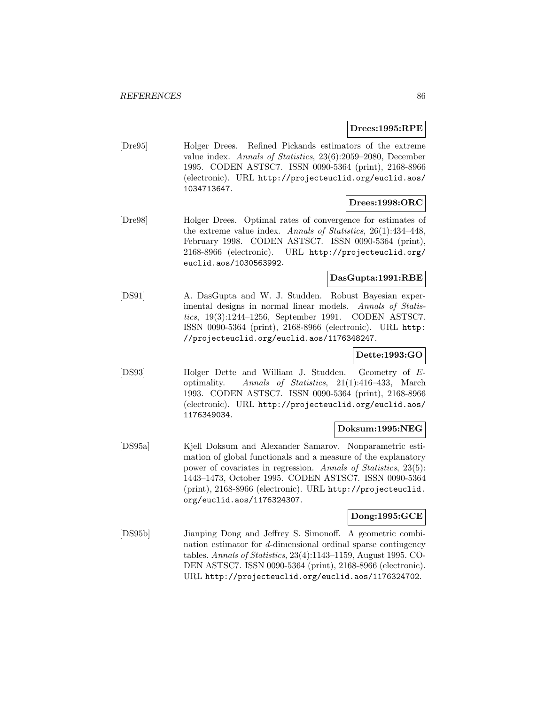### **Drees:1995:RPE**

[Dre95] Holger Drees. Refined Pickands estimators of the extreme value index. Annals of Statistics, 23(6):2059–2080, December 1995. CODEN ASTSC7. ISSN 0090-5364 (print), 2168-8966 (electronic). URL http://projecteuclid.org/euclid.aos/ 1034713647.

## **Drees:1998:ORC**

[Dre98] Holger Drees. Optimal rates of convergence for estimates of the extreme value index. Annals of Statistics, 26(1):434–448, February 1998. CODEN ASTSC7. ISSN 0090-5364 (print), 2168-8966 (electronic). URL http://projecteuclid.org/ euclid.aos/1030563992.

# **DasGupta:1991:RBE**

[DS91] A. DasGupta and W. J. Studden. Robust Bayesian experimental designs in normal linear models. Annals of Statistics, 19(3):1244–1256, September 1991. CODEN ASTSC7. ISSN 0090-5364 (print), 2168-8966 (electronic). URL http: //projecteuclid.org/euclid.aos/1176348247.

# **Dette:1993:GO**

[DS93] Holger Dette and William J. Studden. Geometry of Eoptimality. Annals of Statistics, 21(1):416–433, March 1993. CODEN ASTSC7. ISSN 0090-5364 (print), 2168-8966 (electronic). URL http://projecteuclid.org/euclid.aos/ 1176349034.

#### **Doksum:1995:NEG**

[DS95a] Kjell Doksum and Alexander Samarov. Nonparametric estimation of global functionals and a measure of the explanatory power of covariates in regression. Annals of Statistics, 23(5): 1443–1473, October 1995. CODEN ASTSC7. ISSN 0090-5364 (print), 2168-8966 (electronic). URL http://projecteuclid. org/euclid.aos/1176324307.

#### **Dong:1995:GCE**

[DS95b] Jianping Dong and Jeffrey S. Simonoff. A geometric combination estimator for d-dimensional ordinal sparse contingency tables. Annals of Statistics, 23(4):1143–1159, August 1995. CO-DEN ASTSC7. ISSN 0090-5364 (print), 2168-8966 (electronic). URL http://projecteuclid.org/euclid.aos/1176324702.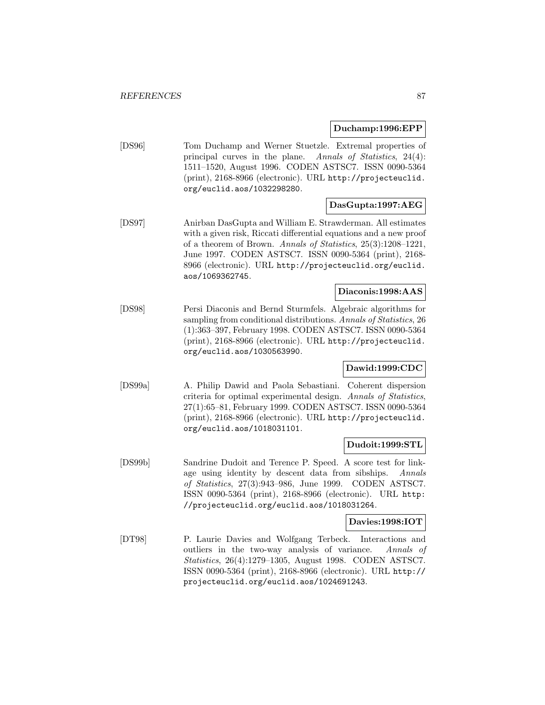**Duchamp:1996:EPP**

[DS96] Tom Duchamp and Werner Stuetzle. Extremal properties of principal curves in the plane. Annals of Statistics, 24(4): 1511–1520, August 1996. CODEN ASTSC7. ISSN 0090-5364 (print), 2168-8966 (electronic). URL http://projecteuclid. org/euclid.aos/1032298280.

# **DasGupta:1997:AEG**

[DS97] Anirban DasGupta and William E. Strawderman. All estimates with a given risk, Riccati differential equations and a new proof of a theorem of Brown. Annals of Statistics, 25(3):1208–1221, June 1997. CODEN ASTSC7. ISSN 0090-5364 (print), 2168- 8966 (electronic). URL http://projecteuclid.org/euclid. aos/1069362745.

# **Diaconis:1998:AAS**

[DS98] Persi Diaconis and Bernd Sturmfels. Algebraic algorithms for sampling from conditional distributions. Annals of Statistics, 26 (1):363–397, February 1998. CODEN ASTSC7. ISSN 0090-5364 (print), 2168-8966 (electronic). URL http://projecteuclid. org/euclid.aos/1030563990.

## **Dawid:1999:CDC**

[DS99a] A. Philip Dawid and Paola Sebastiani. Coherent dispersion criteria for optimal experimental design. Annals of Statistics, 27(1):65–81, February 1999. CODEN ASTSC7. ISSN 0090-5364 (print), 2168-8966 (electronic). URL http://projecteuclid. org/euclid.aos/1018031101.

# **Dudoit:1999:STL**

[DS99b] Sandrine Dudoit and Terence P. Speed. A score test for linkage using identity by descent data from sibships. Annals of Statistics, 27(3):943–986, June 1999. CODEN ASTSC7. ISSN 0090-5364 (print), 2168-8966 (electronic). URL http: //projecteuclid.org/euclid.aos/1018031264.

# **Davies:1998:IOT**

[DT98] P. Laurie Davies and Wolfgang Terbeck. Interactions and outliers in the two-way analysis of variance. Annals of Statistics, 26(4):1279–1305, August 1998. CODEN ASTSC7. ISSN 0090-5364 (print), 2168-8966 (electronic). URL http:// projecteuclid.org/euclid.aos/1024691243.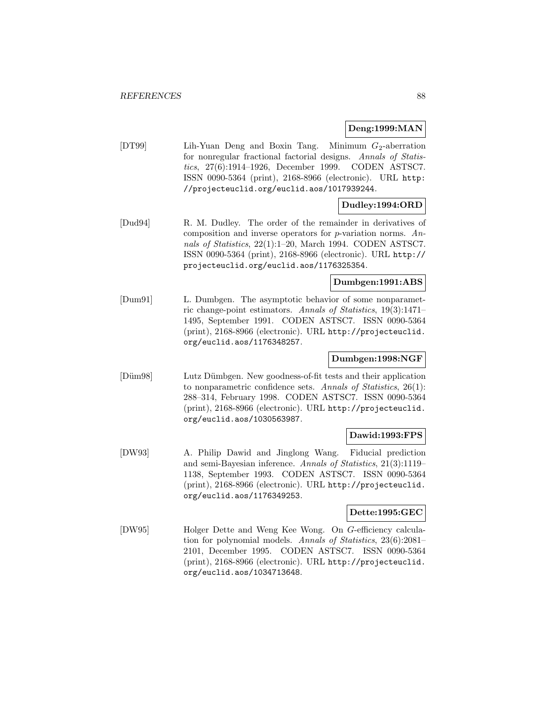#### **Deng:1999:MAN**

[DT99] Lih-Yuan Deng and Boxin Tang. Minimum  $G_2$ -aberration for nonregular fractional factorial designs. Annals of Statistics, 27(6):1914–1926, December 1999. CODEN ASTSC7. ISSN 0090-5364 (print), 2168-8966 (electronic). URL http: //projecteuclid.org/euclid.aos/1017939244.

## **Dudley:1994:ORD**

[Dud94] R. M. Dudley. The order of the remainder in derivatives of composition and inverse operators for  $p$ -variation norms. Annals of Statistics, 22(1):1–20, March 1994. CODEN ASTSC7. ISSN 0090-5364 (print), 2168-8966 (electronic). URL http:// projecteuclid.org/euclid.aos/1176325354.

#### **Dumbgen:1991:ABS**

[Dum91] L. Dumbgen. The asymptotic behavior of some nonparametric change-point estimators. Annals of Statistics, 19(3):1471– 1495, September 1991. CODEN ASTSC7. ISSN 0090-5364 (print), 2168-8966 (electronic). URL http://projecteuclid. org/euclid.aos/1176348257.

# **Dumbgen:1998:NGF**

[Düm98] Lutz Dümbgen. New goodness-of-fit tests and their application to nonparametric confidence sets. Annals of Statistics, 26(1): 288–314, February 1998. CODEN ASTSC7. ISSN 0090-5364 (print), 2168-8966 (electronic). URL http://projecteuclid. org/euclid.aos/1030563987.

### **Dawid:1993:FPS**

[DW93] A. Philip Dawid and Jinglong Wang. Fiducial prediction and semi-Bayesian inference. Annals of Statistics, 21(3):1119– 1138, September 1993. CODEN ASTSC7. ISSN 0090-5364 (print), 2168-8966 (electronic). URL http://projecteuclid. org/euclid.aos/1176349253.

#### **Dette:1995:GEC**

[DW95] Holger Dette and Weng Kee Wong. On G-efficiency calculation for polynomial models. Annals of Statistics, 23(6):2081– 2101, December 1995. CODEN ASTSC7. ISSN 0090-5364 (print), 2168-8966 (electronic). URL http://projecteuclid. org/euclid.aos/1034713648.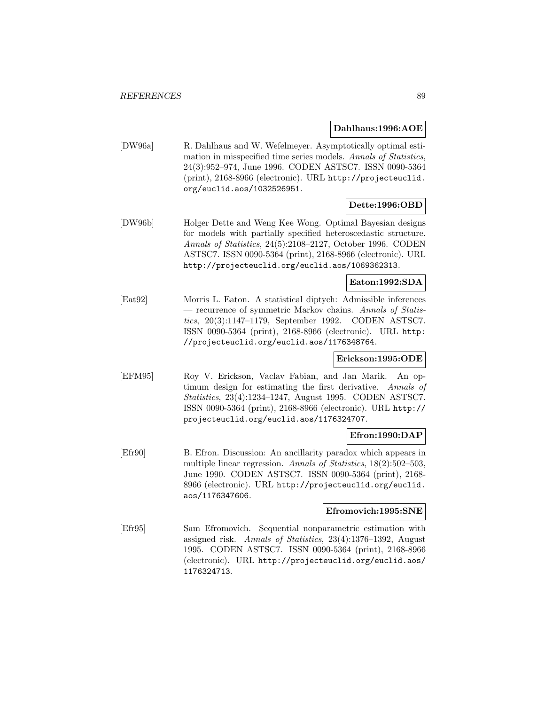#### **Dahlhaus:1996:AOE**

[DW96a] R. Dahlhaus and W. Wefelmeyer. Asymptotically optimal estimation in misspecified time series models. Annals of Statistics, 24(3):952–974, June 1996. CODEN ASTSC7. ISSN 0090-5364 (print), 2168-8966 (electronic). URL http://projecteuclid. org/euclid.aos/1032526951.

# **Dette:1996:OBD**

[DW96b] Holger Dette and Weng Kee Wong. Optimal Bayesian designs for models with partially specified heteroscedastic structure. Annals of Statistics, 24(5):2108–2127, October 1996. CODEN ASTSC7. ISSN 0090-5364 (print), 2168-8966 (electronic). URL http://projecteuclid.org/euclid.aos/1069362313.

# **Eaton:1992:SDA**

[Eat92] Morris L. Eaton. A statistical diptych: Admissible inferences — recurrence of symmetric Markov chains. Annals of Statistics, 20(3):1147–1179, September 1992. CODEN ASTSC7. ISSN 0090-5364 (print), 2168-8966 (electronic). URL http: //projecteuclid.org/euclid.aos/1176348764.

# **Erickson:1995:ODE**

[EFM95] Roy V. Erickson, Vaclav Fabian, and Jan Marik. An optimum design for estimating the first derivative. Annals of Statistics, 23(4):1234–1247, August 1995. CODEN ASTSC7. ISSN 0090-5364 (print), 2168-8966 (electronic). URL http:// projecteuclid.org/euclid.aos/1176324707.

### **Efron:1990:DAP**

[Efr90] B. Efron. Discussion: An ancillarity paradox which appears in multiple linear regression. Annals of Statistics, 18(2):502-503, June 1990. CODEN ASTSC7. ISSN 0090-5364 (print), 2168- 8966 (electronic). URL http://projecteuclid.org/euclid. aos/1176347606.

## **Efromovich:1995:SNE**

[Efr95] Sam Efromovich. Sequential nonparametric estimation with assigned risk. Annals of Statistics, 23(4):1376–1392, August 1995. CODEN ASTSC7. ISSN 0090-5364 (print), 2168-8966 (electronic). URL http://projecteuclid.org/euclid.aos/ 1176324713.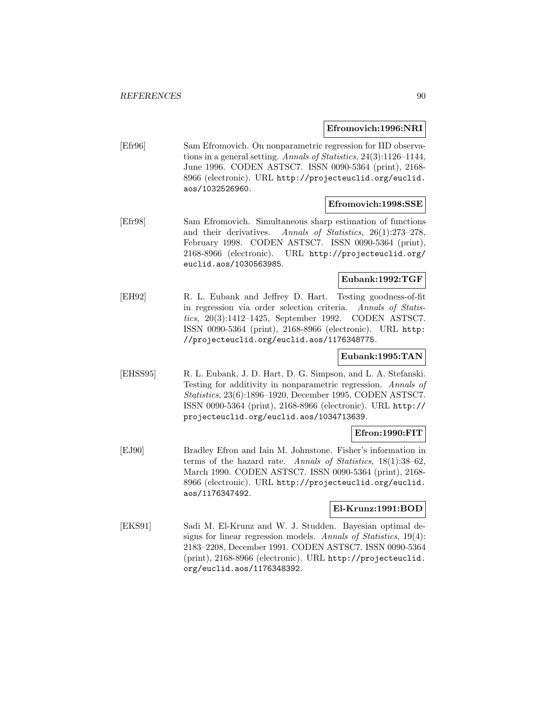#### **Efromovich:1996:NRI**

[Efr96] Sam Efromovich. On nonparametric regression for IID observations in a general setting. Annals of Statistics, 24(3):1126–1144, June 1996. CODEN ASTSC7. ISSN 0090-5364 (print), 2168- 8966 (electronic). URL http://projecteuclid.org/euclid. aos/1032526960.

#### **Efromovich:1998:SSE**

[Efr98] Sam Efromovich. Simultaneous sharp estimation of functions and their derivatives. Annals of Statistics, 26(1):273–278, February 1998. CODEN ASTSC7. ISSN 0090-5364 (print), 2168-8966 (electronic). URL http://projecteuclid.org/ euclid.aos/1030563985.

## **Eubank:1992:TGF**

[EH92] R. L. Eubank and Jeffrey D. Hart. Testing goodness-of-fit in regression via order selection criteria. Annals of Statistics, 20(3):1412–1425, September 1992. CODEN ASTSC7. ISSN 0090-5364 (print), 2168-8966 (electronic). URL http: //projecteuclid.org/euclid.aos/1176348775.

### **Eubank:1995:TAN**

[EHSS95] R. L. Eubank, J. D. Hart, D. G. Simpson, and L. A. Stefanski. Testing for additivity in nonparametric regression. Annals of Statistics, 23(6):1896–1920, December 1995. CODEN ASTSC7. ISSN 0090-5364 (print), 2168-8966 (electronic). URL http:// projecteuclid.org/euclid.aos/1034713639.

#### **Efron:1990:FIT**

[EJ90] Bradley Efron and Iain M. Johnstone. Fisher's information in terms of the hazard rate. Annals of Statistics, 18(1):38–62, March 1990. CODEN ASTSC7. ISSN 0090-5364 (print), 2168- 8966 (electronic). URL http://projecteuclid.org/euclid. aos/1176347492.

#### **El-Krunz:1991:BOD**

[EKS91] Sadi M. El-Krunz and W. J. Studden. Bayesian optimal designs for linear regression models. Annals of Statistics, 19(4): 2183–2208, December 1991. CODEN ASTSC7. ISSN 0090-5364 (print), 2168-8966 (electronic). URL http://projecteuclid. org/euclid.aos/1176348392.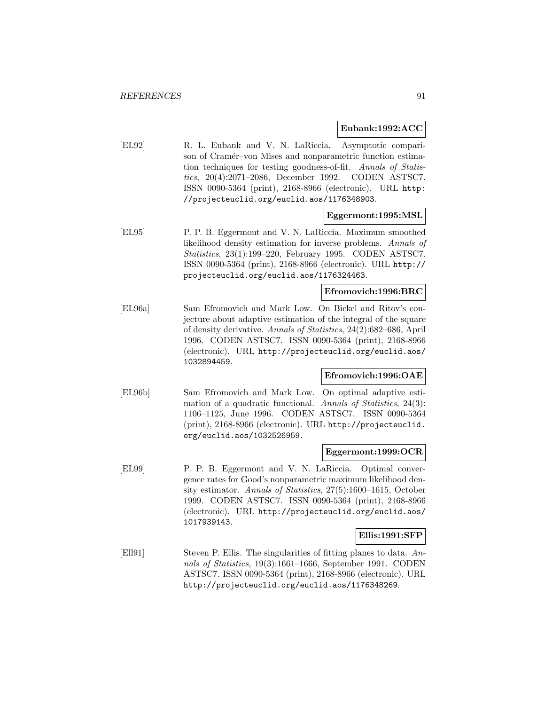#### **Eubank:1992:ACC**

[EL92] R. L. Eubank and V. N. LaRiccia. Asymptotic comparison of Cramér–von Mises and nonparametric function estimation techniques for testing goodness-of-fit. Annals of Statistics, 20(4):2071–2086, December 1992. CODEN ASTSC7. ISSN 0090-5364 (print), 2168-8966 (electronic). URL http: //projecteuclid.org/euclid.aos/1176348903.

## **Eggermont:1995:MSL**

[EL95] P. P. B. Eggermont and V. N. LaRiccia. Maximum smoothed likelihood density estimation for inverse problems. Annals of Statistics, 23(1):199–220, February 1995. CODEN ASTSC7. ISSN 0090-5364 (print), 2168-8966 (electronic). URL http:// projecteuclid.org/euclid.aos/1176324463.

## **Efromovich:1996:BRC**

[EL96a] Sam Efromovich and Mark Low. On Bickel and Ritov's conjecture about adaptive estimation of the integral of the square of density derivative. Annals of Statistics, 24(2):682–686, April 1996. CODEN ASTSC7. ISSN 0090-5364 (print), 2168-8966 (electronic). URL http://projecteuclid.org/euclid.aos/ 1032894459.

#### **Efromovich:1996:OAE**

[EL96b] Sam Efromovich and Mark Low. On optimal adaptive estimation of a quadratic functional. Annals of Statistics, 24(3): 1106–1125, June 1996. CODEN ASTSC7. ISSN 0090-5364 (print), 2168-8966 (electronic). URL http://projecteuclid. org/euclid.aos/1032526959.

#### **Eggermont:1999:OCR**

[EL99] P. P. B. Eggermont and V. N. LaRiccia. Optimal convergence rates for Good's nonparametric maximum likelihood density estimator. Annals of Statistics, 27(5):1600–1615, October 1999. CODEN ASTSC7. ISSN 0090-5364 (print), 2168-8966 (electronic). URL http://projecteuclid.org/euclid.aos/ 1017939143.

#### **Ellis:1991:SFP**

[Ell91] Steven P. Ellis. The singularities of fitting planes to data. Annals of Statistics, 19(3):1661–1666, September 1991. CODEN ASTSC7. ISSN 0090-5364 (print), 2168-8966 (electronic). URL http://projecteuclid.org/euclid.aos/1176348269.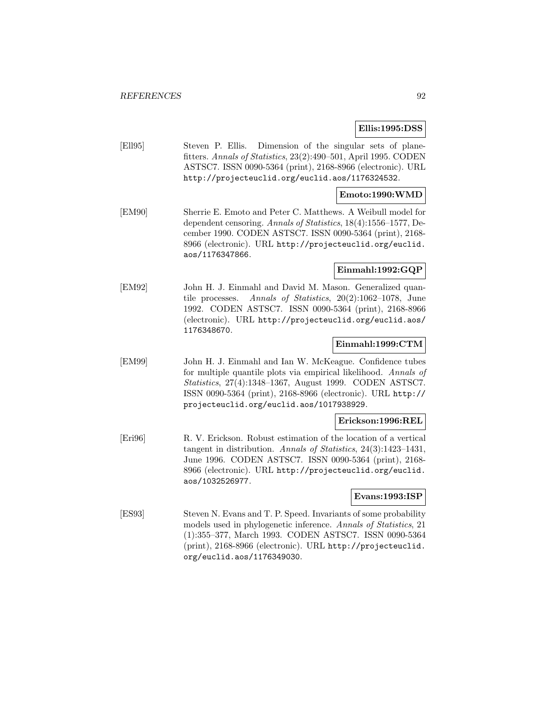#### **Ellis:1995:DSS**

[Ell95] Steven P. Ellis. Dimension of the singular sets of planefitters. Annals of Statistics, 23(2):490–501, April 1995. CODEN ASTSC7. ISSN 0090-5364 (print), 2168-8966 (electronic). URL http://projecteuclid.org/euclid.aos/1176324532.

#### **Emoto:1990:WMD**

[EM90] Sherrie E. Emoto and Peter C. Matthews. A Weibull model for dependent censoring. Annals of Statistics, 18(4):1556–1577, December 1990. CODEN ASTSC7. ISSN 0090-5364 (print), 2168- 8966 (electronic). URL http://projecteuclid.org/euclid. aos/1176347866.

#### **Einmahl:1992:GQP**

[EM92] John H. J. Einmahl and David M. Mason. Generalized quantile processes. Annals of Statistics, 20(2):1062–1078, June 1992. CODEN ASTSC7. ISSN 0090-5364 (print), 2168-8966 (electronic). URL http://projecteuclid.org/euclid.aos/ 1176348670.

#### **Einmahl:1999:CTM**

[EM99] John H. J. Einmahl and Ian W. McKeague. Confidence tubes for multiple quantile plots via empirical likelihood. Annals of Statistics, 27(4):1348–1367, August 1999. CODEN ASTSC7. ISSN 0090-5364 (print), 2168-8966 (electronic). URL http:// projecteuclid.org/euclid.aos/1017938929.

#### **Erickson:1996:REL**

[Eri96] R. V. Erickson. Robust estimation of the location of a vertical tangent in distribution. Annals of Statistics, 24(3):1423–1431, June 1996. CODEN ASTSC7. ISSN 0090-5364 (print), 2168- 8966 (electronic). URL http://projecteuclid.org/euclid. aos/1032526977.

#### **Evans:1993:ISP**

[ES93] Steven N. Evans and T. P. Speed. Invariants of some probability models used in phylogenetic inference. Annals of Statistics, 21 (1):355–377, March 1993. CODEN ASTSC7. ISSN 0090-5364 (print), 2168-8966 (electronic). URL http://projecteuclid. org/euclid.aos/1176349030.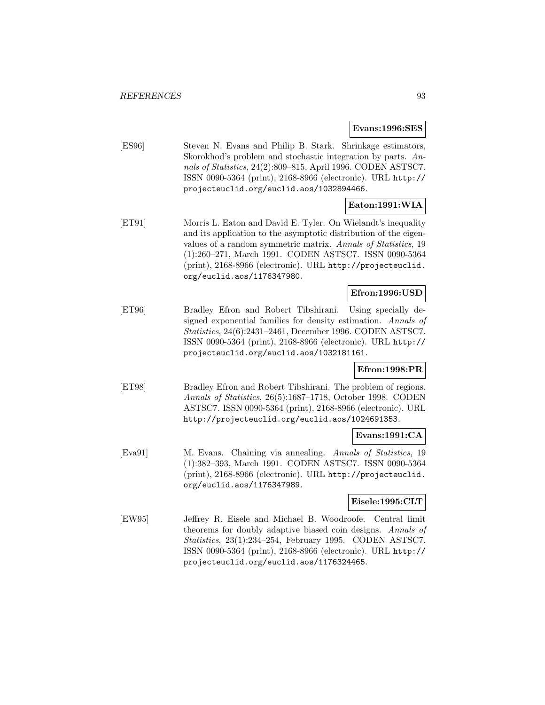**Evans:1996:SES**

[ES96] Steven N. Evans and Philip B. Stark. Shrinkage estimators, Skorokhod's problem and stochastic integration by parts. Annals of Statistics, 24(2):809–815, April 1996. CODEN ASTSC7. ISSN 0090-5364 (print), 2168-8966 (electronic). URL http:// projecteuclid.org/euclid.aos/1032894466.

# **Eaton:1991:WIA**

[ET91] Morris L. Eaton and David E. Tyler. On Wielandt's inequality and its application to the asymptotic distribution of the eigenvalues of a random symmetric matrix. Annals of Statistics, 19 (1):260–271, March 1991. CODEN ASTSC7. ISSN 0090-5364 (print), 2168-8966 (electronic). URL http://projecteuclid. org/euclid.aos/1176347980.

# **Efron:1996:USD**

[ET96] Bradley Efron and Robert Tibshirani. Using specially designed exponential families for density estimation. Annals of Statistics, 24(6):2431–2461, December 1996. CODEN ASTSC7. ISSN 0090-5364 (print), 2168-8966 (electronic). URL http:// projecteuclid.org/euclid.aos/1032181161.

## **Efron:1998:PR**

[ET98] Bradley Efron and Robert Tibshirani. The problem of regions. Annals of Statistics, 26(5):1687–1718, October 1998. CODEN ASTSC7. ISSN 0090-5364 (print), 2168-8966 (electronic). URL http://projecteuclid.org/euclid.aos/1024691353.

## **Evans:1991:CA**

[Eva91] M. Evans. Chaining via annealing. Annals of Statistics, 19 (1):382–393, March 1991. CODEN ASTSC7. ISSN 0090-5364 (print), 2168-8966 (electronic). URL http://projecteuclid. org/euclid.aos/1176347989.

#### **Eisele:1995:CLT**

[EW95] Jeffrey R. Eisele and Michael B. Woodroofe. Central limit theorems for doubly adaptive biased coin designs. Annals of Statistics, 23(1):234–254, February 1995. CODEN ASTSC7. ISSN 0090-5364 (print), 2168-8966 (electronic). URL http:// projecteuclid.org/euclid.aos/1176324465.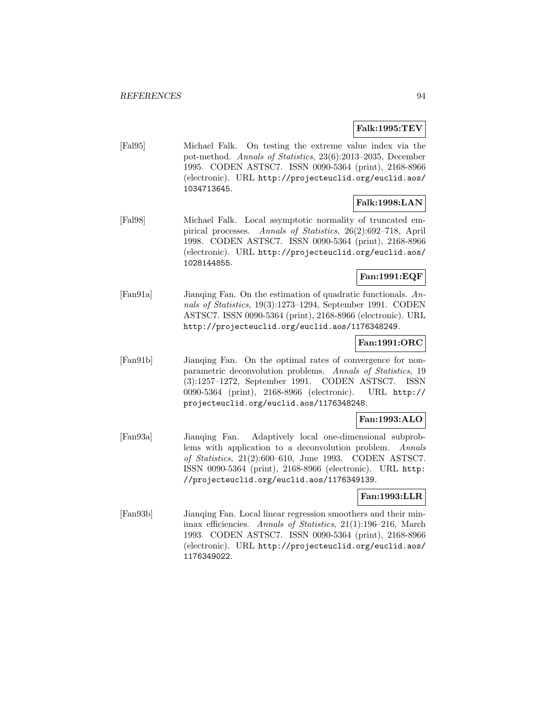## **Falk:1995:TEV**

[Fal95] Michael Falk. On testing the extreme value index via the pot-method. Annals of Statistics, 23(6):2013–2035, December 1995. CODEN ASTSC7. ISSN 0090-5364 (print), 2168-8966 (electronic). URL http://projecteuclid.org/euclid.aos/ 1034713645.

## **Falk:1998:LAN**

[Fal98] Michael Falk. Local asymptotic normality of truncated empirical processes. Annals of Statistics, 26(2):692–718, April 1998. CODEN ASTSC7. ISSN 0090-5364 (print), 2168-8966 (electronic). URL http://projecteuclid.org/euclid.aos/ 1028144855.

## **Fan:1991:EQF**

[Fan91a] Jianqing Fan. On the estimation of quadratic functionals. Annals of Statistics, 19(3):1273–1294, September 1991. CODEN ASTSC7. ISSN 0090-5364 (print), 2168-8966 (electronic). URL http://projecteuclid.org/euclid.aos/1176348249.

## **Fan:1991:ORC**

[Fan91b] Jianqing Fan. On the optimal rates of convergence for nonparametric deconvolution problems. Annals of Statistics, 19 (3):1257–1272, September 1991. CODEN ASTSC7. ISSN 0090-5364 (print), 2168-8966 (electronic). URL http:// projecteuclid.org/euclid.aos/1176348248.

# **Fan:1993:ALO**

[Fan93a] Jianqing Fan. Adaptively local one-dimensional subproblems with application to a deconvolution problem. Annals of Statistics, 21(2):600–610, June 1993. CODEN ASTSC7. ISSN 0090-5364 (print), 2168-8966 (electronic). URL http: //projecteuclid.org/euclid.aos/1176349139.

# **Fan:1993:LLR**

[Fan93b] Jianqing Fan. Local linear regression smoothers and their minimax efficiencies. Annals of Statistics, 21(1):196–216, March 1993. CODEN ASTSC7. ISSN 0090-5364 (print), 2168-8966 (electronic). URL http://projecteuclid.org/euclid.aos/ 1176349022.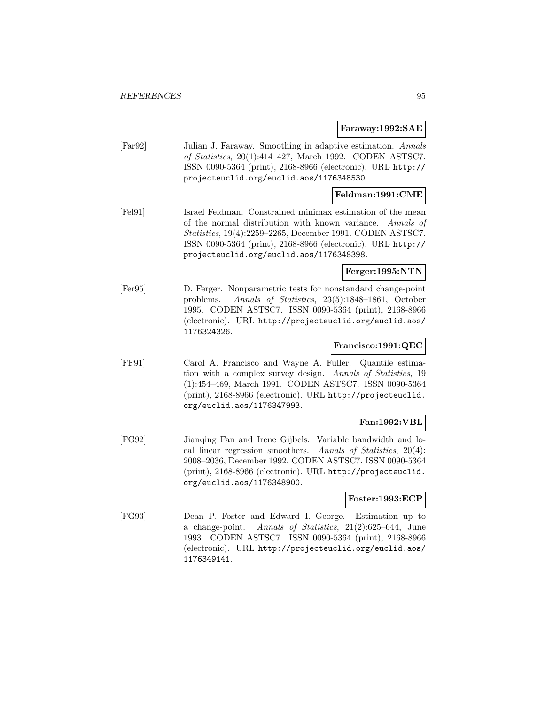#### **Faraway:1992:SAE**

[Far92] Julian J. Faraway. Smoothing in adaptive estimation. Annals of Statistics, 20(1):414–427, March 1992. CODEN ASTSC7. ISSN 0090-5364 (print), 2168-8966 (electronic). URL http:// projecteuclid.org/euclid.aos/1176348530.

### **Feldman:1991:CME**

[Fel91] Israel Feldman. Constrained minimax estimation of the mean of the normal distribution with known variance. Annals of Statistics, 19(4):2259–2265, December 1991. CODEN ASTSC7. ISSN 0090-5364 (print), 2168-8966 (electronic). URL http:// projecteuclid.org/euclid.aos/1176348398.

#### **Ferger:1995:NTN**

[Fer95] D. Ferger. Nonparametric tests for nonstandard change-point problems. Annals of Statistics, 23(5):1848–1861, October 1995. CODEN ASTSC7. ISSN 0090-5364 (print), 2168-8966 (electronic). URL http://projecteuclid.org/euclid.aos/ 1176324326.

#### **Francisco:1991:QEC**

[FF91] Carol A. Francisco and Wayne A. Fuller. Quantile estimation with a complex survey design. Annals of Statistics, 19 (1):454–469, March 1991. CODEN ASTSC7. ISSN 0090-5364 (print), 2168-8966 (electronic). URL http://projecteuclid. org/euclid.aos/1176347993.

#### **Fan:1992:VBL**

[FG92] Jianqing Fan and Irene Gijbels. Variable bandwidth and local linear regression smoothers. Annals of Statistics, 20(4): 2008–2036, December 1992. CODEN ASTSC7. ISSN 0090-5364 (print), 2168-8966 (electronic). URL http://projecteuclid. org/euclid.aos/1176348900.

# **Foster:1993:ECP**

[FG93] Dean P. Foster and Edward I. George. Estimation up to a change-point. Annals of Statistics, 21(2):625–644, June 1993. CODEN ASTSC7. ISSN 0090-5364 (print), 2168-8966 (electronic). URL http://projecteuclid.org/euclid.aos/ 1176349141.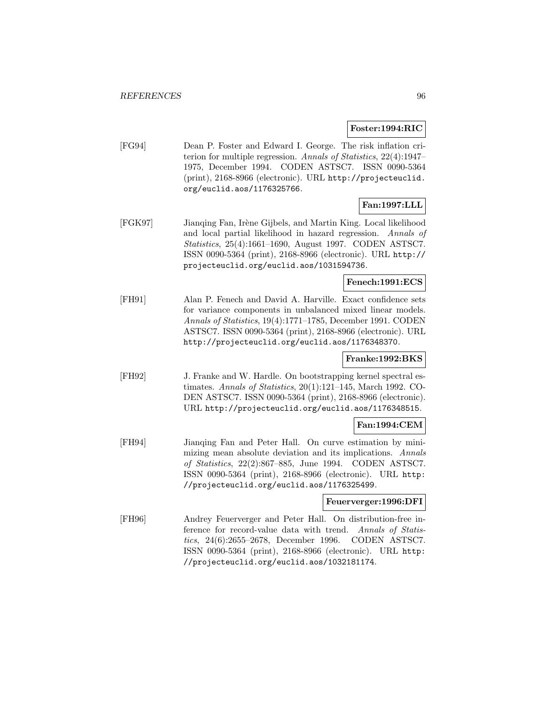#### **Foster:1994:RIC**

[FG94] Dean P. Foster and Edward I. George. The risk inflation criterion for multiple regression. Annals of Statistics, 22(4):1947– 1975, December 1994. CODEN ASTSC7. ISSN 0090-5364 (print), 2168-8966 (electronic). URL http://projecteuclid. org/euclid.aos/1176325766.

# **Fan:1997:LLL**

[FGK97] Jianqing Fan, Irène Gijbels, and Martin King. Local likelihood and local partial likelihood in hazard regression. Annals of Statistics, 25(4):1661–1690, August 1997. CODEN ASTSC7. ISSN 0090-5364 (print), 2168-8966 (electronic). URL http:// projecteuclid.org/euclid.aos/1031594736.

# **Fenech:1991:ECS**

[FH91] Alan P. Fenech and David A. Harville. Exact confidence sets for variance components in unbalanced mixed linear models. Annals of Statistics, 19(4):1771–1785, December 1991. CODEN ASTSC7. ISSN 0090-5364 (print), 2168-8966 (electronic). URL http://projecteuclid.org/euclid.aos/1176348370.

#### **Franke:1992:BKS**

[FH92] J. Franke and W. Hardle. On bootstrapping kernel spectral estimates. Annals of Statistics, 20(1):121–145, March 1992. CO-DEN ASTSC7. ISSN 0090-5364 (print), 2168-8966 (electronic). URL http://projecteuclid.org/euclid.aos/1176348515.

# **Fan:1994:CEM**

[FH94] Jianqing Fan and Peter Hall. On curve estimation by minimizing mean absolute deviation and its implications. Annals of Statistics, 22(2):867–885, June 1994. CODEN ASTSC7. ISSN 0090-5364 (print), 2168-8966 (electronic). URL http: //projecteuclid.org/euclid.aos/1176325499.

#### **Feuerverger:1996:DFI**

[FH96] Andrey Feuerverger and Peter Hall. On distribution-free inference for record-value data with trend. Annals of Statistics, 24(6):2655–2678, December 1996. CODEN ASTSC7. ISSN 0090-5364 (print), 2168-8966 (electronic). URL http: //projecteuclid.org/euclid.aos/1032181174.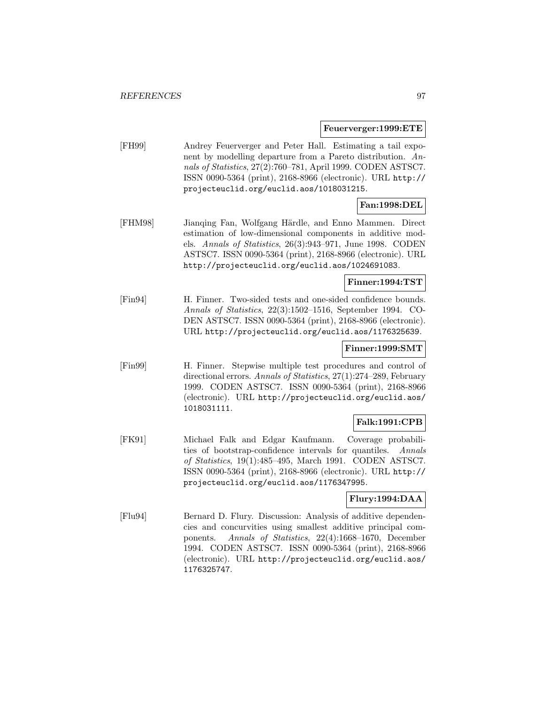**Feuerverger:1999:ETE**

[FH99] Andrey Feuerverger and Peter Hall. Estimating a tail exponent by modelling departure from a Pareto distribution. Annals of Statistics, 27(2):760–781, April 1999. CODEN ASTSC7. ISSN 0090-5364 (print), 2168-8966 (electronic). URL http:// projecteuclid.org/euclid.aos/1018031215.

# **Fan:1998:DEL**

[FHM98] Jianqing Fan, Wolfgang Härdle, and Enno Mammen. Direct estimation of low-dimensional components in additive models. Annals of Statistics, 26(3):943–971, June 1998. CODEN ASTSC7. ISSN 0090-5364 (print), 2168-8966 (electronic). URL http://projecteuclid.org/euclid.aos/1024691083.

## **Finner:1994:TST**

[Fin94] H. Finner. Two-sided tests and one-sided confidence bounds. Annals of Statistics, 22(3):1502–1516, September 1994. CO-DEN ASTSC7. ISSN 0090-5364 (print), 2168-8966 (electronic). URL http://projecteuclid.org/euclid.aos/1176325639.

## **Finner:1999:SMT**

[Fin99] H. Finner. Stepwise multiple test procedures and control of directional errors. Annals of Statistics, 27(1):274–289, February 1999. CODEN ASTSC7. ISSN 0090-5364 (print), 2168-8966 (electronic). URL http://projecteuclid.org/euclid.aos/ 1018031111.

# **Falk:1991:CPB**

[FK91] Michael Falk and Edgar Kaufmann. Coverage probabilities of bootstrap-confidence intervals for quantiles. Annals of Statistics, 19(1):485–495, March 1991. CODEN ASTSC7. ISSN 0090-5364 (print), 2168-8966 (electronic). URL http:// projecteuclid.org/euclid.aos/1176347995.

# **Flury:1994:DAA**

[Flu94] Bernard D. Flury. Discussion: Analysis of additive dependencies and concurvities using smallest additive principal components. Annals of Statistics, 22(4):1668–1670, December 1994. CODEN ASTSC7. ISSN 0090-5364 (print), 2168-8966 (electronic). URL http://projecteuclid.org/euclid.aos/ 1176325747.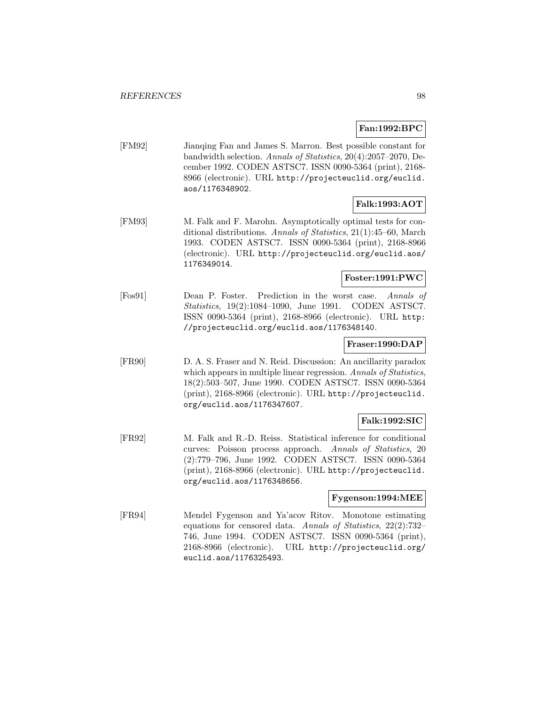## **Fan:1992:BPC**

[FM92] Jianqing Fan and James S. Marron. Best possible constant for bandwidth selection. Annals of Statistics, 20(4):2057–2070, December 1992. CODEN ASTSC7. ISSN 0090-5364 (print), 2168- 8966 (electronic). URL http://projecteuclid.org/euclid. aos/1176348902.

# **Falk:1993:AOT**

[FM93] M. Falk and F. Marohn. Asymptotically optimal tests for conditional distributions. Annals of Statistics, 21(1):45–60, March 1993. CODEN ASTSC7. ISSN 0090-5364 (print), 2168-8966 (electronic). URL http://projecteuclid.org/euclid.aos/ 1176349014.

# **Foster:1991:PWC**

[Fos91] Dean P. Foster. Prediction in the worst case. Annals of Statistics, 19(2):1084–1090, June 1991. CODEN ASTSC7. ISSN 0090-5364 (print), 2168-8966 (electronic). URL http: //projecteuclid.org/euclid.aos/1176348140.

#### **Fraser:1990:DAP**

[FR90] D. A. S. Fraser and N. Reid. Discussion: An ancillarity paradox which appears in multiple linear regression. Annals of Statistics, 18(2):503–507, June 1990. CODEN ASTSC7. ISSN 0090-5364 (print), 2168-8966 (electronic). URL http://projecteuclid. org/euclid.aos/1176347607.

# **Falk:1992:SIC**

[FR92] M. Falk and R.-D. Reiss. Statistical inference for conditional curves: Poisson process approach. Annals of Statistics, 20 (2):779–796, June 1992. CODEN ASTSC7. ISSN 0090-5364 (print), 2168-8966 (electronic). URL http://projecteuclid. org/euclid.aos/1176348656.

#### **Fygenson:1994:MEE**

[FR94] Mendel Fygenson and Ya'acov Ritov. Monotone estimating equations for censored data. Annals of Statistics, 22(2):732– 746, June 1994. CODEN ASTSC7. ISSN 0090-5364 (print), 2168-8966 (electronic). URL http://projecteuclid.org/ euclid.aos/1176325493.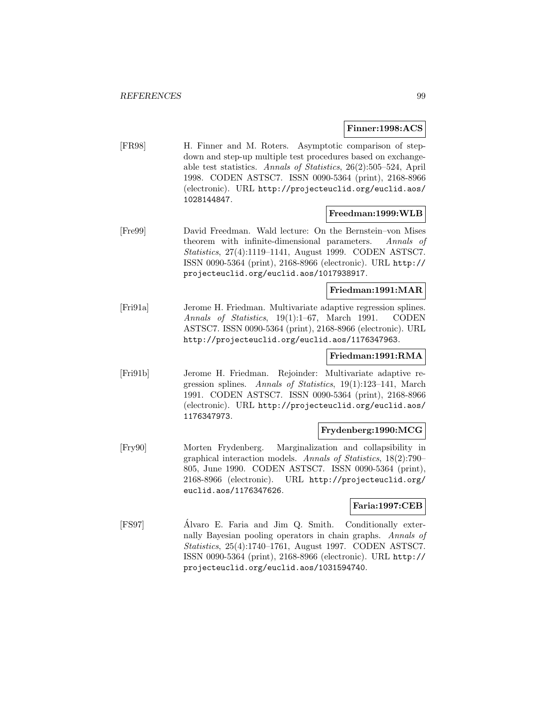#### **Finner:1998:ACS**

[FR98] H. Finner and M. Roters. Asymptotic comparison of stepdown and step-up multiple test procedures based on exchangeable test statistics. Annals of Statistics, 26(2):505–524, April 1998. CODEN ASTSC7. ISSN 0090-5364 (print), 2168-8966 (electronic). URL http://projecteuclid.org/euclid.aos/ 1028144847.

#### **Freedman:1999:WLB**

[Fre99] David Freedman. Wald lecture: On the Bernstein–von Mises theorem with infinite-dimensional parameters. Annals of Statistics, 27(4):1119–1141, August 1999. CODEN ASTSC7. ISSN 0090-5364 (print), 2168-8966 (electronic). URL http:// projecteuclid.org/euclid.aos/1017938917.

#### **Friedman:1991:MAR**

[Fri91a] Jerome H. Friedman. Multivariate adaptive regression splines. Annals of Statistics, 19(1):1–67, March 1991. CODEN ASTSC7. ISSN 0090-5364 (print), 2168-8966 (electronic). URL http://projecteuclid.org/euclid.aos/1176347963.

## **Friedman:1991:RMA**

[Fri91b] Jerome H. Friedman. Rejoinder: Multivariate adaptive regression splines. Annals of Statistics, 19(1):123–141, March 1991. CODEN ASTSC7. ISSN 0090-5364 (print), 2168-8966 (electronic). URL http://projecteuclid.org/euclid.aos/ 1176347973.

## **Frydenberg:1990:MCG**

[Fry90] Morten Frydenberg. Marginalization and collapsibility in graphical interaction models. Annals of Statistics, 18(2):790– 805, June 1990. CODEN ASTSC7. ISSN 0090-5364 (print), 2168-8966 (electronic). URL http://projecteuclid.org/ euclid.aos/1176347626.

#### **Faria:1997:CEB**

[FS97] Alvaro E. Faria and Jim Q. Smith. Conditionally exter- ´ nally Bayesian pooling operators in chain graphs. Annals of Statistics, 25(4):1740–1761, August 1997. CODEN ASTSC7. ISSN 0090-5364 (print), 2168-8966 (electronic). URL http:// projecteuclid.org/euclid.aos/1031594740.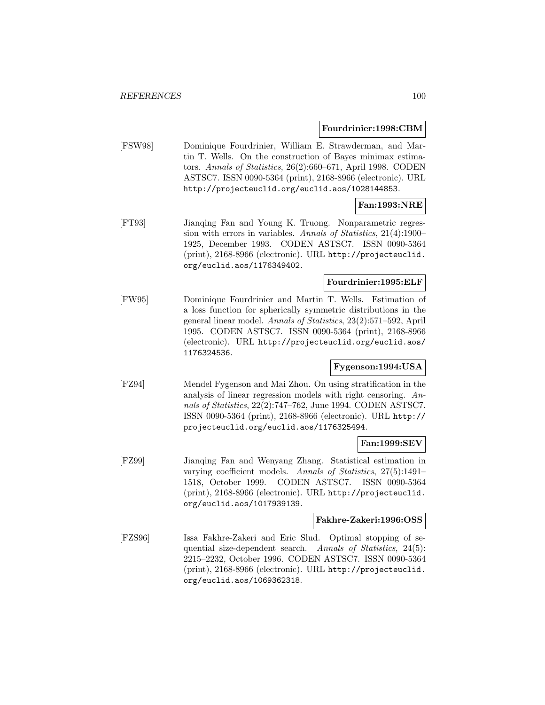#### **Fourdrinier:1998:CBM**

[FSW98] Dominique Fourdrinier, William E. Strawderman, and Martin T. Wells. On the construction of Bayes minimax estimators. Annals of Statistics, 26(2):660–671, April 1998. CODEN ASTSC7. ISSN 0090-5364 (print), 2168-8966 (electronic). URL http://projecteuclid.org/euclid.aos/1028144853.

# **Fan:1993:NRE**

[FT93] Jianqing Fan and Young K. Truong. Nonparametric regression with errors in variables. Annals of Statistics, 21(4):1900– 1925, December 1993. CODEN ASTSC7. ISSN 0090-5364 (print), 2168-8966 (electronic). URL http://projecteuclid. org/euclid.aos/1176349402.

# **Fourdrinier:1995:ELF**

[FW95] Dominique Fourdrinier and Martin T. Wells. Estimation of a loss function for spherically symmetric distributions in the general linear model. Annals of Statistics, 23(2):571–592, April 1995. CODEN ASTSC7. ISSN 0090-5364 (print), 2168-8966 (electronic). URL http://projecteuclid.org/euclid.aos/ 1176324536.

# **Fygenson:1994:USA**

[FZ94] Mendel Fygenson and Mai Zhou. On using stratification in the analysis of linear regression models with right censoring. Annals of Statistics, 22(2):747–762, June 1994. CODEN ASTSC7. ISSN 0090-5364 (print), 2168-8966 (electronic). URL http:// projecteuclid.org/euclid.aos/1176325494.

#### **Fan:1999:SEV**

[FZ99] Jianqing Fan and Wenyang Zhang. Statistical estimation in varying coefficient models. Annals of Statistics, 27(5):1491– 1518, October 1999. CODEN ASTSC7. ISSN 0090-5364 (print), 2168-8966 (electronic). URL http://projecteuclid. org/euclid.aos/1017939139.

## **Fakhre-Zakeri:1996:OSS**

[FZS96] Issa Fakhre-Zakeri and Eric Slud. Optimal stopping of sequential size-dependent search. Annals of Statistics, 24(5): 2215–2232, October 1996. CODEN ASTSC7. ISSN 0090-5364 (print), 2168-8966 (electronic). URL http://projecteuclid. org/euclid.aos/1069362318.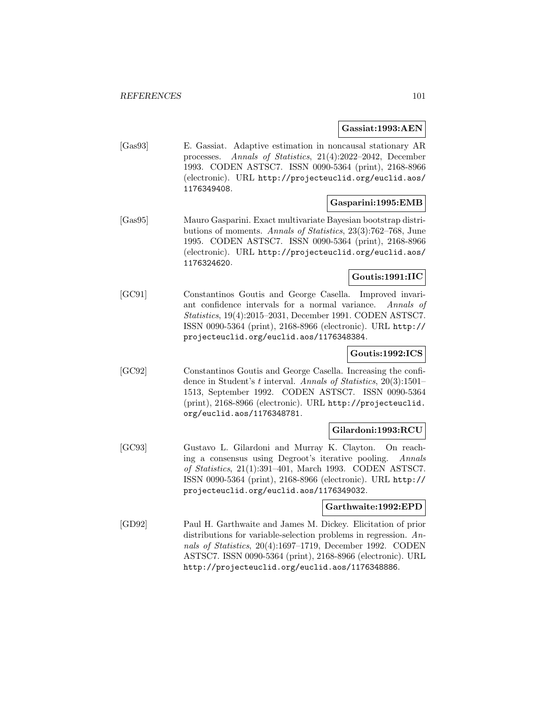**Gassiat:1993:AEN**

[Gas93] E. Gassiat. Adaptive estimation in noncausal stationary AR processes. Annals of Statistics, 21(4):2022–2042, December 1993. CODEN ASTSC7. ISSN 0090-5364 (print), 2168-8966 (electronic). URL http://projecteuclid.org/euclid.aos/ 1176349408.

## **Gasparini:1995:EMB**

[Gas95] Mauro Gasparini. Exact multivariate Bayesian bootstrap distributions of moments. Annals of Statistics, 23(3):762–768, June 1995. CODEN ASTSC7. ISSN 0090-5364 (print), 2168-8966 (electronic). URL http://projecteuclid.org/euclid.aos/ 1176324620.

#### **Goutis:1991:IIC**

[GC91] Constantinos Goutis and George Casella. Improved invariant confidence intervals for a normal variance. Annals of Statistics, 19(4):2015–2031, December 1991. CODEN ASTSC7. ISSN 0090-5364 (print), 2168-8966 (electronic). URL http:// projecteuclid.org/euclid.aos/1176348384.

## **Goutis:1992:ICS**

[GC92] Constantinos Goutis and George Casella. Increasing the confidence in Student's t interval. Annals of Statistics, 20(3):1501– 1513, September 1992. CODEN ASTSC7. ISSN 0090-5364 (print), 2168-8966 (electronic). URL http://projecteuclid. org/euclid.aos/1176348781.

#### **Gilardoni:1993:RCU**

[GC93] Gustavo L. Gilardoni and Murray K. Clayton. On reaching a consensus using Degroot's iterative pooling. Annals of Statistics, 21(1):391–401, March 1993. CODEN ASTSC7. ISSN 0090-5364 (print), 2168-8966 (electronic). URL http:// projecteuclid.org/euclid.aos/1176349032.

#### **Garthwaite:1992:EPD**

[GD92] Paul H. Garthwaite and James M. Dickey. Elicitation of prior distributions for variable-selection problems in regression. Annals of Statistics, 20(4):1697–1719, December 1992. CODEN ASTSC7. ISSN 0090-5364 (print), 2168-8966 (electronic). URL http://projecteuclid.org/euclid.aos/1176348886.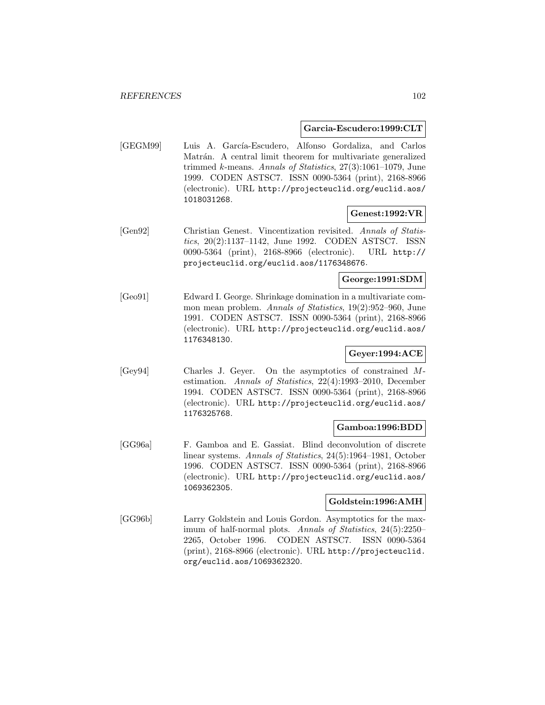#### **Garcia-Escudero:1999:CLT**

[GEGM99] Luis A. García-Escudero, Alfonso Gordaliza, and Carlos Matrán. A central limit theorem for multivariate generalized trimmed  $k$ -means. Annals of Statistics,  $27(3):1061-1079$ , June 1999. CODEN ASTSC7. ISSN 0090-5364 (print), 2168-8966 (electronic). URL http://projecteuclid.org/euclid.aos/ 1018031268.

## **Genest:1992:VR**

[Gen92] Christian Genest. Vincentization revisited. Annals of Statistics, 20(2):1137–1142, June 1992. CODEN ASTSC7. ISSN 0090-5364 (print), 2168-8966 (electronic). URL http:// projecteuclid.org/euclid.aos/1176348676.

# **George:1991:SDM**

[Geo91] Edward I. George. Shrinkage domination in a multivariate common mean problem. Annals of Statistics, 19(2):952–960, June 1991. CODEN ASTSC7. ISSN 0090-5364 (print), 2168-8966 (electronic). URL http://projecteuclid.org/euclid.aos/ 1176348130.

# **Geyer:1994:ACE**

[Gey94] Charles J. Geyer. On the asymptotics of constrained Mestimation. Annals of Statistics, 22(4):1993–2010, December 1994. CODEN ASTSC7. ISSN 0090-5364 (print), 2168-8966 (electronic). URL http://projecteuclid.org/euclid.aos/ 1176325768.

### **Gamboa:1996:BDD**

[GG96a] F. Gamboa and E. Gassiat. Blind deconvolution of discrete linear systems. Annals of Statistics, 24(5):1964–1981, October 1996. CODEN ASTSC7. ISSN 0090-5364 (print), 2168-8966 (electronic). URL http://projecteuclid.org/euclid.aos/ 1069362305.

#### **Goldstein:1996:AMH**

[GG96b] Larry Goldstein and Louis Gordon. Asymptotics for the maximum of half-normal plots. Annals of Statistics, 24(5):2250– 2265, October 1996. CODEN ASTSC7. ISSN 0090-5364 (print), 2168-8966 (electronic). URL http://projecteuclid. org/euclid.aos/1069362320.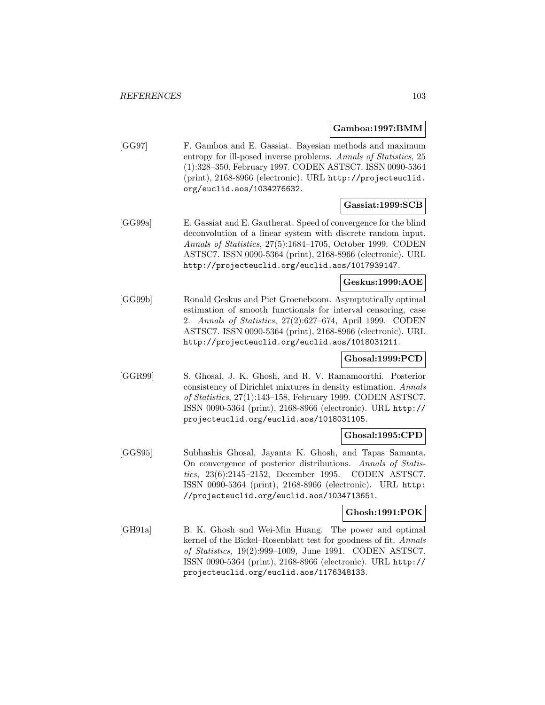#### **Gamboa:1997:BMM**

[GG97] F. Gamboa and E. Gassiat. Bayesian methods and maximum entropy for ill-posed inverse problems. Annals of Statistics, 25 (1):328–350, February 1997. CODEN ASTSC7. ISSN 0090-5364 (print), 2168-8966 (electronic). URL http://projecteuclid. org/euclid.aos/1034276632.

# **Gassiat:1999:SCB**

[GG99a] E. Gassiat and E. Gautherat. Speed of convergence for the blind deconvolution of a linear system with discrete random input. Annals of Statistics, 27(5):1684–1705, October 1999. CODEN ASTSC7. ISSN 0090-5364 (print), 2168-8966 (electronic). URL http://projecteuclid.org/euclid.aos/1017939147.

#### **Geskus:1999:AOE**

[GG99b] Ronald Geskus and Piet Groeneboom. Asymptotically optimal estimation of smooth functionals for interval censoring, case 2. Annals of Statistics, 27(2):627–674, April 1999. CODEN ASTSC7. ISSN 0090-5364 (print), 2168-8966 (electronic). URL http://projecteuclid.org/euclid.aos/1018031211.

# **Ghosal:1999:PCD**

[GGR99] S. Ghosal, J. K. Ghosh, and R. V. Ramamoorthi. Posterior consistency of Dirichlet mixtures in density estimation. Annals of Statistics, 27(1):143–158, February 1999. CODEN ASTSC7. ISSN 0090-5364 (print), 2168-8966 (electronic). URL http:// projecteuclid.org/euclid.aos/1018031105.

#### **Ghosal:1995:CPD**

[GGS95] Subhashis Ghosal, Jayanta K. Ghosh, and Tapas Samanta. On convergence of posterior distributions. Annals of Statistics, 23(6):2145–2152, December 1995. CODEN ASTSC7. ISSN 0090-5364 (print), 2168-8966 (electronic). URL http: //projecteuclid.org/euclid.aos/1034713651.

#### **Ghosh:1991:POK**

[GH91a] B. K. Ghosh and Wei-Min Huang. The power and optimal kernel of the Bickel–Rosenblatt test for goodness of fit. Annals of Statistics, 19(2):999–1009, June 1991. CODEN ASTSC7. ISSN 0090-5364 (print), 2168-8966 (electronic). URL http:// projecteuclid.org/euclid.aos/1176348133.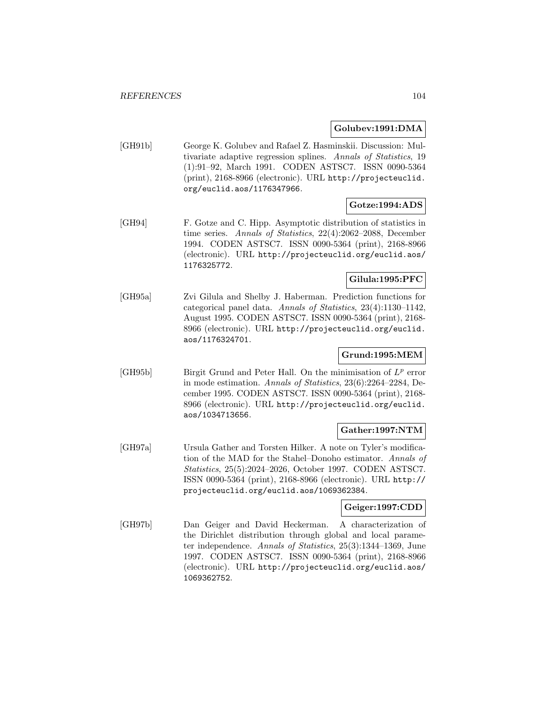### **Golubev:1991:DMA**

[GH91b] George K. Golubev and Rafael Z. Hasminskii. Discussion: Multivariate adaptive regression splines. Annals of Statistics, 19 (1):91–92, March 1991. CODEN ASTSC7. ISSN 0090-5364 (print), 2168-8966 (electronic). URL http://projecteuclid. org/euclid.aos/1176347966.

# **Gotze:1994:ADS**

[GH94] F. Gotze and C. Hipp. Asymptotic distribution of statistics in time series. Annals of Statistics, 22(4):2062–2088, December 1994. CODEN ASTSC7. ISSN 0090-5364 (print), 2168-8966 (electronic). URL http://projecteuclid.org/euclid.aos/ 1176325772.

# **Gilula:1995:PFC**

[GH95a] Zvi Gilula and Shelby J. Haberman. Prediction functions for categorical panel data. Annals of Statistics, 23(4):1130–1142, August 1995. CODEN ASTSC7. ISSN 0090-5364 (print), 2168- 8966 (electronic). URL http://projecteuclid.org/euclid. aos/1176324701.

# **Grund:1995:MEM**

[GH95b] Birgit Grund and Peter Hall. On the minimisation of  $L^p$  error in mode estimation. Annals of Statistics, 23(6):2264–2284, December 1995. CODEN ASTSC7. ISSN 0090-5364 (print), 2168- 8966 (electronic). URL http://projecteuclid.org/euclid. aos/1034713656.

# **Gather:1997:NTM**

[GH97a] Ursula Gather and Torsten Hilker. A note on Tyler's modification of the MAD for the Stahel–Donoho estimator. Annals of Statistics, 25(5):2024–2026, October 1997. CODEN ASTSC7. ISSN 0090-5364 (print), 2168-8966 (electronic). URL http:// projecteuclid.org/euclid.aos/1069362384.

#### **Geiger:1997:CDD**

[GH97b] Dan Geiger and David Heckerman. A characterization of the Dirichlet distribution through global and local parameter independence. Annals of Statistics, 25(3):1344–1369, June 1997. CODEN ASTSC7. ISSN 0090-5364 (print), 2168-8966 (electronic). URL http://projecteuclid.org/euclid.aos/ 1069362752.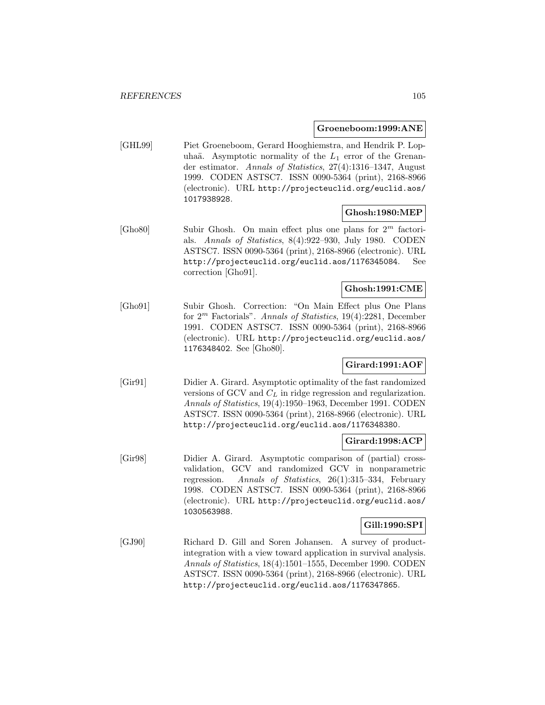#### **Groeneboom:1999:ANE**

[GHL99] Piet Groeneboom, Gerard Hooghiemstra, and Hendrik P. Lopuhaä. Asymptotic normality of the  $L_1$  error of the Grenander estimator. Annals of Statistics, 27(4):1316–1347, August 1999. CODEN ASTSC7. ISSN 0090-5364 (print), 2168-8966 (electronic). URL http://projecteuclid.org/euclid.aos/ 1017938928.

## **Ghosh:1980:MEP**

[Gho80] Subir Ghosh. On main effect plus one plans for  $2^m$  factorials. Annals of Statistics, 8(4):922–930, July 1980. CODEN ASTSC7. ISSN 0090-5364 (print), 2168-8966 (electronic). URL http://projecteuclid.org/euclid.aos/1176345084. See correction [Gho91].

## **Ghosh:1991:CME**

[Gho91] Subir Ghosh. Correction: "On Main Effect plus One Plans for  $2^m$  Factorials". Annals of Statistics, 19(4):2281, December 1991. CODEN ASTSC7. ISSN 0090-5364 (print), 2168-8966 (electronic). URL http://projecteuclid.org/euclid.aos/ 1176348402. See [Gho80].

# **Girard:1991:AOF**

[Gir91] Didier A. Girard. Asymptotic optimality of the fast randomized versions of GCV and  $C<sub>L</sub>$  in ridge regression and regularization. Annals of Statistics, 19(4):1950–1963, December 1991. CODEN ASTSC7. ISSN 0090-5364 (print), 2168-8966 (electronic). URL http://projecteuclid.org/euclid.aos/1176348380.

#### **Girard:1998:ACP**

[Gir98] Didier A. Girard. Asymptotic comparison of (partial) crossvalidation, GCV and randomized GCV in nonparametric regression. Annals of Statistics, 26(1):315–334, February 1998. CODEN ASTSC7. ISSN 0090-5364 (print), 2168-8966 (electronic). URL http://projecteuclid.org/euclid.aos/ 1030563988.

#### **Gill:1990:SPI**

[GJ90] Richard D. Gill and Soren Johansen. A survey of productintegration with a view toward application in survival analysis. Annals of Statistics, 18(4):1501–1555, December 1990. CODEN ASTSC7. ISSN 0090-5364 (print), 2168-8966 (electronic). URL http://projecteuclid.org/euclid.aos/1176347865.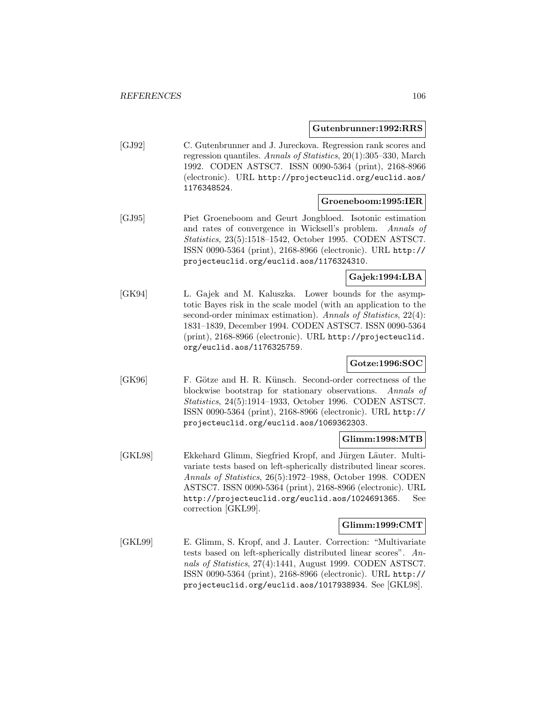#### **Gutenbrunner:1992:RRS**

[GJ92] C. Gutenbrunner and J. Jureckova. Regression rank scores and regression quantiles. Annals of Statistics, 20(1):305–330, March 1992. CODEN ASTSC7. ISSN 0090-5364 (print), 2168-8966 (electronic). URL http://projecteuclid.org/euclid.aos/ 1176348524.

#### **Groeneboom:1995:IER**

[GJ95] Piet Groeneboom and Geurt Jongbloed. Isotonic estimation and rates of convergence in Wicksell's problem. Annals of Statistics, 23(5):1518–1542, October 1995. CODEN ASTSC7. ISSN 0090-5364 (print), 2168-8966 (electronic). URL http:// projecteuclid.org/euclid.aos/1176324310.

# **Gajek:1994:LBA**

[GK94] L. Gajek and M. Kaluszka. Lower bounds for the asymptotic Bayes risk in the scale model (with an application to the second-order minimax estimation). Annals of Statistics, 22(4): 1831–1839, December 1994. CODEN ASTSC7. ISSN 0090-5364 (print), 2168-8966 (electronic). URL http://projecteuclid. org/euclid.aos/1176325759.

# **Gotze:1996:SOC**

[GK96] F. Götze and H. R. Künsch. Second-order correctness of the blockwise bootstrap for stationary observations. Annals of Statistics, 24(5):1914–1933, October 1996. CODEN ASTSC7. ISSN 0090-5364 (print), 2168-8966 (electronic). URL http:// projecteuclid.org/euclid.aos/1069362303.

## **Glimm:1998:MTB**

[GKL98] Ekkehard Glimm, Siegfried Kropf, and Jürgen Läuter. Multivariate tests based on left-spherically distributed linear scores. Annals of Statistics, 26(5):1972–1988, October 1998. CODEN ASTSC7. ISSN 0090-5364 (print), 2168-8966 (electronic). URL http://projecteuclid.org/euclid.aos/1024691365. See correction [GKL99].

#### **Glimm:1999:CMT**

[GKL99] E. Glimm, S. Kropf, and J. Lauter. Correction: "Multivariate tests based on left-spherically distributed linear scores". Annals of Statistics, 27(4):1441, August 1999. CODEN ASTSC7. ISSN 0090-5364 (print), 2168-8966 (electronic). URL http:// projecteuclid.org/euclid.aos/1017938934. See [GKL98].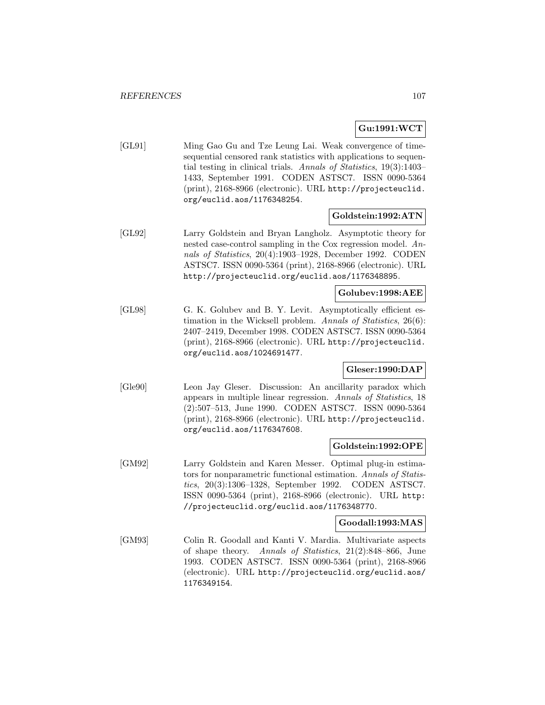# **Gu:1991:WCT**

[GL91] Ming Gao Gu and Tze Leung Lai. Weak convergence of timesequential censored rank statistics with applications to sequential testing in clinical trials. Annals of Statistics, 19(3):1403– 1433, September 1991. CODEN ASTSC7. ISSN 0090-5364 (print), 2168-8966 (electronic). URL http://projecteuclid. org/euclid.aos/1176348254.

## **Goldstein:1992:ATN**

[GL92] Larry Goldstein and Bryan Langholz. Asymptotic theory for nested case-control sampling in the Cox regression model. Annals of Statistics, 20(4):1903–1928, December 1992. CODEN ASTSC7. ISSN 0090-5364 (print), 2168-8966 (electronic). URL http://projecteuclid.org/euclid.aos/1176348895.

## **Golubev:1998:AEE**

[GL98] G. K. Golubev and B. Y. Levit. Asymptotically efficient estimation in the Wicksell problem. Annals of Statistics, 26(6): 2407–2419, December 1998. CODEN ASTSC7. ISSN 0090-5364 (print), 2168-8966 (electronic). URL http://projecteuclid. org/euclid.aos/1024691477.

## **Gleser:1990:DAP**

[Gle90] Leon Jay Gleser. Discussion: An ancillarity paradox which appears in multiple linear regression. Annals of Statistics, 18 (2):507–513, June 1990. CODEN ASTSC7. ISSN 0090-5364 (print), 2168-8966 (electronic). URL http://projecteuclid. org/euclid.aos/1176347608.

#### **Goldstein:1992:OPE**

[GM92] Larry Goldstein and Karen Messer. Optimal plug-in estimators for nonparametric functional estimation. Annals of Statistics, 20(3):1306–1328, September 1992. CODEN ASTSC7. ISSN 0090-5364 (print), 2168-8966 (electronic). URL http: //projecteuclid.org/euclid.aos/1176348770.

#### **Goodall:1993:MAS**

[GM93] Colin R. Goodall and Kanti V. Mardia. Multivariate aspects of shape theory. Annals of Statistics, 21(2):848–866, June 1993. CODEN ASTSC7. ISSN 0090-5364 (print), 2168-8966 (electronic). URL http://projecteuclid.org/euclid.aos/ 1176349154.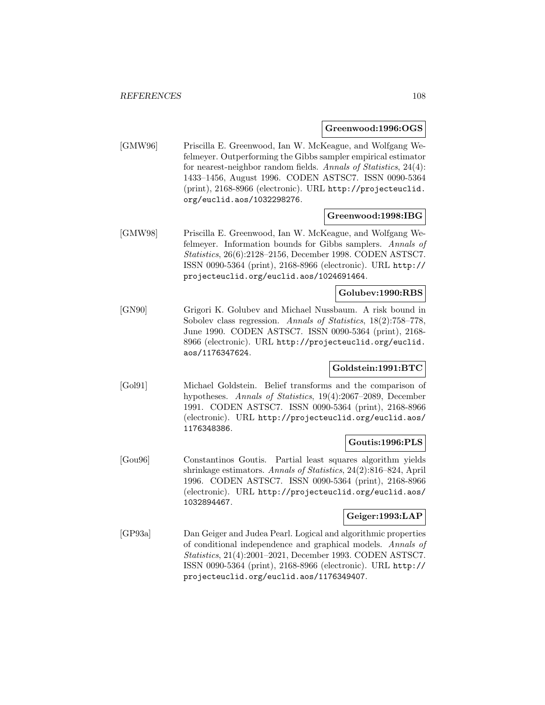#### **Greenwood:1996:OGS**

[GMW96] Priscilla E. Greenwood, Ian W. McKeague, and Wolfgang Wefelmeyer. Outperforming the Gibbs sampler empirical estimator for nearest-neighbor random fields. Annals of Statistics, 24(4): 1433–1456, August 1996. CODEN ASTSC7. ISSN 0090-5364 (print), 2168-8966 (electronic). URL http://projecteuclid. org/euclid.aos/1032298276.

## **Greenwood:1998:IBG**

[GMW98] Priscilla E. Greenwood, Ian W. McKeague, and Wolfgang Wefelmeyer. Information bounds for Gibbs samplers. Annals of Statistics, 26(6):2128–2156, December 1998. CODEN ASTSC7. ISSN 0090-5364 (print), 2168-8966 (electronic). URL http:// projecteuclid.org/euclid.aos/1024691464.

## **Golubev:1990:RBS**

[GN90] Grigori K. Golubev and Michael Nussbaum. A risk bound in Sobolev class regression. Annals of Statistics, 18(2):758–778, June 1990. CODEN ASTSC7. ISSN 0090-5364 (print), 2168- 8966 (electronic). URL http://projecteuclid.org/euclid. aos/1176347624.

#### **Goldstein:1991:BTC**

[Gol91] Michael Goldstein. Belief transforms and the comparison of hypotheses. Annals of Statistics, 19(4):2067–2089, December 1991. CODEN ASTSC7. ISSN 0090-5364 (print), 2168-8966 (electronic). URL http://projecteuclid.org/euclid.aos/ 1176348386.

#### **Goutis:1996:PLS**

[Gou96] Constantinos Goutis. Partial least squares algorithm yields shrinkage estimators. Annals of Statistics, 24(2):816–824, April 1996. CODEN ASTSC7. ISSN 0090-5364 (print), 2168-8966 (electronic). URL http://projecteuclid.org/euclid.aos/ 1032894467.

## **Geiger:1993:LAP**

[GP93a] Dan Geiger and Judea Pearl. Logical and algorithmic properties of conditional independence and graphical models. Annals of Statistics, 21(4):2001–2021, December 1993. CODEN ASTSC7. ISSN 0090-5364 (print), 2168-8966 (electronic). URL http:// projecteuclid.org/euclid.aos/1176349407.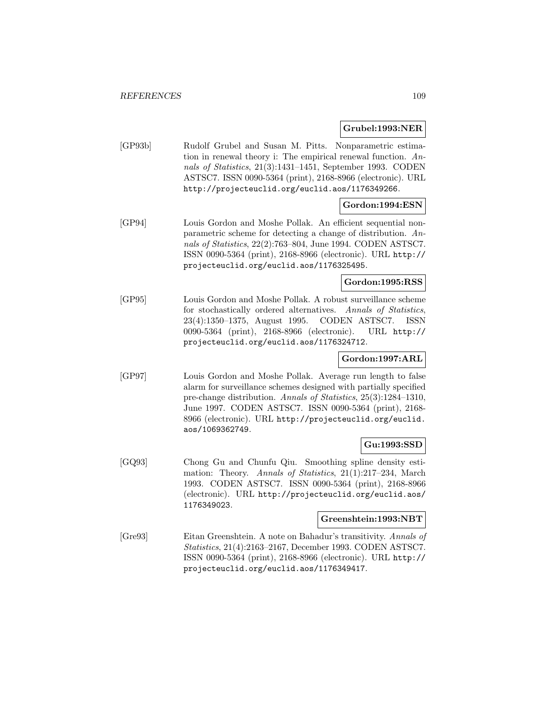### **Grubel:1993:NER**

[GP93b] Rudolf Grubel and Susan M. Pitts. Nonparametric estimation in renewal theory i: The empirical renewal function. Annals of Statistics, 21(3):1431–1451, September 1993. CODEN ASTSC7. ISSN 0090-5364 (print), 2168-8966 (electronic). URL http://projecteuclid.org/euclid.aos/1176349266.

## **Gordon:1994:ESN**

[GP94] Louis Gordon and Moshe Pollak. An efficient sequential nonparametric scheme for detecting a change of distribution. Annals of Statistics, 22(2):763–804, June 1994. CODEN ASTSC7. ISSN 0090-5364 (print), 2168-8966 (electronic). URL http:// projecteuclid.org/euclid.aos/1176325495.

## **Gordon:1995:RSS**

[GP95] Louis Gordon and Moshe Pollak. A robust surveillance scheme for stochastically ordered alternatives. Annals of Statistics, 23(4):1350–1375, August 1995. CODEN ASTSC7. ISSN 0090-5364 (print), 2168-8966 (electronic). URL http:// projecteuclid.org/euclid.aos/1176324712.

## **Gordon:1997:ARL**

[GP97] Louis Gordon and Moshe Pollak. Average run length to false alarm for surveillance schemes designed with partially specified pre-change distribution. Annals of Statistics, 25(3):1284–1310, June 1997. CODEN ASTSC7. ISSN 0090-5364 (print), 2168- 8966 (electronic). URL http://projecteuclid.org/euclid. aos/1069362749.

## **Gu:1993:SSD**

[GQ93] Chong Gu and Chunfu Qiu. Smoothing spline density estimation: Theory. Annals of Statistics, 21(1):217–234, March 1993. CODEN ASTSC7. ISSN 0090-5364 (print), 2168-8966 (electronic). URL http://projecteuclid.org/euclid.aos/ 1176349023.

### **Greenshtein:1993:NBT**

[Gre93] Eitan Greenshtein. A note on Bahadur's transitivity. Annals of Statistics, 21(4):2163–2167, December 1993. CODEN ASTSC7. ISSN 0090-5364 (print), 2168-8966 (electronic). URL http:// projecteuclid.org/euclid.aos/1176349417.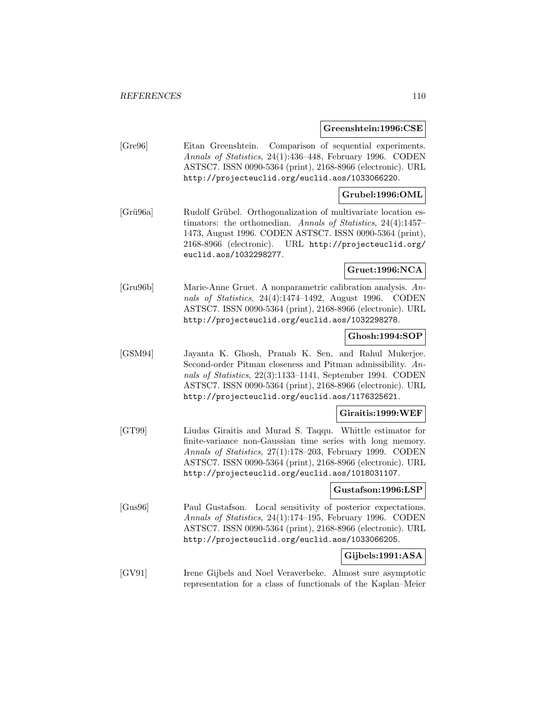#### **Greenshtein:1996:CSE**

[Gre96] Eitan Greenshtein. Comparison of sequential experiments. Annals of Statistics, 24(1):436–448, February 1996. CODEN ASTSC7. ISSN 0090-5364 (print), 2168-8966 (electronic). URL http://projecteuclid.org/euclid.aos/1033066220.

### **Grubel:1996:OML**

[Grü96a] Rudolf Grübel. Orthogonalization of multivariate location estimators: the orthomedian. Annals of Statistics, 24(4):1457– 1473, August 1996. CODEN ASTSC7. ISSN 0090-5364 (print), 2168-8966 (electronic). URL http://projecteuclid.org/ euclid.aos/1032298277.

## **Gruet:1996:NCA**

[Gru96b] Marie-Anne Gruet. A nonparametric calibration analysis. Annals of Statistics, 24(4):1474–1492, August 1996. CODEN ASTSC7. ISSN 0090-5364 (print), 2168-8966 (electronic). URL http://projecteuclid.org/euclid.aos/1032298278.

## **Ghosh:1994:SOP**

[GSM94] Jayanta K. Ghosh, Pranab K. Sen, and Rahul Mukerjee. Second-order Pitman closeness and Pitman admissibility. Annals of Statistics, 22(3):1133–1141, September 1994. CODEN ASTSC7. ISSN 0090-5364 (print), 2168-8966 (electronic). URL http://projecteuclid.org/euclid.aos/1176325621.

### **Giraitis:1999:WEF**

[GT99] Liudas Giraitis and Murad S. Taqqu. Whittle estimator for finite-variance non-Gaussian time series with long memory. Annals of Statistics, 27(1):178–203, February 1999. CODEN ASTSC7. ISSN 0090-5364 (print), 2168-8966 (electronic). URL http://projecteuclid.org/euclid.aos/1018031107.

#### **Gustafson:1996:LSP**

[Gus96] Paul Gustafson. Local sensitivity of posterior expectations. Annals of Statistics, 24(1):174–195, February 1996. CODEN ASTSC7. ISSN 0090-5364 (print), 2168-8966 (electronic). URL http://projecteuclid.org/euclid.aos/1033066205.

### **Gijbels:1991:ASA**

[GV91] Irene Gijbels and Noel Veraverbeke. Almost sure asymptotic representation for a class of functionals of the Kaplan–Meier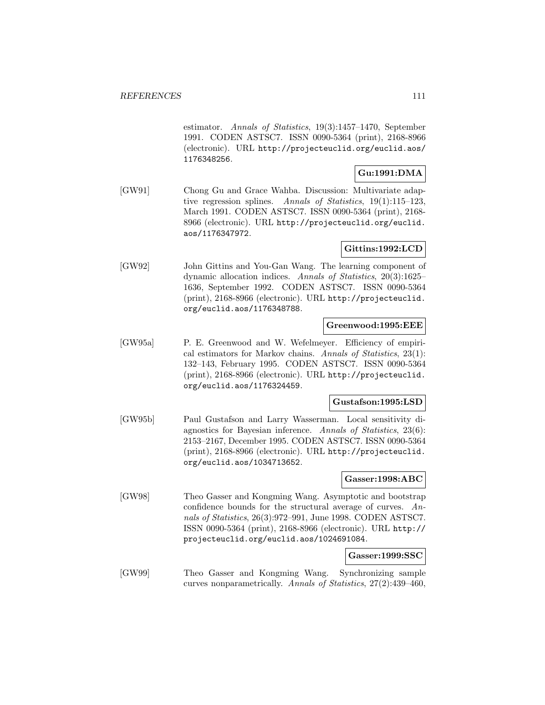estimator. Annals of Statistics, 19(3):1457–1470, September 1991. CODEN ASTSC7. ISSN 0090-5364 (print), 2168-8966 (electronic). URL http://projecteuclid.org/euclid.aos/ 1176348256.

## **Gu:1991:DMA**

[GW91] Chong Gu and Grace Wahba. Discussion: Multivariate adaptive regression splines. Annals of Statistics, 19(1):115–123, March 1991. CODEN ASTSC7. ISSN 0090-5364 (print), 2168- 8966 (electronic). URL http://projecteuclid.org/euclid. aos/1176347972.

## **Gittins:1992:LCD**

[GW92] John Gittins and You-Gan Wang. The learning component of dynamic allocation indices. Annals of Statistics, 20(3):1625– 1636, September 1992. CODEN ASTSC7. ISSN 0090-5364 (print), 2168-8966 (electronic). URL http://projecteuclid. org/euclid.aos/1176348788.

### **Greenwood:1995:EEE**

[GW95a] P. E. Greenwood and W. Wefelmeyer. Efficiency of empirical estimators for Markov chains. Annals of Statistics, 23(1): 132–143, February 1995. CODEN ASTSC7. ISSN 0090-5364 (print), 2168-8966 (electronic). URL http://projecteuclid. org/euclid.aos/1176324459.

### **Gustafson:1995:LSD**

[GW95b] Paul Gustafson and Larry Wasserman. Local sensitivity diagnostics for Bayesian inference. Annals of Statistics, 23(6): 2153–2167, December 1995. CODEN ASTSC7. ISSN 0090-5364 (print), 2168-8966 (electronic). URL http://projecteuclid. org/euclid.aos/1034713652.

#### **Gasser:1998:ABC**

[GW98] Theo Gasser and Kongming Wang. Asymptotic and bootstrap confidence bounds for the structural average of curves. Annals of Statistics, 26(3):972–991, June 1998. CODEN ASTSC7. ISSN 0090-5364 (print), 2168-8966 (electronic). URL http:// projecteuclid.org/euclid.aos/1024691084.

### **Gasser:1999:SSC**

[GW99] Theo Gasser and Kongming Wang. Synchronizing sample curves nonparametrically. Annals of Statistics, 27(2):439–460,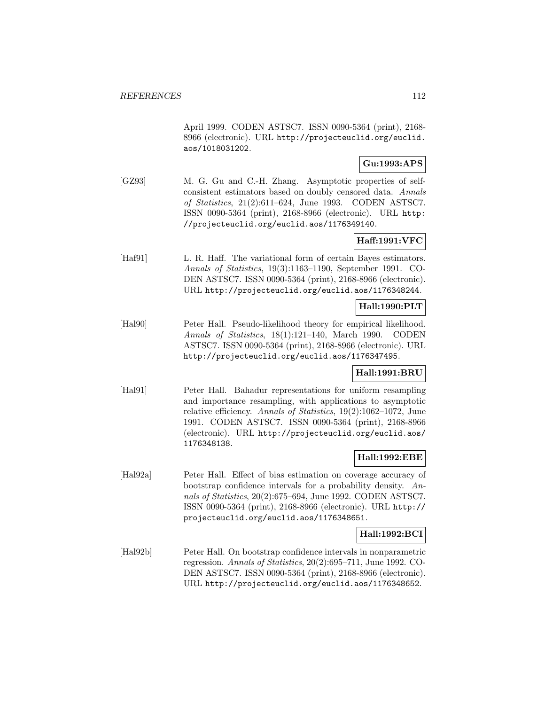April 1999. CODEN ASTSC7. ISSN 0090-5364 (print), 2168- 8966 (electronic). URL http://projecteuclid.org/euclid. aos/1018031202.

## **Gu:1993:APS**

[GZ93] M. G. Gu and C.-H. Zhang. Asymptotic properties of selfconsistent estimators based on doubly censored data. Annals of Statistics, 21(2):611–624, June 1993. CODEN ASTSC7. ISSN 0090-5364 (print), 2168-8966 (electronic). URL http: //projecteuclid.org/euclid.aos/1176349140.

# **Haff:1991:VFC**

[Haf91] L. R. Haff. The variational form of certain Bayes estimators. Annals of Statistics, 19(3):1163–1190, September 1991. CO-DEN ASTSC7. ISSN 0090-5364 (print), 2168-8966 (electronic). URL http://projecteuclid.org/euclid.aos/1176348244.

# **Hall:1990:PLT**

[Hal90] Peter Hall. Pseudo-likelihood theory for empirical likelihood. Annals of Statistics, 18(1):121–140, March 1990. CODEN ASTSC7. ISSN 0090-5364 (print), 2168-8966 (electronic). URL http://projecteuclid.org/euclid.aos/1176347495.

### **Hall:1991:BRU**

[Hal91] Peter Hall. Bahadur representations for uniform resampling and importance resampling, with applications to asymptotic relative efficiency. Annals of Statistics, 19(2):1062–1072, June 1991. CODEN ASTSC7. ISSN 0090-5364 (print), 2168-8966 (electronic). URL http://projecteuclid.org/euclid.aos/ 1176348138.

### **Hall:1992:EBE**

[Hal92a] Peter Hall. Effect of bias estimation on coverage accuracy of bootstrap confidence intervals for a probability density. Annals of Statistics, 20(2):675–694, June 1992. CODEN ASTSC7. ISSN 0090-5364 (print), 2168-8966 (electronic). URL http:// projecteuclid.org/euclid.aos/1176348651.

### **Hall:1992:BCI**

[Hal92b] Peter Hall. On bootstrap confidence intervals in nonparametric regression. Annals of Statistics, 20(2):695–711, June 1992. CO-DEN ASTSC7. ISSN 0090-5364 (print), 2168-8966 (electronic). URL http://projecteuclid.org/euclid.aos/1176348652.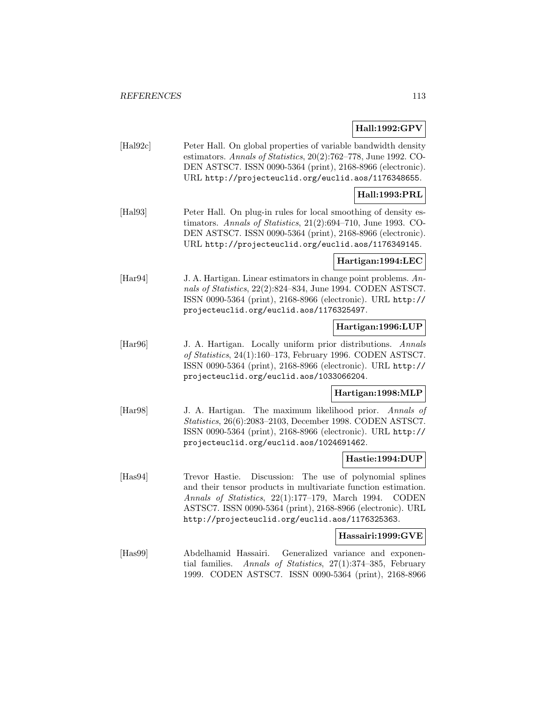## **Hall:1992:GPV**

| $[\text{Hal92c}]$ | Peter Hall. On global properties of variable bandwidth density     |
|-------------------|--------------------------------------------------------------------|
|                   | estimators. Annals of Statistics, $20(2)$ :762–778, June 1992. CO- |
|                   | DEN ASTSC7. ISSN 0090-5364 (print), 2168-8966 (electronic).        |
|                   | URL http://projecteuclid.org/euclid.aos/1176348655.                |

### **Hall:1993:PRL**

[Hal93] Peter Hall. On plug-in rules for local smoothing of density estimators. Annals of Statistics, 21(2):694–710, June 1993. CO-DEN ASTSC7. ISSN 0090-5364 (print), 2168-8966 (electronic). URL http://projecteuclid.org/euclid.aos/1176349145.

#### **Hartigan:1994:LEC**

[Har94] J. A. Hartigan. Linear estimators in change point problems. Annals of Statistics, 22(2):824–834, June 1994. CODEN ASTSC7. ISSN 0090-5364 (print), 2168-8966 (electronic). URL http:// projecteuclid.org/euclid.aos/1176325497.

## **Hartigan:1996:LUP**

[Har96] J. A. Hartigan. Locally uniform prior distributions. Annals of Statistics, 24(1):160–173, February 1996. CODEN ASTSC7. ISSN 0090-5364 (print), 2168-8966 (electronic). URL http:// projecteuclid.org/euclid.aos/1033066204.

### **Hartigan:1998:MLP**

[Har98] J. A. Hartigan. The maximum likelihood prior. Annals of Statistics, 26(6):2083–2103, December 1998. CODEN ASTSC7. ISSN 0090-5364 (print), 2168-8966 (electronic). URL http:// projecteuclid.org/euclid.aos/1024691462.

### **Hastie:1994:DUP**

[Has94] Trevor Hastie. Discussion: The use of polynomial splines and their tensor products in multivariate function estimation. Annals of Statistics, 22(1):177–179, March 1994. CODEN ASTSC7. ISSN 0090-5364 (print), 2168-8966 (electronic). URL http://projecteuclid.org/euclid.aos/1176325363.

## **Hassairi:1999:GVE**

[Has99] Abdelhamid Hassairi. Generalized variance and exponential families. Annals of Statistics, 27(1):374–385, February 1999. CODEN ASTSC7. ISSN 0090-5364 (print), 2168-8966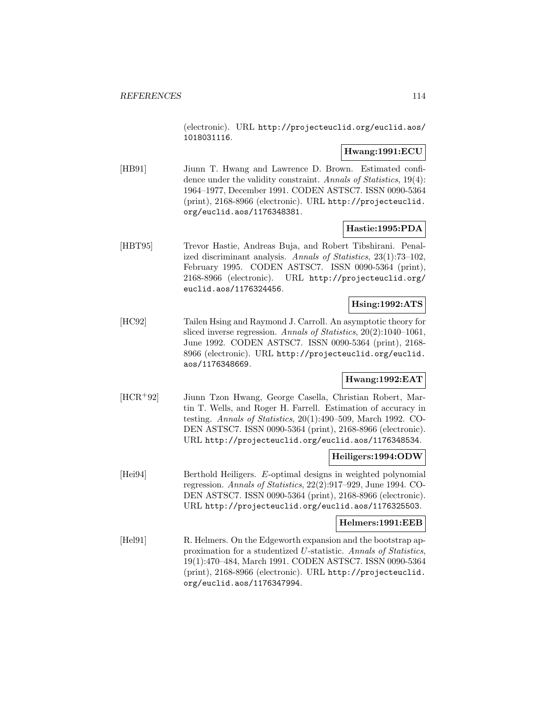(electronic). URL http://projecteuclid.org/euclid.aos/ 1018031116.

### **Hwang:1991:ECU**

[HB91] Jiunn T. Hwang and Lawrence D. Brown. Estimated confidence under the validity constraint. Annals of Statistics, 19(4): 1964–1977, December 1991. CODEN ASTSC7. ISSN 0090-5364 (print), 2168-8966 (electronic). URL http://projecteuclid. org/euclid.aos/1176348381.

### **Hastie:1995:PDA**

[HBT95] Trevor Hastie, Andreas Buja, and Robert Tibshirani. Penalized discriminant analysis. Annals of Statistics, 23(1):73–102, February 1995. CODEN ASTSC7. ISSN 0090-5364 (print), 2168-8966 (electronic). URL http://projecteuclid.org/ euclid.aos/1176324456.

## **Hsing:1992:ATS**

[HC92] Tailen Hsing and Raymond J. Carroll. An asymptotic theory for sliced inverse regression. Annals of Statistics, 20(2):1040–1061, June 1992. CODEN ASTSC7. ISSN 0090-5364 (print), 2168- 8966 (electronic). URL http://projecteuclid.org/euclid. aos/1176348669.

### **Hwang:1992:EAT**

[HCR<sup>+</sup>92] Jiunn Tzon Hwang, George Casella, Christian Robert, Martin T. Wells, and Roger H. Farrell. Estimation of accuracy in testing. Annals of Statistics, 20(1):490–509, March 1992. CO-DEN ASTSC7. ISSN 0090-5364 (print), 2168-8966 (electronic). URL http://projecteuclid.org/euclid.aos/1176348534.

#### **Heiligers:1994:ODW**

[Hei94] Berthold Heiligers. E-optimal designs in weighted polynomial regression. Annals of Statistics, 22(2):917–929, June 1994. CO-DEN ASTSC7. ISSN 0090-5364 (print), 2168-8966 (electronic). URL http://projecteuclid.org/euclid.aos/1176325503.

#### **Helmers:1991:EEB**

[Hel91] R. Helmers. On the Edgeworth expansion and the bootstrap approximation for a studentized U-statistic. Annals of Statistics, 19(1):470–484, March 1991. CODEN ASTSC7. ISSN 0090-5364 (print), 2168-8966 (electronic). URL http://projecteuclid. org/euclid.aos/1176347994.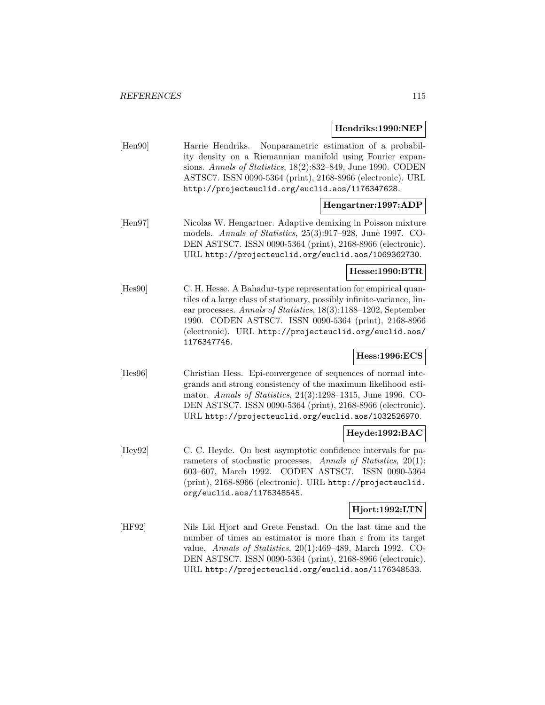#### **Hendriks:1990:NEP**

[Hen90] Harrie Hendriks. Nonparametric estimation of a probability density on a Riemannian manifold using Fourier expansions. Annals of Statistics, 18(2):832–849, June 1990. CODEN ASTSC7. ISSN 0090-5364 (print), 2168-8966 (electronic). URL http://projecteuclid.org/euclid.aos/1176347628.

## **Hengartner:1997:ADP**

[Hen97] Nicolas W. Hengartner. Adaptive demixing in Poisson mixture models. Annals of Statistics, 25(3):917–928, June 1997. CO-DEN ASTSC7. ISSN 0090-5364 (print), 2168-8966 (electronic). URL http://projecteuclid.org/euclid.aos/1069362730.

## **Hesse:1990:BTR**

[Hes90] C. H. Hesse. A Bahadur-type representation for empirical quantiles of a large class of stationary, possibly infinite-variance, linear processes. Annals of Statistics, 18(3):1188–1202, September 1990. CODEN ASTSC7. ISSN 0090-5364 (print), 2168-8966 (electronic). URL http://projecteuclid.org/euclid.aos/ 1176347746.

## **Hess:1996:ECS**

[Hes96] Christian Hess. Epi-convergence of sequences of normal integrands and strong consistency of the maximum likelihood estimator. Annals of Statistics, 24(3):1298–1315, June 1996. CO-DEN ASTSC7. ISSN 0090-5364 (print), 2168-8966 (electronic). URL http://projecteuclid.org/euclid.aos/1032526970.

## **Heyde:1992:BAC**

[Hey92] C. C. Heyde. On best asymptotic confidence intervals for parameters of stochastic processes. Annals of Statistics, 20(1): 603–607, March 1992. CODEN ASTSC7. ISSN 0090-5364 (print), 2168-8966 (electronic). URL http://projecteuclid. org/euclid.aos/1176348545.

## **Hjort:1992:LTN**

[HF92] Nils Lid Hjort and Grete Fenstad. On the last time and the number of times an estimator is more than  $\varepsilon$  from its target value. Annals of Statistics, 20(1):469–489, March 1992. CO-DEN ASTSC7. ISSN 0090-5364 (print), 2168-8966 (electronic). URL http://projecteuclid.org/euclid.aos/1176348533.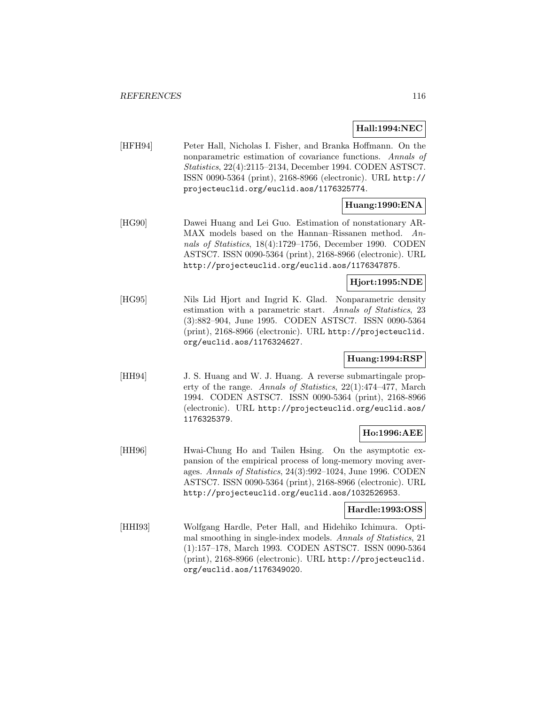**Hall:1994:NEC**

[HFH94] Peter Hall, Nicholas I. Fisher, and Branka Hoffmann. On the nonparametric estimation of covariance functions. Annals of Statistics, 22(4):2115–2134, December 1994. CODEN ASTSC7. ISSN 0090-5364 (print), 2168-8966 (electronic). URL http:// projecteuclid.org/euclid.aos/1176325774.

# **Huang:1990:ENA**

[HG90] Dawei Huang and Lei Guo. Estimation of nonstationary AR-MAX models based on the Hannan–Rissanen method. Annals of Statistics, 18(4):1729–1756, December 1990. CODEN ASTSC7. ISSN 0090-5364 (print), 2168-8966 (electronic). URL http://projecteuclid.org/euclid.aos/1176347875.

## **Hjort:1995:NDE**

[HG95] Nils Lid Hjort and Ingrid K. Glad. Nonparametric density estimation with a parametric start. Annals of Statistics, 23 (3):882–904, June 1995. CODEN ASTSC7. ISSN 0090-5364 (print), 2168-8966 (electronic). URL http://projecteuclid. org/euclid.aos/1176324627.

# **Huang:1994:RSP**

[HH94] J. S. Huang and W. J. Huang. A reverse submartingale property of the range. Annals of Statistics, 22(1):474–477, March 1994. CODEN ASTSC7. ISSN 0090-5364 (print), 2168-8966 (electronic). URL http://projecteuclid.org/euclid.aos/ 1176325379.

## **Ho:1996:AEE**

[HH96] Hwai-Chung Ho and Tailen Hsing. On the asymptotic expansion of the empirical process of long-memory moving averages. Annals of Statistics, 24(3):992–1024, June 1996. CODEN ASTSC7. ISSN 0090-5364 (print), 2168-8966 (electronic). URL http://projecteuclid.org/euclid.aos/1032526953.

## **Hardle:1993:OSS**

[HHI93] Wolfgang Hardle, Peter Hall, and Hidehiko Ichimura. Optimal smoothing in single-index models. Annals of Statistics, 21 (1):157–178, March 1993. CODEN ASTSC7. ISSN 0090-5364 (print), 2168-8966 (electronic). URL http://projecteuclid. org/euclid.aos/1176349020.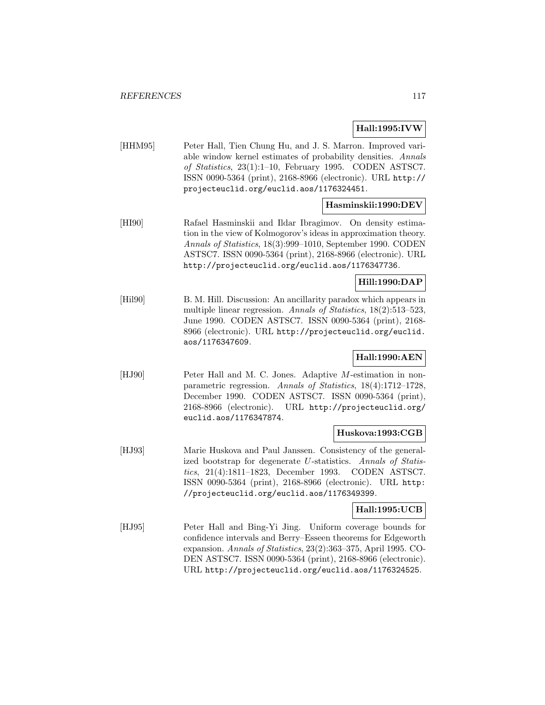## **Hall:1995:IVW**

[HHM95] Peter Hall, Tien Chung Hu, and J. S. Marron. Improved variable window kernel estimates of probability densities. Annals of Statistics, 23(1):1–10, February 1995. CODEN ASTSC7. ISSN 0090-5364 (print), 2168-8966 (electronic). URL http:// projecteuclid.org/euclid.aos/1176324451.

## **Hasminskii:1990:DEV**

[HI90] Rafael Hasminskii and Ildar Ibragimov. On density estimation in the view of Kolmogorov's ideas in approximation theory. Annals of Statistics, 18(3):999–1010, September 1990. CODEN ASTSC7. ISSN 0090-5364 (print), 2168-8966 (electronic). URL http://projecteuclid.org/euclid.aos/1176347736.

### **Hill:1990:DAP**

[Hil90] B. M. Hill. Discussion: An ancillarity paradox which appears in multiple linear regression. Annals of Statistics, 18(2):513–523, June 1990. CODEN ASTSC7. ISSN 0090-5364 (print), 2168- 8966 (electronic). URL http://projecteuclid.org/euclid. aos/1176347609.

# **Hall:1990:AEN**

[HJ90] Peter Hall and M. C. Jones. Adaptive M-estimation in nonparametric regression. Annals of Statistics, 18(4):1712–1728, December 1990. CODEN ASTSC7. ISSN 0090-5364 (print), 2168-8966 (electronic). URL http://projecteuclid.org/ euclid.aos/1176347874.

### **Huskova:1993:CGB**

[HJ93] Marie Huskova and Paul Janssen. Consistency of the generalized bootstrap for degenerate U-statistics. Annals of Statistics, 21(4):1811–1823, December 1993. CODEN ASTSC7. ISSN 0090-5364 (print), 2168-8966 (electronic). URL http: //projecteuclid.org/euclid.aos/1176349399.

### **Hall:1995:UCB**

[HJ95] Peter Hall and Bing-Yi Jing. Uniform coverage bounds for confidence intervals and Berry–Esseen theorems for Edgeworth expansion. Annals of Statistics, 23(2):363–375, April 1995. CO-DEN ASTSC7. ISSN 0090-5364 (print), 2168-8966 (electronic). URL http://projecteuclid.org/euclid.aos/1176324525.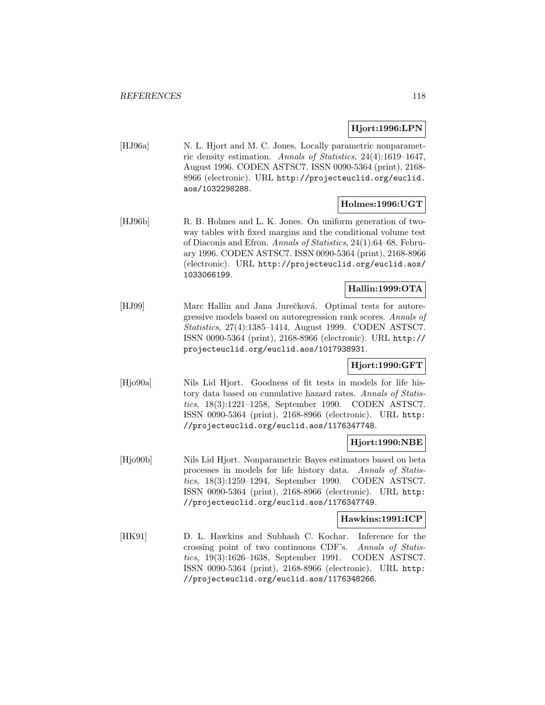### **Hjort:1996:LPN**

[HJ96a] N. L. Hjort and M. C. Jones. Locally parametric nonparametric density estimation. Annals of Statistics, 24(4):1619–1647, August 1996. CODEN ASTSC7. ISSN 0090-5364 (print), 2168- 8966 (electronic). URL http://projecteuclid.org/euclid. aos/1032298288.

### **Holmes:1996:UGT**

[HJ96b] R. B. Holmes and L. K. Jones. On uniform generation of twoway tables with fixed margins and the conditional volume test of Diaconis and Efron. Annals of Statistics, 24(1):64–68, February 1996. CODEN ASTSC7. ISSN 0090-5364 (print), 2168-8966 (electronic). URL http://projecteuclid.org/euclid.aos/ 1033066199.

# **Hallin:1999:OTA**

[HJ99] Marc Hallin and Jana Jurečková. Optimal tests for autoregressive models based on autoregression rank scores. Annals of Statistics, 27(4):1385–1414, August 1999. CODEN ASTSC7. ISSN 0090-5364 (print), 2168-8966 (electronic). URL http:// projecteuclid.org/euclid.aos/1017938931.

## **Hjort:1990:GFT**

[Hjo90a] Nils Lid Hjort. Goodness of fit tests in models for life history data based on cumulative hazard rates. Annals of Statistics, 18(3):1221–1258, September 1990. CODEN ASTSC7. ISSN 0090-5364 (print), 2168-8966 (electronic). URL http: //projecteuclid.org/euclid.aos/1176347748.

### **Hjort:1990:NBE**

[Hjo90b] Nils Lid Hjort. Nonparametric Bayes estimators based on beta processes in models for life history data. Annals of Statistics, 18(3):1259–1294, September 1990. CODEN ASTSC7. ISSN 0090-5364 (print), 2168-8966 (electronic). URL http: //projecteuclid.org/euclid.aos/1176347749.

### **Hawkins:1991:ICP**

[HK91] D. L. Hawkins and Subhash C. Kochar. Inference for the crossing point of two continuous CDF's. Annals of Statistics, 19(3):1626–1638, September 1991. CODEN ASTSC7. ISSN 0090-5364 (print), 2168-8966 (electronic). URL http: //projecteuclid.org/euclid.aos/1176348266.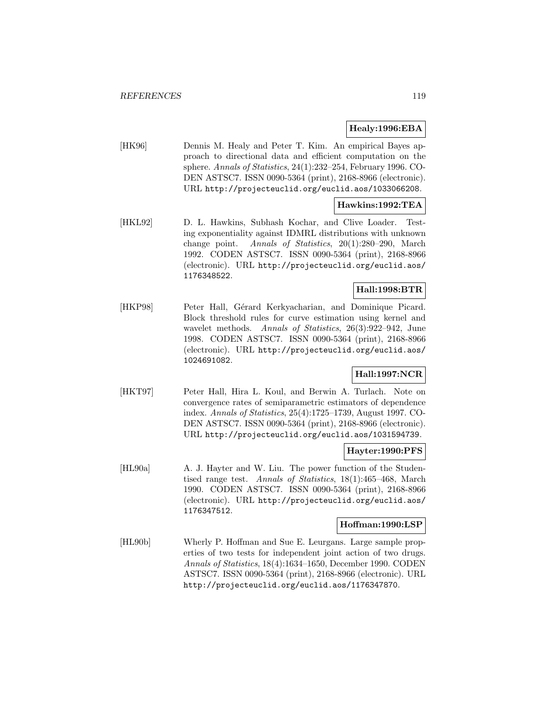## **Healy:1996:EBA**

[HK96] Dennis M. Healy and Peter T. Kim. An empirical Bayes approach to directional data and efficient computation on the sphere. Annals of Statistics, 24(1):232–254, February 1996. CO-DEN ASTSC7. ISSN 0090-5364 (print), 2168-8966 (electronic). URL http://projecteuclid.org/euclid.aos/1033066208.

## **Hawkins:1992:TEA**

[HKL92] D. L. Hawkins, Subhash Kochar, and Clive Loader. Testing exponentiality against IDMRL distributions with unknown change point. Annals of Statistics, 20(1):280–290, March 1992. CODEN ASTSC7. ISSN 0090-5364 (print), 2168-8966 (electronic). URL http://projecteuclid.org/euclid.aos/ 1176348522.

# **Hall:1998:BTR**

[HKP98] Peter Hall, Gérard Kerkyacharian, and Dominique Picard. Block threshold rules for curve estimation using kernel and wavelet methods. Annals of Statistics, 26(3):922–942, June 1998. CODEN ASTSC7. ISSN 0090-5364 (print), 2168-8966 (electronic). URL http://projecteuclid.org/euclid.aos/ 1024691082.

## **Hall:1997:NCR**

[HKT97] Peter Hall, Hira L. Koul, and Berwin A. Turlach. Note on convergence rates of semiparametric estimators of dependence index. Annals of Statistics, 25(4):1725–1739, August 1997. CO-DEN ASTSC7. ISSN 0090-5364 (print), 2168-8966 (electronic). URL http://projecteuclid.org/euclid.aos/1031594739.

### **Hayter:1990:PFS**

[HL90a] A. J. Hayter and W. Liu. The power function of the Studentised range test. Annals of Statistics, 18(1):465–468, March 1990. CODEN ASTSC7. ISSN 0090-5364 (print), 2168-8966 (electronic). URL http://projecteuclid.org/euclid.aos/ 1176347512.

### **Hoffman:1990:LSP**

[HL90b] Wherly P. Hoffman and Sue E. Leurgans. Large sample properties of two tests for independent joint action of two drugs. Annals of Statistics, 18(4):1634–1650, December 1990. CODEN ASTSC7. ISSN 0090-5364 (print), 2168-8966 (electronic). URL http://projecteuclid.org/euclid.aos/1176347870.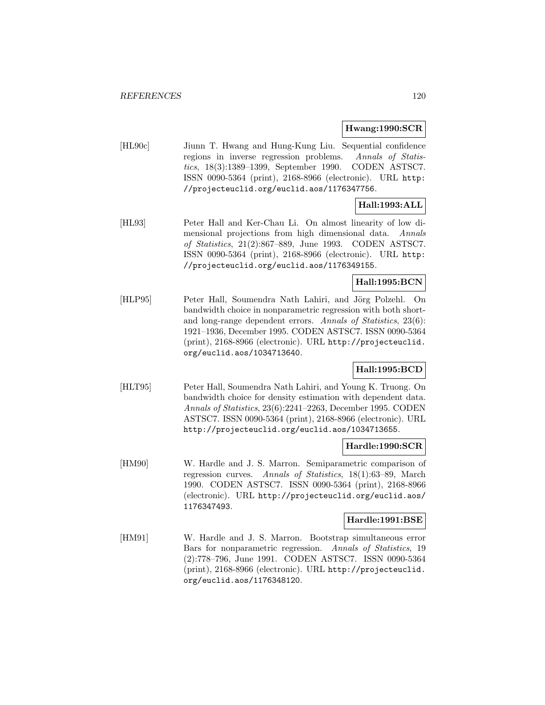**Hwang:1990:SCR**

[HL90c] Jiunn T. Hwang and Hung-Kung Liu. Sequential confidence regions in inverse regression problems. Annals of Statistics, 18(3):1389–1399, September 1990. CODEN ASTSC7. ISSN 0090-5364 (print), 2168-8966 (electronic). URL http: //projecteuclid.org/euclid.aos/1176347756.

# **Hall:1993:ALL**

[HL93] Peter Hall and Ker-Chau Li. On almost linearity of low dimensional projections from high dimensional data. Annals of Statistics, 21(2):867–889, June 1993. CODEN ASTSC7. ISSN 0090-5364 (print), 2168-8966 (electronic). URL http: //projecteuclid.org/euclid.aos/1176349155.

## **Hall:1995:BCN**

[HLP95] Peter Hall, Soumendra Nath Lahiri, and Jörg Polzehl. On bandwidth choice in nonparametric regression with both shortand long-range dependent errors. Annals of Statistics, 23(6): 1921–1936, December 1995. CODEN ASTSC7. ISSN 0090-5364 (print), 2168-8966 (electronic). URL http://projecteuclid. org/euclid.aos/1034713640.

## **Hall:1995:BCD**

[HLT95] Peter Hall, Soumendra Nath Lahiri, and Young K. Truong. On bandwidth choice for density estimation with dependent data. Annals of Statistics, 23(6):2241–2263, December 1995. CODEN ASTSC7. ISSN 0090-5364 (print), 2168-8966 (electronic). URL http://projecteuclid.org/euclid.aos/1034713655.

### **Hardle:1990:SCR**

[HM90] W. Hardle and J. S. Marron. Semiparametric comparison of regression curves. Annals of Statistics, 18(1):63–89, March 1990. CODEN ASTSC7. ISSN 0090-5364 (print), 2168-8966 (electronic). URL http://projecteuclid.org/euclid.aos/ 1176347493.

### **Hardle:1991:BSE**

[HM91] W. Hardle and J. S. Marron. Bootstrap simultaneous error Bars for nonparametric regression. Annals of Statistics, 19 (2):778–796, June 1991. CODEN ASTSC7. ISSN 0090-5364 (print), 2168-8966 (electronic). URL http://projecteuclid. org/euclid.aos/1176348120.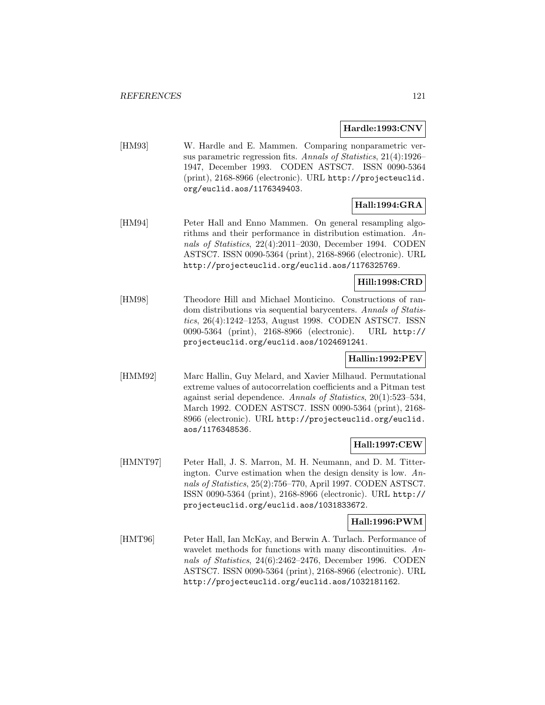#### **Hardle:1993:CNV**

[HM93] W. Hardle and E. Mammen. Comparing nonparametric versus parametric regression fits. Annals of Statistics, 21(4):1926– 1947, December 1993. CODEN ASTSC7. ISSN 0090-5364 (print), 2168-8966 (electronic). URL http://projecteuclid. org/euclid.aos/1176349403.

# **Hall:1994:GRA**

[HM94] Peter Hall and Enno Mammen. On general resampling algorithms and their performance in distribution estimation. Annals of Statistics, 22(4):2011–2030, December 1994. CODEN ASTSC7. ISSN 0090-5364 (print), 2168-8966 (electronic). URL http://projecteuclid.org/euclid.aos/1176325769.

### **Hill:1998:CRD**

[HM98] Theodore Hill and Michael Monticino. Constructions of random distributions via sequential barycenters. Annals of Statistics, 26(4):1242–1253, August 1998. CODEN ASTSC7. ISSN 0090-5364 (print), 2168-8966 (electronic). URL http:// projecteuclid.org/euclid.aos/1024691241.

## **Hallin:1992:PEV**

[HMM92] Marc Hallin, Guy Melard, and Xavier Milhaud. Permutational extreme values of autocorrelation coefficients and a Pitman test against serial dependence. Annals of Statistics, 20(1):523–534, March 1992. CODEN ASTSC7. ISSN 0090-5364 (print), 2168- 8966 (electronic). URL http://projecteuclid.org/euclid. aos/1176348536.

## **Hall:1997:CEW**

[HMNT97] Peter Hall, J. S. Marron, M. H. Neumann, and D. M. Titterington. Curve estimation when the design density is low. Annals of Statistics, 25(2):756–770, April 1997. CODEN ASTSC7. ISSN 0090-5364 (print), 2168-8966 (electronic). URL http:// projecteuclid.org/euclid.aos/1031833672.

## **Hall:1996:PWM**

[HMT96] Peter Hall, Ian McKay, and Berwin A. Turlach. Performance of wavelet methods for functions with many discontinuities. Annals of Statistics, 24(6):2462–2476, December 1996. CODEN ASTSC7. ISSN 0090-5364 (print), 2168-8966 (electronic). URL http://projecteuclid.org/euclid.aos/1032181162.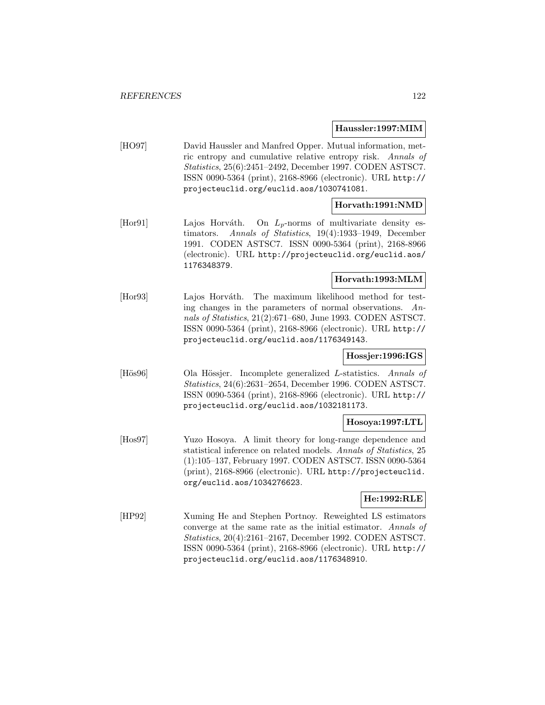#### **Haussler:1997:MIM**

[HO97] David Haussler and Manfred Opper. Mutual information, metric entropy and cumulative relative entropy risk. Annals of Statistics, 25(6):2451–2492, December 1997. CODEN ASTSC7. ISSN 0090-5364 (print), 2168-8966 (electronic). URL http:// projecteuclid.org/euclid.aos/1030741081.

## **Horvath:1991:NMD**

[Hor91] Lajos Horváth. On  $L_p$ -norms of multivariate density estimators. Annals of Statistics, 19(4):1933–1949, December 1991. CODEN ASTSC7. ISSN 0090-5364 (print), 2168-8966 (electronic). URL http://projecteuclid.org/euclid.aos/ 1176348379.

## **Horvath:1993:MLM**

[Hor93] Lajos Horváth. The maximum likelihood method for testing changes in the parameters of normal observations. Annals of Statistics, 21(2):671–680, June 1993. CODEN ASTSC7. ISSN 0090-5364 (print), 2168-8966 (electronic). URL http:// projecteuclid.org/euclid.aos/1176349143.

## **Hossjer:1996:IGS**

[Hös96] Ola Hössjer. Incomplete generalized L-statistics. Annals of Statistics, 24(6):2631–2654, December 1996. CODEN ASTSC7. ISSN 0090-5364 (print), 2168-8966 (electronic). URL http:// projecteuclid.org/euclid.aos/1032181173.

### **Hosoya:1997:LTL**

[Hos97] Yuzo Hosoya. A limit theory for long-range dependence and statistical inference on related models. Annals of Statistics, 25 (1):105–137, February 1997. CODEN ASTSC7. ISSN 0090-5364 (print), 2168-8966 (electronic). URL http://projecteuclid. org/euclid.aos/1034276623.

## **He:1992:RLE**

[HP92] Xuming He and Stephen Portnoy. Reweighted LS estimators converge at the same rate as the initial estimator. Annals of Statistics, 20(4):2161–2167, December 1992. CODEN ASTSC7. ISSN 0090-5364 (print), 2168-8966 (electronic). URL http:// projecteuclid.org/euclid.aos/1176348910.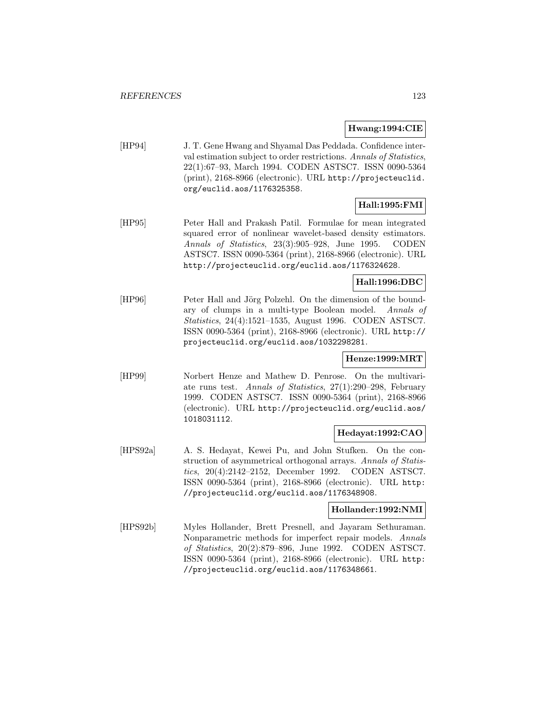### **Hwang:1994:CIE**

[HP94] J. T. Gene Hwang and Shyamal Das Peddada. Confidence interval estimation subject to order restrictions. Annals of Statistics, 22(1):67–93, March 1994. CODEN ASTSC7. ISSN 0090-5364 (print), 2168-8966 (electronic). URL http://projecteuclid. org/euclid.aos/1176325358.

# **Hall:1995:FMI**

[HP95] Peter Hall and Prakash Patil. Formulae for mean integrated squared error of nonlinear wavelet-based density estimators. Annals of Statistics, 23(3):905–928, June 1995. CODEN ASTSC7. ISSN 0090-5364 (print), 2168-8966 (electronic). URL http://projecteuclid.org/euclid.aos/1176324628.

## **Hall:1996:DBC**

[HP96] Peter Hall and Jörg Polzehl. On the dimension of the boundary of clumps in a multi-type Boolean model. Annals of Statistics, 24(4):1521–1535, August 1996. CODEN ASTSC7. ISSN 0090-5364 (print), 2168-8966 (electronic). URL http:// projecteuclid.org/euclid.aos/1032298281.

### **Henze:1999:MRT**

[HP99] Norbert Henze and Mathew D. Penrose. On the multivariate runs test. Annals of Statistics, 27(1):290–298, February 1999. CODEN ASTSC7. ISSN 0090-5364 (print), 2168-8966 (electronic). URL http://projecteuclid.org/euclid.aos/ 1018031112.

## **Hedayat:1992:CAO**

[HPS92a] A. S. Hedayat, Kewei Pu, and John Stufken. On the construction of asymmetrical orthogonal arrays. Annals of Statistics, 20(4):2142–2152, December 1992. CODEN ASTSC7. ISSN 0090-5364 (print), 2168-8966 (electronic). URL http: //projecteuclid.org/euclid.aos/1176348908.

### **Hollander:1992:NMI**

[HPS92b] Myles Hollander, Brett Presnell, and Jayaram Sethuraman. Nonparametric methods for imperfect repair models. Annals of Statistics, 20(2):879–896, June 1992. CODEN ASTSC7. ISSN 0090-5364 (print), 2168-8966 (electronic). URL http: //projecteuclid.org/euclid.aos/1176348661.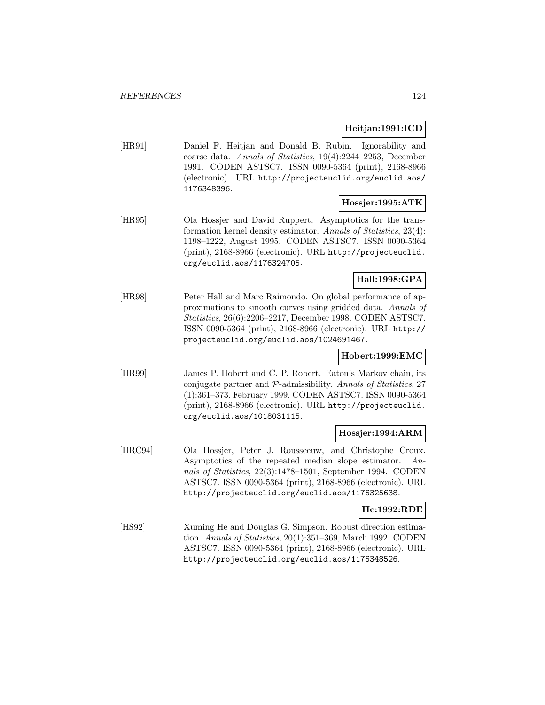## **Heitjan:1991:ICD**

[HR91] Daniel F. Heitjan and Donald B. Rubin. Ignorability and coarse data. Annals of Statistics, 19(4):2244–2253, December 1991. CODEN ASTSC7. ISSN 0090-5364 (print), 2168-8966 (electronic). URL http://projecteuclid.org/euclid.aos/ 1176348396.

#### **Hossjer:1995:ATK**

[HR95] Ola Hossjer and David Ruppert. Asymptotics for the transformation kernel density estimator. Annals of Statistics, 23(4): 1198–1222, August 1995. CODEN ASTSC7. ISSN 0090-5364 (print), 2168-8966 (electronic). URL http://projecteuclid. org/euclid.aos/1176324705.

## **Hall:1998:GPA**

[HR98] Peter Hall and Marc Raimondo. On global performance of approximations to smooth curves using gridded data. Annals of Statistics, 26(6):2206–2217, December 1998. CODEN ASTSC7. ISSN 0090-5364 (print), 2168-8966 (electronic). URL http:// projecteuclid.org/euclid.aos/1024691467.

### **Hobert:1999:EMC**

[HR99] James P. Hobert and C. P. Robert. Eaton's Markov chain, its conjugate partner and P-admissibility. Annals of Statistics, 27 (1):361–373, February 1999. CODEN ASTSC7. ISSN 0090-5364 (print), 2168-8966 (electronic). URL http://projecteuclid. org/euclid.aos/1018031115.

### **Hossjer:1994:ARM**

[HRC94] Ola Hossjer, Peter J. Rousseeuw, and Christophe Croux. Asymptotics of the repeated median slope estimator. Annals of Statistics, 22(3):1478–1501, September 1994. CODEN ASTSC7. ISSN 0090-5364 (print), 2168-8966 (electronic). URL http://projecteuclid.org/euclid.aos/1176325638.

## **He:1992:RDE**

[HS92] Xuming He and Douglas G. Simpson. Robust direction estimation. Annals of Statistics, 20(1):351–369, March 1992. CODEN ASTSC7. ISSN 0090-5364 (print), 2168-8966 (electronic). URL http://projecteuclid.org/euclid.aos/1176348526.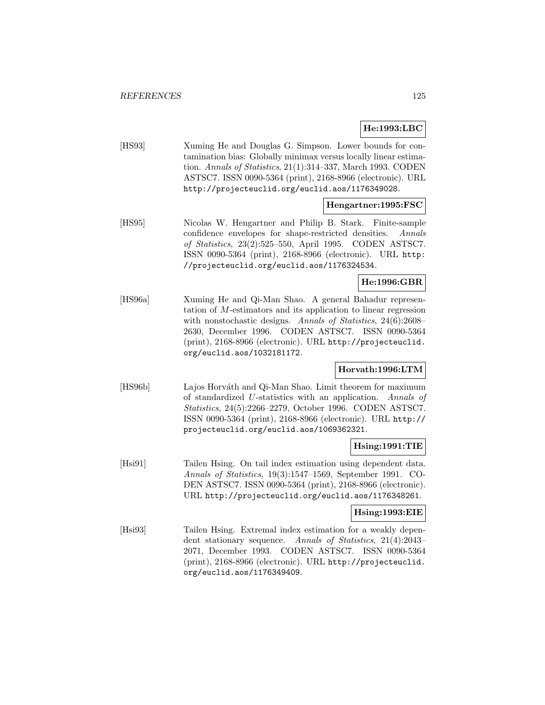## **He:1993:LBC**

[HS93] Xuming He and Douglas G. Simpson. Lower bounds for contamination bias: Globally minimax versus locally linear estimation. Annals of Statistics, 21(1):314–337, March 1993. CODEN ASTSC7. ISSN 0090-5364 (print), 2168-8966 (electronic). URL http://projecteuclid.org/euclid.aos/1176349028.

## **Hengartner:1995:FSC**

[HS95] Nicolas W. Hengartner and Philip B. Stark. Finite-sample confidence envelopes for shape-restricted densities. Annals of Statistics, 23(2):525–550, April 1995. CODEN ASTSC7. ISSN 0090-5364 (print), 2168-8966 (electronic). URL http: //projecteuclid.org/euclid.aos/1176324534.

## **He:1996:GBR**

[HS96a] Xuming He and Qi-Man Shao. A general Bahadur representation of M-estimators and its application to linear regression with nonstochastic designs. Annals of Statistics, 24(6):2608– 2630, December 1996. CODEN ASTSC7. ISSN 0090-5364 (print), 2168-8966 (electronic). URL http://projecteuclid. org/euclid.aos/1032181172.

## **Horvath:1996:LTM**

[HS96b] Lajos Horváth and Qi-Man Shao. Limit theorem for maximum of standardized U-statistics with an application. Annals of Statistics, 24(5):2266–2279, October 1996. CODEN ASTSC7. ISSN 0090-5364 (print), 2168-8966 (electronic). URL http:// projecteuclid.org/euclid.aos/1069362321.

### **Hsing:1991:TIE**

[Hsi91] Tailen Hsing. On tail index estimation using dependent data. Annals of Statistics, 19(3):1547–1569, September 1991. CO-DEN ASTSC7. ISSN 0090-5364 (print), 2168-8966 (electronic). URL http://projecteuclid.org/euclid.aos/1176348261.

#### **Hsing:1993:EIE**

[Hsi93] Tailen Hsing. Extremal index estimation for a weakly dependent stationary sequence. Annals of Statistics, 21(4):2043– 2071, December 1993. CODEN ASTSC7. ISSN 0090-5364 (print), 2168-8966 (electronic). URL http://projecteuclid. org/euclid.aos/1176349409.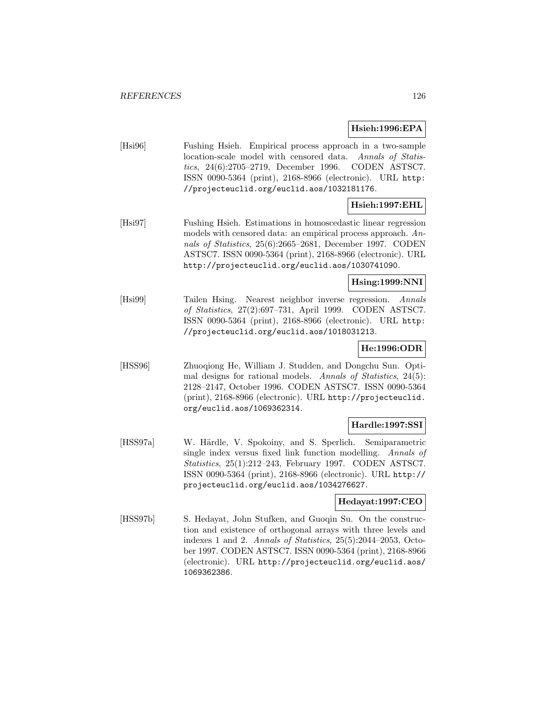### **Hsieh:1996:EPA**

[Hsi96] Fushing Hsieh. Empirical process approach in a two-sample location-scale model with censored data. Annals of Statistics, 24(6):2705–2719, December 1996. CODEN ASTSC7. ISSN 0090-5364 (print), 2168-8966 (electronic). URL http: //projecteuclid.org/euclid.aos/1032181176.

# **Hsieh:1997:EHL**

[Hsi97] Fushing Hsieh. Estimations in homoscedastic linear regression models with censored data: an empirical process approach. Annals of Statistics, 25(6):2665–2681, December 1997. CODEN ASTSC7. ISSN 0090-5364 (print), 2168-8966 (electronic). URL http://projecteuclid.org/euclid.aos/1030741090.

## **Hsing:1999:NNI**

[Hsi99] Tailen Hsing. Nearest neighbor inverse regression. Annals of Statistics, 27(2):697–731, April 1999. CODEN ASTSC7. ISSN 0090-5364 (print), 2168-8966 (electronic). URL http: //projecteuclid.org/euclid.aos/1018031213.

# **He:1996:ODR**

[HSS96] Zhuoqiong He, William J. Studden, and Dongchu Sun. Optimal designs for rational models. Annals of Statistics, 24(5): 2128–2147, October 1996. CODEN ASTSC7. ISSN 0090-5364 (print), 2168-8966 (electronic). URL http://projecteuclid. org/euclid.aos/1069362314.

# **Hardle:1997:SSI**

[HSS97a] W. Härdle, V. Spokoiny, and S. Sperlich. Semiparametric single index versus fixed link function modelling. Annals of Statistics, 25(1):212–243, February 1997. CODEN ASTSC7. ISSN 0090-5364 (print), 2168-8966 (electronic). URL http:// projecteuclid.org/euclid.aos/1034276627.

## **Hedayat:1997:CEO**

[HSS97b] S. Hedayat, John Stufken, and Guoqin Su. On the construction and existence of orthogonal arrays with three levels and indexes 1 and 2. Annals of Statistics, 25(5):2044–2053, October 1997. CODEN ASTSC7. ISSN 0090-5364 (print), 2168-8966 (electronic). URL http://projecteuclid.org/euclid.aos/ 1069362386.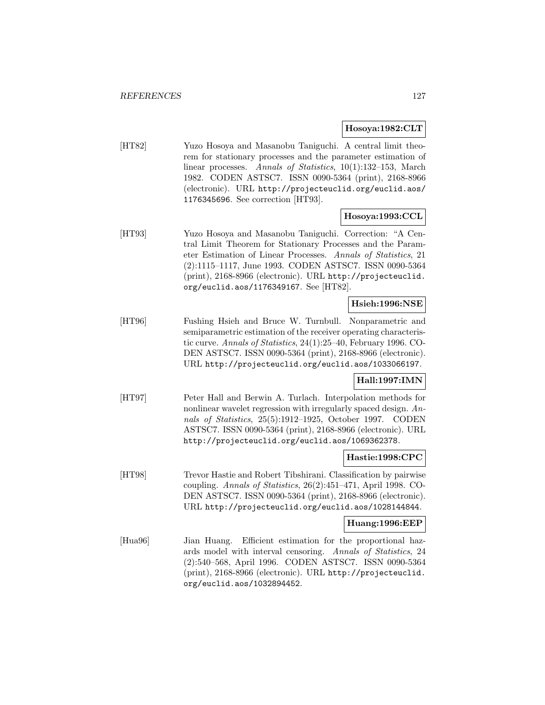#### **Hosoya:1982:CLT**

[HT82] Yuzo Hosoya and Masanobu Taniguchi. A central limit theorem for stationary processes and the parameter estimation of linear processes. Annals of Statistics, 10(1):132–153, March 1982. CODEN ASTSC7. ISSN 0090-5364 (print), 2168-8966 (electronic). URL http://projecteuclid.org/euclid.aos/ 1176345696. See correction [HT93].

## **Hosoya:1993:CCL**

[HT93] Yuzo Hosoya and Masanobu Taniguchi. Correction: "A Central Limit Theorem for Stationary Processes and the Parameter Estimation of Linear Processes. Annals of Statistics, 21 (2):1115–1117, June 1993. CODEN ASTSC7. ISSN 0090-5364 (print), 2168-8966 (electronic). URL http://projecteuclid. org/euclid.aos/1176349167. See [HT82].

## **Hsieh:1996:NSE**

[HT96] Fushing Hsieh and Bruce W. Turnbull. Nonparametric and semiparametric estimation of the receiver operating characteristic curve. Annals of Statistics, 24(1):25–40, February 1996. CO-DEN ASTSC7. ISSN 0090-5364 (print), 2168-8966 (electronic). URL http://projecteuclid.org/euclid.aos/1033066197.

## **Hall:1997:IMN**

[HT97] Peter Hall and Berwin A. Turlach. Interpolation methods for nonlinear wavelet regression with irregularly spaced design. Annals of Statistics, 25(5):1912–1925, October 1997. CODEN ASTSC7. ISSN 0090-5364 (print), 2168-8966 (electronic). URL http://projecteuclid.org/euclid.aos/1069362378.

### **Hastie:1998:CPC**

[HT98] Trevor Hastie and Robert Tibshirani. Classification by pairwise coupling. Annals of Statistics, 26(2):451–471, April 1998. CO-DEN ASTSC7. ISSN 0090-5364 (print), 2168-8966 (electronic). URL http://projecteuclid.org/euclid.aos/1028144844.

### **Huang:1996:EEP**

[Hua96] Jian Huang. Efficient estimation for the proportional hazards model with interval censoring. Annals of Statistics, 24 (2):540–568, April 1996. CODEN ASTSC7. ISSN 0090-5364 (print), 2168-8966 (electronic). URL http://projecteuclid. org/euclid.aos/1032894452.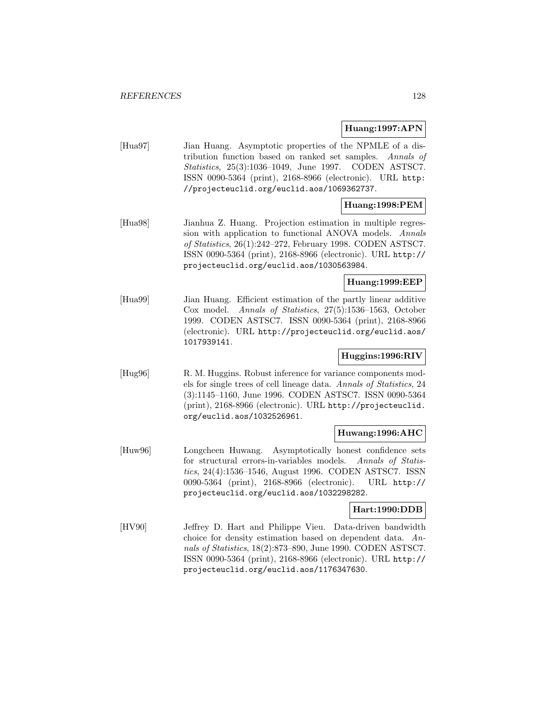**Huang:1997:APN**

[Hua97] Jian Huang. Asymptotic properties of the NPMLE of a distribution function based on ranked set samples. Annals of Statistics, 25(3):1036–1049, June 1997. CODEN ASTSC7. ISSN 0090-5364 (print), 2168-8966 (electronic). URL http: //projecteuclid.org/euclid.aos/1069362737.

# **Huang:1998:PEM**

[Hua98] Jianhua Z. Huang. Projection estimation in multiple regression with application to functional ANOVA models. Annals of Statistics, 26(1):242–272, February 1998. CODEN ASTSC7. ISSN 0090-5364 (print), 2168-8966 (electronic). URL http:// projecteuclid.org/euclid.aos/1030563984.

### **Huang:1999:EEP**

[Hua99] Jian Huang. Efficient estimation of the partly linear additive Cox model. Annals of Statistics, 27(5):1536–1563, October 1999. CODEN ASTSC7. ISSN 0090-5364 (print), 2168-8966 (electronic). URL http://projecteuclid.org/euclid.aos/ 1017939141.

## **Huggins:1996:RIV**

[Hug96] R. M. Huggins. Robust inference for variance components models for single trees of cell lineage data. Annals of Statistics, 24 (3):1145–1160, June 1996. CODEN ASTSC7. ISSN 0090-5364 (print), 2168-8966 (electronic). URL http://projecteuclid. org/euclid.aos/1032526961.

### **Huwang:1996:AHC**

[Huw96] Longcheen Huwang. Asymptotically honest confidence sets for structural errors-in-variables models. Annals of Statistics, 24(4):1536–1546, August 1996. CODEN ASTSC7. ISSN 0090-5364 (print), 2168-8966 (electronic). URL http:// projecteuclid.org/euclid.aos/1032298282.

### **Hart:1990:DDB**

[HV90] Jeffrey D. Hart and Philippe Vieu. Data-driven bandwidth choice for density estimation based on dependent data. Annals of Statistics, 18(2):873–890, June 1990. CODEN ASTSC7. ISSN 0090-5364 (print), 2168-8966 (electronic). URL http:// projecteuclid.org/euclid.aos/1176347630.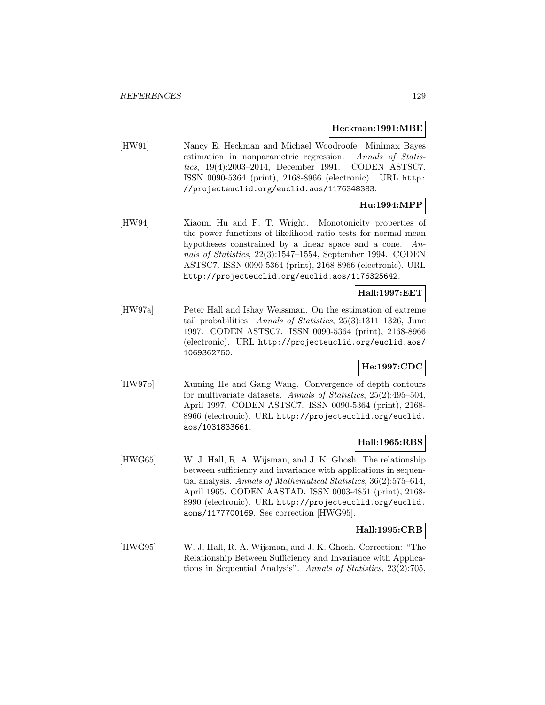#### **Heckman:1991:MBE**

[HW91] Nancy E. Heckman and Michael Woodroofe. Minimax Bayes estimation in nonparametric regression. Annals of Statistics, 19(4):2003–2014, December 1991. CODEN ASTSC7. ISSN 0090-5364 (print), 2168-8966 (electronic). URL http: //projecteuclid.org/euclid.aos/1176348383.

# **Hu:1994:MPP**

[HW94] Xiaomi Hu and F. T. Wright. Monotonicity properties of the power functions of likelihood ratio tests for normal mean hypotheses constrained by a linear space and a cone. Annals of Statistics, 22(3):1547–1554, September 1994. CODEN ASTSC7. ISSN 0090-5364 (print), 2168-8966 (electronic). URL http://projecteuclid.org/euclid.aos/1176325642.

## **Hall:1997:EET**

[HW97a] Peter Hall and Ishay Weissman. On the estimation of extreme tail probabilities. Annals of Statistics, 25(3):1311–1326, June 1997. CODEN ASTSC7. ISSN 0090-5364 (print), 2168-8966 (electronic). URL http://projecteuclid.org/euclid.aos/ 1069362750.

# **He:1997:CDC**

[HW97b] Xuming He and Gang Wang. Convergence of depth contours for multivariate datasets. Annals of Statistics, 25(2):495–504, April 1997. CODEN ASTSC7. ISSN 0090-5364 (print), 2168- 8966 (electronic). URL http://projecteuclid.org/euclid. aos/1031833661.

### **Hall:1965:RBS**

[HWG65] W. J. Hall, R. A. Wijsman, and J. K. Ghosh. The relationship between sufficiency and invariance with applications in sequential analysis. Annals of Mathematical Statistics, 36(2):575–614, April 1965. CODEN AASTAD. ISSN 0003-4851 (print), 2168- 8990 (electronic). URL http://projecteuclid.org/euclid. aoms/1177700169. See correction [HWG95].

## **Hall:1995:CRB**

[HWG95] W. J. Hall, R. A. Wijsman, and J. K. Ghosh. Correction: "The Relationship Between Sufficiency and Invariance with Applications in Sequential Analysis". Annals of Statistics, 23(2):705,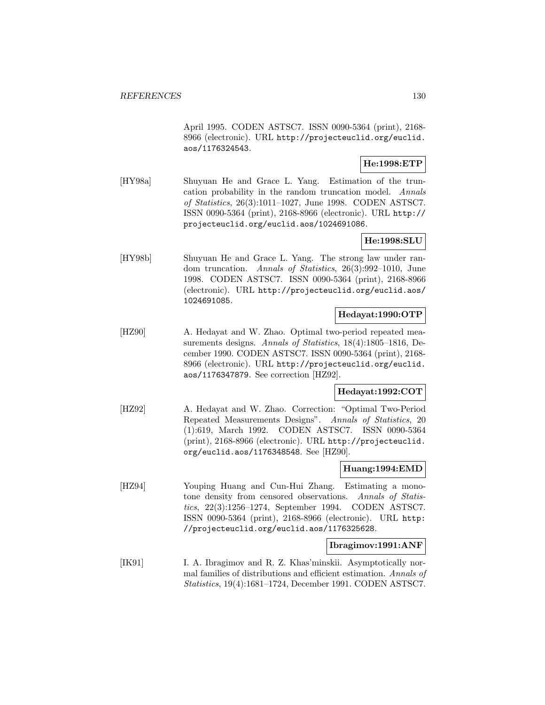April 1995. CODEN ASTSC7. ISSN 0090-5364 (print), 2168- 8966 (electronic). URL http://projecteuclid.org/euclid. aos/1176324543.

# **He:1998:ETP**

[HY98a] Shuyuan He and Grace L. Yang. Estimation of the truncation probability in the random truncation model. Annals of Statistics, 26(3):1011–1027, June 1998. CODEN ASTSC7. ISSN 0090-5364 (print), 2168-8966 (electronic). URL http:// projecteuclid.org/euclid.aos/1024691086.

## **He:1998:SLU**

[HY98b] Shuyuan He and Grace L. Yang. The strong law under random truncation. Annals of Statistics, 26(3):992–1010, June 1998. CODEN ASTSC7. ISSN 0090-5364 (print), 2168-8966 (electronic). URL http://projecteuclid.org/euclid.aos/ 1024691085.

## **Hedayat:1990:OTP**

[HZ90] A. Hedayat and W. Zhao. Optimal two-period repeated measurements designs. Annals of Statistics, 18(4):1805-1816, December 1990. CODEN ASTSC7. ISSN 0090-5364 (print), 2168- 8966 (electronic). URL http://projecteuclid.org/euclid. aos/1176347879. See correction [HZ92].

## **Hedayat:1992:COT**

[HZ92] A. Hedayat and W. Zhao. Correction: "Optimal Two-Period Repeated Measurements Designs". Annals of Statistics, 20 (1):619, March 1992. CODEN ASTSC7. ISSN 0090-5364 (print), 2168-8966 (electronic). URL http://projecteuclid. org/euclid.aos/1176348548. See [HZ90].

## **Huang:1994:EMD**

[HZ94] Youping Huang and Cun-Hui Zhang. Estimating a monotone density from censored observations. Annals of Statistics, 22(3):1256–1274, September 1994. CODEN ASTSC7. ISSN 0090-5364 (print), 2168-8966 (electronic). URL http: //projecteuclid.org/euclid.aos/1176325628.

### **Ibragimov:1991:ANF**

[IK91] I. A. Ibragimov and R. Z. Khas'minskii. Asymptotically normal families of distributions and efficient estimation. Annals of Statistics, 19(4):1681–1724, December 1991. CODEN ASTSC7.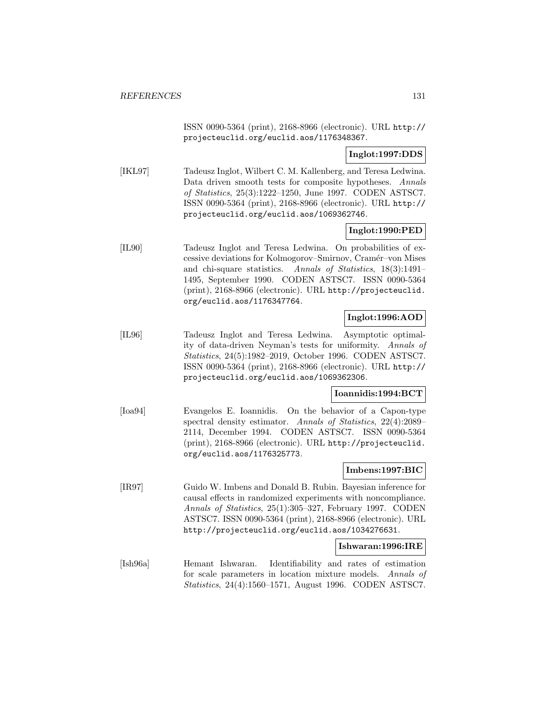ISSN 0090-5364 (print), 2168-8966 (electronic). URL http:// projecteuclid.org/euclid.aos/1176348367.

**Inglot:1997:DDS**

[IKL97] Tadeusz Inglot, Wilbert C. M. Kallenberg, and Teresa Ledwina. Data driven smooth tests for composite hypotheses. Annals of Statistics, 25(3):1222–1250, June 1997. CODEN ASTSC7. ISSN 0090-5364 (print), 2168-8966 (electronic). URL http:// projecteuclid.org/euclid.aos/1069362746.

## **Inglot:1990:PED**

[IL90] Tadeusz Inglot and Teresa Ledwina. On probabilities of excessive deviations for Kolmogorov–Smirnov, Cram´er–von Mises and chi-square statistics. Annals of Statistics, 18(3):1491– 1495, September 1990. CODEN ASTSC7. ISSN 0090-5364 (print), 2168-8966 (electronic). URL http://projecteuclid. org/euclid.aos/1176347764.

## **Inglot:1996:AOD**

[IL96] Tadeusz Inglot and Teresa Ledwina. Asymptotic optimality of data-driven Neyman's tests for uniformity. Annals of Statistics, 24(5):1982–2019, October 1996. CODEN ASTSC7. ISSN 0090-5364 (print), 2168-8966 (electronic). URL http:// projecteuclid.org/euclid.aos/1069362306.

### **Ioannidis:1994:BCT**

[Ioa94] Evangelos E. Ioannidis. On the behavior of a Capon-type spectral density estimator. Annals of Statistics, 22(4):2089– 2114, December 1994. CODEN ASTSC7. ISSN 0090-5364 (print), 2168-8966 (electronic). URL http://projecteuclid. org/euclid.aos/1176325773.

### **Imbens:1997:BIC**

[IR97] Guido W. Imbens and Donald B. Rubin. Bayesian inference for causal effects in randomized experiments with noncompliance. Annals of Statistics, 25(1):305–327, February 1997. CODEN ASTSC7. ISSN 0090-5364 (print), 2168-8966 (electronic). URL http://projecteuclid.org/euclid.aos/1034276631.

### **Ishwaran:1996:IRE**

[Ish96a] Hemant Ishwaran. Identifiability and rates of estimation for scale parameters in location mixture models. Annals of Statistics, 24(4):1560–1571, August 1996. CODEN ASTSC7.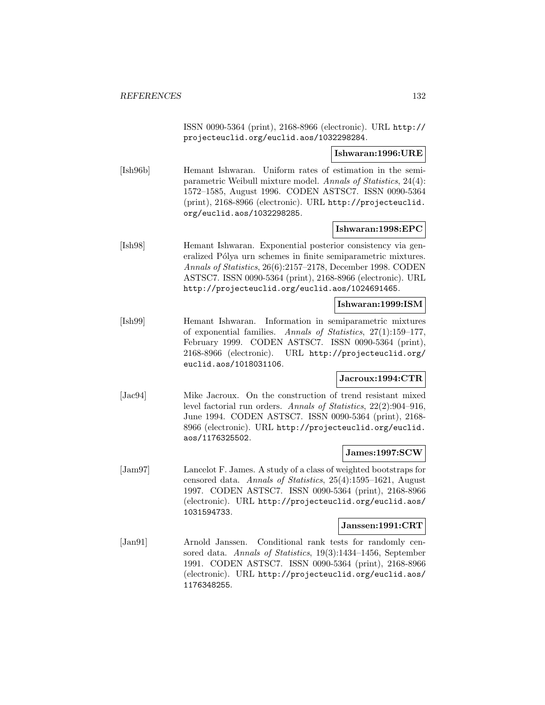ISSN 0090-5364 (print), 2168-8966 (electronic). URL http:// projecteuclid.org/euclid.aos/1032298284.

## **Ishwaran:1996:URE**

[Ish96b] Hemant Ishwaran. Uniform rates of estimation in the semiparametric Weibull mixture model. Annals of Statistics, 24(4): 1572–1585, August 1996. CODEN ASTSC7. ISSN 0090-5364 (print), 2168-8966 (electronic). URL http://projecteuclid. org/euclid.aos/1032298285.

## **Ishwaran:1998:EPC**

[Ish98] Hemant Ishwaran. Exponential posterior consistency via generalized Pólya urn schemes in finite semiparametric mixtures. Annals of Statistics, 26(6):2157–2178, December 1998. CODEN ASTSC7. ISSN 0090-5364 (print), 2168-8966 (electronic). URL http://projecteuclid.org/euclid.aos/1024691465.

#### **Ishwaran:1999:ISM**

[Ish99] Hemant Ishwaran. Information in semiparametric mixtures of exponential families. Annals of Statistics, 27(1):159–177, February 1999. CODEN ASTSC7. ISSN 0090-5364 (print), 2168-8966 (electronic). URL http://projecteuclid.org/ euclid.aos/1018031106.

### **Jacroux:1994:CTR**

[Jac94] Mike Jacroux. On the construction of trend resistant mixed level factorial run orders. Annals of Statistics, 22(2):904–916, June 1994. CODEN ASTSC7. ISSN 0090-5364 (print), 2168- 8966 (electronic). URL http://projecteuclid.org/euclid. aos/1176325502.

## **James:1997:SCW**

[Jam97] Lancelot F. James. A study of a class of weighted bootstraps for censored data. Annals of Statistics, 25(4):1595–1621, August 1997. CODEN ASTSC7. ISSN 0090-5364 (print), 2168-8966 (electronic). URL http://projecteuclid.org/euclid.aos/ 1031594733.

#### **Janssen:1991:CRT**

[Jan91] Arnold Janssen. Conditional rank tests for randomly censored data. Annals of Statistics, 19(3):1434–1456, September 1991. CODEN ASTSC7. ISSN 0090-5364 (print), 2168-8966 (electronic). URL http://projecteuclid.org/euclid.aos/ 1176348255.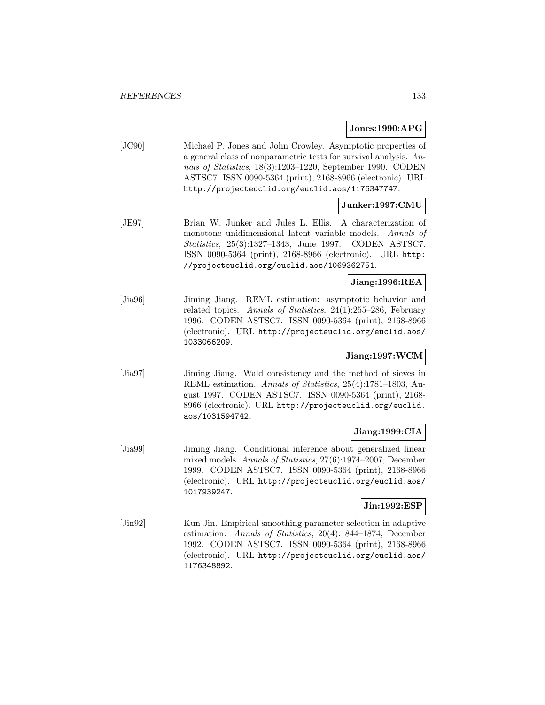### **Jones:1990:APG**

[JC90] Michael P. Jones and John Crowley. Asymptotic properties of a general class of nonparametric tests for survival analysis. Annals of Statistics, 18(3):1203–1220, September 1990. CODEN ASTSC7. ISSN 0090-5364 (print), 2168-8966 (electronic). URL http://projecteuclid.org/euclid.aos/1176347747.

## **Junker:1997:CMU**

[JE97] Brian W. Junker and Jules L. Ellis. A characterization of monotone unidimensional latent variable models. Annals of Statistics, 25(3):1327–1343, June 1997. CODEN ASTSC7. ISSN 0090-5364 (print), 2168-8966 (electronic). URL http: //projecteuclid.org/euclid.aos/1069362751.

## **Jiang:1996:REA**

[Jia96] Jiming Jiang. REML estimation: asymptotic behavior and related topics. Annals of Statistics, 24(1):255–286, February 1996. CODEN ASTSC7. ISSN 0090-5364 (print), 2168-8966 (electronic). URL http://projecteuclid.org/euclid.aos/ 1033066209.

### **Jiang:1997:WCM**

[Jia97] Jiming Jiang. Wald consistency and the method of sieves in REML estimation. Annals of Statistics, 25(4):1781–1803, August 1997. CODEN ASTSC7. ISSN 0090-5364 (print), 2168- 8966 (electronic). URL http://projecteuclid.org/euclid. aos/1031594742.

## **Jiang:1999:CIA**

[Jia99] Jiming Jiang. Conditional inference about generalized linear mixed models. Annals of Statistics, 27(6):1974–2007, December 1999. CODEN ASTSC7. ISSN 0090-5364 (print), 2168-8966 (electronic). URL http://projecteuclid.org/euclid.aos/ 1017939247.

### **Jin:1992:ESP**

[Jin92] Kun Jin. Empirical smoothing parameter selection in adaptive estimation. Annals of Statistics, 20(4):1844–1874, December 1992. CODEN ASTSC7. ISSN 0090-5364 (print), 2168-8966 (electronic). URL http://projecteuclid.org/euclid.aos/ 1176348892.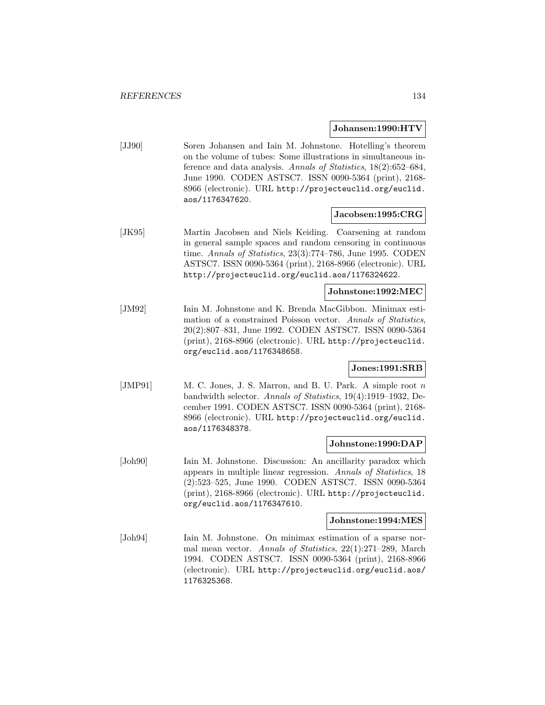#### **Johansen:1990:HTV**

[JJ90] Soren Johansen and Iain M. Johnstone. Hotelling's theorem on the volume of tubes: Some illustrations in simultaneous inference and data analysis. Annals of Statistics, 18(2):652–684, June 1990. CODEN ASTSC7. ISSN 0090-5364 (print), 2168- 8966 (electronic). URL http://projecteuclid.org/euclid. aos/1176347620.

### **Jacobsen:1995:CRG**

[JK95] Martin Jacobsen and Niels Keiding. Coarsening at random in general sample spaces and random censoring in continuous time. Annals of Statistics, 23(3):774-786, June 1995. CODEN ASTSC7. ISSN 0090-5364 (print), 2168-8966 (electronic). URL http://projecteuclid.org/euclid.aos/1176324622.

### **Johnstone:1992:MEC**

[JM92] Iain M. Johnstone and K. Brenda MacGibbon. Minimax estimation of a constrained Poisson vector. Annals of Statistics, 20(2):807–831, June 1992. CODEN ASTSC7. ISSN 0090-5364 (print), 2168-8966 (electronic). URL http://projecteuclid. org/euclid.aos/1176348658.

## **Jones:1991:SRB**

[JMP91] M. C. Jones, J. S. Marron, and B. U. Park. A simple root n bandwidth selector. Annals of Statistics, 19(4):1919–1932, December 1991. CODEN ASTSC7. ISSN 0090-5364 (print), 2168- 8966 (electronic). URL http://projecteuclid.org/euclid. aos/1176348378.

### **Johnstone:1990:DAP**

[Joh90] Iain M. Johnstone. Discussion: An ancillarity paradox which appears in multiple linear regression. Annals of Statistics, 18 (2):523–525, June 1990. CODEN ASTSC7. ISSN 0090-5364 (print), 2168-8966 (electronic). URL http://projecteuclid. org/euclid.aos/1176347610.

#### **Johnstone:1994:MES**

[Joh94] Iain M. Johnstone. On minimax estimation of a sparse normal mean vector. Annals of Statistics, 22(1):271–289, March 1994. CODEN ASTSC7. ISSN 0090-5364 (print), 2168-8966 (electronic). URL http://projecteuclid.org/euclid.aos/ 1176325368.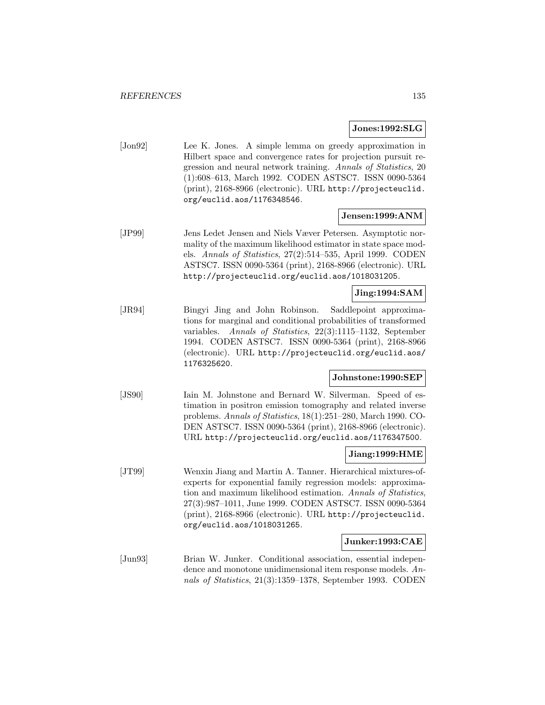#### **Jones:1992:SLG**

[Jon92] Lee K. Jones. A simple lemma on greedy approximation in Hilbert space and convergence rates for projection pursuit regression and neural network training. Annals of Statistics, 20 (1):608–613, March 1992. CODEN ASTSC7. ISSN 0090-5364 (print), 2168-8966 (electronic). URL http://projecteuclid. org/euclid.aos/1176348546.

#### **Jensen:1999:ANM**

[JP99] Jens Ledet Jensen and Niels Væver Petersen. Asymptotic normality of the maximum likelihood estimator in state space models. Annals of Statistics, 27(2):514–535, April 1999. CODEN ASTSC7. ISSN 0090-5364 (print), 2168-8966 (electronic). URL http://projecteuclid.org/euclid.aos/1018031205.

### **Jing:1994:SAM**

[JR94] Bingyi Jing and John Robinson. Saddlepoint approximations for marginal and conditional probabilities of transformed variables. Annals of Statistics, 22(3):1115–1132, September 1994. CODEN ASTSC7. ISSN 0090-5364 (print), 2168-8966 (electronic). URL http://projecteuclid.org/euclid.aos/ 1176325620.

### **Johnstone:1990:SEP**

[JS90] Iain M. Johnstone and Bernard W. Silverman. Speed of estimation in positron emission tomography and related inverse problems. Annals of Statistics, 18(1):251–280, March 1990. CO-DEN ASTSC7. ISSN 0090-5364 (print), 2168-8966 (electronic). URL http://projecteuclid.org/euclid.aos/1176347500.

# **Jiang:1999:HME**

[JT99] Wenxin Jiang and Martin A. Tanner. Hierarchical mixtures-ofexperts for exponential family regression models: approximation and maximum likelihood estimation. Annals of Statistics, 27(3):987–1011, June 1999. CODEN ASTSC7. ISSN 0090-5364 (print), 2168-8966 (electronic). URL http://projecteuclid. org/euclid.aos/1018031265.

#### **Junker:1993:CAE**

[Jun93] Brian W. Junker. Conditional association, essential independence and monotone unidimensional item response models. Annals of Statistics, 21(3):1359–1378, September 1993. CODEN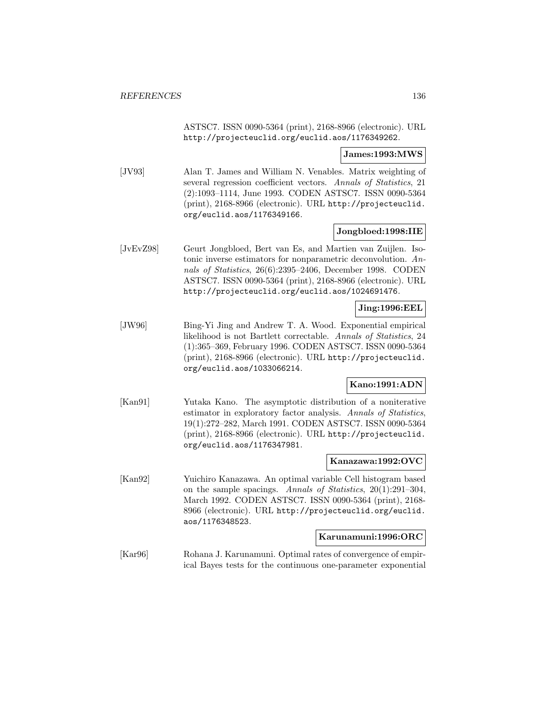ASTSC7. ISSN 0090-5364 (print), 2168-8966 (electronic). URL http://projecteuclid.org/euclid.aos/1176349262.

#### **James:1993:MWS**

[JV93] Alan T. James and William N. Venables. Matrix weighting of several regression coefficient vectors. Annals of Statistics, 21 (2):1093–1114, June 1993. CODEN ASTSC7. ISSN 0090-5364 (print), 2168-8966 (electronic). URL http://projecteuclid. org/euclid.aos/1176349166.

#### **Jongbloed:1998:IIE**

[JvEvZ98] Geurt Jongbloed, Bert van Es, and Martien van Zuijlen. Isotonic inverse estimators for nonparametric deconvolution. Annals of Statistics, 26(6):2395–2406, December 1998. CODEN ASTSC7. ISSN 0090-5364 (print), 2168-8966 (electronic). URL http://projecteuclid.org/euclid.aos/1024691476.

# **Jing:1996:EEL**

[JW96] Bing-Yi Jing and Andrew T. A. Wood. Exponential empirical likelihood is not Bartlett correctable. Annals of Statistics, 24 (1):365–369, February 1996. CODEN ASTSC7. ISSN 0090-5364 (print), 2168-8966 (electronic). URL http://projecteuclid. org/euclid.aos/1033066214.

### **Kano:1991:ADN**

[Kan91] Yutaka Kano. The asymptotic distribution of a noniterative estimator in exploratory factor analysis. Annals of Statistics, 19(1):272–282, March 1991. CODEN ASTSC7. ISSN 0090-5364 (print), 2168-8966 (electronic). URL http://projecteuclid. org/euclid.aos/1176347981.

#### **Kanazawa:1992:OVC**

[Kan92] Yuichiro Kanazawa. An optimal variable Cell histogram based on the sample spacings. Annals of Statistics, 20(1):291–304, March 1992. CODEN ASTSC7. ISSN 0090-5364 (print), 2168- 8966 (electronic). URL http://projecteuclid.org/euclid. aos/1176348523.

#### **Karunamuni:1996:ORC**

[Kar96] Rohana J. Karunamuni. Optimal rates of convergence of empirical Bayes tests for the continuous one-parameter exponential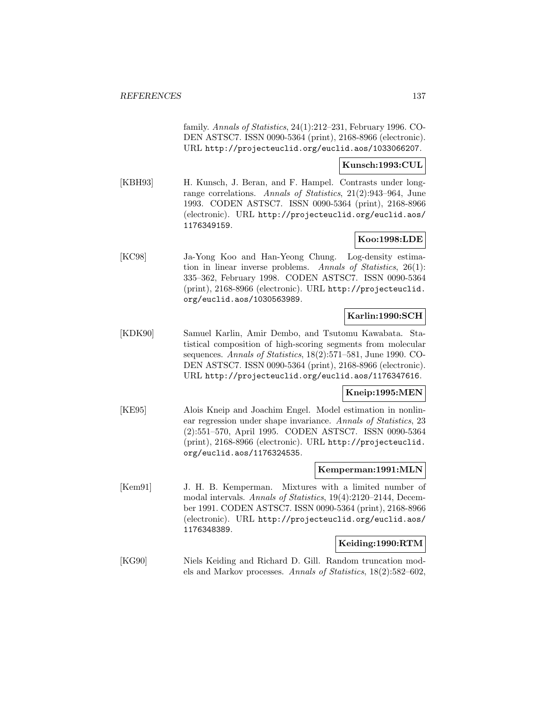family. Annals of Statistics, 24(1):212–231, February 1996. CO-DEN ASTSC7. ISSN 0090-5364 (print), 2168-8966 (electronic). URL http://projecteuclid.org/euclid.aos/1033066207.

#### **Kunsch:1993:CUL**

[KBH93] H. Kunsch, J. Beran, and F. Hampel. Contrasts under longrange correlations. Annals of Statistics, 21(2):943–964, June 1993. CODEN ASTSC7. ISSN 0090-5364 (print), 2168-8966 (electronic). URL http://projecteuclid.org/euclid.aos/ 1176349159.

## **Koo:1998:LDE**

[KC98] Ja-Yong Koo and Han-Yeong Chung. Log-density estimation in linear inverse problems. Annals of Statistics, 26(1): 335–362, February 1998. CODEN ASTSC7. ISSN 0090-5364 (print), 2168-8966 (electronic). URL http://projecteuclid. org/euclid.aos/1030563989.

# **Karlin:1990:SCH**

[KDK90] Samuel Karlin, Amir Dembo, and Tsutomu Kawabata. Statistical composition of high-scoring segments from molecular sequences. Annals of Statistics, 18(2):571–581, June 1990. CO-DEN ASTSC7. ISSN 0090-5364 (print), 2168-8966 (electronic). URL http://projecteuclid.org/euclid.aos/1176347616.

## **Kneip:1995:MEN**

[KE95] Alois Kneip and Joachim Engel. Model estimation in nonlinear regression under shape invariance. Annals of Statistics, 23 (2):551–570, April 1995. CODEN ASTSC7. ISSN 0090-5364 (print), 2168-8966 (electronic). URL http://projecteuclid. org/euclid.aos/1176324535.

### **Kemperman:1991:MLN**

[Kem91] J. H. B. Kemperman. Mixtures with a limited number of modal intervals. Annals of Statistics, 19(4):2120–2144, December 1991. CODEN ASTSC7. ISSN 0090-5364 (print), 2168-8966 (electronic). URL http://projecteuclid.org/euclid.aos/ 1176348389.

## **Keiding:1990:RTM**

[KG90] Niels Keiding and Richard D. Gill. Random truncation models and Markov processes. Annals of Statistics, 18(2):582–602,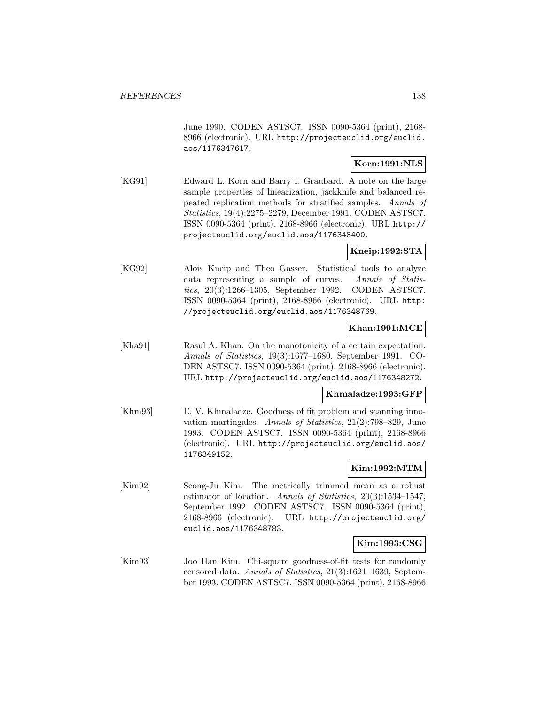June 1990. CODEN ASTSC7. ISSN 0090-5364 (print), 2168- 8966 (electronic). URL http://projecteuclid.org/euclid. aos/1176347617.

## **Korn:1991:NLS**

[KG91] Edward L. Korn and Barry I. Graubard. A note on the large sample properties of linearization, jackknife and balanced repeated replication methods for stratified samples. Annals of Statistics, 19(4):2275–2279, December 1991. CODEN ASTSC7. ISSN 0090-5364 (print), 2168-8966 (electronic). URL http:// projecteuclid.org/euclid.aos/1176348400.

## **Kneip:1992:STA**

[KG92] Alois Kneip and Theo Gasser. Statistical tools to analyze data representing a sample of curves. Annals of Statistics, 20(3):1266–1305, September 1992. CODEN ASTSC7. ISSN 0090-5364 (print), 2168-8966 (electronic). URL http: //projecteuclid.org/euclid.aos/1176348769.

# **Khan:1991:MCE**

[Kha91] Rasul A. Khan. On the monotonicity of a certain expectation. Annals of Statistics, 19(3):1677–1680, September 1991. CO-DEN ASTSC7. ISSN 0090-5364 (print), 2168-8966 (electronic). URL http://projecteuclid.org/euclid.aos/1176348272.

### **Khmaladze:1993:GFP**

[Khm93] E. V. Khmaladze. Goodness of fit problem and scanning innovation martingales. Annals of Statistics, 21(2):798–829, June 1993. CODEN ASTSC7. ISSN 0090-5364 (print), 2168-8966 (electronic). URL http://projecteuclid.org/euclid.aos/ 1176349152.

## **Kim:1992:MTM**

[Kim92] Seong-Ju Kim. The metrically trimmed mean as a robust estimator of location. Annals of Statistics, 20(3):1534–1547, September 1992. CODEN ASTSC7. ISSN 0090-5364 (print), 2168-8966 (electronic). URL http://projecteuclid.org/ euclid.aos/1176348783.

## **Kim:1993:CSG**

[Kim93] Joo Han Kim. Chi-square goodness-of-fit tests for randomly censored data. Annals of Statistics, 21(3):1621–1639, September 1993. CODEN ASTSC7. ISSN 0090-5364 (print), 2168-8966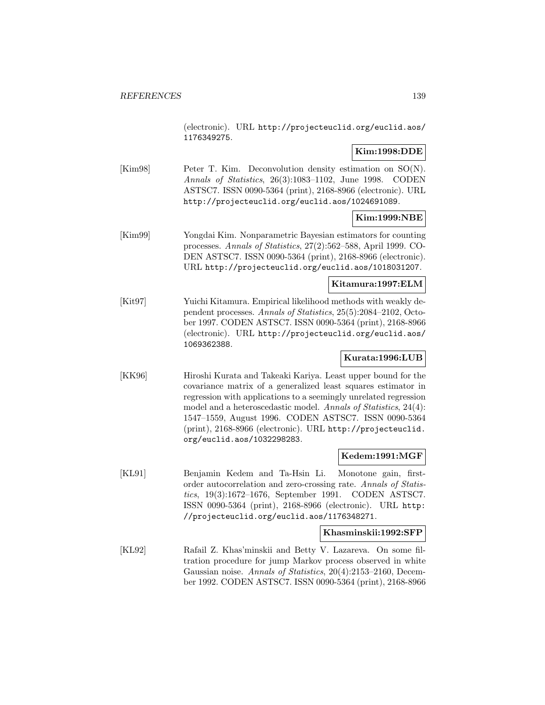(electronic). URL http://projecteuclid.org/euclid.aos/ 1176349275.

## **Kim:1998:DDE**

[Kim98] Peter T. Kim. Deconvolution density estimation on SO(N). Annals of Statistics, 26(3):1083–1102, June 1998. CODEN ASTSC7. ISSN 0090-5364 (print), 2168-8966 (electronic). URL http://projecteuclid.org/euclid.aos/1024691089.

## **Kim:1999:NBE**

[Kim99] Yongdai Kim. Nonparametric Bayesian estimators for counting processes. Annals of Statistics, 27(2):562–588, April 1999. CO-DEN ASTSC7. ISSN 0090-5364 (print), 2168-8966 (electronic). URL http://projecteuclid.org/euclid.aos/1018031207.

## **Kitamura:1997:ELM**

[Kit97] Yuichi Kitamura. Empirical likelihood methods with weakly dependent processes. Annals of Statistics, 25(5):2084–2102, October 1997. CODEN ASTSC7. ISSN 0090-5364 (print), 2168-8966 (electronic). URL http://projecteuclid.org/euclid.aos/ 1069362388.

### **Kurata:1996:LUB**

[KK96] Hiroshi Kurata and Takeaki Kariya. Least upper bound for the covariance matrix of a generalized least squares estimator in regression with applications to a seemingly unrelated regression model and a heteroscedastic model. Annals of Statistics, 24(4): 1547–1559, August 1996. CODEN ASTSC7. ISSN 0090-5364 (print), 2168-8966 (electronic). URL http://projecteuclid. org/euclid.aos/1032298283.

#### **Kedem:1991:MGF**

[KL91] Benjamin Kedem and Ta-Hsin Li. Monotone gain, firstorder autocorrelation and zero-crossing rate. Annals of Statistics, 19(3):1672–1676, September 1991. CODEN ASTSC7. ISSN 0090-5364 (print), 2168-8966 (electronic). URL http: //projecteuclid.org/euclid.aos/1176348271.

#### **Khasminskii:1992:SFP**

[KL92] Rafail Z. Khas'minskii and Betty V. Lazareva. On some filtration procedure for jump Markov process observed in white Gaussian noise. Annals of Statistics, 20(4):2153–2160, December 1992. CODEN ASTSC7. ISSN 0090-5364 (print), 2168-8966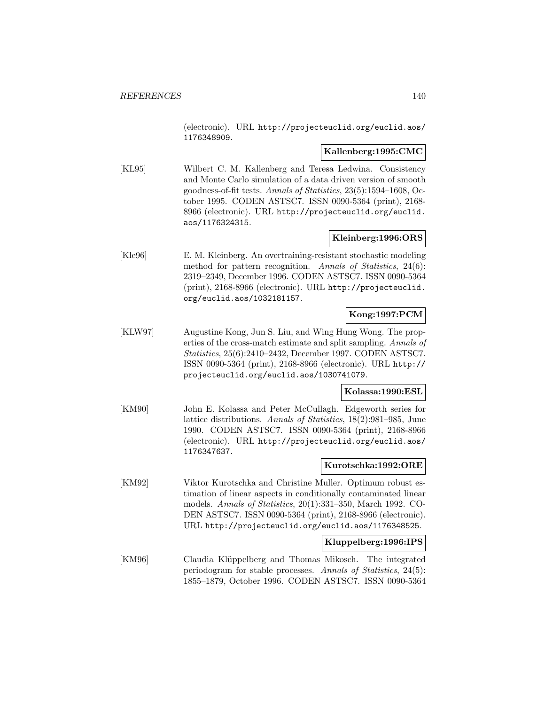(electronic). URL http://projecteuclid.org/euclid.aos/ 1176348909.

### **Kallenberg:1995:CMC**

[KL95] Wilbert C. M. Kallenberg and Teresa Ledwina. Consistency and Monte Carlo simulation of a data driven version of smooth goodness-of-fit tests. Annals of Statistics, 23(5):1594–1608, October 1995. CODEN ASTSC7. ISSN 0090-5364 (print), 2168- 8966 (electronic). URL http://projecteuclid.org/euclid. aos/1176324315.

# **Kleinberg:1996:ORS**

[Kle96] E. M. Kleinberg. An overtraining-resistant stochastic modeling method for pattern recognition. Annals of Statistics, 24(6): 2319–2349, December 1996. CODEN ASTSC7. ISSN 0090-5364 (print), 2168-8966 (electronic). URL http://projecteuclid. org/euclid.aos/1032181157.

# **Kong:1997:PCM**

[KLW97] Augustine Kong, Jun S. Liu, and Wing Hung Wong. The properties of the cross-match estimate and split sampling. Annals of Statistics, 25(6):2410–2432, December 1997. CODEN ASTSC7. ISSN 0090-5364 (print), 2168-8966 (electronic). URL http:// projecteuclid.org/euclid.aos/1030741079.

## **Kolassa:1990:ESL**

[KM90] John E. Kolassa and Peter McCullagh. Edgeworth series for lattice distributions. Annals of Statistics, 18(2):981–985, June 1990. CODEN ASTSC7. ISSN 0090-5364 (print), 2168-8966 (electronic). URL http://projecteuclid.org/euclid.aos/ 1176347637.

### **Kurotschka:1992:ORE**

[KM92] Viktor Kurotschka and Christine Muller. Optimum robust estimation of linear aspects in conditionally contaminated linear models. Annals of Statistics, 20(1):331–350, March 1992. CO-DEN ASTSC7. ISSN 0090-5364 (print), 2168-8966 (electronic). URL http://projecteuclid.org/euclid.aos/1176348525.

## **Kluppelberg:1996:IPS**

[KM96] Claudia Klüppelberg and Thomas Mikosch. The integrated periodogram for stable processes. Annals of Statistics, 24(5): 1855–1879, October 1996. CODEN ASTSC7. ISSN 0090-5364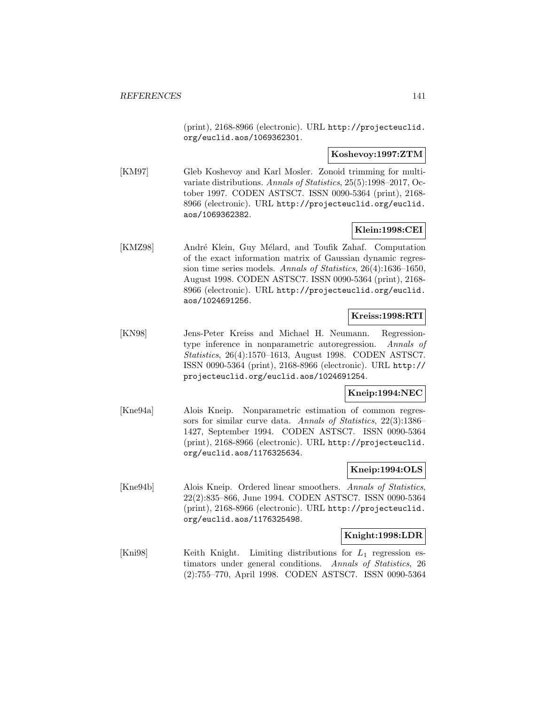(print), 2168-8966 (electronic). URL http://projecteuclid. org/euclid.aos/1069362301.

### **Koshevoy:1997:ZTM**

[KM97] Gleb Koshevoy and Karl Mosler. Zonoid trimming for multivariate distributions. Annals of Statistics, 25(5):1998–2017, October 1997. CODEN ASTSC7. ISSN 0090-5364 (print), 2168- 8966 (electronic). URL http://projecteuclid.org/euclid. aos/1069362382.

## **Klein:1998:CEI**

[KMZ98] André Klein, Guy Mélard, and Toufik Zahaf. Computation of the exact information matrix of Gaussian dynamic regression time series models. Annals of Statistics, 26(4):1636–1650, August 1998. CODEN ASTSC7. ISSN 0090-5364 (print), 2168- 8966 (electronic). URL http://projecteuclid.org/euclid. aos/1024691256.

## **Kreiss:1998:RTI**

[KN98] Jens-Peter Kreiss and Michael H. Neumann. Regressiontype inference in nonparametric autoregression. Annals of Statistics, 26(4):1570–1613, August 1998. CODEN ASTSC7. ISSN 0090-5364 (print), 2168-8966 (electronic). URL http:// projecteuclid.org/euclid.aos/1024691254.

## **Kneip:1994:NEC**

[Kne94a] Alois Kneip. Nonparametric estimation of common regressors for similar curve data. Annals of Statistics, 22(3):1386– 1427, September 1994. CODEN ASTSC7. ISSN 0090-5364 (print), 2168-8966 (electronic). URL http://projecteuclid. org/euclid.aos/1176325634.

## **Kneip:1994:OLS**

[Kne94b] Alois Kneip. Ordered linear smoothers. Annals of Statistics, 22(2):835–866, June 1994. CODEN ASTSC7. ISSN 0090-5364 (print), 2168-8966 (electronic). URL http://projecteuclid. org/euclid.aos/1176325498.

## **Knight:1998:LDR**

[Kni98] Keith Knight. Limiting distributions for  $L_1$  regression estimators under general conditions. Annals of Statistics, 26 (2):755–770, April 1998. CODEN ASTSC7. ISSN 0090-5364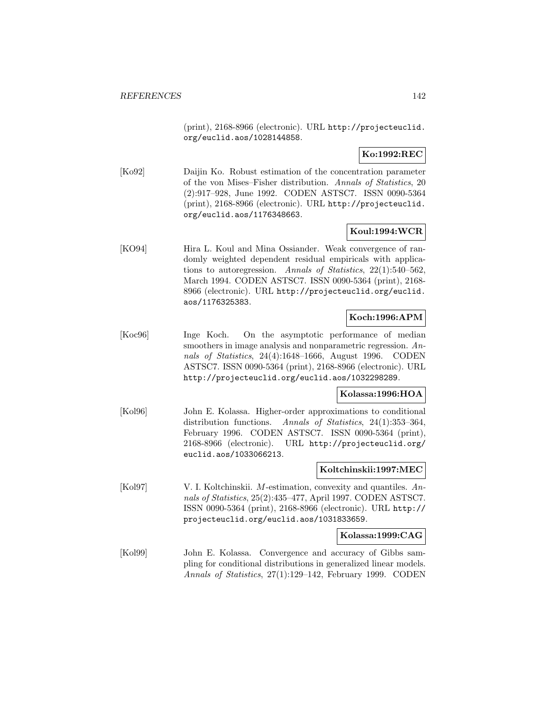(print), 2168-8966 (electronic). URL http://projecteuclid. org/euclid.aos/1028144858.

# **Ko:1992:REC**

[Ko92] Daijin Ko. Robust estimation of the concentration parameter of the von Mises–Fisher distribution. Annals of Statistics, 20 (2):917–928, June 1992. CODEN ASTSC7. ISSN 0090-5364 (print), 2168-8966 (electronic). URL http://projecteuclid. org/euclid.aos/1176348663.

## **Koul:1994:WCR**

[KO94] Hira L. Koul and Mina Ossiander. Weak convergence of randomly weighted dependent residual empiricals with applications to autoregression. Annals of Statistics, 22(1):540–562, March 1994. CODEN ASTSC7. ISSN 0090-5364 (print), 2168- 8966 (electronic). URL http://projecteuclid.org/euclid. aos/1176325383.

# **Koch:1996:APM**

[Koc96] Inge Koch. On the asymptotic performance of median smoothers in image analysis and nonparametric regression. Annals of Statistics, 24(4):1648–1666, August 1996. CODEN ASTSC7. ISSN 0090-5364 (print), 2168-8966 (electronic). URL http://projecteuclid.org/euclid.aos/1032298289.

### **Kolassa:1996:HOA**

[Kol96] John E. Kolassa. Higher-order approximations to conditional distribution functions. Annals of Statistics, 24(1):353–364, February 1996. CODEN ASTSC7. ISSN 0090-5364 (print), 2168-8966 (electronic). URL http://projecteuclid.org/ euclid.aos/1033066213.

## **Koltchinskii:1997:MEC**

[Kol97] V. I. Koltchinskii. M-estimation, convexity and quantiles. Annals of Statistics, 25(2):435–477, April 1997. CODEN ASTSC7. ISSN 0090-5364 (print), 2168-8966 (electronic). URL http:// projecteuclid.org/euclid.aos/1031833659.

### **Kolassa:1999:CAG**

[Kol99] John E. Kolassa. Convergence and accuracy of Gibbs sampling for conditional distributions in generalized linear models. Annals of Statistics, 27(1):129–142, February 1999. CODEN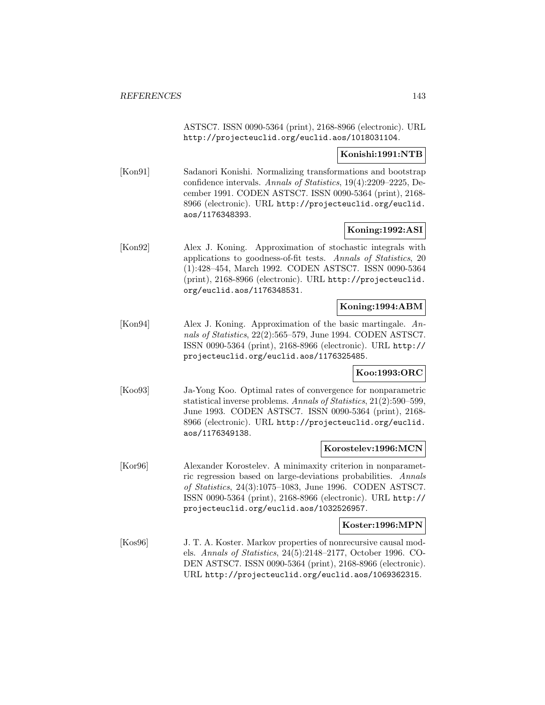ASTSC7. ISSN 0090-5364 (print), 2168-8966 (electronic). URL http://projecteuclid.org/euclid.aos/1018031104.

### **Konishi:1991:NTB**

[Kon91] Sadanori Konishi. Normalizing transformations and bootstrap confidence intervals. Annals of Statistics, 19(4):2209–2225, December 1991. CODEN ASTSC7. ISSN 0090-5364 (print), 2168- 8966 (electronic). URL http://projecteuclid.org/euclid. aos/1176348393.

## **Koning:1992:ASI**

[Kon92] Alex J. Koning. Approximation of stochastic integrals with applications to goodness-of-fit tests. Annals of Statistics, 20 (1):428–454, March 1992. CODEN ASTSC7. ISSN 0090-5364 (print), 2168-8966 (electronic). URL http://projecteuclid. org/euclid.aos/1176348531.

## **Koning:1994:ABM**

[Kon94] Alex J. Koning. Approximation of the basic martingale. Annals of Statistics, 22(2):565–579, June 1994. CODEN ASTSC7. ISSN 0090-5364 (print), 2168-8966 (electronic). URL http:// projecteuclid.org/euclid.aos/1176325485.

### **Koo:1993:ORC**

[Koo93] Ja-Yong Koo. Optimal rates of convergence for nonparametric statistical inverse problems. Annals of Statistics, 21(2):590–599, June 1993. CODEN ASTSC7. ISSN 0090-5364 (print), 2168- 8966 (electronic). URL http://projecteuclid.org/euclid. aos/1176349138.

### **Korostelev:1996:MCN**

[Kor96] Alexander Korostelev. A minimaxity criterion in nonparametric regression based on large-deviations probabilities. Annals of Statistics, 24(3):1075–1083, June 1996. CODEN ASTSC7. ISSN 0090-5364 (print), 2168-8966 (electronic). URL http:// projecteuclid.org/euclid.aos/1032526957.

### **Koster:1996:MPN**

[Kos96] J. T. A. Koster. Markov properties of nonrecursive causal models. Annals of Statistics, 24(5):2148–2177, October 1996. CO-DEN ASTSC7. ISSN 0090-5364 (print), 2168-8966 (electronic). URL http://projecteuclid.org/euclid.aos/1069362315.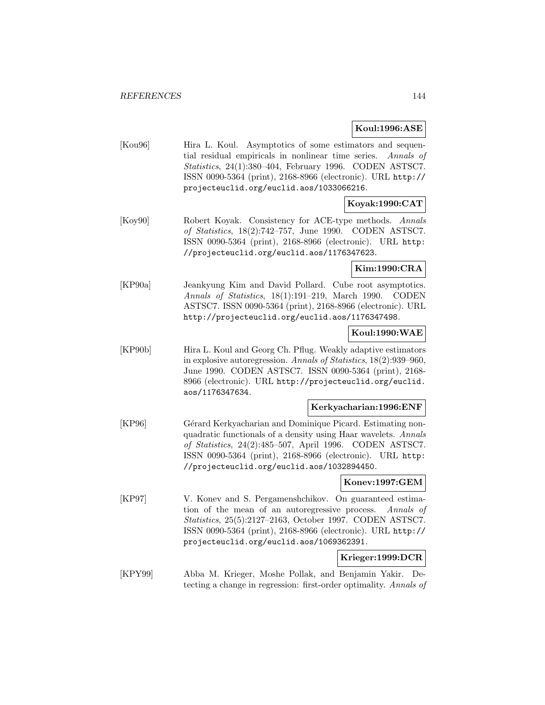### **Koul:1996:ASE**

[Kou96] Hira L. Koul. Asymptotics of some estimators and sequential residual empiricals in nonlinear time series. Annals of Statistics, 24(1):380–404, February 1996. CODEN ASTSC7. ISSN 0090-5364 (print), 2168-8966 (electronic). URL http:// projecteuclid.org/euclid.aos/1033066216.

# **Koyak:1990:CAT**

[Koy90] Robert Koyak. Consistency for ACE-type methods. Annals of Statistics, 18(2):742–757, June 1990. CODEN ASTSC7. ISSN 0090-5364 (print), 2168-8966 (electronic). URL http: //projecteuclid.org/euclid.aos/1176347623.

# **Kim:1990:CRA**

[KP90a] Jeankyung Kim and David Pollard. Cube root asymptotics. Annals of Statistics, 18(1):191–219, March 1990. CODEN ASTSC7. ISSN 0090-5364 (print), 2168-8966 (electronic). URL http://projecteuclid.org/euclid.aos/1176347498.

## **Koul:1990:WAE**

[KP90b] Hira L. Koul and Georg Ch. Pflug. Weakly adaptive estimators in explosive autoregression. Annals of Statistics, 18(2):939–960, June 1990. CODEN ASTSC7. ISSN 0090-5364 (print), 2168- 8966 (electronic). URL http://projecteuclid.org/euclid. aos/1176347634.

#### **Kerkyacharian:1996:ENF**

[KP96] Gérard Kerkyacharian and Dominique Picard. Estimating nonquadratic functionals of a density using Haar wavelets. Annals of Statistics, 24(2):485–507, April 1996. CODEN ASTSC7. ISSN 0090-5364 (print), 2168-8966 (electronic). URL http: //projecteuclid.org/euclid.aos/1032894450.

### **Konev:1997:GEM**

[KP97] V. Konev and S. Pergamenshchikov. On guaranteed estimation of the mean of an autoregressive process. Annals of Statistics, 25(5):2127–2163, October 1997. CODEN ASTSC7. ISSN 0090-5364 (print), 2168-8966 (electronic). URL http:// projecteuclid.org/euclid.aos/1069362391.

## **Krieger:1999:DCR**

[KPY99] Abba M. Krieger, Moshe Pollak, and Benjamin Yakir. Detecting a change in regression: first-order optimality. Annals of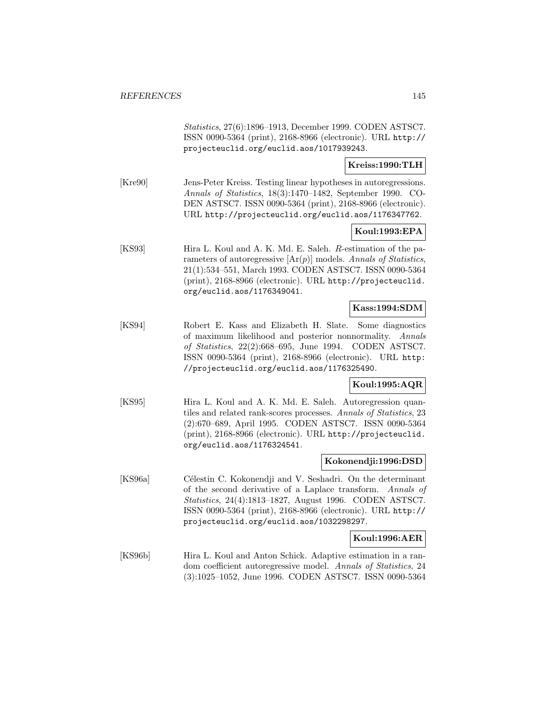Statistics, 27(6):1896–1913, December 1999. CODEN ASTSC7. ISSN 0090-5364 (print), 2168-8966 (electronic). URL http:// projecteuclid.org/euclid.aos/1017939243.

### **Kreiss:1990:TLH**

[Kre90] Jens-Peter Kreiss. Testing linear hypotheses in autoregressions. Annals of Statistics, 18(3):1470–1482, September 1990. CO-DEN ASTSC7. ISSN 0090-5364 (print), 2168-8966 (electronic). URL http://projecteuclid.org/euclid.aos/1176347762.

### **Koul:1993:EPA**

[KS93] Hira L. Koul and A. K. Md. E. Saleh. R-estimation of the parameters of autoregressive  $[\text{Ar}(p)]$  models. Annals of Statistics, 21(1):534–551, March 1993. CODEN ASTSC7. ISSN 0090-5364 (print), 2168-8966 (electronic). URL http://projecteuclid. org/euclid.aos/1176349041.

## **Kass:1994:SDM**

[KS94] Robert E. Kass and Elizabeth H. Slate. Some diagnostics of maximum likelihood and posterior nonnormality. Annals of Statistics, 22(2):668–695, June 1994. CODEN ASTSC7. ISSN 0090-5364 (print), 2168-8966 (electronic). URL http: //projecteuclid.org/euclid.aos/1176325490.

### **Koul:1995:AQR**

[KS95] Hira L. Koul and A. K. Md. E. Saleh. Autoregression quantiles and related rank-scores processes. Annals of Statistics, 23 (2):670–689, April 1995. CODEN ASTSC7. ISSN 0090-5364 (print), 2168-8966 (electronic). URL http://projecteuclid. org/euclid.aos/1176324541.

#### **Kokonendji:1996:DSD**

[KS96a] Célestin C. Kokonendji and V. Seshadri. On the determinant of the second derivative of a Laplace transform. Annals of Statistics, 24(4):1813–1827, August 1996. CODEN ASTSC7. ISSN 0090-5364 (print), 2168-8966 (electronic). URL http:// projecteuclid.org/euclid.aos/1032298297.

### **Koul:1996:AER**

[KS96b] Hira L. Koul and Anton Schick. Adaptive estimation in a random coefficient autoregressive model. Annals of Statistics, 24 (3):1025–1052, June 1996. CODEN ASTSC7. ISSN 0090-5364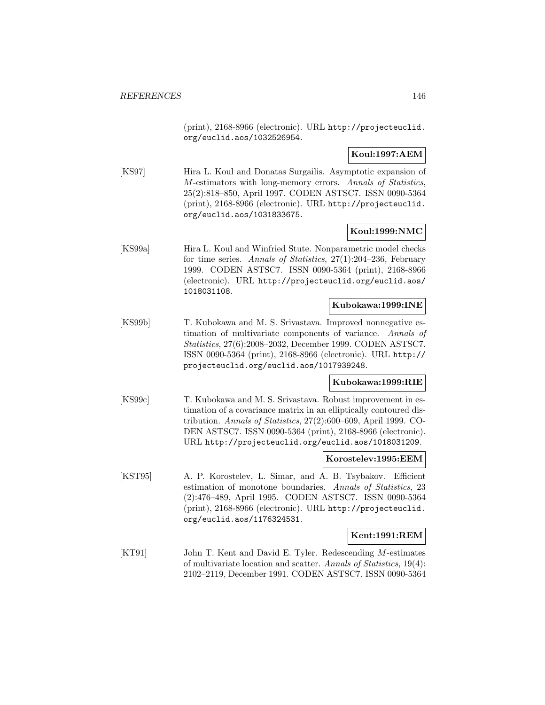(print), 2168-8966 (electronic). URL http://projecteuclid. org/euclid.aos/1032526954.

# **Koul:1997:AEM**

[KS97] Hira L. Koul and Donatas Surgailis. Asymptotic expansion of M-estimators with long-memory errors. Annals of Statistics, 25(2):818–850, April 1997. CODEN ASTSC7. ISSN 0090-5364 (print), 2168-8966 (electronic). URL http://projecteuclid. org/euclid.aos/1031833675.

## **Koul:1999:NMC**

[KS99a] Hira L. Koul and Winfried Stute. Nonparametric model checks for time series. Annals of Statistics, 27(1):204–236, February 1999. CODEN ASTSC7. ISSN 0090-5364 (print), 2168-8966 (electronic). URL http://projecteuclid.org/euclid.aos/ 1018031108.

### **Kubokawa:1999:INE**

[KS99b] T. Kubokawa and M. S. Srivastava. Improved nonnegative estimation of multivariate components of variance. Annals of Statistics, 27(6):2008–2032, December 1999. CODEN ASTSC7. ISSN 0090-5364 (print), 2168-8966 (electronic). URL http:// projecteuclid.org/euclid.aos/1017939248.

### **Kubokawa:1999:RIE**

[KS99c] T. Kubokawa and M. S. Srivastava. Robust improvement in estimation of a covariance matrix in an elliptically contoured distribution. Annals of Statistics, 27(2):600–609, April 1999. CO-DEN ASTSC7. ISSN 0090-5364 (print), 2168-8966 (electronic). URL http://projecteuclid.org/euclid.aos/1018031209.

#### **Korostelev:1995:EEM**

[KST95] A. P. Korostelev, L. Simar, and A. B. Tsybakov. Efficient estimation of monotone boundaries. Annals of Statistics, 23 (2):476–489, April 1995. CODEN ASTSC7. ISSN 0090-5364 (print), 2168-8966 (electronic). URL http://projecteuclid. org/euclid.aos/1176324531.

### **Kent:1991:REM**

[KT91] John T. Kent and David E. Tyler. Redescending M-estimates of multivariate location and scatter. Annals of Statistics, 19(4): 2102–2119, December 1991. CODEN ASTSC7. ISSN 0090-5364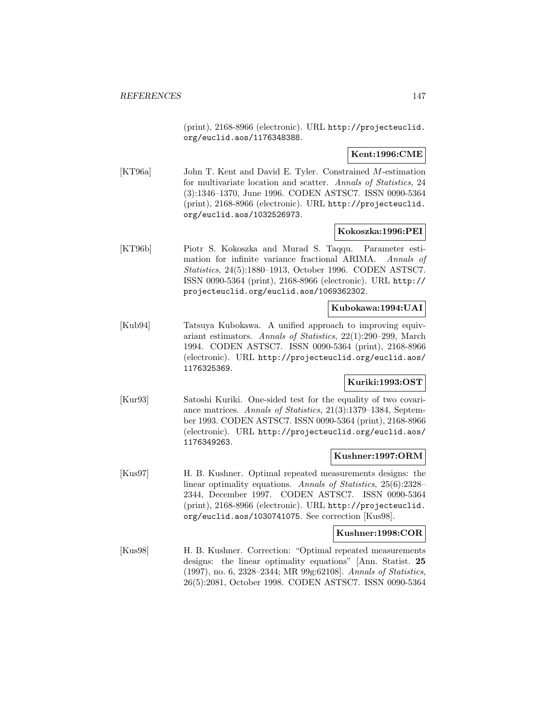(print), 2168-8966 (electronic). URL http://projecteuclid. org/euclid.aos/1176348388.

**Kent:1996:CME**

[KT96a] John T. Kent and David E. Tyler. Constrained M-estimation for multivariate location and scatter. Annals of Statistics, 24 (3):1346–1370, June 1996. CODEN ASTSC7. ISSN 0090-5364 (print), 2168-8966 (electronic). URL http://projecteuclid. org/euclid.aos/1032526973.

### **Kokoszka:1996:PEI**

[KT96b] Piotr S. Kokoszka and Murad S. Taqqu. Parameter estimation for infinite variance fractional ARIMA. Annals of Statistics, 24(5):1880–1913, October 1996. CODEN ASTSC7. ISSN 0090-5364 (print), 2168-8966 (electronic). URL http:// projecteuclid.org/euclid.aos/1069362302.

### **Kubokawa:1994:UAI**

[Kub94] Tatsuya Kubokawa. A unified approach to improving equivariant estimators. Annals of Statistics, 22(1):290–299, March 1994. CODEN ASTSC7. ISSN 0090-5364 (print), 2168-8966 (electronic). URL http://projecteuclid.org/euclid.aos/ 1176325369.

### **Kuriki:1993:OST**

[Kur93] Satoshi Kuriki. One-sided test for the equality of two covariance matrices. Annals of Statistics, 21(3):1379–1384, September 1993. CODEN ASTSC7. ISSN 0090-5364 (print), 2168-8966 (electronic). URL http://projecteuclid.org/euclid.aos/ 1176349263.

### **Kushner:1997:ORM**

[Kus97] H. B. Kushner. Optimal repeated measurements designs: the linear optimality equations. Annals of Statistics, 25(6):2328– 2344, December 1997. CODEN ASTSC7. ISSN 0090-5364 (print), 2168-8966 (electronic). URL http://projecteuclid. org/euclid.aos/1030741075. See correction [Kus98].

### **Kushner:1998:COR**

[Kus98] H. B. Kushner. Correction: "Optimal repeated measurements designs: the linear optimality equations" [Ann. Statist. **25** (1997), no. 6, 2328–2344; MR 99g:62108]. Annals of Statistics, 26(5):2081, October 1998. CODEN ASTSC7. ISSN 0090-5364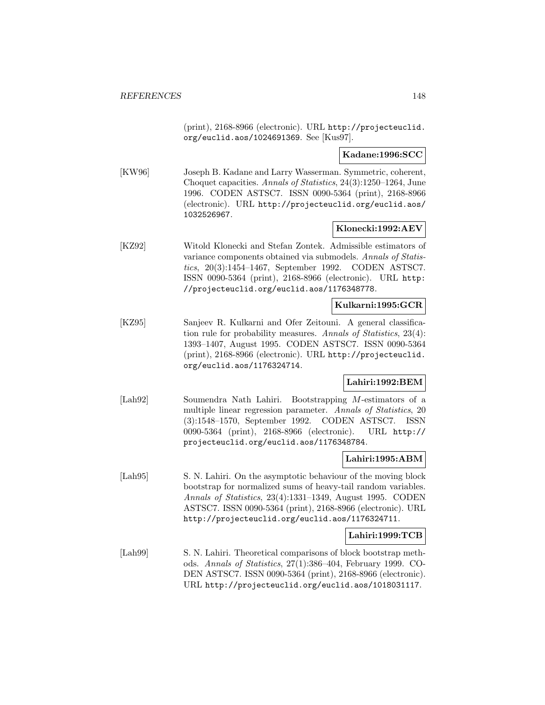(print), 2168-8966 (electronic). URL http://projecteuclid. org/euclid.aos/1024691369. See [Kus97].

**Kadane:1996:SCC**

[KW96] Joseph B. Kadane and Larry Wasserman. Symmetric, coherent, Choquet capacities. Annals of Statistics, 24(3):1250–1264, June 1996. CODEN ASTSC7. ISSN 0090-5364 (print), 2168-8966 (electronic). URL http://projecteuclid.org/euclid.aos/ 1032526967.

### **Klonecki:1992:AEV**

[KZ92] Witold Klonecki and Stefan Zontek. Admissible estimators of variance components obtained via submodels. Annals of Statistics, 20(3):1454–1467, September 1992. CODEN ASTSC7. ISSN 0090-5364 (print), 2168-8966 (electronic). URL http: //projecteuclid.org/euclid.aos/1176348778.

## **Kulkarni:1995:GCR**

[KZ95] Sanjeev R. Kulkarni and Ofer Zeitouni. A general classification rule for probability measures. Annals of Statistics, 23(4): 1393–1407, August 1995. CODEN ASTSC7. ISSN 0090-5364 (print), 2168-8966 (electronic). URL http://projecteuclid. org/euclid.aos/1176324714.

## **Lahiri:1992:BEM**

[Lah92] Soumendra Nath Lahiri. Bootstrapping M-estimators of a multiple linear regression parameter. Annals of Statistics, 20 (3):1548–1570, September 1992. CODEN ASTSC7. ISSN 0090-5364 (print), 2168-8966 (electronic). URL http:// projecteuclid.org/euclid.aos/1176348784.

### **Lahiri:1995:ABM**

[Lah95] S. N. Lahiri. On the asymptotic behaviour of the moving block bootstrap for normalized sums of heavy-tail random variables. Annals of Statistics, 23(4):1331–1349, August 1995. CODEN ASTSC7. ISSN 0090-5364 (print), 2168-8966 (electronic). URL http://projecteuclid.org/euclid.aos/1176324711.

### **Lahiri:1999:TCB**

[Lah99] S. N. Lahiri. Theoretical comparisons of block bootstrap methods. Annals of Statistics, 27(1):386–404, February 1999. CO-DEN ASTSC7. ISSN 0090-5364 (print), 2168-8966 (electronic). URL http://projecteuclid.org/euclid.aos/1018031117.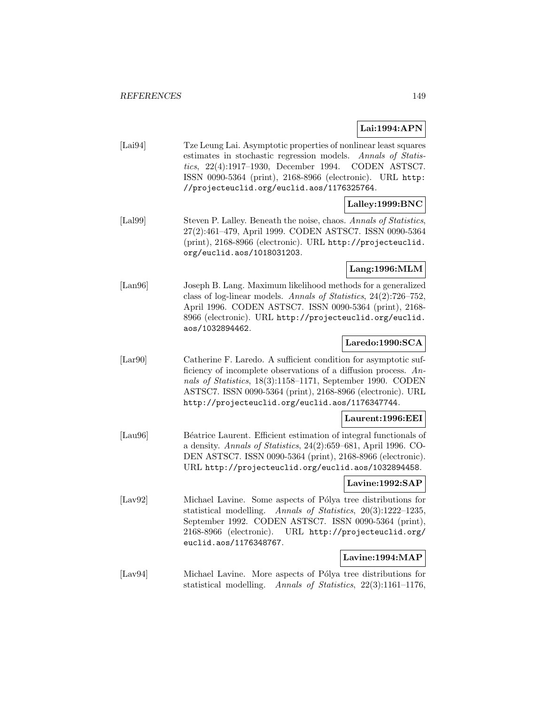# **Lai:1994:APN**

[Lai94] Tze Leung Lai. Asymptotic properties of nonlinear least squares estimates in stochastic regression models. Annals of Statistics, 22(4):1917–1930, December 1994. CODEN ASTSC7. ISSN 0090-5364 (print), 2168-8966 (electronic). URL http: //projecteuclid.org/euclid.aos/1176325764.

## **Lalley:1999:BNC**

[Lal99] Steven P. Lalley. Beneath the noise, chaos. Annals of Statistics, 27(2):461–479, April 1999. CODEN ASTSC7. ISSN 0090-5364 (print), 2168-8966 (electronic). URL http://projecteuclid. org/euclid.aos/1018031203.

# **Lang:1996:MLM**

[Lan96] Joseph B. Lang. Maximum likelihood methods for a generalized class of log-linear models. Annals of Statistics, 24(2):726–752, April 1996. CODEN ASTSC7. ISSN 0090-5364 (print), 2168- 8966 (electronic). URL http://projecteuclid.org/euclid. aos/1032894462.

# **Laredo:1990:SCA**

[Lar90] Catherine F. Laredo. A sufficient condition for asymptotic sufficiency of incomplete observations of a diffusion process. Annals of Statistics, 18(3):1158–1171, September 1990. CODEN ASTSC7. ISSN 0090-5364 (print), 2168-8966 (electronic). URL http://projecteuclid.org/euclid.aos/1176347744.

### **Laurent:1996:EEI**

[Lau96] Béatrice Laurent. Efficient estimation of integral functionals of a density. Annals of Statistics, 24(2):659–681, April 1996. CO-DEN ASTSC7. ISSN 0090-5364 (print), 2168-8966 (electronic). URL http://projecteuclid.org/euclid.aos/1032894458.

### **Lavine:1992:SAP**

[Lav92] Michael Lavine. Some aspects of Pólya tree distributions for statistical modelling. Annals of Statistics, 20(3):1222–1235, September 1992. CODEN ASTSC7. ISSN 0090-5364 (print), 2168-8966 (electronic). URL http://projecteuclid.org/ euclid.aos/1176348767.

## **Lavine:1994:MAP**

[Lav94] Michael Lavine. More aspects of Pólya tree distributions for statistical modelling. Annals of Statistics, 22(3):1161–1176,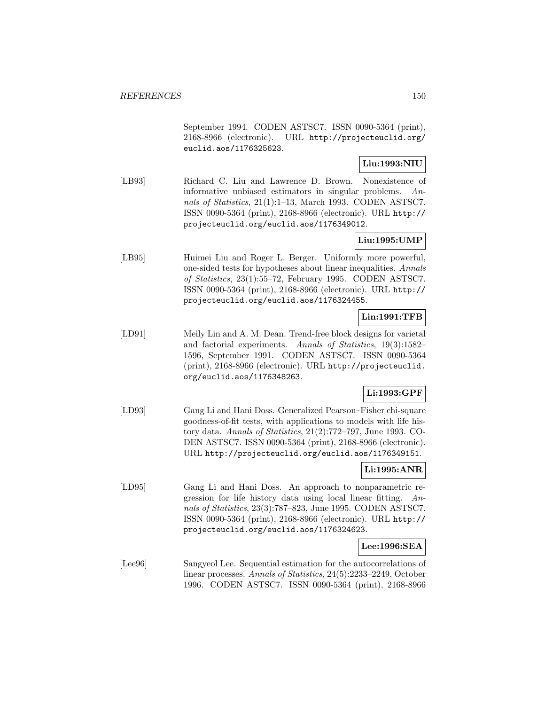September 1994. CODEN ASTSC7. ISSN 0090-5364 (print), 2168-8966 (electronic). URL http://projecteuclid.org/ euclid.aos/1176325623.

## **Liu:1993:NIU**

[LB93] Richard C. Liu and Lawrence D. Brown. Nonexistence of informative unbiased estimators in singular problems. Annals of Statistics, 21(1):1–13, March 1993. CODEN ASTSC7. ISSN 0090-5364 (print), 2168-8966 (electronic). URL http:// projecteuclid.org/euclid.aos/1176349012.

# **Liu:1995:UMP**

[LB95] Huimei Liu and Roger L. Berger. Uniformly more powerful, one-sided tests for hypotheses about linear inequalities. Annals of Statistics, 23(1):55–72, February 1995. CODEN ASTSC7. ISSN 0090-5364 (print), 2168-8966 (electronic). URL http:// projecteuclid.org/euclid.aos/1176324455.

# **Lin:1991:TFB**

[LD91] Meily Lin and A. M. Dean. Trend-free block designs for varietal and factorial experiments. Annals of Statistics, 19(3):1582– 1596, September 1991. CODEN ASTSC7. ISSN 0090-5364 (print), 2168-8966 (electronic). URL http://projecteuclid. org/euclid.aos/1176348263.

# **Li:1993:GPF**

[LD93] Gang Li and Hani Doss. Generalized Pearson–Fisher chi-square goodness-of-fit tests, with applications to models with life history data. Annals of Statistics, 21(2):772–797, June 1993. CO-DEN ASTSC7. ISSN 0090-5364 (print), 2168-8966 (electronic). URL http://projecteuclid.org/euclid.aos/1176349151.

## **Li:1995:ANR**

[LD95] Gang Li and Hani Doss. An approach to nonparametric regression for life history data using local linear fitting. Annals of Statistics, 23(3):787–823, June 1995. CODEN ASTSC7. ISSN 0090-5364 (print), 2168-8966 (electronic). URL http:// projecteuclid.org/euclid.aos/1176324623.

### **Lee:1996:SEA**

[Lee96] Sangyeol Lee. Sequential estimation for the autocorrelations of linear processes. Annals of Statistics, 24(5):2233–2249, October 1996. CODEN ASTSC7. ISSN 0090-5364 (print), 2168-8966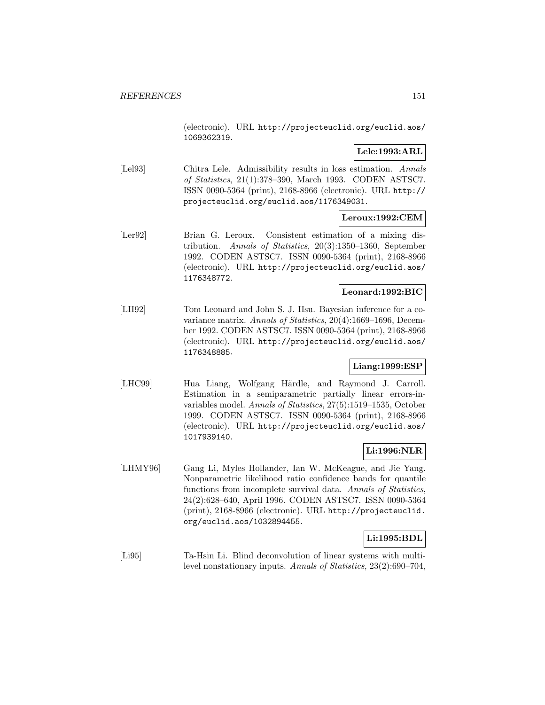(electronic). URL http://projecteuclid.org/euclid.aos/ 1069362319.

### **Lele:1993:ARL**

[Lel93] Chitra Lele. Admissibility results in loss estimation. Annals of Statistics, 21(1):378–390, March 1993. CODEN ASTSC7. ISSN 0090-5364 (print), 2168-8966 (electronic). URL http:// projecteuclid.org/euclid.aos/1176349031.

### **Leroux:1992:CEM**

[Ler92] Brian G. Leroux. Consistent estimation of a mixing distribution. Annals of Statistics, 20(3):1350–1360, September 1992. CODEN ASTSC7. ISSN 0090-5364 (print), 2168-8966 (electronic). URL http://projecteuclid.org/euclid.aos/ 1176348772.

### **Leonard:1992:BIC**

[LH92] Tom Leonard and John S. J. Hsu. Bayesian inference for a covariance matrix. Annals of Statistics, 20(4):1669–1696, December 1992. CODEN ASTSC7. ISSN 0090-5364 (print), 2168-8966 (electronic). URL http://projecteuclid.org/euclid.aos/ 1176348885.

### **Liang:1999:ESP**

[LHC99] Hua Liang, Wolfgang Härdle, and Raymond J. Carroll. Estimation in a semiparametric partially linear errors-invariables model. Annals of Statistics, 27(5):1519–1535, October 1999. CODEN ASTSC7. ISSN 0090-5364 (print), 2168-8966 (electronic). URL http://projecteuclid.org/euclid.aos/ 1017939140.

## **Li:1996:NLR**

[LHMY96] Gang Li, Myles Hollander, Ian W. McKeague, and Jie Yang. Nonparametric likelihood ratio confidence bands for quantile functions from incomplete survival data. Annals of Statistics, 24(2):628–640, April 1996. CODEN ASTSC7. ISSN 0090-5364 (print), 2168-8966 (electronic). URL http://projecteuclid. org/euclid.aos/1032894455.

## **Li:1995:BDL**

[Li95] Ta-Hsin Li. Blind deconvolution of linear systems with multilevel nonstationary inputs. Annals of Statistics, 23(2):690–704,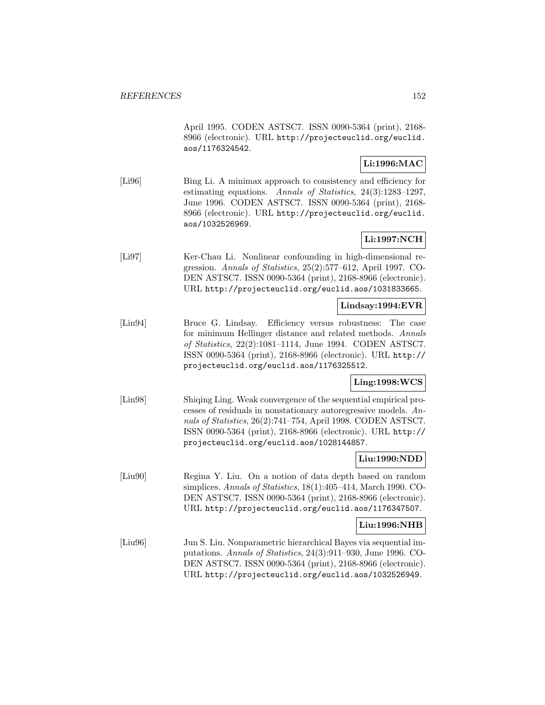April 1995. CODEN ASTSC7. ISSN 0090-5364 (print), 2168- 8966 (electronic). URL http://projecteuclid.org/euclid. aos/1176324542.

# **Li:1996:MAC**

[Li96] Bing Li. A minimax approach to consistency and efficiency for estimating equations. Annals of Statistics, 24(3):1283–1297, June 1996. CODEN ASTSC7. ISSN 0090-5364 (print), 2168- 8966 (electronic). URL http://projecteuclid.org/euclid. aos/1032526969.

# **Li:1997:NCH**

[Li97] Ker-Chau Li. Nonlinear confounding in high-dimensional regression. Annals of Statistics, 25(2):577–612, April 1997. CO-DEN ASTSC7. ISSN 0090-5364 (print), 2168-8966 (electronic). URL http://projecteuclid.org/euclid.aos/1031833665.

### **Lindsay:1994:EVR**

[Lin94] Bruce G. Lindsay. Efficiency versus robustness: The case for minimum Hellinger distance and related methods. Annals of Statistics, 22(2):1081–1114, June 1994. CODEN ASTSC7. ISSN 0090-5364 (print), 2168-8966 (electronic). URL http:// projecteuclid.org/euclid.aos/1176325512.

## **Ling:1998:WCS**

[Lin98] Shiqing Ling. Weak convergence of the sequential empirical processes of residuals in nonstationary autoregressive models. Annals of Statistics, 26(2):741–754, April 1998. CODEN ASTSC7. ISSN 0090-5364 (print), 2168-8966 (electronic). URL http:// projecteuclid.org/euclid.aos/1028144857.

### **Liu:1990:NDD**

[Liu90] Regina Y. Liu. On a notion of data depth based on random simplices. Annals of Statistics, 18(1):405–414, March 1990. CO-DEN ASTSC7. ISSN 0090-5364 (print), 2168-8966 (electronic). URL http://projecteuclid.org/euclid.aos/1176347507.

### **Liu:1996:NHB**

[Liu96] Jun S. Liu. Nonparametric hierarchical Bayes via sequential imputations. Annals of Statistics, 24(3):911–930, June 1996. CO-DEN ASTSC7. ISSN 0090-5364 (print), 2168-8966 (electronic). URL http://projecteuclid.org/euclid.aos/1032526949.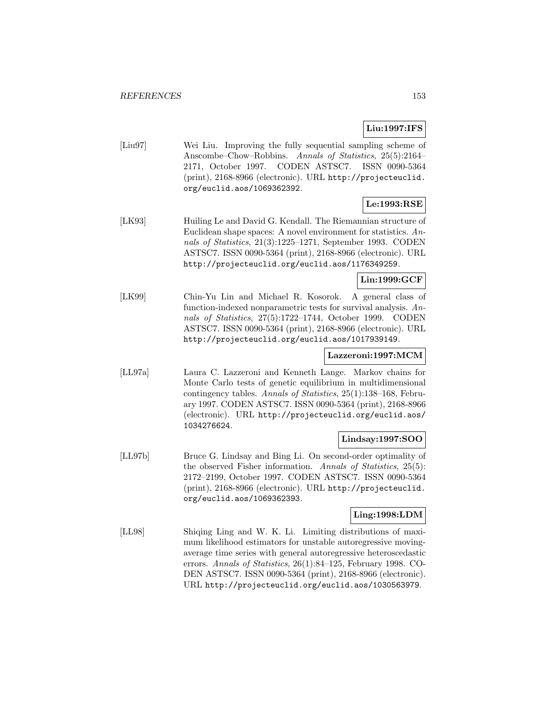# **Liu:1997:IFS**

[Liu97] Wei Liu. Improving the fully sequential sampling scheme of Anscombe–Chow–Robbins. Annals of Statistics, 25(5):2164– 2171, October 1997. CODEN ASTSC7. ISSN 0090-5364 (print), 2168-8966 (electronic). URL http://projecteuclid. org/euclid.aos/1069362392.

# **Le:1993:RSE**

[LK93] Huiling Le and David G. Kendall. The Riemannian structure of Euclidean shape spaces: A novel environment for statistics. Annals of Statistics, 21(3):1225–1271, September 1993. CODEN ASTSC7. ISSN 0090-5364 (print), 2168-8966 (electronic). URL http://projecteuclid.org/euclid.aos/1176349259.

# **Lin:1999:GCF**

[LK99] Chin-Yu Lin and Michael R. Kosorok. A general class of function-indexed nonparametric tests for survival analysis. Annals of Statistics, 27(5):1722–1744, October 1999. CODEN ASTSC7. ISSN 0090-5364 (print), 2168-8966 (electronic). URL http://projecteuclid.org/euclid.aos/1017939149.

# **Lazzeroni:1997:MCM**

[LL97a] Laura C. Lazzeroni and Kenneth Lange. Markov chains for Monte Carlo tests of genetic equilibrium in multidimensional contingency tables. Annals of Statistics, 25(1):138–168, February 1997. CODEN ASTSC7. ISSN 0090-5364 (print), 2168-8966 (electronic). URL http://projecteuclid.org/euclid.aos/ 1034276624.

### **Lindsay:1997:SOO**

[LL97b] Bruce G. Lindsay and Bing Li. On second-order optimality of the observed Fisher information. Annals of Statistics, 25(5): 2172–2199, October 1997. CODEN ASTSC7. ISSN 0090-5364 (print), 2168-8966 (electronic). URL http://projecteuclid. org/euclid.aos/1069362393.

## **Ling:1998:LDM**

[LL98] Shiqing Ling and W. K. Li. Limiting distributions of maximum likelihood estimators for unstable autoregressive movingaverage time series with general autoregressive heteroscedastic errors. Annals of Statistics, 26(1):84–125, February 1998. CO-DEN ASTSC7. ISSN 0090-5364 (print), 2168-8966 (electronic). URL http://projecteuclid.org/euclid.aos/1030563979.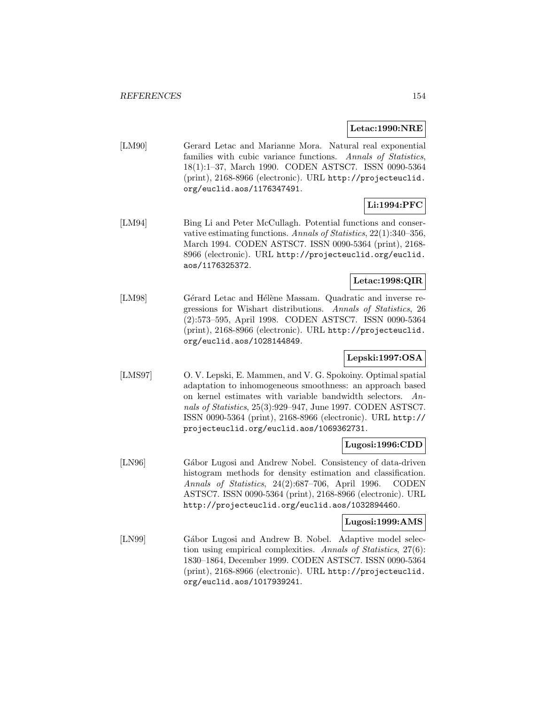### **Letac:1990:NRE**

[LM90] Gerard Letac and Marianne Mora. Natural real exponential families with cubic variance functions. Annals of Statistics, 18(1):1–37, March 1990. CODEN ASTSC7. ISSN 0090-5364 (print), 2168-8966 (electronic). URL http://projecteuclid. org/euclid.aos/1176347491.

# **Li:1994:PFC**

[LM94] Bing Li and Peter McCullagh. Potential functions and conservative estimating functions. Annals of Statistics, 22(1):340–356, March 1994. CODEN ASTSC7. ISSN 0090-5364 (print), 2168- 8966 (electronic). URL http://projecteuclid.org/euclid. aos/1176325372.

### **Letac:1998:QIR**

[LM98] Gérard Letac and Hélène Massam. Quadratic and inverse regressions for Wishart distributions. Annals of Statistics, 26 (2):573–595, April 1998. CODEN ASTSC7. ISSN 0090-5364 (print), 2168-8966 (electronic). URL http://projecteuclid. org/euclid.aos/1028144849.

## **Lepski:1997:OSA**

[LMS97] O. V. Lepski, E. Mammen, and V. G. Spokoiny. Optimal spatial adaptation to inhomogeneous smoothness: an approach based on kernel estimates with variable bandwidth selectors. Annals of Statistics, 25(3):929–947, June 1997. CODEN ASTSC7. ISSN 0090-5364 (print), 2168-8966 (electronic). URL http:// projecteuclid.org/euclid.aos/1069362731.

### **Lugosi:1996:CDD**

[LN96] Gábor Lugosi and Andrew Nobel. Consistency of data-driven histogram methods for density estimation and classification. Annals of Statistics, 24(2):687–706, April 1996. CODEN ASTSC7. ISSN 0090-5364 (print), 2168-8966 (electronic). URL http://projecteuclid.org/euclid.aos/1032894460.

### **Lugosi:1999:AMS**

[LN99] Gábor Lugosi and Andrew B. Nobel. Adaptive model selection using empirical complexities. Annals of Statistics, 27(6): 1830–1864, December 1999. CODEN ASTSC7. ISSN 0090-5364 (print), 2168-8966 (electronic). URL http://projecteuclid. org/euclid.aos/1017939241.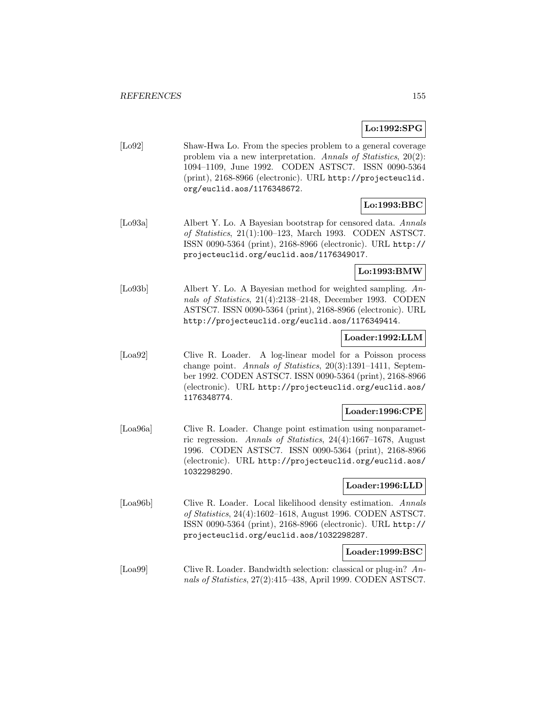### **Lo:1992:SPG**

[Lo92] Shaw-Hwa Lo. From the species problem to a general coverage problem via a new interpretation. Annals of Statistics, 20(2): 1094–1109, June 1992. CODEN ASTSC7. ISSN 0090-5364 (print), 2168-8966 (electronic). URL http://projecteuclid. org/euclid.aos/1176348672.

# **Lo:1993:BBC**

[Lo93a] Albert Y. Lo. A Bayesian bootstrap for censored data. Annals of Statistics, 21(1):100–123, March 1993. CODEN ASTSC7. ISSN 0090-5364 (print), 2168-8966 (electronic). URL http:// projecteuclid.org/euclid.aos/1176349017.

## **Lo:1993:BMW**

[Lo93b] Albert Y. Lo. A Bayesian method for weighted sampling. Annals of Statistics, 21(4):2138–2148, December 1993. CODEN ASTSC7. ISSN 0090-5364 (print), 2168-8966 (electronic). URL http://projecteuclid.org/euclid.aos/1176349414.

## **Loader:1992:LLM**

[Loa92] Clive R. Loader. A log-linear model for a Poisson process change point. Annals of Statistics, 20(3):1391–1411, September 1992. CODEN ASTSC7. ISSN 0090-5364 (print), 2168-8966 (electronic). URL http://projecteuclid.org/euclid.aos/ 1176348774.

### **Loader:1996:CPE**

[Loa96a] Clive R. Loader. Change point estimation using nonparametric regression. Annals of Statistics, 24(4):1667–1678, August 1996. CODEN ASTSC7. ISSN 0090-5364 (print), 2168-8966 (electronic). URL http://projecteuclid.org/euclid.aos/ 1032298290.

## **Loader:1996:LLD**

[Loa96b] Clive R. Loader. Local likelihood density estimation. Annals of Statistics, 24(4):1602–1618, August 1996. CODEN ASTSC7. ISSN 0090-5364 (print), 2168-8966 (electronic). URL http:// projecteuclid.org/euclid.aos/1032298287.

### **Loader:1999:BSC**

[Loa99] Clive R. Loader. Bandwidth selection: classical or plug-in? Annals of Statistics, 27(2):415–438, April 1999. CODEN ASTSC7.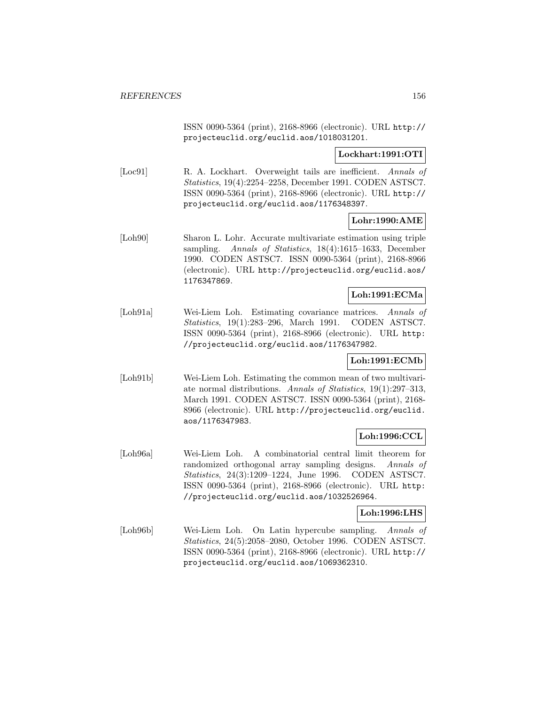ISSN 0090-5364 (print), 2168-8966 (electronic). URL http:// projecteuclid.org/euclid.aos/1018031201.

## **Lockhart:1991:OTI**

[Loc91] R. A. Lockhart. Overweight tails are inefficient. Annals of Statistics, 19(4):2254–2258, December 1991. CODEN ASTSC7. ISSN 0090-5364 (print), 2168-8966 (electronic). URL http:// projecteuclid.org/euclid.aos/1176348397.

## **Lohr:1990:AME**

[Loh90] Sharon L. Lohr. Accurate multivariate estimation using triple sampling. Annals of Statistics, 18(4):1615-1633, December 1990. CODEN ASTSC7. ISSN 0090-5364 (print), 2168-8966 (electronic). URL http://projecteuclid.org/euclid.aos/ 1176347869.

### **Loh:1991:ECMa**

[Loh91a] Wei-Liem Loh. Estimating covariance matrices. Annals of Statistics, 19(1):283–296, March 1991. CODEN ASTSC7. ISSN 0090-5364 (print), 2168-8966 (electronic). URL http: //projecteuclid.org/euclid.aos/1176347982.

## **Loh:1991:ECMb**

[Loh91b] Wei-Liem Loh. Estimating the common mean of two multivariate normal distributions. Annals of Statistics, 19(1):297–313, March 1991. CODEN ASTSC7. ISSN 0090-5364 (print), 2168- 8966 (electronic). URL http://projecteuclid.org/euclid. aos/1176347983.

## **Loh:1996:CCL**

[Loh96a] Wei-Liem Loh. A combinatorial central limit theorem for randomized orthogonal array sampling designs. Annals of Statistics, 24(3):1209–1224, June 1996. CODEN ASTSC7. ISSN 0090-5364 (print), 2168-8966 (electronic). URL http: //projecteuclid.org/euclid.aos/1032526964.

## **Loh:1996:LHS**

[Loh96b] Wei-Liem Loh. On Latin hypercube sampling. Annals of Statistics, 24(5):2058–2080, October 1996. CODEN ASTSC7. ISSN 0090-5364 (print), 2168-8966 (electronic). URL http:// projecteuclid.org/euclid.aos/1069362310.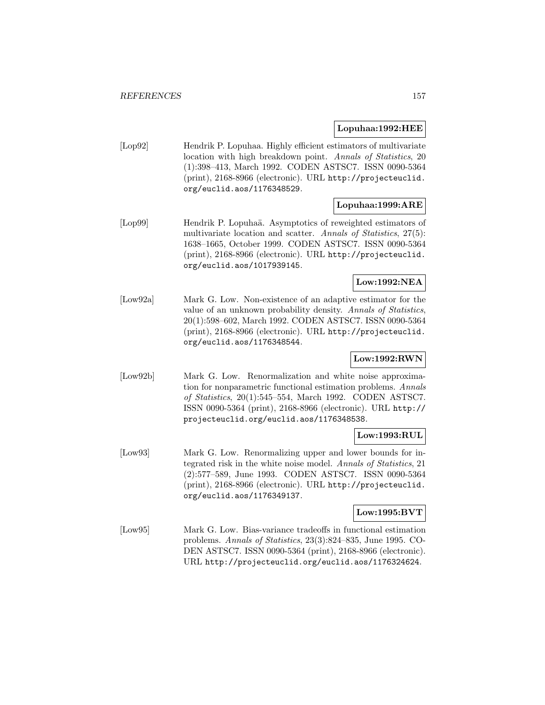### **Lopuhaa:1992:HEE**

[Lop92] Hendrik P. Lopuhaa. Highly efficient estimators of multivariate location with high breakdown point. Annals of Statistics, 20 (1):398–413, March 1992. CODEN ASTSC7. ISSN 0090-5364 (print), 2168-8966 (electronic). URL http://projecteuclid. org/euclid.aos/1176348529.

# **Lopuhaa:1999:ARE**

[Lop99] Hendrik P. Lopuhaä. Asymptotics of reweighted estimators of multivariate location and scatter. Annals of Statistics, 27(5): 1638–1665, October 1999. CODEN ASTSC7. ISSN 0090-5364 (print), 2168-8966 (electronic). URL http://projecteuclid. org/euclid.aos/1017939145.

### **Low:1992:NEA**

[Low92a] Mark G. Low. Non-existence of an adaptive estimator for the value of an unknown probability density. Annals of Statistics, 20(1):598–602, March 1992. CODEN ASTSC7. ISSN 0090-5364 (print), 2168-8966 (electronic). URL http://projecteuclid. org/euclid.aos/1176348544.

## **Low:1992:RWN**

[Low92b] Mark G. Low. Renormalization and white noise approximation for nonparametric functional estimation problems. Annals of Statistics, 20(1):545–554, March 1992. CODEN ASTSC7. ISSN 0090-5364 (print), 2168-8966 (electronic). URL http:// projecteuclid.org/euclid.aos/1176348538.

## **Low:1993:RUL**

[Low93] Mark G. Low. Renormalizing upper and lower bounds for integrated risk in the white noise model. Annals of Statistics, 21 (2):577–589, June 1993. CODEN ASTSC7. ISSN 0090-5364 (print), 2168-8966 (electronic). URL http://projecteuclid. org/euclid.aos/1176349137.

### **Low:1995:BVT**

[Low95] Mark G. Low. Bias-variance tradeoffs in functional estimation problems. Annals of Statistics, 23(3):824–835, June 1995. CO-DEN ASTSC7. ISSN 0090-5364 (print), 2168-8966 (electronic). URL http://projecteuclid.org/euclid.aos/1176324624.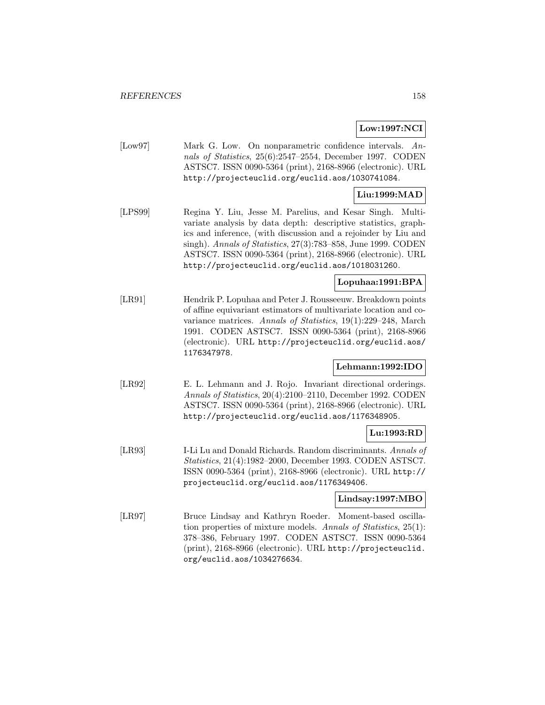### **Low:1997:NCI**

[Low97] Mark G. Low. On nonparametric confidence intervals. Annals of Statistics, 25(6):2547–2554, December 1997. CODEN ASTSC7. ISSN 0090-5364 (print), 2168-8966 (electronic). URL http://projecteuclid.org/euclid.aos/1030741084.

### **Liu:1999:MAD**

[LPS99] Regina Y. Liu, Jesse M. Parelius, and Kesar Singh. Multivariate analysis by data depth: descriptive statistics, graphics and inference, (with discussion and a rejoinder by Liu and singh). Annals of Statistics, 27(3):783-858, June 1999. CODEN ASTSC7. ISSN 0090-5364 (print), 2168-8966 (electronic). URL http://projecteuclid.org/euclid.aos/1018031260.

### **Lopuhaa:1991:BPA**

[LR91] Hendrik P. Lopuhaa and Peter J. Rousseeuw. Breakdown points of affine equivariant estimators of multivariate location and covariance matrices. Annals of Statistics, 19(1):229–248, March 1991. CODEN ASTSC7. ISSN 0090-5364 (print), 2168-8966 (electronic). URL http://projecteuclid.org/euclid.aos/ 1176347978.

# **Lehmann:1992:IDO**

[LR92] E. L. Lehmann and J. Rojo. Invariant directional orderings. Annals of Statistics, 20(4):2100–2110, December 1992. CODEN ASTSC7. ISSN 0090-5364 (print), 2168-8966 (electronic). URL http://projecteuclid.org/euclid.aos/1176348905.

### **Lu:1993:RD**

[LR93] I-Li Lu and Donald Richards. Random discriminants. Annals of Statistics, 21(4):1982–2000, December 1993. CODEN ASTSC7. ISSN 0090-5364 (print), 2168-8966 (electronic). URL http:// projecteuclid.org/euclid.aos/1176349406.

# **Lindsay:1997:MBO**

[LR97] Bruce Lindsay and Kathryn Roeder. Moment-based oscillation properties of mixture models. Annals of Statistics, 25(1): 378–386, February 1997. CODEN ASTSC7. ISSN 0090-5364 (print), 2168-8966 (electronic). URL http://projecteuclid. org/euclid.aos/1034276634.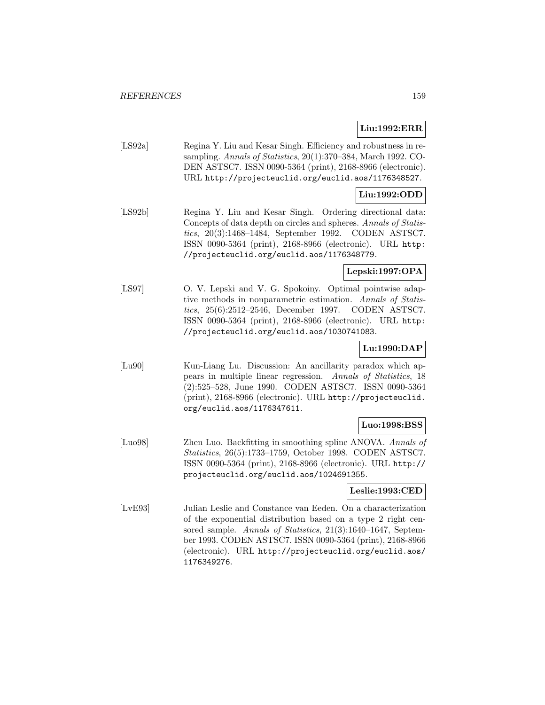# **Liu:1992:ERR**

[LS92a] Regina Y. Liu and Kesar Singh. Efficiency and robustness in resampling. Annals of Statistics, 20(1):370–384, March 1992. CO-DEN ASTSC7. ISSN 0090-5364 (print), 2168-8966 (electronic). URL http://projecteuclid.org/euclid.aos/1176348527.

# **Liu:1992:ODD**

[LS92b] Regina Y. Liu and Kesar Singh. Ordering directional data: Concepts of data depth on circles and spheres. Annals of Statistics, 20(3):1468–1484, September 1992. CODEN ASTSC7. ISSN 0090-5364 (print), 2168-8966 (electronic). URL http: //projecteuclid.org/euclid.aos/1176348779.

## **Lepski:1997:OPA**

[LS97] O. V. Lepski and V. G. Spokoiny. Optimal pointwise adaptive methods in nonparametric estimation. Annals of Statistics, 25(6):2512–2546, December 1997. CODEN ASTSC7. ISSN 0090-5364 (print), 2168-8966 (electronic). URL http: //projecteuclid.org/euclid.aos/1030741083.

# **Lu:1990:DAP**

[Lu90] Kun-Liang Lu. Discussion: An ancillarity paradox which appears in multiple linear regression. Annals of Statistics, 18 (2):525–528, June 1990. CODEN ASTSC7. ISSN 0090-5364 (print), 2168-8966 (electronic). URL http://projecteuclid. org/euclid.aos/1176347611.

# **Luo:1998:BSS**

[Luo98] Zhen Luo. Backfitting in smoothing spline ANOVA. Annals of Statistics, 26(5):1733–1759, October 1998. CODEN ASTSC7. ISSN 0090-5364 (print), 2168-8966 (electronic). URL http:// projecteuclid.org/euclid.aos/1024691355.

### **Leslie:1993:CED**

[LvE93] Julian Leslie and Constance van Eeden. On a characterization of the exponential distribution based on a type 2 right censored sample. Annals of Statistics, 21(3):1640–1647, September 1993. CODEN ASTSC7. ISSN 0090-5364 (print), 2168-8966 (electronic). URL http://projecteuclid.org/euclid.aos/ 1176349276.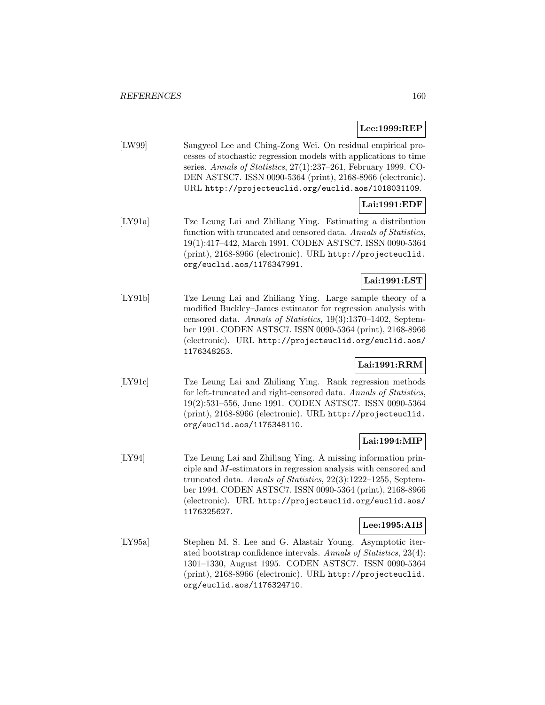## **Lee:1999:REP**

[LW99] Sangyeol Lee and Ching-Zong Wei. On residual empirical processes of stochastic regression models with applications to time series. Annals of Statistics, 27(1):237-261, February 1999. CO-DEN ASTSC7. ISSN 0090-5364 (print), 2168-8966 (electronic). URL http://projecteuclid.org/euclid.aos/1018031109.

# **Lai:1991:EDF**

[LY91a] Tze Leung Lai and Zhiliang Ying. Estimating a distribution function with truncated and censored data. Annals of Statistics, 19(1):417–442, March 1991. CODEN ASTSC7. ISSN 0090-5364 (print), 2168-8966 (electronic). URL http://projecteuclid. org/euclid.aos/1176347991.

## **Lai:1991:LST**

[LY91b] Tze Leung Lai and Zhiliang Ying. Large sample theory of a modified Buckley–James estimator for regression analysis with censored data. Annals of Statistics, 19(3):1370–1402, September 1991. CODEN ASTSC7. ISSN 0090-5364 (print), 2168-8966 (electronic). URL http://projecteuclid.org/euclid.aos/ 1176348253.

# **Lai:1991:RRM**

[LY91c] Tze Leung Lai and Zhiliang Ying. Rank regression methods for left-truncated and right-censored data. Annals of Statistics, 19(2):531–556, June 1991. CODEN ASTSC7. ISSN 0090-5364 (print), 2168-8966 (electronic). URL http://projecteuclid. org/euclid.aos/1176348110.

## **Lai:1994:MIP**

[LY94] Tze Leung Lai and Zhiliang Ying. A missing information principle and M-estimators in regression analysis with censored and truncated data. Annals of Statistics, 22(3):1222–1255, September 1994. CODEN ASTSC7. ISSN 0090-5364 (print), 2168-8966 (electronic). URL http://projecteuclid.org/euclid.aos/ 1176325627.

### **Lee:1995:AIB**

[LY95a] Stephen M. S. Lee and G. Alastair Young. Asymptotic iterated bootstrap confidence intervals. Annals of Statistics, 23(4): 1301–1330, August 1995. CODEN ASTSC7. ISSN 0090-5364 (print), 2168-8966 (electronic). URL http://projecteuclid. org/euclid.aos/1176324710.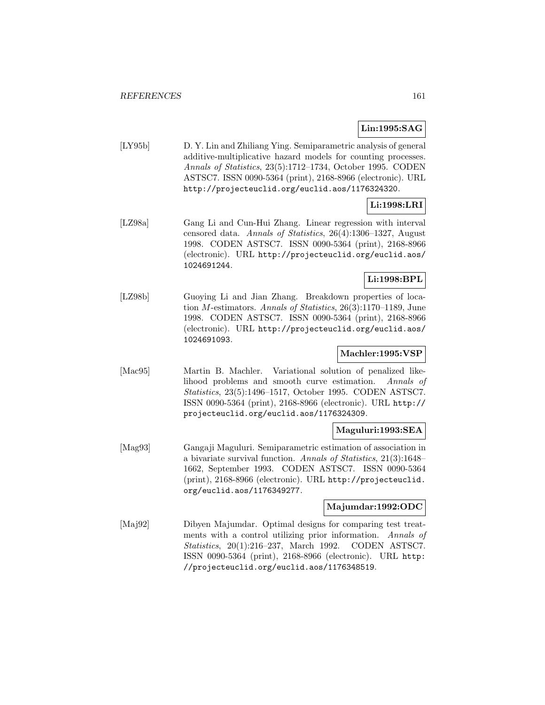# **Lin:1995:SAG**

[LY95b] D. Y. Lin and Zhiliang Ying. Semiparametric analysis of general additive-multiplicative hazard models for counting processes. Annals of Statistics, 23(5):1712–1734, October 1995. CODEN ASTSC7. ISSN 0090-5364 (print), 2168-8966 (electronic). URL http://projecteuclid.org/euclid.aos/1176324320.

# **Li:1998:LRI**

[LZ98a] Gang Li and Cun-Hui Zhang. Linear regression with interval censored data. Annals of Statistics, 26(4):1306–1327, August 1998. CODEN ASTSC7. ISSN 0090-5364 (print), 2168-8966 (electronic). URL http://projecteuclid.org/euclid.aos/ 1024691244.

## **Li:1998:BPL**

[LZ98b] Guoying Li and Jian Zhang. Breakdown properties of location M-estimators. Annals of Statistics, 26(3):1170–1189, June 1998. CODEN ASTSC7. ISSN 0090-5364 (print), 2168-8966 (electronic). URL http://projecteuclid.org/euclid.aos/ 1024691093.

# **Machler:1995:VSP**

[Mac95] Martin B. Machler. Variational solution of penalized likelihood problems and smooth curve estimation. Annals of Statistics, 23(5):1496–1517, October 1995. CODEN ASTSC7. ISSN 0090-5364 (print), 2168-8966 (electronic). URL http:// projecteuclid.org/euclid.aos/1176324309.

## **Maguluri:1993:SEA**

[Mag93] Gangaji Maguluri. Semiparametric estimation of association in a bivariate survival function. Annals of Statistics, 21(3):1648– 1662, September 1993. CODEN ASTSC7. ISSN 0090-5364 (print), 2168-8966 (electronic). URL http://projecteuclid. org/euclid.aos/1176349277.

### **Majumdar:1992:ODC**

[Maj92] Dibyen Majumdar. Optimal designs for comparing test treatments with a control utilizing prior information. Annals of Statistics, 20(1):216–237, March 1992. CODEN ASTSC7. ISSN 0090-5364 (print), 2168-8966 (electronic). URL http: //projecteuclid.org/euclid.aos/1176348519.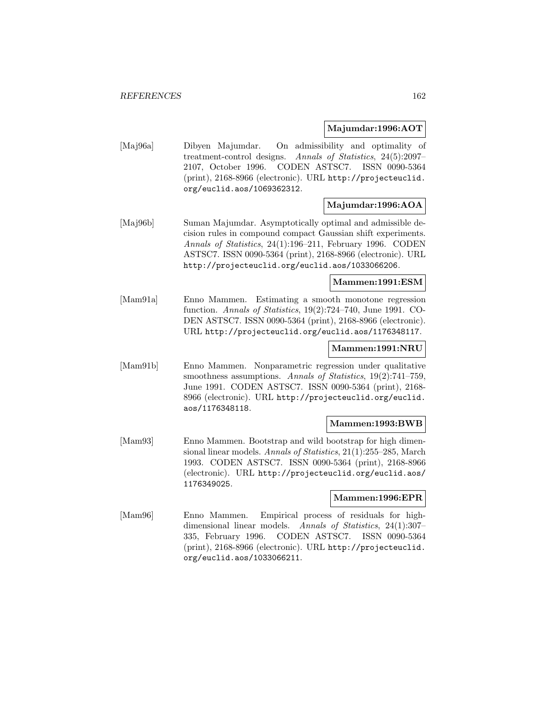### **Majumdar:1996:AOT**

[Maj96a] Dibyen Majumdar. On admissibility and optimality of treatment-control designs. Annals of Statistics, 24(5):2097– 2107, October 1996. CODEN ASTSC7. ISSN 0090-5364 (print), 2168-8966 (electronic). URL http://projecteuclid. org/euclid.aos/1069362312.

# **Majumdar:1996:AOA**

[Maj96b] Suman Majumdar. Asymptotically optimal and admissible decision rules in compound compact Gaussian shift experiments. Annals of Statistics, 24(1):196–211, February 1996. CODEN ASTSC7. ISSN 0090-5364 (print), 2168-8966 (electronic). URL http://projecteuclid.org/euclid.aos/1033066206.

## **Mammen:1991:ESM**

[Mam91a] Enno Mammen. Estimating a smooth monotone regression function. Annals of Statistics, 19(2):724–740, June 1991. CO-DEN ASTSC7. ISSN 0090-5364 (print), 2168-8966 (electronic). URL http://projecteuclid.org/euclid.aos/1176348117.

### **Mammen:1991:NRU**

[Mam91b] Enno Mammen. Nonparametric regression under qualitative smoothness assumptions. Annals of Statistics, 19(2):741-759, June 1991. CODEN ASTSC7. ISSN 0090-5364 (print), 2168- 8966 (electronic). URL http://projecteuclid.org/euclid. aos/1176348118.

### **Mammen:1993:BWB**

[Mam93] Enno Mammen. Bootstrap and wild bootstrap for high dimensional linear models. Annals of Statistics, 21(1):255–285, March 1993. CODEN ASTSC7. ISSN 0090-5364 (print), 2168-8966 (electronic). URL http://projecteuclid.org/euclid.aos/ 1176349025.

### **Mammen:1996:EPR**

[Mam96] Enno Mammen. Empirical process of residuals for highdimensional linear models. Annals of Statistics, 24(1):307– 335, February 1996. CODEN ASTSC7. ISSN 0090-5364 (print), 2168-8966 (electronic). URL http://projecteuclid. org/euclid.aos/1033066211.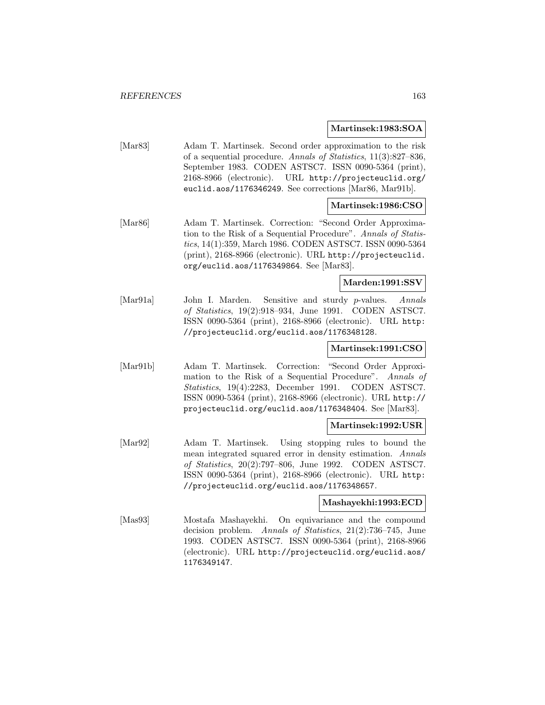#### **Martinsek:1983:SOA**

[Mar83] Adam T. Martinsek. Second order approximation to the risk of a sequential procedure. Annals of Statistics, 11(3):827–836, September 1983. CODEN ASTSC7. ISSN 0090-5364 (print), 2168-8966 (electronic). URL http://projecteuclid.org/ euclid.aos/1176346249. See corrections [Mar86, Mar91b].

### **Martinsek:1986:CSO**

[Mar86] Adam T. Martinsek. Correction: "Second Order Approximation to the Risk of a Sequential Procedure". Annals of Statistics, 14(1):359, March 1986. CODEN ASTSC7. ISSN 0090-5364 (print), 2168-8966 (electronic). URL http://projecteuclid. org/euclid.aos/1176349864. See [Mar83].

### **Marden:1991:SSV**

[Mar91a] John I. Marden. Sensitive and sturdy p-values. Annals of Statistics, 19(2):918–934, June 1991. CODEN ASTSC7. ISSN 0090-5364 (print), 2168-8966 (electronic). URL http: //projecteuclid.org/euclid.aos/1176348128.

### **Martinsek:1991:CSO**

[Mar91b] Adam T. Martinsek. Correction: "Second Order Approximation to the Risk of a Sequential Procedure". Annals of Statistics, 19(4):2283, December 1991. CODEN ASTSC7. ISSN 0090-5364 (print), 2168-8966 (electronic). URL http:// projecteuclid.org/euclid.aos/1176348404. See [Mar83].

### **Martinsek:1992:USR**

[Mar92] Adam T. Martinsek. Using stopping rules to bound the mean integrated squared error in density estimation. Annals of Statistics, 20(2):797–806, June 1992. CODEN ASTSC7. ISSN 0090-5364 (print), 2168-8966 (electronic). URL http: //projecteuclid.org/euclid.aos/1176348657.

### **Mashayekhi:1993:ECD**

[Mas93] Mostafa Mashayekhi. On equivariance and the compound decision problem. Annals of Statistics, 21(2):736–745, June 1993. CODEN ASTSC7. ISSN 0090-5364 (print), 2168-8966 (electronic). URL http://projecteuclid.org/euclid.aos/ 1176349147.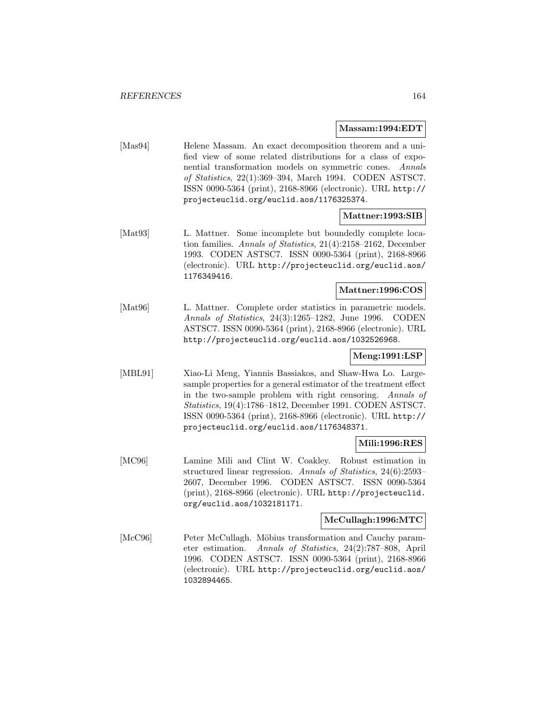#### **Massam:1994:EDT**

[Mas94] Helene Massam. An exact decomposition theorem and a unified view of some related distributions for a class of exponential transformation models on symmetric cones. Annals of Statistics, 22(1):369–394, March 1994. CODEN ASTSC7. ISSN 0090-5364 (print), 2168-8966 (electronic). URL http:// projecteuclid.org/euclid.aos/1176325374.

### **Mattner:1993:SIB**

[Mat93] L. Mattner. Some incomplete but boundedly complete location families. Annals of Statistics, 21(4):2158–2162, December 1993. CODEN ASTSC7. ISSN 0090-5364 (print), 2168-8966 (electronic). URL http://projecteuclid.org/euclid.aos/ 1176349416.

### **Mattner:1996:COS**

[Mat96] L. Mattner. Complete order statistics in parametric models. Annals of Statistics, 24(3):1265–1282, June 1996. CODEN ASTSC7. ISSN 0090-5364 (print), 2168-8966 (electronic). URL http://projecteuclid.org/euclid.aos/1032526968.

## **Meng:1991:LSP**

[MBL91] Xiao-Li Meng, Yiannis Bassiakos, and Shaw-Hwa Lo. Largesample properties for a general estimator of the treatment effect in the two-sample problem with right censoring. Annals of Statistics, 19(4):1786–1812, December 1991. CODEN ASTSC7. ISSN 0090-5364 (print), 2168-8966 (electronic). URL http:// projecteuclid.org/euclid.aos/1176348371.

### **Mili:1996:RES**

[MC96] Lamine Mili and Clint W. Coakley. Robust estimation in structured linear regression. Annals of Statistics, 24(6):2593– 2607, December 1996. CODEN ASTSC7. ISSN 0090-5364 (print), 2168-8966 (electronic). URL http://projecteuclid. org/euclid.aos/1032181171.

### **McCullagh:1996:MTC**

[McC96] Peter McCullagh. Möbius transformation and Cauchy parameter estimation. Annals of Statistics, 24(2):787–808, April 1996. CODEN ASTSC7. ISSN 0090-5364 (print), 2168-8966 (electronic). URL http://projecteuclid.org/euclid.aos/ 1032894465.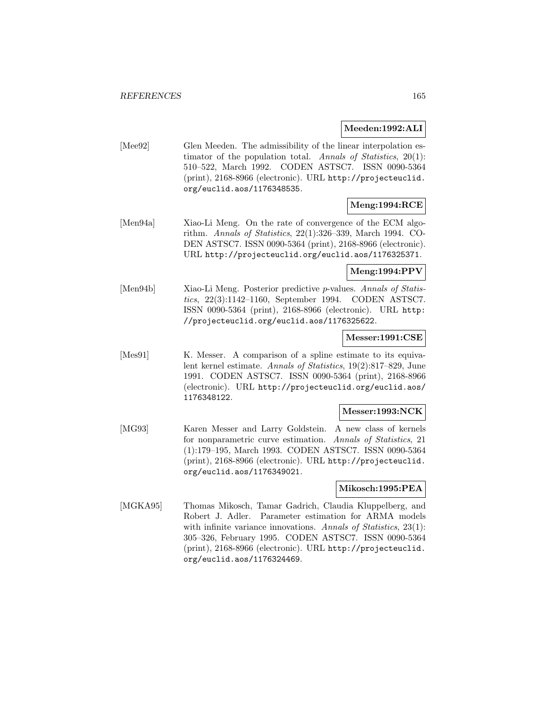### **Meeden:1992:ALI**

[Mee92] Glen Meeden. The admissibility of the linear interpolation estimator of the population total. Annals of Statistics,  $20(1)$ : 510–522, March 1992. CODEN ASTSC7. ISSN 0090-5364 (print), 2168-8966 (electronic). URL http://projecteuclid. org/euclid.aos/1176348535.

# **Meng:1994:RCE**

[Men94a] Xiao-Li Meng. On the rate of convergence of the ECM algorithm. Annals of Statistics, 22(1):326–339, March 1994. CO-DEN ASTSC7. ISSN 0090-5364 (print), 2168-8966 (electronic). URL http://projecteuclid.org/euclid.aos/1176325371.

**Meng:1994:PPV**

[Men94b] Xiao-Li Meng. Posterior predictive *p*-values. Annals of Statistics, 22(3):1142–1160, September 1994. CODEN ASTSC7. ISSN 0090-5364 (print), 2168-8966 (electronic). URL http: //projecteuclid.org/euclid.aos/1176325622.

### **Messer:1991:CSE**

[Mes91] K. Messer. A comparison of a spline estimate to its equivalent kernel estimate. Annals of Statistics, 19(2):817–829, June 1991. CODEN ASTSC7. ISSN 0090-5364 (print), 2168-8966 (electronic). URL http://projecteuclid.org/euclid.aos/ 1176348122.

## **Messer:1993:NCK**

[MG93] Karen Messer and Larry Goldstein. A new class of kernels for nonparametric curve estimation. Annals of Statistics, 21 (1):179–195, March 1993. CODEN ASTSC7. ISSN 0090-5364 (print), 2168-8966 (electronic). URL http://projecteuclid. org/euclid.aos/1176349021.

## **Mikosch:1995:PEA**

[MGKA95] Thomas Mikosch, Tamar Gadrich, Claudia Kluppelberg, and Robert J. Adler. Parameter estimation for ARMA models with infinite variance innovations. Annals of Statistics, 23(1): 305–326, February 1995. CODEN ASTSC7. ISSN 0090-5364 (print), 2168-8966 (electronic). URL http://projecteuclid. org/euclid.aos/1176324469.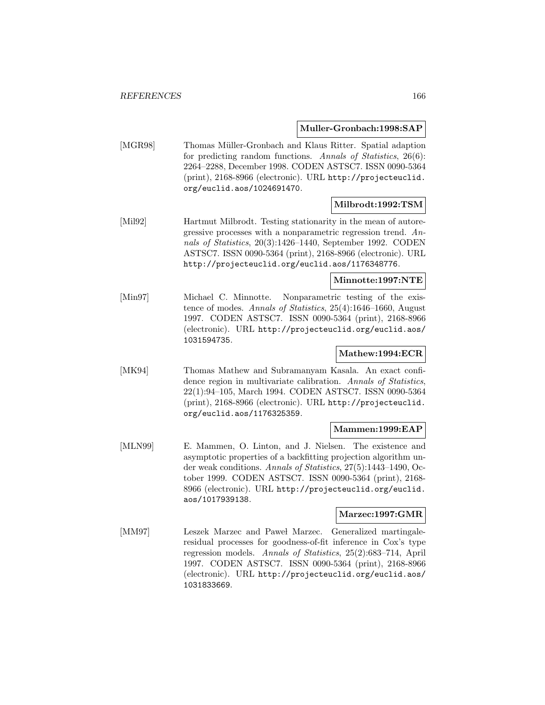**Muller-Gronbach:1998:SAP**

[MGR98] Thomas Müller-Gronbach and Klaus Ritter. Spatial adaption for predicting random functions. Annals of Statistics, 26(6): 2264–2288, December 1998. CODEN ASTSC7. ISSN 0090-5364 (print), 2168-8966 (electronic). URL http://projecteuclid. org/euclid.aos/1024691470.

### **Milbrodt:1992:TSM**

[Mil92] Hartmut Milbrodt. Testing stationarity in the mean of autoregressive processes with a nonparametric regression trend. Annals of Statistics, 20(3):1426–1440, September 1992. CODEN ASTSC7. ISSN 0090-5364 (print), 2168-8966 (electronic). URL http://projecteuclid.org/euclid.aos/1176348776.

### **Minnotte:1997:NTE**

[Min97] Michael C. Minnotte. Nonparametric testing of the existence of modes. Annals of Statistics, 25(4):1646–1660, August 1997. CODEN ASTSC7. ISSN 0090-5364 (print), 2168-8966 (electronic). URL http://projecteuclid.org/euclid.aos/ 1031594735.

## **Mathew:1994:ECR**

[MK94] Thomas Mathew and Subramanyam Kasala. An exact confidence region in multivariate calibration. Annals of Statistics, 22(1):94–105, March 1994. CODEN ASTSC7. ISSN 0090-5364 (print), 2168-8966 (electronic). URL http://projecteuclid. org/euclid.aos/1176325359.

### **Mammen:1999:EAP**

[MLN99] E. Mammen, O. Linton, and J. Nielsen. The existence and asymptotic properties of a backfitting projection algorithm under weak conditions. Annals of Statistics, 27(5):1443–1490, October 1999. CODEN ASTSC7. ISSN 0090-5364 (print), 2168- 8966 (electronic). URL http://projecteuclid.org/euclid. aos/1017939138.

## **Marzec:1997:GMR**

[MM97] Leszek Marzec and Pawel Marzec. Generalized martingaleresidual processes for goodness-of-fit inference in Cox's type regression models. Annals of Statistics, 25(2):683–714, April 1997. CODEN ASTSC7. ISSN 0090-5364 (print), 2168-8966 (electronic). URL http://projecteuclid.org/euclid.aos/ 1031833669.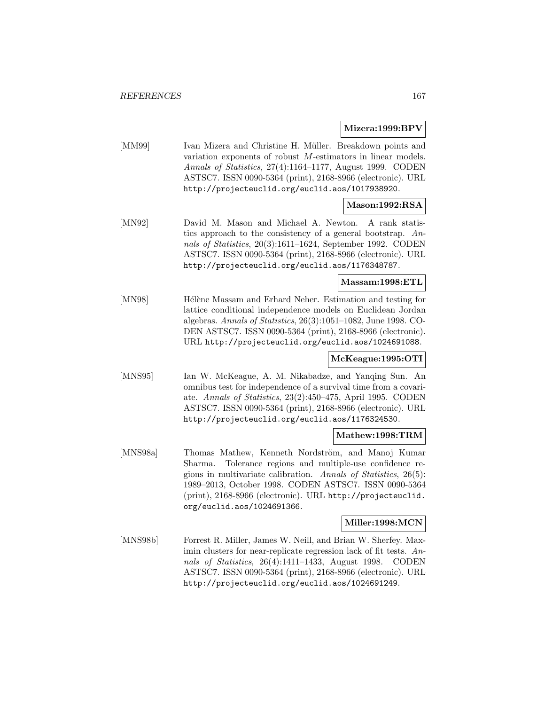#### **Mizera:1999:BPV**

[MM99] Ivan Mizera and Christine H. Müller. Breakdown points and variation exponents of robust M-estimators in linear models. Annals of Statistics, 27(4):1164–1177, August 1999. CODEN ASTSC7. ISSN 0090-5364 (print), 2168-8966 (electronic). URL http://projecteuclid.org/euclid.aos/1017938920.

# **Mason:1992:RSA**

[MN92] David M. Mason and Michael A. Newton. A rank statistics approach to the consistency of a general bootstrap. Annals of Statistics, 20(3):1611–1624, September 1992. CODEN ASTSC7. ISSN 0090-5364 (print), 2168-8966 (electronic). URL http://projecteuclid.org/euclid.aos/1176348787.

### **Massam:1998:ETL**

[MN98] Hélène Massam and Erhard Neher. Estimation and testing for lattice conditional independence models on Euclidean Jordan algebras. Annals of Statistics, 26(3):1051–1082, June 1998. CO-DEN ASTSC7. ISSN 0090-5364 (print), 2168-8966 (electronic). URL http://projecteuclid.org/euclid.aos/1024691088.

### **McKeague:1995:OTI**

[MNS95] Ian W. McKeague, A. M. Nikabadze, and Yanqing Sun. An omnibus test for independence of a survival time from a covariate. Annals of Statistics, 23(2):450–475, April 1995. CODEN ASTSC7. ISSN 0090-5364 (print), 2168-8966 (electronic). URL http://projecteuclid.org/euclid.aos/1176324530.

#### **Mathew:1998:TRM**

[MNS98a] Thomas Mathew, Kenneth Nordström, and Manoj Kumar Sharma. Tolerance regions and multiple-use confidence regions in multivariate calibration. Annals of Statistics, 26(5): 1989–2013, October 1998. CODEN ASTSC7. ISSN 0090-5364 (print), 2168-8966 (electronic). URL http://projecteuclid. org/euclid.aos/1024691366.

#### **Miller:1998:MCN**

[MNS98b] Forrest R. Miller, James W. Neill, and Brian W. Sherfey. Maximin clusters for near-replicate regression lack of fit tests. Annals of Statistics, 26(4):1411–1433, August 1998. CODEN ASTSC7. ISSN 0090-5364 (print), 2168-8966 (electronic). URL http://projecteuclid.org/euclid.aos/1024691249.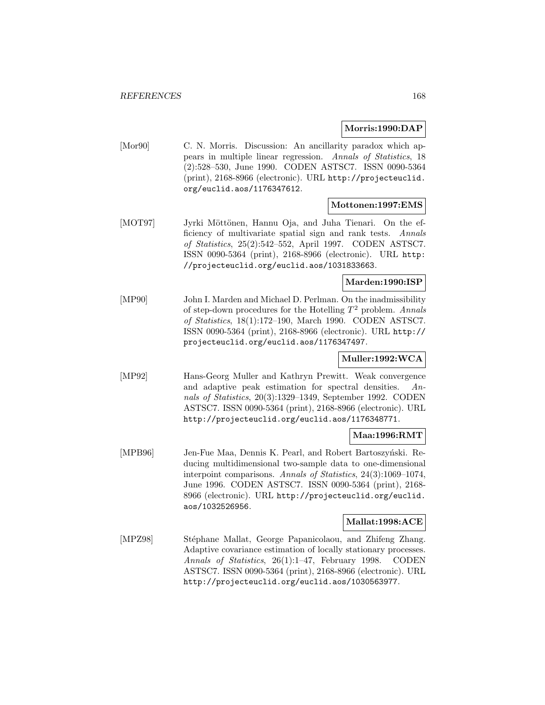### **Morris:1990:DAP**

[Mor90] C. N. Morris. Discussion: An ancillarity paradox which appears in multiple linear regression. Annals of Statistics, 18 (2):528–530, June 1990. CODEN ASTSC7. ISSN 0090-5364 (print), 2168-8966 (electronic). URL http://projecteuclid. org/euclid.aos/1176347612.

#### **Mottonen:1997:EMS**

[MOT97] Jyrki Möttönen, Hannu Oja, and Juha Tienari. On the efficiency of multivariate spatial sign and rank tests. Annals of Statistics, 25(2):542–552, April 1997. CODEN ASTSC7. ISSN 0090-5364 (print), 2168-8966 (electronic). URL http: //projecteuclid.org/euclid.aos/1031833663.

#### **Marden:1990:ISP**

[MP90] John I. Marden and Michael D. Perlman. On the inadmissibility of step-down procedures for the Hotelling  $T^2$  problem. Annals of Statistics, 18(1):172–190, March 1990. CODEN ASTSC7. ISSN 0090-5364 (print), 2168-8966 (electronic). URL http:// projecteuclid.org/euclid.aos/1176347497.

## **Muller:1992:WCA**

[MP92] Hans-Georg Muller and Kathryn Prewitt. Weak convergence and adaptive peak estimation for spectral densities. Annals of Statistics, 20(3):1329–1349, September 1992. CODEN ASTSC7. ISSN 0090-5364 (print), 2168-8966 (electronic). URL http://projecteuclid.org/euclid.aos/1176348771.

### **Maa:1996:RMT**

[MPB96] Jen-Fue Maa, Dennis K. Pearl, and Robert Bartoszyński. Reducing multidimensional two-sample data to one-dimensional interpoint comparisons. Annals of Statistics, 24(3):1069–1074, June 1996. CODEN ASTSC7. ISSN 0090-5364 (print), 2168- 8966 (electronic). URL http://projecteuclid.org/euclid. aos/1032526956.

### **Mallat:1998:ACE**

[MPZ98] Stéphane Mallat, George Papanicolaou, and Zhifeng Zhang. Adaptive covariance estimation of locally stationary processes. Annals of Statistics, 26(1):1–47, February 1998. CODEN ASTSC7. ISSN 0090-5364 (print), 2168-8966 (electronic). URL http://projecteuclid.org/euclid.aos/1030563977.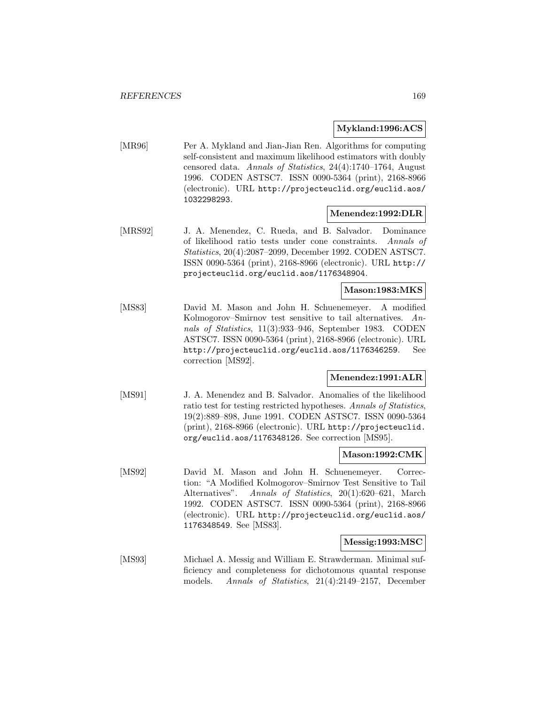#### **Mykland:1996:ACS**

[MR96] Per A. Mykland and Jian-Jian Ren. Algorithms for computing self-consistent and maximum likelihood estimators with doubly censored data. Annals of Statistics, 24(4):1740–1764, August 1996. CODEN ASTSC7. ISSN 0090-5364 (print), 2168-8966 (electronic). URL http://projecteuclid.org/euclid.aos/ 1032298293.

### **Menendez:1992:DLR**

[MRS92] J. A. Menendez, C. Rueda, and B. Salvador. Dominance of likelihood ratio tests under cone constraints. Annals of Statistics, 20(4):2087–2099, December 1992. CODEN ASTSC7. ISSN 0090-5364 (print), 2168-8966 (electronic). URL http:// projecteuclid.org/euclid.aos/1176348904.

#### **Mason:1983:MKS**

[MS83] David M. Mason and John H. Schuenemeyer. A modified Kolmogorov–Smirnov test sensitive to tail alternatives. Annals of Statistics, 11(3):933–946, September 1983. CODEN ASTSC7. ISSN 0090-5364 (print), 2168-8966 (electronic). URL http://projecteuclid.org/euclid.aos/1176346259. See correction [MS92].

### **Menendez:1991:ALR**

[MS91] J. A. Menendez and B. Salvador. Anomalies of the likelihood ratio test for testing restricted hypotheses. Annals of Statistics, 19(2):889–898, June 1991. CODEN ASTSC7. ISSN 0090-5364 (print), 2168-8966 (electronic). URL http://projecteuclid. org/euclid.aos/1176348126. See correction [MS95].

### **Mason:1992:CMK**

[MS92] David M. Mason and John H. Schuenemeyer. Correction: "A Modified Kolmogorov–Smirnov Test Sensitive to Tail Alternatives". Annals of Statistics, 20(1):620–621, March 1992. CODEN ASTSC7. ISSN 0090-5364 (print), 2168-8966 (electronic). URL http://projecteuclid.org/euclid.aos/ 1176348549. See [MS83].

### **Messig:1993:MSC**

[MS93] Michael A. Messig and William E. Strawderman. Minimal sufficiency and completeness for dichotomous quantal response models. Annals of Statistics, 21(4):2149–2157, December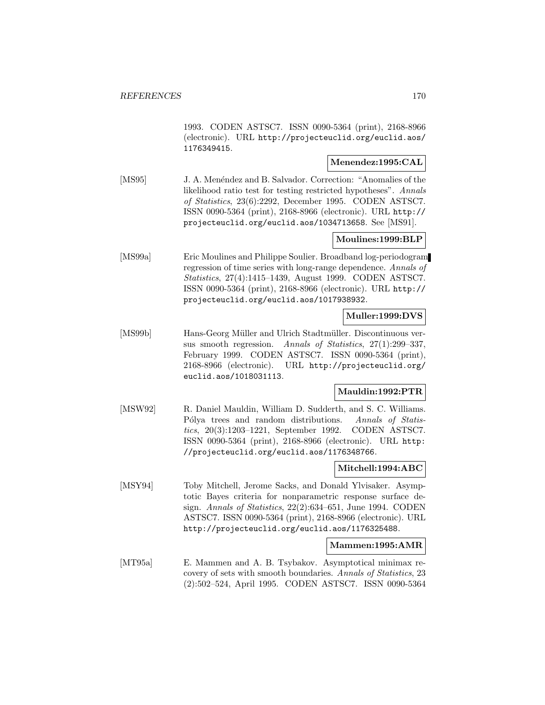1993. CODEN ASTSC7. ISSN 0090-5364 (print), 2168-8966 (electronic). URL http://projecteuclid.org/euclid.aos/ 1176349415.

## **Menendez:1995:CAL**

[MS95] J. A. Menéndez and B. Salvador. Correction: "Anomalies of the likelihood ratio test for testing restricted hypotheses". Annals of Statistics, 23(6):2292, December 1995. CODEN ASTSC7. ISSN 0090-5364 (print), 2168-8966 (electronic). URL http:// projecteuclid.org/euclid.aos/1034713658. See [MS91].

## **Moulines:1999:BLP**

[MS99a] Eric Moulines and Philippe Soulier. Broadband log-periodogram regression of time series with long-range dependence. Annals of Statistics, 27(4):1415–1439, August 1999. CODEN ASTSC7. ISSN 0090-5364 (print), 2168-8966 (electronic). URL http:// projecteuclid.org/euclid.aos/1017938932.

### **Muller:1999:DVS**

[MS99b] Hans-Georg Müller and Ulrich Stadtmüller. Discontinuous versus smooth regression. Annals of Statistics, 27(1):299–337, February 1999. CODEN ASTSC7. ISSN 0090-5364 (print), 2168-8966 (electronic). URL http://projecteuclid.org/ euclid.aos/1018031113.

## **Mauldin:1992:PTR**

[MSW92] R. Daniel Mauldin, William D. Sudderth, and S. C. Williams. Pólya trees and random distributions. Annals of Statistics, 20(3):1203–1221, September 1992. CODEN ASTSC7. ISSN 0090-5364 (print), 2168-8966 (electronic). URL http: //projecteuclid.org/euclid.aos/1176348766.

## **Mitchell:1994:ABC**

[MSY94] Toby Mitchell, Jerome Sacks, and Donald Ylvisaker. Asymptotic Bayes criteria for nonparametric response surface design. Annals of Statistics, 22(2):634–651, June 1994. CODEN ASTSC7. ISSN 0090-5364 (print), 2168-8966 (electronic). URL http://projecteuclid.org/euclid.aos/1176325488.

### **Mammen:1995:AMR**

[MT95a] E. Mammen and A. B. Tsybakov. Asymptotical minimax recovery of sets with smooth boundaries. Annals of Statistics, 23 (2):502–524, April 1995. CODEN ASTSC7. ISSN 0090-5364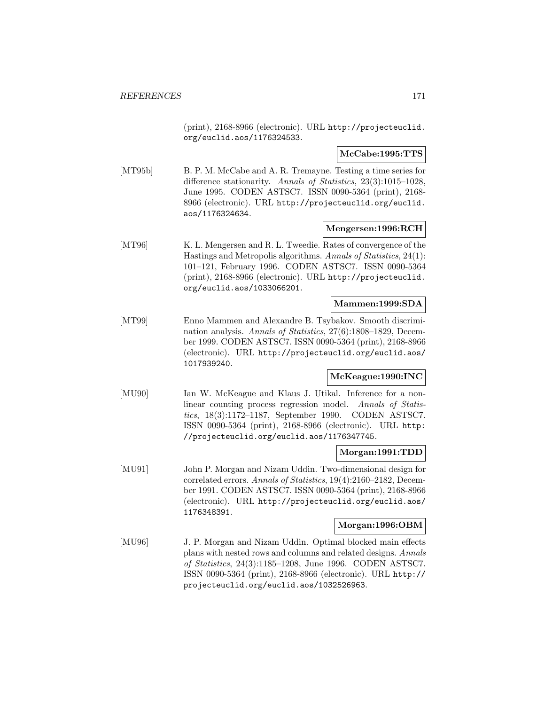(print), 2168-8966 (electronic). URL http://projecteuclid. org/euclid.aos/1176324533.

**McCabe:1995:TTS**

[MT95b] B. P. M. McCabe and A. R. Tremayne. Testing a time series for difference stationarity. Annals of Statistics, 23(3):1015–1028, June 1995. CODEN ASTSC7. ISSN 0090-5364 (print), 2168- 8966 (electronic). URL http://projecteuclid.org/euclid. aos/1176324634.

#### **Mengersen:1996:RCH**

[MT96] K. L. Mengersen and R. L. Tweedie. Rates of convergence of the Hastings and Metropolis algorithms. Annals of Statistics, 24(1): 101–121, February 1996. CODEN ASTSC7. ISSN 0090-5364 (print), 2168-8966 (electronic). URL http://projecteuclid. org/euclid.aos/1033066201.

#### **Mammen:1999:SDA**

[MT99] Enno Mammen and Alexandre B. Tsybakov. Smooth discrimination analysis. Annals of Statistics, 27(6):1808–1829, December 1999. CODEN ASTSC7. ISSN 0090-5364 (print), 2168-8966 (electronic). URL http://projecteuclid.org/euclid.aos/ 1017939240.

### **McKeague:1990:INC**

[MU90] Ian W. McKeague and Klaus J. Utikal. Inference for a nonlinear counting process regression model. Annals of Statistics, 18(3):1172–1187, September 1990. CODEN ASTSC7. ISSN 0090-5364 (print), 2168-8966 (electronic). URL http: //projecteuclid.org/euclid.aos/1176347745.

### **Morgan:1991:TDD**

[MU91] John P. Morgan and Nizam Uddin. Two-dimensional design for correlated errors. Annals of Statistics, 19(4):2160–2182, December 1991. CODEN ASTSC7. ISSN 0090-5364 (print), 2168-8966 (electronic). URL http://projecteuclid.org/euclid.aos/ 1176348391.

#### **Morgan:1996:OBM**

[MU96] J. P. Morgan and Nizam Uddin. Optimal blocked main effects plans with nested rows and columns and related designs. Annals of Statistics, 24(3):1185–1208, June 1996. CODEN ASTSC7. ISSN 0090-5364 (print), 2168-8966 (electronic). URL http:// projecteuclid.org/euclid.aos/1032526963.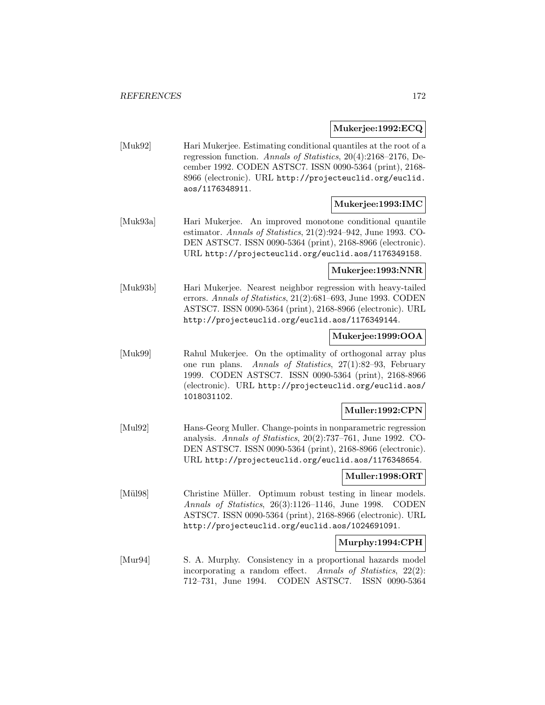**Mukerjee:1992:ECQ**

[Muk92] Hari Mukerjee. Estimating conditional quantiles at the root of a regression function. Annals of Statistics, 20(4):2168–2176, December 1992. CODEN ASTSC7. ISSN 0090-5364 (print), 2168- 8966 (electronic). URL http://projecteuclid.org/euclid. aos/1176348911.

### **Mukerjee:1993:IMC**

[Muk93a] Hari Mukerjee. An improved monotone conditional quantile estimator. Annals of Statistics, 21(2):924–942, June 1993. CO-DEN ASTSC7. ISSN 0090-5364 (print), 2168-8966 (electronic). URL http://projecteuclid.org/euclid.aos/1176349158.

### **Mukerjee:1993:NNR**

[Muk93b] Hari Mukerjee. Nearest neighbor regression with heavy-tailed errors. Annals of Statistics, 21(2):681–693, June 1993. CODEN ASTSC7. ISSN 0090-5364 (print), 2168-8966 (electronic). URL http://projecteuclid.org/euclid.aos/1176349144.

### **Mukerjee:1999:OOA**

[Muk99] Rahul Mukerjee. On the optimality of orthogonal array plus one run plans. Annals of Statistics, 27(1):82–93, February 1999. CODEN ASTSC7. ISSN 0090-5364 (print), 2168-8966 (electronic). URL http://projecteuclid.org/euclid.aos/ 1018031102.

## **Muller:1992:CPN**

[Mul92] Hans-Georg Muller. Change-points in nonparametric regression analysis. Annals of Statistics, 20(2):737–761, June 1992. CO-DEN ASTSC7. ISSN 0090-5364 (print), 2168-8966 (electronic). URL http://projecteuclid.org/euclid.aos/1176348654.

### **Muller:1998:ORT**

[Mül98] Christine Müller. Optimum robust testing in linear models. Annals of Statistics, 26(3):1126–1146, June 1998. CODEN ASTSC7. ISSN 0090-5364 (print), 2168-8966 (electronic). URL http://projecteuclid.org/euclid.aos/1024691091.

### **Murphy:1994:CPH**

[Mur94] S. A. Murphy. Consistency in a proportional hazards model incorporating a random effect. Annals of Statistics, 22(2): 712–731, June 1994. CODEN ASTSC7. ISSN 0090-5364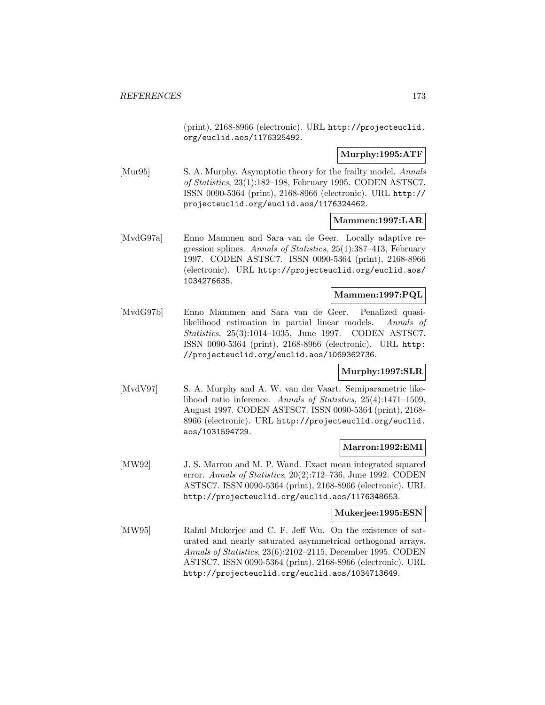(print), 2168-8966 (electronic). URL http://projecteuclid. org/euclid.aos/1176325492.

### **Murphy:1995:ATF**

[Mur95] S. A. Murphy. Asymptotic theory for the frailty model. Annals of Statistics, 23(1):182–198, February 1995. CODEN ASTSC7. ISSN 0090-5364 (print), 2168-8966 (electronic). URL http:// projecteuclid.org/euclid.aos/1176324462.

### **Mammen:1997:LAR**

[MvdG97a] Enno Mammen and Sara van de Geer. Locally adaptive regression splines. Annals of Statistics, 25(1):387–413, February 1997. CODEN ASTSC7. ISSN 0090-5364 (print), 2168-8966 (electronic). URL http://projecteuclid.org/euclid.aos/ 1034276635.

### **Mammen:1997:PQL**

[MvdG97b] Enno Mammen and Sara van de Geer. Penalized quasilikelihood estimation in partial linear models. Annals of Statistics, 25(3):1014–1035, June 1997. CODEN ASTSC7. ISSN 0090-5364 (print), 2168-8966 (electronic). URL http: //projecteuclid.org/euclid.aos/1069362736.

### **Murphy:1997:SLR**

[MvdV97] S. A. Murphy and A. W. van der Vaart. Semiparametric likelihood ratio inference. Annals of Statistics, 25(4):1471–1509, August 1997. CODEN ASTSC7. ISSN 0090-5364 (print), 2168- 8966 (electronic). URL http://projecteuclid.org/euclid. aos/1031594729.

### **Marron:1992:EMI**

[MW92] J. S. Marron and M. P. Wand. Exact mean integrated squared error. Annals of Statistics, 20(2):712–736, June 1992. CODEN ASTSC7. ISSN 0090-5364 (print), 2168-8966 (electronic). URL http://projecteuclid.org/euclid.aos/1176348653.

### **Mukerjee:1995:ESN**

[MW95] Rahul Mukerjee and C. F. Jeff Wu. On the existence of saturated and nearly saturated asymmetrical orthogonal arrays. Annals of Statistics, 23(6):2102–2115, December 1995. CODEN ASTSC7. ISSN 0090-5364 (print), 2168-8966 (electronic). URL http://projecteuclid.org/euclid.aos/1034713649.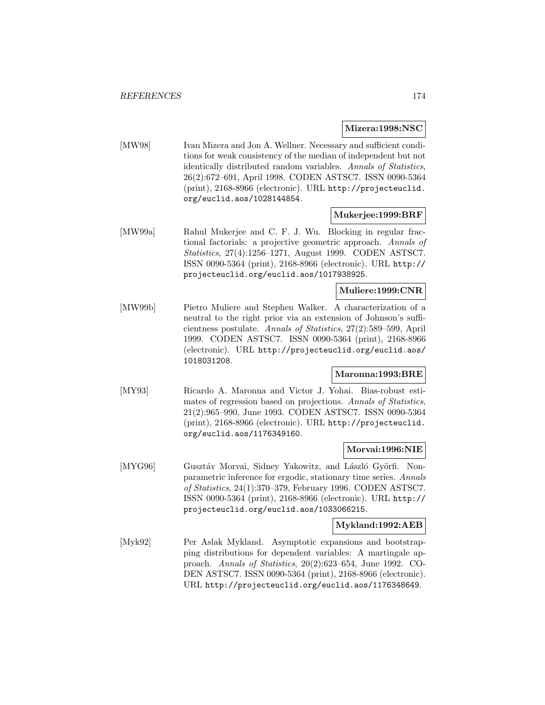### **Mizera:1998:NSC**

[MW98] Ivan Mizera and Jon A. Wellner. Necessary and sufficient conditions for weak consistency of the median of independent but not identically distributed random variables. Annals of Statistics, 26(2):672–691, April 1998. CODEN ASTSC7. ISSN 0090-5364 (print), 2168-8966 (electronic). URL http://projecteuclid. org/euclid.aos/1028144854.

### **Mukerjee:1999:BRF**

[MW99a] Rahul Mukerjee and C. F. J. Wu. Blocking in regular fractional factorials: a projective geometric approach. Annals of Statistics, 27(4):1256–1271, August 1999. CODEN ASTSC7. ISSN 0090-5364 (print), 2168-8966 (electronic). URL http:// projecteuclid.org/euclid.aos/1017938925.

### **Muliere:1999:CNR**

[MW99b] Pietro Muliere and Stephen Walker. A characterization of a neutral to the right prior via an extension of Johnson's sufficientness postulate. Annals of Statistics, 27(2):589–599, April 1999. CODEN ASTSC7. ISSN 0090-5364 (print), 2168-8966 (electronic). URL http://projecteuclid.org/euclid.aos/ 1018031208.

### **Maronna:1993:BRE**

[MY93] Ricardo A. Maronna and Victor J. Yohai. Bias-robust estimates of regression based on projections. Annals of Statistics, 21(2):965–990, June 1993. CODEN ASTSC7. ISSN 0090-5364 (print), 2168-8966 (electronic). URL http://projecteuclid. org/euclid.aos/1176349160.

#### **Morvai:1996:NIE**

[MYG96] Gusztáv Morvai, Sidney Yakowitz, and László Györfi. Nonparametric inference for ergodic, stationary time series. Annals of Statistics, 24(1):370–379, February 1996. CODEN ASTSC7. ISSN 0090-5364 (print), 2168-8966 (electronic). URL http:// projecteuclid.org/euclid.aos/1033066215.

#### **Mykland:1992:AEB**

[Myk92] Per Aslak Mykland. Asymptotic expansions and bootstrapping distributions for dependent variables: A martingale approach. Annals of Statistics, 20(2):623–654, June 1992. CO-DEN ASTSC7. ISSN 0090-5364 (print), 2168-8966 (electronic). URL http://projecteuclid.org/euclid.aos/1176348649.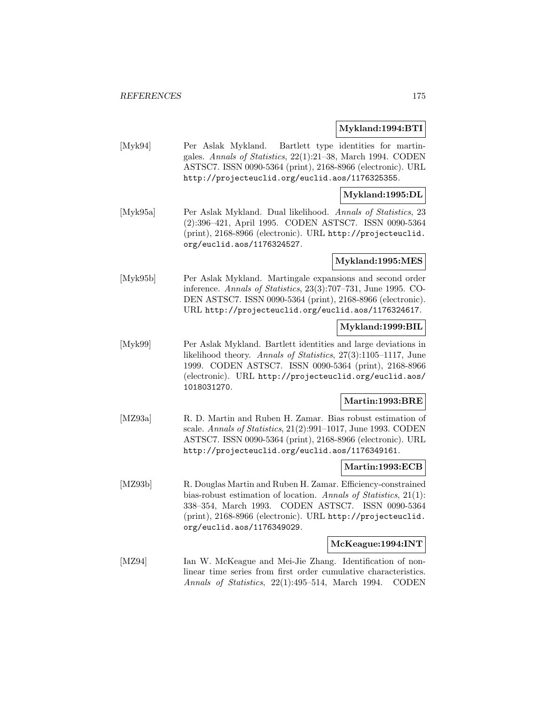### **Mykland:1994:BTI**

[Myk94] Per Aslak Mykland. Bartlett type identities for martingales. Annals of Statistics, 22(1):21–38, March 1994. CODEN ASTSC7. ISSN 0090-5364 (print), 2168-8966 (electronic). URL http://projecteuclid.org/euclid.aos/1176325355.

#### **Mykland:1995:DL**

[Myk95a] Per Aslak Mykland. Dual likelihood. Annals of Statistics, 23 (2):396–421, April 1995. CODEN ASTSC7. ISSN 0090-5364 (print), 2168-8966 (electronic). URL http://projecteuclid. org/euclid.aos/1176324527.

### **Mykland:1995:MES**

[Myk95b] Per Aslak Mykland. Martingale expansions and second order inference. Annals of Statistics, 23(3):707–731, June 1995. CO-DEN ASTSC7. ISSN 0090-5364 (print), 2168-8966 (electronic). URL http://projecteuclid.org/euclid.aos/1176324617.

#### **Mykland:1999:BIL**

[Myk99] Per Aslak Mykland. Bartlett identities and large deviations in likelihood theory. Annals of Statistics, 27(3):1105–1117, June 1999. CODEN ASTSC7. ISSN 0090-5364 (print), 2168-8966 (electronic). URL http://projecteuclid.org/euclid.aos/ 1018031270.

### **Martin:1993:BRE**

[MZ93a] R. D. Martin and Ruben H. Zamar. Bias robust estimation of scale. Annals of Statistics, 21(2):991–1017, June 1993. CODEN ASTSC7. ISSN 0090-5364 (print), 2168-8966 (electronic). URL http://projecteuclid.org/euclid.aos/1176349161.

### **Martin:1993:ECB**

[MZ93b] R. Douglas Martin and Ruben H. Zamar. Efficiency-constrained bias-robust estimation of location. Annals of Statistics, 21(1): 338–354, March 1993. CODEN ASTSC7. ISSN 0090-5364 (print), 2168-8966 (electronic). URL http://projecteuclid. org/euclid.aos/1176349029.

### **McKeague:1994:INT**

[MZ94] Ian W. McKeague and Mei-Jie Zhang. Identification of nonlinear time series from first order cumulative characteristics. Annals of Statistics, 22(1):495–514, March 1994. CODEN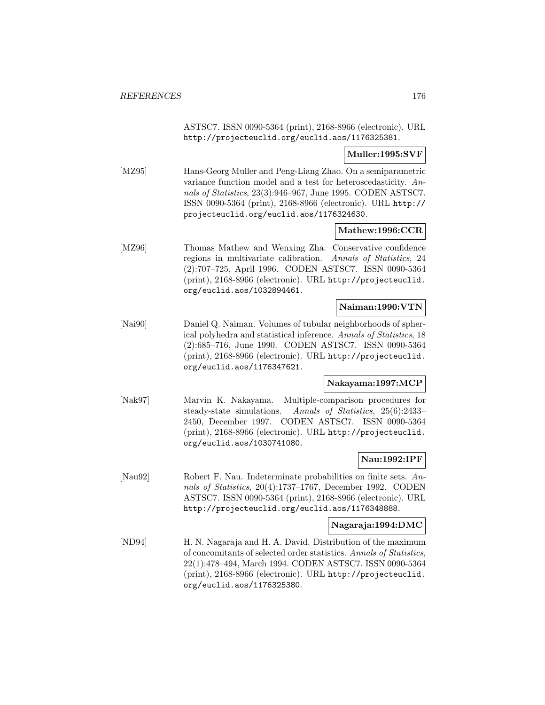ASTSC7. ISSN 0090-5364 (print), 2168-8966 (electronic). URL http://projecteuclid.org/euclid.aos/1176325381.

**Muller:1995:SVF**

[MZ95] Hans-Georg Muller and Peng-Liang Zhao. On a semiparametric variance function model and a test for heteroscedasticity. Annals of Statistics, 23(3):946–967, June 1995. CODEN ASTSC7. ISSN 0090-5364 (print), 2168-8966 (electronic). URL http:// projecteuclid.org/euclid.aos/1176324630.

### **Mathew:1996:CCR**

[MZ96] Thomas Mathew and Wenxing Zha. Conservative confidence regions in multivariate calibration. Annals of Statistics, 24 (2):707–725, April 1996. CODEN ASTSC7. ISSN 0090-5364 (print), 2168-8966 (electronic). URL http://projecteuclid. org/euclid.aos/1032894461.

### **Naiman:1990:VTN**

[Nai90] Daniel Q. Naiman. Volumes of tubular neighborhoods of spherical polyhedra and statistical inference. Annals of Statistics, 18 (2):685–716, June 1990. CODEN ASTSC7. ISSN 0090-5364 (print), 2168-8966 (electronic). URL http://projecteuclid. org/euclid.aos/1176347621.

## **Nakayama:1997:MCP**

[Nak97] Marvin K. Nakayama. Multiple-comparison procedures for steady-state simulations. Annals of Statistics, 25(6):2433– 2450, December 1997. CODEN ASTSC7. ISSN 0090-5364 (print), 2168-8966 (electronic). URL http://projecteuclid. org/euclid.aos/1030741080.

### **Nau:1992:IPF**

[Nau92] Robert F. Nau. Indeterminate probabilities on finite sets. Annals of Statistics, 20(4):1737–1767, December 1992. CODEN ASTSC7. ISSN 0090-5364 (print), 2168-8966 (electronic). URL http://projecteuclid.org/euclid.aos/1176348888.

### **Nagaraja:1994:DMC**

[ND94] H. N. Nagaraja and H. A. David. Distribution of the maximum of concomitants of selected order statistics. Annals of Statistics, 22(1):478–494, March 1994. CODEN ASTSC7. ISSN 0090-5364 (print), 2168-8966 (electronic). URL http://projecteuclid. org/euclid.aos/1176325380.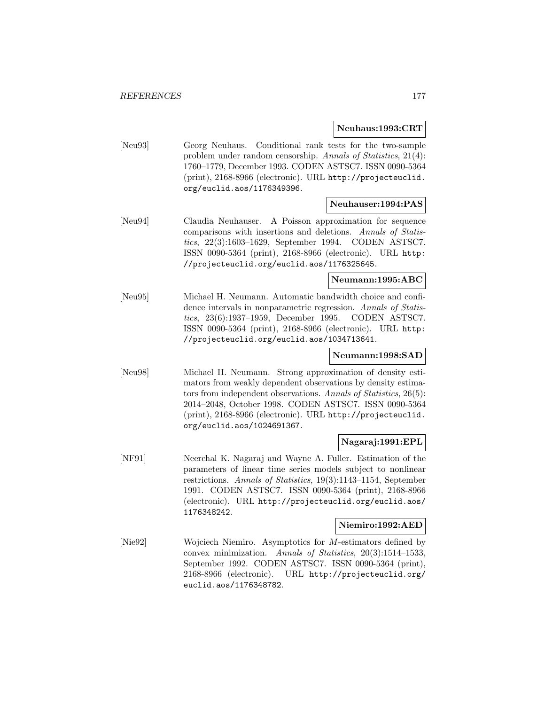**Neuhaus:1993:CRT**

[Neu93] Georg Neuhaus. Conditional rank tests for the two-sample problem under random censorship. Annals of Statistics, 21(4): 1760–1779, December 1993. CODEN ASTSC7. ISSN 0090-5364 (print), 2168-8966 (electronic). URL http://projecteuclid. org/euclid.aos/1176349396.

### **Neuhauser:1994:PAS**

[Neu94] Claudia Neuhauser. A Poisson approximation for sequence comparisons with insertions and deletions. Annals of Statistics, 22(3):1603–1629, September 1994. CODEN ASTSC7. ISSN 0090-5364 (print), 2168-8966 (electronic). URL http: //projecteuclid.org/euclid.aos/1176325645.

# **Neumann:1995:ABC**

[Neu95] Michael H. Neumann. Automatic bandwidth choice and confidence intervals in nonparametric regression. Annals of Statistics, 23(6):1937–1959, December 1995. CODEN ASTSC7. ISSN 0090-5364 (print), 2168-8966 (electronic). URL http: //projecteuclid.org/euclid.aos/1034713641.

### **Neumann:1998:SAD**

[Neu98] Michael H. Neumann. Strong approximation of density estimators from weakly dependent observations by density estimators from independent observations. Annals of Statistics, 26(5): 2014–2048, October 1998. CODEN ASTSC7. ISSN 0090-5364 (print), 2168-8966 (electronic). URL http://projecteuclid. org/euclid.aos/1024691367.

### **Nagaraj:1991:EPL**

[NF91] Neerchal K. Nagaraj and Wayne A. Fuller. Estimation of the parameters of linear time series models subject to nonlinear restrictions. Annals of Statistics, 19(3):1143–1154, September 1991. CODEN ASTSC7. ISSN 0090-5364 (print), 2168-8966 (electronic). URL http://projecteuclid.org/euclid.aos/ 1176348242.

### **Niemiro:1992:AED**

[Nie92] Wojciech Niemiro. Asymptotics for M-estimators defined by convex minimization. Annals of Statistics, 20(3):1514–1533, September 1992. CODEN ASTSC7. ISSN 0090-5364 (print), 2168-8966 (electronic). URL http://projecteuclid.org/ euclid.aos/1176348782.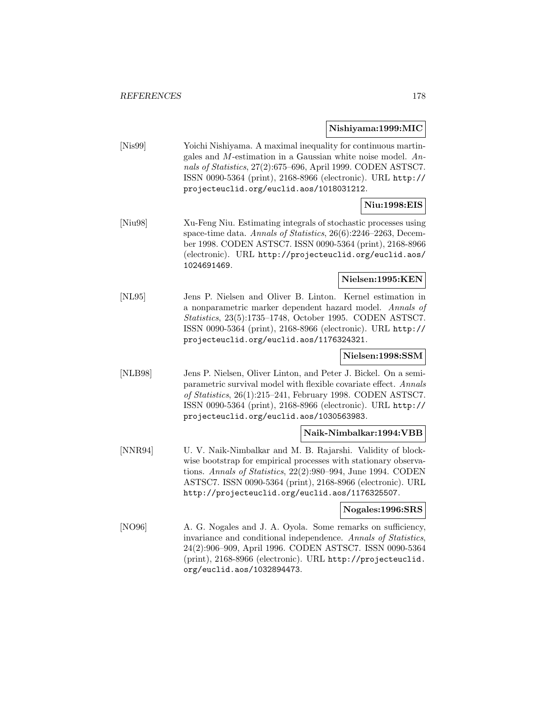#### **Nishiyama:1999:MIC**

[Nis99] Yoichi Nishiyama. A maximal inequality for continuous martingales and M-estimation in a Gaussian white noise model. Annals of Statistics, 27(2):675–696, April 1999. CODEN ASTSC7. ISSN 0090-5364 (print), 2168-8966 (electronic). URL http:// projecteuclid.org/euclid.aos/1018031212.

## **Niu:1998:EIS**

[Niu98] Xu-Feng Niu. Estimating integrals of stochastic processes using space-time data. Annals of Statistics, 26(6):2246-2263, December 1998. CODEN ASTSC7. ISSN 0090-5364 (print), 2168-8966 (electronic). URL http://projecteuclid.org/euclid.aos/ 1024691469.

### **Nielsen:1995:KEN**

[NL95] Jens P. Nielsen and Oliver B. Linton. Kernel estimation in a nonparametric marker dependent hazard model. Annals of Statistics, 23(5):1735–1748, October 1995. CODEN ASTSC7. ISSN 0090-5364 (print), 2168-8966 (electronic). URL http:// projecteuclid.org/euclid.aos/1176324321.

### **Nielsen:1998:SSM**

[NLB98] Jens P. Nielsen, Oliver Linton, and Peter J. Bickel. On a semiparametric survival model with flexible covariate effect. Annals of Statistics, 26(1):215–241, February 1998. CODEN ASTSC7. ISSN 0090-5364 (print), 2168-8966 (electronic). URL http:// projecteuclid.org/euclid.aos/1030563983.

### **Naik-Nimbalkar:1994:VBB**

[NNR94] U. V. Naik-Nimbalkar and M. B. Rajarshi. Validity of blockwise bootstrap for empirical processes with stationary observations. Annals of Statistics, 22(2):980–994, June 1994. CODEN ASTSC7. ISSN 0090-5364 (print), 2168-8966 (electronic). URL http://projecteuclid.org/euclid.aos/1176325507.

#### **Nogales:1996:SRS**

[NO96] A. G. Nogales and J. A. Oyola. Some remarks on sufficiency, invariance and conditional independence. Annals of Statistics, 24(2):906–909, April 1996. CODEN ASTSC7. ISSN 0090-5364 (print), 2168-8966 (electronic). URL http://projecteuclid. org/euclid.aos/1032894473.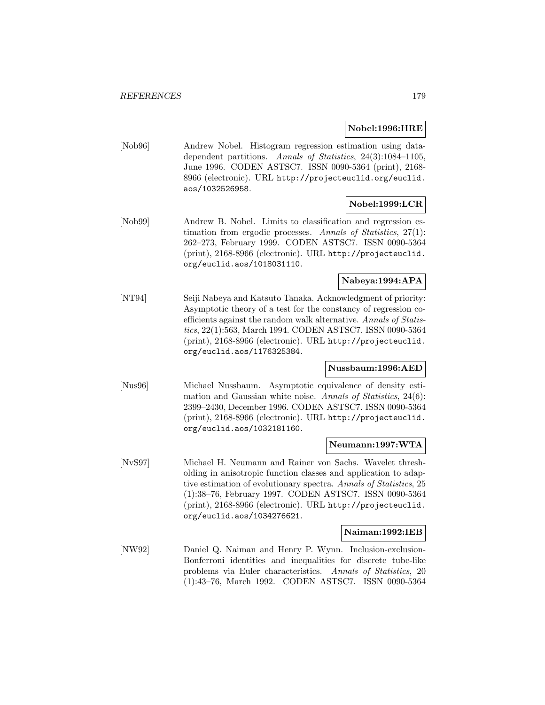### **Nobel:1996:HRE**

[Nob96] Andrew Nobel. Histogram regression estimation using datadependent partitions. Annals of Statistics, 24(3):1084–1105, June 1996. CODEN ASTSC7. ISSN 0090-5364 (print), 2168- 8966 (electronic). URL http://projecteuclid.org/euclid. aos/1032526958.

## **Nobel:1999:LCR**

[Nob99] Andrew B. Nobel. Limits to classification and regression estimation from ergodic processes. Annals of Statistics,  $27(1)$ : 262–273, February 1999. CODEN ASTSC7. ISSN 0090-5364 (print), 2168-8966 (electronic). URL http://projecteuclid. org/euclid.aos/1018031110.

### **Nabeya:1994:APA**

[NT94] Seiji Nabeya and Katsuto Tanaka. Acknowledgment of priority: Asymptotic theory of a test for the constancy of regression coefficients against the random walk alternative. Annals of Statistics, 22(1):563, March 1994. CODEN ASTSC7. ISSN 0090-5364 (print), 2168-8966 (electronic). URL http://projecteuclid. org/euclid.aos/1176325384.

#### **Nussbaum:1996:AED**

[Nus96] Michael Nussbaum. Asymptotic equivalence of density estimation and Gaussian white noise. Annals of Statistics, 24(6): 2399–2430, December 1996. CODEN ASTSC7. ISSN 0090-5364 (print), 2168-8966 (electronic). URL http://projecteuclid. org/euclid.aos/1032181160.

### **Neumann:1997:WTA**

[NvS97] Michael H. Neumann and Rainer von Sachs. Wavelet thresholding in anisotropic function classes and application to adaptive estimation of evolutionary spectra. Annals of Statistics, 25 (1):38–76, February 1997. CODEN ASTSC7. ISSN 0090-5364 (print), 2168-8966 (electronic). URL http://projecteuclid. org/euclid.aos/1034276621.

#### **Naiman:1992:IEB**

[NW92] Daniel Q. Naiman and Henry P. Wynn. Inclusion-exclusion-Bonferroni identities and inequalities for discrete tube-like problems via Euler characteristics. Annals of Statistics, 20 (1):43–76, March 1992. CODEN ASTSC7. ISSN 0090-5364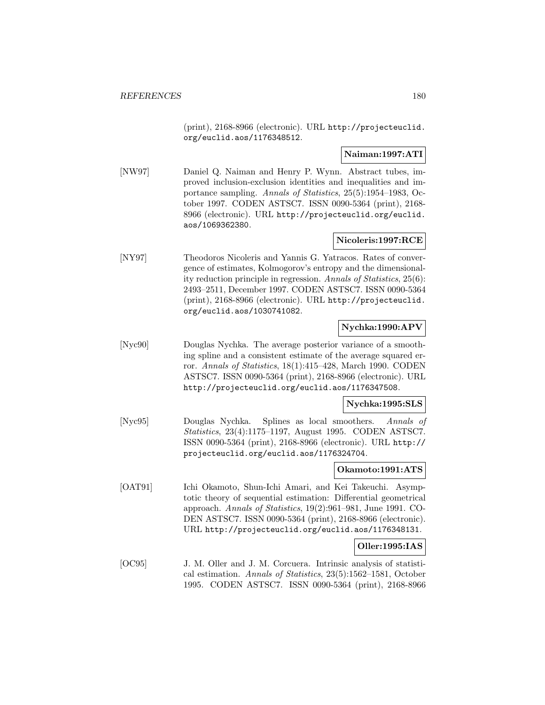(print), 2168-8966 (electronic). URL http://projecteuclid. org/euclid.aos/1176348512.

### **Naiman:1997:ATI**

[NW97] Daniel Q. Naiman and Henry P. Wynn. Abstract tubes, improved inclusion-exclusion identities and inequalities and importance sampling. Annals of Statistics, 25(5):1954–1983, October 1997. CODEN ASTSC7. ISSN 0090-5364 (print), 2168- 8966 (electronic). URL http://projecteuclid.org/euclid. aos/1069362380.

### **Nicoleris:1997:RCE**

[NY97] Theodoros Nicoleris and Yannis G. Yatracos. Rates of convergence of estimates, Kolmogorov's entropy and the dimensionality reduction principle in regression. Annals of Statistics, 25(6): 2493–2511, December 1997. CODEN ASTSC7. ISSN 0090-5364 (print), 2168-8966 (electronic). URL http://projecteuclid. org/euclid.aos/1030741082.

### **Nychka:1990:APV**

[Nyc90] Douglas Nychka. The average posterior variance of a smoothing spline and a consistent estimate of the average squared error. Annals of Statistics, 18(1):415–428, March 1990. CODEN ASTSC7. ISSN 0090-5364 (print), 2168-8966 (electronic). URL http://projecteuclid.org/euclid.aos/1176347508.

#### **Nychka:1995:SLS**

[Nyc95] Douglas Nychka. Splines as local smoothers. Annals of Statistics, 23(4):1175–1197, August 1995. CODEN ASTSC7. ISSN 0090-5364 (print), 2168-8966 (electronic). URL http:// projecteuclid.org/euclid.aos/1176324704.

### **Okamoto:1991:ATS**

[OAT91] Ichi Okamoto, Shun-Ichi Amari, and Kei Takeuchi. Asymptotic theory of sequential estimation: Differential geometrical approach. Annals of Statistics, 19(2):961–981, June 1991. CO-DEN ASTSC7. ISSN 0090-5364 (print), 2168-8966 (electronic). URL http://projecteuclid.org/euclid.aos/1176348131.

### **Oller:1995:IAS**

[OC95] J. M. Oller and J. M. Corcuera. Intrinsic analysis of statistical estimation. Annals of Statistics, 23(5):1562–1581, October 1995. CODEN ASTSC7. ISSN 0090-5364 (print), 2168-8966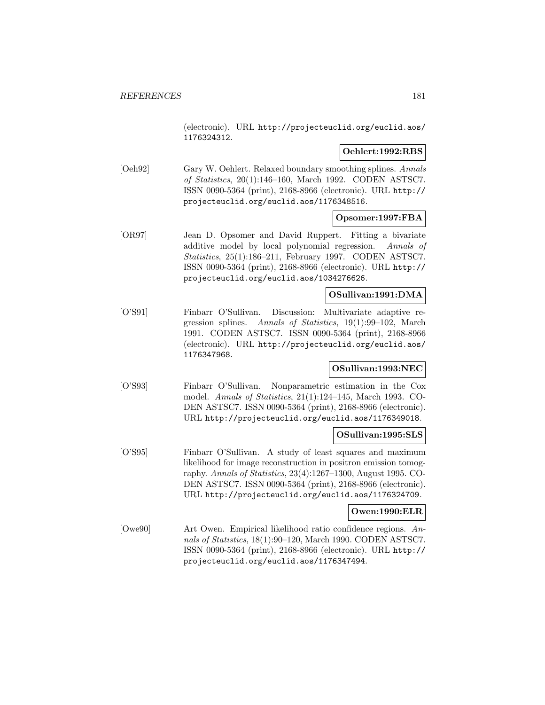(electronic). URL http://projecteuclid.org/euclid.aos/ 1176324312.

## **Oehlert:1992:RBS**

[Oeh92] Gary W. Oehlert. Relaxed boundary smoothing splines. Annals of Statistics, 20(1):146–160, March 1992. CODEN ASTSC7. ISSN 0090-5364 (print), 2168-8966 (electronic). URL http:// projecteuclid.org/euclid.aos/1176348516.

## **Opsomer:1997:FBA**

[OR97] Jean D. Opsomer and David Ruppert. Fitting a bivariate additive model by local polynomial regression. Annals of Statistics, 25(1):186–211, February 1997. CODEN ASTSC7. ISSN 0090-5364 (print), 2168-8966 (electronic). URL http:// projecteuclid.org/euclid.aos/1034276626.

## **OSullivan:1991:DMA**

[O'S91] Finbarr O'Sullivan. Discussion: Multivariate adaptive regression splines. Annals of Statistics, 19(1):99–102, March 1991. CODEN ASTSC7. ISSN 0090-5364 (print), 2168-8966 (electronic). URL http://projecteuclid.org/euclid.aos/ 1176347968.

## **OSullivan:1993:NEC**

[O'S93] Finbarr O'Sullivan. Nonparametric estimation in the Cox model. Annals of Statistics, 21(1):124–145, March 1993. CO-DEN ASTSC7. ISSN 0090-5364 (print), 2168-8966 (electronic). URL http://projecteuclid.org/euclid.aos/1176349018.

#### **OSullivan:1995:SLS**

[O'S95] Finbarr O'Sullivan. A study of least squares and maximum likelihood for image reconstruction in positron emission tomography. Annals of Statistics, 23(4):1267–1300, August 1995. CO-DEN ASTSC7. ISSN 0090-5364 (print), 2168-8966 (electronic). URL http://projecteuclid.org/euclid.aos/1176324709.

## **Owen:1990:ELR**

[Owe90] Art Owen. Empirical likelihood ratio confidence regions. Annals of Statistics, 18(1):90–120, March 1990. CODEN ASTSC7. ISSN 0090-5364 (print), 2168-8966 (electronic). URL http:// projecteuclid.org/euclid.aos/1176347494.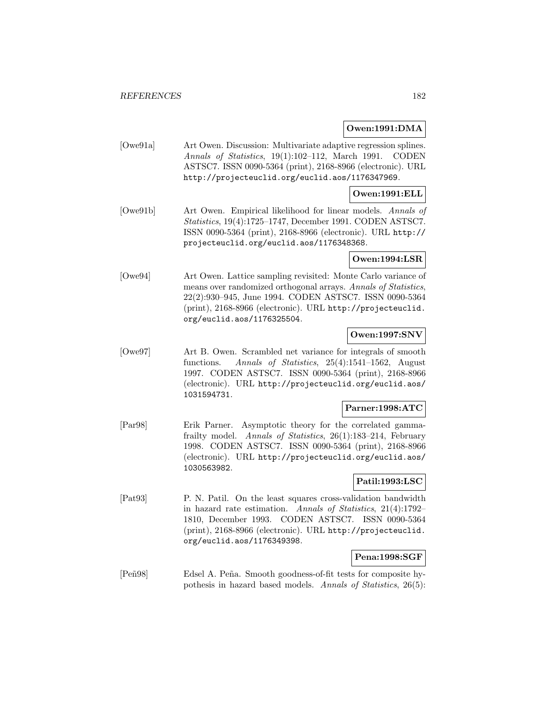## **Owen:1991:DMA**

[Owe91a] Art Owen. Discussion: Multivariate adaptive regression splines. Annals of Statistics, 19(1):102–112, March 1991. CODEN ASTSC7. ISSN 0090-5364 (print), 2168-8966 (electronic). URL http://projecteuclid.org/euclid.aos/1176347969.

## **Owen:1991:ELL**

[Owe91b] Art Owen. Empirical likelihood for linear models. Annals of Statistics, 19(4):1725–1747, December 1991. CODEN ASTSC7. ISSN 0090-5364 (print), 2168-8966 (electronic). URL http:// projecteuclid.org/euclid.aos/1176348368.

## **Owen:1994:LSR**

[Owe94] Art Owen. Lattice sampling revisited: Monte Carlo variance of means over randomized orthogonal arrays. Annals of Statistics, 22(2):930–945, June 1994. CODEN ASTSC7. ISSN 0090-5364 (print), 2168-8966 (electronic). URL http://projecteuclid. org/euclid.aos/1176325504.

## **Owen:1997:SNV**

[Owe97] Art B. Owen. Scrambled net variance for integrals of smooth functions. Annals of Statistics, 25(4):1541–1562, August 1997. CODEN ASTSC7. ISSN 0090-5364 (print), 2168-8966 (electronic). URL http://projecteuclid.org/euclid.aos/ 1031594731.

## **Parner:1998:ATC**

[Par98] Erik Parner. Asymptotic theory for the correlated gammafrailty model. Annals of Statistics, 26(1):183–214, February 1998. CODEN ASTSC7. ISSN 0090-5364 (print), 2168-8966 (electronic). URL http://projecteuclid.org/euclid.aos/ 1030563982.

## **Patil:1993:LSC**

[Pat93] P. N. Patil. On the least squares cross-validation bandwidth in hazard rate estimation. Annals of Statistics, 21(4):1792– 1810, December 1993. CODEN ASTSC7. ISSN 0090-5364 (print), 2168-8966 (electronic). URL http://projecteuclid. org/euclid.aos/1176349398.

## **Pena:1998:SGF**

[Peñ98] Edsel A. Peña. Smooth goodness-of-fit tests for composite hypothesis in hazard based models. Annals of Statistics, 26(5):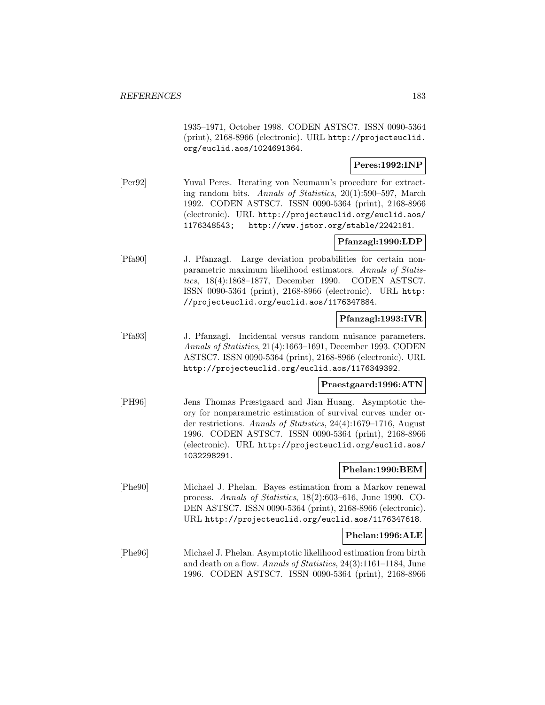1935–1971, October 1998. CODEN ASTSC7. ISSN 0090-5364 (print), 2168-8966 (electronic). URL http://projecteuclid. org/euclid.aos/1024691364.

## **Peres:1992:INP**

[Per92] Yuval Peres. Iterating von Neumann's procedure for extracting random bits. Annals of Statistics, 20(1):590–597, March 1992. CODEN ASTSC7. ISSN 0090-5364 (print), 2168-8966 (electronic). URL http://projecteuclid.org/euclid.aos/ 1176348543; http://www.jstor.org/stable/2242181.

## **Pfanzagl:1990:LDP**

[Pfa90] J. Pfanzagl. Large deviation probabilities for certain nonparametric maximum likelihood estimators. Annals of Statistics, 18(4):1868–1877, December 1990. CODEN ASTSC7. ISSN 0090-5364 (print), 2168-8966 (electronic). URL http: //projecteuclid.org/euclid.aos/1176347884.

## **Pfanzagl:1993:IVR**

[Pfa93] J. Pfanzagl. Incidental versus random nuisance parameters. Annals of Statistics, 21(4):1663–1691, December 1993. CODEN ASTSC7. ISSN 0090-5364 (print), 2168-8966 (electronic). URL http://projecteuclid.org/euclid.aos/1176349392.

## **Praestgaard:1996:ATN**

[PH96] Jens Thomas Præstgaard and Jian Huang. Asymptotic theory for nonparametric estimation of survival curves under order restrictions. Annals of Statistics, 24(4):1679–1716, August 1996. CODEN ASTSC7. ISSN 0090-5364 (print), 2168-8966 (electronic). URL http://projecteuclid.org/euclid.aos/ 1032298291.

## **Phelan:1990:BEM**

[Phe90] Michael J. Phelan. Bayes estimation from a Markov renewal process. Annals of Statistics, 18(2):603–616, June 1990. CO-DEN ASTSC7. ISSN 0090-5364 (print), 2168-8966 (electronic). URL http://projecteuclid.org/euclid.aos/1176347618.

## **Phelan:1996:ALE**

[Phe96] Michael J. Phelan. Asymptotic likelihood estimation from birth and death on a flow. Annals of Statistics, 24(3):1161–1184, June 1996. CODEN ASTSC7. ISSN 0090-5364 (print), 2168-8966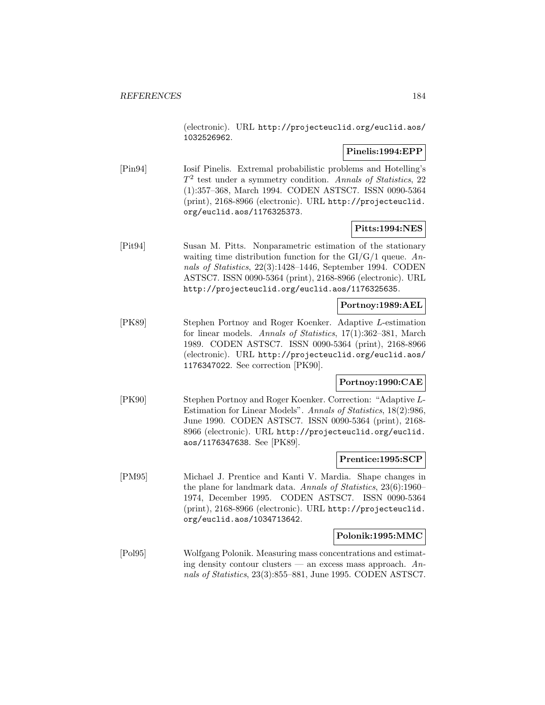(electronic). URL http://projecteuclid.org/euclid.aos/ 1032526962.

## **Pinelis:1994:EPP**

[Pin94] Iosif Pinelis. Extremal probabilistic problems and Hotelling's  $T<sup>2</sup>$  test under a symmetry condition. Annals of Statistics, 22 (1):357–368, March 1994. CODEN ASTSC7. ISSN 0090-5364 (print), 2168-8966 (electronic). URL http://projecteuclid. org/euclid.aos/1176325373.

# **Pitts:1994:NES**

[Pit94] Susan M. Pitts. Nonparametric estimation of the stationary waiting time distribution function for the  $GI/G/1$  queue. Annals of Statistics, 22(3):1428–1446, September 1994. CODEN ASTSC7. ISSN 0090-5364 (print), 2168-8966 (electronic). URL http://projecteuclid.org/euclid.aos/1176325635.

## **Portnoy:1989:AEL**

[PK89] Stephen Portnoy and Roger Koenker. Adaptive L-estimation for linear models. Annals of Statistics, 17(1):362–381, March 1989. CODEN ASTSC7. ISSN 0090-5364 (print), 2168-8966 (electronic). URL http://projecteuclid.org/euclid.aos/ 1176347022. See correction [PK90].

## **Portnoy:1990:CAE**

[PK90] Stephen Portnoy and Roger Koenker. Correction: "Adaptive L-Estimation for Linear Models". Annals of Statistics, 18(2):986, June 1990. CODEN ASTSC7. ISSN 0090-5364 (print), 2168- 8966 (electronic). URL http://projecteuclid.org/euclid. aos/1176347638. See [PK89].

## **Prentice:1995:SCP**

[PM95] Michael J. Prentice and Kanti V. Mardia. Shape changes in the plane for landmark data. Annals of Statistics, 23(6):1960– 1974, December 1995. CODEN ASTSC7. ISSN 0090-5364 (print), 2168-8966 (electronic). URL http://projecteuclid. org/euclid.aos/1034713642.

## **Polonik:1995:MMC**

[Pol95] Wolfgang Polonik. Measuring mass concentrations and estimating density contour clusters — an excess mass approach.  $An$ nals of Statistics, 23(3):855–881, June 1995. CODEN ASTSC7.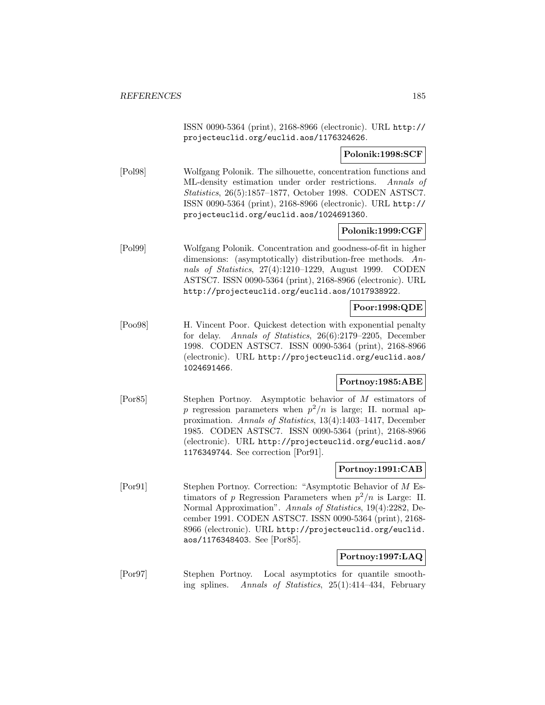ISSN 0090-5364 (print), 2168-8966 (electronic). URL http:// projecteuclid.org/euclid.aos/1176324626.

## **Polonik:1998:SCF**

[Pol98] Wolfgang Polonik. The silhouette, concentration functions and ML-density estimation under order restrictions. Annals of Statistics, 26(5):1857–1877, October 1998. CODEN ASTSC7. ISSN 0090-5364 (print), 2168-8966 (electronic). URL http:// projecteuclid.org/euclid.aos/1024691360.

## **Polonik:1999:CGF**

[Pol99] Wolfgang Polonik. Concentration and goodness-of-fit in higher dimensions: (asymptotically) distribution-free methods. Annals of Statistics, 27(4):1210–1229, August 1999. CODEN ASTSC7. ISSN 0090-5364 (print), 2168-8966 (electronic). URL http://projecteuclid.org/euclid.aos/1017938922.

## **Poor:1998:QDE**

[Poo98] H. Vincent Poor. Quickest detection with exponential penalty for delay. Annals of Statistics, 26(6):2179–2205, December 1998. CODEN ASTSC7. ISSN 0090-5364 (print), 2168-8966 (electronic). URL http://projecteuclid.org/euclid.aos/ 1024691466.

# **Portnoy:1985:ABE**

[Por85] Stephen Portnoy. Asymptotic behavior of M estimators of p regression parameters when  $p^2/n$  is large; II. normal approximation. Annals of Statistics, 13(4):1403–1417, December 1985. CODEN ASTSC7. ISSN 0090-5364 (print), 2168-8966 (electronic). URL http://projecteuclid.org/euclid.aos/ 1176349744. See correction [Por91].

## **Portnoy:1991:CAB**

[Por91] Stephen Portnoy. Correction: "Asymptotic Behavior of M Estimators of p Regression Parameters when  $p^2/n$  is Large: II. Normal Approximation". Annals of Statistics, 19(4):2282, December 1991. CODEN ASTSC7. ISSN 0090-5364 (print), 2168- 8966 (electronic). URL http://projecteuclid.org/euclid. aos/1176348403. See [Por85].

## **Portnoy:1997:LAQ**

[Por97] Stephen Portnoy. Local asymptotics for quantile smoothing splines. Annals of Statistics, 25(1):414–434, February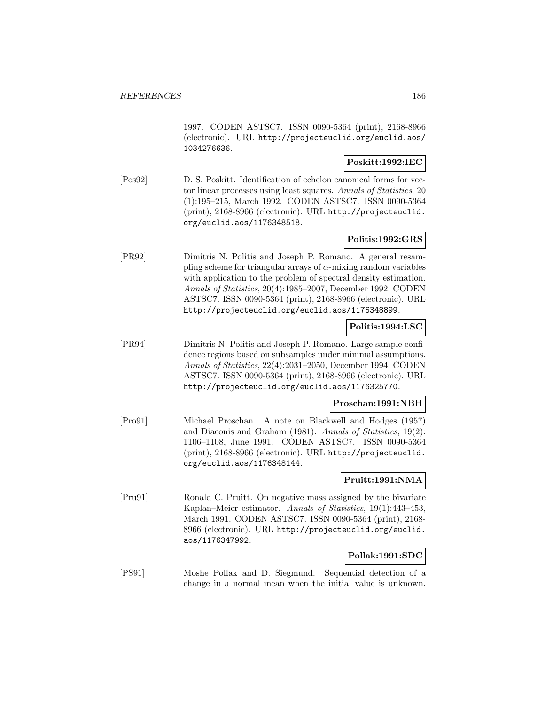1997. CODEN ASTSC7. ISSN 0090-5364 (print), 2168-8966 (electronic). URL http://projecteuclid.org/euclid.aos/ 1034276636.

## **Poskitt:1992:IEC**

[Pos92] D. S. Poskitt. Identification of echelon canonical forms for vector linear processes using least squares. Annals of Statistics, 20 (1):195–215, March 1992. CODEN ASTSC7. ISSN 0090-5364 (print), 2168-8966 (electronic). URL http://projecteuclid. org/euclid.aos/1176348518.

## **Politis:1992:GRS**

[PR92] Dimitris N. Politis and Joseph P. Romano. A general resampling scheme for triangular arrays of  $\alpha$ -mixing random variables with application to the problem of spectral density estimation. Annals of Statistics, 20(4):1985–2007, December 1992. CODEN ASTSC7. ISSN 0090-5364 (print), 2168-8966 (electronic). URL http://projecteuclid.org/euclid.aos/1176348899.

## **Politis:1994:LSC**

[PR94] Dimitris N. Politis and Joseph P. Romano. Large sample confidence regions based on subsamples under minimal assumptions. Annals of Statistics, 22(4):2031–2050, December 1994. CODEN ASTSC7. ISSN 0090-5364 (print), 2168-8966 (electronic). URL http://projecteuclid.org/euclid.aos/1176325770.

#### **Proschan:1991:NBH**

[Pro91] Michael Proschan. A note on Blackwell and Hodges (1957) and Diaconis and Graham (1981). Annals of Statistics, 19(2): 1106–1108, June 1991. CODEN ASTSC7. ISSN 0090-5364 (print), 2168-8966 (electronic). URL http://projecteuclid. org/euclid.aos/1176348144.

## **Pruitt:1991:NMA**

[Pru91] Ronald C. Pruitt. On negative mass assigned by the bivariate Kaplan–Meier estimator. Annals of Statistics, 19(1):443–453, March 1991. CODEN ASTSC7. ISSN 0090-5364 (print), 2168- 8966 (electronic). URL http://projecteuclid.org/euclid. aos/1176347992.

## **Pollak:1991:SDC**

[PS91] Moshe Pollak and D. Siegmund. Sequential detection of a change in a normal mean when the initial value is unknown.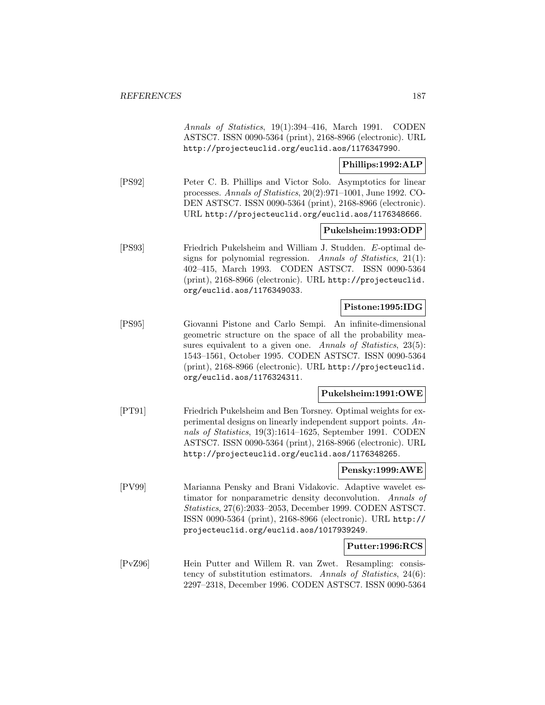Annals of Statistics, 19(1):394–416, March 1991. CODEN ASTSC7. ISSN 0090-5364 (print), 2168-8966 (electronic). URL http://projecteuclid.org/euclid.aos/1176347990.

## **Phillips:1992:ALP**

[PS92] Peter C. B. Phillips and Victor Solo. Asymptotics for linear processes. Annals of Statistics, 20(2):971–1001, June 1992. CO-DEN ASTSC7. ISSN 0090-5364 (print), 2168-8966 (electronic). URL http://projecteuclid.org/euclid.aos/1176348666.

## **Pukelsheim:1993:ODP**

[PS93] Friedrich Pukelsheim and William J. Studden. E-optimal designs for polynomial regression. Annals of Statistics, 21(1): 402–415, March 1993. CODEN ASTSC7. ISSN 0090-5364 (print), 2168-8966 (electronic). URL http://projecteuclid. org/euclid.aos/1176349033.

## **Pistone:1995:IDG**

[PS95] Giovanni Pistone and Carlo Sempi. An infinite-dimensional geometric structure on the space of all the probability measures equivalent to a given one. Annals of Statistics, 23(5): 1543–1561, October 1995. CODEN ASTSC7. ISSN 0090-5364 (print), 2168-8966 (electronic). URL http://projecteuclid. org/euclid.aos/1176324311.

## **Pukelsheim:1991:OWE**

[PT91] Friedrich Pukelsheim and Ben Torsney. Optimal weights for experimental designs on linearly independent support points. Annals of Statistics, 19(3):1614–1625, September 1991. CODEN ASTSC7. ISSN 0090-5364 (print), 2168-8966 (electronic). URL http://projecteuclid.org/euclid.aos/1176348265.

## **Pensky:1999:AWE**

[PV99] Marianna Pensky and Brani Vidakovic. Adaptive wavelet estimator for nonparametric density deconvolution. Annals of Statistics, 27(6):2033–2053, December 1999. CODEN ASTSC7. ISSN 0090-5364 (print), 2168-8966 (electronic). URL http:// projecteuclid.org/euclid.aos/1017939249.

## **Putter:1996:RCS**

[PvZ96] Hein Putter and Willem R. van Zwet. Resampling: consistency of substitution estimators. Annals of Statistics, 24(6): 2297–2318, December 1996. CODEN ASTSC7. ISSN 0090-5364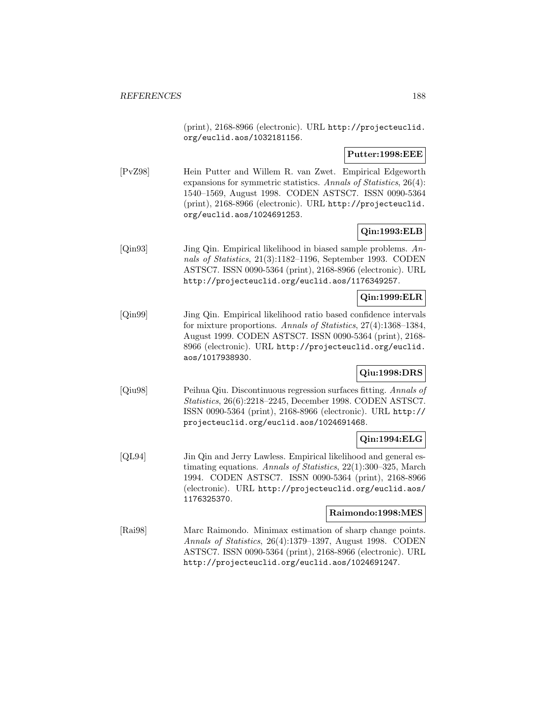(print), 2168-8966 (electronic). URL http://projecteuclid. org/euclid.aos/1032181156.

**Putter:1998:EEE**

[PvZ98] Hein Putter and Willem R. van Zwet. Empirical Edgeworth expansions for symmetric statistics. Annals of Statistics, 26(4): 1540–1569, August 1998. CODEN ASTSC7. ISSN 0090-5364 (print), 2168-8966 (electronic). URL http://projecteuclid. org/euclid.aos/1024691253.

# **Qin:1993:ELB**

[Qin93] Jing Qin. Empirical likelihood in biased sample problems. Annals of Statistics, 21(3):1182–1196, September 1993. CODEN ASTSC7. ISSN 0090-5364 (print), 2168-8966 (electronic). URL http://projecteuclid.org/euclid.aos/1176349257.

## **Qin:1999:ELR**

[Qin99] Jing Qin. Empirical likelihood ratio based confidence intervals for mixture proportions. Annals of Statistics, 27(4):1368–1384, August 1999. CODEN ASTSC7. ISSN 0090-5364 (print), 2168- 8966 (electronic). URL http://projecteuclid.org/euclid. aos/1017938930.

## **Qiu:1998:DRS**

[Qiu98] Peihua Qiu. Discontinuous regression surfaces fitting. Annals of Statistics, 26(6):2218–2245, December 1998. CODEN ASTSC7. ISSN 0090-5364 (print), 2168-8966 (electronic). URL http:// projecteuclid.org/euclid.aos/1024691468.

## **Qin:1994:ELG**

[QL94] Jin Qin and Jerry Lawless. Empirical likelihood and general estimating equations. Annals of Statistics, 22(1):300–325, March 1994. CODEN ASTSC7. ISSN 0090-5364 (print), 2168-8966 (electronic). URL http://projecteuclid.org/euclid.aos/ 1176325370.

## **Raimondo:1998:MES**

[Rai98] Marc Raimondo. Minimax estimation of sharp change points. Annals of Statistics, 26(4):1379–1397, August 1998. CODEN ASTSC7. ISSN 0090-5364 (print), 2168-8966 (electronic). URL http://projecteuclid.org/euclid.aos/1024691247.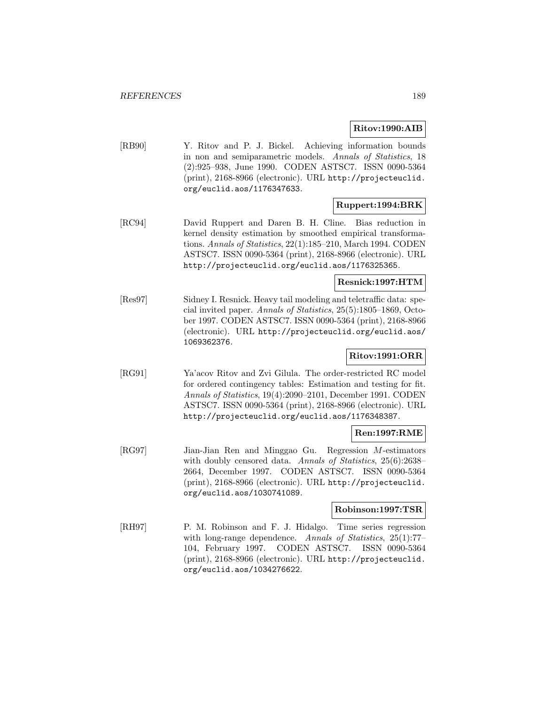## **Ritov:1990:AIB**

[RB90] Y. Ritov and P. J. Bickel. Achieving information bounds in non and semiparametric models. Annals of Statistics, 18 (2):925–938, June 1990. CODEN ASTSC7. ISSN 0090-5364 (print), 2168-8966 (electronic). URL http://projecteuclid. org/euclid.aos/1176347633.

## **Ruppert:1994:BRK**

[RC94] David Ruppert and Daren B. H. Cline. Bias reduction in kernel density estimation by smoothed empirical transformations. Annals of Statistics, 22(1):185–210, March 1994. CODEN ASTSC7. ISSN 0090-5364 (print), 2168-8966 (electronic). URL http://projecteuclid.org/euclid.aos/1176325365.

## **Resnick:1997:HTM**

[Res97] Sidney I. Resnick. Heavy tail modeling and teletraffic data: special invited paper. Annals of Statistics, 25(5):1805–1869, October 1997. CODEN ASTSC7. ISSN 0090-5364 (print), 2168-8966 (electronic). URL http://projecteuclid.org/euclid.aos/ 1069362376.

## **Ritov:1991:ORR**

[RG91] Ya'acov Ritov and Zvi Gilula. The order-restricted RC model for ordered contingency tables: Estimation and testing for fit. Annals of Statistics, 19(4):2090–2101, December 1991. CODEN ASTSC7. ISSN 0090-5364 (print), 2168-8966 (electronic). URL http://projecteuclid.org/euclid.aos/1176348387.

## **Ren:1997:RME**

[RG97] Jian-Jian Ren and Minggao Gu. Regression M-estimators with doubly censored data. Annals of Statistics, 25(6):2638– 2664, December 1997. CODEN ASTSC7. ISSN 0090-5364 (print), 2168-8966 (electronic). URL http://projecteuclid. org/euclid.aos/1030741089.

## **Robinson:1997:TSR**

[RH97] P. M. Robinson and F. J. Hidalgo. Time series regression with long-range dependence. Annals of Statistics, 25(1):77-104, February 1997. CODEN ASTSC7. ISSN 0090-5364 (print), 2168-8966 (electronic). URL http://projecteuclid. org/euclid.aos/1034276622.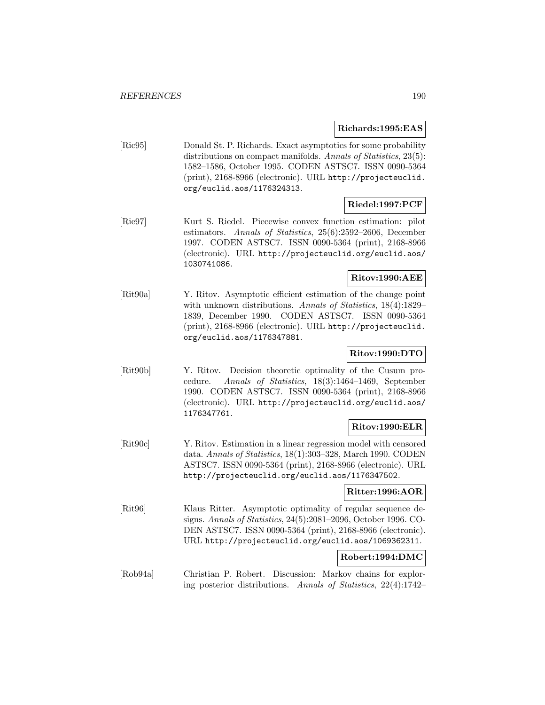## **Richards:1995:EAS**

[Ric95] Donald St. P. Richards. Exact asymptotics for some probability distributions on compact manifolds. Annals of Statistics, 23(5): 1582–1586, October 1995. CODEN ASTSC7. ISSN 0090-5364 (print), 2168-8966 (electronic). URL http://projecteuclid. org/euclid.aos/1176324313.

# **Riedel:1997:PCF**

[Rie97] Kurt S. Riedel. Piecewise convex function estimation: pilot estimators. Annals of Statistics, 25(6):2592–2606, December 1997. CODEN ASTSC7. ISSN 0090-5364 (print), 2168-8966 (electronic). URL http://projecteuclid.org/euclid.aos/ 1030741086.

## **Ritov:1990:AEE**

[Rit90a] Y. Ritov. Asymptotic efficient estimation of the change point with unknown distributions. Annals of Statistics, 18(4):1829– 1839, December 1990. CODEN ASTSC7. ISSN 0090-5364 (print), 2168-8966 (electronic). URL http://projecteuclid. org/euclid.aos/1176347881.

# **Ritov:1990:DTO**

[Rit90b] Y. Ritov. Decision theoretic optimality of the Cusum procedure. Annals of Statistics, 18(3):1464–1469, September 1990. CODEN ASTSC7. ISSN 0090-5364 (print), 2168-8966 (electronic). URL http://projecteuclid.org/euclid.aos/ 1176347761.

## **Ritov:1990:ELR**

[Rit90c] Y. Ritov. Estimation in a linear regression model with censored data. Annals of Statistics, 18(1):303–328, March 1990. CODEN ASTSC7. ISSN 0090-5364 (print), 2168-8966 (electronic). URL http://projecteuclid.org/euclid.aos/1176347502.

## **Ritter:1996:AOR**

[Rit96] Klaus Ritter. Asymptotic optimality of regular sequence designs. Annals of Statistics, 24(5):2081–2096, October 1996. CO-DEN ASTSC7. ISSN 0090-5364 (print), 2168-8966 (electronic). URL http://projecteuclid.org/euclid.aos/1069362311.

# **Robert:1994:DMC**

[Rob94a] Christian P. Robert. Discussion: Markov chains for exploring posterior distributions. Annals of Statistics, 22(4):1742–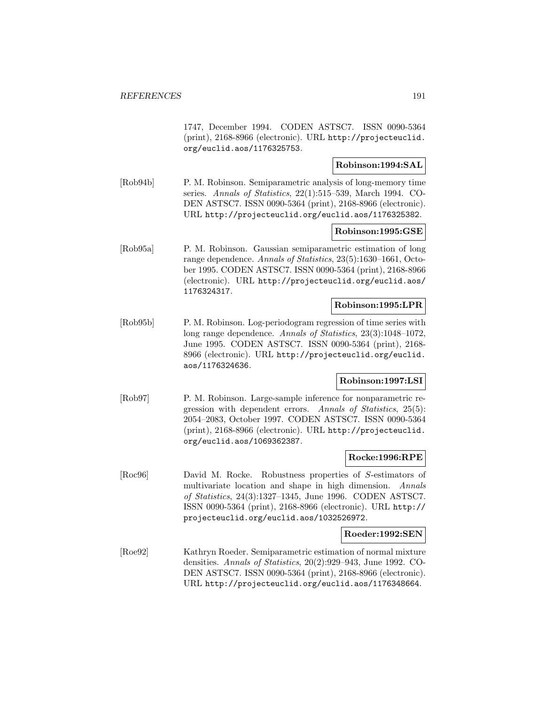1747, December 1994. CODEN ASTSC7. ISSN 0090-5364 (print), 2168-8966 (electronic). URL http://projecteuclid. org/euclid.aos/1176325753.

## **Robinson:1994:SAL**

[Rob94b] P. M. Robinson. Semiparametric analysis of long-memory time series. Annals of Statistics, 22(1):515–539, March 1994. CO-DEN ASTSC7. ISSN 0090-5364 (print), 2168-8966 (electronic). URL http://projecteuclid.org/euclid.aos/1176325382.

#### **Robinson:1995:GSE**

[Rob95a] P. M. Robinson. Gaussian semiparametric estimation of long range dependence. Annals of Statistics, 23(5):1630–1661, October 1995. CODEN ASTSC7. ISSN 0090-5364 (print), 2168-8966 (electronic). URL http://projecteuclid.org/euclid.aos/ 1176324317.

### **Robinson:1995:LPR**

[Rob95b] P. M. Robinson. Log-periodogram regression of time series with long range dependence. Annals of Statistics, 23(3):1048–1072, June 1995. CODEN ASTSC7. ISSN 0090-5364 (print), 2168- 8966 (electronic). URL http://projecteuclid.org/euclid. aos/1176324636.

## **Robinson:1997:LSI**

[Rob97] P. M. Robinson. Large-sample inference for nonparametric regression with dependent errors. Annals of Statistics, 25(5): 2054–2083, October 1997. CODEN ASTSC7. ISSN 0090-5364 (print), 2168-8966 (electronic). URL http://projecteuclid. org/euclid.aos/1069362387.

#### **Rocke:1996:RPE**

[Roc96] David M. Rocke. Robustness properties of S-estimators of multivariate location and shape in high dimension. Annals of Statistics, 24(3):1327–1345, June 1996. CODEN ASTSC7. ISSN 0090-5364 (print), 2168-8966 (electronic). URL http:// projecteuclid.org/euclid.aos/1032526972.

#### **Roeder:1992:SEN**

[Roe92] Kathryn Roeder. Semiparametric estimation of normal mixture densities. Annals of Statistics, 20(2):929–943, June 1992. CO-DEN ASTSC7. ISSN 0090-5364 (print), 2168-8966 (electronic). URL http://projecteuclid.org/euclid.aos/1176348664.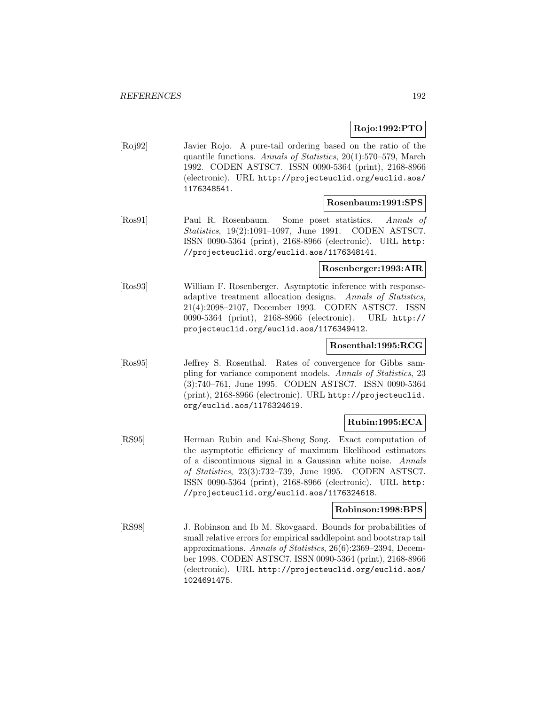## **Rojo:1992:PTO**

[Roj92] Javier Rojo. A pure-tail ordering based on the ratio of the quantile functions. Annals of Statistics, 20(1):570–579, March 1992. CODEN ASTSC7. ISSN 0090-5364 (print), 2168-8966 (electronic). URL http://projecteuclid.org/euclid.aos/ 1176348541.

### **Rosenbaum:1991:SPS**

[Ros91] Paul R. Rosenbaum. Some poset statistics. Annals of Statistics, 19(2):1091–1097, June 1991. CODEN ASTSC7. ISSN 0090-5364 (print), 2168-8966 (electronic). URL http: //projecteuclid.org/euclid.aos/1176348141.

## **Rosenberger:1993:AIR**

[Ros93] William F. Rosenberger. Asymptotic inference with responseadaptive treatment allocation designs. Annals of Statistics, 21(4):2098–2107, December 1993. CODEN ASTSC7. ISSN 0090-5364 (print), 2168-8966 (electronic). URL http:// projecteuclid.org/euclid.aos/1176349412.

#### **Rosenthal:1995:RCG**

[Ros95] Jeffrey S. Rosenthal. Rates of convergence for Gibbs sampling for variance component models. Annals of Statistics, 23 (3):740–761, June 1995. CODEN ASTSC7. ISSN 0090-5364 (print), 2168-8966 (electronic). URL http://projecteuclid. org/euclid.aos/1176324619.

## **Rubin:1995:ECA**

[RS95] Herman Rubin and Kai-Sheng Song. Exact computation of the asymptotic efficiency of maximum likelihood estimators of a discontinuous signal in a Gaussian white noise. Annals of Statistics, 23(3):732–739, June 1995. CODEN ASTSC7. ISSN 0090-5364 (print), 2168-8966 (electronic). URL http: //projecteuclid.org/euclid.aos/1176324618.

## **Robinson:1998:BPS**

[RS98] J. Robinson and Ib M. Skovgaard. Bounds for probabilities of small relative errors for empirical saddlepoint and bootstrap tail approximations. Annals of Statistics, 26(6):2369–2394, December 1998. CODEN ASTSC7. ISSN 0090-5364 (print), 2168-8966 (electronic). URL http://projecteuclid.org/euclid.aos/ 1024691475.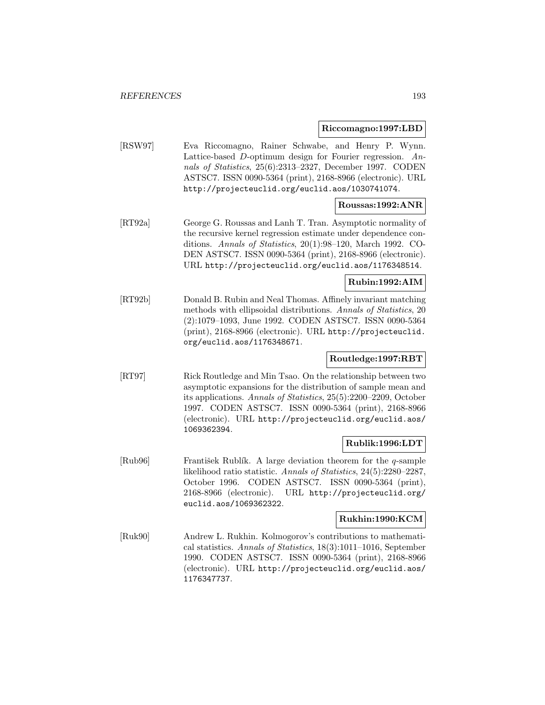## **Riccomagno:1997:LBD**

[RSW97] Eva Riccomagno, Rainer Schwabe, and Henry P. Wynn. Lattice-based D-optimum design for Fourier regression. Annals of Statistics, 25(6):2313–2327, December 1997. CODEN ASTSC7. ISSN 0090-5364 (print), 2168-8966 (electronic). URL http://projecteuclid.org/euclid.aos/1030741074.

# **Roussas:1992:ANR**

[RT92a] George G. Roussas and Lanh T. Tran. Asymptotic normality of the recursive kernel regression estimate under dependence conditions. Annals of Statistics, 20(1):98–120, March 1992. CO-DEN ASTSC7. ISSN 0090-5364 (print), 2168-8966 (electronic). URL http://projecteuclid.org/euclid.aos/1176348514.

## **Rubin:1992:AIM**

[RT92b] Donald B. Rubin and Neal Thomas. Affinely invariant matching methods with ellipsoidal distributions. Annals of Statistics, 20 (2):1079–1093, June 1992. CODEN ASTSC7. ISSN 0090-5364 (print), 2168-8966 (electronic). URL http://projecteuclid. org/euclid.aos/1176348671.

## **Routledge:1997:RBT**

[RT97] Rick Routledge and Min Tsao. On the relationship between two asymptotic expansions for the distribution of sample mean and its applications. Annals of Statistics, 25(5):2200–2209, October 1997. CODEN ASTSC7. ISSN 0090-5364 (print), 2168-8966 (electronic). URL http://projecteuclid.org/euclid.aos/ 1069362394.

## **Rublik:1996:LDT**

[Rub96] František Rublík. A large deviation theorem for the q-sample likelihood ratio statistic. Annals of Statistics, 24(5):2280–2287, October 1996. CODEN ASTSC7. ISSN 0090-5364 (print), 2168-8966 (electronic). URL http://projecteuclid.org/ euclid.aos/1069362322.

## **Rukhin:1990:KCM**

[Ruk90] Andrew L. Rukhin. Kolmogorov's contributions to mathematical statistics. Annals of Statistics, 18(3):1011–1016, September 1990. CODEN ASTSC7. ISSN 0090-5364 (print), 2168-8966 (electronic). URL http://projecteuclid.org/euclid.aos/ 1176347737.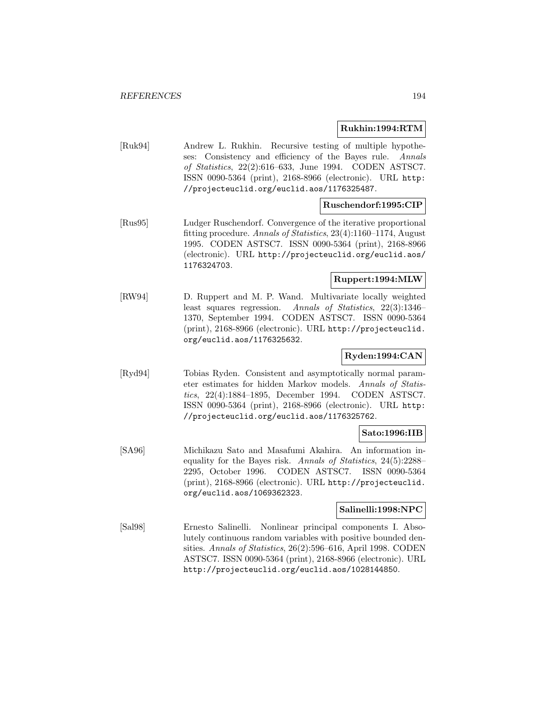## **Rukhin:1994:RTM**

[Ruk94] Andrew L. Rukhin. Recursive testing of multiple hypotheses: Consistency and efficiency of the Bayes rule. Annals of Statistics, 22(2):616–633, June 1994. CODEN ASTSC7. ISSN 0090-5364 (print), 2168-8966 (electronic). URL http: //projecteuclid.org/euclid.aos/1176325487.

## **Ruschendorf:1995:CIP**

[Rus95] Ludger Ruschendorf. Convergence of the iterative proportional fitting procedure. Annals of Statistics, 23(4):1160–1174, August 1995. CODEN ASTSC7. ISSN 0090-5364 (print), 2168-8966 (electronic). URL http://projecteuclid.org/euclid.aos/ 1176324703.

## **Ruppert:1994:MLW**

[RW94] D. Ruppert and M. P. Wand. Multivariate locally weighted least squares regression. Annals of Statistics, 22(3):1346– 1370, September 1994. CODEN ASTSC7. ISSN 0090-5364 (print), 2168-8966 (electronic). URL http://projecteuclid. org/euclid.aos/1176325632.

## **Ryden:1994:CAN**

[Ryd94] Tobias Ryden. Consistent and asymptotically normal parameter estimates for hidden Markov models. Annals of Statistics, 22(4):1884–1895, December 1994. CODEN ASTSC7. ISSN 0090-5364 (print), 2168-8966 (electronic). URL http: //projecteuclid.org/euclid.aos/1176325762.

## **Sato:1996:IIB**

[SA96] Michikazu Sato and Masafumi Akahira. An information inequality for the Bayes risk. Annals of Statistics, 24(5):2288– 2295, October 1996. CODEN ASTSC7. ISSN 0090-5364 (print), 2168-8966 (electronic). URL http://projecteuclid. org/euclid.aos/1069362323.

### **Salinelli:1998:NPC**

[Sal98] Ernesto Salinelli. Nonlinear principal components I. Absolutely continuous random variables with positive bounded densities. Annals of Statistics, 26(2):596–616, April 1998. CODEN ASTSC7. ISSN 0090-5364 (print), 2168-8966 (electronic). URL http://projecteuclid.org/euclid.aos/1028144850.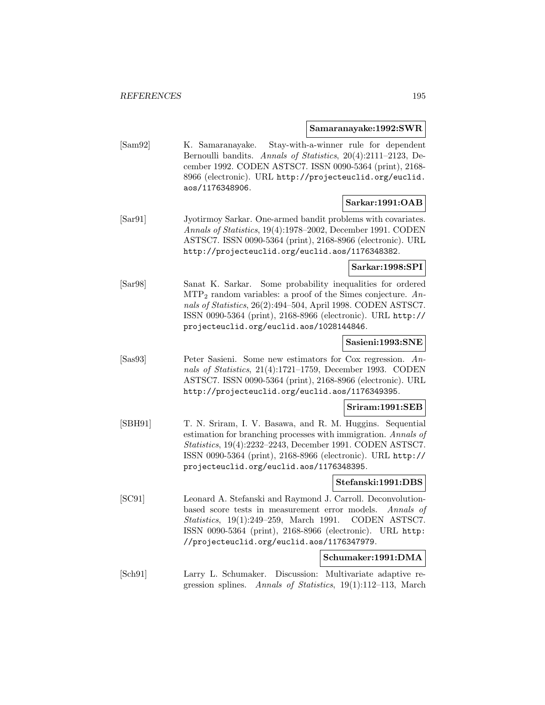#### **Samaranayake:1992:SWR**

[Sam92] K. Samaranayake. Stay-with-a-winner rule for dependent Bernoulli bandits. Annals of Statistics, 20(4):2111–2123, December 1992. CODEN ASTSC7. ISSN 0090-5364 (print), 2168- 8966 (electronic). URL http://projecteuclid.org/euclid. aos/1176348906.

## **Sarkar:1991:OAB**

[Sar91] Jyotirmoy Sarkar. One-armed bandit problems with covariates. Annals of Statistics, 19(4):1978–2002, December 1991. CODEN ASTSC7. ISSN 0090-5364 (print), 2168-8966 (electronic). URL http://projecteuclid.org/euclid.aos/1176348382.

**Sarkar:1998:SPI**

[Sar98] Sanat K. Sarkar. Some probability inequalities for ordered  $\text{MTP}_2$  random variables: a proof of the Simes conjecture. Annals of Statistics, 26(2):494–504, April 1998. CODEN ASTSC7. ISSN 0090-5364 (print), 2168-8966 (electronic). URL http:// projecteuclid.org/euclid.aos/1028144846.

### **Sasieni:1993:SNE**

[Sas93] Peter Sasieni. Some new estimators for Cox regression. Annals of Statistics, 21(4):1721–1759, December 1993. CODEN ASTSC7. ISSN 0090-5364 (print), 2168-8966 (electronic). URL http://projecteuclid.org/euclid.aos/1176349395.

#### **Sriram:1991:SEB**

[SBH91] T. N. Sriram, I. V. Basawa, and R. M. Huggins. Sequential estimation for branching processes with immigration. Annals of Statistics, 19(4):2232–2243, December 1991. CODEN ASTSC7. ISSN 0090-5364 (print), 2168-8966 (electronic). URL http:// projecteuclid.org/euclid.aos/1176348395.

#### **Stefanski:1991:DBS**

[SC91] Leonard A. Stefanski and Raymond J. Carroll. Deconvolutionbased score tests in measurement error models. Annals of Statistics, 19(1):249–259, March 1991. CODEN ASTSC7. ISSN 0090-5364 (print), 2168-8966 (electronic). URL http: //projecteuclid.org/euclid.aos/1176347979.

## **Schumaker:1991:DMA**

[Sch91] Larry L. Schumaker. Discussion: Multivariate adaptive regression splines. Annals of Statistics, 19(1):112–113, March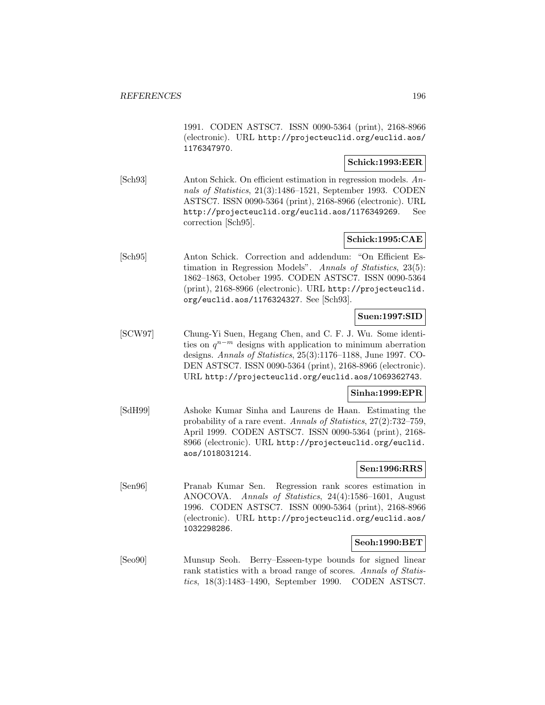1991. CODEN ASTSC7. ISSN 0090-5364 (print), 2168-8966 (electronic). URL http://projecteuclid.org/euclid.aos/ 1176347970.

## **Schick:1993:EER**

[Sch93] Anton Schick. On efficient estimation in regression models. Annals of Statistics, 21(3):1486–1521, September 1993. CODEN ASTSC7. ISSN 0090-5364 (print), 2168-8966 (electronic). URL http://projecteuclid.org/euclid.aos/1176349269. See correction [Sch95].

# **Schick:1995:CAE**

[Sch95] Anton Schick. Correction and addendum: "On Efficient Estimation in Regression Models". Annals of Statistics, 23(5): 1862–1863, October 1995. CODEN ASTSC7. ISSN 0090-5364 (print), 2168-8966 (electronic). URL http://projecteuclid. org/euclid.aos/1176324327. See [Sch93].

## **Suen:1997:SID**

[SCW97] Chung-Yi Suen, Hegang Chen, and C. F. J. Wu. Some identities on  $q^{n-m}$  designs with application to minimum aberration designs. Annals of Statistics, 25(3):1176–1188, June 1997. CO-DEN ASTSC7. ISSN 0090-5364 (print), 2168-8966 (electronic). URL http://projecteuclid.org/euclid.aos/1069362743.

## **Sinha:1999:EPR**

[SdH99] Ashoke Kumar Sinha and Laurens de Haan. Estimating the probability of a rare event. Annals of Statistics, 27(2):732–759, April 1999. CODEN ASTSC7. ISSN 0090-5364 (print), 2168- 8966 (electronic). URL http://projecteuclid.org/euclid. aos/1018031214.

## **Sen:1996:RRS**

[Sen96] Pranab Kumar Sen. Regression rank scores estimation in ANOCOVA. Annals of Statistics, 24(4):1586–1601, August 1996. CODEN ASTSC7. ISSN 0090-5364 (print), 2168-8966 (electronic). URL http://projecteuclid.org/euclid.aos/ 1032298286.

#### **Seoh:1990:BET**

[Seo90] Munsup Seoh. Berry–Esseen-type bounds for signed linear rank statistics with a broad range of scores. Annals of Statistics, 18(3):1483–1490, September 1990. CODEN ASTSC7.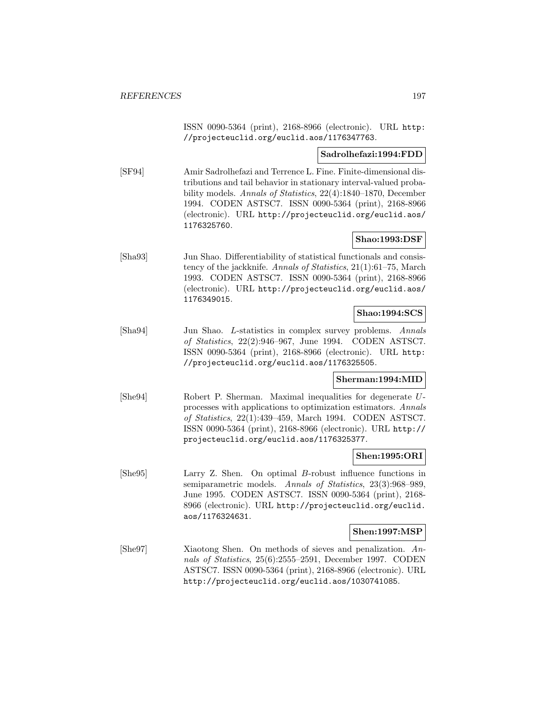ISSN 0090-5364 (print), 2168-8966 (electronic). URL http: //projecteuclid.org/euclid.aos/1176347763.

#### **Sadrolhefazi:1994:FDD**

[SF94] Amir Sadrolhefazi and Terrence L. Fine. Finite-dimensional distributions and tail behavior in stationary interval-valued probability models. Annals of Statistics, 22(4):1840–1870, December 1994. CODEN ASTSC7. ISSN 0090-5364 (print), 2168-8966 (electronic). URL http://projecteuclid.org/euclid.aos/ 1176325760.

## **Shao:1993:DSF**

[Sha93] Jun Shao. Differentiability of statistical functionals and consistency of the jackknife. Annals of Statistics, 21(1):61–75, March 1993. CODEN ASTSC7. ISSN 0090-5364 (print), 2168-8966 (electronic). URL http://projecteuclid.org/euclid.aos/ 1176349015.

## **Shao:1994:SCS**

[Sha94] Jun Shao. L-statistics in complex survey problems. Annals of Statistics, 22(2):946–967, June 1994. CODEN ASTSC7. ISSN 0090-5364 (print), 2168-8966 (electronic). URL http: //projecteuclid.org/euclid.aos/1176325505.

## **Sherman:1994:MID**

[She94] Robert P. Sherman. Maximal inequalities for degenerate Uprocesses with applications to optimization estimators. Annals of Statistics, 22(1):439–459, March 1994. CODEN ASTSC7. ISSN 0090-5364 (print), 2168-8966 (electronic). URL http:// projecteuclid.org/euclid.aos/1176325377.

#### **Shen:1995:ORI**

[She95] Larry Z. Shen. On optimal B-robust influence functions in semiparametric models. Annals of Statistics, 23(3):968-989, June 1995. CODEN ASTSC7. ISSN 0090-5364 (print), 2168- 8966 (electronic). URL http://projecteuclid.org/euclid. aos/1176324631.

#### **Shen:1997:MSP**

[She97] Xiaotong Shen. On methods of sieves and penalization. Annals of Statistics, 25(6):2555–2591, December 1997. CODEN ASTSC7. ISSN 0090-5364 (print), 2168-8966 (electronic). URL http://projecteuclid.org/euclid.aos/1030741085.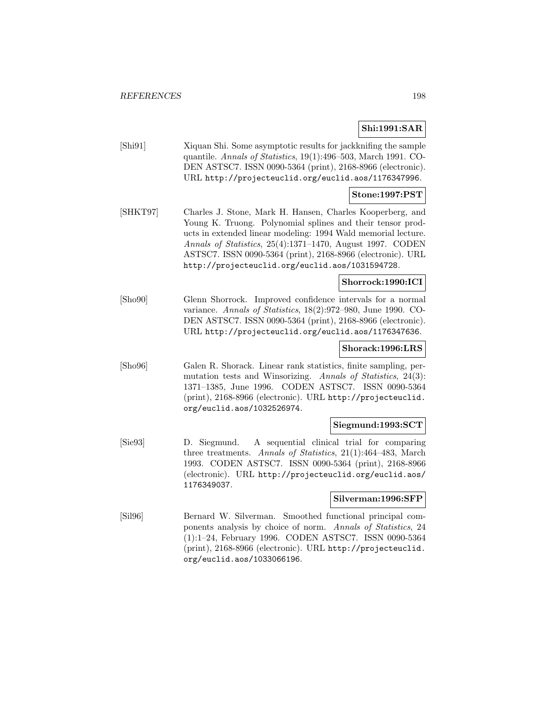# **Shi:1991:SAR**

[Shi91] Xiquan Shi. Some asymptotic results for jackknifing the sample quantile. Annals of Statistics, 19(1):496–503, March 1991. CO-DEN ASTSC7. ISSN 0090-5364 (print), 2168-8966 (electronic). URL http://projecteuclid.org/euclid.aos/1176347996.

### **Stone:1997:PST**

[SHKT97] Charles J. Stone, Mark H. Hansen, Charles Kooperberg, and Young K. Truong. Polynomial splines and their tensor products in extended linear modeling: 1994 Wald memorial lecture. Annals of Statistics, 25(4):1371–1470, August 1997. CODEN ASTSC7. ISSN 0090-5364 (print), 2168-8966 (electronic). URL http://projecteuclid.org/euclid.aos/1031594728.

## **Shorrock:1990:ICI**

[Sho90] Glenn Shorrock. Improved confidence intervals for a normal variance. Annals of Statistics, 18(2):972–980, June 1990. CO-DEN ASTSC7. ISSN 0090-5364 (print), 2168-8966 (electronic). URL http://projecteuclid.org/euclid.aos/1176347636.

### **Shorack:1996:LRS**

[Sho96] Galen R. Shorack. Linear rank statistics, finite sampling, permutation tests and Winsorizing. Annals of Statistics, 24(3): 1371–1385, June 1996. CODEN ASTSC7. ISSN 0090-5364 (print), 2168-8966 (electronic). URL http://projecteuclid. org/euclid.aos/1032526974.

### **Siegmund:1993:SCT**

[Sie93] D. Siegmund. A sequential clinical trial for comparing three treatments. Annals of Statistics, 21(1):464–483, March 1993. CODEN ASTSC7. ISSN 0090-5364 (print), 2168-8966 (electronic). URL http://projecteuclid.org/euclid.aos/ 1176349037.

#### **Silverman:1996:SFP**

[Sil96] Bernard W. Silverman. Smoothed functional principal components analysis by choice of norm. Annals of Statistics, 24 (1):1–24, February 1996. CODEN ASTSC7. ISSN 0090-5364 (print), 2168-8966 (electronic). URL http://projecteuclid. org/euclid.aos/1033066196.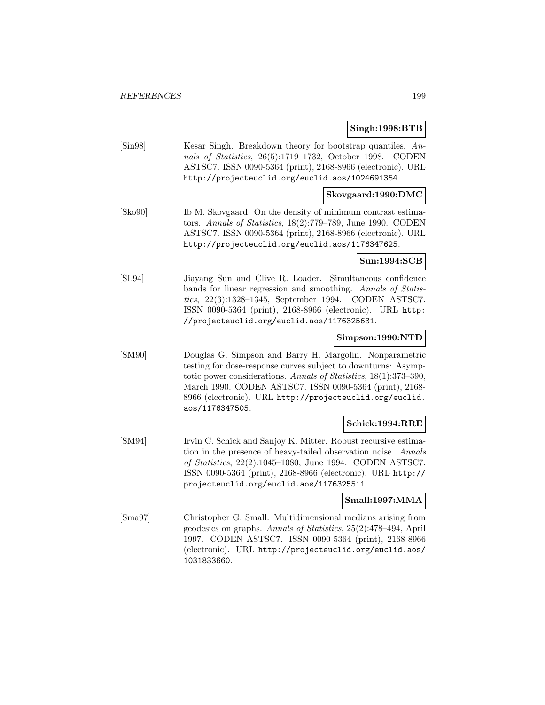## **Singh:1998:BTB**

[Sin98] Kesar Singh. Breakdown theory for bootstrap quantiles. Annals of Statistics, 26(5):1719–1732, October 1998. CODEN ASTSC7. ISSN 0090-5364 (print), 2168-8966 (electronic). URL http://projecteuclid.org/euclid.aos/1024691354.

#### **Skovgaard:1990:DMC**

[Sko90] Ib M. Skovgaard. On the density of minimum contrast estimators. Annals of Statistics, 18(2):779–789, June 1990. CODEN ASTSC7. ISSN 0090-5364 (print), 2168-8966 (electronic). URL http://projecteuclid.org/euclid.aos/1176347625.

## **Sun:1994:SCB**

[SL94] Jiayang Sun and Clive R. Loader. Simultaneous confidence bands for linear regression and smoothing. Annals of Statistics, 22(3):1328–1345, September 1994. CODEN ASTSC7. ISSN 0090-5364 (print), 2168-8966 (electronic). URL http: //projecteuclid.org/euclid.aos/1176325631.

### **Simpson:1990:NTD**

[SM90] Douglas G. Simpson and Barry H. Margolin. Nonparametric testing for dose-response curves subject to downturns: Asymptotic power considerations. Annals of Statistics, 18(1):373–390, March 1990. CODEN ASTSC7. ISSN 0090-5364 (print), 2168- 8966 (electronic). URL http://projecteuclid.org/euclid. aos/1176347505.

## **Schick:1994:RRE**

[SM94] Irvin C. Schick and Sanjoy K. Mitter. Robust recursive estimation in the presence of heavy-tailed observation noise. Annals of Statistics, 22(2):1045–1080, June 1994. CODEN ASTSC7. ISSN 0090-5364 (print), 2168-8966 (electronic). URL http:// projecteuclid.org/euclid.aos/1176325511.

## **Small:1997:MMA**

[Sma97] Christopher G. Small. Multidimensional medians arising from geodesics on graphs. Annals of Statistics, 25(2):478–494, April 1997. CODEN ASTSC7. ISSN 0090-5364 (print), 2168-8966 (electronic). URL http://projecteuclid.org/euclid.aos/ 1031833660.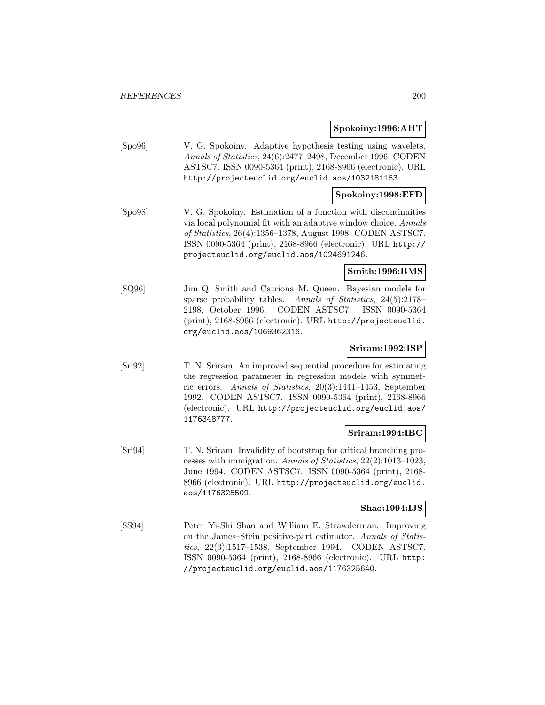#### **Spokoiny:1996:AHT**

[Spo96] V. G. Spokoiny. Adaptive hypothesis testing using wavelets. Annals of Statistics, 24(6):2477–2498, December 1996. CODEN ASTSC7. ISSN 0090-5364 (print), 2168-8966 (electronic). URL http://projecteuclid.org/euclid.aos/1032181163.

### **Spokoiny:1998:EFD**

[Spo98] V. G. Spokoiny. Estimation of a function with discontinuities via local polynomial fit with an adaptive window choice. Annals of Statistics, 26(4):1356–1378, August 1998. CODEN ASTSC7. ISSN 0090-5364 (print), 2168-8966 (electronic). URL http:// projecteuclid.org/euclid.aos/1024691246.

#### **Smith:1996:BMS**

[SQ96] Jim Q. Smith and Catriona M. Queen. Bayesian models for sparse probability tables. Annals of Statistics, 24(5):2178– 2198, October 1996. CODEN ASTSC7. ISSN 0090-5364 (print), 2168-8966 (electronic). URL http://projecteuclid. org/euclid.aos/1069362316.

## **Sriram:1992:ISP**

[Sri92] T. N. Sriram. An improved sequential procedure for estimating the regression parameter in regression models with symmetric errors. Annals of Statistics, 20(3):1441–1453, September 1992. CODEN ASTSC7. ISSN 0090-5364 (print), 2168-8966 (electronic). URL http://projecteuclid.org/euclid.aos/ 1176348777.

#### **Sriram:1994:IBC**

[Sri94] T. N. Sriram. Invalidity of bootstrap for critical branching processes with immigration. Annals of Statistics, 22(2):1013–1023, June 1994. CODEN ASTSC7. ISSN 0090-5364 (print), 2168- 8966 (electronic). URL http://projecteuclid.org/euclid. aos/1176325509.

## **Shao:1994:IJS**

[SS94] Peter Yi-Shi Shao and William E. Strawderman. Improving on the James–Stein positive-part estimator. Annals of Statistics, 22(3):1517–1538, September 1994. CODEN ASTSC7. ISSN 0090-5364 (print), 2168-8966 (electronic). URL http: //projecteuclid.org/euclid.aos/1176325640.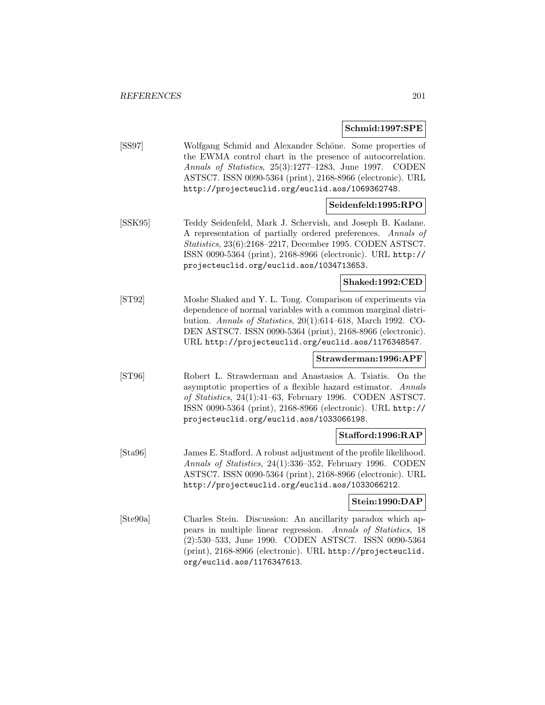**Schmid:1997:SPE**

[SS97] Wolfgang Schmid and Alexander Schöne. Some properties of the EWMA control chart in the presence of autocorrelation. Annals of Statistics, 25(3):1277–1283, June 1997. CODEN ASTSC7. ISSN 0090-5364 (print), 2168-8966 (electronic). URL http://projecteuclid.org/euclid.aos/1069362748.

## **Seidenfeld:1995:RPO**

[SSK95] Teddy Seidenfeld, Mark J. Schervish, and Joseph B. Kadane. A representation of partially ordered preferences. Annals of Statistics, 23(6):2168–2217, December 1995. CODEN ASTSC7. ISSN 0090-5364 (print), 2168-8966 (electronic). URL http:// projecteuclid.org/euclid.aos/1034713653.

## **Shaked:1992:CED**

[ST92] Moshe Shaked and Y. L. Tong. Comparison of experiments via dependence of normal variables with a common marginal distribution. Annals of Statistics, 20(1):614–618, March 1992. CO-DEN ASTSC7. ISSN 0090-5364 (print), 2168-8966 (electronic). URL http://projecteuclid.org/euclid.aos/1176348547.

## **Strawderman:1996:APF**

[ST96] Robert L. Strawderman and Anastasios A. Tsiatis. On the asymptotic properties of a flexible hazard estimator. Annals of Statistics, 24(1):41–63, February 1996. CODEN ASTSC7. ISSN 0090-5364 (print), 2168-8966 (electronic). URL http:// projecteuclid.org/euclid.aos/1033066198.

## **Stafford:1996:RAP**

[Sta96] James E. Stafford. A robust adjustment of the profile likelihood. Annals of Statistics, 24(1):336–352, February 1996. CODEN ASTSC7. ISSN 0090-5364 (print), 2168-8966 (electronic). URL http://projecteuclid.org/euclid.aos/1033066212.

## **Stein:1990:DAP**

[Ste90a] Charles Stein. Discussion: An ancillarity paradox which appears in multiple linear regression. Annals of Statistics, 18 (2):530–533, June 1990. CODEN ASTSC7. ISSN 0090-5364 (print), 2168-8966 (electronic). URL http://projecteuclid. org/euclid.aos/1176347613.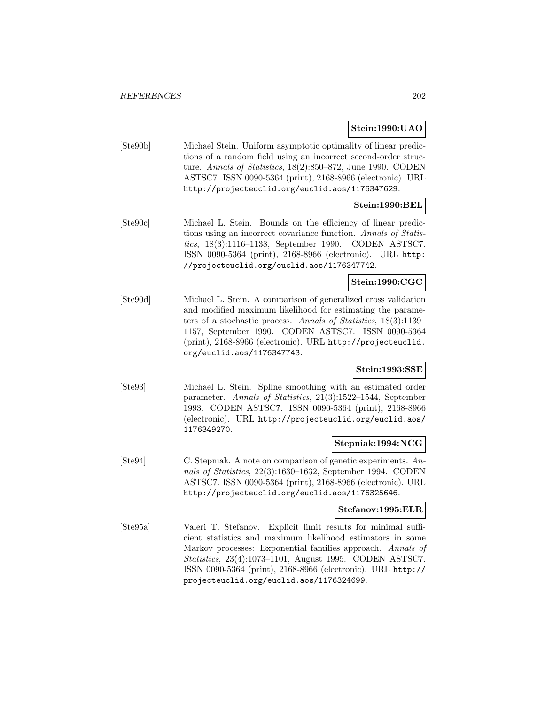## **Stein:1990:UAO**

[Ste90b] Michael Stein. Uniform asymptotic optimality of linear predictions of a random field using an incorrect second-order structure. Annals of Statistics, 18(2):850–872, June 1990. CODEN ASTSC7. ISSN 0090-5364 (print), 2168-8966 (electronic). URL http://projecteuclid.org/euclid.aos/1176347629.

# **Stein:1990:BEL**

[Ste90c] Michael L. Stein. Bounds on the efficiency of linear predictions using an incorrect covariance function. Annals of Statistics, 18(3):1116–1138, September 1990. CODEN ASTSC7. ISSN 0090-5364 (print), 2168-8966 (electronic). URL http: //projecteuclid.org/euclid.aos/1176347742.

## **Stein:1990:CGC**

[Ste90d] Michael L. Stein. A comparison of generalized cross validation and modified maximum likelihood for estimating the parameters of a stochastic process. Annals of Statistics, 18(3):1139– 1157, September 1990. CODEN ASTSC7. ISSN 0090-5364 (print), 2168-8966 (electronic). URL http://projecteuclid. org/euclid.aos/1176347743.

## **Stein:1993:SSE**

[Ste93] Michael L. Stein. Spline smoothing with an estimated order parameter. Annals of Statistics, 21(3):1522–1544, September 1993. CODEN ASTSC7. ISSN 0090-5364 (print), 2168-8966 (electronic). URL http://projecteuclid.org/euclid.aos/ 1176349270.

## **Stepniak:1994:NCG**

[Ste94] C. Stepniak. A note on comparison of genetic experiments. Annals of Statistics, 22(3):1630–1632, September 1994. CODEN ASTSC7. ISSN 0090-5364 (print), 2168-8966 (electronic). URL http://projecteuclid.org/euclid.aos/1176325646.

## **Stefanov:1995:ELR**

[Ste95a] Valeri T. Stefanov. Explicit limit results for minimal sufficient statistics and maximum likelihood estimators in some Markov processes: Exponential families approach. Annals of Statistics, 23(4):1073–1101, August 1995. CODEN ASTSC7. ISSN 0090-5364 (print), 2168-8966 (electronic). URL http:// projecteuclid.org/euclid.aos/1176324699.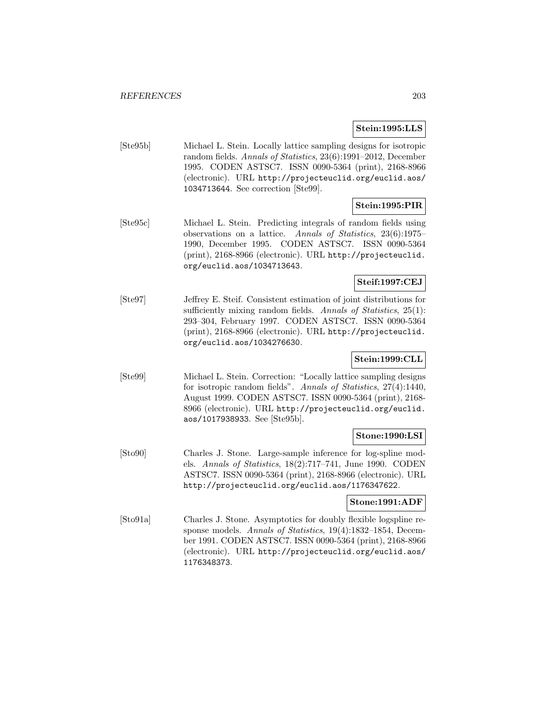## **Stein:1995:LLS**

[Ste95b] Michael L. Stein. Locally lattice sampling designs for isotropic random fields. Annals of Statistics, 23(6):1991–2012, December 1995. CODEN ASTSC7. ISSN 0090-5364 (print), 2168-8966 (electronic). URL http://projecteuclid.org/euclid.aos/ 1034713644. See correction [Ste99].

# **Stein:1995:PIR**

[Ste95c] Michael L. Stein. Predicting integrals of random fields using observations on a lattice. Annals of Statistics, 23(6):1975– 1990, December 1995. CODEN ASTSC7. ISSN 0090-5364 (print), 2168-8966 (electronic). URL http://projecteuclid. org/euclid.aos/1034713643.

## **Steif:1997:CEJ**

[Ste97] Jeffrey E. Steif. Consistent estimation of joint distributions for sufficiently mixing random fields. Annals of Statistics, 25(1): 293–304, February 1997. CODEN ASTSC7. ISSN 0090-5364 (print), 2168-8966 (electronic). URL http://projecteuclid. org/euclid.aos/1034276630.

## **Stein:1999:CLL**

[Ste99] Michael L. Stein. Correction: "Locally lattice sampling designs for isotropic random fields". Annals of Statistics, 27(4):1440, August 1999. CODEN ASTSC7. ISSN 0090-5364 (print), 2168- 8966 (electronic). URL http://projecteuclid.org/euclid. aos/1017938933. See [Ste95b].

## **Stone:1990:LSI**

[Sto90] Charles J. Stone. Large-sample inference for log-spline models. Annals of Statistics, 18(2):717–741, June 1990. CODEN ASTSC7. ISSN 0090-5364 (print), 2168-8966 (electronic). URL http://projecteuclid.org/euclid.aos/1176347622.

## **Stone:1991:ADF**

[Sto91a] Charles J. Stone. Asymptotics for doubly flexible logspline response models. Annals of Statistics, 19(4):1832–1854, December 1991. CODEN ASTSC7. ISSN 0090-5364 (print), 2168-8966 (electronic). URL http://projecteuclid.org/euclid.aos/ 1176348373.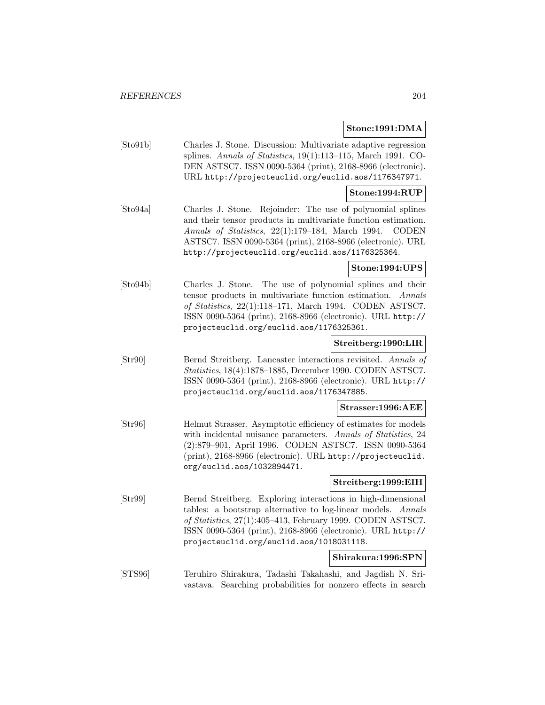#### **Stone:1991:DMA**

[Sto91b] Charles J. Stone. Discussion: Multivariate adaptive regression splines. Annals of Statistics, 19(1):113–115, March 1991. CO-DEN ASTSC7. ISSN 0090-5364 (print), 2168-8966 (electronic). URL http://projecteuclid.org/euclid.aos/1176347971.

## **Stone:1994:RUP**

[Sto94a] Charles J. Stone. Rejoinder: The use of polynomial splines and their tensor products in multivariate function estimation. Annals of Statistics, 22(1):179–184, March 1994. CODEN ASTSC7. ISSN 0090-5364 (print), 2168-8966 (electronic). URL http://projecteuclid.org/euclid.aos/1176325364.

## **Stone:1994:UPS**

[Sto94b] Charles J. Stone. The use of polynomial splines and their tensor products in multivariate function estimation. Annals of Statistics, 22(1):118–171, March 1994. CODEN ASTSC7. ISSN 0090-5364 (print), 2168-8966 (electronic). URL http:// projecteuclid.org/euclid.aos/1176325361.

## **Streitberg:1990:LIR**

[Str90] Bernd Streitberg. Lancaster interactions revisited. Annals of Statistics, 18(4):1878–1885, December 1990. CODEN ASTSC7. ISSN 0090-5364 (print), 2168-8966 (electronic). URL http:// projecteuclid.org/euclid.aos/1176347885.

### **Strasser:1996:AEE**

[Str96] Helmut Strasser. Asymptotic efficiency of estimates for models with incidental nuisance parameters. Annals of Statistics, 24 (2):879–901, April 1996. CODEN ASTSC7. ISSN 0090-5364 (print), 2168-8966 (electronic). URL http://projecteuclid. org/euclid.aos/1032894471.

## **Streitberg:1999:EIH**

[Str99] Bernd Streitberg. Exploring interactions in high-dimensional tables: a bootstrap alternative to log-linear models. Annals of Statistics, 27(1):405–413, February 1999. CODEN ASTSC7. ISSN 0090-5364 (print), 2168-8966 (electronic). URL http:// projecteuclid.org/euclid.aos/1018031118.

## **Shirakura:1996:SPN**

[STS96] Teruhiro Shirakura, Tadashi Takahashi, and Jagdish N. Srivastava. Searching probabilities for nonzero effects in search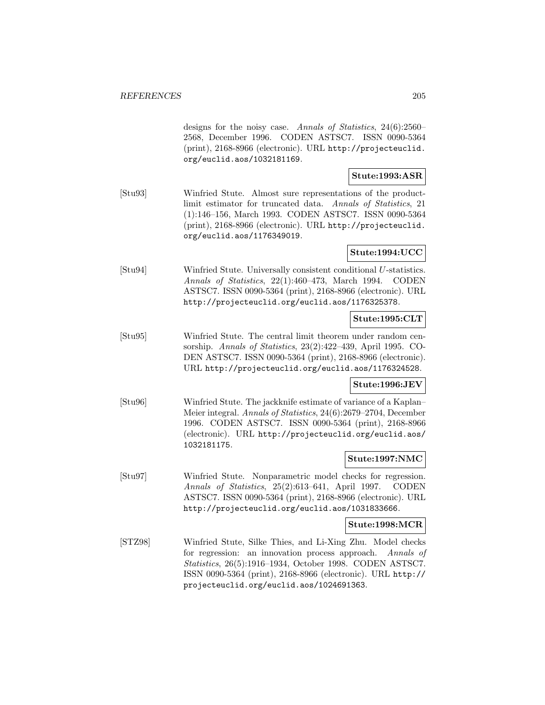designs for the noisy case. Annals of Statistics, 24(6):2560– 2568, December 1996. CODEN ASTSC7. ISSN 0090-5364 (print), 2168-8966 (electronic). URL http://projecteuclid. org/euclid.aos/1032181169.

## **Stute:1993:ASR**

[Stu93] Winfried Stute. Almost sure representations of the productlimit estimator for truncated data. Annals of Statistics, 21 (1):146–156, March 1993. CODEN ASTSC7. ISSN 0090-5364 (print), 2168-8966 (electronic). URL http://projecteuclid. org/euclid.aos/1176349019.

## **Stute:1994:UCC**

[Stu94] Winfried Stute. Universally consistent conditional U-statistics. Annals of Statistics, 22(1):460–473, March 1994. CODEN ASTSC7. ISSN 0090-5364 (print), 2168-8966 (electronic). URL http://projecteuclid.org/euclid.aos/1176325378.

## **Stute:1995:CLT**

[Stu95] Winfried Stute. The central limit theorem under random censorship. Annals of Statistics, 23(2):422–439, April 1995. CO-DEN ASTSC7. ISSN 0090-5364 (print), 2168-8966 (electronic). URL http://projecteuclid.org/euclid.aos/1176324528.

## **Stute:1996:JEV**

[Stu96] Winfried Stute. The jackknife estimate of variance of a Kaplan– Meier integral. Annals of Statistics, 24(6):2679–2704, December 1996. CODEN ASTSC7. ISSN 0090-5364 (print), 2168-8966 (electronic). URL http://projecteuclid.org/euclid.aos/ 1032181175.

## **Stute:1997:NMC**

[Stu97] Winfried Stute. Nonparametric model checks for regression. Annals of Statistics, 25(2):613–641, April 1997. CODEN ASTSC7. ISSN 0090-5364 (print), 2168-8966 (electronic). URL http://projecteuclid.org/euclid.aos/1031833666.

#### **Stute:1998:MCR**

[STZ98] Winfried Stute, Silke Thies, and Li-Xing Zhu. Model checks for regression: an innovation process approach. Annals of Statistics, 26(5):1916–1934, October 1998. CODEN ASTSC7. ISSN 0090-5364 (print), 2168-8966 (electronic). URL http:// projecteuclid.org/euclid.aos/1024691363.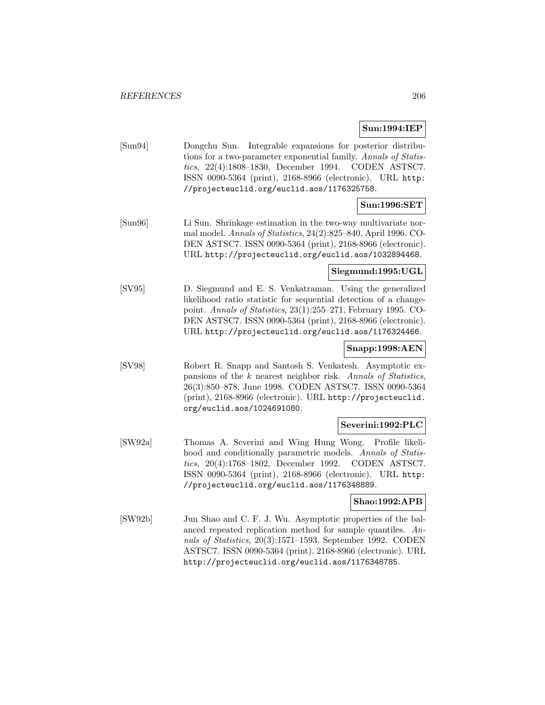## **Sun:1994:IEP**

[Sun94] Dongchu Sun. Integrable expansions for posterior distributions for a two-parameter exponential family. Annals of Statistics, 22(4):1808–1830, December 1994. CODEN ASTSC7. ISSN 0090-5364 (print), 2168-8966 (electronic). URL http: //projecteuclid.org/euclid.aos/1176325758.

# **Sun:1996:SET**

[Sun96] Li Sun. Shrinkage estimation in the two-way multivariate normal model. Annals of Statistics, 24(2):825–840, April 1996. CO-DEN ASTSC7. ISSN 0090-5364 (print), 2168-8966 (electronic). URL http://projecteuclid.org/euclid.aos/1032894468.

## **Siegmund:1995:UGL**

[SV95] D. Siegmund and E. S. Venkatraman. Using the generalized likelihood ratio statistic for sequential detection of a changepoint. Annals of Statistics, 23(1):255–271, February 1995. CO-DEN ASTSC7. ISSN 0090-5364 (print), 2168-8966 (electronic). URL http://projecteuclid.org/euclid.aos/1176324466.

## **Snapp:1998:AEN**

[SV98] Robert R. Snapp and Santosh S. Venkatesh. Asymptotic expansions of the k nearest neighbor risk. Annals of Statistics, 26(3):850–878, June 1998. CODEN ASTSC7. ISSN 0090-5364 (print), 2168-8966 (electronic). URL http://projecteuclid. org/euclid.aos/1024691080.

## **Severini:1992:PLC**

[SW92a] Thomas A. Severini and Wing Hung Wong. Profile likelihood and conditionally parametric models. Annals of Statistics, 20(4):1768–1802, December 1992. CODEN ASTSC7. ISSN 0090-5364 (print), 2168-8966 (electronic). URL http: //projecteuclid.org/euclid.aos/1176348889.

## **Shao:1992:APB**

[SW92b] Jun Shao and C. F. J. Wu. Asymptotic properties of the balanced repeated replication method for sample quantiles. Annals of Statistics, 20(3):1571–1593, September 1992. CODEN ASTSC7. ISSN 0090-5364 (print), 2168-8966 (electronic). URL http://projecteuclid.org/euclid.aos/1176348785.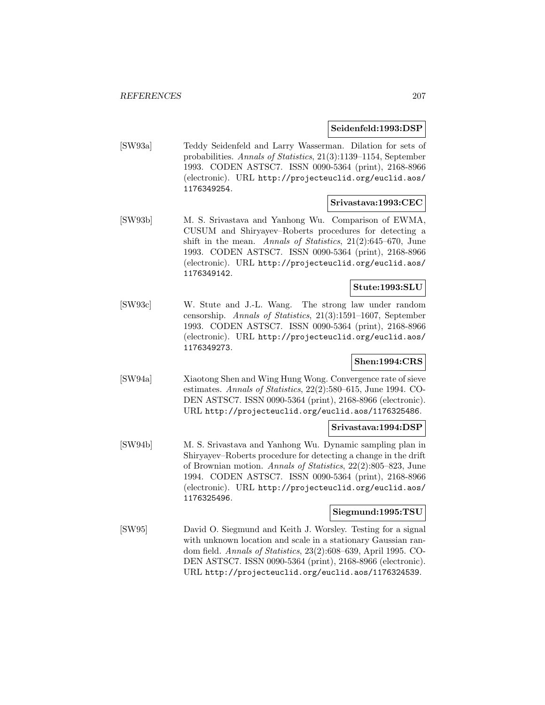## **Seidenfeld:1993:DSP**

[SW93a] Teddy Seidenfeld and Larry Wasserman. Dilation for sets of probabilities. Annals of Statistics, 21(3):1139–1154, September 1993. CODEN ASTSC7. ISSN 0090-5364 (print), 2168-8966 (electronic). URL http://projecteuclid.org/euclid.aos/ 1176349254.

## **Srivastava:1993:CEC**

[SW93b] M. S. Srivastava and Yanhong Wu. Comparison of EWMA, CUSUM and Shiryayev–Roberts procedures for detecting a shift in the mean. Annals of Statistics,  $21(2):645-670$ , June 1993. CODEN ASTSC7. ISSN 0090-5364 (print), 2168-8966 (electronic). URL http://projecteuclid.org/euclid.aos/ 1176349142.

## **Stute:1993:SLU**

[SW93c] W. Stute and J.-L. Wang. The strong law under random censorship. Annals of Statistics, 21(3):1591–1607, September 1993. CODEN ASTSC7. ISSN 0090-5364 (print), 2168-8966 (electronic). URL http://projecteuclid.org/euclid.aos/ 1176349273.

## **Shen:1994:CRS**

[SW94a] Xiaotong Shen and Wing Hung Wong. Convergence rate of sieve estimates. Annals of Statistics,  $22(2):580-615$ , June 1994. CO-DEN ASTSC7. ISSN 0090-5364 (print), 2168-8966 (electronic). URL http://projecteuclid.org/euclid.aos/1176325486.

## **Srivastava:1994:DSP**

[SW94b] M. S. Srivastava and Yanhong Wu. Dynamic sampling plan in Shiryayev–Roberts procedure for detecting a change in the drift of Brownian motion. Annals of Statistics, 22(2):805–823, June 1994. CODEN ASTSC7. ISSN 0090-5364 (print), 2168-8966 (electronic). URL http://projecteuclid.org/euclid.aos/ 1176325496.

## **Siegmund:1995:TSU**

[SW95] David O. Siegmund and Keith J. Worsley. Testing for a signal with unknown location and scale in a stationary Gaussian random field. Annals of Statistics, 23(2):608–639, April 1995. CO-DEN ASTSC7. ISSN 0090-5364 (print), 2168-8966 (electronic). URL http://projecteuclid.org/euclid.aos/1176324539.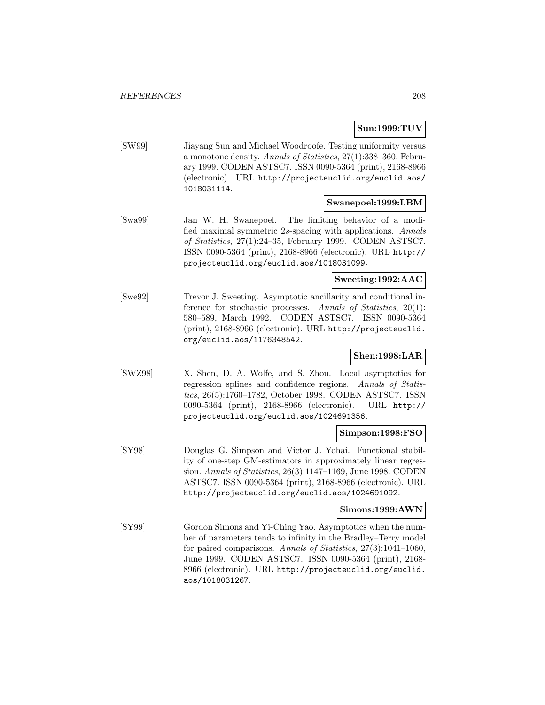**Sun:1999:TUV**

[SW99] Jiayang Sun and Michael Woodroofe. Testing uniformity versus a monotone density. Annals of Statistics, 27(1):338–360, February 1999. CODEN ASTSC7. ISSN 0090-5364 (print), 2168-8966 (electronic). URL http://projecteuclid.org/euclid.aos/ 1018031114.

#### **Swanepoel:1999:LBM**

[Swa99] Jan W. H. Swanepoel. The limiting behavior of a modified maximal symmetric 2s-spacing with applications. Annals of Statistics, 27(1):24–35, February 1999. CODEN ASTSC7. ISSN 0090-5364 (print), 2168-8966 (electronic). URL http:// projecteuclid.org/euclid.aos/1018031099.

# **Sweeting:1992:AAC**

[Swe92] Trevor J. Sweeting. Asymptotic ancillarity and conditional inference for stochastic processes. Annals of Statistics, 20(1): 580–589, March 1992. CODEN ASTSC7. ISSN 0090-5364 (print), 2168-8966 (electronic). URL http://projecteuclid. org/euclid.aos/1176348542.

## **Shen:1998:LAR**

[SWZ98] X. Shen, D. A. Wolfe, and S. Zhou. Local asymptotics for regression splines and confidence regions. Annals of Statistics, 26(5):1760–1782, October 1998. CODEN ASTSC7. ISSN 0090-5364 (print), 2168-8966 (electronic). URL http:// projecteuclid.org/euclid.aos/1024691356.

## **Simpson:1998:FSO**

[SY98] Douglas G. Simpson and Victor J. Yohai. Functional stability of one-step GM-estimators in approximately linear regression. Annals of Statistics, 26(3):1147–1169, June 1998. CODEN ASTSC7. ISSN 0090-5364 (print), 2168-8966 (electronic). URL http://projecteuclid.org/euclid.aos/1024691092.

#### **Simons:1999:AWN**

[SY99] Gordon Simons and Yi-Ching Yao. Asymptotics when the number of parameters tends to infinity in the Bradley–Terry model for paired comparisons. Annals of Statistics, 27(3):1041-1060, June 1999. CODEN ASTSC7. ISSN 0090-5364 (print), 2168- 8966 (electronic). URL http://projecteuclid.org/euclid. aos/1018031267.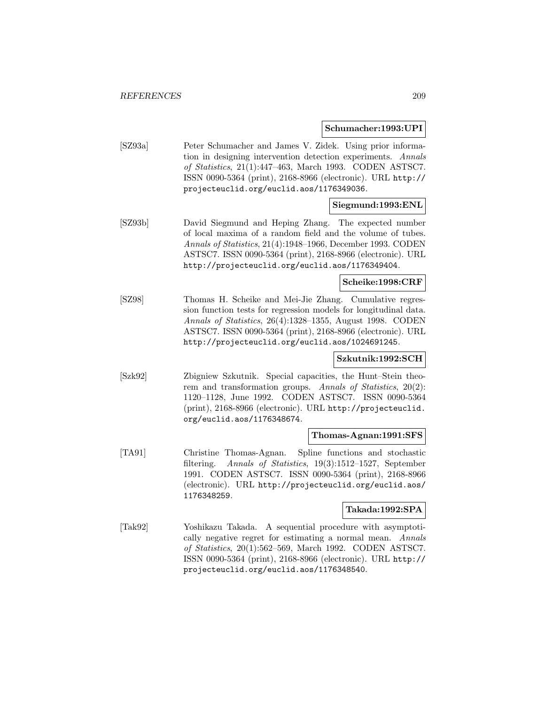#### **Schumacher:1993:UPI**

[SZ93a] Peter Schumacher and James V. Zidek. Using prior information in designing intervention detection experiments. Annals of Statistics, 21(1):447–463, March 1993. CODEN ASTSC7. ISSN 0090-5364 (print), 2168-8966 (electronic). URL http:// projecteuclid.org/euclid.aos/1176349036.

## **Siegmund:1993:ENL**

[SZ93b] David Siegmund and Heping Zhang. The expected number of local maxima of a random field and the volume of tubes. Annals of Statistics, 21(4):1948–1966, December 1993. CODEN ASTSC7. ISSN 0090-5364 (print), 2168-8966 (electronic). URL http://projecteuclid.org/euclid.aos/1176349404.

# **Scheike:1998:CRF**

[SZ98] Thomas H. Scheike and Mei-Jie Zhang. Cumulative regression function tests for regression models for longitudinal data. Annals of Statistics, 26(4):1328–1355, August 1998. CODEN ASTSC7. ISSN 0090-5364 (print), 2168-8966 (electronic). URL http://projecteuclid.org/euclid.aos/1024691245.

## **Szkutnik:1992:SCH**

[Szk92] Zbigniew Szkutnik. Special capacities, the Hunt–Stein theorem and transformation groups. Annals of Statistics, 20(2): 1120–1128, June 1992. CODEN ASTSC7. ISSN 0090-5364 (print), 2168-8966 (electronic). URL http://projecteuclid. org/euclid.aos/1176348674.

## **Thomas-Agnan:1991:SFS**

[TA91] Christine Thomas-Agnan. Spline functions and stochastic filtering. Annals of Statistics, 19(3):1512–1527, September 1991. CODEN ASTSC7. ISSN 0090-5364 (print), 2168-8966 (electronic). URL http://projecteuclid.org/euclid.aos/ 1176348259.

#### **Takada:1992:SPA**

[Tak92] Yoshikazu Takada. A sequential procedure with asymptotically negative regret for estimating a normal mean. Annals of Statistics, 20(1):562–569, March 1992. CODEN ASTSC7. ISSN 0090-5364 (print), 2168-8966 (electronic). URL http:// projecteuclid.org/euclid.aos/1176348540.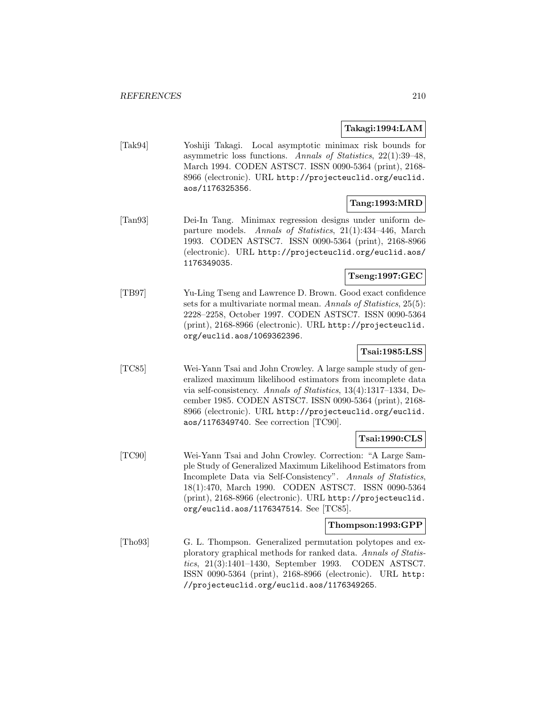## **Takagi:1994:LAM**

[Tak94] Yoshiji Takagi. Local asymptotic minimax risk bounds for asymmetric loss functions. Annals of Statistics, 22(1):39–48, March 1994. CODEN ASTSC7. ISSN 0090-5364 (print), 2168- 8966 (electronic). URL http://projecteuclid.org/euclid. aos/1176325356.

## **Tang:1993:MRD**

[Tan93] Dei-In Tang. Minimax regression designs under uniform departure models. Annals of Statistics, 21(1):434–446, March 1993. CODEN ASTSC7. ISSN 0090-5364 (print), 2168-8966 (electronic). URL http://projecteuclid.org/euclid.aos/ 1176349035.

## **Tseng:1997:GEC**

[TB97] Yu-Ling Tseng and Lawrence D. Brown. Good exact confidence sets for a multivariate normal mean. Annals of Statistics, 25(5): 2228–2258, October 1997. CODEN ASTSC7. ISSN 0090-5364 (print), 2168-8966 (electronic). URL http://projecteuclid. org/euclid.aos/1069362396.

# **Tsai:1985:LSS**

[TC85] Wei-Yann Tsai and John Crowley. A large sample study of generalized maximum likelihood estimators from incomplete data via self-consistency. Annals of Statistics, 13(4):1317–1334, December 1985. CODEN ASTSC7. ISSN 0090-5364 (print), 2168- 8966 (electronic). URL http://projecteuclid.org/euclid. aos/1176349740. See correction [TC90].

## **Tsai:1990:CLS**

[TC90] Wei-Yann Tsai and John Crowley. Correction: "A Large Sample Study of Generalized Maximum Likelihood Estimators from Incomplete Data via Self-Consistency". Annals of Statistics, 18(1):470, March 1990. CODEN ASTSC7. ISSN 0090-5364 (print), 2168-8966 (electronic). URL http://projecteuclid. org/euclid.aos/1176347514. See [TC85].

#### **Thompson:1993:GPP**

[Tho93] G. L. Thompson. Generalized permutation polytopes and exploratory graphical methods for ranked data. Annals of Statistics, 21(3):1401–1430, September 1993. CODEN ASTSC7. ISSN 0090-5364 (print), 2168-8966 (electronic). URL http: //projecteuclid.org/euclid.aos/1176349265.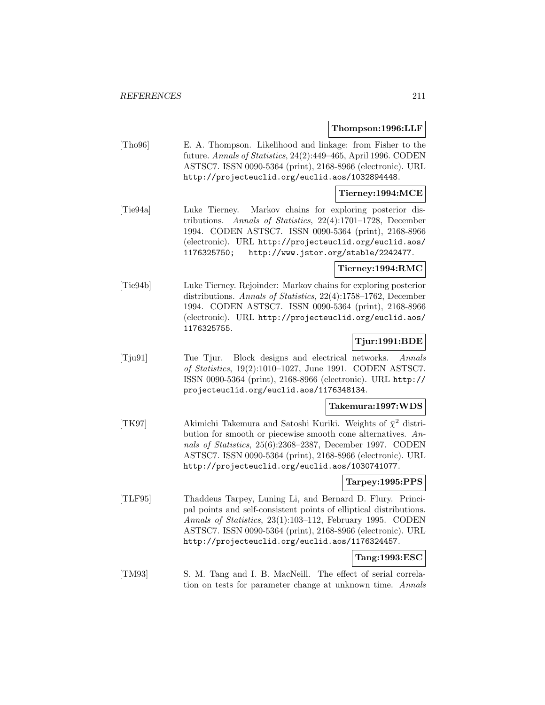#### **Thompson:1996:LLF**

[Tho96] E. A. Thompson. Likelihood and linkage: from Fisher to the future. Annals of Statistics, 24(2):449–465, April 1996. CODEN ASTSC7. ISSN 0090-5364 (print), 2168-8966 (electronic). URL http://projecteuclid.org/euclid.aos/1032894448.

## **Tierney:1994:MCE**

[Tie94a] Luke Tierney. Markov chains for exploring posterior distributions. Annals of Statistics, 22(4):1701–1728, December 1994. CODEN ASTSC7. ISSN 0090-5364 (print), 2168-8966 (electronic). URL http://projecteuclid.org/euclid.aos/ 1176325750; http://www.jstor.org/stable/2242477.

## **Tierney:1994:RMC**

[Tie94b] Luke Tierney. Rejoinder: Markov chains for exploring posterior distributions. Annals of Statistics, 22(4):1758–1762, December 1994. CODEN ASTSC7. ISSN 0090-5364 (print), 2168-8966 (electronic). URL http://projecteuclid.org/euclid.aos/ 1176325755.

## **Tjur:1991:BDE**

[Tju91] Tue Tjur. Block designs and electrical networks. Annals of Statistics, 19(2):1010–1027, June 1991. CODEN ASTSC7. ISSN 0090-5364 (print), 2168-8966 (electronic). URL http:// projecteuclid.org/euclid.aos/1176348134.

#### **Takemura:1997:WDS**

[TK97] Akimichi Takemura and Satoshi Kuriki. Weights of  $\bar{\chi}^2$  distribution for smooth or piecewise smooth cone alternatives. Annals of Statistics, 25(6):2368–2387, December 1997. CODEN ASTSC7. ISSN 0090-5364 (print), 2168-8966 (electronic). URL http://projecteuclid.org/euclid.aos/1030741077.

# **Tarpey:1995:PPS**

[TLF95] Thaddeus Tarpey, Luning Li, and Bernard D. Flury. Principal points and self-consistent points of elliptical distributions. Annals of Statistics, 23(1):103–112, February 1995. CODEN ASTSC7. ISSN 0090-5364 (print), 2168-8966 (electronic). URL http://projecteuclid.org/euclid.aos/1176324457.

# **Tang:1993:ESC**

[TM93] S. M. Tang and I. B. MacNeill. The effect of serial correlation on tests for parameter change at unknown time. Annals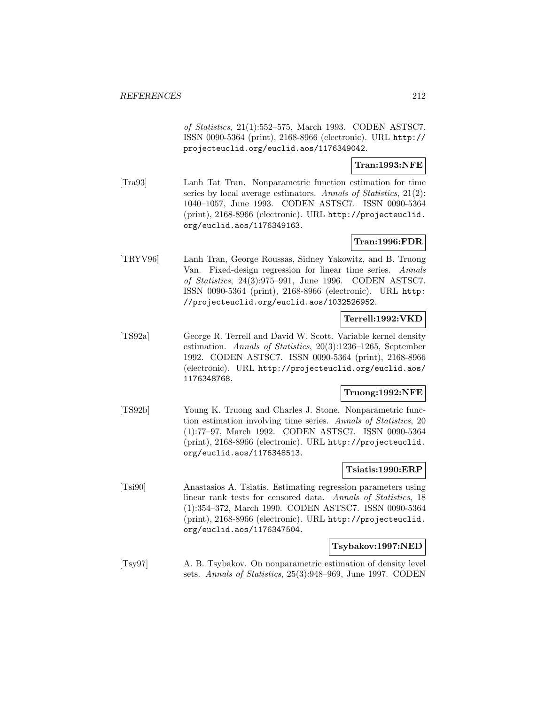of Statistics, 21(1):552–575, March 1993. CODEN ASTSC7. ISSN 0090-5364 (print), 2168-8966 (electronic). URL http:// projecteuclid.org/euclid.aos/1176349042.

## **Tran:1993:NFE**

[Tra93] Lanh Tat Tran. Nonparametric function estimation for time series by local average estimators. Annals of Statistics, 21(2): 1040–1057, June 1993. CODEN ASTSC7. ISSN 0090-5364 (print), 2168-8966 (electronic). URL http://projecteuclid. org/euclid.aos/1176349163.

## **Tran:1996:FDR**

[TRYV96] Lanh Tran, George Roussas, Sidney Yakowitz, and B. Truong Van. Fixed-design regression for linear time series. Annals of Statistics, 24(3):975–991, June 1996. CODEN ASTSC7. ISSN 0090-5364 (print), 2168-8966 (electronic). URL http: //projecteuclid.org/euclid.aos/1032526952.

## **Terrell:1992:VKD**

[TS92a] George R. Terrell and David W. Scott. Variable kernel density estimation. Annals of Statistics, 20(3):1236–1265, September 1992. CODEN ASTSC7. ISSN 0090-5364 (print), 2168-8966 (electronic). URL http://projecteuclid.org/euclid.aos/ 1176348768.

## **Truong:1992:NFE**

[TS92b] Young K. Truong and Charles J. Stone. Nonparametric function estimation involving time series. Annals of Statistics, 20 (1):77–97, March 1992. CODEN ASTSC7. ISSN 0090-5364 (print), 2168-8966 (electronic). URL http://projecteuclid. org/euclid.aos/1176348513.

## **Tsiatis:1990:ERP**

[Tsi90] Anastasios A. Tsiatis. Estimating regression parameters using linear rank tests for censored data. Annals of Statistics, 18 (1):354–372, March 1990. CODEN ASTSC7. ISSN 0090-5364 (print), 2168-8966 (electronic). URL http://projecteuclid. org/euclid.aos/1176347504.

### **Tsybakov:1997:NED**

[Tsy97] A. B. Tsybakov. On nonparametric estimation of density level sets. Annals of Statistics, 25(3):948–969, June 1997. CODEN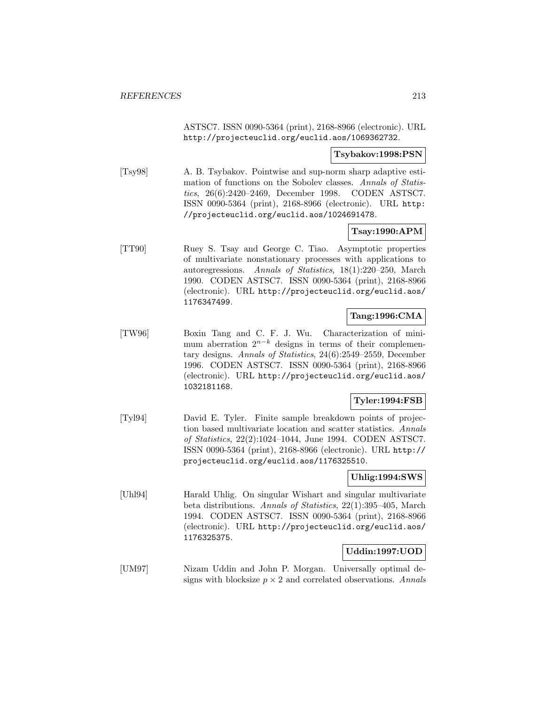ASTSC7. ISSN 0090-5364 (print), 2168-8966 (electronic). URL http://projecteuclid.org/euclid.aos/1069362732.

### **Tsybakov:1998:PSN**

[Tsy98] A. B. Tsybakov. Pointwise and sup-norm sharp adaptive estimation of functions on the Sobolev classes. Annals of Statistics, 26(6):2420–2469, December 1998. CODEN ASTSC7. ISSN 0090-5364 (print), 2168-8966 (electronic). URL http: //projecteuclid.org/euclid.aos/1024691478.

## **Tsay:1990:APM**

[TT90] Ruey S. Tsay and George C. Tiao. Asymptotic properties of multivariate nonstationary processes with applications to autoregressions. Annals of Statistics, 18(1):220–250, March 1990. CODEN ASTSC7. ISSN 0090-5364 (print), 2168-8966 (electronic). URL http://projecteuclid.org/euclid.aos/ 1176347499.

# **Tang:1996:CMA**

[TW96] Boxin Tang and C. F. J. Wu. Characterization of minimum aberration  $2^{n-k}$  designs in terms of their complementary designs. Annals of Statistics, 24(6):2549–2559, December 1996. CODEN ASTSC7. ISSN 0090-5364 (print), 2168-8966 (electronic). URL http://projecteuclid.org/euclid.aos/ 1032181168.

## **Tyler:1994:FSB**

[Tyl94] David E. Tyler. Finite sample breakdown points of projection based multivariate location and scatter statistics. Annals of Statistics, 22(2):1024–1044, June 1994. CODEN ASTSC7. ISSN 0090-5364 (print), 2168-8966 (electronic). URL http:// projecteuclid.org/euclid.aos/1176325510.

## **Uhlig:1994:SWS**

[Uhl94] Harald Uhlig. On singular Wishart and singular multivariate beta distributions. Annals of Statistics, 22(1):395–405, March 1994. CODEN ASTSC7. ISSN 0090-5364 (print), 2168-8966 (electronic). URL http://projecteuclid.org/euclid.aos/ 1176325375.

## **Uddin:1997:UOD**

[UM97] Nizam Uddin and John P. Morgan. Universally optimal designs with blocksize  $p \times 2$  and correlated observations. Annals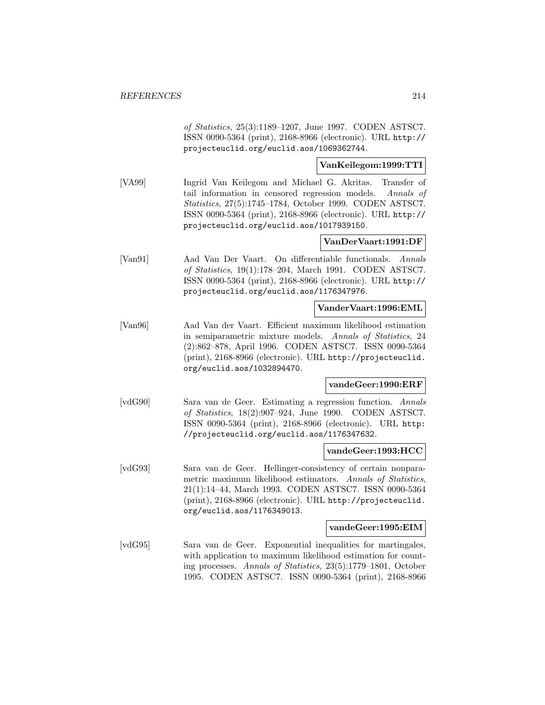of Statistics, 25(3):1189–1207, June 1997. CODEN ASTSC7. ISSN 0090-5364 (print), 2168-8966 (electronic). URL http:// projecteuclid.org/euclid.aos/1069362744.

## **VanKeilegom:1999:TTI**

[VA99] Ingrid Van Keilegom and Michael G. Akritas. Transfer of tail information in censored regression models. Annals of Statistics, 27(5):1745–1784, October 1999. CODEN ASTSC7. ISSN 0090-5364 (print), 2168-8966 (electronic). URL http:// projecteuclid.org/euclid.aos/1017939150.

## **VanDerVaart:1991:DF**

[Van91] Aad Van Der Vaart. On differentiable functionals. Annals of Statistics, 19(1):178–204, March 1991. CODEN ASTSC7. ISSN 0090-5364 (print), 2168-8966 (electronic). URL http:// projecteuclid.org/euclid.aos/1176347976.

## **VanderVaart:1996:EML**

[Van96] Aad Van der Vaart. Efficient maximum likelihood estimation in semiparametric mixture models. Annals of Statistics, 24 (2):862–878, April 1996. CODEN ASTSC7. ISSN 0090-5364 (print), 2168-8966 (electronic). URL http://projecteuclid. org/euclid.aos/1032894470.

## **vandeGeer:1990:ERF**

[vdG90] Sara van de Geer. Estimating a regression function. Annals of Statistics, 18(2):907–924, June 1990. CODEN ASTSC7. ISSN 0090-5364 (print), 2168-8966 (electronic). URL http: //projecteuclid.org/euclid.aos/1176347632.

## **vandeGeer:1993:HCC**

[vdG93] Sara van de Geer. Hellinger-consistency of certain nonparametric maximum likelihood estimators. Annals of Statistics, 21(1):14–44, March 1993. CODEN ASTSC7. ISSN 0090-5364 (print), 2168-8966 (electronic). URL http://projecteuclid. org/euclid.aos/1176349013.

#### **vandeGeer:1995:EIM**

[vdG95] Sara van de Geer. Exponential inequalities for martingales, with application to maximum likelihood estimation for counting processes. Annals of Statistics, 23(5):1779–1801, October 1995. CODEN ASTSC7. ISSN 0090-5364 (print), 2168-8966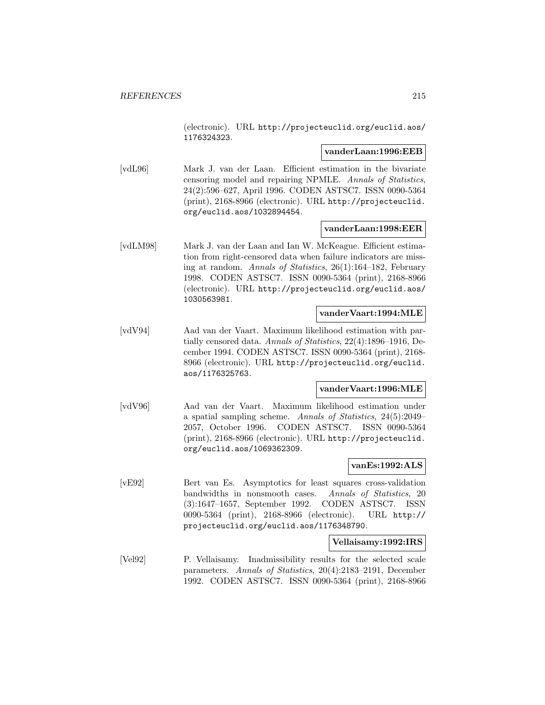(electronic). URL http://projecteuclid.org/euclid.aos/ 1176324323.

### **vanderLaan:1996:EEB**

[vdL96] Mark J. van der Laan. Efficient estimation in the bivariate censoring model and repairing NPMLE. Annals of Statistics, 24(2):596–627, April 1996. CODEN ASTSC7. ISSN 0090-5364 (print), 2168-8966 (electronic). URL http://projecteuclid. org/euclid.aos/1032894454.

### **vanderLaan:1998:EER**

[vdLM98] Mark J. van der Laan and Ian W. McKeague. Efficient estimation from right-censored data when failure indicators are missing at random. Annals of Statistics, 26(1):164–182, February 1998. CODEN ASTSC7. ISSN 0090-5364 (print), 2168-8966 (electronic). URL http://projecteuclid.org/euclid.aos/ 1030563981.

#### **vanderVaart:1994:MLE**

[vdV94] Aad van der Vaart. Maximum likelihood estimation with partially censored data. Annals of Statistics, 22(4):1896–1916, December 1994. CODEN ASTSC7. ISSN 0090-5364 (print), 2168- 8966 (electronic). URL http://projecteuclid.org/euclid. aos/1176325763.

#### **vanderVaart:1996:MLE**

[vdV96] Aad van der Vaart. Maximum likelihood estimation under a spatial sampling scheme. Annals of Statistics, 24(5):2049– 2057, October 1996. CODEN ASTSC7. ISSN 0090-5364 (print), 2168-8966 (electronic). URL http://projecteuclid. org/euclid.aos/1069362309.

## **vanEs:1992:ALS**

[vE92] Bert van Es. Asymptotics for least squares cross-validation bandwidths in nonsmooth cases. Annals of Statistics, 20 (3):1647–1657, September 1992. CODEN ASTSC7. ISSN 0090-5364 (print), 2168-8966 (electronic). URL http:// projecteuclid.org/euclid.aos/1176348790.

### **Vellaisamy:1992:IRS**

[Vel92] P. Vellaisamy. Inadmissibility results for the selected scale parameters. Annals of Statistics, 20(4):2183–2191, December 1992. CODEN ASTSC7. ISSN 0090-5364 (print), 2168-8966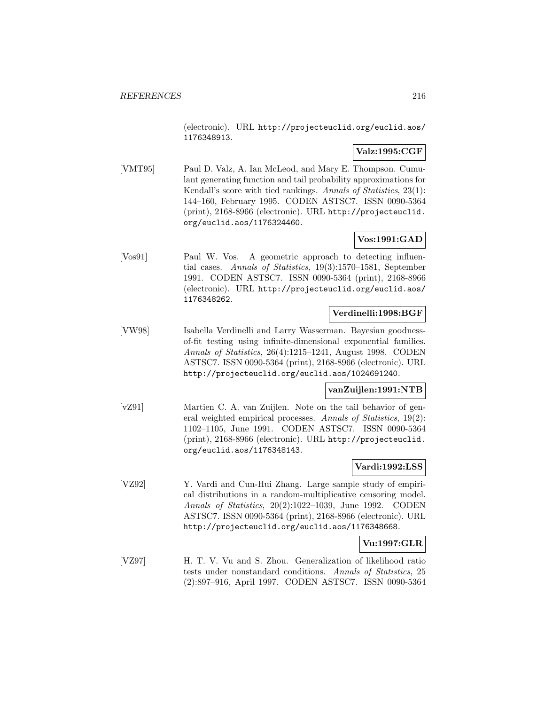(electronic). URL http://projecteuclid.org/euclid.aos/ 1176348913.

## **Valz:1995:CGF**

[VMT95] Paul D. Valz, A. Ian McLeod, and Mary E. Thompson. Cumulant generating function and tail probability approximations for Kendall's score with tied rankings. Annals of Statistics, 23(1): 144–160, February 1995. CODEN ASTSC7. ISSN 0090-5364 (print), 2168-8966 (electronic). URL http://projecteuclid. org/euclid.aos/1176324460.

## **Vos:1991:GAD**

[Vos91] Paul W. Vos. A geometric approach to detecting influential cases. Annals of Statistics, 19(3):1570–1581, September 1991. CODEN ASTSC7. ISSN 0090-5364 (print), 2168-8966 (electronic). URL http://projecteuclid.org/euclid.aos/ 1176348262.

## **Verdinelli:1998:BGF**

[VW98] Isabella Verdinelli and Larry Wasserman. Bayesian goodnessof-fit testing using infinite-dimensional exponential families. Annals of Statistics, 26(4):1215–1241, August 1998. CODEN ASTSC7. ISSN 0090-5364 (print), 2168-8966 (electronic). URL http://projecteuclid.org/euclid.aos/1024691240.

## **vanZuijlen:1991:NTB**

[vZ91] Martien C. A. van Zuijlen. Note on the tail behavior of general weighted empirical processes. Annals of Statistics, 19(2): 1102–1105, June 1991. CODEN ASTSC7. ISSN 0090-5364 (print), 2168-8966 (electronic). URL http://projecteuclid. org/euclid.aos/1176348143.

## **Vardi:1992:LSS**

[VZ92] Y. Vardi and Cun-Hui Zhang. Large sample study of empirical distributions in a random-multiplicative censoring model. Annals of Statistics, 20(2):1022–1039, June 1992. CODEN ASTSC7. ISSN 0090-5364 (print), 2168-8966 (electronic). URL http://projecteuclid.org/euclid.aos/1176348668.

## **Vu:1997:GLR**

[VZ97] H. T. V. Vu and S. Zhou. Generalization of likelihood ratio tests under nonstandard conditions. Annals of Statistics, 25 (2):897–916, April 1997. CODEN ASTSC7. ISSN 0090-5364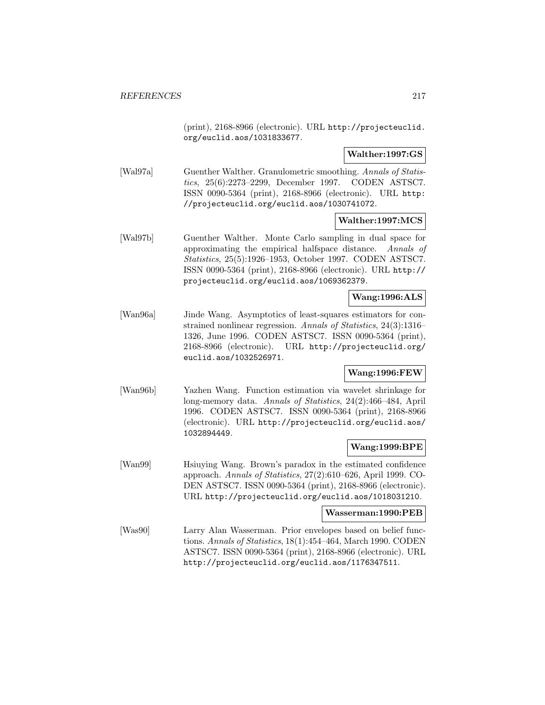(print), 2168-8966 (electronic). URL http://projecteuclid. org/euclid.aos/1031833677.

**Walther:1997:GS**

[Wal97a] Guenther Walther. Granulometric smoothing. Annals of Statistics, 25(6):2273–2299, December 1997. CODEN ASTSC7. ISSN 0090-5364 (print), 2168-8966 (electronic). URL http: //projecteuclid.org/euclid.aos/1030741072.

#### **Walther:1997:MCS**

[Wal97b] Guenther Walther. Monte Carlo sampling in dual space for approximating the empirical halfspace distance. Annals of Statistics, 25(5):1926–1953, October 1997. CODEN ASTSC7. ISSN 0090-5364 (print), 2168-8966 (electronic). URL http:// projecteuclid.org/euclid.aos/1069362379.

#### **Wang:1996:ALS**

[Wan96a] Jinde Wang. Asymptotics of least-squares estimators for constrained nonlinear regression. Annals of Statistics, 24(3):1316– 1326, June 1996. CODEN ASTSC7. ISSN 0090-5364 (print), 2168-8966 (electronic). URL http://projecteuclid.org/ euclid.aos/1032526971.

#### **Wang:1996:FEW**

[Wan96b] Yazhen Wang. Function estimation via wavelet shrinkage for long-memory data. Annals of Statistics, 24(2):466–484, April 1996. CODEN ASTSC7. ISSN 0090-5364 (print), 2168-8966 (electronic). URL http://projecteuclid.org/euclid.aos/ 1032894449.

## **Wang:1999:BPE**

[Wan99] Hsiuying Wang. Brown's paradox in the estimated confidence approach. Annals of Statistics, 27(2):610–626, April 1999. CO-DEN ASTSC7. ISSN 0090-5364 (print), 2168-8966 (electronic). URL http://projecteuclid.org/euclid.aos/1018031210.

#### **Wasserman:1990:PEB**

[Was90] Larry Alan Wasserman. Prior envelopes based on belief functions. Annals of Statistics, 18(1):454–464, March 1990. CODEN ASTSC7. ISSN 0090-5364 (print), 2168-8966 (electronic). URL http://projecteuclid.org/euclid.aos/1176347511.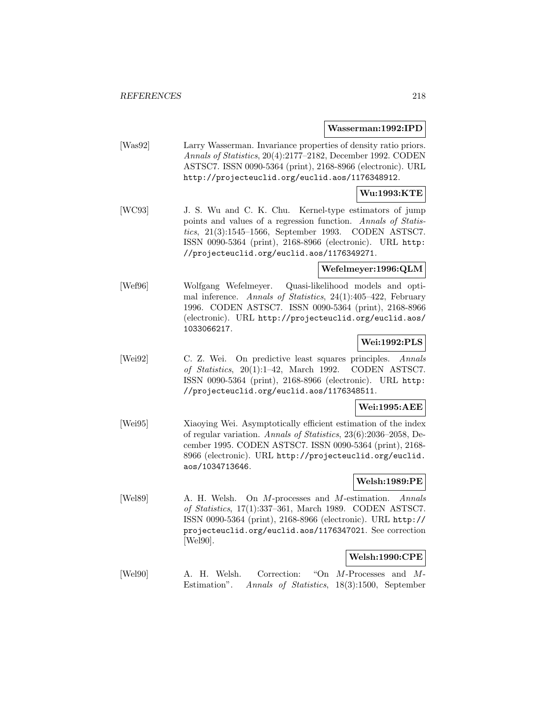#### **Wasserman:1992:IPD**

[Was92] Larry Wasserman. Invariance properties of density ratio priors. Annals of Statistics, 20(4):2177–2182, December 1992. CODEN ASTSC7. ISSN 0090-5364 (print), 2168-8966 (electronic). URL http://projecteuclid.org/euclid.aos/1176348912.

## **Wu:1993:KTE**

[WC93] J. S. Wu and C. K. Chu. Kernel-type estimators of jump points and values of a regression function. Annals of Statistics, 21(3):1545–1566, September 1993. CODEN ASTSC7. ISSN 0090-5364 (print), 2168-8966 (electronic). URL http: //projecteuclid.org/euclid.aos/1176349271.

#### **Wefelmeyer:1996:QLM**

[Wef96] Wolfgang Wefelmeyer. Quasi-likelihood models and optimal inference. Annals of Statistics, 24(1):405–422, February 1996. CODEN ASTSC7. ISSN 0090-5364 (print), 2168-8966 (electronic). URL http://projecteuclid.org/euclid.aos/ 1033066217.

## **Wei:1992:PLS**

[Wei92] C. Z. Wei. On predictive least squares principles. Annals of Statistics, 20(1):1–42, March 1992. CODEN ASTSC7. ISSN 0090-5364 (print), 2168-8966 (electronic). URL http: //projecteuclid.org/euclid.aos/1176348511.

#### **Wei:1995:AEE**

[Wei95] Xiaoying Wei. Asymptotically efficient estimation of the index of regular variation. Annals of Statistics, 23(6):2036–2058, December 1995. CODEN ASTSC7. ISSN 0090-5364 (print), 2168- 8966 (electronic). URL http://projecteuclid.org/euclid. aos/1034713646.

#### **Welsh:1989:PE**

[Wel89] A. H. Welsh. On M-processes and M-estimation. Annals of Statistics, 17(1):337–361, March 1989. CODEN ASTSC7. ISSN 0090-5364 (print), 2168-8966 (electronic). URL http:// projecteuclid.org/euclid.aos/1176347021. See correction [Wel90].

# **Welsh:1990:CPE**

[Wel90] A. H. Welsh. Correction: "On M-Processes and M-Estimation". Annals of Statistics, 18(3):1500, September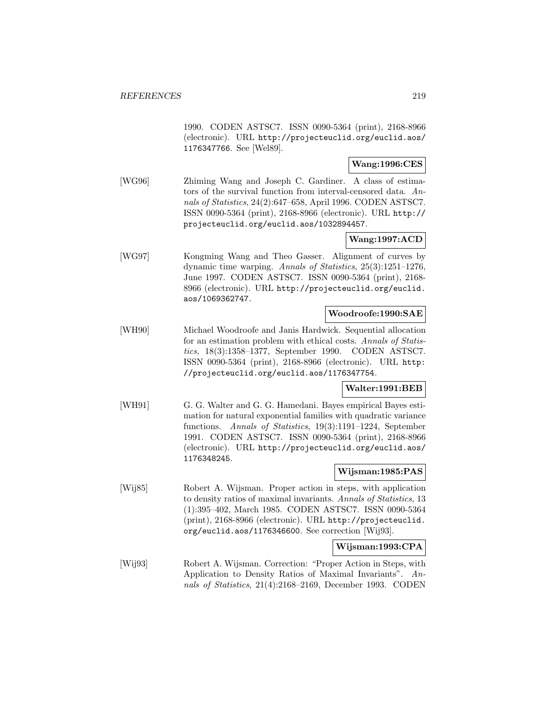1990. CODEN ASTSC7. ISSN 0090-5364 (print), 2168-8966 (electronic). URL http://projecteuclid.org/euclid.aos/ 1176347766. See [Wel89].

## **Wang:1996:CES**

[WG96] Zhiming Wang and Joseph C. Gardiner. A class of estimators of the survival function from interval-censored data. Annals of Statistics, 24(2):647–658, April 1996. CODEN ASTSC7. ISSN 0090-5364 (print), 2168-8966 (electronic). URL http:// projecteuclid.org/euclid.aos/1032894457.

## **Wang:1997:ACD**

[WG97] Kongming Wang and Theo Gasser. Alignment of curves by dynamic time warping. Annals of Statistics, 25(3):1251–1276, June 1997. CODEN ASTSC7. ISSN 0090-5364 (print), 2168- 8966 (electronic). URL http://projecteuclid.org/euclid. aos/1069362747.

#### **Woodroofe:1990:SAE**

[WH90] Michael Woodroofe and Janis Hardwick. Sequential allocation for an estimation problem with ethical costs. Annals of Statistics, 18(3):1358–1377, September 1990. CODEN ASTSC7. ISSN 0090-5364 (print), 2168-8966 (electronic). URL http: //projecteuclid.org/euclid.aos/1176347754.

#### **Walter:1991:BEB**

[WH91] G. G. Walter and G. G. Hamedani. Bayes empirical Bayes estimation for natural exponential families with quadratic variance functions. Annals of Statistics, 19(3):1191–1224, September 1991. CODEN ASTSC7. ISSN 0090-5364 (print), 2168-8966 (electronic). URL http://projecteuclid.org/euclid.aos/ 1176348245.

## **Wijsman:1985:PAS**

[Wij85] Robert A. Wijsman. Proper action in steps, with application to density ratios of maximal invariants. Annals of Statistics, 13 (1):395–402, March 1985. CODEN ASTSC7. ISSN 0090-5364 (print), 2168-8966 (electronic). URL http://projecteuclid. org/euclid.aos/1176346600. See correction [Wij93].

#### **Wijsman:1993:CPA**

[Wij93] Robert A. Wijsman. Correction: "Proper Action in Steps, with Application to Density Ratios of Maximal Invariants". Annals of Statistics, 21(4):2168–2169, December 1993. CODEN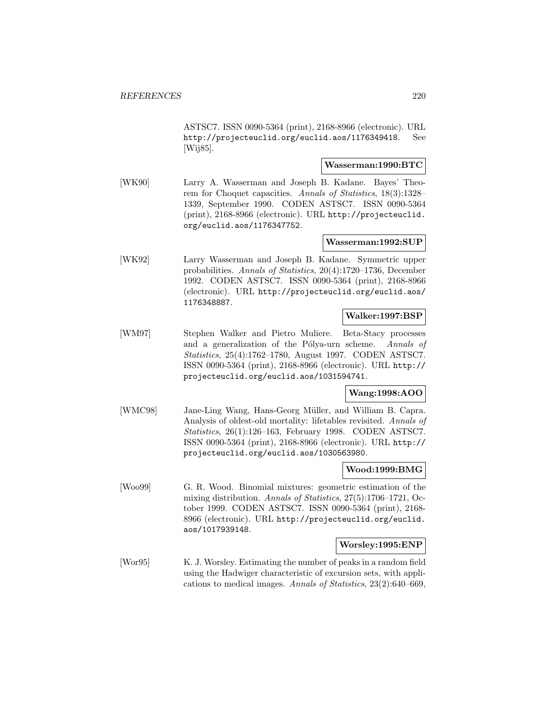ASTSC7. ISSN 0090-5364 (print), 2168-8966 (electronic). URL http://projecteuclid.org/euclid.aos/1176349418. See [Wij85].

#### **Wasserman:1990:BTC**

[WK90] Larry A. Wasserman and Joseph B. Kadane. Bayes' Theorem for Choquet capacities. Annals of Statistics, 18(3):1328– 1339, September 1990. CODEN ASTSC7. ISSN 0090-5364 (print), 2168-8966 (electronic). URL http://projecteuclid. org/euclid.aos/1176347752.

#### **Wasserman:1992:SUP**

[WK92] Larry Wasserman and Joseph B. Kadane. Symmetric upper probabilities. Annals of Statistics, 20(4):1720–1736, December 1992. CODEN ASTSC7. ISSN 0090-5364 (print), 2168-8966 (electronic). URL http://projecteuclid.org/euclid.aos/ 1176348887.

#### **Walker:1997:BSP**

[WM97] Stephen Walker and Pietro Muliere. Beta-Stacy processes and a generalization of the Pólya-urn scheme. Annals of Statistics, 25(4):1762–1780, August 1997. CODEN ASTSC7. ISSN 0090-5364 (print), 2168-8966 (electronic). URL http:// projecteuclid.org/euclid.aos/1031594741.

#### **Wang:1998:AOO**

[WMC98] Jane-Ling Wang, Hans-Georg Müller, and William B. Capra. Analysis of oldest-old mortality: lifetables revisited. Annals of Statistics, 26(1):126–163, February 1998. CODEN ASTSC7. ISSN 0090-5364 (print), 2168-8966 (electronic). URL http:// projecteuclid.org/euclid.aos/1030563980.

## **Wood:1999:BMG**

[Woo99] G. R. Wood. Binomial mixtures: geometric estimation of the mixing distribution. Annals of Statistics, 27(5):1706–1721, October 1999. CODEN ASTSC7. ISSN 0090-5364 (print), 2168- 8966 (electronic). URL http://projecteuclid.org/euclid. aos/1017939148.

#### **Worsley:1995:ENP**

[Wor95] K. J. Worsley. Estimating the number of peaks in a random field using the Hadwiger characteristic of excursion sets, with applications to medical images. Annals of Statistics, 23(2):640–669,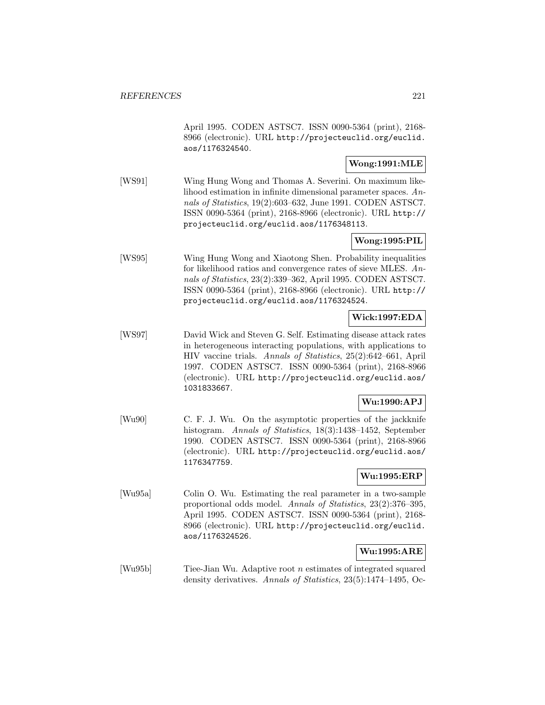April 1995. CODEN ASTSC7. ISSN 0090-5364 (print), 2168- 8966 (electronic). URL http://projecteuclid.org/euclid. aos/1176324540.

#### **Wong:1991:MLE**

[WS91] Wing Hung Wong and Thomas A. Severini. On maximum likelihood estimation in infinite dimensional parameter spaces. Annals of Statistics, 19(2):603–632, June 1991. CODEN ASTSC7. ISSN 0090-5364 (print), 2168-8966 (electronic). URL http:// projecteuclid.org/euclid.aos/1176348113.

#### **Wong:1995:PIL**

[WS95] Wing Hung Wong and Xiaotong Shen. Probability inequalities for likelihood ratios and convergence rates of sieve MLES. Annals of Statistics, 23(2):339–362, April 1995. CODEN ASTSC7. ISSN 0090-5364 (print), 2168-8966 (electronic). URL http:// projecteuclid.org/euclid.aos/1176324524.

#### **Wick:1997:EDA**

[WS97] David Wick and Steven G. Self. Estimating disease attack rates in heterogeneous interacting populations, with applications to HIV vaccine trials. Annals of Statistics, 25(2):642–661, April 1997. CODEN ASTSC7. ISSN 0090-5364 (print), 2168-8966 (electronic). URL http://projecteuclid.org/euclid.aos/ 1031833667.

## **Wu:1990:APJ**

[Wu90] C. F. J. Wu. On the asymptotic properties of the jackknife histogram. Annals of Statistics, 18(3):1438-1452, September 1990. CODEN ASTSC7. ISSN 0090-5364 (print), 2168-8966 (electronic). URL http://projecteuclid.org/euclid.aos/ 1176347759.

## **Wu:1995:ERP**

[Wu95a] Colin O. Wu. Estimating the real parameter in a two-sample proportional odds model. Annals of Statistics, 23(2):376–395, April 1995. CODEN ASTSC7. ISSN 0090-5364 (print), 2168- 8966 (electronic). URL http://projecteuclid.org/euclid. aos/1176324526.

## **Wu:1995:ARE**

[Wu95b] Tiee-Jian Wu. Adaptive root n estimates of integrated squared density derivatives. Annals of Statistics, 23(5):1474–1495, Oc-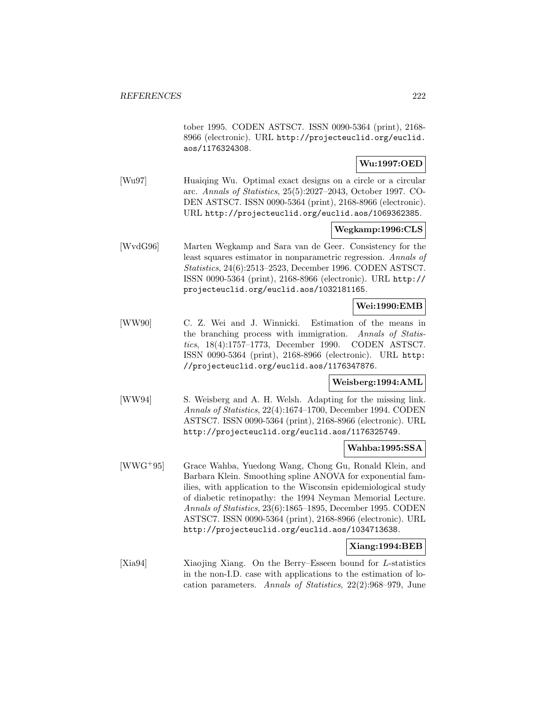tober 1995. CODEN ASTSC7. ISSN 0090-5364 (print), 2168- 8966 (electronic). URL http://projecteuclid.org/euclid. aos/1176324308.

#### **Wu:1997:OED**

[Wu97] Huaiqing Wu. Optimal exact designs on a circle or a circular arc. Annals of Statistics, 25(5):2027–2043, October 1997. CO-DEN ASTSC7. ISSN 0090-5364 (print), 2168-8966 (electronic). URL http://projecteuclid.org/euclid.aos/1069362385.

#### **Wegkamp:1996:CLS**

[WvdG96] Marten Wegkamp and Sara van de Geer. Consistency for the least squares estimator in nonparametric regression. Annals of Statistics, 24(6):2513–2523, December 1996. CODEN ASTSC7. ISSN 0090-5364 (print), 2168-8966 (electronic). URL http:// projecteuclid.org/euclid.aos/1032181165.

# **Wei:1990:EMB**

[WW90] C. Z. Wei and J. Winnicki. Estimation of the means in the branching process with immigration. Annals of Statistics, 18(4):1757–1773, December 1990. CODEN ASTSC7. ISSN 0090-5364 (print), 2168-8966 (electronic). URL http: //projecteuclid.org/euclid.aos/1176347876.

#### **Weisberg:1994:AML**

[WW94] S. Weisberg and A. H. Welsh. Adapting for the missing link. Annals of Statistics, 22(4):1674–1700, December 1994. CODEN ASTSC7. ISSN 0090-5364 (print), 2168-8966 (electronic). URL http://projecteuclid.org/euclid.aos/1176325749.

#### **Wahba:1995:SSA**

[WWG<sup>+</sup>95] Grace Wahba, Yuedong Wang, Chong Gu, Ronald Klein, and Barbara Klein. Smoothing spline ANOVA for exponential families, with application to the Wisconsin epidemiological study of diabetic retinopathy: the 1994 Neyman Memorial Lecture. Annals of Statistics, 23(6):1865–1895, December 1995. CODEN ASTSC7. ISSN 0090-5364 (print), 2168-8966 (electronic). URL http://projecteuclid.org/euclid.aos/1034713638.

#### **Xiang:1994:BEB**

[Xia94] Xiaojing Xiang. On the Berry–Esseen bound for L-statistics in the non-I.D. case with applications to the estimation of location parameters. Annals of Statistics, 22(2):968–979, June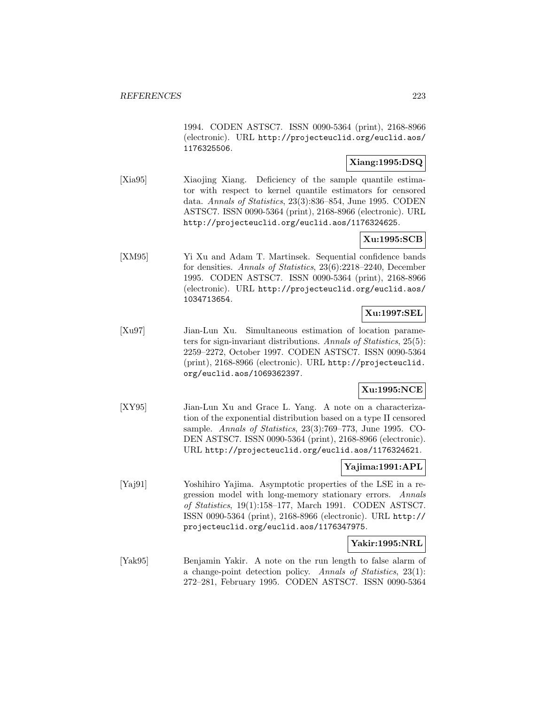1994. CODEN ASTSC7. ISSN 0090-5364 (print), 2168-8966 (electronic). URL http://projecteuclid.org/euclid.aos/ 1176325506.

## **Xiang:1995:DSQ**

[Xia95] Xiaojing Xiang. Deficiency of the sample quantile estimator with respect to kernel quantile estimators for censored data. Annals of Statistics, 23(3):836–854, June 1995. CODEN ASTSC7. ISSN 0090-5364 (print), 2168-8966 (electronic). URL http://projecteuclid.org/euclid.aos/1176324625.

## **Xu:1995:SCB**

[XM95] Yi Xu and Adam T. Martinsek. Sequential confidence bands for densities. Annals of Statistics, 23(6):2218–2240, December 1995. CODEN ASTSC7. ISSN 0090-5364 (print), 2168-8966 (electronic). URL http://projecteuclid.org/euclid.aos/ 1034713654.

## **Xu:1997:SEL**

[Xu97] Jian-Lun Xu. Simultaneous estimation of location parameters for sign-invariant distributions. Annals of Statistics, 25(5): 2259–2272, October 1997. CODEN ASTSC7. ISSN 0090-5364 (print), 2168-8966 (electronic). URL http://projecteuclid. org/euclid.aos/1069362397.

## **Xu:1995:NCE**

[XY95] Jian-Lun Xu and Grace L. Yang. A note on a characterization of the exponential distribution based on a type II censored sample. Annals of Statistics, 23(3):769–773, June 1995. CO-DEN ASTSC7. ISSN 0090-5364 (print), 2168-8966 (electronic). URL http://projecteuclid.org/euclid.aos/1176324621.

# **Yajima:1991:APL**

[Yaj91] Yoshihiro Yajima. Asymptotic properties of the LSE in a regression model with long-memory stationary errors. Annals of Statistics, 19(1):158–177, March 1991. CODEN ASTSC7. ISSN 0090-5364 (print), 2168-8966 (electronic). URL http:// projecteuclid.org/euclid.aos/1176347975.

## **Yakir:1995:NRL**

[Yak95] Benjamin Yakir. A note on the run length to false alarm of a change-point detection policy. Annals of Statistics, 23(1): 272–281, February 1995. CODEN ASTSC7. ISSN 0090-5364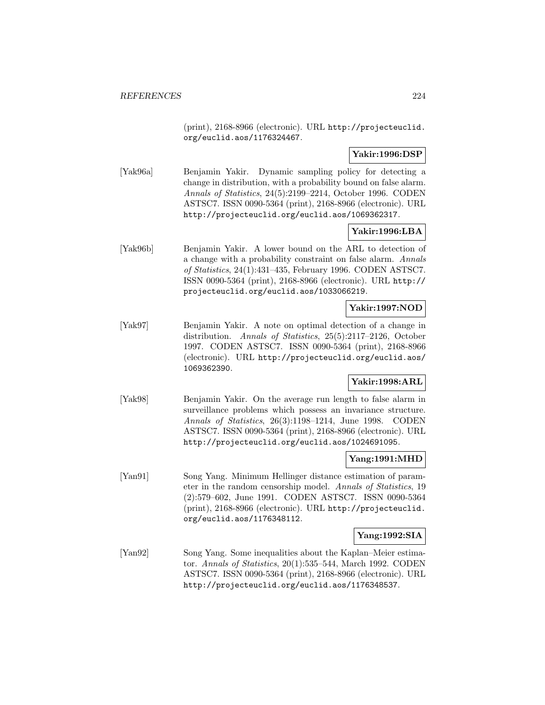(print), 2168-8966 (electronic). URL http://projecteuclid. org/euclid.aos/1176324467.

#### **Yakir:1996:DSP**

[Yak96a] Benjamin Yakir. Dynamic sampling policy for detecting a change in distribution, with a probability bound on false alarm. Annals of Statistics, 24(5):2199–2214, October 1996. CODEN ASTSC7. ISSN 0090-5364 (print), 2168-8966 (electronic). URL http://projecteuclid.org/euclid.aos/1069362317.

## **Yakir:1996:LBA**

[Yak96b] Benjamin Yakir. A lower bound on the ARL to detection of a change with a probability constraint on false alarm. Annals of Statistics, 24(1):431–435, February 1996. CODEN ASTSC7. ISSN 0090-5364 (print), 2168-8966 (electronic). URL http:// projecteuclid.org/euclid.aos/1033066219.

# **Yakir:1997:NOD**

[Yak97] Benjamin Yakir. A note on optimal detection of a change in distribution. Annals of Statistics, 25(5):2117–2126, October 1997. CODEN ASTSC7. ISSN 0090-5364 (print), 2168-8966 (electronic). URL http://projecteuclid.org/euclid.aos/ 1069362390.

# **Yakir:1998:ARL**

[Yak98] Benjamin Yakir. On the average run length to false alarm in surveillance problems which possess an invariance structure. Annals of Statistics, 26(3):1198–1214, June 1998. CODEN ASTSC7. ISSN 0090-5364 (print), 2168-8966 (electronic). URL http://projecteuclid.org/euclid.aos/1024691095.

#### **Yang:1991:MHD**

[Yan91] Song Yang. Minimum Hellinger distance estimation of parameter in the random censorship model. Annals of Statistics, 19 (2):579–602, June 1991. CODEN ASTSC7. ISSN 0090-5364 (print), 2168-8966 (electronic). URL http://projecteuclid. org/euclid.aos/1176348112.

#### **Yang:1992:SIA**

[Yan92] Song Yang. Some inequalities about the Kaplan–Meier estimator. Annals of Statistics, 20(1):535–544, March 1992. CODEN ASTSC7. ISSN 0090-5364 (print), 2168-8966 (electronic). URL http://projecteuclid.org/euclid.aos/1176348537.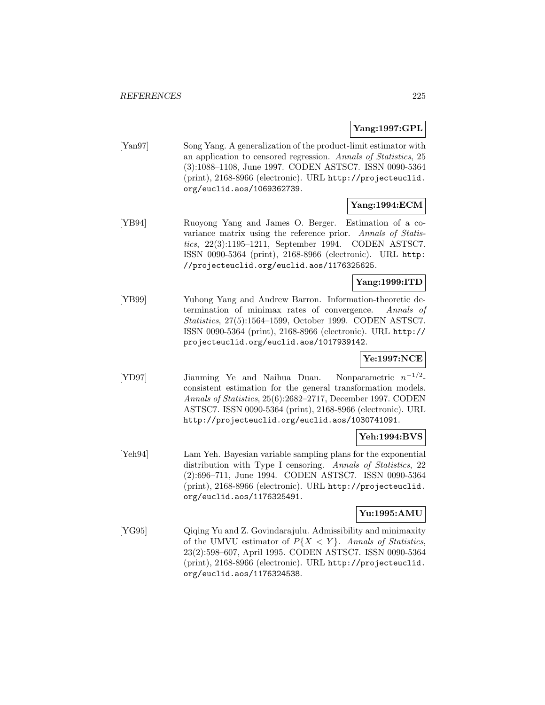## **Yang:1997:GPL**

[Yan97] Song Yang. A generalization of the product-limit estimator with an application to censored regression. Annals of Statistics, 25 (3):1088–1108, June 1997. CODEN ASTSC7. ISSN 0090-5364 (print), 2168-8966 (electronic). URL http://projecteuclid. org/euclid.aos/1069362739.

# **Yang:1994:ECM**

[YB94] Ruoyong Yang and James O. Berger. Estimation of a covariance matrix using the reference prior. Annals of Statistics, 22(3):1195–1211, September 1994. CODEN ASTSC7. ISSN 0090-5364 (print), 2168-8966 (electronic). URL http: //projecteuclid.org/euclid.aos/1176325625.

## **Yang:1999:ITD**

[YB99] Yuhong Yang and Andrew Barron. Information-theoretic determination of minimax rates of convergence. Annals of Statistics, 27(5):1564–1599, October 1999. CODEN ASTSC7. ISSN 0090-5364 (print), 2168-8966 (electronic). URL http:// projecteuclid.org/euclid.aos/1017939142.

# **Ye:1997:NCE**

[YD97] Jianming Ye and Naihua Duan. Nonparametric n−1/<sup>2</sup> consistent estimation for the general transformation models. Annals of Statistics, 25(6):2682–2717, December 1997. CODEN ASTSC7. ISSN 0090-5364 (print), 2168-8966 (electronic). URL http://projecteuclid.org/euclid.aos/1030741091.

## **Yeh:1994:BVS**

[Yeh94] Lam Yeh. Bayesian variable sampling plans for the exponential distribution with Type I censoring. Annals of Statistics, 22 (2):696–711, June 1994. CODEN ASTSC7. ISSN 0090-5364 (print), 2168-8966 (electronic). URL http://projecteuclid. org/euclid.aos/1176325491.

# **Yu:1995:AMU**

[YG95] Qiqing Yu and Z. Govindarajulu. Admissibility and minimaxity of the UMVU estimator of  $P\{X \leq Y\}$ . Annals of Statistics, 23(2):598–607, April 1995. CODEN ASTSC7. ISSN 0090-5364 (print), 2168-8966 (electronic). URL http://projecteuclid. org/euclid.aos/1176324538.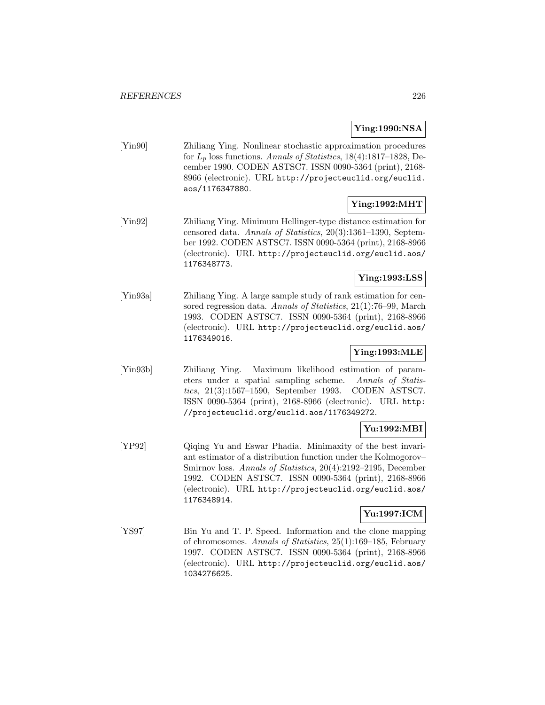#### **Ying:1990:NSA**

[Yin90] Zhiliang Ying. Nonlinear stochastic approximation procedures for  $L_p$  loss functions. Annals of Statistics, 18(4):1817–1828, December 1990. CODEN ASTSC7. ISSN 0090-5364 (print), 2168- 8966 (electronic). URL http://projecteuclid.org/euclid. aos/1176347880.

# **Ying:1992:MHT**

[Yin92] Zhiliang Ying. Minimum Hellinger-type distance estimation for censored data. Annals of Statistics, 20(3):1361–1390, September 1992. CODEN ASTSC7. ISSN 0090-5364 (print), 2168-8966 (electronic). URL http://projecteuclid.org/euclid.aos/ 1176348773.

#### **Ying:1993:LSS**

[Yin93a] Zhiliang Ying. A large sample study of rank estimation for censored regression data. Annals of Statistics, 21(1):76-99, March 1993. CODEN ASTSC7. ISSN 0090-5364 (print), 2168-8966 (electronic). URL http://projecteuclid.org/euclid.aos/ 1176349016.

# **Ying:1993:MLE**

[Yin93b] Zhiliang Ying. Maximum likelihood estimation of parameters under a spatial sampling scheme. Annals of Statistics, 21(3):1567–1590, September 1993. CODEN ASTSC7. ISSN 0090-5364 (print), 2168-8966 (electronic). URL http: //projecteuclid.org/euclid.aos/1176349272.

## **Yu:1992:MBI**

[YP92] Qiqing Yu and Eswar Phadia. Minimaxity of the best invariant estimator of a distribution function under the Kolmogorov– Smirnov loss. Annals of Statistics, 20(4):2192–2195, December 1992. CODEN ASTSC7. ISSN 0090-5364 (print), 2168-8966 (electronic). URL http://projecteuclid.org/euclid.aos/ 1176348914.

# **Yu:1997:ICM**

[YS97] Bin Yu and T. P. Speed. Information and the clone mapping of chromosomes. Annals of Statistics, 25(1):169–185, February 1997. CODEN ASTSC7. ISSN 0090-5364 (print), 2168-8966 (electronic). URL http://projecteuclid.org/euclid.aos/ 1034276625.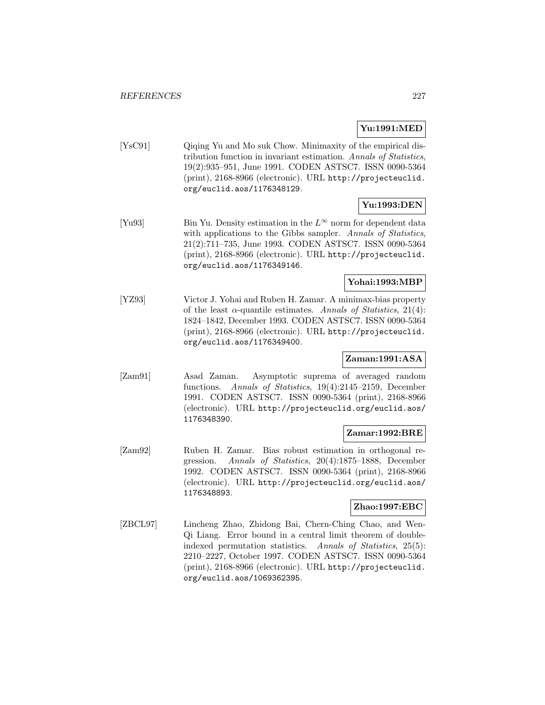# **Yu:1991:MED**

[YsC91] Qiqing Yu and Mo suk Chow. Minimaxity of the empirical distribution function in invariant estimation. Annals of Statistics, 19(2):935–951, June 1991. CODEN ASTSC7. ISSN 0090-5364 (print), 2168-8966 (electronic). URL http://projecteuclid. org/euclid.aos/1176348129.

# **Yu:1993:DEN**

[Yu93] Bin Yu. Density estimation in the  $L^{\infty}$  norm for dependent data with applications to the Gibbs sampler. Annals of Statistics, 21(2):711–735, June 1993. CODEN ASTSC7. ISSN 0090-5364 (print), 2168-8966 (electronic). URL http://projecteuclid. org/euclid.aos/1176349146.

# **Yohai:1993:MBP**

[YZ93] Victor J. Yohai and Ruben H. Zamar. A minimax-bias property of the least  $\alpha$ -quantile estimates. Annals of Statistics, 21(4): 1824–1842, December 1993. CODEN ASTSC7. ISSN 0090-5364 (print), 2168-8966 (electronic). URL http://projecteuclid. org/euclid.aos/1176349400.

# **Zaman:1991:ASA**

[Zam91] Asad Zaman. Asymptotic suprema of averaged random functions. Annals of Statistics, 19(4):2145–2159, December 1991. CODEN ASTSC7. ISSN 0090-5364 (print), 2168-8966 (electronic). URL http://projecteuclid.org/euclid.aos/ 1176348390.

## **Zamar:1992:BRE**

[Zam92] Ruben H. Zamar. Bias robust estimation in orthogonal regression. Annals of Statistics, 20(4):1875–1888, December 1992. CODEN ASTSC7. ISSN 0090-5364 (print), 2168-8966 (electronic). URL http://projecteuclid.org/euclid.aos/ 1176348893.

## **Zhao:1997:EBC**

[ZBCL97] Lincheng Zhao, Zhidong Bai, Chern-Ching Chao, and Wen-Qi Liang. Error bound in a central limit theorem of doubleindexed permutation statistics. Annals of Statistics, 25(5): 2210–2227, October 1997. CODEN ASTSC7. ISSN 0090-5364 (print), 2168-8966 (electronic). URL http://projecteuclid. org/euclid.aos/1069362395.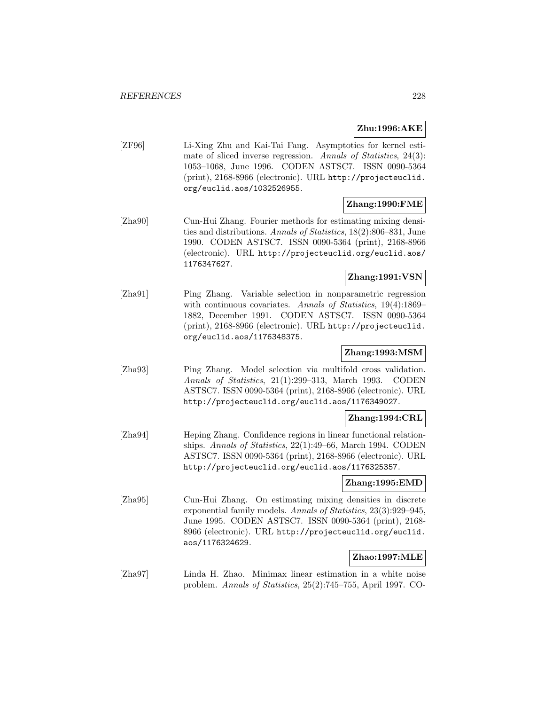#### **Zhu:1996:AKE**

[ZF96] Li-Xing Zhu and Kai-Tai Fang. Asymptotics for kernel estimate of sliced inverse regression. Annals of Statistics, 24(3): 1053–1068, June 1996. CODEN ASTSC7. ISSN 0090-5364 (print), 2168-8966 (electronic). URL http://projecteuclid. org/euclid.aos/1032526955.

#### **Zhang:1990:FME**

[Zha90] Cun-Hui Zhang. Fourier methods for estimating mixing densities and distributions. Annals of Statistics, 18(2):806–831, June 1990. CODEN ASTSC7. ISSN 0090-5364 (print), 2168-8966 (electronic). URL http://projecteuclid.org/euclid.aos/ 1176347627.

## **Zhang:1991:VSN**

[Zha91] Ping Zhang. Variable selection in nonparametric regression with continuous covariates. Annals of Statistics, 19(4):1869– 1882, December 1991. CODEN ASTSC7. ISSN 0090-5364 (print), 2168-8966 (electronic). URL http://projecteuclid. org/euclid.aos/1176348375.

## **Zhang:1993:MSM**

[Zha93] Ping Zhang. Model selection via multifold cross validation. Annals of Statistics, 21(1):299–313, March 1993. CODEN ASTSC7. ISSN 0090-5364 (print), 2168-8966 (electronic). URL http://projecteuclid.org/euclid.aos/1176349027.

#### **Zhang:1994:CRL**

[Zha94] Heping Zhang. Confidence regions in linear functional relationships. Annals of Statistics, 22(1):49–66, March 1994. CODEN ASTSC7. ISSN 0090-5364 (print), 2168-8966 (electronic). URL http://projecteuclid.org/euclid.aos/1176325357.

#### **Zhang:1995:EMD**

[Zha95] Cun-Hui Zhang. On estimating mixing densities in discrete exponential family models. Annals of Statistics, 23(3):929–945, June 1995. CODEN ASTSC7. ISSN 0090-5364 (print), 2168- 8966 (electronic). URL http://projecteuclid.org/euclid. aos/1176324629.

#### **Zhao:1997:MLE**

[Zha97] Linda H. Zhao. Minimax linear estimation in a white noise problem. Annals of Statistics, 25(2):745–755, April 1997. CO-